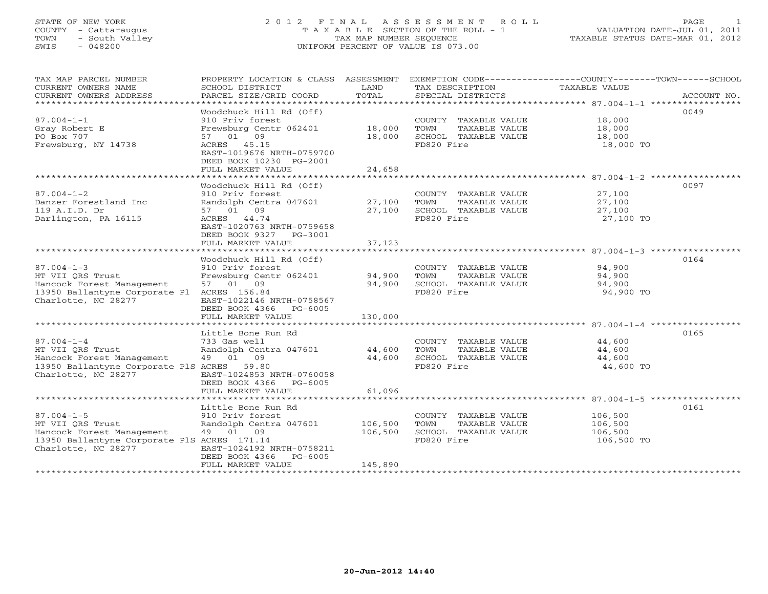# STATE OF NEW YORK 2 0 1 2 F I N A L A S S E S S M E N T R O L L PAGE 1 COUNTY - Cattaraugus T A X A B L E SECTION OF THE ROLL - 1 VALUATION DATE-JUL 01, 2011 TOWN - South Valley TAX MAP NUMBER SEQUENCE TAXABLE STATUS DATE-MAR 01, 2012 SWIS - 048200 UNIFORM PERCENT OF VALUE IS 073.00UNIFORM PERCENT OF VALUE IS 073.00

| TAX MAP PARCEL NUMBER<br>CURRENT OWNERS NAME<br>CURRENT OWNERS ADDRESS<br>***********************                                       | PROPERTY LOCATION & CLASS ASSESSMENT<br>SCHOOL DISTRICT<br>PARCEL SIZE/GRID COORD                                                                                            | LAND<br>TOTAL                 | TAX DESCRIPTION<br>SPECIAL DISTRICTS                                                | EXEMPTION CODE-----------------COUNTY-------TOWN------SCHOOL<br>TAXABLE VALUE | ACCOUNT NO. |
|-----------------------------------------------------------------------------------------------------------------------------------------|------------------------------------------------------------------------------------------------------------------------------------------------------------------------------|-------------------------------|-------------------------------------------------------------------------------------|-------------------------------------------------------------------------------|-------------|
| $87.004 - 1 - 1$<br>Gray Robert E<br>PO Box 707<br>Frewsburg, NY 14738                                                                  | Woodchuck Hill Rd (Off)<br>910 Priv forest<br>Frewsburg Centr 062401<br>57 01 09<br>ACRES 45.15<br>EAST-1019676 NRTH-0759700<br>DEED BOOK 10230 PG-2001<br>FULL MARKET VALUE | 18,000<br>18,000<br>24,658    | COUNTY TAXABLE VALUE<br>TOWN<br>TAXABLE VALUE<br>SCHOOL TAXABLE VALUE<br>FD820 Fire | 18,000<br>18,000<br>18,000<br>18,000 TO                                       | 0049        |
|                                                                                                                                         | Woodchuck Hill Rd (Off)                                                                                                                                                      |                               |                                                                                     |                                                                               | 0097        |
| $87.004 - 1 - 2$<br>Danzer Forestland Inc<br>119 A.I.D. Dr<br>Darlington, PA 16115                                                      | 910 Priv forest<br>Randolph Centra 047601<br>57 01 09<br>ACRES 44.74<br>EAST-1020763 NRTH-0759658<br>DEED BOOK 9327 PG-3001                                                  | 27,100<br>27,100              | COUNTY TAXABLE VALUE<br>TOWN<br>TAXABLE VALUE<br>SCHOOL TAXABLE VALUE<br>FD820 Fire | 27,100<br>27,100<br>27,100<br>27,100 TO                                       |             |
|                                                                                                                                         | FULL MARKET VALUE                                                                                                                                                            | 37,123                        |                                                                                     |                                                                               |             |
| $87.004 - 1 - 3$<br>HT VII ORS Trust<br>Hancock Forest Management<br>13950 Ballantyne Corporate Pl ACRES 156.84<br>Charlotte, NC 28277  | Woodchuck Hill Rd (Off)<br>910 Priv forest<br>Frewsburg Centr 062401<br>57 01 09<br>EAST-1022146 NRTH-0758567<br>DEED BOOK 4366 PG-6005                                      | 94,900<br>94,900              | COUNTY TAXABLE VALUE<br>TOWN<br>TAXABLE VALUE<br>SCHOOL TAXABLE VALUE<br>FD820 Fire | 94,900<br>94,900<br>94,900<br>94,900 TO                                       | 0164        |
|                                                                                                                                         | FULL MARKET VALUE                                                                                                                                                            | 130,000                       |                                                                                     |                                                                               |             |
| $87.004 - 1 - 4$<br>HT VII ORS Trust<br>Hancock Forest Management<br>13950 Ballantyne Corporate PlS ACRES 59.80<br>Charlotte, NC 28277  | Little Bone Run Rd<br>733 Gas well<br>Randolph Centra 047601<br>49 01 09<br>EAST-1024853 NRTH-0760058<br>DEED BOOK 4366 PG-6005                                              | 44,600<br>44,600              | COUNTY TAXABLE VALUE<br>TOWN<br>TAXABLE VALUE<br>SCHOOL TAXABLE VALUE<br>FD820 Fire | 44,600<br>44,600<br>44,600<br>44,600 TO                                       | 0165        |
|                                                                                                                                         | FULL MARKET VALUE                                                                                                                                                            | 61,096                        |                                                                                     |                                                                               |             |
| $87.004 - 1 - 5$<br>HT VII ORS Trust<br>Hancock Forest Management<br>13950 Ballantyne Corporate PlS ACRES 171.14<br>Charlotte, NC 28277 | Little Bone Run Rd<br>910 Priv forest<br>Randolph Centra 047601<br>49 01 09<br>EAST-1024192 NRTH-0758211<br>DEED BOOK 4366<br>PG-6005<br>FULL MARKET VALUE                   | 106,500<br>106,500<br>145,890 | COUNTY TAXABLE VALUE<br>TAXABLE VALUE<br>TOWN<br>SCHOOL TAXABLE VALUE<br>FD820 Fire | 106,500<br>106,500<br>106,500<br>106,500 TO                                   | 0161        |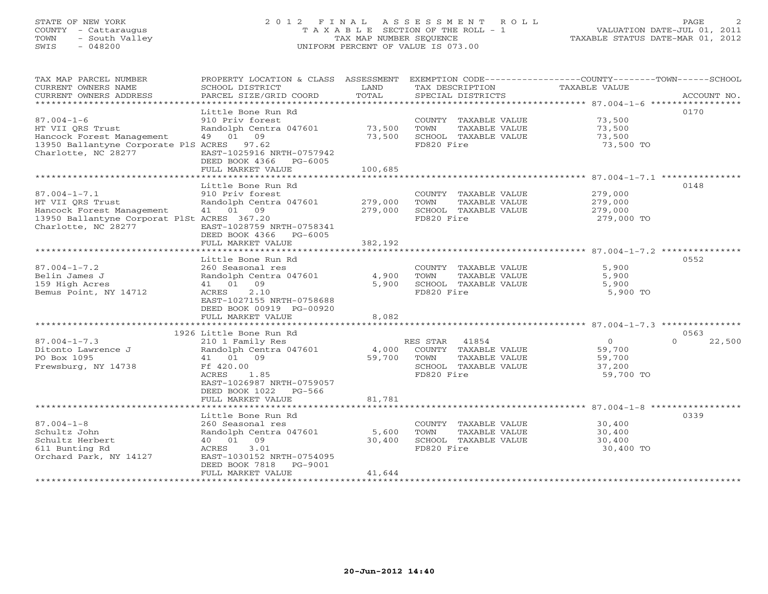# STATE OF NEW YORK 2 0 1 2 F I N A L A S S E S S M E N T R O L L PAGE 2 COUNTY - Cattaraugus T A X A B L E SECTION OF THE ROLL - 1 VALUATION DATE-JUL 01, 2011 TOWN - South Valley TAX MAP NUMBER SEQUENCE TAXABLE STATUS DATE-MAR 01, 2012 SWIS - 048200 UNIFORM PERCENT OF VALUE IS 073.00UNIFORM PERCENT OF VALUE IS 073.00

| TAX MAP PARCEL NUMBER<br>CURRENT OWNERS NAME<br>CURRENT OWNERS ADDRESS                         | PROPERTY LOCATION & CLASS ASSESSMENT<br>SCHOOL DISTRICT<br>PARCEL SIZE/GRID COORD | LAND<br>TOTAL      | TAX DESCRIPTION<br>SPECIAL DISTRICTS          | EXEMPTION CODE-----------------COUNTY-------TOWN------SCHOOL<br>TAXABLE VALUE | ACCOUNT NO.                |
|------------------------------------------------------------------------------------------------|-----------------------------------------------------------------------------------|--------------------|-----------------------------------------------|-------------------------------------------------------------------------------|----------------------------|
| $87.004 - 1 - 6$<br>HT VII QRS Trust                                                           | Little Bone Run Rd<br>910 Priv forest<br>Randolph Centra 047601                   | 73,500             | COUNTY TAXABLE VALUE<br>TAXABLE VALUE<br>TOWN | 73,500<br>73,500                                                              | 0170                       |
| Hancock Forest Management<br>13950 Ballantyne Corporate PlS ACRES 97.62<br>Charlotte, NC 28277 | 49 01 09<br>EAST-1025916 NRTH-0757942<br>DEED BOOK 4366 PG-6005                   | 73,500             | SCHOOL TAXABLE VALUE<br>FD820 Fire            | 73,500<br>73,500 TO                                                           |                            |
|                                                                                                | FULL MARKET VALUE                                                                 | 100,685            |                                               |                                                                               |                            |
|                                                                                                | ***************************                                                       | *************      |                                               |                                                                               |                            |
|                                                                                                | Little Bone Run Rd                                                                |                    |                                               |                                                                               | 0148                       |
| $87.004 - 1 - 7.1$                                                                             | 910 Priv forest                                                                   |                    | COUNTY TAXABLE VALUE                          | 279,000                                                                       |                            |
| HT VII ORS Trust<br>Hancock Forest Management                                                  | Randolph Centra 047601<br>41 01 09                                                | 279,000<br>279,000 | TOWN<br>TAXABLE VALUE<br>SCHOOL TAXABLE VALUE | 279,000<br>279,000                                                            |                            |
| 13950 Ballantyne Corporat PlSt ACRES 367.20                                                    |                                                                                   |                    | FD820 Fire                                    | 279,000 TO                                                                    |                            |
| Charlotte, NC 28277                                                                            | EAST-1028759 NRTH-0758341<br>DEED BOOK 4366 PG-6005<br>FULL MARKET VALUE          | 382,192            |                                               |                                                                               |                            |
|                                                                                                |                                                                                   |                    |                                               |                                                                               |                            |
|                                                                                                | Little Bone Run Rd                                                                |                    |                                               |                                                                               | 0552                       |
| $87.004 - 1 - 7.2$                                                                             | 260 Seasonal res                                                                  |                    | COUNTY TAXABLE VALUE                          | 5,900                                                                         |                            |
| Belin James J                                                                                  | Randolph Centra 047601                                                            | 4,900              | TOWN<br>TAXABLE VALUE                         | 5,900                                                                         |                            |
| 159 High Acres                                                                                 | 41 01 09                                                                          | 5,900              | SCHOOL TAXABLE VALUE                          | 5,900                                                                         |                            |
| Bemus Point, NY 14712                                                                          | 2.10<br>ACRES<br>EAST-1027155 NRTH-0758688<br>DEED BOOK 00919 PG-00920            |                    | FD820 Fire                                    | 5,900 TO                                                                      |                            |
|                                                                                                | FULL MARKET VALUE                                                                 | 8,082              |                                               |                                                                               |                            |
|                                                                                                |                                                                                   |                    |                                               |                                                                               |                            |
| $87.004 - 1 - 7.3$                                                                             | 1926 Little Bone Run Rd                                                           |                    | RES STAR 41854                                | $\Omega$                                                                      | 0563<br>$\Omega$<br>22,500 |
| Ditonto Lawrence J                                                                             | 210 1 Family Res<br>Randolph Centra 047601                                        |                    | 4,000 COUNTY TAXABLE VALUE                    | 59,700                                                                        |                            |
| PO Box 1095                                                                                    | 41 01 09                                                                          | 59,700             | TOWN<br>TAXABLE VALUE                         | 59,700                                                                        |                            |
| Frewsburg, NY 14738                                                                            | Ff 420.00                                                                         |                    | SCHOOL TAXABLE VALUE                          | 37,200                                                                        |                            |
|                                                                                                | ACRES<br>1.85<br>EAST-1026987 NRTH-0759057<br>DEED BOOK 1022 PG-566               |                    | FD820 Fire                                    | 59,700 TO                                                                     |                            |
|                                                                                                | FULL MARKET VALUE                                                                 | 81,781             |                                               |                                                                               |                            |
|                                                                                                |                                                                                   |                    |                                               |                                                                               |                            |
|                                                                                                | Little Bone Run Rd                                                                |                    |                                               |                                                                               | 0339                       |
| $87.004 - 1 - 8$                                                                               | 260 Seasonal res                                                                  |                    | COUNTY TAXABLE VALUE                          | 30,400                                                                        |                            |
| Schultz John                                                                                   | Randolph Centra 047601                                                            | 5,600              | TOWN<br>TAXABLE VALUE                         | 30,400                                                                        |                            |
| Schultz Herbert                                                                                | 40 01 09                                                                          | 30,400             | SCHOOL TAXABLE VALUE                          | 30,400                                                                        |                            |
| 611 Bunting Rd<br>Orchard Park, NY 14127                                                       | 3.01<br>ACRES<br>EAST-1030152 NRTH-0754095<br>DEED BOOK 7818 PG-9001              |                    | FD820 Fire                                    | 30,400 TO                                                                     |                            |
|                                                                                                | FULL MARKET VALUE                                                                 | 41,644             |                                               |                                                                               |                            |
| ******************                                                                             |                                                                                   |                    |                                               |                                                                               |                            |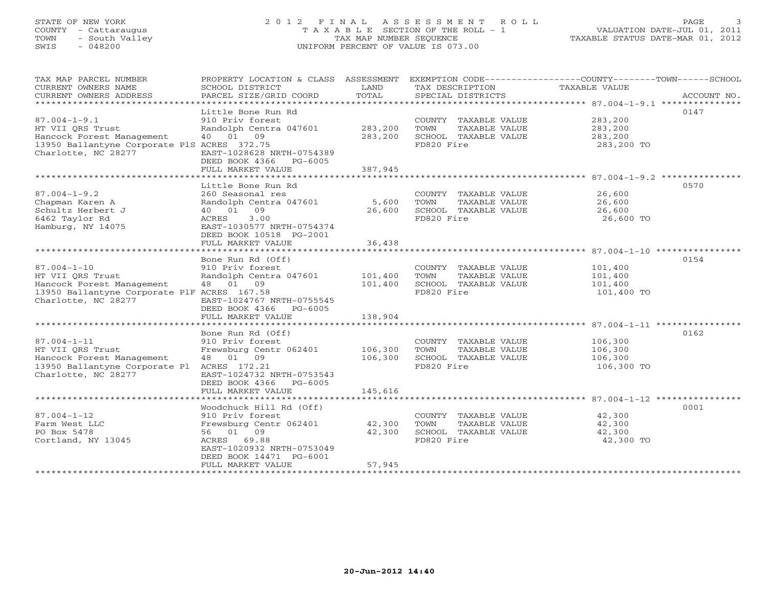# STATE OF NEW YORK 2 0 1 2 F I N A L A S S E S S M E N T R O L L PAGE 3 COUNTY - Cattaraugus T A X A B L E SECTION OF THE ROLL - 1 VALUATION DATE-JUL 01, 2011 TOWN - South Valley TAX MAP NUMBER SEQUENCE TAXABLE STATUS DATE-MAR 01, 2012 SWIS - 048200 UNIFORM PERCENT OF VALUE IS 073.00UNIFORM PERCENT OF VALUE IS 073.00

| TAX MAP PARCEL NUMBER<br>CURRENT OWNERS NAME<br>CURRENT OWNERS ADDRESS                                                                    | PROPERTY LOCATION & CLASS ASSESSMENT<br>SCHOOL DISTRICT<br>PARCEL SIZE/GRID COORD                                                                                               | LAND<br>TOTAL              | TAX DESCRIPTION<br>SPECIAL DISTRICTS                                                | EXEMPTION CODE-----------------COUNTY-------TOWN------SCHOOL<br>TAXABLE VALUE<br>ACCOUNT NO. |
|-------------------------------------------------------------------------------------------------------------------------------------------|---------------------------------------------------------------------------------------------------------------------------------------------------------------------------------|----------------------------|-------------------------------------------------------------------------------------|----------------------------------------------------------------------------------------------|
| ******************************                                                                                                            | Little Bone Run Rd                                                                                                                                                              |                            |                                                                                     | 0147                                                                                         |
| $87.004 - 1 - 9.1$<br>HT VII ORS Trust<br>Hancock Forest Management<br>13950 Ballantyne Corporate PlS ACRES 372.75<br>Charlotte, NC 28277 | 910 Priv forest<br>Randolph Centra 047601<br>40 01 09<br>EAST-1028628 NRTH-0754389<br>DEED BOOK 4366 PG-6005                                                                    | 283,200<br>283,200         | COUNTY TAXABLE VALUE<br>TAXABLE VALUE<br>TOWN<br>SCHOOL TAXABLE VALUE<br>FD820 Fire | 283,200<br>283,200<br>283,200<br>283,200 TO                                                  |
|                                                                                                                                           | FULL MARKET VALUE                                                                                                                                                               | 387,945                    |                                                                                     |                                                                                              |
|                                                                                                                                           | Little Bone Run Rd                                                                                                                                                              |                            |                                                                                     | 0570                                                                                         |
| $87.004 - 1 - 9.2$<br>Chapman Karen A<br>Schultz Herbert J<br>6462 Taylor Rd<br>Hamburg, NY 14075                                         | 260 Seasonal res<br>Randolph Centra 047601<br>40  01  09<br>ACRES<br>3.00<br>EAST-1030577 NRTH-0754374                                                                          | 5,600<br>26,600            | COUNTY TAXABLE VALUE<br>TAXABLE VALUE<br>TOWN<br>SCHOOL TAXABLE VALUE<br>FD820 Fire | 26,600<br>26,600<br>26,600<br>26,600 TO                                                      |
|                                                                                                                                           | DEED BOOK 10518 PG-2001                                                                                                                                                         |                            |                                                                                     |                                                                                              |
|                                                                                                                                           | FULL MARKET VALUE                                                                                                                                                               | 36,438                     |                                                                                     |                                                                                              |
|                                                                                                                                           | Bone Run Rd (Off)                                                                                                                                                               |                            |                                                                                     | 0154                                                                                         |
| $87.004 - 1 - 10$<br>HT VII ORS Trust<br>Hancock Forest Management<br>13950 Ballantyne Corporate PlF ACRES 167.58<br>Charlotte, NC 28277  | 910 Priv forest<br>Randolph Centra 047601<br>48 01 09<br>EAST-1024767 NRTH-0755545<br>DEED BOOK 4366<br>PG-6005                                                                 | 101,400<br>101,400         | COUNTY TAXABLE VALUE<br>TOWN<br>TAXABLE VALUE<br>SCHOOL TAXABLE VALUE<br>FD820 Fire | 101,400<br>101,400<br>101,400<br>101,400 TO                                                  |
|                                                                                                                                           | FULL MARKET VALUE                                                                                                                                                               | 138,904                    |                                                                                     |                                                                                              |
|                                                                                                                                           |                                                                                                                                                                                 |                            |                                                                                     |                                                                                              |
| $87.004 - 1 - 11$<br>HT VII ORS Trust<br>Hancock Forest Management<br>13950 Ballantyne Corporate Pl ACRES 172.21<br>Charlotte, NC 28277   | Bone Run Rd (Off)<br>910 Priv forest<br>Frewsburg Centr 062401<br>48 01 09<br>EAST-1024732 NRTH-0753543<br>DEED BOOK 4366 PG-6005                                               | 106,300<br>106,300         | COUNTY TAXABLE VALUE<br>TAXABLE VALUE<br>TOWN<br>SCHOOL TAXABLE VALUE<br>FD820 Fire | 0162<br>106,300<br>106,300<br>106,300<br>106,300 TO                                          |
|                                                                                                                                           | FULL MARKET VALUE                                                                                                                                                               | 145,616                    |                                                                                     |                                                                                              |
|                                                                                                                                           |                                                                                                                                                                                 |                            |                                                                                     |                                                                                              |
| $87.004 - 1 - 12$<br>Farm West LLC<br>PO Box 5478<br>Cortland, NY 13045                                                                   | Woodchuck Hill Rd (Off)<br>910 Priv forest<br>Frewsburg Centr 062401<br>56 01 09<br>ACRES<br>69.88<br>EAST-1020932 NRTH-0753049<br>DEED BOOK 14471 PG-6001<br>FULL MARKET VALUE | 42,300<br>42,300<br>57,945 | COUNTY TAXABLE VALUE<br>TOWN<br>TAXABLE VALUE<br>SCHOOL TAXABLE VALUE<br>FD820 Fire | 0001<br>42,300<br>42,300<br>42,300<br>42,300 TO                                              |
| *******************                                                                                                                       |                                                                                                                                                                                 |                            |                                                                                     |                                                                                              |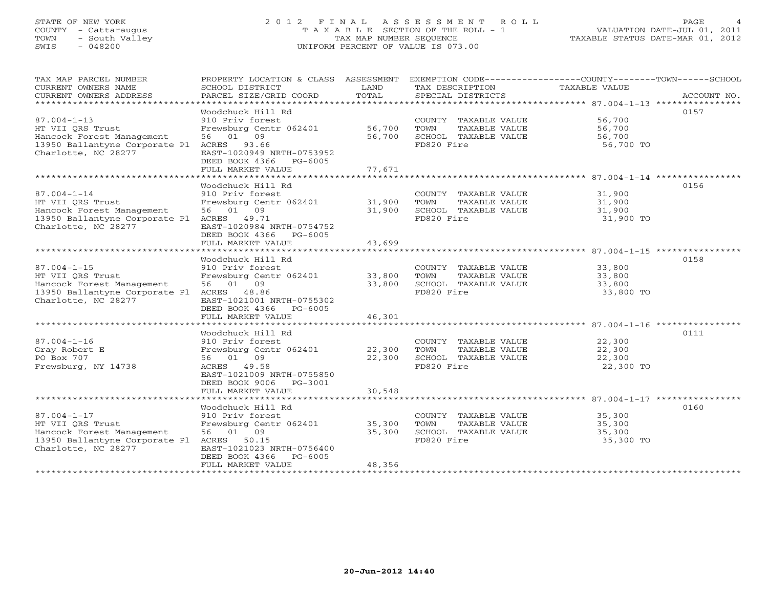# STATE OF NEW YORK 2 0 1 2 F I N A L A S S E S S M E N T R O L L PAGE 4 COUNTY - Cattaraugus T A X A B L E SECTION OF THE ROLL - 1 VALUATION DATE-JUL 01, 2011 TOWN - South Valley TAX MAP NUMBER SEQUENCE TAXABLE STATUS DATE-MAR 01, 2012 SWIS - 048200 UNIFORM PERCENT OF VALUE IS 073.00UNIFORM PERCENT OF VALUE IS 073.00

| TAX MAP PARCEL NUMBER<br>CURRENT OWNERS NAME<br>CURRENT OWNERS ADDRESS<br>******************************                                                | PROPERTY LOCATION & CLASS ASSESSMENT<br>SCHOOL DISTRICT<br>PARCEL SIZE/GRID COORD                                                                                                                          | LAND<br>TOTAL              | TAX DESCRIPTION<br>SPECIAL DISTRICTS                                                                                    | EXEMPTION CODE-----------------COUNTY-------TOWN------SCHOOL<br>TAXABLE VALUE<br>ACCOUNT NO. |
|---------------------------------------------------------------------------------------------------------------------------------------------------------|------------------------------------------------------------------------------------------------------------------------------------------------------------------------------------------------------------|----------------------------|-------------------------------------------------------------------------------------------------------------------------|----------------------------------------------------------------------------------------------|
| $87.004 - 1 - 13$<br>HT VII ORS Trust<br>Hancock Forest Management<br>13950 Ballantyne Corporate Pl<br>Charlotte, NC 28277                              | Woodchuck Hill Rd<br>910 Priv forest<br>Frewsburg Centr 062401<br>56 01 09<br>ACRES 93.66<br>EAST-1020949 NRTH-0753952<br>DEED BOOK 4366 PG-6005<br>FULL MARKET VALUE                                      | 56,700<br>56,700<br>77,671 | COUNTY TAXABLE VALUE<br>TOWN<br>TAXABLE VALUE<br>SCHOOL TAXABLE VALUE<br>FD820 Fire                                     | 0157<br>56,700<br>56,700<br>56,700<br>56,700 TO                                              |
|                                                                                                                                                         | Woodchuck Hill Rd                                                                                                                                                                                          |                            |                                                                                                                         | 0156                                                                                         |
| $87.004 - 1 - 14$<br>HT VII QRS Trust<br>Hancock Forest Management<br>13950 Ballantyne Corporate Pl<br>Charlotte, NC 28277                              | 910 Priv forest<br>Frewsburg Centr 062401<br>56 01 09<br>ACRES 49.71<br>EAST-1020984 NRTH-0754752<br>DEED BOOK 4366 PG-6005                                                                                | 31,900<br>31,900           | COUNTY TAXABLE VALUE<br>TOWN<br>TAXABLE VALUE<br>SCHOOL TAXABLE VALUE<br>FD820 Fire                                     | 31,900<br>31,900<br>31,900<br>31,900 TO                                                      |
|                                                                                                                                                         | FULL MARKET VALUE                                                                                                                                                                                          | 43,699                     |                                                                                                                         |                                                                                              |
| $87.004 - 1 - 15$<br>HT VII ORS Trust<br>Hancock Forest Management<br>13950 Ballantyne Corporate Pl ACRES 48.86<br>Charlotte, NC 28277                  | Woodchuck Hill Rd<br>910 Priv forest<br>Frewsburg Centr 062401<br>56 01 09<br>EAST-1021001 NRTH-0755302<br>DEED BOOK 4366 PG-6005                                                                          | 33,800<br>33,800           | COUNTY TAXABLE VALUE<br>TOWN<br>TAXABLE VALUE<br>SCHOOL TAXABLE VALUE<br>FD820 Fire                                     | 0158<br>33,800<br>33,800<br>33,800<br>33,800 TO                                              |
|                                                                                                                                                         | FULL MARKET VALUE                                                                                                                                                                                          | 46,301                     |                                                                                                                         |                                                                                              |
| $87.004 - 1 - 16$<br>Gray Robert E<br>PO Box 707<br>Frewsburg, NY 14738                                                                                 | Woodchuck Hill Rd<br>910 Priv forest<br>Frewsburg Centr 062401<br>56 01 09<br>ACRES 49.58<br>EAST-1021009 NRTH-0755850<br>DEED BOOK 9006 PG-3001<br>FULL MARKET VALUE                                      | 22,300<br>22,300<br>30,548 | COUNTY TAXABLE VALUE<br>TOWN<br>TAXABLE VALUE<br>SCHOOL TAXABLE VALUE<br>FD820 Fire                                     | 0111<br>22,300<br>22,300<br>22,300<br>22,300 TO                                              |
|                                                                                                                                                         |                                                                                                                                                                                                            |                            |                                                                                                                         |                                                                                              |
| $87.004 - 1 - 17$<br>HT VII ORS Trust<br>Hancock Forest Management<br>13950 Ballantyne Corporate Pl<br>Charlotte, NC 28277<br>************************* | Woodchuck Hill Rd<br>910 Priv forest<br>Frewsburg Centr 062401<br>56 01 09<br>ACRES<br>50.15<br>EAST-1021023 NRTH-0756400<br>DEED BOOK 4366<br>$PG-6005$<br>FULL MARKET VALUE<br>************************* | 35,300<br>35,300<br>48,356 | COUNTY TAXABLE VALUE<br>TOWN<br>TAXABLE VALUE<br>SCHOOL TAXABLE VALUE<br>FD820 Fire<br>******************************** | 0160<br>35,300<br>35,300<br>35,300<br>35,300 TO                                              |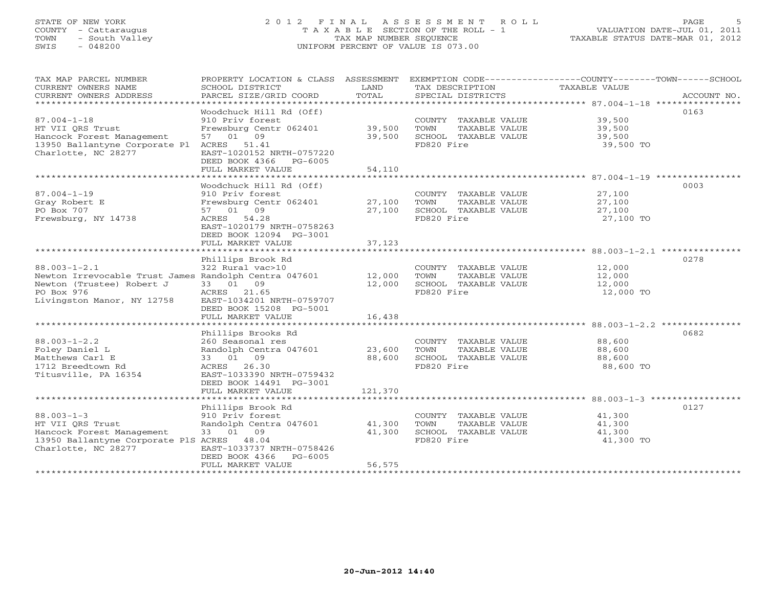# STATE OF NEW YORK 2 0 1 2 F I N A L A S S E S S M E N T R O L L PAGE 5 COUNTY - Cattaraugus T A X A B L E SECTION OF THE ROLL - 1 VALUATION DATE-JUL 01, 2011 TOWN - South Valley TAX MAP NUMBER SEQUENCE TAXABLE STATUS DATE-MAR 01, 2012 SWIS - 048200 UNIFORM PERCENT OF VALUE IS 073.00UNIFORM PERCENT OF VALUE IS 073.00

| TAX MAP PARCEL NUMBER<br>CURRENT OWNERS NAME<br>CURRENT OWNERS ADDRESS                                                                               | PROPERTY LOCATION & CLASS ASSESSMENT<br>SCHOOL DISTRICT<br>PARCEL SIZE/GRID COORD                                                                                                                             | LAND<br>TOTAL                               | TAX DESCRIPTION<br>SPECIAL DISTRICTS                                                                                     | EXEMPTION CODE-----------------COUNTY-------TOWN------SCHOOL<br>TAXABLE VALUE<br>ACCOUNT NO.     |
|------------------------------------------------------------------------------------------------------------------------------------------------------|---------------------------------------------------------------------------------------------------------------------------------------------------------------------------------------------------------------|---------------------------------------------|--------------------------------------------------------------------------------------------------------------------------|--------------------------------------------------------------------------------------------------|
| $87.004 - 1 - 18$<br>HT VII ORS Trust<br>Hancock Forest Management<br>13950 Ballantyne Corporate Pl<br>Charlotte, NC 28277                           | Woodchuck Hill Rd (Off)<br>910 Priv forest<br>Frewsburg Centr 062401<br>57 01 09<br>ACRES 51.41<br>EAST-1020152 NRTH-0757220<br>DEED BOOK 4366<br>PG-6005<br>FULL MARKET VALUE                                | 39,500<br>39,500<br>54,110                  | COUNTY TAXABLE VALUE<br>TOWN<br>TAXABLE VALUE<br>SCHOOL TAXABLE VALUE<br>FD820 Fire                                      | 0163<br>39,500<br>39,500<br>39,500<br>39,500 TO                                                  |
| $87.004 - 1 - 19$<br>Gray Robert E<br>PO Box 707<br>Frewsburg, NY 14738                                                                              | Woodchuck Hill Rd (Off)<br>910 Priv forest<br>Frewsburg Centr 062401<br>09<br>57 01<br>ACRES 54.28<br>EAST-1020179 NRTH-0758263<br>DEED BOOK 12094 PG-3001<br>FULL MARKET VALUE<br>************************** | 27,100<br>27,100<br>37,123<br>************* | COUNTY TAXABLE VALUE<br>TOWN<br>TAXABLE VALUE<br>SCHOOL TAXABLE VALUE<br>FD820 Fire                                      | 0003<br>27,100<br>27,100<br>27,100<br>27,100 TO<br>********************* 88.003-1-2.1 ********** |
| $88.003 - 1 - 2.1$<br>Newton Irrevocable Trust James Randolph Centra 047601<br>Newton (Trustee) Robert J<br>PO Box 976<br>Livingston Manor, NY 12758 | Phillips Brook Rd<br>322 Rural vac>10<br>33 01 09<br>ACRES 21.65<br>EAST-1034201 NRTH-0759707<br>DEED BOOK 15208 PG-5001<br>FULL MARKET VALUE                                                                 | 12,000<br>12,000<br>16,438                  | COUNTY TAXABLE VALUE<br>TOWN<br>TAXABLE VALUE<br>SCHOOL TAXABLE VALUE<br>FD820 Fire                                      | 0278<br>12,000<br>12,000<br>12,000<br>12,000 TO                                                  |
| $88.003 - 1 - 2.2$<br>Foley Daniel L<br>Matthews Carl E<br>1712 Breedtown Rd<br>Titusville, PA 16354                                                 | Phillips Brooks Rd<br>260 Seasonal res<br>Randolph Centra 047601<br>33 01 09<br>ACRES 26.30<br>EAST-1033390 NRTH-0759432<br>DEED BOOK 14491 PG-3001<br>FULL MARKET VALUE                                      | 23,600<br>88,600<br>121,370                 | COUNTY TAXABLE VALUE<br>TOWN<br>TAXABLE VALUE<br>SCHOOL TAXABLE VALUE<br>FD820 Fire                                      | 0682<br>88,600<br>88,600<br>88,600<br>88,600 TO                                                  |
| $88.003 - 1 - 3$<br>HT VII ORS Trust<br>Hancock Forest Management<br>13950 Ballantyne Corporate PlS ACRES<br>Charlotte, NC 28277                     | Phillips Brook Rd<br>910 Priv forest<br>Randolph Centra 047601<br>33 01 09<br>48.04<br>EAST-1033737 NRTH-0758426<br>DEED BOOK 4366<br>$PG-6005$<br>FULL MARKET VALUE                                          | 41,300<br>41,300<br>56,575                  | COUNTY TAXABLE VALUE<br>TOWN<br>TAXABLE VALUE<br>SCHOOL TAXABLE VALUE<br>FD820 Fire<br>********************************* | 0127<br>41,300<br>41,300<br>41,300<br>41,300 TO                                                  |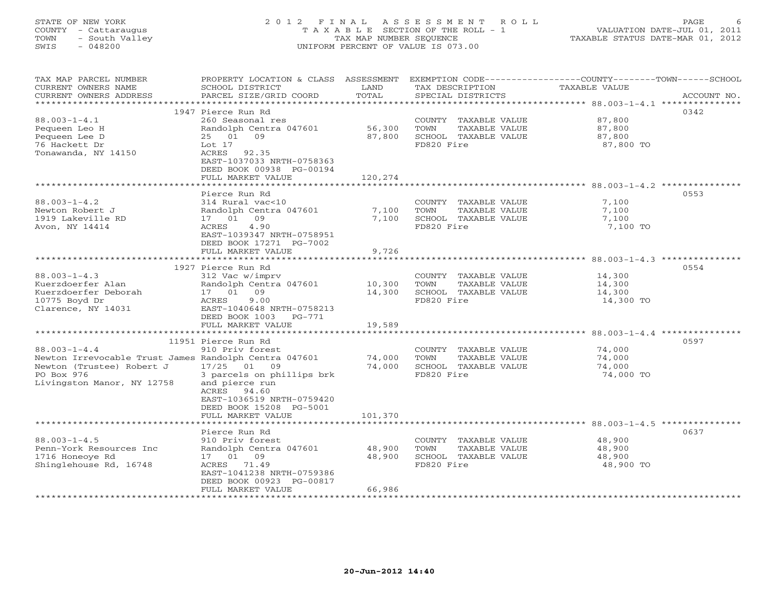# STATE OF NEW YORK 2 0 1 2 F I N A L A S S E S S M E N T R O L L PAGE 6 COUNTY - Cattaraugus T A X A B L E SECTION OF THE ROLL - 1 VALUATION DATE-JUL 01, 2011 TOWN - South Valley TAX MAP NUMBER SEQUENCE TAXABLE STATUS DATE-MAR 01, 2012 SWIS - 048200 UNIFORM PERCENT OF VALUE IS 073.00UNIFORM PERCENT OF VALUE IS 073.00

| TAX MAP PARCEL NUMBER<br>CURRENT OWNERS NAME<br>CURRENT OWNERS ADDRESS<br>********************                                                                                                                     | PROPERTY LOCATION & CLASS ASSESSMENT<br>SCHOOL DISTRICT<br>PARCEL SIZE/GRID COORD                                                                                                                                                      | LAND<br>TOTAL                                  | TAX DESCRIPTION<br>SPECIAL DISTRICTS                                                                                                                         | EXEMPTION CODE-----------------COUNTY-------TOWN------SCHOOL<br>TAXABLE VALUE<br>ACCOUNT NO. |
|--------------------------------------------------------------------------------------------------------------------------------------------------------------------------------------------------------------------|----------------------------------------------------------------------------------------------------------------------------------------------------------------------------------------------------------------------------------------|------------------------------------------------|--------------------------------------------------------------------------------------------------------------------------------------------------------------|----------------------------------------------------------------------------------------------|
|                                                                                                                                                                                                                    |                                                                                                                                                                                                                                        |                                                |                                                                                                                                                              |                                                                                              |
| $88.003 - 1 - 4.1$<br>Pequeen Leo H<br>Pequeen Lee D<br>76 Hackett Dr<br>Tonawanda, NY 14150                                                                                                                       | 1947 Pierce Run Rd<br>260 Seasonal res<br>Randolph Centra 047601<br>25 01 09<br>Lot $17$<br>ACRES<br>92.35<br>EAST-1037033 NRTH-0758363<br>DEED BOOK 00938 PG-00194<br>FULL MARKET VALUE                                               | 56,300<br>87,800<br>120,274                    | COUNTY TAXABLE VALUE<br>TOWN<br>TAXABLE VALUE<br>SCHOOL TAXABLE VALUE<br>FD820 Fire                                                                          | 0342<br>87,800<br>87,800<br>87,800<br>87,800 TO                                              |
|                                                                                                                                                                                                                    |                                                                                                                                                                                                                                        |                                                |                                                                                                                                                              |                                                                                              |
| $88.003 - 1 - 4.2$<br>Newton Robert J<br>1919 Lakeville RD<br>Avon, NY 14414                                                                                                                                       | Pierce Run Rd<br>314 Rural vac<10<br>Randolph Centra 047601<br>17 01<br>09<br>4.90<br>ACRES<br>EAST-1039347 NRTH-0758951<br>DEED BOOK 17271 PG-7002                                                                                    | 7,100<br>7,100                                 | COUNTY TAXABLE VALUE<br>TOWN<br>TAXABLE VALUE<br>SCHOOL TAXABLE VALUE<br>FD820 Fire                                                                          | 0553<br>7,100<br>7,100<br>7,100<br>7,100 TO                                                  |
|                                                                                                                                                                                                                    | FULL MARKET VALUE                                                                                                                                                                                                                      | 9,726                                          |                                                                                                                                                              |                                                                                              |
| $88.003 - 1 - 4.3$<br>Kuerzdoerfer Alan<br>Kuerzdoerfer Deborah<br>10775 Boyd Dr<br>Clarence, NY 14031<br>$88.003 - 1 - 4.4$<br>Newton Irrevocable Trust James Randolph Centra 047601<br>Newton (Trustee) Robert J | 1927 Pierce Run Rd<br>312 Vac w/imprv<br>Randolph Centra 047601<br>17 01<br>09<br>9.00<br>ACRES<br>EAST-1040648 NRTH-0758213<br>DEED BOOK 1003<br>PG-771<br>FULL MARKET VALUE<br>11951 Pierce Run Rd<br>910 Priv forest<br>17/25 01 09 | 10,300<br>14,300<br>19,589<br>74,000<br>74,000 | COUNTY TAXABLE VALUE<br>TOWN<br>TAXABLE VALUE<br>SCHOOL TAXABLE VALUE<br>FD820 Fire<br>COUNTY TAXABLE VALUE<br>TOWN<br>TAXABLE VALUE<br>SCHOOL TAXABLE VALUE | 0554<br>14,300<br>14,300<br>14,300<br>14,300 TO<br>0597<br>74,000<br>74,000<br>74,000        |
| PO Box 976<br>Livingston Manor, NY 12758                                                                                                                                                                           | 3 parcels on phillips brk<br>and pierce run<br>ACRES 94.60<br>EAST-1036519 NRTH-0759420<br>DEED BOOK 15208 PG-5001<br>FULL MARKET VALUE                                                                                                | 101,370                                        | FD820 Fire                                                                                                                                                   | 74,000 TO                                                                                    |
|                                                                                                                                                                                                                    | Pierce Run Rd                                                                                                                                                                                                                          |                                                |                                                                                                                                                              | 0637                                                                                         |
| $88.003 - 1 - 4.5$<br>Penn-York Resources Inc<br>1716 Honeoye Rd<br>Shinglehouse Rd, 16748                                                                                                                         | 910 Priv forest<br>Randolph Centra 047601<br>17 01 09<br>ACRES 71.49<br>EAST-1041238 NRTH-0759386<br>DEED BOOK 00923 PG-00817                                                                                                          | 48,900<br>48,900                               | COUNTY TAXABLE VALUE<br>TOWN<br>TAXABLE VALUE<br>SCHOOL TAXABLE VALUE<br>FD820 Fire                                                                          | 48,900<br>48,900<br>48,900<br>48,900 TO                                                      |
|                                                                                                                                                                                                                    | FULL MARKET VALUE                                                                                                                                                                                                                      | 66,986                                         |                                                                                                                                                              |                                                                                              |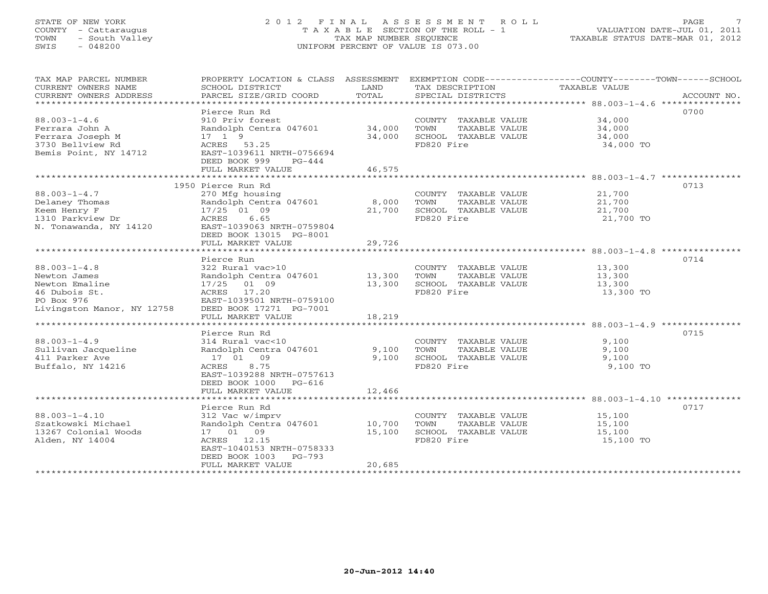# STATE OF NEW YORK 2 0 1 2 F I N A L A S S E S S M E N T R O L L PAGE 7 COUNTY - Cattaraugus T A X A B L E SECTION OF THE ROLL - 1 VALUATION DATE-JUL 01, 2011 TOWN - South Valley TAX MAP NUMBER SEQUENCE TAXABLE STATUS DATE-MAR 01, 2012 SWIS - 048200 UNIFORM PERCENT OF VALUE IS 073.00UNIFORM PERCENT OF VALUE IS 073.00

| TAX MAP PARCEL NUMBER<br>CURRENT OWNERS NAME<br>CURRENT OWNERS ADDRESS                                            | SCHOOL DISTRICT<br>PARCEL SIZE/GRID COORD                                                                                                                                                           | LAND<br>TOTAL              | TAX DESCRIPTION<br>SPECIAL DISTRICTS                                                | PROPERTY LOCATION & CLASS ASSESSMENT EXEMPTION CODE----------------COUNTY-------TOWN------SCHOOL<br>TAXABLE VALUE<br>ACCOUNT NO. |
|-------------------------------------------------------------------------------------------------------------------|-----------------------------------------------------------------------------------------------------------------------------------------------------------------------------------------------------|----------------------------|-------------------------------------------------------------------------------------|----------------------------------------------------------------------------------------------------------------------------------|
| $88.003 - 1 - 4.6$<br>Ferrara John A<br>Ferrara Joseph M<br>3730 Bellview Rd<br>Bemis Point, NY 14712             | Pierce Run Rd<br>910 Priv forest<br>Randolph Centra 047601<br>17 1 9<br>ACRES 53.25<br>EAST-1039611 NRTH-0756694<br>DEED BOOK 999<br>$PG-444$<br>FULL MARKET VALUE                                  | 34,000<br>34,000<br>46,575 | COUNTY TAXABLE VALUE<br>TAXABLE VALUE<br>TOWN<br>SCHOOL TAXABLE VALUE<br>FD820 Fire | 0700<br>34,000<br>34,000<br>34,000<br>34,000 TO                                                                                  |
|                                                                                                                   | 1950 Pierce Run Rd                                                                                                                                                                                  |                            |                                                                                     | 0713                                                                                                                             |
| $88.003 - 1 - 4.7$<br>Delaney Thomas<br>Keem Henry F<br>1310 Parkview Dr<br>N. Tonawanda, NY 14120                | 270 Mfg housing<br>Randolph Centra 047601<br>17/25 01 09<br>ACRES<br>6.65<br>EAST-1039063 NRTH-0759804<br>DEED BOOK 13015 PG-8001                                                                   | 8,000<br>21,700            | COUNTY TAXABLE VALUE<br>TOWN<br>TAXABLE VALUE<br>SCHOOL TAXABLE VALUE<br>FD820 Fire | 21,700<br>21,700<br>21,700<br>21,700 TO                                                                                          |
|                                                                                                                   | FULL MARKET VALUE                                                                                                                                                                                   | 29,726                     |                                                                                     |                                                                                                                                  |
|                                                                                                                   | Pierce Run                                                                                                                                                                                          |                            |                                                                                     | 0714                                                                                                                             |
| $88.003 - 1 - 4.8$<br>Newton James<br>Newton Emaline<br>46 Dubois St.<br>PO Box 976<br>Livingston Manor, NY 12758 | 322 Rural vac>10<br>Randolph Centra 047601<br>17/25 01 09<br>ACRES 17.20<br>EAST-1039501 NRTH-0759100<br>DEED BOOK 17271 PG-7001                                                                    | 13,300<br>13,300           | COUNTY TAXABLE VALUE<br>TOWN<br>TAXABLE VALUE<br>SCHOOL TAXABLE VALUE<br>FD820 Fire | 13,300<br>13,300<br>13,300<br>13,300 TO                                                                                          |
|                                                                                                                   | FULL MARKET VALUE                                                                                                                                                                                   | 18,219                     |                                                                                     |                                                                                                                                  |
|                                                                                                                   | *************************                                                                                                                                                                           |                            |                                                                                     |                                                                                                                                  |
| $88.003 - 1 - 4.9$<br>Sullivan Jacqueline<br>411 Parker Ave<br>Buffalo, NY 14216                                  | Pierce Run Rd<br>314 Rural vac<10<br>Randolph Centra 047601<br>17 01 09<br>8.75<br>ACRES<br>EAST-1039288 NRTH-0757613<br>DEED BOOK 1000<br>PG-616<br>FULL MARKET VALUE                              | 9,100<br>9.100<br>12,466   | COUNTY TAXABLE VALUE<br>TOWN<br>TAXABLE VALUE<br>SCHOOL TAXABLE VALUE<br>FD820 Fire | 0715<br>9,100<br>9,100<br>9,100<br>9,100 TO                                                                                      |
|                                                                                                                   |                                                                                                                                                                                                     |                            |                                                                                     |                                                                                                                                  |
| $88.003 - 1 - 4.10$<br>Szatkowski Michael<br>13267 Colonial Woods<br>Alden, NY 14004                              | Pierce Run Rd<br>312 Vac w/imprv<br>Randolph Centra 047601<br>17 01 09<br>ACRES 12.15<br>EAST-1040153 NRTH-0758333<br>DEED BOOK 1003<br>$PG-793$<br>FULL MARKET VALUE<br>************************** | 10,700<br>15,100<br>20,685 | COUNTY TAXABLE VALUE<br>TOWN<br>TAXABLE VALUE<br>SCHOOL TAXABLE VALUE<br>FD820 Fire | 0717<br>15,100<br>15,100<br>15,100<br>15,100 TO                                                                                  |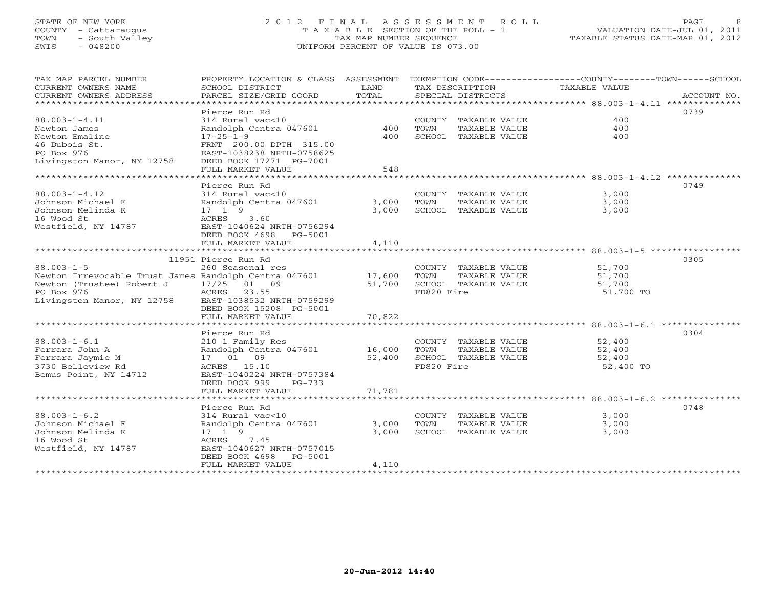# STATE OF NEW YORK 2 0 1 2 F I N A L A S S E S S M E N T R O L L PAGE 8 COUNTY - Cattaraugus T A X A B L E SECTION OF THE ROLL - 1 VALUATION DATE-JUL 01, 2011 TOWN - South Valley TAX MAP NUMBER SEQUENCE TAXABLE STATUS DATE-MAR 01, 2012 SWIS - 048200 UNIFORM PERCENT OF VALUE IS 073.00UNIFORM PERCENT OF VALUE IS 073.00

| TAX MAP PARCEL NUMBER<br>CURRENT OWNERS NAME<br>CURRENT OWNERS ADDRESS | PROPERTY LOCATION & CLASS ASSESSMENT EXEMPTION CODE---------------COUNTY-------TOWN------SCHOOL<br>SCHOOL DISTRICT<br>PARCEL SIZE/GRID COORD | LAND<br>TOTAL    |            | SPECIAL DISTRICTS                     | TAX DESCRIPTION TAXABLE VALUE | ACCOUNT NO. |
|------------------------------------------------------------------------|----------------------------------------------------------------------------------------------------------------------------------------------|------------------|------------|---------------------------------------|-------------------------------|-------------|
|                                                                        |                                                                                                                                              |                  |            |                                       |                               |             |
|                                                                        | Pierce Run Rd                                                                                                                                |                  |            |                                       |                               | 0739        |
| $88.003 - 1 - 4.11$                                                    | 314 Rural vac<10                                                                                                                             |                  |            | COUNTY TAXABLE VALUE                  | 400                           |             |
| Newton James                                                           | Randolph Centra 047601                                                                                                                       | 400              | TOWN       | TAXABLE VALUE                         | 400                           |             |
| Newton Emaline                                                         | $17 - 25 - 1 - 9$                                                                                                                            | 400              |            | SCHOOL TAXABLE VALUE                  | 400                           |             |
| 46 Dubois St.                                                          | FRNT 200.00 DPTH 315.00                                                                                                                      |                  |            |                                       |                               |             |
| PO Box 976                                                             | EAST-1038238 NRTH-0758625                                                                                                                    |                  |            |                                       |                               |             |
| Livingston Manor, NY 12758                                             | DEED BOOK 17271 PG-7001                                                                                                                      |                  |            |                                       |                               |             |
|                                                                        | FULL MARKET VALUE                                                                                                                            | 548              |            |                                       |                               |             |
| ************************                                               |                                                                                                                                              |                  |            |                                       |                               |             |
|                                                                        | Pierce Run Rd                                                                                                                                |                  |            |                                       |                               | 0749        |
| $88.003 - 1 - 4.12$                                                    | 314 Rural vac<10                                                                                                                             |                  |            | COUNTY TAXABLE VALUE                  | 3,000                         |             |
| Johnson Michael E                                                      | Randolph Centra 047601                                                                                                                       | 3,000            | TOWN       | TAXABLE VALUE                         | 3,000                         |             |
| Johnson Melinda K                                                      | $17 \quad 1 \quad 9$                                                                                                                         | 3,000            |            | SCHOOL TAXABLE VALUE                  | 3,000                         |             |
| 16 Wood St                                                             | 3.60<br>ACRES                                                                                                                                |                  |            |                                       |                               |             |
| Westfield, NY 14787                                                    | EAST-1040624 NRTH-0756294                                                                                                                    |                  |            |                                       |                               |             |
|                                                                        | DEED BOOK 4698 PG-5001                                                                                                                       |                  |            |                                       |                               |             |
|                                                                        | FULL MARKET VALUE                                                                                                                            | 4,110            |            |                                       |                               |             |
|                                                                        |                                                                                                                                              |                  |            |                                       |                               | 0305        |
| $88.003 - 1 - 5$                                                       | 11951 Pierce Run Rd                                                                                                                          |                  |            |                                       |                               |             |
| Newton Irrevocable Trust James Randolph Centra 047601                  | 260 Seasonal res                                                                                                                             |                  |            | COUNTY TAXABLE VALUE                  | 51,700                        |             |
| Newton (Trustee) Robert J                                              | 17/25<br>01 09                                                                                                                               | 17,600<br>51,700 | TOWN       | TAXABLE VALUE<br>SCHOOL TAXABLE VALUE | 51,700<br>51,700              |             |
| PO Box 976                                                             | ACRES<br>23.55                                                                                                                               |                  | FD820 Fire |                                       | 51,700 TO                     |             |
| Livingston Manor, NY 12758                                             | EAST-1038532 NRTH-0759299                                                                                                                    |                  |            |                                       |                               |             |
|                                                                        | DEED BOOK 15208 PG-5001                                                                                                                      |                  |            |                                       |                               |             |
|                                                                        | FULL MARKET VALUE                                                                                                                            | 70,822           |            |                                       |                               |             |
|                                                                        |                                                                                                                                              |                  |            |                                       |                               |             |
|                                                                        | Pierce Run Rd                                                                                                                                |                  |            |                                       |                               | 0304        |
| $88.003 - 1 - 6.1$                                                     | 210 1 Family Res                                                                                                                             |                  |            | COUNTY TAXABLE VALUE                  | 52,400                        |             |
| Ferrara John A                                                         | Randolph Centra 047601                                                                                                                       | 16,000           | TOWN       | TAXABLE VALUE                         | 52,400                        |             |
| Ferrara Jaymie M                                                       | 17 01 09                                                                                                                                     | 52,400           |            | SCHOOL TAXABLE VALUE                  | 52,400                        |             |
| 3730 Belleview Rd                                                      | ACRES 15.10                                                                                                                                  |                  | FD820 Fire |                                       | 52,400 TO                     |             |
| Bemus Point, NY 14712                                                  | EAST-1040224 NRTH-0757384                                                                                                                    |                  |            |                                       |                               |             |
|                                                                        | DEED BOOK 999<br>PG-733                                                                                                                      |                  |            |                                       |                               |             |
|                                                                        | FULL MARKET VALUE                                                                                                                            | 71,781           |            |                                       |                               |             |
|                                                                        |                                                                                                                                              |                  |            |                                       |                               |             |
|                                                                        | Pierce Run Rd                                                                                                                                |                  |            |                                       |                               | 0748        |
| $88.003 - 1 - 6.2$                                                     | 314 Rural vac<10                                                                                                                             |                  |            | COUNTY TAXABLE VALUE                  | 3,000                         |             |
| Johnson Michael E                                                      | Randolph Centra 047601                                                                                                                       | 3,000            | TOWN       | TAXABLE VALUE                         | 3,000                         |             |
| Johnson Melinda K<br>16 Wood St                                        | $17 \quad 1 \quad 9$<br>ACRES<br>7.45                                                                                                        | 3,000            |            | SCHOOL TAXABLE VALUE                  | 3,000                         |             |
| Westfield, NY 14787                                                    | EAST-1040627 NRTH-0757015                                                                                                                    |                  |            |                                       |                               |             |
|                                                                        | DEED BOOK 4698 PG-5001                                                                                                                       |                  |            |                                       |                               |             |
|                                                                        | FULL MARKET VALUE                                                                                                                            | 4,110            |            |                                       |                               |             |
|                                                                        |                                                                                                                                              |                  |            | *************************             |                               |             |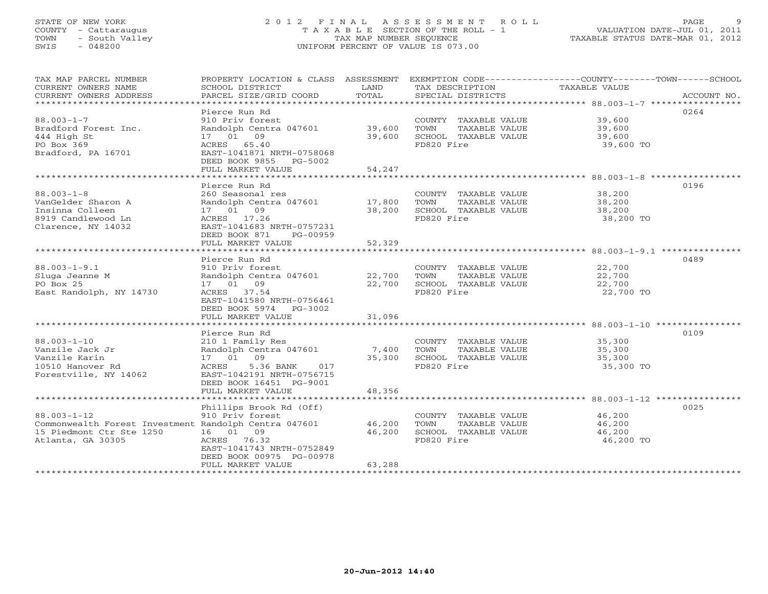# STATE OF NEW YORK 2 0 1 2 F I N A L A S S E S S M E N T R O L L PAGE 9 COUNTY - Cattaraugus T A X A B L E SECTION OF THE ROLL - 1 VALUATION DATE-JUL 01, 2011 TOWN - South Valley TAX MAP NUMBER SEQUENCE TAXABLE STATUS DATE-MAR 01, 2012 SWIS - 048200 UNIFORM PERCENT OF VALUE IS 073.00UNIFORM PERCENT OF VALUE IS 073.00

| TAX MAP PARCEL NUMBER<br>CURRENT OWNERS NAME<br>CURRENT OWNERS ADDRESS<br>***********************                           | PROPERTY LOCATION & CLASS ASSESSMENT<br>SCHOOL DISTRICT<br>PARCEL SIZE/GRID COORD                                                                                                          | LAND<br>TOTAL                              | TAX DESCRIPTION<br>SPECIAL DISTRICTS                                                | EXEMPTION CODE-----------------COUNTY-------TOWN------SCHOOL<br>TAXABLE VALUE<br>ACCOUNT NO.             |
|-----------------------------------------------------------------------------------------------------------------------------|--------------------------------------------------------------------------------------------------------------------------------------------------------------------------------------------|--------------------------------------------|-------------------------------------------------------------------------------------|----------------------------------------------------------------------------------------------------------|
| $88.003 - 1 - 7$<br>Bradford Forest Inc.<br>444 High St<br>PO Box 369<br>Bradford, PA 16701                                 | Pierce Run Rd<br>910 Priv forest<br>Randolph Centra 047601<br>17 01 09<br>ACRES 65.40<br>EAST-1041871 NRTH-0758068<br>DEED BOOK 9855 PG-5002<br>FULL MARKET VALUE                          | 39,600<br>39,600<br>54,247                 | COUNTY TAXABLE VALUE<br>TOWN<br>TAXABLE VALUE<br>SCHOOL TAXABLE VALUE<br>FD820 Fire | 0264<br>39,600<br>39,600<br>39,600<br>39,600 TO                                                          |
| $88.003 - 1 - 8$<br>VanGelder Sharon A<br>Insinna Colleen<br>8919 Candlewood Ln<br>Clarence, NY 14032                       | Pierce Run Rd<br>260 Seasonal res<br>Randolph Centra 047601<br>17 01 09<br>ACRES 17.26<br>EAST-1041683 NRTH-0757231<br>DEED BOOK 871<br>PG-00959<br>FULL MARKET VALUE                      | 17,800<br>38,200<br>52,329                 | COUNTY TAXABLE VALUE<br>TOWN<br>TAXABLE VALUE<br>SCHOOL TAXABLE VALUE<br>FD820 Fire | ************************************ 88.003-1-8 *****<br>0196<br>38,200<br>38,200<br>38,200<br>38,200 TO |
| $88.003 - 1 - 9.1$<br>Sluga Jeanne M<br>PO Box 25<br>East Randolph, NY 14730                                                | Pierce Run Rd<br>910 Priv forest<br>Randolph Centra 047601<br>17 01 09<br>ACRES 37.54<br>EAST-1041580 NRTH-0756461<br>DEED BOOK 5974 PG-3002<br>FULL MARKET VALUE<br>********************* | 22,700<br>22,700<br>31,096<br>************ | COUNTY TAXABLE VALUE<br>TOWN<br>TAXABLE VALUE<br>SCHOOL TAXABLE VALUE<br>FD820 Fire | 0489<br>22,700<br>22,700<br>22,700<br>22,700 TO                                                          |
| $88.003 - 1 - 10$<br>Vanzile Jack Jr<br>Vanzile Karin<br>10510 Hanover Rd<br>Forestville, NY 14062                          | Pierce Run Rd<br>210 1 Family Res<br>Randolph Centra 047601<br>17 01 09<br>ACRES<br>5.36 BANK<br>017<br>EAST-1042191 NRTH-0756715<br>DEED BOOK 16451 PG-9001<br>FULL MARKET VALUE          | 7,400<br>35,300<br>48,356                  | COUNTY TAXABLE VALUE<br>TOWN<br>TAXABLE VALUE<br>SCHOOL TAXABLE VALUE<br>FD820 Fire | 0109<br>35,300<br>35,300<br>35,300<br>35,300 TO                                                          |
| $88.003 - 1 - 12$<br>Commonwealth Forest Investment Randolph Centra 047601<br>15 Piedmont Ctr Ste 1250<br>Atlanta, GA 30305 | Phillips Brook Rd (Off)<br>910 Priv forest<br>16 01 09<br>ACRES<br>76.32<br>EAST-1041743 NRTH-0752849<br>DEED BOOK 00975 PG-00978<br>FULL MARKET VALUE                                     | 46,200<br>46,200<br>63,288                 | COUNTY TAXABLE VALUE<br>TOWN<br>TAXABLE VALUE<br>SCHOOL TAXABLE VALUE<br>FD820 Fire | 0025<br>46,200<br>46,200<br>46,200<br>46,200 TO                                                          |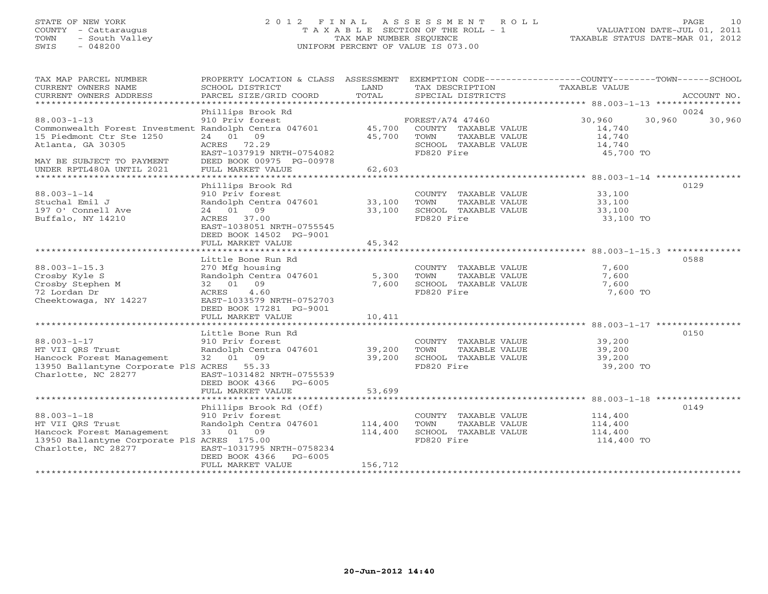# STATE OF NEW YORK 2 0 1 2 F I N A L A S S E S S M E N T R O L L PAGE 10 COUNTY - Cattaraugus T A X A B L E SECTION OF THE ROLL - 1 VALUATION DATE-JUL 01, 2011 TOWN - South Valley TAX MAP NUMBER SEQUENCE TAXABLE STATUS DATE-MAR 01, 2012 SWIS - 048200 UNIFORM PERCENT OF VALUE IS 073.00

| TAX MAP PARCEL NUMBER                                                   | PROPERTY LOCATION & CLASS ASSESSMENT EXEMPTION CODE----------------COUNTY-------TOWN------SCHOOL |                  |                                               |                      |                  |
|-------------------------------------------------------------------------|--------------------------------------------------------------------------------------------------|------------------|-----------------------------------------------|----------------------|------------------|
| CURRENT OWNERS NAME<br>CURRENT OWNERS ADDRESS                           | SCHOOL DISTRICT<br>PARCEL SIZE/GRID COORD                                                        | LAND<br>TOTAL    | TAX DESCRIPTION<br>SPECIAL DISTRICTS          | <b>TAXABLE VALUE</b> | ACCOUNT NO.      |
|                                                                         |                                                                                                  |                  |                                               |                      |                  |
| $88.003 - 1 - 13$                                                       | Phillips Brook Rd<br>910 Priv forest                                                             |                  |                                               | 30,960               | 0024             |
| Commonwealth Forest Investment Randolph Centra 047601                   |                                                                                                  | 45,700           | FOREST/A74 47460<br>COUNTY TAXABLE VALUE      | 14,740               | 30,960<br>30,960 |
| 15 Piedmont Ctr Ste 1250                                                | 24 01 09                                                                                         | 45,700           | TAXABLE VALUE<br>TOWN                         | 14,740               |                  |
| Atlanta, GA 30305                                                       | ACRES 72.29                                                                                      |                  | SCHOOL TAXABLE VALUE                          | 14,740               |                  |
|                                                                         | EAST-1037919 NRTH-0754082                                                                        |                  | FD820 Fire                                    | 45,700 TO            |                  |
| MAY BE SUBJECT TO PAYMENT                                               | DEED BOOK 00975 PG-00978                                                                         |                  |                                               |                      |                  |
| UNDER RPTL480A UNTIL 2021                                               | FULL MARKET VALUE                                                                                | 62,603           |                                               |                      |                  |
|                                                                         |                                                                                                  |                  |                                               |                      |                  |
|                                                                         | Phillips Brook Rd                                                                                |                  |                                               |                      | 0129             |
| $88.003 - 1 - 14$                                                       | 910 Priv forest                                                                                  |                  | COUNTY TAXABLE VALUE                          | 33,100               |                  |
| Stuchal Emil J                                                          | Randolph Centra 047601                                                                           | 33,100           | TOWN<br>TAXABLE VALUE                         | 33,100               |                  |
| 197 O' Connell Ave                                                      | 24 01 09                                                                                         | 33,100           | SCHOOL TAXABLE VALUE                          | 33,100               |                  |
| Buffalo, NY 14210                                                       | ACRES 37.00<br>EAST-1038051 NRTH-0755545                                                         |                  | FD820 Fire                                    | 33,100 TO            |                  |
|                                                                         | DEED BOOK 14502 PG-9001                                                                          |                  |                                               |                      |                  |
|                                                                         | FULL MARKET VALUE                                                                                | 45,342           |                                               |                      |                  |
|                                                                         | ******************************                                                                   | **************   |                                               |                      |                  |
|                                                                         | Little Bone Run Rd                                                                               |                  |                                               |                      | 0588             |
| $88.003 - 1 - 15.3$                                                     | 270 Mfg housing                                                                                  |                  | COUNTY TAXABLE VALUE                          | 7,600                |                  |
| Crosby Kyle S                                                           | Randolph Centra 047601                                                                           | 5,300            | TOWN<br>TAXABLE VALUE                         | 7,600                |                  |
| Crosby Stephen M                                                        | 32 01 09                                                                                         | 7,600            | SCHOOL TAXABLE VALUE                          | 7,600                |                  |
| 72 Lordan Dr                                                            | 4.60<br>ACRES                                                                                    |                  | FD820 Fire                                    | 7,600 TO             |                  |
| Cheektowaga, NY 14227                                                   | EAST-1033579 NRTH-0752703                                                                        |                  |                                               |                      |                  |
|                                                                         | DEED BOOK 17281 PG-9001                                                                          |                  |                                               |                      |                  |
|                                                                         | FULL MARKET VALUE                                                                                | 10,411           |                                               |                      |                  |
|                                                                         |                                                                                                  |                  |                                               |                      |                  |
|                                                                         | Little Bone Run Rd                                                                               |                  |                                               |                      | 0150             |
| $88.003 - 1 - 17$                                                       | 910 Priv forest                                                                                  |                  | COUNTY TAXABLE VALUE                          | 39,200               |                  |
| HT VII ORS Trust                                                        | Randolph Centra 047601<br>32 01 09                                                               | 39,200<br>39,200 | TOWN<br>TAXABLE VALUE<br>SCHOOL TAXABLE VALUE | 39,200<br>39,200     |                  |
| Hancock Forest Management<br>13950 Ballantyne Corporate PlS ACRES 55.33 |                                                                                                  |                  | FD820 Fire                                    | 39,200 TO            |                  |
| Charlotte, NC 28277                                                     | EAST-1031482 NRTH-0755539                                                                        |                  |                                               |                      |                  |
|                                                                         | DEED BOOK 4366 PG-6005                                                                           |                  |                                               |                      |                  |
|                                                                         | FULL MARKET VALUE                                                                                | 53,699           |                                               |                      |                  |
|                                                                         |                                                                                                  |                  |                                               |                      |                  |
|                                                                         | Phillips Brook Rd (Off)                                                                          |                  |                                               |                      | 0149             |
| $88.003 - 1 - 18$                                                       | 910 Priv forest                                                                                  |                  | COUNTY TAXABLE VALUE                          | 114,400              |                  |
| HT VII ORS Trust                                                        | Randolph Centra 047601                                                                           | 114,400          | TOWN<br>TAXABLE VALUE                         | 114,400              |                  |
| Hancock Forest Management                                               | 33 01 09                                                                                         | 114,400          | SCHOOL TAXABLE VALUE                          | 114,400              |                  |
| 13950 Ballantyne Corporate PlS ACRES 175.00                             |                                                                                                  |                  | FD820 Fire                                    | 114,400 TO           |                  |
| Charlotte, NC 28277                                                     | EAST-1031795 NRTH-0758234                                                                        |                  |                                               |                      |                  |
|                                                                         | DEED BOOK 4366<br>$PG-6005$                                                                      |                  |                                               |                      |                  |
|                                                                         | FULL MARKET VALUE                                                                                | 156,712          |                                               |                      |                  |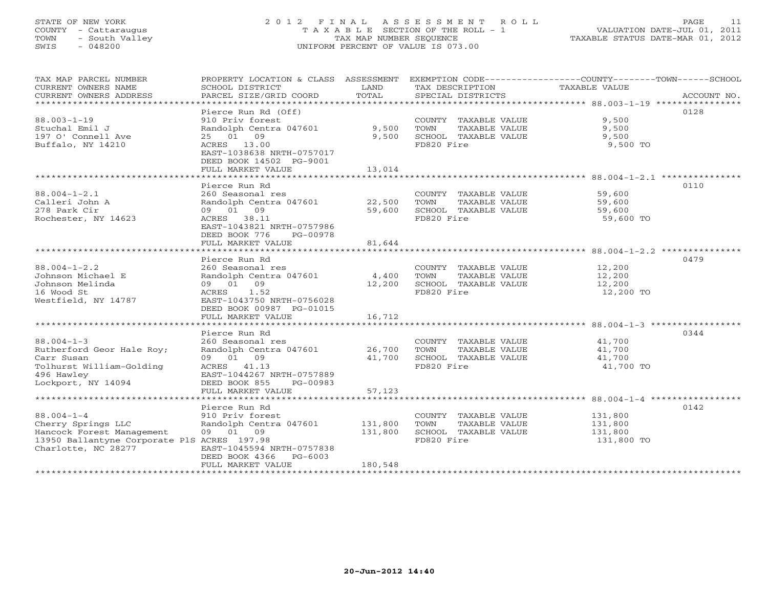# STATE OF NEW YORK 2 0 1 2 F I N A L A S S E S S M E N T R O L L PAGE 11 COUNTY - Cattaraugus T A X A B L E SECTION OF THE ROLL - 1 VALUATION DATE-JUL 01, 2011 TOWN - South Valley TAX MAP NUMBER SEQUENCE TAXABLE STATUS DATE-MAR 01, 2012 SWIS - 048200 UNIFORM PERCENT OF VALUE IS 073.00UNIFORM PERCENT OF VALUE IS 073.00

| TAX MAP PARCEL NUMBER                         | PROPERTY LOCATION & CLASS                              | ASSESSMENT    |                                      | EXEMPTION CODE-----------------COUNTY-------TOWN------SCHOOL |
|-----------------------------------------------|--------------------------------------------------------|---------------|--------------------------------------|--------------------------------------------------------------|
| CURRENT OWNERS NAME<br>CURRENT OWNERS ADDRESS | SCHOOL DISTRICT<br>PARCEL SIZE/GRID COORD              | LAND<br>TOTAL | TAX DESCRIPTION<br>SPECIAL DISTRICTS | TAXABLE VALUE<br>ACCOUNT NO.                                 |
| ************************                      |                                                        |               |                                      |                                                              |
|                                               | Pierce Run Rd (Off)                                    |               |                                      | 0128                                                         |
| $88.003 - 1 - 19$                             | 910 Priv forest                                        |               | COUNTY TAXABLE VALUE                 | 9,500                                                        |
| Stuchal Emil J                                | Randolph Centra 047601                                 | 9,500         | TOWN<br>TAXABLE VALUE                | 9.500                                                        |
| 197 O' Connell Ave                            | 25 01 09                                               | 9,500         | SCHOOL TAXABLE VALUE                 | 9,500                                                        |
| Buffalo, NY 14210                             | ACRES 13.00<br>EAST-1038638 NRTH-0757017               |               | FD820 Fire                           | 9,500 TO                                                     |
|                                               | DEED BOOK 14502 PG-9001                                |               |                                      |                                                              |
|                                               | FULL MARKET VALUE                                      | 13,014        |                                      |                                                              |
|                                               | ********************                                   | ************* |                                      | *****************************88.004-1-2.1 ****************   |
|                                               | Pierce Run Rd                                          |               |                                      | 0110                                                         |
| $88.004 - 1 - 2.1$                            | 260 Seasonal res                                       |               | COUNTY TAXABLE VALUE                 | 59,600                                                       |
| Calleri John A                                | Randolph Centra 047601                                 | 22,500        | TOWN<br>TAXABLE VALUE                | 59,600                                                       |
| 278 Park Cir                                  | 09 01 09                                               | 59,600        | SCHOOL TAXABLE VALUE                 | 59,600                                                       |
| Rochester, NY 14623                           | ACRES 38.11<br>EAST-1043821 NRTH-0757986               |               | FD820 Fire                           | 59,600 TO                                                    |
|                                               | DEED BOOK 776<br>PG-00978                              |               |                                      |                                                              |
|                                               | FULL MARKET VALUE                                      | 81,644        |                                      |                                                              |
|                                               |                                                        |               |                                      |                                                              |
|                                               | Pierce Run Rd                                          |               |                                      | 0479                                                         |
| $88.004 - 1 - 2.2$                            | 260 Seasonal res                                       |               | COUNTY TAXABLE VALUE                 | 12,200                                                       |
| Johnson Michael E                             | Randolph Centra 047601                                 | 4,400         | TOWN<br>TAXABLE VALUE                | 12,200                                                       |
| Johnson Melinda                               | 09 01 09                                               | 12,200        | SCHOOL TAXABLE VALUE                 | 12,200                                                       |
| 16 Wood St<br>Westfield, NY 14787             | 1.52<br>ACRES<br>EAST-1043750 NRTH-0756028             |               | FD820 Fire                           | 12,200 TO                                                    |
|                                               | DEED BOOK 00987 PG-01015                               |               |                                      |                                                              |
|                                               | FULL MARKET VALUE                                      | 16,712        |                                      |                                                              |
|                                               |                                                        |               |                                      |                                                              |
|                                               | Pierce Run Rd                                          |               |                                      | 0344                                                         |
| $88.004 - 1 - 3$                              | 260 Seasonal res                                       |               | COUNTY TAXABLE VALUE                 | 41,700                                                       |
| Rutherford Geor Hale Roy;                     | Randolph Centra 047601                                 | 26,700        | TOWN<br>TAXABLE VALUE                | 41,700                                                       |
| Carr Susan                                    | 09 01 09                                               | 41,700        | SCHOOL TAXABLE VALUE                 | 41,700                                                       |
| Tolhurst William-Golding                      | ACRES 41.13                                            |               | FD820 Fire                           | 41,700 TO                                                    |
| 496 Hawley<br>Lockport, NY 14094              | EAST-1044267 NRTH-0757889<br>DEED BOOK 855<br>PG-00983 |               |                                      |                                                              |
|                                               | FULL MARKET VALUE                                      | 57,123        |                                      |                                                              |
|                                               |                                                        |               |                                      |                                                              |
|                                               | Pierce Run Rd                                          |               |                                      | 0142                                                         |
| $88.004 - 1 - 4$                              | 910 Priv forest                                        |               | COUNTY TAXABLE VALUE                 | 131,800                                                      |
| Cherry Springs LLC                            | Randolph Centra 047601                                 | 131,800       | TOWN<br>TAXABLE VALUE                | 131,800                                                      |
| Hancock Forest Management                     | 09 01 09                                               | 131,800       | SCHOOL TAXABLE VALUE                 | 131,800                                                      |
| 13950 Ballantyne Corporate PlS ACRES 197.98   |                                                        |               | FD820 Fire                           | 131,800 TO                                                   |
| Charlotte, NC 28277                           | EAST-1045594 NRTH-0757838<br>DEED BOOK 4366<br>PG-6003 |               |                                      |                                                              |
|                                               | FULL MARKET VALUE                                      | 180,548       |                                      |                                                              |
|                                               |                                                        |               |                                      |                                                              |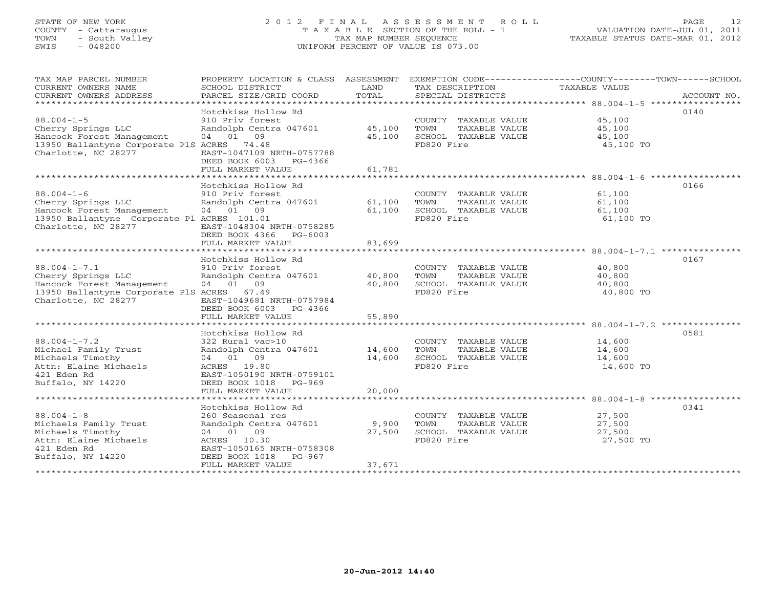# STATE OF NEW YORK 2 0 1 2 F I N A L A S S E S S M E N T R O L L PAGE 12COUNTY - Cattaraugus T A X A B L E SECTION OF THE ROLL - 1<br>
TOWN - South Valley TAX MAP NUMBER SEQUENCE<br>
SWIS - 048200 SWIS - 048200 UNIFORM PERCENT OF VALUE IS 073.00

| TAX MAP PARCEL NUMBER                                             |                                                  |        |                                               | PROPERTY LOCATION & CLASS ASSESSMENT EXEMPTION CODE----------------COUNTY-------TOWN------SCHOOL |
|-------------------------------------------------------------------|--------------------------------------------------|--------|-----------------------------------------------|--------------------------------------------------------------------------------------------------|
| CURRENT OWNERS NAME                                               | SCHOOL DISTRICT                                  | LAND   | TAX DESCRIPTION                               | TAXABLE VALUE                                                                                    |
| CURRENT OWNERS ADDRESS                                            |                                                  |        |                                               |                                                                                                  |
|                                                                   |                                                  |        |                                               |                                                                                                  |
|                                                                   | Hotchkiss Hollow Rd                              |        |                                               | 0140                                                                                             |
| $88.004 - 1 - 5$                                                  | 910 Priv forest                                  |        | COUNTY TAXABLE VALUE 45,100                   |                                                                                                  |
| Cherry Springs LLC<br>Hancock Forest Management                   | Randolph Centra 047601 45,100<br>04 01 09        | 45,100 | TOWN<br>TAXABLE VALUE<br>SCHOOL TAXABLE VALUE | 45,100<br>45,100                                                                                 |
| 13950 Ballantyne Corporate PlS ACRES 74.48                        |                                                  |        | FD820 Fire                                    | 45,100 TO                                                                                        |
| Charlotte, NC 28277                                               | EAST-1047109 NRTH-0757788                        |        |                                               |                                                                                                  |
|                                                                   | DEED BOOK 6003 PG-4366                           |        |                                               |                                                                                                  |
|                                                                   | FULL MARKET VALUE                                | 61,781 |                                               |                                                                                                  |
|                                                                   |                                                  |        |                                               |                                                                                                  |
|                                                                   | Hotchkiss Hollow Rd                              |        |                                               | 0166                                                                                             |
| $88.004 - 1 - 6$                                                  | 910 Priv forest                                  |        | COUNTY TAXABLE VALUE 61,100                   |                                                                                                  |
|                                                                   | Randolph Centra 047601 61,100 TOWN               |        | TAXABLE VALUE                                 | 61,100                                                                                           |
| Cherry Springs LLC<br>Hancock Forest Management                   | 04 01 09                                         |        | 61,100 SCHOOL TAXABLE VALUE 61,100            |                                                                                                  |
| 13950 Ballantyne Corporate Pl ACRES 101.01                        |                                                  |        | FD820 Fire                                    | 61,100 TO                                                                                        |
| Charlotte, NC 28277                                               | EAST-1048304 NRTH-0758285                        |        |                                               |                                                                                                  |
|                                                                   | DEED BOOK 4366 PG-6003                           |        |                                               |                                                                                                  |
|                                                                   | FULL MARKET VALUE                                | 83,699 |                                               |                                                                                                  |
|                                                                   |                                                  |        |                                               |                                                                                                  |
|                                                                   | Hotchkiss Hollow Rd                              |        |                                               | 0167                                                                                             |
| $88.004 - 1 - 7.1$                                                |                                                  |        | COUNTY TAXABLE VALUE 40,800                   |                                                                                                  |
| Cherry Springs LLC<br>Hancock Eisener                             |                                                  |        | TAXABLE VALUE                                 | 40,800                                                                                           |
| Hancock Forest Management                                         | 04 01 09                                         | 40,800 | SCHOOL TAXABLE VALUE 40,800<br>FD820 Fire     |                                                                                                  |
| 13950 Ballantyne Corporate PlS ACRES 67.49<br>Charlotte, NC 28277 | EAST-1049681 NRTH-0757984                        |        |                                               | 40,800 TO                                                                                        |
|                                                                   | DEED BOOK 6003 PG-4366                           |        |                                               |                                                                                                  |
|                                                                   | FULL MARKET VALUE                                | 55,890 |                                               |                                                                                                  |
|                                                                   |                                                  |        |                                               |                                                                                                  |
|                                                                   | Hotchkiss Hollow Rd                              |        |                                               | 0581                                                                                             |
| $88.004 - 1 - 7.2$                                                | 322 Rural vac>10                                 |        | COUNTY TAXABLE VALUE                          |                                                                                                  |
| Michael Family Trust                                              |                                                  |        | TAXABLE VALUE                                 | 14,600<br>14,600                                                                                 |
| Michaels Timothy                                                  | 04 01 09                                         | 14,600 | SCHOOL TAXABLE VALUE                          | 14,600                                                                                           |
| Michaels Timothy<br>Attn: Elaine Michaels<br>421 Eden Rd          | ACRES 19.80                                      |        | FD820 Fire                                    | 14,600 TO                                                                                        |
| 421 Eden Rd                                                       | EAST-1050190 NRTH-0759101                        |        |                                               |                                                                                                  |
| Buffalo, NY 14220                                                 | DEED BOOK 1018 PG-969                            |        |                                               |                                                                                                  |
|                                                                   | FULL MARKET VALUE                                | 20,000 |                                               |                                                                                                  |
|                                                                   |                                                  |        |                                               |                                                                                                  |
|                                                                   | Hotchkiss Hollow Rd                              |        |                                               | 0341                                                                                             |
| $88.004 - 1 - 8$<br>Michaels Family Trust                         | 260 Seasonal res<br>Randolph Centra 047601 9,900 |        | COUNTY TAXABLE VALUE<br>TOWN                  | 27,500<br>TAXABLE VALUE 27,500                                                                   |
| Michaels Timothy                                                  | 04 01 09                                         | 27,500 | SCHOOL TAXABLE VALUE                          | 27,500                                                                                           |
| Attn: Elaine Michaels                                             | ACRES 10.30                                      |        | FD820 Fire                                    | 27,500 TO                                                                                        |
| 421 Eden Rd                                                       | EAST-1050165 NRTH-0758308                        |        |                                               |                                                                                                  |
| Buffalo, NY 14220                                                 | DEED BOOK 1018 PG-967                            |        |                                               |                                                                                                  |
|                                                                   | FULL MARKET VALUE                                | 37,671 |                                               |                                                                                                  |
|                                                                   |                                                  |        |                                               |                                                                                                  |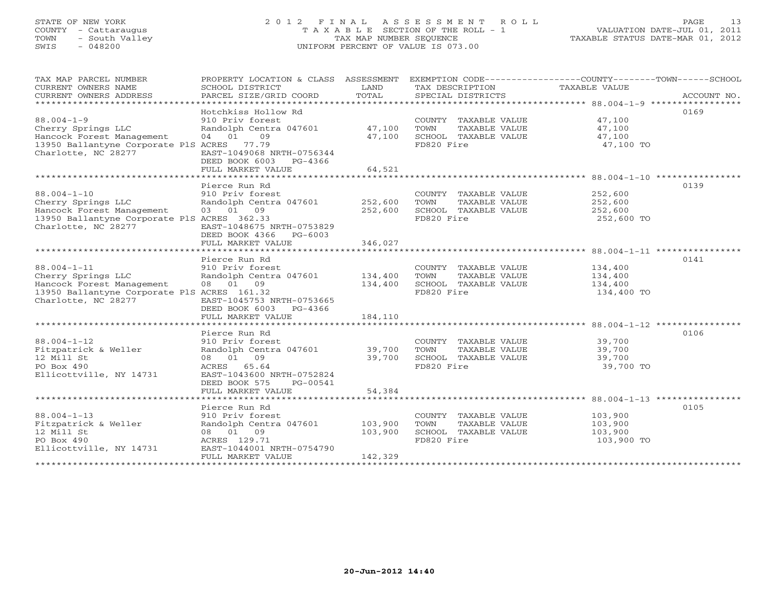# STATE OF NEW YORK 2 0 1 2 F I N A L A S S E S S M E N T R O L L PAGE 13 COUNTY - Cattaraugus T A X A B L E SECTION OF THE ROLL - 1 VALUATION DATE-JUL 01, 2011 TOWN - South Valley TAX MAP NUMBER SEQUENCE TAXABLE STATUS DATE-MAR 01, 2012 SWIS - 048200 UNIFORM PERCENT OF VALUE IS 073.00

| TAX MAP PARCEL NUMBER                       |                           |         |                       | PROPERTY LOCATION & CLASS ASSESSMENT EXEMPTION CODE----------------COUNTY-------TOWN------SCHOOL |
|---------------------------------------------|---------------------------|---------|-----------------------|--------------------------------------------------------------------------------------------------|
|                                             |                           | LAND    |                       |                                                                                                  |
| CURRENT OWNERS NAME                         | SCHOOL DISTRICT           |         | TAX DESCRIPTION       | TAXABLE VALUE                                                                                    |
| CURRENT OWNERS ADDRESS                      | PARCEL SIZE/GRID COORD    | TOTAL   | SPECIAL DISTRICTS     | ACCOUNT NO.                                                                                      |
|                                             |                           |         |                       |                                                                                                  |
|                                             | Hotchkiss Hollow Rd       |         |                       | 0169                                                                                             |
| $88.004 - 1 - 9$                            | 910 Priv forest           |         | COUNTY TAXABLE VALUE  | 47,100                                                                                           |
| Cherry Springs LLC                          | Randolph Centra 047601    | 47,100  | TOWN<br>TAXABLE VALUE | 47,100                                                                                           |
| Hancock Forest Management                   | 04 01<br>09               | 47,100  | SCHOOL TAXABLE VALUE  | 47,100                                                                                           |
| 13950 Ballantyne Corporate PlS ACRES 77.79  |                           |         | FD820 Fire            | 47,100 TO                                                                                        |
| Charlotte, NC 28277                         | EAST-1049068 NRTH-0756344 |         |                       |                                                                                                  |
|                                             | DEED BOOK 6003 PG-4366    |         |                       |                                                                                                  |
|                                             | FULL MARKET VALUE         | 64,521  |                       |                                                                                                  |
|                                             |                           |         |                       |                                                                                                  |
|                                             | Pierce Run Rd             |         |                       | 0139                                                                                             |
| $88.004 - 1 - 10$                           | 910 Priv forest           |         | COUNTY TAXABLE VALUE  | 252,600                                                                                          |
| Cherry Springs LLC                          | Randolph Centra 047601    | 252,600 | TAXABLE VALUE<br>TOWN | 252,600                                                                                          |
| Hancock Forest Management                   | 03 01 09                  | 252,600 | SCHOOL TAXABLE VALUE  | 252,600                                                                                          |
| 13950 Ballantyne Corporate PlS ACRES 362.33 |                           |         | FD820 Fire            | 252,600 TO                                                                                       |
| Charlotte, NC 28277                         | EAST-1048675 NRTH-0753829 |         |                       |                                                                                                  |
|                                             |                           |         |                       |                                                                                                  |
|                                             | DEED BOOK 4366 PG-6003    |         |                       |                                                                                                  |
|                                             | FULL MARKET VALUE         | 346,027 |                       |                                                                                                  |
|                                             |                           |         |                       |                                                                                                  |
|                                             | Pierce Run Rd             |         |                       | 0141                                                                                             |
| $88.004 - 1 - 11$                           | 910 Priv forest           |         | COUNTY TAXABLE VALUE  | 134,400                                                                                          |
| Cherry Springs LLC                          | Randolph Centra 047601    | 134,400 | TOWN<br>TAXABLE VALUE | 134,400                                                                                          |
| Hancock Forest Management                   | 08 01 09                  | 134,400 | SCHOOL TAXABLE VALUE  | 134,400                                                                                          |
| 13950 Ballantyne Corporate PlS ACRES 161.32 |                           |         | FD820 Fire            | 134,400 TO                                                                                       |
| Charlotte, NC 28277                         | EAST-1045753 NRTH-0753665 |         |                       |                                                                                                  |
|                                             | DEED BOOK 6003 PG-4366    |         |                       |                                                                                                  |
|                                             | FULL MARKET VALUE         | 184,110 |                       |                                                                                                  |
|                                             |                           |         |                       |                                                                                                  |
|                                             | Pierce Run Rd             |         |                       | 0106                                                                                             |
| $88.004 - 1 - 12$                           | 910 Priv forest           |         | COUNTY TAXABLE VALUE  | 39,700                                                                                           |
| Fitzpatrick & Weller                        | Randolph Centra 047601    | 39,700  | TOWN<br>TAXABLE VALUE | 39,700                                                                                           |
| 12 Mill St                                  | 08 01 09                  | 39,700  | SCHOOL TAXABLE VALUE  | 39,700                                                                                           |
| PO Box 490                                  | ACRES<br>65.64            |         | FD820 Fire            | 39,700 TO                                                                                        |
| Ellicottville, NY 14731                     | EAST-1043600 NRTH-0752824 |         |                       |                                                                                                  |
|                                             | DEED BOOK 575<br>PG-00541 |         |                       |                                                                                                  |
|                                             | FULL MARKET VALUE         | 54,384  |                       |                                                                                                  |
|                                             |                           |         |                       |                                                                                                  |
|                                             | Pierce Run Rd             |         |                       | 0105                                                                                             |
| $88.004 - 1 - 13$                           | 910 Priv forest           |         | COUNTY TAXABLE VALUE  | 103,900                                                                                          |
| Fitzpatrick & Weller                        | Randolph Centra 047601    | 103,900 | TOWN<br>TAXABLE VALUE | 103,900                                                                                          |
| 12 Mill St                                  | 08 01 09                  | 103,900 | SCHOOL TAXABLE VALUE  | 103,900                                                                                          |
| PO Box 490                                  | ACRES 129.71              |         | FD820 Fire            | 103,900 TO                                                                                       |
| Ellicottville, NY 14731                     | EAST-1044001 NRTH-0754790 |         |                       |                                                                                                  |
|                                             |                           |         |                       |                                                                                                  |
|                                             | FULL MARKET VALUE         | 142,329 |                       |                                                                                                  |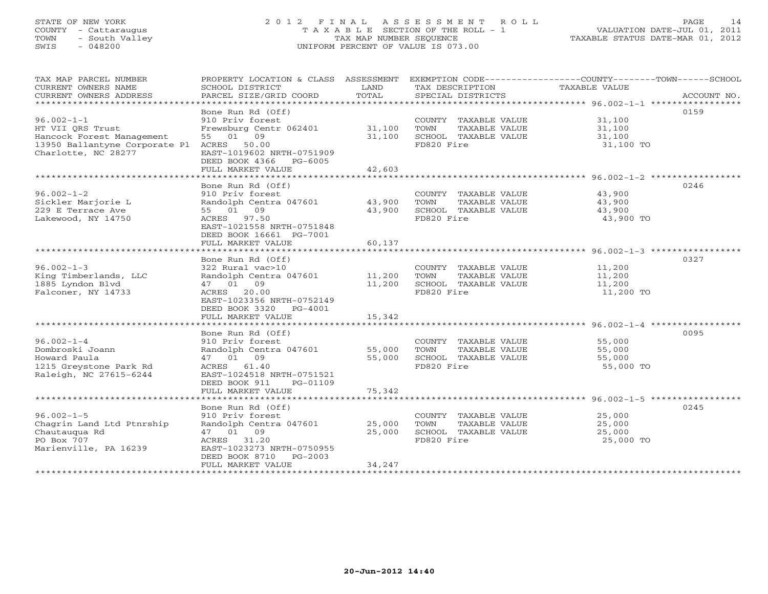# STATE OF NEW YORK 2 0 1 2 F I N A L A S S E S S M E N T R O L L PAGE 14 COUNTY - Cattaraugus T A X A B L E SECTION OF THE ROLL - 1 VALUATION DATE-JUL 01, 2011 TOWN - South Valley TAX MAP NUMBER SEQUENCE TAXABLE STATUS DATE-MAR 01, 2012 SWIS - 048200 UNIFORM PERCENT OF VALUE IS 073.00

| TAX MAP PARCEL NUMBER<br>CURRENT OWNERS NAME<br>CURRENT OWNERS ADDRESS                                                                | SCHOOL DISTRICT<br>PARCEL SIZE/GRID COORD                                                                                                                                                              | LAND<br>TOTAL                               | TAX DESCRIPTION<br>SPECIAL DISTRICTS                                                | PROPERTY LOCATION & CLASS ASSESSMENT EXEMPTION CODE---------------COUNTY-------TOWN------SCHOOL<br>TAXABLE VALUE<br>ACCOUNT NO. |
|---------------------------------------------------------------------------------------------------------------------------------------|--------------------------------------------------------------------------------------------------------------------------------------------------------------------------------------------------------|---------------------------------------------|-------------------------------------------------------------------------------------|---------------------------------------------------------------------------------------------------------------------------------|
| $96.002 - 1 - 1$<br>HT VII ORS Trust<br>Hancock Forest Management<br>13950 Ballantyne Corporate Pl ACRES 50.00<br>Charlotte, NC 28277 | Bone Run Rd (Off)<br>910 Priv forest<br>Frewsburg Centr 062401<br>55 01 09<br>EAST-1019602 NRTH-0751909<br>DEED BOOK 4366 PG-6005<br>FULL MARKET VALUE                                                 | 31,100<br>31,100<br>42,603                  | COUNTY TAXABLE VALUE<br>TAXABLE VALUE<br>TOWN<br>SCHOOL TAXABLE VALUE<br>FD820 Fire | 0159<br>31,100<br>31,100<br>31,100<br>31,100 TO                                                                                 |
| $96.002 - 1 - 2$<br>Sickler Marjorie L<br>229 E Terrace Ave<br>Lakewood, NY 14750<br>******************************                   | Bone Run Rd (Off)<br>910 Priv forest<br>Randolph Centra 047601<br>55 01 09<br>ACRES 97.50<br>EAST-1021558 NRTH-0751848<br>DEED BOOK 16661 PG-7001<br>FULL MARKET VALUE                                 | 43,900<br>43,900<br>60,137                  | COUNTY TAXABLE VALUE<br>TAXABLE VALUE<br>TOWN<br>SCHOOL TAXABLE VALUE<br>FD820 Fire | 0246<br>43,900<br>43,900<br>43,900<br>43,900 TO                                                                                 |
| $96.002 - 1 - 3$<br>King Timberlands, LLC<br>1885 Lyndon Blvd<br>Falconer, NY 14733                                                   | Bone Run Rd (Off)<br>322 Rural vac>10<br>Randolph Centra 047601<br>47 01 09<br>20.00<br>ACRES<br>EAST-1023356 NRTH-0752149<br>DEED BOOK 3320 PG-4001<br>FULL MARKET VALUE                              | 11,200<br>11,200<br>15,342                  | COUNTY TAXABLE VALUE<br>TOWN<br>TAXABLE VALUE<br>SCHOOL TAXABLE VALUE<br>FD820 Fire | 0327<br>11,200<br>11,200<br>11,200<br>11,200 TO                                                                                 |
| $96.002 - 1 - 4$<br>Dombroski Joann<br>Howard Paula<br>1215 Greystone Park Rd<br>Raleigh, NC 27615-6244                               | **************************<br>Bone Run Rd (Off)<br>910 Priv forest<br>Randolph Centra 047601<br>47 01 09<br>ACRES 61.40<br>EAST-1024518 NRTH-0751521<br>DEED BOOK 911<br>PG-01109<br>FULL MARKET VALUE | *************<br>55,000<br>55,000<br>75,342 | COUNTY TAXABLE VALUE<br>TAXABLE VALUE<br>TOWN<br>SCHOOL TAXABLE VALUE<br>FD820 Fire | 0095<br>55,000<br>55,000<br>55,000<br>55,000 TO                                                                                 |
| $96.002 - 1 - 5$<br>Chagrin Land Ltd Ptnrship<br>Chautauqua Rd<br>PO Box 707<br>Marienville, PA 16239                                 | Bone Run Rd (Off)<br>910 Priv forest<br>Randolph Centra 047601<br>47 01 09<br>ACRES 31.20<br>EAST-1023273 NRTH-0750955<br>DEED BOOK 8710 PG-2003<br>FULL MARKET VALUE                                  | 25,000<br>25,000<br>34,247                  | COUNTY TAXABLE VALUE<br>TOWN<br>TAXABLE VALUE<br>SCHOOL TAXABLE VALUE<br>FD820 Fire | 0245<br>25,000<br>25,000<br>25,000<br>25,000 TO                                                                                 |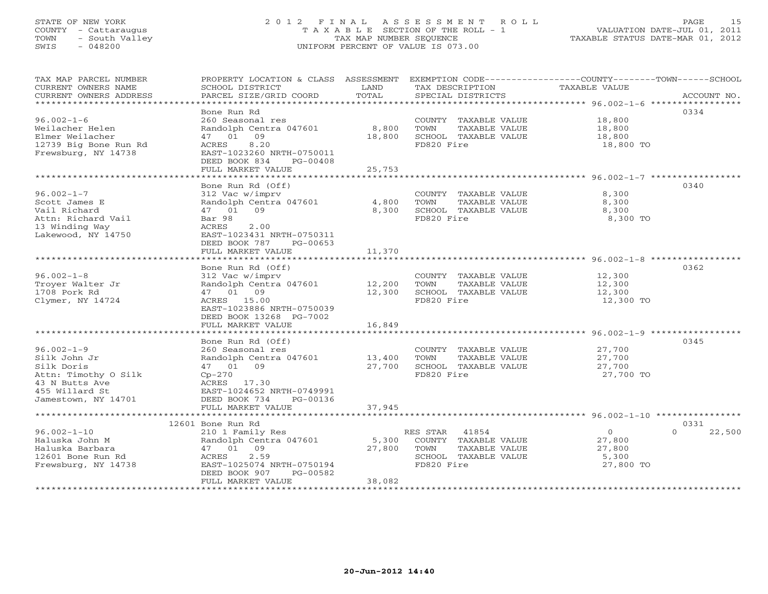# STATE OF NEW YORK 2 0 1 2 F I N A L A S S E S S M E N T R O L L PAGE 15 COUNTY - Cattaraugus T A X A B L E SECTION OF THE ROLL - 1 VALUATION DATE-JUL 01, 2011 TOWN - South Valley TAX MAP NUMBER SEQUENCE TAXABLE STATUS DATE-MAR 01, 2012 SWIS - 048200 UNIFORM PERCENT OF VALUE IS 073.00UNIFORM PERCENT OF VALUE IS 073.00

| TAX MAP PARCEL NUMBER<br>CURRENT OWNERS NAME<br>CURRENT OWNERS ADDRESS | PROPERTY LOCATION & CLASS ASSESSMENT<br>SCHOOL DISTRICT<br>PARCEL SIZE/GRID COORD | LAND<br>TOTAL       | TAX DESCRIPTION<br>SPECIAL DISTRICTS      | EXEMPTION CODE-----------------COUNTY-------TOWN------SCHOOL<br>TAXABLE VALUE<br>ACCOUNT NO. |  |
|------------------------------------------------------------------------|-----------------------------------------------------------------------------------|---------------------|-------------------------------------------|----------------------------------------------------------------------------------------------|--|
| *************************                                              |                                                                                   |                     |                                           |                                                                                              |  |
|                                                                        | Bone Run Rd                                                                       |                     |                                           | 0334                                                                                         |  |
| $96.002 - 1 - 6$                                                       | 260 Seasonal res                                                                  |                     | COUNTY TAXABLE VALUE                      | 18,800                                                                                       |  |
| Weilacher Helen                                                        | Randolph Centra 047601                                                            | 8,800               | TOWN<br>TAXABLE VALUE                     | 18,800                                                                                       |  |
| Elmer Weilacher                                                        | 47 01 09                                                                          | 18,800              | SCHOOL TAXABLE VALUE                      | 18,800                                                                                       |  |
| 12739 Big Bone Run Rd                                                  | 8.20<br>ACRES                                                                     |                     | FD820 Fire                                | 18,800 TO                                                                                    |  |
| Frewsburg, NY 14738                                                    | EAST-1023260 NRTH-0750011                                                         |                     |                                           |                                                                                              |  |
|                                                                        | DEED BOOK 834<br>PG-00408                                                         |                     |                                           |                                                                                              |  |
|                                                                        | FULL MARKET VALUE                                                                 | 25,753              |                                           |                                                                                              |  |
|                                                                        |                                                                                   |                     |                                           |                                                                                              |  |
|                                                                        | Bone Run Rd (Off)                                                                 |                     |                                           | 0340                                                                                         |  |
| $96.002 - 1 - 7$                                                       | 312 Vac w/imprv                                                                   |                     | COUNTY TAXABLE VALUE                      | 8,300                                                                                        |  |
| Scott James E                                                          | Randolph Centra 047601                                                            | 4,800               | TOWN<br>TAXABLE VALUE                     | 8,300                                                                                        |  |
| Vail Richard                                                           | 47 01 09                                                                          | 8,300               | SCHOOL TAXABLE VALUE                      | 8,300                                                                                        |  |
| Attn: Richard Vail                                                     | Bar 98                                                                            |                     | FD820 Fire                                | 8,300 TO                                                                                     |  |
| 13 Winding Way                                                         | ACRES<br>2.00                                                                     |                     |                                           |                                                                                              |  |
| Lakewood, NY 14750                                                     | EAST-1023431 NRTH-0750311                                                         |                     |                                           |                                                                                              |  |
|                                                                        | DEED BOOK 787<br>PG-00653                                                         |                     |                                           |                                                                                              |  |
|                                                                        | FULL MARKET VALUE                                                                 | 11,370              |                                           |                                                                                              |  |
|                                                                        | ***************************                                                       | **************      |                                           |                                                                                              |  |
|                                                                        | Bone Run Rd (Off)                                                                 |                     |                                           | 0362                                                                                         |  |
| $96.002 - 1 - 8$                                                       | 312 Vac w/imprv                                                                   |                     | COUNTY TAXABLE VALUE                      | 12,300                                                                                       |  |
| Troyer Walter Jr                                                       | Randolph Centra 047601                                                            | 12,200              | TOWN<br>TAXABLE VALUE                     | 12,300                                                                                       |  |
| 1708 Pork Rd                                                           | 47 01 09                                                                          | 12,300              | SCHOOL TAXABLE VALUE                      | 12,300                                                                                       |  |
| Clymer, NY 14724                                                       | ACRES 15.00                                                                       |                     | FD820 Fire                                | 12,300 TO                                                                                    |  |
|                                                                        | EAST-1023886 NRTH-0750039                                                         |                     |                                           |                                                                                              |  |
|                                                                        | DEED BOOK 13268 PG-7002                                                           |                     |                                           |                                                                                              |  |
|                                                                        | FULL MARKET VALUE                                                                 | 16,849              |                                           |                                                                                              |  |
|                                                                        |                                                                                   |                     |                                           |                                                                                              |  |
|                                                                        | Bone Run Rd (Off)                                                                 |                     |                                           | 0345                                                                                         |  |
| $96.002 - 1 - 9$                                                       | 260 Seasonal res                                                                  |                     | COUNTY TAXABLE VALUE                      | 27,700                                                                                       |  |
| Silk John Jr                                                           | Randolph Centra 047601                                                            | 13,400              | TOWN<br>TAXABLE VALUE                     | 27,700                                                                                       |  |
| Silk Doris                                                             | 47 01 09                                                                          | 27,700              | SCHOOL TAXABLE VALUE                      | 27,700                                                                                       |  |
| Attn: Timothy O Silk                                                   | $Cp-270$                                                                          |                     | FD820 Fire                                | 27,700 TO                                                                                    |  |
| 43 N Butts Ave                                                         | ACRES 17.30                                                                       |                     |                                           |                                                                                              |  |
| 455 Willard St                                                         | EAST-1024652 NRTH-0749991                                                         |                     |                                           |                                                                                              |  |
| Jamestown, NY 14701                                                    | DEED BOOK 734<br>PG-00136                                                         |                     |                                           |                                                                                              |  |
|                                                                        | FULL MARKET VALUE<br>***********************                                      | 37,945<br>********* |                                           | ****************************** 96.002-1-10 ************                                      |  |
|                                                                        | 12601 Bone Run Rd                                                                 |                     |                                           | 0331                                                                                         |  |
| $96.002 - 1 - 10$                                                      | 210 1 Family Res                                                                  |                     |                                           | $\overline{0}$<br>$\Omega$                                                                   |  |
| Haluska John M                                                         | Randolph Centra 047601                                                            | 5,300               | RES STAR<br>41854<br>COUNTY TAXABLE VALUE | 22,500<br>27,800                                                                             |  |
| Haluska Barbara                                                        | 47 01 09                                                                          | 27,800              | TOWN<br>TAXABLE VALUE                     | 27,800                                                                                       |  |
| 12601 Bone Run Rd                                                      | 2.59<br>ACRES                                                                     |                     | SCHOOL TAXABLE VALUE                      | 5,300                                                                                        |  |
| Frewsburg, NY 14738                                                    | EAST-1025074 NRTH-0750194                                                         |                     | FD820 Fire                                | 27,800 TO                                                                                    |  |
|                                                                        | DEED BOOK 907<br>PG-00582                                                         |                     |                                           |                                                                                              |  |
|                                                                        | FULL MARKET VALUE                                                                 | 38,082              |                                           |                                                                                              |  |
|                                                                        |                                                                                   |                     |                                           |                                                                                              |  |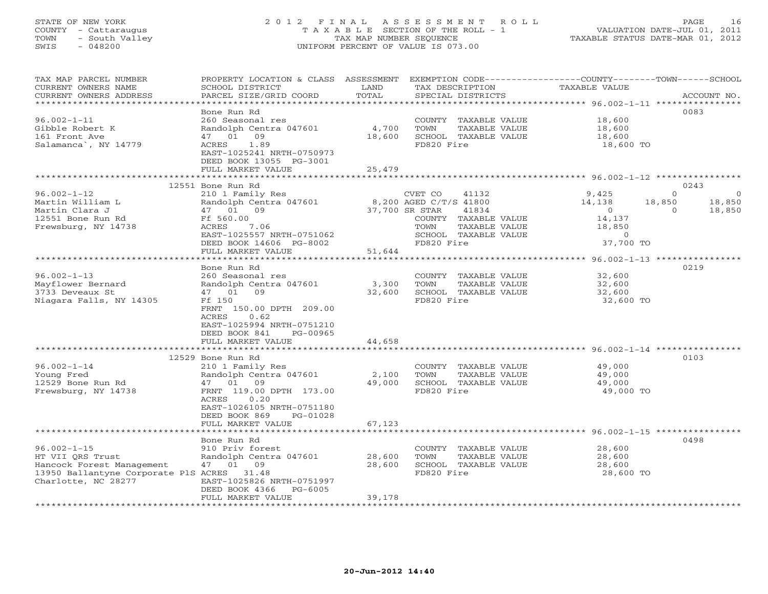#### STATE OF NEW YORK 2 0 1 2 F I N A L A S S E S S M E N T R O L L PAGE 16 COUNTY - Cattaraugus T A X A B L E SECTION OF THE ROLL - 1 VALUATION DATE-JUL 01, 2011 TOWN - South Valley TAX MAP NUMBER SEQUENCE TAXABLE STATUS DATE-MAR 01, 2012 SWIS - 048200 UNIFORM PERCENT OF VALUE IS 073.00UNIFORM PERCENT OF VALUE IS 073.00

| TAX MAP PARCEL NUMBER<br>CURRENT OWNERS NAME<br>CURRENT OWNERS ADDRESS                                                                  | PROPERTY LOCATION & CLASS ASSESSMENT<br>SCHOOL DISTRICT<br>PARCEL SIZE/GRID COORD                                                                                                                          | LAND<br>TOTAL              | TAX DESCRIPTION<br>SPECIAL DISTRICTS                                                                                                                         | EXEMPTION CODE-----------------COUNTY-------TOWN------SCHOOL<br>TAXABLE VALUE                  | ACCOUNT NO.                                                  |
|-----------------------------------------------------------------------------------------------------------------------------------------|------------------------------------------------------------------------------------------------------------------------------------------------------------------------------------------------------------|----------------------------|--------------------------------------------------------------------------------------------------------------------------------------------------------------|------------------------------------------------------------------------------------------------|--------------------------------------------------------------|
| ********************<br>$96.002 - 1 - 11$<br>Gibble Robert K<br>161 Front Ave<br>Salamanca , NY 14779                                   | Bone Run Rd<br>260 Seasonal res<br>Randolph Centra 047601<br>47 01 09<br>1.89<br>ACRES<br>EAST-1025241 NRTH-0750973<br>DEED BOOK 13055 PG-3001<br>FULL MARKET VALUE                                        | 4,700<br>18,600<br>25,479  | COUNTY TAXABLE VALUE<br>TOWN<br>TAXABLE VALUE<br>SCHOOL TAXABLE VALUE<br>FD820 Fire                                                                          | 18,600<br>18,600<br>18,600<br>18,600 TO                                                        | 0083                                                         |
|                                                                                                                                         |                                                                                                                                                                                                            |                            |                                                                                                                                                              |                                                                                                |                                                              |
| $96.002 - 1 - 12$<br>Martin William L<br>Martin Clara J<br>12551 Bone Run Rd<br>Frewsburg, NY 14738                                     | 12551 Bone Run Rd<br>210 1 Family Res<br>Randolph Centra 047601<br>47 01 09<br>Ff 560.00<br>7.06<br>ACRES<br>EAST-1025557 NRTH-0751062<br>DEED BOOK 14606 PG-8002<br>FULL MARKET VALUE                     | 51,644                     | CVET CO<br>41132<br>8,200 AGED C/T/S 41800<br>37,700 SR STAR<br>41834<br>COUNTY TAXABLE VALUE<br>TOWN<br>TAXABLE VALUE<br>SCHOOL TAXABLE VALUE<br>FD820 Fire | 9,425<br>14,138<br>18,850<br>$\overline{0}$<br>14,137<br>18,850<br>$\overline{0}$<br>37,700 TO | 0243<br>$\Omega$<br>$\Omega$<br>18,850<br>$\Omega$<br>18,850 |
|                                                                                                                                         | *******************                                                                                                                                                                                        | ********************       |                                                                                                                                                              | *********************************** 96.002-1-13 *****************                              |                                                              |
| $96.002 - 1 - 13$<br>Mayflower Bernard<br>3733 Deveaux St<br>Niagara Falls, NY 14305                                                    | Bone Run Rd<br>260 Seasonal res<br>Randolph Centra 047601<br>47 01 09<br>Ff 150<br>FRNT 150.00 DPTH 209.00<br>ACRES<br>0.62<br>EAST-1025994 NRTH-0751210<br>DEED BOOK 841<br>PG-00965<br>FULL MARKET VALUE | 3,300<br>32,600<br>44,658  | COUNTY TAXABLE VALUE<br>TAXABLE VALUE<br>TOWN<br>SCHOOL TAXABLE VALUE<br>FD820 Fire                                                                          | 32,600<br>32,600<br>32,600<br>32,600 TO                                                        | 0219                                                         |
|                                                                                                                                         |                                                                                                                                                                                                            |                            |                                                                                                                                                              | ******************************* 96.002-1-14 **********                                         |                                                              |
| $96.002 - 1 - 14$<br>Young Fred<br>12529 Bone Run Rd<br>Frewsburg, NY 14738                                                             | 12529 Bone Run Rd<br>210 1 Family Res<br>Randolph Centra 047601<br>47 01 09<br>FRNT 119.00 DPTH 173.00<br>ACRES<br>0.20<br>EAST-1026105 NRTH-0751180<br>DEED BOOK 869<br>PG-01028                          | 2,100<br>49,000            | COUNTY TAXABLE VALUE<br>TOWN<br>TAXABLE VALUE<br>SCHOOL TAXABLE VALUE<br>FD820 Fire                                                                          | 49,000<br>49,000<br>49,000<br>49,000 TO                                                        | 0103                                                         |
|                                                                                                                                         | FULL MARKET VALUE                                                                                                                                                                                          | 67,123                     |                                                                                                                                                              | *********************** 96.002-1-15 ************                                               |                                                              |
| $96.002 - 1 - 15$<br>HT VII ORS Trust<br>Hancock Forest Management<br>13950 Ballantyne Corporate PlS ACRES 31.48<br>Charlotte, NC 28277 | Bone Run Rd<br>910 Priv forest<br>Randolph Centra 047601<br>47 01 09<br>EAST-1025826 NRTH-0751997<br>DEED BOOK 4366<br>PG-6005<br>FULL MARKET VALUE                                                        | 28,600<br>28,600<br>39,178 | COUNTY TAXABLE VALUE<br>TOWN<br>TAXABLE VALUE<br>SCHOOL TAXABLE VALUE<br>FD820 Fire                                                                          | 28,600<br>28,600<br>28,600<br>28,600 TO                                                        | 0498                                                         |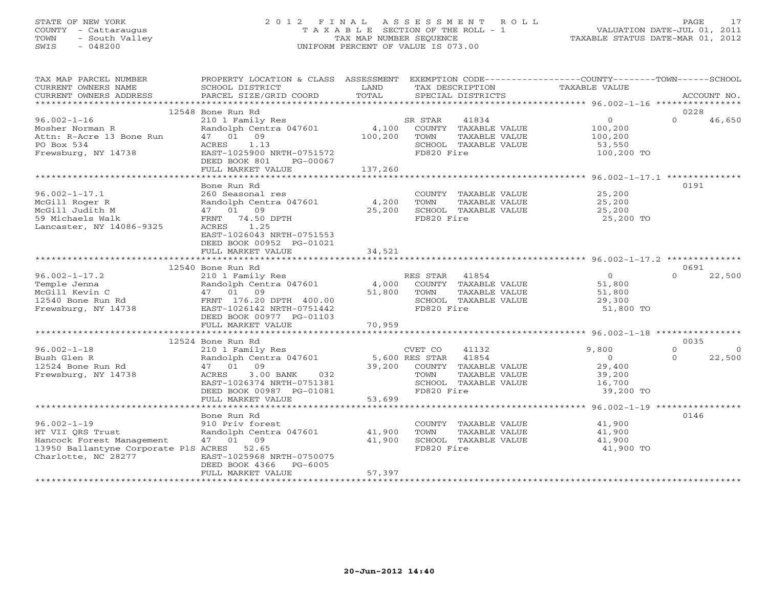# STATE OF NEW YORK 2 0 1 2 F I N A L A S S E S S M E N T R O L L PAGE 17 COUNTY - Cattaraugus T A X A B L E SECTION OF THE ROLL - 1 VALUATION DATE-JUL 01, 2011 TOWN - South Valley TAX MAP NUMBER SEQUENCE TAXABLE STATUS DATE-MAR 01, 2012 SWIS - 048200 UNIFORM PERCENT OF VALUE IS 073.00UNIFORM PERCENT OF VALUE IS 073.00

| TAX MAP PARCEL NUMBER                       | PROPERTY LOCATION & CLASS ASSESSMENT EXEMPTION CODE---------------COUNTY-------TOWN------SCHOOL |                                                        |                 |                                                |                            |          |                    |
|---------------------------------------------|-------------------------------------------------------------------------------------------------|--------------------------------------------------------|-----------------|------------------------------------------------|----------------------------|----------|--------------------|
| CURRENT OWNERS NAME                         | SCHOOL DISTRICT                                                                                 | LAND                                                   | TAX DESCRIPTION |                                                | TAXABLE VALUE              |          |                    |
| CURRENT OWNERS ADDRESS                      | PARCEL SIZE/GRID COORD                                                                          | TOTAL                                                  |                 | SPECIAL DISTRICTS                              |                            |          | ACCOUNT NO.        |
|                                             | 12548 Bone Run Rd                                                                               |                                                        |                 |                                                |                            | 0228     |                    |
| $96.002 - 1 - 16$                           | 210 1 Family Res                                                                                |                                                        |                 | 41834                                          | $\overline{0}$             | $\Omega$ | 46,650             |
|                                             |                                                                                                 |                                                        | SR STAR         |                                                |                            |          |                    |
| Mosher Norman R<br>Attn: R-Acre 13 Bone Run | Randolph Centra 047601<br>47 01 09                                                              |                                                        |                 | 4,100 COUNTY TAXABLE VALUE                     | 100,200<br>100,200         |          |                    |
|                                             |                                                                                                 | 100,200 TOWN                                           |                 | TAXABLE VALUE                                  |                            |          |                    |
| PO Box 534                                  | 1.13<br>ACRES                                                                                   |                                                        | FD820 Fire      | SCHOOL TAXABLE VALUE                           | 53,550<br>100,200 TO       |          |                    |
| Frewsburg, NY 14738                         | EAST-1025900 NRTH-0751572                                                                       |                                                        |                 |                                                |                            |          |                    |
|                                             | DEED BOOK 801<br>PG-00067<br>FULL MARKET VALUE                                                  | 137,260                                                |                 |                                                |                            |          |                    |
|                                             |                                                                                                 |                                                        |                 |                                                |                            |          |                    |
|                                             | Bone Run Rd                                                                                     |                                                        |                 |                                                |                            | 0191     |                    |
| $96.002 - 1 - 17.1$                         | 260 Seasonal res                                                                                |                                                        |                 |                                                | 25,200                     |          |                    |
|                                             | Randolph Centra 047601                                                                          |                                                        |                 | COUNTY TAXABLE VALUE<br>TOWN     TAXABLE VALUE | 25, 200                    |          |                    |
| McGill Roger R                              |                                                                                                 | 4,200                                                  |                 |                                                |                            |          |                    |
| McGill Judith M                             | 47 01 09                                                                                        | 25,200                                                 |                 | SCHOOL TAXABLE VALUE                           | 25,200                     |          |                    |
| 59 Michaels Walk                            | FRNT 74.50 DPTH                                                                                 |                                                        | FD820 Fire      |                                                | 25,200 TO                  |          |                    |
| Lancaster, NY 14086-9325                    | ACRES 1.25                                                                                      |                                                        |                 |                                                |                            |          |                    |
|                                             | EAST-1026043 NRTH-0751553                                                                       |                                                        |                 |                                                |                            |          |                    |
|                                             | DEED BOOK 00952 PG-01021                                                                        |                                                        |                 |                                                |                            |          |                    |
|                                             | FULL MARKET VALUE                                                                               | 34,521                                                 |                 |                                                |                            |          |                    |
|                                             |                                                                                                 |                                                        |                 |                                                |                            | 0691     |                    |
| $96.002 - 1 - 17.2$                         | 12540 Bone Run Rd                                                                               |                                                        | RES STAR 41854  |                                                | $\overline{0}$             | $\Omega$ |                    |
|                                             | 210 1 Family Res<br>Randolph Centra 047601                                                      |                                                        |                 |                                                | 51,800                     |          | 22,500             |
|                                             |                                                                                                 |                                                        | 51,800 TOWN     | 4,000 COUNTY TAXABLE VALUE                     |                            |          |                    |
|                                             |                                                                                                 |                                                        |                 | TAXABLE VALUE<br>SCHOOL TAXABLE VALUE          | 51,800                     |          |                    |
| Frewsburg, NY 14738                         | EAST-1026142 NRTH-0751442                                                                       |                                                        | FD820 Fire      |                                                | 29,300                     |          |                    |
|                                             | DEED BOOK 00977 PG-01103                                                                        |                                                        |                 |                                                | 51,800 TO                  |          |                    |
|                                             | FULL MARKET VALUE                                                                               | 70,959                                                 |                 |                                                |                            |          |                    |
|                                             |                                                                                                 |                                                        |                 |                                                |                            |          |                    |
|                                             | 12524 Bone Run Rd                                                                               |                                                        |                 |                                                |                            | 0035     |                    |
|                                             | 210 1 Family Res                                                                                |                                                        |                 |                                                |                            | $\Omega$ |                    |
| $96.002 - 1 - 18$<br>Bush Glen R            |                                                                                                 |                                                        |                 |                                                | 9,800<br>$\overline{0}$    | $\Omega$ | $\Omega$<br>22,500 |
| 12524 Bone Run Rd                           | Randolph Centra 047601                                                                          | UVET CO 41132<br>5,600 RES STAR 41854<br>39,200 COUNTY |                 | 39,200 COUNTY TAXABLE VALUE                    | 29,400                     |          |                    |
| Frewsburg, NY 14738                         | 47 01 09<br>3.00 BANK<br>032<br>ACRES                                                           |                                                        | TOWN            | TAXABLE VALUE                                  | 39,200                     |          |                    |
|                                             | EAST-1026374 NRTH-0751381                                                                       |                                                        |                 | SCHOOL TAXABLE VALUE                           | 16,700                     |          |                    |
|                                             | DEED BOOK 00987 PG-01081                                                                        |                                                        | FD820 Fire      |                                                | 39,200 TO                  |          |                    |
|                                             | FULL MARKET VALUE                                                                               | 53,699                                                 |                 |                                                |                            |          |                    |
|                                             |                                                                                                 |                                                        |                 |                                                |                            |          |                    |
|                                             | Bone Run Rd                                                                                     |                                                        |                 |                                                |                            | 0146     |                    |
|                                             |                                                                                                 |                                                        |                 |                                                |                            |          |                    |
| $96.002 - 1 - 19$<br>HT VII ORS Trust       | 910 Priv forest<br>Randolph Centra 047601 41,900                                                |                                                        | TOWN            | COUNTY TAXABLE VALUE<br>TAXABLE VALUE          | 41,900<br>41 900<br>41,900 |          |                    |
| Hancock Forest Management                   | 47 01 09                                                                                        | 41,900                                                 |                 |                                                | 41,900                     |          |                    |
| 13950 Ballantyne Corporate PlS ACRES 52.65  |                                                                                                 |                                                        | FD820 Fire      | SCHOOL TAXABLE VALUE                           | 41,900 TO                  |          |                    |
| Charlotte, NC 28277                         | EAST-1025968 NRTH-0750075                                                                       |                                                        |                 |                                                |                            |          |                    |
|                                             | DEED BOOK 4366 PG-6005                                                                          |                                                        |                 |                                                |                            |          |                    |
|                                             | FULL MARKET VALUE                                                                               | 57,397                                                 |                 |                                                |                            |          |                    |
|                                             |                                                                                                 |                                                        |                 |                                                |                            |          |                    |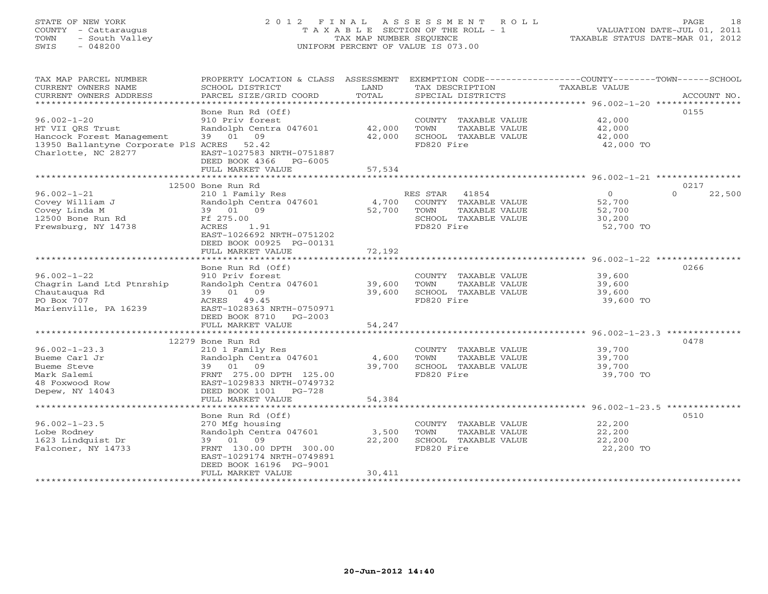# STATE OF NEW YORK 2 0 1 2 F I N A L A S S E S S M E N T R O L L PAGE 18 COUNTY - Cattaraugus T A X A B L E SECTION OF THE ROLL - 1 VALUATION DATE-JUL 01, 2011 TOWN - South Valley TAX MAP NUMBER SEQUENCE TAXABLE STATUS DATE-MAR 01, 2012 SWIS - 048200 UNIFORM PERCENT OF VALUE IS 073.00UNIFORM PERCENT OF VALUE IS 073.00

| TAX MAP PARCEL NUMBER                                             | PROPERTY LOCATION & CLASS ASSESSMENT EXEMPTION CODE---------------COUNTY-------TOWN------SCHOOL |        |                |                      |                      |                    |
|-------------------------------------------------------------------|-------------------------------------------------------------------------------------------------|--------|----------------|----------------------|----------------------|--------------------|
| CURRENT OWNERS NAME                                               | SCHOOL DISTRICT                                                                                 | LAND   |                | TAX DESCRIPTION      | <b>TAXABLE VALUE</b> |                    |
| CURRENT OWNERS ADDRESS                                            | PARCEL SIZE/GRID COORD                                                                          | TOTAL  |                | SPECIAL DISTRICTS    |                      | ACCOUNT NO.        |
|                                                                   |                                                                                                 |        |                |                      |                      |                    |
|                                                                   | Bone Run Rd (Off)                                                                               |        |                |                      |                      | 0155               |
| $96.002 - 1 - 20$                                                 | 910 Priv forest                                                                                 |        |                | COUNTY TAXABLE VALUE | 42,000               |                    |
| HT VII ORS Trust                                                  | Randolph Centra 047601                                                                          | 42,000 | TOWN           | TAXABLE VALUE        | 42,000               |                    |
| Hancock Forest Management                                         | 39 01<br>09                                                                                     | 42,000 | FD820 Fire     | SCHOOL TAXABLE VALUE | 42,000               |                    |
| 13950 Ballantyne Corporate PlS ACRES 52.42<br>Charlotte, NC 28277 | EAST-1027583 NRTH-0751887                                                                       |        |                |                      | 42,000 TO            |                    |
|                                                                   | DEED BOOK 4366 PG-6005                                                                          |        |                |                      |                      |                    |
|                                                                   | FULL MARKET VALUE                                                                               | 57,534 |                |                      |                      |                    |
|                                                                   | ***************************                                                                     |        |                |                      |                      |                    |
|                                                                   | 12500 Bone Run Rd                                                                               |        |                |                      |                      | 0217               |
| $96.002 - 1 - 21$                                                 | 210 1 Family Res                                                                                |        | RES STAR 41854 |                      | $\circ$              | $\Omega$<br>22,500 |
| Covey William J                                                   | Randolph Centra 047601                                                                          | 4,700  |                | COUNTY TAXABLE VALUE | 52,700               |                    |
| Covey Linda M                                                     | 39 01 09                                                                                        | 52,700 | TOWN           | TAXABLE VALUE        | 52,700               |                    |
| 12500 Bone Run Rd                                                 | Ff 275.00                                                                                       |        |                | SCHOOL TAXABLE VALUE | 30,200               |                    |
| Frewsburg, NY 14738                                               | 1.91<br>ACRES                                                                                   |        | FD820 Fire     |                      | 52,700 TO            |                    |
|                                                                   | EAST-1026692 NRTH-0751202                                                                       |        |                |                      |                      |                    |
|                                                                   | DEED BOOK 00925 PG-00131                                                                        |        |                |                      |                      |                    |
|                                                                   | FULL MARKET VALUE                                                                               | 72,192 |                |                      |                      |                    |
|                                                                   |                                                                                                 |        |                |                      |                      |                    |
|                                                                   | Bone Run Rd (Off)                                                                               |        |                |                      |                      | 0266               |
| $96.002 - 1 - 22$                                                 | 910 Priv forest                                                                                 |        |                | COUNTY TAXABLE VALUE | 39,600               |                    |
| Chagrin Land Ltd Ptnrship                                         | Randolph Centra 047601                                                                          | 39,600 | TOWN           | TAXABLE VALUE        | 39,600               |                    |
| Chautaugua Rd                                                     | 39 01 09                                                                                        | 39,600 |                | SCHOOL TAXABLE VALUE | 39,600               |                    |
| PO Box 707                                                        | ACRES 49.45                                                                                     |        | FD820 Fire     |                      | 39,600 TO            |                    |
| Marienville, PA 16239                                             | EAST-1028363 NRTH-0750971                                                                       |        |                |                      |                      |                    |
|                                                                   | DEED BOOK 8710 PG-2003                                                                          |        |                |                      |                      |                    |
|                                                                   | FULL MARKET VALUE                                                                               | 54,247 |                |                      |                      |                    |
|                                                                   | 12279 Bone Run Rd                                                                               |        |                |                      |                      | 0478               |
| $96.002 - 1 - 23.3$                                               |                                                                                                 |        |                | COUNTY TAXABLE VALUE | 39,700               |                    |
| Bueme Carl Jr                                                     | 210 1 Family Res<br>Randolph Centra 047601                                                      | 4,600  | TOWN           | TAXABLE VALUE        | 39,700               |                    |
| Bueme Steve                                                       | 39 01 09                                                                                        | 39,700 |                | SCHOOL TAXABLE VALUE | 39,700               |                    |
| Mark Salemi                                                       | FRNT 275.00 DPTH 125.00                                                                         |        | FD820 Fire     |                      | 39,700 TO            |                    |
| 48 Foxwood Row                                                    | EAST-1029833 NRTH-0749732                                                                       |        |                |                      |                      |                    |
| Depew, NY 14043                                                   | DEED BOOK 1001 PG-728                                                                           |        |                |                      |                      |                    |
|                                                                   | FULL MARKET VALUE                                                                               | 54,384 |                |                      |                      |                    |
|                                                                   |                                                                                                 |        |                |                      |                      |                    |
|                                                                   | Bone Run Rd (Off)                                                                               |        |                |                      |                      | 0510               |
| $96.002 - 1 - 23.5$                                               | 270 Mfg housing                                                                                 |        |                | COUNTY TAXABLE VALUE | 22,200               |                    |
| Lobe Rodney                                                       | Randolph Centra 047601                                                                          | 3,500  | TOWN           | TAXABLE VALUE        | 22,200               |                    |
| 1623 Lindquist Dr                                                 | 39 01 09                                                                                        | 22,200 |                | SCHOOL TAXABLE VALUE | 22,200               |                    |
| Falconer, NY 14733                                                | FRNT 130.00 DPTH 300.00                                                                         |        | FD820 Fire     |                      | 22,200 TO            |                    |
|                                                                   | EAST-1029174 NRTH-0749891                                                                       |        |                |                      |                      |                    |
|                                                                   | DEED BOOK 16196 PG-9001                                                                         |        |                |                      |                      |                    |
|                                                                   | FULL MARKET VALUE                                                                               | 30,411 |                |                      |                      |                    |
|                                                                   |                                                                                                 |        |                |                      |                      |                    |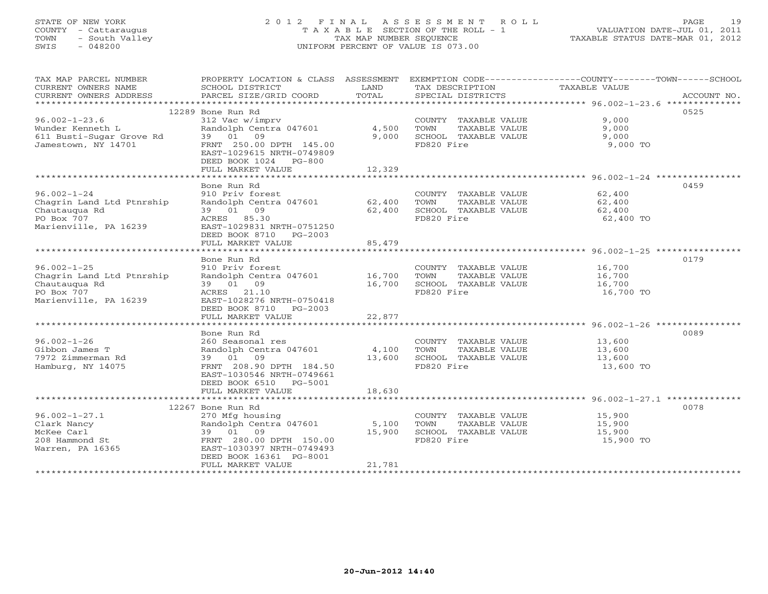# STATE OF NEW YORK 2 0 1 2 F I N A L A S S E S S M E N T R O L L PAGE 19 COUNTY - Cattaraugus T A X A B L E SECTION OF THE ROLL - 1 VALUATION DATE-JUL 01, 2011 TOWN - South Valley TAX MAP NUMBER SEQUENCE TAXABLE STATUS DATE-MAR 01, 2012 SWIS - 048200 UNIFORM PERCENT OF VALUE IS 073.00UNIFORM PERCENT OF VALUE IS 073.00

| CURRENT OWNERS ADDRESS<br>PARCEL SIZE/GRID COORD<br>TOTAL<br>ACCOUNT NO.<br>SPECIAL DISTRICTS<br>12289 Bone Run Rd<br>0525<br>$96.002 - 1 - 23.6$<br>312 Vac w/imprv<br>9,000<br>COUNTY TAXABLE VALUE<br>Wunder Kenneth L<br>Randolph Centra 047601<br>4,500<br>TOWN<br>TAXABLE VALUE<br>9.000<br>39 01 09<br>611 Busti-Sugar Grove Rd<br>9,000<br>SCHOOL TAXABLE VALUE<br>9,000<br>FD820 Fire<br>9,000 TO<br>Jamestown, NY 14701<br>FRNT 250.00 DPTH 145.00<br>EAST-1029615 NRTH-0749809<br>DEED BOOK 1024 PG-800<br>FULL MARKET VALUE<br>12,329<br>0459<br>Bone Run Rd<br>$96.002 - 1 - 24$<br>910 Priv forest<br>62,400<br>COUNTY TAXABLE VALUE<br>Chagrin Land Ltd Ptnrship<br>Randolph Centra 047601<br>62,400<br>TOWN<br>TAXABLE VALUE<br>62,400<br>39 01 09<br>Chautaugua Rd<br>62,400<br>SCHOOL TAXABLE VALUE<br>62,400<br>PO Box 707<br>ACRES 85.30<br>FD820 Fire<br>62,400 TO<br>Marienville, PA 16239<br>EAST-1029831 NRTH-0751250<br>DEED BOOK 8710 PG-2003<br>85,479<br>FULL MARKET VALUE<br>0179<br>Bone Run Rd |
|-------------------------------------------------------------------------------------------------------------------------------------------------------------------------------------------------------------------------------------------------------------------------------------------------------------------------------------------------------------------------------------------------------------------------------------------------------------------------------------------------------------------------------------------------------------------------------------------------------------------------------------------------------------------------------------------------------------------------------------------------------------------------------------------------------------------------------------------------------------------------------------------------------------------------------------------------------------------------------------------------------------------------------|
|                                                                                                                                                                                                                                                                                                                                                                                                                                                                                                                                                                                                                                                                                                                                                                                                                                                                                                                                                                                                                               |
|                                                                                                                                                                                                                                                                                                                                                                                                                                                                                                                                                                                                                                                                                                                                                                                                                                                                                                                                                                                                                               |
|                                                                                                                                                                                                                                                                                                                                                                                                                                                                                                                                                                                                                                                                                                                                                                                                                                                                                                                                                                                                                               |
|                                                                                                                                                                                                                                                                                                                                                                                                                                                                                                                                                                                                                                                                                                                                                                                                                                                                                                                                                                                                                               |
|                                                                                                                                                                                                                                                                                                                                                                                                                                                                                                                                                                                                                                                                                                                                                                                                                                                                                                                                                                                                                               |
|                                                                                                                                                                                                                                                                                                                                                                                                                                                                                                                                                                                                                                                                                                                                                                                                                                                                                                                                                                                                                               |
|                                                                                                                                                                                                                                                                                                                                                                                                                                                                                                                                                                                                                                                                                                                                                                                                                                                                                                                                                                                                                               |
|                                                                                                                                                                                                                                                                                                                                                                                                                                                                                                                                                                                                                                                                                                                                                                                                                                                                                                                                                                                                                               |
|                                                                                                                                                                                                                                                                                                                                                                                                                                                                                                                                                                                                                                                                                                                                                                                                                                                                                                                                                                                                                               |
|                                                                                                                                                                                                                                                                                                                                                                                                                                                                                                                                                                                                                                                                                                                                                                                                                                                                                                                                                                                                                               |
|                                                                                                                                                                                                                                                                                                                                                                                                                                                                                                                                                                                                                                                                                                                                                                                                                                                                                                                                                                                                                               |
|                                                                                                                                                                                                                                                                                                                                                                                                                                                                                                                                                                                                                                                                                                                                                                                                                                                                                                                                                                                                                               |
|                                                                                                                                                                                                                                                                                                                                                                                                                                                                                                                                                                                                                                                                                                                                                                                                                                                                                                                                                                                                                               |
|                                                                                                                                                                                                                                                                                                                                                                                                                                                                                                                                                                                                                                                                                                                                                                                                                                                                                                                                                                                                                               |
|                                                                                                                                                                                                                                                                                                                                                                                                                                                                                                                                                                                                                                                                                                                                                                                                                                                                                                                                                                                                                               |
|                                                                                                                                                                                                                                                                                                                                                                                                                                                                                                                                                                                                                                                                                                                                                                                                                                                                                                                                                                                                                               |
|                                                                                                                                                                                                                                                                                                                                                                                                                                                                                                                                                                                                                                                                                                                                                                                                                                                                                                                                                                                                                               |
|                                                                                                                                                                                                                                                                                                                                                                                                                                                                                                                                                                                                                                                                                                                                                                                                                                                                                                                                                                                                                               |
|                                                                                                                                                                                                                                                                                                                                                                                                                                                                                                                                                                                                                                                                                                                                                                                                                                                                                                                                                                                                                               |
| $96.002 - 1 - 25$<br>16,700<br>910 Priv forest<br>COUNTY TAXABLE VALUE                                                                                                                                                                                                                                                                                                                                                                                                                                                                                                                                                                                                                                                                                                                                                                                                                                                                                                                                                        |
| Chagrin Land Ltd Ptnrship<br>Randolph Centra 047601<br>16,700<br>TOWN<br>TAXABLE VALUE<br>16,700                                                                                                                                                                                                                                                                                                                                                                                                                                                                                                                                                                                                                                                                                                                                                                                                                                                                                                                              |
| Chautauqua Rd<br>39 01 09<br>16,700<br>SCHOOL TAXABLE VALUE<br>16,700                                                                                                                                                                                                                                                                                                                                                                                                                                                                                                                                                                                                                                                                                                                                                                                                                                                                                                                                                         |
| PO Box 707<br>ACRES 21.10<br>FD820 Fire<br>16,700 TO                                                                                                                                                                                                                                                                                                                                                                                                                                                                                                                                                                                                                                                                                                                                                                                                                                                                                                                                                                          |
| Marienville, PA 16239<br>EAST-1028276 NRTH-0750418                                                                                                                                                                                                                                                                                                                                                                                                                                                                                                                                                                                                                                                                                                                                                                                                                                                                                                                                                                            |
| DEED BOOK 8710 PG-2003                                                                                                                                                                                                                                                                                                                                                                                                                                                                                                                                                                                                                                                                                                                                                                                                                                                                                                                                                                                                        |
| 22,877<br>FULL MARKET VALUE                                                                                                                                                                                                                                                                                                                                                                                                                                                                                                                                                                                                                                                                                                                                                                                                                                                                                                                                                                                                   |
|                                                                                                                                                                                                                                                                                                                                                                                                                                                                                                                                                                                                                                                                                                                                                                                                                                                                                                                                                                                                                               |
| 0089<br>Bone Run Rd                                                                                                                                                                                                                                                                                                                                                                                                                                                                                                                                                                                                                                                                                                                                                                                                                                                                                                                                                                                                           |
| $96.002 - 1 - 26$<br>260 Seasonal res<br>COUNTY TAXABLE VALUE<br>13,600                                                                                                                                                                                                                                                                                                                                                                                                                                                                                                                                                                                                                                                                                                                                                                                                                                                                                                                                                       |
| Randolph Centra 047601<br>TAXABLE VALUE<br>Gibbon James T<br>4,100<br>TOWN<br>13,600                                                                                                                                                                                                                                                                                                                                                                                                                                                                                                                                                                                                                                                                                                                                                                                                                                                                                                                                          |
| 7972 Zimmerman Rd<br>39 01 09<br>SCHOOL TAXABLE VALUE<br>13,600<br>13,600<br>Hamburg, NY 14075<br>FRNT 208.90 DPTH 184.50<br>FD820 Fire<br>13,600 TO                                                                                                                                                                                                                                                                                                                                                                                                                                                                                                                                                                                                                                                                                                                                                                                                                                                                          |
| EAST-1030546 NRTH-0749661                                                                                                                                                                                                                                                                                                                                                                                                                                                                                                                                                                                                                                                                                                                                                                                                                                                                                                                                                                                                     |
| DEED BOOK 6510 PG-5001                                                                                                                                                                                                                                                                                                                                                                                                                                                                                                                                                                                                                                                                                                                                                                                                                                                                                                                                                                                                        |
| 18,630<br>FULL MARKET VALUE                                                                                                                                                                                                                                                                                                                                                                                                                                                                                                                                                                                                                                                                                                                                                                                                                                                                                                                                                                                                   |
|                                                                                                                                                                                                                                                                                                                                                                                                                                                                                                                                                                                                                                                                                                                                                                                                                                                                                                                                                                                                                               |
| 0078<br>12267 Bone Run Rd                                                                                                                                                                                                                                                                                                                                                                                                                                                                                                                                                                                                                                                                                                                                                                                                                                                                                                                                                                                                     |
| $96.002 - 1 - 27.1$<br>270 Mfg housing<br>15,900<br>COUNTY TAXABLE VALUE                                                                                                                                                                                                                                                                                                                                                                                                                                                                                                                                                                                                                                                                                                                                                                                                                                                                                                                                                      |
| Clark Nancy<br>Randolph Centra 047601<br>5,100<br>TOWN<br>TAXABLE VALUE<br>15,900                                                                                                                                                                                                                                                                                                                                                                                                                                                                                                                                                                                                                                                                                                                                                                                                                                                                                                                                             |
| McKee Carl<br>39 01 09<br>15,900<br>SCHOOL TAXABLE VALUE<br>15,900                                                                                                                                                                                                                                                                                                                                                                                                                                                                                                                                                                                                                                                                                                                                                                                                                                                                                                                                                            |
| 208 Hammond St<br>FRNT 280.00 DPTH 150.00<br>FD820 Fire<br>15,900 TO                                                                                                                                                                                                                                                                                                                                                                                                                                                                                                                                                                                                                                                                                                                                                                                                                                                                                                                                                          |
| Warren, PA 16365<br>EAST-1030397 NRTH-0749493                                                                                                                                                                                                                                                                                                                                                                                                                                                                                                                                                                                                                                                                                                                                                                                                                                                                                                                                                                                 |
| DEED BOOK 16361 PG-8001                                                                                                                                                                                                                                                                                                                                                                                                                                                                                                                                                                                                                                                                                                                                                                                                                                                                                                                                                                                                       |
| 21,781<br>FULL MARKET VALUE                                                                                                                                                                                                                                                                                                                                                                                                                                                                                                                                                                                                                                                                                                                                                                                                                                                                                                                                                                                                   |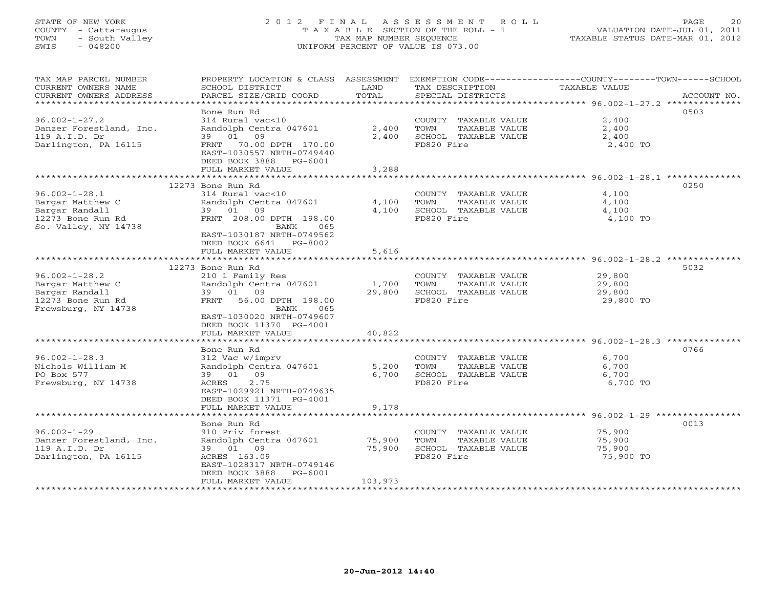# STATE OF NEW YORK 2 0 1 2 F I N A L A S S E S S M E N T R O L L PAGE 20 COUNTY - Cattaraugus T A X A B L E SECTION OF THE ROLL - 1 VALUATION DATE-JUL 01, 2011 TOWN - South Valley TAX MAP NUMBER SEQUENCE TAXABLE STATUS DATE-MAR 01, 2012 SWIS - 048200 UNIFORM PERCENT OF VALUE IS 073.00UNIFORM PERCENT OF VALUE IS 073.00

| TAX MAP PARCEL NUMBER                           | PROPERTY LOCATION & CLASS ASSESSMENT |         |                       | EXEMPTION CODE-----------------COUNTY-------TOWN------SCHOOL |
|-------------------------------------------------|--------------------------------------|---------|-----------------------|--------------------------------------------------------------|
| CURRENT OWNERS NAME                             | SCHOOL DISTRICT                      | LAND    | TAX DESCRIPTION       | TAXABLE VALUE                                                |
| CURRENT OWNERS ADDRESS<br>********************* | PARCEL SIZE/GRID COORD               | TOTAL   | SPECIAL DISTRICTS     | ACCOUNT NO.                                                  |
|                                                 | Bone Run Rd                          |         |                       | 0503                                                         |
| $96.002 - 1 - 27.2$                             | 314 Rural vac<10                     |         | COUNTY TAXABLE VALUE  | 2,400                                                        |
| Danzer Forestland, Inc.                         | Randolph Centra 047601               | 2,400   | TOWN<br>TAXABLE VALUE | 2,400                                                        |
| 119 A.I.D. Dr                                   | 39 01 09                             | 2,400   | SCHOOL TAXABLE VALUE  | 2,400                                                        |
| Darlington, PA 16115                            | FRNT 70.00 DPTH 170.00               |         | FD820 Fire            | 2,400 TO                                                     |
|                                                 | EAST-1030557 NRTH-0749440            |         |                       |                                                              |
|                                                 | DEED BOOK 3888 PG-6001               |         |                       |                                                              |
|                                                 | FULL MARKET VALUE                    | 3,288   |                       |                                                              |
|                                                 |                                      |         |                       |                                                              |
|                                                 | 12273 Bone Run Rd                    |         |                       | 0250                                                         |
| $96.002 - 1 - 28.1$                             | 314 Rural vac<10                     |         | COUNTY TAXABLE VALUE  | 4,100                                                        |
| Bargar Matthew C                                | Randolph Centra 047601               | 4,100   | TAXABLE VALUE<br>TOWN | 4,100                                                        |
| Bargar Randall                                  | 39 01 09                             | 4,100   | SCHOOL TAXABLE VALUE  | 4,100                                                        |
| 12273 Bone Run Rd                               | FRNT 208.00 DPTH 198.00              |         | FD820 Fire            | 4,100 TO                                                     |
| So. Valley, NY 14738                            | BANK<br>065                          |         |                       |                                                              |
|                                                 | EAST-1030187 NRTH-0749562            |         |                       |                                                              |
|                                                 | DEED BOOK 6641 PG-8002               |         |                       |                                                              |
|                                                 | FULL MARKET VALUE                    | 5,616   |                       |                                                              |
|                                                 |                                      |         |                       |                                                              |
|                                                 | 12273 Bone Run Rd                    |         |                       | 5032                                                         |
| $96.002 - 1 - 28.2$                             | 210 1 Family Res                     |         | COUNTY TAXABLE VALUE  | 29,800                                                       |
| Bargar Matthew C                                | Randolph Centra 047601               | 1,700   | TOWN<br>TAXABLE VALUE | 29,800                                                       |
| Bargar Randall                                  | 39 01 09                             | 29,800  | SCHOOL TAXABLE VALUE  | 29,800                                                       |
| 12273 Bone Run Rd                               | FRNT 56.00 DPTH 198.00               |         | FD820 Fire            | 29,800 TO                                                    |
| Frewsburg, NY 14738                             | BANK<br>065                          |         |                       |                                                              |
|                                                 | EAST-1030020 NRTH-0749607            |         |                       |                                                              |
|                                                 | DEED BOOK 11370 PG-4001              | 40,822  |                       |                                                              |
|                                                 | FULL MARKET VALUE                    |         |                       |                                                              |
|                                                 | Bone Run Rd                          |         |                       | 0766                                                         |
| $96.002 - 1 - 28.3$                             | 312 Vac w/imprv                      |         | COUNTY TAXABLE VALUE  | 6,700                                                        |
| Nichols William M                               | Randolph Centra 047601               | 5,200   | TOWN<br>TAXABLE VALUE | 6,700                                                        |
| PO Box 577                                      | 39 01 09                             | 6,700   | SCHOOL TAXABLE VALUE  | 6,700                                                        |
| Frewsburg, NY 14738                             | 2.75<br>ACRES                        |         | FD820 Fire            | 6,700 TO                                                     |
|                                                 | EAST-1029921 NRTH-0749635            |         |                       |                                                              |
|                                                 | DEED BOOK 11371 PG-4001              |         |                       |                                                              |
|                                                 | FULL MARKET VALUE                    | 9,178   |                       |                                                              |
|                                                 |                                      |         |                       |                                                              |
|                                                 | Bone Run Rd                          |         |                       | 0013                                                         |
| $96.002 - 1 - 29$                               | 910 Priv forest                      |         | COUNTY TAXABLE VALUE  | 75,900                                                       |
| Danzer Forestland, Inc.                         | Randolph Centra 047601               | 75,900  | TOWN<br>TAXABLE VALUE | 75,900                                                       |
| 119 A.I.D. Dr                                   | 39 01 09                             | 75,900  | SCHOOL TAXABLE VALUE  | 75,900                                                       |
| Darlington, PA 16115                            | ACRES 163.09                         |         | FD820 Fire            | 75,900 TO                                                    |
|                                                 | EAST-1028317 NRTH-0749146            |         |                       |                                                              |
|                                                 | DEED BOOK 3888<br>PG-6001            |         |                       |                                                              |
|                                                 | FULL MARKET VALUE                    | 103,973 |                       |                                                              |
|                                                 |                                      |         |                       |                                                              |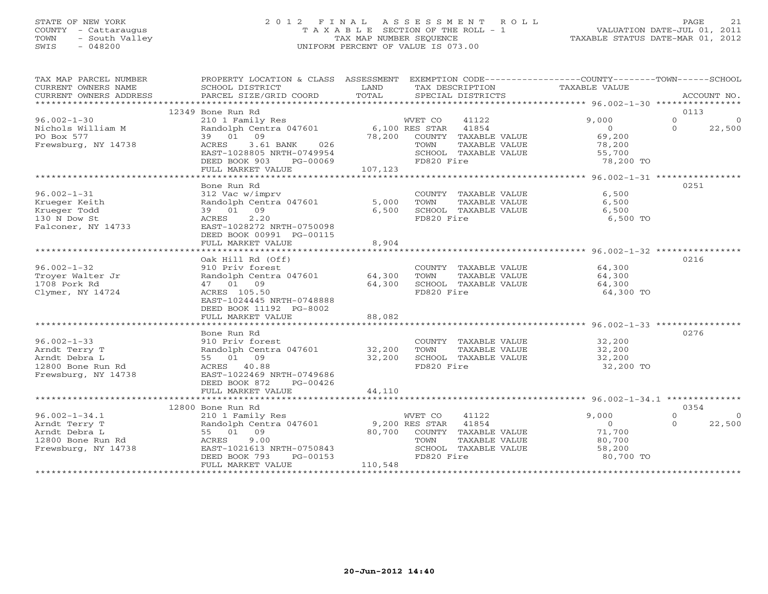# STATE OF NEW YORK 2 0 1 2 F I N A L A S S E S S M E N T R O L L PAGE 21 COUNTY - Cattaraugus T A X A B L E SECTION OF THE ROLL - 1 VALUATION DATE-JUL 01, 2011 TOWN - South Valley TAX MAP NUMBER SEQUENCE TAXABLE STATUS DATE-MAR 01, 2012 SWIS - 048200 UNIFORM PERCENT OF VALUE IS 073.00UNIFORM PERCENT OF VALUE IS 073.00

| TAX MAP PARCEL NUMBER                              | PROPERTY LOCATION & CLASS ASSESSMENT EXEMPTION CODE---------------COUNTY-------TOWN-----SCHOOL |          |                             |                  |                        |
|----------------------------------------------------|------------------------------------------------------------------------------------------------|----------|-----------------------------|------------------|------------------------|
| CURRENT OWNERS NAME                                | SCHOOL DISTRICT                                                                                | LAND     | TAX DESCRIPTION             | TAXABLE VALUE    |                        |
| CURRENT OWNERS ADDRESS                             | PARCEL SIZE/GRID COORD TOTAL                                                                   |          | SPECIAL DISTRICTS           |                  | ACCOUNT NO.            |
|                                                    |                                                                                                |          |                             |                  |                        |
|                                                    | 12349 Bone Run Rd                                                                              |          |                             |                  | 0113                   |
| $96.002 - 1 - 30$                                  | WET CO 41122<br>Randolph Centra 047601 6,100 RES STAR 41854<br>39 01 09 78.200 COUNTY TIMES    |          |                             | 9.000            | $\Omega$<br>$\Omega$   |
| Nichols William M                                  |                                                                                                |          |                             | $\overline{0}$   | $\Omega$<br>22,500     |
| PO Box 577                                         |                                                                                                |          | 78,200 COUNTY TAXABLE VALUE | 69,200           |                        |
|                                                    | 3.61 BANK 026                                                                                  |          | TOWN                        |                  |                        |
| Frewsburg, NY 14738                                | ACRES                                                                                          |          | TAXABLE VALUE               | 78,200<br>55,700 |                        |
|                                                    | EAST-1028805 NRTH-0749954                                                                      |          | SCHOOL TAXABLE VALUE        |                  |                        |
|                                                    | DEED BOOK 903 PG-00069                                                                         |          | FD820 Fire                  | 78,200 TO        |                        |
|                                                    | FULL MARKET VALUE                                                                              | 107, 123 |                             |                  |                        |
|                                                    |                                                                                                |          |                             |                  |                        |
|                                                    | Bone Run Rd                                                                                    |          |                             |                  | 0251                   |
| $96.002 - 1 - 31$                                  | 312 Vac w/imprv                                                                                |          | COUNTY TAXABLE VALUE        | 6,500            |                        |
| Krueger Keith                                      | Randolph Centra 047601                                                                         | 5,000    | TOWN<br>TAXABLE VALUE       | 6,500            |                        |
|                                                    | 39 01 09                                                                                       | 6,500    | SCHOOL TAXABLE VALUE        | 6,500            |                        |
| Krueger Todd<br>130 N Dow St<br>Falconer, NY 14733 | 2.20<br>ACRES                                                                                  |          | FD820 Fire                  | 6,500 TO         |                        |
|                                                    | EAST-1028272 NRTH-0750098                                                                      |          |                             |                  |                        |
|                                                    | DEED BOOK 00991 PG-00115                                                                       |          |                             |                  |                        |
|                                                    | FULL MARKET VALUE                                                                              | 8,904    |                             |                  |                        |
|                                                    |                                                                                                |          |                             |                  |                        |
|                                                    |                                                                                                |          |                             |                  |                        |
|                                                    | Oak Hill Rd (Off)                                                                              |          |                             |                  | 0216                   |
| $96.002 - 1 - 32$                                  | 910 Priv forest                                                                                |          | COUNTY TAXABLE VALUE        | 64,300           |                        |
| Trover Walter Jr                                   | Randolph Centra 047601 64,300                                                                  |          | TAXABLE VALUE<br>TOWN       | 64,300           |                        |
| 1708 Pork Rd                                       | 47 01 09                                                                                       | 64,300   | SCHOOL TAXABLE VALUE        | 64,300           |                        |
| Clymer, NY 14724                                   | ACRES 105.50                                                                                   |          | FD820 Fire                  | 64,300 TO        |                        |
|                                                    | EAST-1024445 NRTH-0748888                                                                      |          |                             |                  |                        |
|                                                    | DEED BOOK 11192 PG-8002                                                                        |          |                             |                  |                        |
|                                                    | FULL MARKET VALUE                                                                              | 88,082   |                             |                  |                        |
|                                                    |                                                                                                |          |                             |                  |                        |
|                                                    | Bone Run Rd                                                                                    |          |                             |                  | 0276                   |
| $96.002 - 1 - 33$                                  | 910 Priv forest                                                                                |          | COUNTY TAXABLE VALUE        | 32,200           |                        |
| Arndt Terry T                                      | Randolph Centra 047601 32,200                                                                  |          | TAXABLE VALUE               | 32,200           |                        |
|                                                    |                                                                                                |          | TOWN                        |                  |                        |
| Arndt Debra L                                      | 55 01 09                                                                                       | 32,200   | SCHOOL TAXABLE VALUE        | 32,200           |                        |
| 12800 Bone Run Rd                                  | ACRES 40.88                                                                                    |          | FD820 Fire                  | 32,200 TO        |                        |
| Frewsburg, NY 14738                                | EAST-1022469 NRTH-0749686                                                                      |          |                             |                  |                        |
|                                                    | DEED BOOK 872<br>PG-00426                                                                      |          |                             |                  |                        |
|                                                    | FULL MARKET VALUE                                                                              | 44,110   |                             |                  |                        |
|                                                    |                                                                                                |          |                             |                  |                        |
|                                                    | 12800 Bone Run Rd                                                                              |          |                             |                  | 0354                   |
| $96.002 - 1 - 34.1$                                | 210 1 Family Res                                                                               |          | 41122<br>WVET CO            | 9.000            | $\Omega$<br>$\bigcirc$ |
| Arndt Terry T                                      | Randolph Centra 047601 9,200 RES STAR 41854                                                    |          |                             | $\overline{0}$   | 22,500<br>$\Omega$     |
| Arndt Debra L                                      | 55 01 09                                                                                       |          | 80,700 COUNTY TAXABLE VALUE | 71,700           |                        |
| 12800 Bone Run Rd                                  | 9.00<br>ACRES                                                                                  |          | TOWN<br>TAXABLE VALUE       | 80,700           |                        |
| Frewsburg, NY 14738                                | EAST-1021613 NRTH-0750843                                                                      |          | SCHOOL TAXABLE VALUE        | 58,200           |                        |
|                                                    | DEED BOOK 793<br>PG-00153                                                                      |          | FD820 Fire                  | 80,700 TO        |                        |
|                                                    |                                                                                                | 110,548  |                             |                  |                        |
|                                                    | FULL MARKET VALUE                                                                              |          |                             |                  |                        |
|                                                    |                                                                                                |          |                             |                  |                        |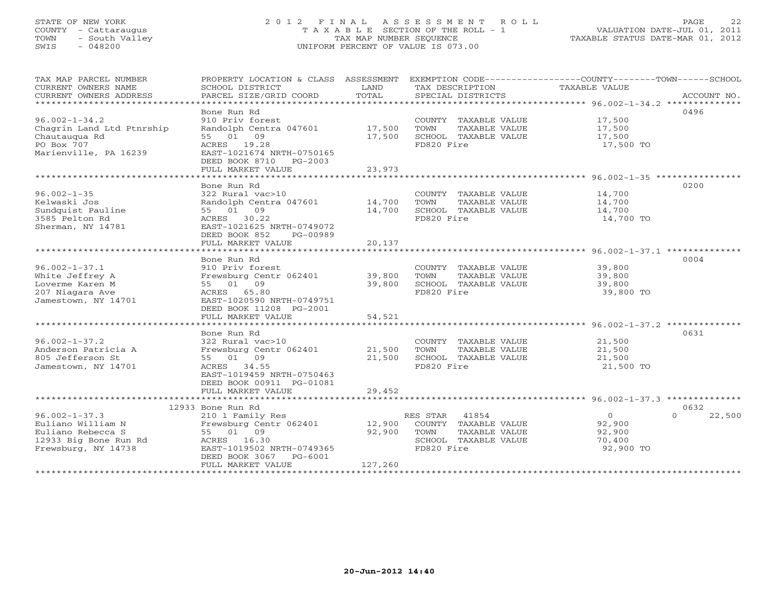# STATE OF NEW YORK 2 0 1 2 F I N A L A S S E S S M E N T R O L L PAGE 22 COUNTY - Cattaraugus T A X A B L E SECTION OF THE ROLL - 1 VALUATION DATE-JUL 01, 2011 TOWN - South Valley TAX MAP NUMBER SEQUENCE TAXABLE STATUS DATE-MAR 01, 2012 SWIS - 048200 UNIFORM PERCENT OF VALUE IS 073.00UNIFORM PERCENT OF VALUE IS 073.00

| TAX MAP PARCEL NUMBER<br>CURRENT OWNERS NAME<br>CURRENT OWNERS ADDRESS<br>***********************             | PROPERTY LOCATION & CLASS ASSESSMENT<br>SCHOOL DISTRICT<br>PARCEL SIZE/GRID COORD                                                                                            | LAND<br>TOTAL               | TAX DESCRIPTION<br>SPECIAL DISTRICTS                                                                  | EXEMPTION CODE-----------------COUNTY-------TOWN------SCHOOL<br>TAXABLE VALUE<br>ACCOUNT NO. |
|---------------------------------------------------------------------------------------------------------------|------------------------------------------------------------------------------------------------------------------------------------------------------------------------------|-----------------------------|-------------------------------------------------------------------------------------------------------|----------------------------------------------------------------------------------------------|
| $96.002 - 1 - 34.2$<br>Chagrin Land Ltd Ptnrship<br>Chautauqua Rd<br>PO Box 707<br>Marienville, PA 16239      | Bone Run Rd<br>910 Priv forest<br>Randolph Centra 047601<br>55 01 09<br>ACRES 19.28<br>EAST-1021674 NRTH-0750165<br>DEED BOOK 8710<br>PG-2003<br>FULL MARKET VALUE           | 17,500<br>17,500<br>23,973  | COUNTY TAXABLE VALUE<br>TOWN<br>TAXABLE VALUE<br>SCHOOL TAXABLE VALUE<br>FD820 Fire                   | 0496<br>17,500<br>17,500<br>17,500<br>17,500 TO                                              |
|                                                                                                               | Bone Run Rd                                                                                                                                                                  |                             |                                                                                                       | 0200                                                                                         |
| $96.002 - 1 - 35$<br>Kelwaski Jos<br>Sundquist Pauline<br>3585 Pelton Rd<br>Sherman, NY 14781                 | 322 Rural vac>10<br>Randolph Centra 047601<br>55 01 09<br>ACRES 30.22<br>EAST-1021625 NRTH-0749072<br>DEED BOOK 852<br>PG-00989                                              | 14,700<br>14,700            | COUNTY TAXABLE VALUE<br>TOWN<br>TAXABLE VALUE<br>SCHOOL TAXABLE VALUE<br>FD820 Fire                   | 14,700<br>14,700<br>14,700<br>14,700 TO                                                      |
|                                                                                                               | FULL MARKET VALUE                                                                                                                                                            | 20,137                      |                                                                                                       |                                                                                              |
| $96.002 - 1 - 37.1$<br>White Jeffrey A<br>Loverme Karen M<br>207 Niagara Ave<br>Jamestown, NY 14701           | Bone Run Rd<br>910 Priv forest<br>Frewsburg Centr 062401<br>55 01 09<br>ACRES 65.80<br>EAST-1020590 NRTH-0749751<br>DEED BOOK 11208 PG-2001                                  | 39,800<br>39,800            | COUNTY TAXABLE VALUE<br>TOWN<br>TAXABLE VALUE<br>SCHOOL TAXABLE VALUE<br>FD820 Fire                   | 0004<br>39,800<br>39,800<br>39,800<br>39,800 TO                                              |
|                                                                                                               | FULL MARKET VALUE                                                                                                                                                            | 54,521                      |                                                                                                       |                                                                                              |
| $96.002 - 1 - 37.2$<br>Anderson Patricia A<br>805 Jefferson St<br>Jamestown, NY 14701                         | Bone Run Rd<br>322 Rural vac>10<br>Frewsburg Centr 062401<br>55 01 09<br>ACRES 34.55<br>EAST-1019459 NRTH-0750463<br>DEED BOOK 00911 PG-01081                                | 21,500<br>21,500            | COUNTY TAXABLE VALUE<br>TOWN<br>TAXABLE VALUE<br>SCHOOL TAXABLE VALUE<br>FD820 Fire                   | 0631<br>21,500<br>21,500<br>21,500<br>21,500 TO                                              |
|                                                                                                               | FULL MARKET VALUE                                                                                                                                                            | 29,452                      |                                                                                                       |                                                                                              |
| $96.002 - 1 - 37.3$<br>Euliano William N<br>Euliano Rebecca S<br>12933 Big Bone Run Rd<br>Frewsburg, NY 14738 | 12933 Bone Run Rd<br>210 1 Family Res<br>Frewsburg Centr 062401<br>55 01 09<br>ACRES<br>16.30<br>EAST-1019502 NRTH-0749365<br>DEED BOOK 3067<br>PG-6001<br>FULL MARKET VALUE | 12,900<br>92,900<br>127,260 | RES STAR 41854<br>COUNTY TAXABLE VALUE<br>TOWN<br>TAXABLE VALUE<br>SCHOOL TAXABLE VALUE<br>FD820 Fire | 0632<br>$\circ$<br>$\Omega$<br>22,500<br>92,900<br>92,900<br>70,400<br>92,900 TO             |
|                                                                                                               |                                                                                                                                                                              |                             |                                                                                                       |                                                                                              |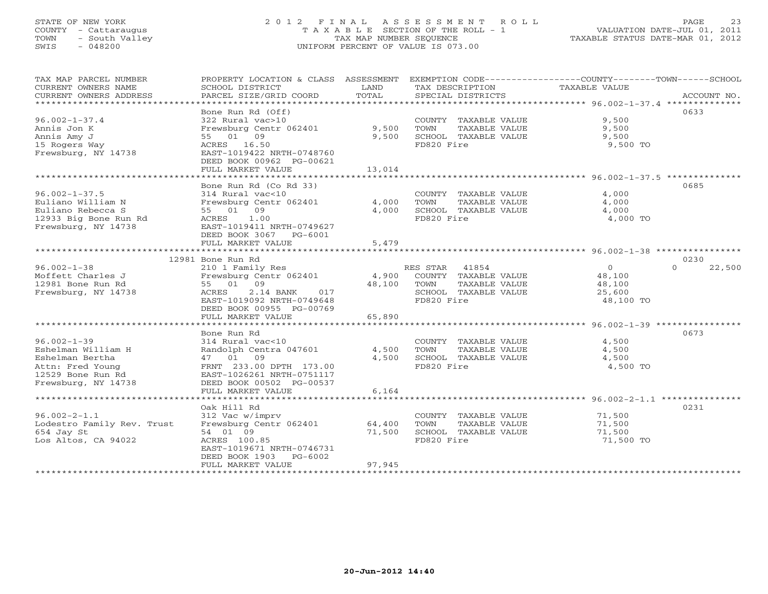# STATE OF NEW YORK 2 0 1 2 F I N A L A S S E S S M E N T R O L L PAGE 23 COUNTY - Cattaraugus T A X A B L E SECTION OF THE ROLL - 1 VALUATION DATE-JUL 01, 2011 TOWN - South Valley TAX MAP NUMBER SEQUENCE TAXABLE STATUS DATE-MAR 01, 2012 SWIS - 048200 UNIFORM PERCENT OF VALUE IS 073.00UNIFORM PERCENT OF VALUE IS 073.00

| TAX MAP PARCEL NUMBER<br>CURRENT OWNERS NAME<br>CURRENT OWNERS ADDRESS<br>************************                         | PROPERTY LOCATION & CLASS ASSESSMENT<br>SCHOOL DISTRICT<br>PARCEL SIZE/GRID COORD                                                                                                                         | LAND<br>TOTAL              | EXEMPTION CODE-----------------COUNTY-------TOWN------SCHOOL<br>TAX DESCRIPTION<br>SPECIAL DISTRICTS     | TAXABLE VALUE                                                 | ACCOUNT NO.        |
|----------------------------------------------------------------------------------------------------------------------------|-----------------------------------------------------------------------------------------------------------------------------------------------------------------------------------------------------------|----------------------------|----------------------------------------------------------------------------------------------------------|---------------------------------------------------------------|--------------------|
| $96.002 - 1 - 37.4$<br>Annis Jon K<br>Annis Amy J<br>15 Rogers Way<br>Frewsburg, NY 14738                                  | Bone Run Rd (Off)<br>322 Rural vac>10<br>Frewsburg Centr 062401<br>55 01 09<br>ACRES 16.50<br>EAST-1019422 NRTH-0748760<br>DEED BOOK 00962 PG-00621<br>FULL MARKET VALUE<br>***************************** | 9,500<br>9,500<br>13,014   | COUNTY TAXABLE VALUE<br>TAXABLE VALUE<br>TOWN<br>SCHOOL TAXABLE VALUE<br>FD820 Fire                      | 9,500<br>9,500<br>9,500<br>9,500 TO                           | 0633               |
| $96.002 - 1 - 37.5$<br>Euliano William N<br>Euliano Rebecca S<br>12933 Big Bone Run Rd<br>Frewsburg, NY 14738              | Bone Run Rd (Co Rd 33)<br>314 Rural vac<10<br>Frewsburg Centr 062401<br>55 01 09<br>ACRES<br>1.00<br>EAST-1019411 NRTH-0749627<br>DEED BOOK 3067 PG-6001<br>FULL MARKET VALUE                             | 4,000<br>4,000<br>5,479    | COUNTY TAXABLE VALUE<br>TOWN<br>TAXABLE VALUE<br>SCHOOL TAXABLE VALUE<br>FD820 Fire                      | 4,000<br>4,000<br>4,000<br>4,000 TO                           | 0685               |
|                                                                                                                            | 12981 Bone Run Rd                                                                                                                                                                                         |                            |                                                                                                          |                                                               | 0230               |
| $96.002 - 1 - 38$<br>Moffett Charles J<br>12981 Bone Run Rd<br>Frewsburg, NY 14738                                         | 210 1 Family Res<br>Frewsburg Centr 062401<br>55 01 09<br>ACRES<br>2.14 BANK<br>017<br>EAST-1019092 NRTH-0749648<br>DEED BOOK 00955 PG-00769                                                              | 4,900<br>48,100            | RES STAR<br>41854<br>COUNTY TAXABLE VALUE<br>TAXABLE VALUE<br>TOWN<br>SCHOOL TAXABLE VALUE<br>FD820 Fire | $\overline{0}$<br>48,100<br>48,100<br>25,600<br>48,100 TO     | $\Omega$<br>22,500 |
|                                                                                                                            | FULL MARKET VALUE                                                                                                                                                                                         | 65,890                     |                                                                                                          |                                                               |                    |
| $96.002 - 1 - 39$<br>Eshelman William H<br>Eshelman Bertha<br>Attn: Fred Young<br>12529 Bone Run Rd<br>Frewsburg, NY 14738 | Bone Run Rd<br>314 Rural vac<10<br>Randolph Centra 047601<br>47 01<br>09<br>FRNT 233.00 DPTH 173.00<br>EAST-1026261 NRTH-0751117<br>DEED BOOK 00502 PG-00537                                              | 4,500<br>4,500             | COUNTY TAXABLE VALUE<br>TOWN<br>TAXABLE VALUE<br>SCHOOL TAXABLE VALUE<br>FD820 Fire                      | 4,500<br>4,500<br>4,500<br>4,500 TO                           | 0673               |
|                                                                                                                            | FULL MARKET VALUE<br>*******************                                                                                                                                                                  | 6,164<br>*************     |                                                                                                          | ************************************ 96.002-2-1.1 *********** |                    |
| $96.002 - 2 - 1.1$<br>Lodestro Family Rev. Trust<br>654 Jay St<br>Los Altos, CA 94022<br>********************              | Oak Hill Rd<br>312 Vac w/imprv<br>Frewsburg Centr 062401<br>54 01 09<br>ACRES 100.85<br>EAST-1019671 NRTH-0746731<br>DEED BOOK 1903<br>PG-6002<br>FULL MARKET VALUE                                       | 64,400<br>71,500<br>97,945 | COUNTY TAXABLE VALUE<br>TOWN<br>TAXABLE VALUE<br>SCHOOL TAXABLE VALUE<br>FD820 Fire                      | 71,500<br>71,500<br>71,500<br>71,500 TO                       | 0231               |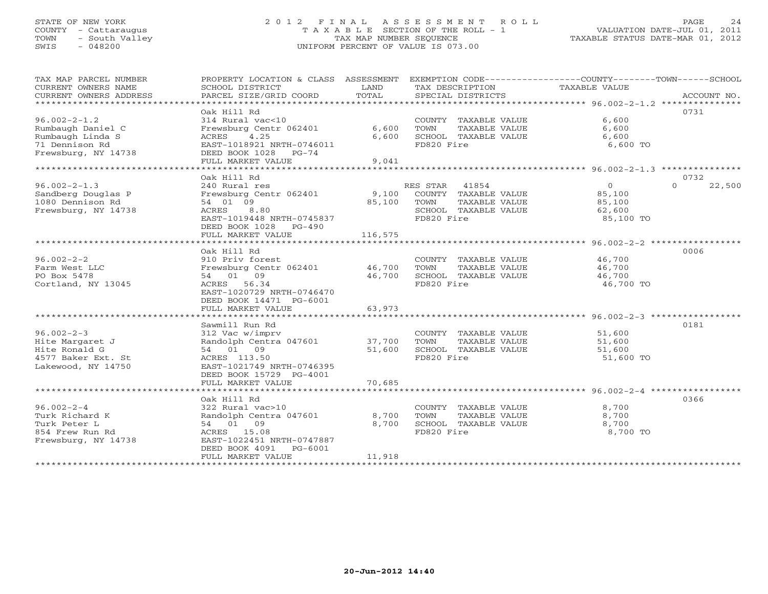# STATE OF NEW YORK 2 0 1 2 F I N A L A S S E S S M E N T R O L L PAGE 24 COUNTY - Cattaraugus T A X A B L E SECTION OF THE ROLL - 1 VALUATION DATE-JUL 01, 2011 TOWN - South Valley TAX MAP NUMBER SEQUENCE TAXABLE STATUS DATE-MAR 01, 2012 SWIS - 048200 UNIFORM PERCENT OF VALUE IS 073.00UNIFORM PERCENT OF VALUE IS 073.00

| TAX MAP PARCEL NUMBER<br>CURRENT OWNERS NAME<br>CURRENT OWNERS ADDRESS                           | PROPERTY LOCATION & CLASS ASSESSMENT<br>SCHOOL DISTRICT<br>PARCEL SIZE/GRID COORD                                                                                    | LAND<br>TOTAL              | TAX DESCRIPTION<br>SPECIAL DISTRICTS                                                                     | EXEMPTION CODE-----------------COUNTY-------TOWN-----SCHOOL<br>TAXABLE VALUE<br>ACCOUNT NO.                         |
|--------------------------------------------------------------------------------------------------|----------------------------------------------------------------------------------------------------------------------------------------------------------------------|----------------------------|----------------------------------------------------------------------------------------------------------|---------------------------------------------------------------------------------------------------------------------|
| $96.002 - 2 - 1.2$                                                                               | Oak Hill Rd<br>314 Rural vac<10                                                                                                                                      |                            | COUNTY TAXABLE VALUE                                                                                     | 0731<br>6,600                                                                                                       |
| Rumbaugh Daniel C<br>Rumbaugh Linda S<br>71 Dennison Rd<br>Frewsburg, NY 14738                   | Frewsburg Centr 062401<br>4.25<br>ACRES<br>EAST-1018921 NRTH-0746011<br>DEED BOOK 1028<br>$PG-74$                                                                    | 6,600<br>6,600             | TOWN<br>TAXABLE VALUE<br>SCHOOL TAXABLE VALUE<br>FD820 Fire                                              | 6,600<br>6,600<br>6,600 TO                                                                                          |
|                                                                                                  | FULL MARKET VALUE<br>******************                                                                                                                              | 9,041                      |                                                                                                          | ************************ 96.002-2-1.3 ***************                                                               |
|                                                                                                  | Oak Hill Rd                                                                                                                                                          |                            |                                                                                                          | 0732                                                                                                                |
| $96.002 - 2 - 1.3$<br>Sandberg Douglas P<br>1080 Dennison Rd<br>Frewsburg, NY 14738              | 240 Rural res<br>Frewsburg Centr 062401<br>54 01 09<br>ACRES<br>8.80<br>EAST-1019448 NRTH-0745837<br>DEED BOOK 1028<br>PG-490                                        | 9,100<br>85,100            | RES STAR<br>41854<br>COUNTY TAXABLE VALUE<br>TOWN<br>TAXABLE VALUE<br>SCHOOL TAXABLE VALUE<br>FD820 Fire | $\circ$<br>$\Omega$<br>22,500<br>85,100<br>85,100<br>62,600<br>85,100 TO                                            |
|                                                                                                  | FULL MARKET VALUE                                                                                                                                                    | 116,575                    |                                                                                                          | ******************** 96.002-2-2 ******************                                                                  |
| $96.002 - 2 - 2$<br>Farm West LLC<br>PO Box 5478<br>Cortland, NY 13045                           | Oak Hill Rd<br>910 Priv forest<br>Frewsburg Centr 062401<br>54 01 09<br>ACRES 56.34<br>EAST-1020729 NRTH-0746470<br>DEED BOOK 14471 PG-6001<br>FULL MARKET VALUE     | 46,700<br>46,700<br>63,973 | COUNTY TAXABLE VALUE<br>TOWN<br>TAXABLE VALUE<br>SCHOOL TAXABLE VALUE<br>FD820 Fire                      | 0006<br>46,700<br>46,700<br>46,700<br>46,700 TO                                                                     |
| $96.002 - 2 - 3$<br>Hite Margaret J<br>Hite Ronald G<br>4577 Baker Ext. St<br>Lakewood, NY 14750 | Sawmill Run Rd<br>312 Vac w/imprv<br>Randolph Centra 047601<br>54 01 09<br>ACRES 113.50<br>EAST-1021749 NRTH-0746395<br>DEED BOOK 15729 PG-4001<br>FULL MARKET VALUE | 37,700<br>51,600<br>70,685 | COUNTY TAXABLE VALUE<br>TOWN<br>TAXABLE VALUE<br>SCHOOL TAXABLE VALUE<br>FD820 Fire                      | *********************************** 96.002-2-3 *****************<br>0181<br>51,600<br>51,600<br>51,600<br>51,600 TO |
| $96.002 - 2 - 4$<br>Turk Richard K<br>Turk Peter L<br>854 Frew Run Rd<br>Frewsburg, NY 14738     | Oak Hill Rd<br>322 Rural vac>10<br>Randolph Centra 047601<br>54 01 09<br>ACRES 15.08<br>EAST-1022451 NRTH-0747887<br>DEED BOOK 4091<br>PG-6001<br>FULL MARKET VALUE  | 8,700<br>8,700<br>11,918   | COUNTY TAXABLE VALUE<br>TOWN<br>TAXABLE VALUE<br>SCHOOL TAXABLE VALUE<br>FD820 Fire                      | 0366<br>8,700<br>8,700<br>8,700<br>8,700 TO                                                                         |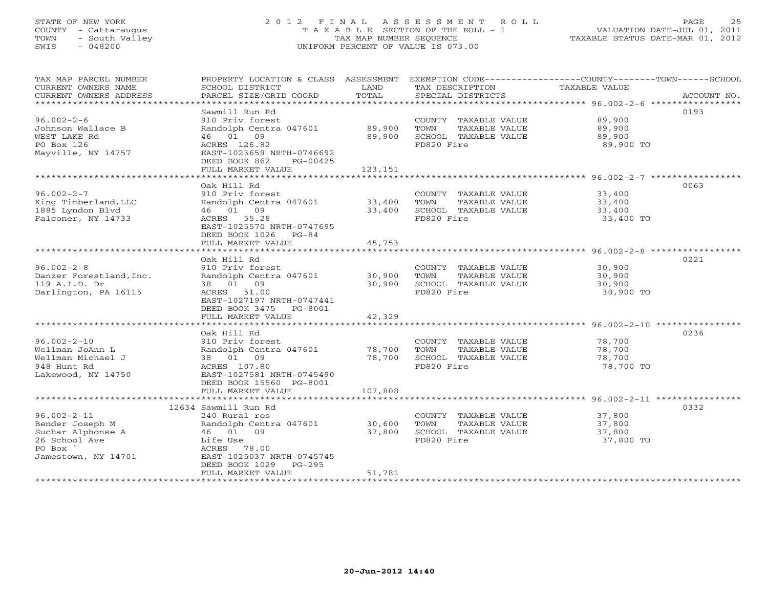# STATE OF NEW YORK 2 0 1 2 F I N A L A S S E S S M E N T R O L L PAGE 25 COUNTY - Cattaraugus T A X A B L E SECTION OF THE ROLL - 1 VALUATION DATE-JUL 01, 2011 TOWN - South Valley TAX MAP NUMBER SEQUENCE TAXABLE STATUS DATE-MAR 01, 2012 SWIS - 048200 UNIFORM PERCENT OF VALUE IS 073.00UNIFORM PERCENT OF VALUE IS 073.00

| TAX MAP PARCEL NUMBER<br>CURRENT OWNERS NAME<br>CURRENT OWNERS ADDRESS<br>*************************                    | PROPERTY LOCATION & CLASS ASSESSMENT<br>SCHOOL DISTRICT<br>PARCEL SIZE/GRID COORD                                                                                                                     | LAND<br>TOTAL                                | TAX DESCRIPTION<br>SPECIAL DISTRICTS                                                | EXEMPTION CODE-----------------COUNTY-------TOWN------SCHOOL<br>TAXABLE VALUE<br>ACCOUNT NO.                           |  |
|------------------------------------------------------------------------------------------------------------------------|-------------------------------------------------------------------------------------------------------------------------------------------------------------------------------------------------------|----------------------------------------------|-------------------------------------------------------------------------------------|------------------------------------------------------------------------------------------------------------------------|--|
| $96.002 - 2 - 6$<br>Johnson Wallace B<br>WEST LAKE Rd<br>PO Box 126<br>Mayville, NY 14757<br>************************* | Sawmill Run Rd<br>910 Priv forest<br>Randolph Centra 047601<br>46 01 09<br>ACRES 126.82<br>EAST-1023659 NRTH-0746692<br>DEED BOOK 862<br>PG-00425<br>FULL MARKET VALUE<br>*************************** | 89,900<br>89,900<br>123,151<br>************* | COUNTY TAXABLE VALUE<br>TOWN<br>TAXABLE VALUE<br>SCHOOL TAXABLE VALUE<br>FD820 Fire | 0193<br>89,900<br>89,900<br>89,900<br>89,900 TO<br>************************************* 96.002-2-7 ****************** |  |
| $96.002 - 2 - 7$<br>King Timberland, LLC<br>1885 Lyndon Blvd<br>Falconer, NY 14733                                     | Oak Hill Rd<br>910 Priv forest<br>Randolph Centra 047601<br>46 01 09<br>ACRES 55.28<br>EAST-1025570 NRTH-0747695<br>DEED BOOK 1026 PG-84<br>FULL MARKET VALUE                                         | 33,400<br>33,400<br>45,753                   | COUNTY TAXABLE VALUE<br>TOWN<br>TAXABLE VALUE<br>SCHOOL TAXABLE VALUE<br>FD820 Fire | 0063<br>33,400<br>33,400<br>33,400<br>33,400 TO                                                                        |  |
|                                                                                                                        |                                                                                                                                                                                                       |                                              |                                                                                     |                                                                                                                        |  |
| $96.002 - 2 - 8$<br>Danzer Forestland, Inc.<br>119 A.I.D. Dr<br>Darlington, PA 16115                                   | Oak Hill Rd<br>910 Priv forest<br>Randolph Centra 047601<br>38 01<br>09<br>ACRES 51.00<br>EAST-1027197 NRTH-0747441<br>DEED BOOK 3475<br>PG-8001<br>FULL MARKET VALUE                                 | 30,900<br>30,900<br>42,329                   | COUNTY TAXABLE VALUE<br>TOWN<br>TAXABLE VALUE<br>SCHOOL TAXABLE VALUE<br>FD820 Fire | 0221<br>30,900<br>30,900<br>30,900<br>30,900 TO                                                                        |  |
|                                                                                                                        | Oak Hill Rd                                                                                                                                                                                           |                                              |                                                                                     | 0236                                                                                                                   |  |
| $96.002 - 2 - 10$<br>Wellman JoAnn L<br>Wellman Michael J<br>948 Hunt Rd<br>Lakewood, NY 14750                         | 910 Priv forest<br>Randolph Centra 047601<br>38 01 09<br>ACRES 107.80<br>EAST-1027581 NRTH-0745490<br>DEED BOOK 15560 PG-8001                                                                         | 78,700<br>78,700                             | COUNTY TAXABLE VALUE<br>TOWN<br>TAXABLE VALUE<br>SCHOOL TAXABLE VALUE<br>FD820 Fire | 78,700<br>78,700<br>78,700<br>78,700 TO                                                                                |  |
|                                                                                                                        | FULL MARKET VALUE                                                                                                                                                                                     | 107,808                                      |                                                                                     |                                                                                                                        |  |
| $96.002 - 2 - 11$                                                                                                      | 12634 Sawmill Run Rd<br>240 Rural res                                                                                                                                                                 |                                              | COUNTY TAXABLE VALUE                                                                | 0332<br>37,800                                                                                                         |  |
| Bender Joseph M<br>Suchar Alphonse A<br>26 School Ave<br>PO Box<br>Jamestown, NY 14701                                 | Randolph Centra 047601<br>46 01 09<br>Life Use<br>ACRES 78.00<br>EAST-1025037 NRTH-0745745<br>DEED BOOK 1029<br>$PG-295$                                                                              | 30,600<br>37,800                             | TOWN<br>TAXABLE VALUE<br>SCHOOL TAXABLE VALUE<br>FD820 Fire                         | 37,800<br>37,800<br>37,800 TO                                                                                          |  |
| **********************                                                                                                 | FULL MARKET VALUE                                                                                                                                                                                     | 51,781                                       |                                                                                     |                                                                                                                        |  |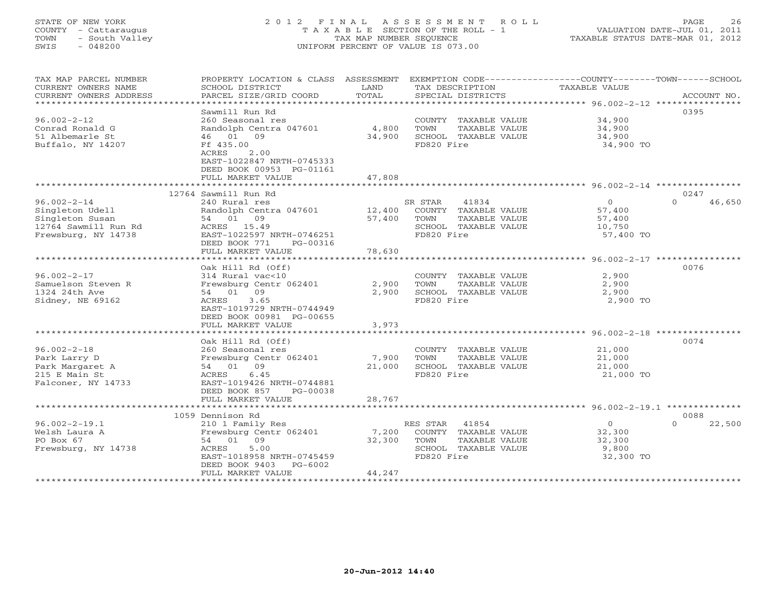# STATE OF NEW YORK 2 0 1 2 F I N A L A S S E S S M E N T R O L L PAGE 26 COUNTY - Cattaraugus T A X A B L E SECTION OF THE ROLL - 1 VALUATION DATE-JUL 01, 2011 TOWN - South Valley TAX MAP NUMBER SEQUENCE TAXABLE STATUS DATE-MAR 01, 2012 SWIS - 048200 UNIFORM PERCENT OF VALUE IS 073.00UNIFORM PERCENT OF VALUE IS 073.00

| ***********************<br>0395<br>Sawmill Run Rd<br>$96.002 - 2 - 12$<br>260 Seasonal res<br>COUNTY TAXABLE VALUE<br>34,900<br>Conrad Ronald G<br>Randolph Centra 047601<br>4,800<br>TOWN<br>TAXABLE VALUE<br>34,900<br>51 Albemarle St<br>46 01 09<br>34,900<br>SCHOOL TAXABLE VALUE<br>34,900<br>Buffalo, NY 14207<br>Ff 435.00<br>FD820 Fire<br>34,900 TO<br>ACRES<br>2.00<br>EAST-1022847 NRTH-0745333<br>DEED BOOK 00953 PG-01161<br>FULL MARKET VALUE<br>47,808<br>**********************<br>*************<br>12764 Sawmill Run Rd<br>0247<br>$96.002 - 2 - 14$<br>240 Rural res<br>41834<br>$\Omega$<br>$\Omega$<br>46,650<br>SR STAR<br>Singleton Udell<br>Randolph Centra 047601<br>12,400<br>COUNTY TAXABLE VALUE<br>57,400<br>54 01 09<br>Singleton Susan<br>57,400<br>TOWN<br><b>TAXABLE VALUE</b><br>57,400<br>12764 Sawmill Run Rd<br>ACRES 15.49<br>SCHOOL TAXABLE VALUE<br>10,750<br>Frewsburg, NY 14738<br>EAST-1022597 NRTH-0746251<br>FD820 Fire<br>57,400 TO<br>DEED BOOK 771<br>PG-00316<br>FULL MARKET VALUE<br>78,630<br>0076<br>Oak Hill Rd (Off)<br>$96.002 - 2 - 17$<br>314 Rural vac<10<br>COUNTY TAXABLE VALUE<br>2,900<br>Samuelson Steven R<br>Frewsburg Centr 062401<br>2,900<br>TOWN<br>TAXABLE VALUE<br>2,900<br>1324 24th Ave<br>54 01 09<br>2,900<br>SCHOOL TAXABLE VALUE<br>2,900<br>Sidney, NE 69162<br>3.65<br>FD820 Fire<br>ACRES<br>2,900 TO<br>EAST-1019729 NRTH-0744949<br>DEED BOOK 00981 PG-00655<br>3,973<br>FULL MARKET VALUE<br>0074<br>Oak Hill Rd (Off)<br>$96.002 - 2 - 18$<br>260 Seasonal res<br>COUNTY TAXABLE VALUE<br>21,000<br>Frewsburg Centr 062401<br>7,900<br>TOWN<br>TAXABLE VALUE<br>Park Larry D<br>21,000<br>54 01 09<br>21,000<br>SCHOOL TAXABLE VALUE<br>21,000<br>Park Margaret A<br>6.45<br>FD820 Fire<br>215 E Main St<br>ACRES<br>21,000 TO<br>Falconer, NY 14733<br>EAST-1019426 NRTH-0744881<br>DEED BOOK 857<br>PG-00038<br>FULL MARKET VALUE<br>28,767<br>***************************<br>* * * * * * * * * * * *<br>******************************** 96.002-2-19.1 **************<br>0088<br>1059 Dennison Rd<br>$96.002 - 2 - 19.1$<br>41854<br>$\circ$<br>RES STAR<br>$\Omega$<br>22,500<br>210 1 Family Res<br>Welsh Laura A<br>Frewsburg Centr 062401<br>7,200<br>COUNTY TAXABLE VALUE<br>32,300<br>PO Box 67<br>54 01<br>09<br>32,300<br>TAXABLE VALUE<br>TOWN<br>32,300<br>Frewsburg, NY 14738<br>ACRES<br>5.00<br>SCHOOL TAXABLE VALUE<br>9,800<br>EAST-1018958 NRTH-0745459<br>FD820 Fire<br>32,300 TO<br>DEED BOOK 9403<br>PG-6002<br>FULL MARKET VALUE<br>44,247<br>********************** | TAX MAP PARCEL NUMBER<br>CURRENT OWNERS NAME<br>CURRENT OWNERS ADDRESS | PROPERTY LOCATION & CLASS ASSESSMENT<br>SCHOOL DISTRICT<br>PARCEL SIZE/GRID COORD | LAND<br>TOTAL | EXEMPTION CODE-----------------COUNTY-------TOWN------SCHOOL<br>TAX DESCRIPTION<br>SPECIAL DISTRICTS | TAXABLE VALUE | ACCOUNT NO. |
|---------------------------------------------------------------------------------------------------------------------------------------------------------------------------------------------------------------------------------------------------------------------------------------------------------------------------------------------------------------------------------------------------------------------------------------------------------------------------------------------------------------------------------------------------------------------------------------------------------------------------------------------------------------------------------------------------------------------------------------------------------------------------------------------------------------------------------------------------------------------------------------------------------------------------------------------------------------------------------------------------------------------------------------------------------------------------------------------------------------------------------------------------------------------------------------------------------------------------------------------------------------------------------------------------------------------------------------------------------------------------------------------------------------------------------------------------------------------------------------------------------------------------------------------------------------------------------------------------------------------------------------------------------------------------------------------------------------------------------------------------------------------------------------------------------------------------------------------------------------------------------------------------------------------------------------------------------------------------------------------------------------------------------------------------------------------------------------------------------------------------------------------------------------------------------------------------------------------------------------------------------------------------------------------------------------------------------------------------------------------------------------------------------------------------------------------------------------------------------------------------------------------------------------------------------------------------------|------------------------------------------------------------------------|-----------------------------------------------------------------------------------|---------------|------------------------------------------------------------------------------------------------------|---------------|-------------|
|                                                                                                                                                                                                                                                                                                                                                                                                                                                                                                                                                                                                                                                                                                                                                                                                                                                                                                                                                                                                                                                                                                                                                                                                                                                                                                                                                                                                                                                                                                                                                                                                                                                                                                                                                                                                                                                                                                                                                                                                                                                                                                                                                                                                                                                                                                                                                                                                                                                                                                                                                                                 |                                                                        |                                                                                   |               |                                                                                                      |               |             |
|                                                                                                                                                                                                                                                                                                                                                                                                                                                                                                                                                                                                                                                                                                                                                                                                                                                                                                                                                                                                                                                                                                                                                                                                                                                                                                                                                                                                                                                                                                                                                                                                                                                                                                                                                                                                                                                                                                                                                                                                                                                                                                                                                                                                                                                                                                                                                                                                                                                                                                                                                                                 |                                                                        |                                                                                   |               |                                                                                                      |               |             |
|                                                                                                                                                                                                                                                                                                                                                                                                                                                                                                                                                                                                                                                                                                                                                                                                                                                                                                                                                                                                                                                                                                                                                                                                                                                                                                                                                                                                                                                                                                                                                                                                                                                                                                                                                                                                                                                                                                                                                                                                                                                                                                                                                                                                                                                                                                                                                                                                                                                                                                                                                                                 |                                                                        |                                                                                   |               |                                                                                                      |               |             |
|                                                                                                                                                                                                                                                                                                                                                                                                                                                                                                                                                                                                                                                                                                                                                                                                                                                                                                                                                                                                                                                                                                                                                                                                                                                                                                                                                                                                                                                                                                                                                                                                                                                                                                                                                                                                                                                                                                                                                                                                                                                                                                                                                                                                                                                                                                                                                                                                                                                                                                                                                                                 |                                                                        |                                                                                   |               |                                                                                                      |               |             |
|                                                                                                                                                                                                                                                                                                                                                                                                                                                                                                                                                                                                                                                                                                                                                                                                                                                                                                                                                                                                                                                                                                                                                                                                                                                                                                                                                                                                                                                                                                                                                                                                                                                                                                                                                                                                                                                                                                                                                                                                                                                                                                                                                                                                                                                                                                                                                                                                                                                                                                                                                                                 |                                                                        |                                                                                   |               |                                                                                                      |               |             |
|                                                                                                                                                                                                                                                                                                                                                                                                                                                                                                                                                                                                                                                                                                                                                                                                                                                                                                                                                                                                                                                                                                                                                                                                                                                                                                                                                                                                                                                                                                                                                                                                                                                                                                                                                                                                                                                                                                                                                                                                                                                                                                                                                                                                                                                                                                                                                                                                                                                                                                                                                                                 |                                                                        |                                                                                   |               |                                                                                                      |               |             |
|                                                                                                                                                                                                                                                                                                                                                                                                                                                                                                                                                                                                                                                                                                                                                                                                                                                                                                                                                                                                                                                                                                                                                                                                                                                                                                                                                                                                                                                                                                                                                                                                                                                                                                                                                                                                                                                                                                                                                                                                                                                                                                                                                                                                                                                                                                                                                                                                                                                                                                                                                                                 |                                                                        |                                                                                   |               |                                                                                                      |               |             |
|                                                                                                                                                                                                                                                                                                                                                                                                                                                                                                                                                                                                                                                                                                                                                                                                                                                                                                                                                                                                                                                                                                                                                                                                                                                                                                                                                                                                                                                                                                                                                                                                                                                                                                                                                                                                                                                                                                                                                                                                                                                                                                                                                                                                                                                                                                                                                                                                                                                                                                                                                                                 |                                                                        |                                                                                   |               |                                                                                                      |               |             |
|                                                                                                                                                                                                                                                                                                                                                                                                                                                                                                                                                                                                                                                                                                                                                                                                                                                                                                                                                                                                                                                                                                                                                                                                                                                                                                                                                                                                                                                                                                                                                                                                                                                                                                                                                                                                                                                                                                                                                                                                                                                                                                                                                                                                                                                                                                                                                                                                                                                                                                                                                                                 |                                                                        |                                                                                   |               |                                                                                                      |               |             |
|                                                                                                                                                                                                                                                                                                                                                                                                                                                                                                                                                                                                                                                                                                                                                                                                                                                                                                                                                                                                                                                                                                                                                                                                                                                                                                                                                                                                                                                                                                                                                                                                                                                                                                                                                                                                                                                                                                                                                                                                                                                                                                                                                                                                                                                                                                                                                                                                                                                                                                                                                                                 |                                                                        |                                                                                   |               |                                                                                                      |               |             |
|                                                                                                                                                                                                                                                                                                                                                                                                                                                                                                                                                                                                                                                                                                                                                                                                                                                                                                                                                                                                                                                                                                                                                                                                                                                                                                                                                                                                                                                                                                                                                                                                                                                                                                                                                                                                                                                                                                                                                                                                                                                                                                                                                                                                                                                                                                                                                                                                                                                                                                                                                                                 |                                                                        |                                                                                   |               |                                                                                                      |               |             |
|                                                                                                                                                                                                                                                                                                                                                                                                                                                                                                                                                                                                                                                                                                                                                                                                                                                                                                                                                                                                                                                                                                                                                                                                                                                                                                                                                                                                                                                                                                                                                                                                                                                                                                                                                                                                                                                                                                                                                                                                                                                                                                                                                                                                                                                                                                                                                                                                                                                                                                                                                                                 |                                                                        |                                                                                   |               |                                                                                                      |               |             |
|                                                                                                                                                                                                                                                                                                                                                                                                                                                                                                                                                                                                                                                                                                                                                                                                                                                                                                                                                                                                                                                                                                                                                                                                                                                                                                                                                                                                                                                                                                                                                                                                                                                                                                                                                                                                                                                                                                                                                                                                                                                                                                                                                                                                                                                                                                                                                                                                                                                                                                                                                                                 |                                                                        |                                                                                   |               |                                                                                                      |               |             |
|                                                                                                                                                                                                                                                                                                                                                                                                                                                                                                                                                                                                                                                                                                                                                                                                                                                                                                                                                                                                                                                                                                                                                                                                                                                                                                                                                                                                                                                                                                                                                                                                                                                                                                                                                                                                                                                                                                                                                                                                                                                                                                                                                                                                                                                                                                                                                                                                                                                                                                                                                                                 |                                                                        |                                                                                   |               |                                                                                                      |               |             |
|                                                                                                                                                                                                                                                                                                                                                                                                                                                                                                                                                                                                                                                                                                                                                                                                                                                                                                                                                                                                                                                                                                                                                                                                                                                                                                                                                                                                                                                                                                                                                                                                                                                                                                                                                                                                                                                                                                                                                                                                                                                                                                                                                                                                                                                                                                                                                                                                                                                                                                                                                                                 |                                                                        |                                                                                   |               |                                                                                                      |               |             |
|                                                                                                                                                                                                                                                                                                                                                                                                                                                                                                                                                                                                                                                                                                                                                                                                                                                                                                                                                                                                                                                                                                                                                                                                                                                                                                                                                                                                                                                                                                                                                                                                                                                                                                                                                                                                                                                                                                                                                                                                                                                                                                                                                                                                                                                                                                                                                                                                                                                                                                                                                                                 |                                                                        |                                                                                   |               |                                                                                                      |               |             |
|                                                                                                                                                                                                                                                                                                                                                                                                                                                                                                                                                                                                                                                                                                                                                                                                                                                                                                                                                                                                                                                                                                                                                                                                                                                                                                                                                                                                                                                                                                                                                                                                                                                                                                                                                                                                                                                                                                                                                                                                                                                                                                                                                                                                                                                                                                                                                                                                                                                                                                                                                                                 |                                                                        |                                                                                   |               |                                                                                                      |               |             |
|                                                                                                                                                                                                                                                                                                                                                                                                                                                                                                                                                                                                                                                                                                                                                                                                                                                                                                                                                                                                                                                                                                                                                                                                                                                                                                                                                                                                                                                                                                                                                                                                                                                                                                                                                                                                                                                                                                                                                                                                                                                                                                                                                                                                                                                                                                                                                                                                                                                                                                                                                                                 |                                                                        |                                                                                   |               |                                                                                                      |               |             |
|                                                                                                                                                                                                                                                                                                                                                                                                                                                                                                                                                                                                                                                                                                                                                                                                                                                                                                                                                                                                                                                                                                                                                                                                                                                                                                                                                                                                                                                                                                                                                                                                                                                                                                                                                                                                                                                                                                                                                                                                                                                                                                                                                                                                                                                                                                                                                                                                                                                                                                                                                                                 |                                                                        |                                                                                   |               |                                                                                                      |               |             |
|                                                                                                                                                                                                                                                                                                                                                                                                                                                                                                                                                                                                                                                                                                                                                                                                                                                                                                                                                                                                                                                                                                                                                                                                                                                                                                                                                                                                                                                                                                                                                                                                                                                                                                                                                                                                                                                                                                                                                                                                                                                                                                                                                                                                                                                                                                                                                                                                                                                                                                                                                                                 |                                                                        |                                                                                   |               |                                                                                                      |               |             |
|                                                                                                                                                                                                                                                                                                                                                                                                                                                                                                                                                                                                                                                                                                                                                                                                                                                                                                                                                                                                                                                                                                                                                                                                                                                                                                                                                                                                                                                                                                                                                                                                                                                                                                                                                                                                                                                                                                                                                                                                                                                                                                                                                                                                                                                                                                                                                                                                                                                                                                                                                                                 |                                                                        |                                                                                   |               |                                                                                                      |               |             |
|                                                                                                                                                                                                                                                                                                                                                                                                                                                                                                                                                                                                                                                                                                                                                                                                                                                                                                                                                                                                                                                                                                                                                                                                                                                                                                                                                                                                                                                                                                                                                                                                                                                                                                                                                                                                                                                                                                                                                                                                                                                                                                                                                                                                                                                                                                                                                                                                                                                                                                                                                                                 |                                                                        |                                                                                   |               |                                                                                                      |               |             |
|                                                                                                                                                                                                                                                                                                                                                                                                                                                                                                                                                                                                                                                                                                                                                                                                                                                                                                                                                                                                                                                                                                                                                                                                                                                                                                                                                                                                                                                                                                                                                                                                                                                                                                                                                                                                                                                                                                                                                                                                                                                                                                                                                                                                                                                                                                                                                                                                                                                                                                                                                                                 |                                                                        |                                                                                   |               |                                                                                                      |               |             |
|                                                                                                                                                                                                                                                                                                                                                                                                                                                                                                                                                                                                                                                                                                                                                                                                                                                                                                                                                                                                                                                                                                                                                                                                                                                                                                                                                                                                                                                                                                                                                                                                                                                                                                                                                                                                                                                                                                                                                                                                                                                                                                                                                                                                                                                                                                                                                                                                                                                                                                                                                                                 |                                                                        |                                                                                   |               |                                                                                                      |               |             |
|                                                                                                                                                                                                                                                                                                                                                                                                                                                                                                                                                                                                                                                                                                                                                                                                                                                                                                                                                                                                                                                                                                                                                                                                                                                                                                                                                                                                                                                                                                                                                                                                                                                                                                                                                                                                                                                                                                                                                                                                                                                                                                                                                                                                                                                                                                                                                                                                                                                                                                                                                                                 |                                                                        |                                                                                   |               |                                                                                                      |               |             |
|                                                                                                                                                                                                                                                                                                                                                                                                                                                                                                                                                                                                                                                                                                                                                                                                                                                                                                                                                                                                                                                                                                                                                                                                                                                                                                                                                                                                                                                                                                                                                                                                                                                                                                                                                                                                                                                                                                                                                                                                                                                                                                                                                                                                                                                                                                                                                                                                                                                                                                                                                                                 |                                                                        |                                                                                   |               |                                                                                                      |               |             |
|                                                                                                                                                                                                                                                                                                                                                                                                                                                                                                                                                                                                                                                                                                                                                                                                                                                                                                                                                                                                                                                                                                                                                                                                                                                                                                                                                                                                                                                                                                                                                                                                                                                                                                                                                                                                                                                                                                                                                                                                                                                                                                                                                                                                                                                                                                                                                                                                                                                                                                                                                                                 |                                                                        |                                                                                   |               |                                                                                                      |               |             |
|                                                                                                                                                                                                                                                                                                                                                                                                                                                                                                                                                                                                                                                                                                                                                                                                                                                                                                                                                                                                                                                                                                                                                                                                                                                                                                                                                                                                                                                                                                                                                                                                                                                                                                                                                                                                                                                                                                                                                                                                                                                                                                                                                                                                                                                                                                                                                                                                                                                                                                                                                                                 |                                                                        |                                                                                   |               |                                                                                                      |               |             |
|                                                                                                                                                                                                                                                                                                                                                                                                                                                                                                                                                                                                                                                                                                                                                                                                                                                                                                                                                                                                                                                                                                                                                                                                                                                                                                                                                                                                                                                                                                                                                                                                                                                                                                                                                                                                                                                                                                                                                                                                                                                                                                                                                                                                                                                                                                                                                                                                                                                                                                                                                                                 |                                                                        |                                                                                   |               |                                                                                                      |               |             |
|                                                                                                                                                                                                                                                                                                                                                                                                                                                                                                                                                                                                                                                                                                                                                                                                                                                                                                                                                                                                                                                                                                                                                                                                                                                                                                                                                                                                                                                                                                                                                                                                                                                                                                                                                                                                                                                                                                                                                                                                                                                                                                                                                                                                                                                                                                                                                                                                                                                                                                                                                                                 |                                                                        |                                                                                   |               |                                                                                                      |               |             |
|                                                                                                                                                                                                                                                                                                                                                                                                                                                                                                                                                                                                                                                                                                                                                                                                                                                                                                                                                                                                                                                                                                                                                                                                                                                                                                                                                                                                                                                                                                                                                                                                                                                                                                                                                                                                                                                                                                                                                                                                                                                                                                                                                                                                                                                                                                                                                                                                                                                                                                                                                                                 |                                                                        |                                                                                   |               |                                                                                                      |               |             |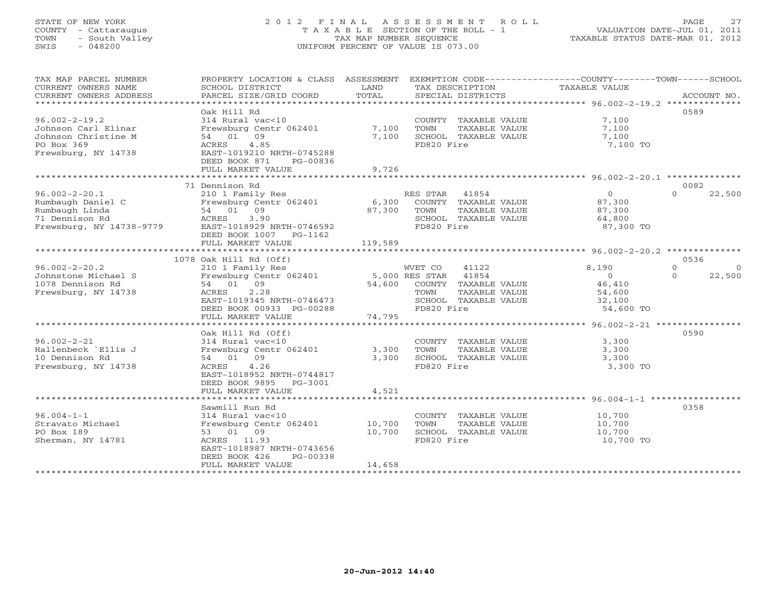# STATE OF NEW YORK 2 0 1 2 F I N A L A S S E S S M E N T R O L L PAGE 27 COUNTY - Cattaraugus T A X A B L E SECTION OF THE ROLL - 1 VALUATION DATE-JUL 01, 2011 TOWN - South Valley TAX MAP NUMBER SEQUENCE TAXABLE STATUS DATE-MAR 01, 2012 SWIS - 048200 UNIFORM PERCENT OF VALUE IS 073.00UNIFORM PERCENT OF VALUE IS 073.00

| TAX MAP PARCEL NUMBER<br>CURRENT OWNERS NAME<br>CURRENT OWNERS ADDRESS                                   | PROPERTY LOCATION & CLASS ASSESSMENT EXEMPTION CODE---------------COUNTY-------TOWN------SCHOOL<br>SCHOOL DISTRICT<br>PARCEL SIZE/GRID COORD                                                         | LAND<br>TOTAL               | TAX DESCRIPTION<br>SPECIAL DISTRICTS                                                                    | TAXABLE VALUE                                                      | ACCOUNT NO.                                        |
|----------------------------------------------------------------------------------------------------------|------------------------------------------------------------------------------------------------------------------------------------------------------------------------------------------------------|-----------------------------|---------------------------------------------------------------------------------------------------------|--------------------------------------------------------------------|----------------------------------------------------|
| $96.002 - 2 - 19.2$<br>Johnson Carl Elinar<br>Johnson Christine M<br>PO Box 369<br>Frewsburg, NY 14738   | Oak Hill Rd<br>314 Rural vac<10<br>Frewsburg Centr 062401<br>54 01 09<br>ACRES<br>4.85<br>EAST-1019210 NRTH-0745288<br>DEED BOOK 871<br>PG-00836<br>FULL MARKET VALUE                                | 7,100<br>7,100<br>9,726     | COUNTY TAXABLE VALUE<br>TOWN<br>TAXABLE VALUE<br>SCHOOL TAXABLE VALUE<br>FD820 Fire                     | 7,100<br>7,100<br>7,100<br>7,100 TO                                | 0589                                               |
|                                                                                                          | 71 Dennison Rd                                                                                                                                                                                       |                             |                                                                                                         |                                                                    | 0082                                               |
| $96.002 - 2 - 20.1$<br>Rumbaugh Daniel C<br>Rumbaugh Linda<br>71 Dennison Rd<br>Frewsburg, NY 14738-9779 | 210 1 Family Res<br>Frewsburg Centr $062401$ 6,300<br>54 01 09<br>3.90<br>ACRES<br>EAST-1018929 NRTH-0746592<br>DEED BOOK 1007 PG-1162<br>FULL MARKET VALUE                                          | 87,300<br>119,589           | RES STAR 41854<br>COUNTY TAXABLE VALUE<br>TOWN<br>TAXABLE VALUE<br>SCHOOL TAXABLE VALUE<br>FD820 Fire   | $\overline{0}$<br>87,300<br>87,300<br>64,800<br>87,300 TO          | $\Omega$<br>22,500                                 |
|                                                                                                          |                                                                                                                                                                                                      |                             |                                                                                                         |                                                                    |                                                    |
| $96.002 - 2 - 20.2$<br>Johnstone Michael S<br>1078 Dennison Rd<br>Frewsburg, NY 14738                    | 1078 Oak Hill Rd (Off)<br>210 1 Family Res<br>Frewsburg Centr 062401 5,000 RES STAR 41854<br>54 01 09<br>2.28<br>ACRES<br>EAST-1019345 NRTH-0746473<br>DEED BOOK 00933 PG-00288<br>FULL MARKET VALUE | 54,600<br>74,795            | 41122<br>WVET CO<br>COUNTY TAXABLE VALUE<br>TAXABLE VALUE<br>TOWN<br>SCHOOL TAXABLE VALUE<br>FD820 Fire | 8,190<br>$\overline{0}$<br>46,410<br>54,600<br>32,100<br>54,600 TO | 0536<br>$\Omega$<br>$\Omega$<br>22,500<br>$\Omega$ |
|                                                                                                          | **************************                                                                                                                                                                           | * * * * * * * * * * * * * * |                                                                                                         | ********************** 96.002-2-21 *****************               |                                                    |
| $96.002 - 2 - 21$<br>Hallenbeck `Ellis J<br>10 Dennison Rd<br>Frewsburg, NY 14738                        | Oak Hill Rd (Off)<br>314 Rural vac<10<br>Frewsburg Centr 062401<br>54 01 09<br>4.26<br>ACRES<br>EAST-1018952 NRTH-0744817<br>DEED BOOK 9895 PG-3001<br>FULL MARKET VALUE                             | 3,300<br>3,300<br>4,521     | COUNTY TAXABLE VALUE<br>TOWN<br>TAXABLE VALUE<br>SCHOOL TAXABLE VALUE<br>FD820 Fire                     | 3,300<br>3,300<br>3,300<br>3,300 TO                                | 0590                                               |
|                                                                                                          |                                                                                                                                                                                                      |                             |                                                                                                         |                                                                    |                                                    |
| $96.004 - 1 - 1$<br>Stravato Michael<br>PO Box 189<br>Sherman, NY 14781                                  | Sawmill Run Rd<br>314 Rural vac<10<br>Frewsburg Centr 062401 10,700<br>53 01 09<br>ACRES 11.93<br>EAST-1018987 NRTH-0743656<br>DEED BOOK 426<br>PG-00338<br>FULL MARKET VALUE                        | 10,700<br>14,658            | COUNTY TAXABLE VALUE<br><b>TOWN</b><br>TAXABLE VALUE<br>SCHOOL TAXABLE VALUE<br>FD820 Fire              | 10,700<br>10,700<br>10,700<br>10,700 TO                            | 0358                                               |
|                                                                                                          |                                                                                                                                                                                                      |                             |                                                                                                         |                                                                    |                                                    |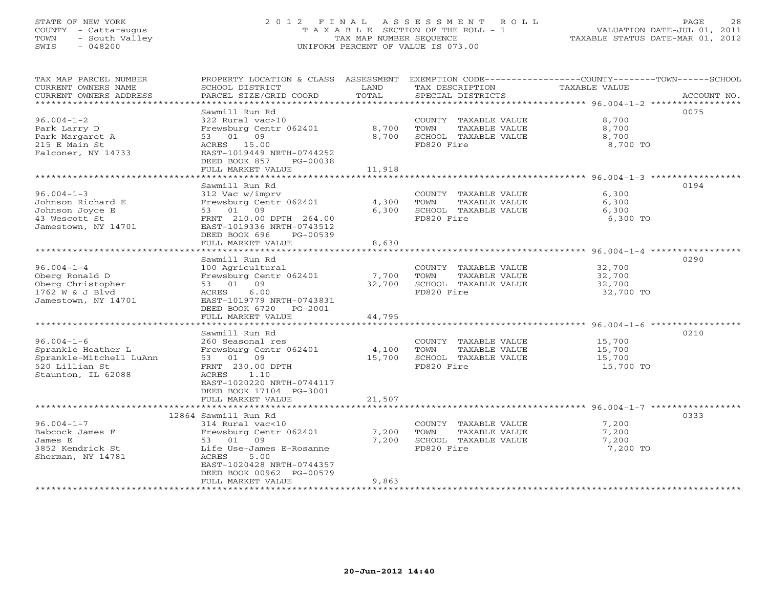# STATE OF NEW YORK 2 0 1 2 F I N A L A S S E S S M E N T R O L L PAGE 28 COUNTY - Cattaraugus T A X A B L E SECTION OF THE ROLL - 1 VALUATION DATE-JUL 01, 2011 TOWN - South Valley TAX MAP NUMBER SEQUENCE TAXABLE STATUS DATE-MAR 01, 2012 SWIS - 048200 UNIFORM PERCENT OF VALUE IS 073.00UNIFORM PERCENT OF VALUE IS 073.00

| TAX MAP PARCEL NUMBER<br>CURRENT OWNERS NAME<br>CURRENT OWNERS ADDRESS<br>***********************                                                                                        | PROPERTY LOCATION & CLASS ASSESSMENT<br>SCHOOL DISTRICT<br>PARCEL SIZE/GRID COORD                                                                                                                                                                                             | LAND<br>TOTAL                                             | EXEMPTION CODE-----------------COUNTY-------TOWN------SCHOOL<br>TAX DESCRIPTION<br>SPECIAL DISTRICTS                                                                       | <b>TAXABLE VALUE</b>                                                                                                             | ACCOUNT NO.  |
|------------------------------------------------------------------------------------------------------------------------------------------------------------------------------------------|-------------------------------------------------------------------------------------------------------------------------------------------------------------------------------------------------------------------------------------------------------------------------------|-----------------------------------------------------------|----------------------------------------------------------------------------------------------------------------------------------------------------------------------------|----------------------------------------------------------------------------------------------------------------------------------|--------------|
| $96.004 - 1 - 2$<br>Park Larry D<br>Park Margaret A<br>215 E Main St<br>Falconer, NY 14733                                                                                               | Sawmill Run Rd<br>322 Rural vac>10<br>Frewsburg Centr 062401<br>53 01 09<br>ACRES 15.00<br>EAST-1019449 NRTH-0744252<br>DEED BOOK 857<br>PG-00038<br>FULL MARKET VALUE                                                                                                        | 8,700<br>8,700<br>11,918                                  | COUNTY TAXABLE VALUE<br>TOWN<br>TAXABLE VALUE<br>SCHOOL TAXABLE VALUE<br>FD820 Fire                                                                                        | 8,700<br>8,700<br>8,700<br>8,700 TO                                                                                              | 0075         |
|                                                                                                                                                                                          |                                                                                                                                                                                                                                                                               |                                                           |                                                                                                                                                                            |                                                                                                                                  |              |
| $96.004 - 1 - 3$<br>Johnson Richard E<br>Johnson Joyce E<br>43 Wescott St<br>Jamestown, NY 14701                                                                                         | Sawmill Run Rd<br>312 Vac w/imprv<br>Frewsburg Centr 062401<br>53 01 09<br>FRNT 210.00 DPTH 264.00<br>EAST-1019336 NRTH-0743512<br>DEED BOOK 696<br>PG-00539                                                                                                                  | 4,300<br>6,300                                            | COUNTY TAXABLE VALUE<br>TOWN<br>TAXABLE VALUE<br>SCHOOL TAXABLE VALUE<br>FD820 Fire                                                                                        | 6,300<br>6,300<br>6,300<br>6,300 TO                                                                                              | 0194         |
|                                                                                                                                                                                          | FULL MARKET VALUE                                                                                                                                                                                                                                                             | 8,630                                                     |                                                                                                                                                                            |                                                                                                                                  |              |
| $96.004 - 1 - 4$<br>Oberg Ronald D<br>Oberg Christopher<br>1762 W & J Blvd<br>Jamestown, NY 14701<br>$96.004 - 1 - 6$<br>Sprankle Heather L<br>Sprankle-Mitchell LuAnn<br>520 Lillian St | Sawmill Run Rd<br>100 Agricultural<br>Frewsburg Centr 062401<br>53 01 09<br>ACRES<br>6.00<br>EAST-1019779 NRTH-0743831<br>DEED BOOK 6720<br>PG-2001<br>FULL MARKET VALUE<br>.<br>Sawmill Run Rd<br>260 Seasonal res<br>Frewsburg Centr 062401<br>53 01 09<br>FRNT 230.00 DPTH | 7,700<br>32,700<br>44,795<br>*********<br>4,100<br>15,700 | COUNTY TAXABLE VALUE<br>TOWN<br>TAXABLE VALUE<br>SCHOOL TAXABLE VALUE<br>FD820 Fire<br>COUNTY TAXABLE VALUE<br>TOWN<br>TAXABLE VALUE<br>SCHOOL TAXABLE VALUE<br>FD820 Fire | 32,700<br>32,700<br>32,700<br>32,700 TO<br>******************* 96.004-1-6 ***********<br>15,700<br>15,700<br>15,700<br>15,700 TO | 0290<br>0210 |
| Staunton, IL 62088                                                                                                                                                                       | ACRES<br>1.10<br>EAST-1020220 NRTH-0744117<br>DEED BOOK 17104 PG-3001<br>FULL MARKET VALUE<br>12864 Sawmill Run Rd                                                                                                                                                            | 21,507                                                    |                                                                                                                                                                            |                                                                                                                                  | 0333         |
| $96.004 - 1 - 7$<br>Babcock James F<br>James E<br>3852 Kendrick St<br>Sherman, NY 14781                                                                                                  | 314 Rural vac<10<br>Frewsburg Centr 062401<br>53 01 09<br>Life Use-James E-Rosanne<br>ACRES<br>5.00<br>EAST-1020428 NRTH-0744357<br>DEED BOOK 00962 PG-00579<br>FULL MARKET VALUE                                                                                             | 7,200<br>7,200<br>9,863                                   | COUNTY TAXABLE VALUE<br>TOWN<br>TAXABLE VALUE<br>SCHOOL TAXABLE VALUE<br>FD820 Fire                                                                                        | 7,200<br>7,200<br>7,200<br>7,200 TO                                                                                              |              |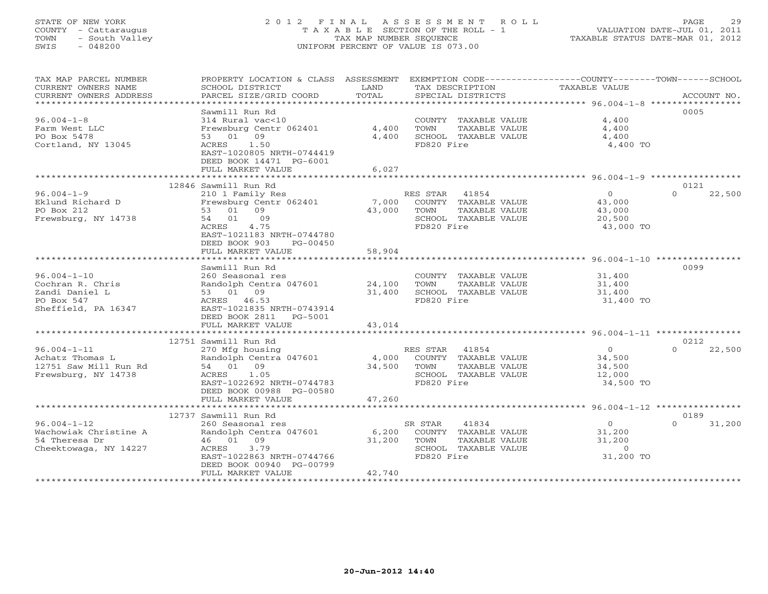# STATE OF NEW YORK 2 0 1 2 F I N A L A S S E S S M E N T R O L L PAGE 29 COUNTY - Cattaraugus T A X A B L E SECTION OF THE ROLL - 1 VALUATION DATE-JUL 01, 2011 TOWN - South Valley TAX MAP NUMBER SEQUENCE TAXABLE STATUS DATE-MAR 01, 2012 SWIS - 048200 UNIFORM PERCENT OF VALUE IS 073.00UNIFORM PERCENT OF VALUE IS 073.00

| TAX MAP PARCEL NUMBER<br>CURRENT OWNERS NAME<br>CURRENT OWNERS ADDRESS | PROPERTY LOCATION & CLASS ASSESSMENT<br>SCHOOL DISTRICT<br>PARCEL SIZE/GRID COORD | LAND<br>TOTAL | EXEMPTION CODE-----------------COUNTY-------TOWN------SCHOOL<br>TAX DESCRIPTION<br>SPECIAL DISTRICTS | TAXABLE VALUE            | ACCOUNT NO.        |
|------------------------------------------------------------------------|-----------------------------------------------------------------------------------|---------------|------------------------------------------------------------------------------------------------------|--------------------------|--------------------|
| ************************                                               |                                                                                   |               |                                                                                                      |                          |                    |
|                                                                        | Sawmill Run Rd                                                                    |               |                                                                                                      |                          | 0005               |
| $96.004 - 1 - 8$                                                       | 314 Rural vac<10                                                                  |               | COUNTY TAXABLE VALUE                                                                                 | 4,400                    |                    |
| Farm West LLC                                                          | Frewsburg Centr 062401                                                            | 4,400         | TOWN<br>TAXABLE VALUE                                                                                | 4,400                    |                    |
| PO Box 5478<br>Cortland, NY 13045                                      | 53 01 09<br>ACRES 1.50                                                            | 4,400         | SCHOOL TAXABLE VALUE<br>FD820 Fire                                                                   | 4,400<br>4,400 TO        |                    |
|                                                                        | EAST-1020805 NRTH-0744419                                                         |               |                                                                                                      |                          |                    |
|                                                                        | DEED BOOK 14471 PG-6001                                                           |               |                                                                                                      |                          |                    |
|                                                                        | FULL MARKET VALUE                                                                 | 6,027         |                                                                                                      |                          |                    |
|                                                                        |                                                                                   |               |                                                                                                      |                          |                    |
|                                                                        | 12846 Sawmill Run Rd                                                              |               |                                                                                                      |                          | 0121               |
| $96.004 - 1 - 9$                                                       | 210 1 Family Res                                                                  |               | RES STAR 41854                                                                                       | $\overline{O}$           | 22,500<br>$\Omega$ |
| Eklund Richard D                                                       | Frewsburg Centr 062401                                                            | 7,000         | COUNTY TAXABLE VALUE                                                                                 | 43,000                   |                    |
| PO Box 212                                                             | 53 01 09                                                                          | 43,000        | TOWN<br>TAXABLE VALUE                                                                                | 43,000                   |                    |
| Frewsburg, NY 14738                                                    | 54 01 09<br>ACRES<br>4.75                                                         |               | SCHOOL TAXABLE VALUE                                                                                 | 20,500                   |                    |
|                                                                        | EAST-1021183 NRTH-0744780                                                         |               | FD820 Fire                                                                                           | 43,000 TO                |                    |
|                                                                        | DEED BOOK 903<br>PG-00450                                                         |               |                                                                                                      |                          |                    |
|                                                                        | FULL MARKET VALUE                                                                 | 58,904        |                                                                                                      |                          |                    |
|                                                                        |                                                                                   |               |                                                                                                      |                          |                    |
|                                                                        | Sawmill Run Rd                                                                    |               |                                                                                                      |                          | 0099               |
| $96.004 - 1 - 10$                                                      | 260 Seasonal res                                                                  |               | COUNTY TAXABLE VALUE                                                                                 | 31,400                   |                    |
| Cochran R. Chris                                                       | Randolph Centra 047601 24,100                                                     |               | TAXABLE VALUE<br>TOWN                                                                                | 31,400                   |                    |
| Zandi Daniel L                                                         | 53 01 09                                                                          | 31,400        | SCHOOL TAXABLE VALUE                                                                                 | 31,400                   |                    |
| PO Box 547                                                             | ACRES 46.53                                                                       |               | FD820 Fire                                                                                           | 31,400 TO                |                    |
| Sheffield, PA 16347                                                    | EAST-1021835 NRTH-0743914                                                         |               |                                                                                                      |                          |                    |
|                                                                        | DEED BOOK 2811<br>PG-5001                                                         |               |                                                                                                      |                          |                    |
|                                                                        | FULL MARKET VALUE                                                                 | 43,014        |                                                                                                      |                          |                    |
|                                                                        | 12751 Sawmill Run Rd                                                              |               |                                                                                                      |                          | 0212               |
| $96.004 - 1 - 11$                                                      | 270 Mfg housing                                                                   |               | RES STAR 41854                                                                                       | $\overline{0}$           | 22,500<br>$\cap$   |
| Achatz Thomas L                                                        | Randolph Centra 047601                                                            |               | 4,000 COUNTY TAXABLE VALUE                                                                           | 34,500                   |                    |
| 12751 Saw Mill Run Rd                                                  | 54 01 09                                                                          | 34,500        | TAXABLE VALUE<br>TOWN                                                                                | 34,500                   |                    |
| Frewsburg, NY 14738                                                    | ACRES 1.05                                                                        |               | SCHOOL TAXABLE VALUE                                                                                 | 12,000                   |                    |
|                                                                        | EAST-1022692 NRTH-0744783                                                         |               | FD820 Fire                                                                                           | 34,500 TO                |                    |
|                                                                        | DEED BOOK 00988 PG-00580                                                          |               |                                                                                                      |                          |                    |
|                                                                        | FULL MARKET VALUE                                                                 | 47,260        |                                                                                                      |                          |                    |
|                                                                        |                                                                                   |               |                                                                                                      |                          |                    |
|                                                                        | 12737 Sawmill Run Rd                                                              |               |                                                                                                      |                          | 0189<br>$\cap$     |
| $96.004 - 1 - 12$<br>Wachowiak Christine A                             | 260 Seasonal res<br>Randolph Centra 047601                                        | 6,200         | 41834<br>SR STAR<br>COUNTY TAXABLE VALUE                                                             | $\overline{0}$<br>31,200 | 31,200             |
| 54 Theresa Dr                                                          | 46 01 09                                                                          | 31,200        | TOWN<br>TAXABLE VALUE                                                                                | 31,200                   |                    |
| Cheektowaga, NY 14227                                                  | 3.79<br>ACRES                                                                     |               | SCHOOL TAXABLE VALUE                                                                                 | $\overline{0}$           |                    |
|                                                                        | EAST-1022863 NRTH-0744766                                                         |               | FD820 Fire                                                                                           | 31,200 TO                |                    |
|                                                                        | DEED BOOK 00940 PG-00799                                                          |               |                                                                                                      |                          |                    |
|                                                                        | FULL MARKET VALUE                                                                 | 42,740        |                                                                                                      |                          |                    |
|                                                                        | ***********************                                                           |               |                                                                                                      |                          |                    |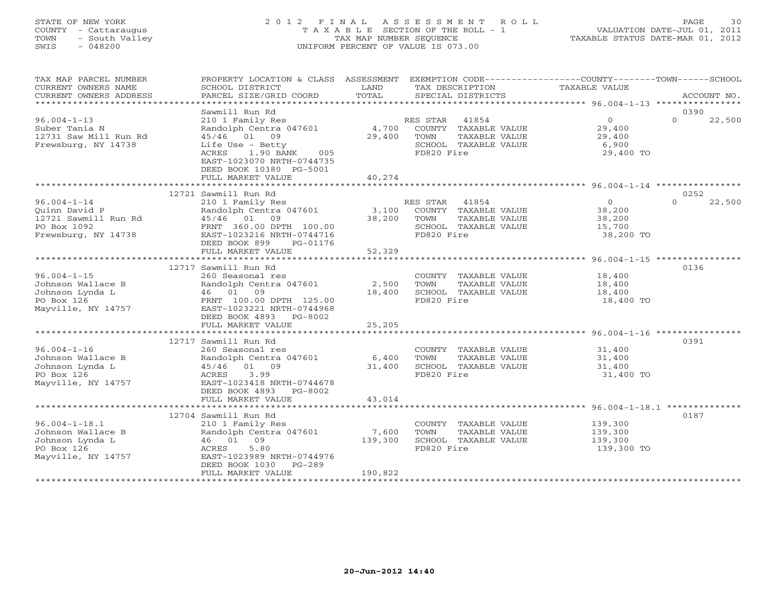# STATE OF NEW YORK 2 0 1 2 F I N A L A S S E S S M E N T R O L L PAGE 30 COUNTY - Cattaraugus T A X A B L E SECTION OF THE ROLL - 1 VALUATION DATE-JUL 01, 2011 TOWN - South Valley TAX MAP NUMBER SEQUENCE TAXABLE STATUS DATE-MAR 01, 2012 SWIS - 048200 UNIFORM PERCENT OF VALUE IS 073.00UNIFORM PERCENT OF VALUE IS 073.00

| TAX MAP PARCEL NUMBER<br>CURRENT OWNERS NAME<br>CURRENT OWNERS ADDRESS<br>************************* | PROPERTY LOCATION & CLASS ASSESSMENT<br>SCHOOL DISTRICT<br>PARCEL SIZE/GRID COORD                                                                                                                                   | LAND<br>TOTAL               | EXEMPTION CODE-----------------COUNTY-------TOWN------SCHOOL<br>TAX DESCRIPTION<br>SPECIAL DISTRICTS     | TAXABLE VALUE                                            | ACCOUNT NO.                |
|-----------------------------------------------------------------------------------------------------|---------------------------------------------------------------------------------------------------------------------------------------------------------------------------------------------------------------------|-----------------------------|----------------------------------------------------------------------------------------------------------|----------------------------------------------------------|----------------------------|
|                                                                                                     | Sawmill Run Rd                                                                                                                                                                                                      |                             |                                                                                                          |                                                          | 0390                       |
| $96.004 - 1 - 13$<br>Suber Tania N<br>12731 Saw Mill Run Rd<br>Frewsburg, NY 14738                  | 210 1 Family Res<br>Randolph Centra 047601<br>45/46 01 09<br>Life Use - Betty<br>1.90 BANK<br>005<br>ACRES<br>EAST-1023070 NRTH-0744735<br>DEED BOOK 10380 PG-5001<br>FULL MARKET VALUE                             | 4,700<br>29,400<br>40,274   | 41854<br>RES STAR<br>COUNTY TAXABLE VALUE<br>TOWN<br>TAXABLE VALUE<br>SCHOOL TAXABLE VALUE<br>FD820 Fire | $\overline{0}$<br>29,400<br>29,400<br>6,900<br>29,400 TO | $\Omega$<br>22,500         |
|                                                                                                     |                                                                                                                                                                                                                     |                             |                                                                                                          |                                                          |                            |
| $96.004 - 1 - 14$<br>Ouinn David P<br>12721 Sawmill Run Rd<br>PO Box 1092<br>Frewsburg, NY 14738    | 12721 Sawmill Run Rd<br>210 1 Family Res<br>Randolph Centra 047601<br>45/46 01<br>09<br>FRNT 360.00 DPTH 100.00<br>EAST-1023216 NRTH-0744716<br>DEED BOOK 899<br>PG-01176                                           | 3,100<br>38,200             | RES STAR<br>41854<br>COUNTY TAXABLE VALUE<br>TOWN<br>TAXABLE VALUE<br>SCHOOL TAXABLE VALUE<br>FD820 Fire | $\Omega$<br>38,200<br>38,200<br>15,700<br>38,200 TO      | 0252<br>$\Omega$<br>22,500 |
|                                                                                                     | FULL MARKET VALUE                                                                                                                                                                                                   | 52,329                      |                                                                                                          |                                                          |                            |
|                                                                                                     | *******************************                                                                                                                                                                                     | * * * * * * * * * * * * * * |                                                                                                          |                                                          |                            |
| $96.004 - 1 - 15$<br>Johnson Wallace B<br>Johnson Lynda L<br>PO Box 126<br>Mayville, NY 14757       | 12717 Sawmill Run Rd<br>260 Seasonal res<br>Randolph Centra 047601<br>46 01 09<br>FRNT 100.00 DPTH 125.00<br>EAST-1023221 NRTH-0744968<br>DEED BOOK 4893<br>PG-8002                                                 | 2,500<br>18,400             | COUNTY TAXABLE VALUE<br>TOWN<br>TAXABLE VALUE<br>SCHOOL TAXABLE VALUE<br>FD820 Fire                      | 18,400<br>18,400<br>18,400<br>18,400 TO                  | 0136                       |
|                                                                                                     | FULL MARKET VALUE                                                                                                                                                                                                   | 25,205                      |                                                                                                          |                                                          |                            |
| $96.004 - 1 - 16$<br>Johnson Wallace B<br>Johnson Lynda L<br>PO Box 126<br>Mayville, NY 14757       | 12717 Sawmill Run Rd<br>260 Seasonal res<br>Randolph Centra 047601<br>45/46 01 09<br>3.99<br>ACRES<br>EAST-1023418 NRTH-0744678<br>DEED BOOK 4893 PG-8002                                                           | 6,400<br>31,400             | COUNTY TAXABLE VALUE<br>TOWN<br>TAXABLE VALUE<br>SCHOOL TAXABLE VALUE<br>FD820 Fire                      | 31,400<br>31,400<br>31,400<br>31,400 TO                  | 0391                       |
|                                                                                                     | FULL MARKET VALUE                                                                                                                                                                                                   | 43,014                      |                                                                                                          |                                                          |                            |
| $96.004 - 1 - 18.1$<br>Johnson Wallace B<br>Johnson Lynda L<br>PO Box 126<br>Mayville, NY 14757     | ********************************<br>12704 Sawmill Run Rd<br>210 1 Family Res<br>Randolph Centra 047601<br>46 01 09<br>5.80<br>ACRES<br>EAST-1023989 NRTH-0744976<br>DEED BOOK 1030<br>$PG-289$<br>FULL MARKET VALUE | 7,600<br>139,300<br>190,822 | COUNTY TAXABLE VALUE<br>TOWN<br>TAXABLE VALUE<br>SCHOOL TAXABLE VALUE<br>FD820 Fire                      | 139,300<br>139,300<br>139,300<br>139,300 TO              | 0187                       |
|                                                                                                     |                                                                                                                                                                                                                     |                             |                                                                                                          |                                                          |                            |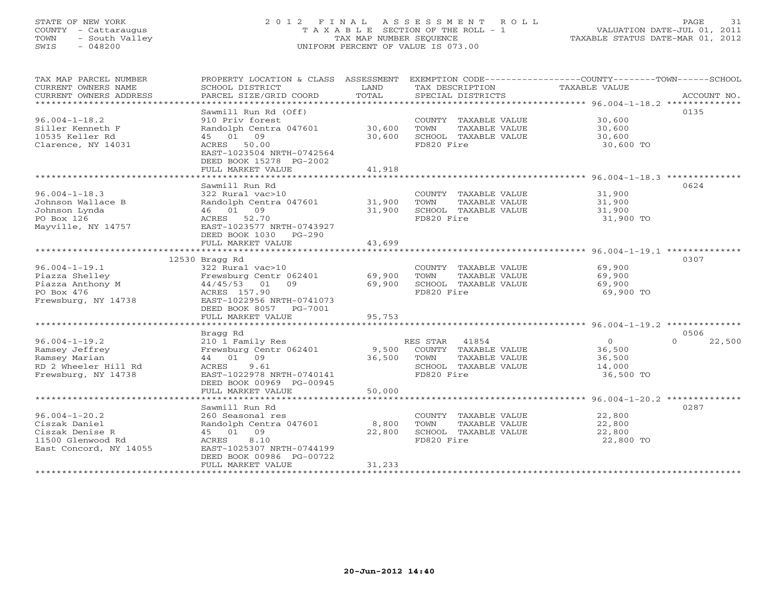# STATE OF NEW YORK 2 0 1 2 F I N A L A S S E S S M E N T R O L L PAGE 31 COUNTY - Cattaraugus T A X A B L E SECTION OF THE ROLL - 1 VALUATION DATE-JUL 01, 2011 TOWN - South Valley TAX MAP NUMBER SEQUENCE TAXABLE STATUS DATE-MAR 01, 2012 SWIS - 048200 UNIFORM PERCENT OF VALUE IS 073.00

| TAX MAP PARCEL NUMBER<br>CURRENT OWNERS NAME<br>CURRENT OWNERS ADDRESS<br>***********************                            | PROPERTY LOCATION & CLASS ASSESSMENT<br>SCHOOL DISTRICT<br>PARCEL SIZE/GRID COORD                                                                                                                                        | LAND<br>TOTAL                              | TAX DESCRIPTION<br>SPECIAL DISTRICTS                                                                     | EXEMPTION CODE-----------------COUNTY-------TOWN------SCHOOL<br>TAXABLE VALUE<br>ACCOUNT NO.                       |
|------------------------------------------------------------------------------------------------------------------------------|--------------------------------------------------------------------------------------------------------------------------------------------------------------------------------------------------------------------------|--------------------------------------------|----------------------------------------------------------------------------------------------------------|--------------------------------------------------------------------------------------------------------------------|
| $96.004 - 1 - 18.2$<br>Siller Kenneth F<br>10535 Keller Rd<br>Clarence, NY 14031                                             | Sawmill Run Rd (Off)<br>910 Priv forest<br>Randolph Centra 047601<br>45 01 09<br>ACRES 50.00<br>EAST-1023504 NRTH-0742564<br>DEED BOOK 15278 PG-2002<br>FULL MARKET VALUE                                                | 30,600<br>30,600<br>41,918                 | COUNTY TAXABLE VALUE<br>TOWN<br>TAXABLE VALUE<br>SCHOOL TAXABLE VALUE<br>FD820 Fire                      | 0135<br>30,600<br>30,600<br>30,600<br>30,600 TO                                                                    |
| $96.004 - 1 - 18.3$<br>Johnson Wallace B<br>Johnson Lynda<br>PO Box 126<br>Mayville, NY 14757                                | Sawmill Run Rd<br>322 Rural vac>10<br>Randolph Centra 047601<br>46 01 09<br>ACRES 52.70<br>EAST-1023577 NRTH-0743927<br>DEED BOOK 1030 PG-290<br>FULL MARKET VALUE                                                       | 31,900<br>31,900<br>43,699                 | COUNTY TAXABLE VALUE<br>TOWN<br>TAXABLE VALUE<br>SCHOOL TAXABLE VALUE<br>FD820 Fire                      | 0624<br>31,900<br>31,900<br>31,900<br>31,900 TO                                                                    |
| $96.004 - 1 - 19.1$<br>Piazza Shelley<br>Piazza Anthony M<br>PO Box 476<br>Frewsburg, NY 14738                               | 12530 Bragg Rd<br>322 Rural vac>10<br>Frewsburg Centr 062401<br>44/45/53 01<br>09<br>ACRES 157.90<br>EAST-1022956 NRTH-0741073<br>DEED BOOK 8057 PG-7001<br>FULL MARKET VALUE<br>* * * * * * * * * * * * * * * * * * * * | 69,900<br>69,900<br>95,753<br>************ | COUNTY TAXABLE VALUE<br>TOWN<br>TAXABLE VALUE<br>SCHOOL TAXABLE VALUE<br>FD820 Fire                      | 0307<br>69,900<br>69,900<br>69,900<br>69,900 TO<br>********************************** 96.004-1-19.2 ************** |
| $96.004 - 1 - 19.2$<br>Ramsey Jeffrey<br>Ramsey Marian<br>RD 2 Wheeler Hill Rd<br>Frewsburg, NY 14738                        | Bragg Rd<br>210 1 Family Res<br>Frewsburg Centr 062401<br>44 01 09<br>ACRES<br>9.61<br>EAST-1022978 NRTH-0740141<br>DEED BOOK 00969 PG-00945<br>FULL MARKET VALUE                                                        | 9,500<br>36,500<br>50,000                  | RES STAR<br>41854<br>COUNTY TAXABLE VALUE<br>TOWN<br>TAXABLE VALUE<br>SCHOOL TAXABLE VALUE<br>FD820 Fire | 0506<br>$\Omega$<br>22,500<br>$\Omega$<br>36,500<br>36,500<br>14,000<br>36,500 TO                                  |
| $96.004 - 1 - 20.2$<br>Ciszak Daniel<br>Ciszak Denise R<br>11500 Glenwood Rd<br>East Concord, NY 14055<br>****************** | Sawmill Run Rd<br>260 Seasonal res<br>Randolph Centra 047601<br>45 01 09<br>ACRES<br>8.10<br>EAST-1025307 NRTH-0744199<br>DEED BOOK 00986 PG-00722<br>FULL MARKET VALUE                                                  | 8,800<br>22,800<br>31,233                  | COUNTY TAXABLE VALUE<br>TOWN<br>TAXABLE VALUE<br>SCHOOL TAXABLE VALUE<br>FD820 Fire                      | 0287<br>22,800<br>22,800<br>22,800<br>22,800 TO                                                                    |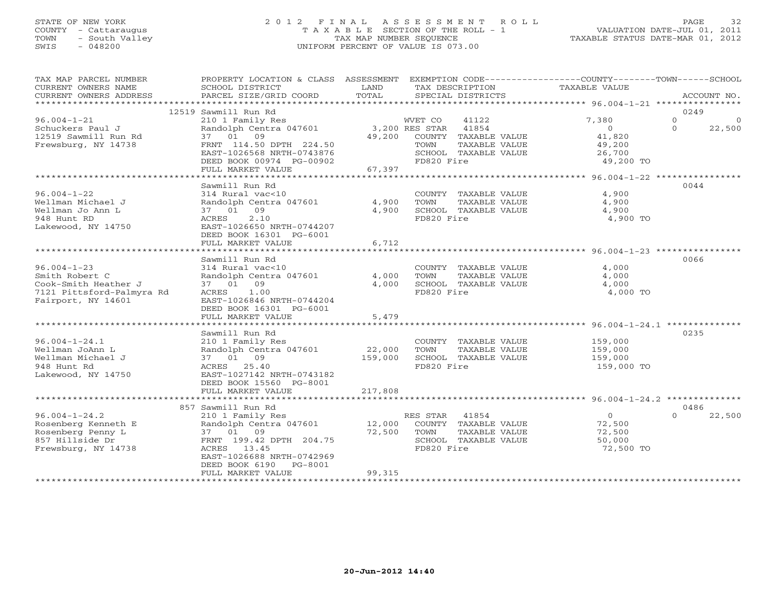# STATE OF NEW YORK 2 0 1 2 F I N A L A S S E S S M E N T R O L L PAGE 32 COUNTY - Cattaraugus T A X A B L E SECTION OF THE ROLL - 1 VALUATION DATE-JUL 01, 2011 TOWN - South Valley TAX MAP NUMBER SEQUENCE TAXABLE STATUS DATE-MAR 01, 2012 SWIS - 048200 UNIFORM PERCENT OF VALUE IS 073.00UNIFORM PERCENT OF VALUE IS 073.00

| TAX MAP PARCEL NUMBER                         | PROPERTY LOCATION & CLASS ASSESSMENT                 |                | EXEMPTION CODE-----------------COUNTY-------TOWN------SCHOOL |                |          |             |
|-----------------------------------------------|------------------------------------------------------|----------------|--------------------------------------------------------------|----------------|----------|-------------|
| CURRENT OWNERS NAME<br>CURRENT OWNERS ADDRESS | SCHOOL DISTRICT<br>PARCEL SIZE/GRID COORD            | LAND<br>TOTAL  | TAX DESCRIPTION<br>SPECIAL DISTRICTS                         | TAXABLE VALUE  |          | ACCOUNT NO. |
| ***********************                       |                                                      |                |                                                              |                |          |             |
|                                               | 12519 Sawmill Run Rd                                 |                |                                                              |                | 0249     |             |
| $96.004 - 1 - 21$                             | 210 1 Family Res                                     |                | WVET CO<br>41122                                             | 7,380          | $\Omega$ | $\circ$     |
| Schuckers Paul J                              | Randolph Centra 047601                               | 3,200 RES STAR | 41854                                                        | $\circ$        | $\circ$  | 22,500      |
| 12519 Sawmill Run Rd                          | 37 01 09                                             | 49,200         | COUNTY TAXABLE VALUE                                         | 41,820         |          |             |
| Frewsburg, NY 14738                           | FRNT 114.50 DPTH 224.50                              |                | TAXABLE VALUE<br>TOWN                                        | 49,200         |          |             |
|                                               | EAST-1026568 NRTH-0743876                            |                | SCHOOL TAXABLE VALUE                                         | 26,700         |          |             |
|                                               | DEED BOOK 00974 PG-00902                             |                | FD820 Fire                                                   | 49,200 TO      |          |             |
|                                               | FULL MARKET VALUE                                    | 67,397         |                                                              |                |          |             |
|                                               |                                                      |                |                                                              |                | 0044     |             |
| $96.004 - 1 - 22$                             | Sawmill Run Rd<br>314 Rural vac<10                   |                | COUNTY TAXABLE VALUE                                         | 4,900          |          |             |
| Wellman Michael J                             | Randolph Centra 047601                               | 4,900          | TOWN<br>TAXABLE VALUE                                        | 4,900          |          |             |
| Wellman Jo Ann L                              | 37 01 09                                             | 4,900          | SCHOOL TAXABLE VALUE                                         | 4,900          |          |             |
| 948 Hunt RD                                   | 2.10<br>ACRES                                        |                | FD820 Fire                                                   | 4,900 TO       |          |             |
| Lakewood, NY 14750                            | EAST-1026650 NRTH-0744207                            |                |                                                              |                |          |             |
|                                               | DEED BOOK 16301 PG-6001                              |                |                                                              |                |          |             |
|                                               | FULL MARKET VALUE                                    | 6,712          |                                                              |                |          |             |
|                                               |                                                      |                |                                                              |                |          |             |
|                                               | Sawmill Run Rd                                       |                |                                                              |                | 0066     |             |
| $96.004 - 1 - 23$                             | 314 Rural vac<10                                     |                | COUNTY TAXABLE VALUE                                         | 4,000          |          |             |
| Smith Robert C                                | Randolph Centra 047601                               | 4,000          | TOWN<br>TAXABLE VALUE                                        | 4,000          |          |             |
| Cook-Smith Heather J                          | 37 01 09                                             | 4,000          | SCHOOL TAXABLE VALUE                                         | 4,000          |          |             |
| 7121 Pittsford-Palmyra Rd                     | 1.00<br>ACRES                                        |                | FD820 Fire                                                   | 4,000 TO       |          |             |
| Fairport, NY 14601                            | EAST-1026846 NRTH-0744204<br>DEED BOOK 16301 PG-6001 |                |                                                              |                |          |             |
|                                               | FULL MARKET VALUE                                    | 5,479          |                                                              |                |          |             |
|                                               |                                                      |                |                                                              |                |          |             |
|                                               | Sawmill Run Rd                                       |                |                                                              |                | 0235     |             |
| $96.004 - 1 - 24.1$                           | 210 1 Family Res                                     |                | COUNTY TAXABLE VALUE                                         | 159,000        |          |             |
| Wellman JoAnn L                               | Randolph Centra 047601                               | 22,000         | TOWN<br>TAXABLE VALUE                                        | 159,000        |          |             |
| Wellman Michael J                             | 37 01 09                                             | 159,000        | SCHOOL TAXABLE VALUE                                         | 159,000        |          |             |
| 948 Hunt Rd                                   | 25.40<br>ACRES                                       |                | FD820 Fire                                                   | 159,000 TO     |          |             |
| Lakewood, NY 14750                            | EAST-1027142 NRTH-0743182                            |                |                                                              |                |          |             |
|                                               | DEED BOOK 15560 PG-8001                              |                |                                                              |                |          |             |
|                                               | FULL MARKET VALUE                                    | 217,808        |                                                              |                |          |             |
|                                               | 857 Sawmill Run Rd                                   |                |                                                              |                | 0486     |             |
| $96.004 - 1 - 24.2$                           | 210 1 Family Res                                     |                | RES STAR<br>41854                                            | $\overline{0}$ | $\Omega$ | 22,500      |
| Rosenberg Kenneth E                           | Randolph Centra 047601                               | 12,000         | COUNTY TAXABLE VALUE                                         | 72,500         |          |             |
| Rosenberg Penny L                             | 37 01 09                                             | 72,500         | TOWN<br>TAXABLE VALUE                                        | 72,500         |          |             |
| 857 Hillside Dr                               | FRNT 199.42 DPTH 204.75                              |                | SCHOOL TAXABLE VALUE                                         | 50,000         |          |             |
| Frewsburg, NY 14738                           | ACRES 13.45                                          |                | FD820 Fire                                                   | 72,500 TO      |          |             |
|                                               | EAST-1026688 NRTH-0742969                            |                |                                                              |                |          |             |
|                                               | DEED BOOK 6190 PG-8001                               |                |                                                              |                |          |             |
|                                               | FULL MARKET VALUE                                    | 99,315         |                                                              |                |          |             |
|                                               |                                                      |                |                                                              |                |          |             |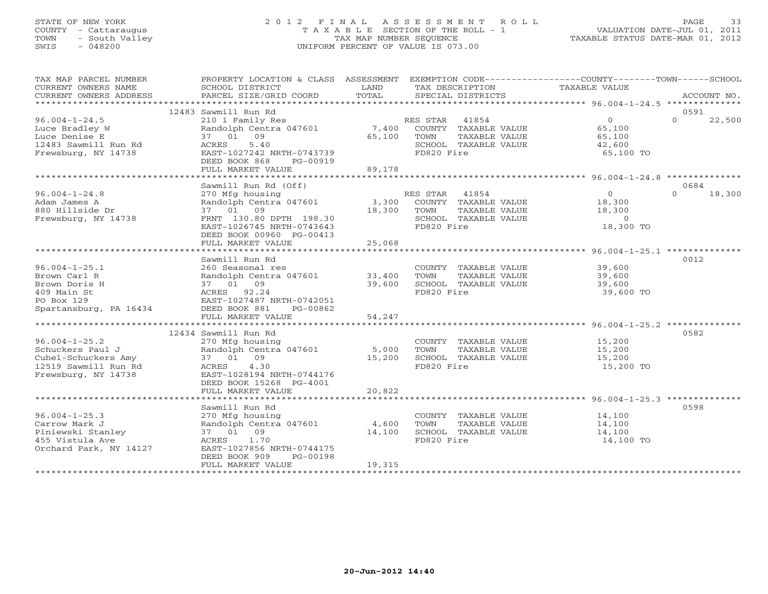# STATE OF NEW YORK 2 0 1 2 F I N A L A S S E S S M E N T R O L L PAGE 33 COUNTY - Cattaraugus T A X A B L E SECTION OF THE ROLL - 1 VALUATION DATE-JUL 01, 2011 TOWN - South Valley TAX MAP NUMBER SEQUENCE TAXABLE STATUS DATE-MAR 01, 2012 SWIS - 048200 UNIFORM PERCENT OF VALUE IS 073.00UNIFORM PERCENT OF VALUE IS 073.00

| TAX MAP PARCEL NUMBER                                                                                         | PROPERTY LOCATION & CLASS ASSESSMENT                                                                                                                                                     |                  |                                                                                     | EXEMPTION CODE-----------------COUNTY-------TOWN------SCHOOL         |                    |
|---------------------------------------------------------------------------------------------------------------|------------------------------------------------------------------------------------------------------------------------------------------------------------------------------------------|------------------|-------------------------------------------------------------------------------------|----------------------------------------------------------------------|--------------------|
|                                                                                                               | 12483 Sawmill Run Rd                                                                                                                                                                     |                  |                                                                                     |                                                                      | 0591               |
| $96.004 - 1 - 24.5$<br>Luce Bradley W<br>Luce Denise E<br>12483 Sawmill Run Rd<br>Frewsburg, NY 14738         | 210 1 Family Res<br>Randolph Centra 047601 7,400 COUNTY TAXABLE VALUE 65,100<br>37 01 09<br>5.40<br>ACRES<br>EAST-1027242 NRTH-0743739<br>DEED BOOK 868<br>PG-00919<br>FULL MARKET VALUE | 65,100<br>89,178 | RES STAR 41854<br>TOWN<br>TAXABLE VALUE<br>FD820 Fire                               | $\overline{0}$<br>65,100<br>SCHOOL TAXABLE VALUE 42,600<br>65,100 TO | $\Omega$<br>22,500 |
|                                                                                                               | Sawmill Run Rd (Off)                                                                                                                                                                     |                  |                                                                                     |                                                                      | 0684               |
| $96.004 - 1 - 24.8$<br>Adam James A<br>880 Hillside Dr<br>Frewsburg, NY 14738                                 | 270 Mfg housing<br>Randolph Centra 047601 3,300 COUNTY TAXABLE VALUE<br>37 01 09<br>FRNT 130.80 DPTH 198.30<br>EAST-1026745 NRTH-0743643<br>DEED BOOK 00960 PG-00413                     | 18,300           | RES STAR 41854<br>TOWN<br>TAXABLE VALUE<br>SCHOOL TAXABLE VALUE<br>FD820 Fire       | $\overline{0}$<br>18,300<br>18,300<br>$\sim$ 0<br>18,300 TO          | $\Omega$<br>18,300 |
|                                                                                                               | FULL MARKET VALUE                                                                                                                                                                        | 25,068           |                                                                                     |                                                                      |                    |
| $96.004 - 1 - 25.1$<br>Brown Carl R<br>Brown Doris H<br>409 Main St                                           | Sawmill Run Rd<br>260 Seasonal res<br>Randolph Centra 047601 33,400<br>Randolph Centra 047601<br>37    01    09<br>ACRES    92.24<br>EAST-1027487 NRTH-0742051                           | 39,600           | TOWN<br>TAXABLE VALUE<br>SCHOOL TAXABLE VALUE<br>FD820 Fire                         | COUNTY TAXABLE VALUE 39,600<br>39,600<br>39,600<br>39,600 TO         | 0012               |
| PO Box 129<br>Spartansburg, PA 16434 DEED BOOK 881                                                            | PG-00862<br>FULL MARKET VALUE                                                                                                                                                            | 54,247           |                                                                                     |                                                                      |                    |
|                                                                                                               | 12434 Sawmill Run Rd                                                                                                                                                                     |                  |                                                                                     |                                                                      | 0582               |
| $96.004 - 1 - 25.2$<br>Schuckers Paul J<br>Cuhel-Schuckers Amy<br>12519 Sawmill Run Rd<br>Frewsburg, NY 14738 | 270 Mfg housing<br>Randolph Centra 047601 5,000<br>37 01 09<br>ACRES 4.30<br>EAST-1028194 NRTH-0744176<br>DEED BOOK 15268 PG-4001                                                        | 15,200           | TOWN<br>TAXABLE VALUE<br>SCHOOL TAXABLE VALUE<br>FD820 Fire                         | COUNTY TAXABLE VALUE 15,200<br>15,200<br>15,200<br>15,200 TO         |                    |
|                                                                                                               | FULL MARKET VALUE                                                                                                                                                                        | 20,822           |                                                                                     |                                                                      |                    |
| $96.004 - 1 - 25.3$<br>Carrow Mark J<br>Piniewski Stanley<br>455 Vistula Ave<br>Orchard Park, NY 14127        | Sawmill Run Rd<br>270 Mfg housing<br>Randolph Centra 047601 4,600<br>37 01 09<br>1.70<br>ACRES<br>EAST-1027856 NRTH-0744175<br>DEED BOOK 909<br>PG-00198                                 | 14,100<br>19,315 | COUNTY TAXABLE VALUE<br>TAXABLE VALUE<br>TOWN<br>SCHOOL TAXABLE VALUE<br>FD820 Fire | 14,100<br>14,100<br>14,100<br>14,100 TO                              | 0598               |
|                                                                                                               | FULL MARKET VALUE                                                                                                                                                                        |                  |                                                                                     |                                                                      |                    |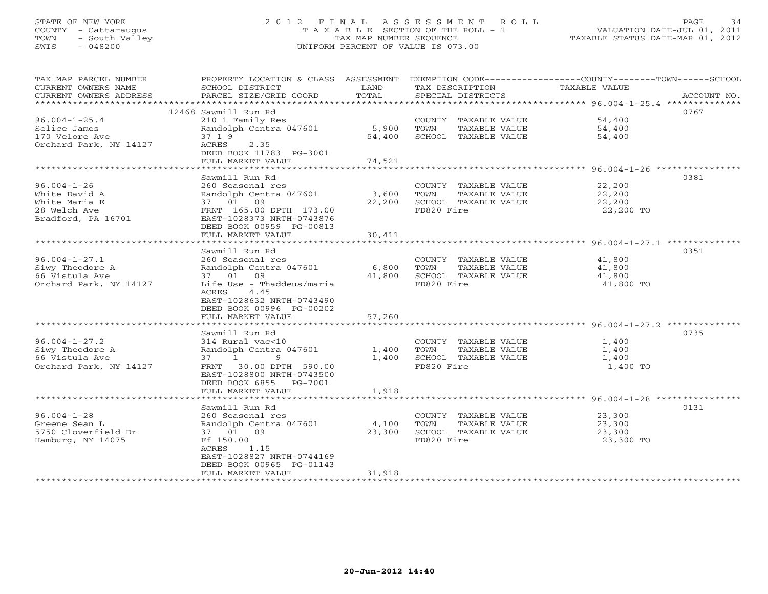# STATE OF NEW YORK 2 0 1 2 F I N A L A S S E S S M E N T R O L L PAGE 34 COUNTY - Cattaraugus T A X A B L E SECTION OF THE ROLL - 1 VALUATION DATE-JUL 01, 2011 TOWN - South Valley TAX MAP NUMBER SEQUENCE TAXABLE STATUS DATE-MAR 01, 2012 SWIS - 048200 UNIFORM PERCENT OF VALUE IS 073.00UNIFORM PERCENT OF VALUE IS 073.00

| TAX MAP PARCEL NUMBER<br>CURRENT OWNERS NAME<br>CURRENT OWNERS ADDRESS<br>*********************** | PROPERTY LOCATION & CLASS ASSESSMENT<br>SCHOOL DISTRICT<br>PARCEL SIZE/GRID COORD | LAND<br>TOTAL | TAX DESCRIPTION<br>SPECIAL DISTRICTS | EXEMPTION CODE-----------------COUNTY-------TOWN------SCHOOL<br><b>TAXABLE VALUE</b><br>ACCOUNT NO. |
|---------------------------------------------------------------------------------------------------|-----------------------------------------------------------------------------------|---------------|--------------------------------------|-----------------------------------------------------------------------------------------------------|
|                                                                                                   | 12468 Sawmill Run Rd                                                              |               |                                      | 0767                                                                                                |
|                                                                                                   |                                                                                   |               | COUNTY TAXABLE VALUE                 |                                                                                                     |
| $96.004 - 1 - 25.4$<br>Selice James                                                               | 210 1 Family Res<br>Randolph Centra 047601                                        | 5,900         | TOWN<br>TAXABLE VALUE                | 54,400<br>54,400                                                                                    |
| 170 Velore Ave                                                                                    | 37 1 9                                                                            | 54,400        | SCHOOL TAXABLE VALUE                 | 54,400                                                                                              |
| Orchard Park, NY 14127                                                                            | 2.35<br>ACRES                                                                     |               |                                      |                                                                                                     |
|                                                                                                   | DEED BOOK 11783 PG-3001                                                           |               |                                      |                                                                                                     |
|                                                                                                   | FULL MARKET VALUE                                                                 | 74,521        |                                      |                                                                                                     |
|                                                                                                   | ********************                                                              |               |                                      |                                                                                                     |
|                                                                                                   | Sawmill Run Rd                                                                    |               |                                      | 0381                                                                                                |
| $96.004 - 1 - 26$                                                                                 | 260 Seasonal res                                                                  |               | COUNTY TAXABLE VALUE                 | 22,200                                                                                              |
| White David A                                                                                     | Randolph Centra 047601                                                            | 3,600         | TOWN<br>TAXABLE VALUE                | 22,200                                                                                              |
| White Maria E                                                                                     | 37 01 09                                                                          | 22,200        | SCHOOL TAXABLE VALUE                 | 22,200                                                                                              |
| 28 Welch Ave                                                                                      | FRNT 165.00 DPTH 173.00                                                           |               | FD820 Fire                           | 22,200 TO                                                                                           |
| Bradford, PA 16701                                                                                | EAST-1028373 NRTH-0743876                                                         |               |                                      |                                                                                                     |
|                                                                                                   | DEED BOOK 00959 PG-00813                                                          |               |                                      |                                                                                                     |
|                                                                                                   | FULL MARKET VALUE                                                                 | 30,411        |                                      |                                                                                                     |
|                                                                                                   | * * * * * * * * * * * * * * * * *                                                 | ********      |                                      | ********************* 96.004-1-27.1 ***************                                                 |
|                                                                                                   | Sawmill Run Rd                                                                    |               |                                      | 0351                                                                                                |
| $96.004 - 1 - 27.1$                                                                               | 260 Seasonal res                                                                  |               | COUNTY TAXABLE VALUE                 | 41,800                                                                                              |
| Siwy Theodore A                                                                                   | Randolph Centra 047601                                                            | 6,800         | TOWN<br>TAXABLE VALUE                | 41,800                                                                                              |
| 66 Vistula Ave                                                                                    | 37 01<br>09                                                                       | 41,800        | SCHOOL TAXABLE VALUE                 | 41,800                                                                                              |
| Orchard Park, NY 14127                                                                            | Life Use - Thaddeus/maria                                                         |               | FD820 Fire                           | 41,800 TO                                                                                           |
|                                                                                                   | ACRES<br>4.45                                                                     |               |                                      |                                                                                                     |
|                                                                                                   | EAST-1028632 NRTH-0743490                                                         |               |                                      |                                                                                                     |
|                                                                                                   | DEED BOOK 00996 PG-00202                                                          |               |                                      |                                                                                                     |
|                                                                                                   | FULL MARKET VALUE                                                                 | 57,260        |                                      |                                                                                                     |
|                                                                                                   | *************************                                                         |               |                                      | ****************************** 96.004-1-27.2 *******                                                |
|                                                                                                   | Sawmill Run Rd                                                                    |               |                                      | 0735                                                                                                |
| $96.004 - 1 - 27.2$                                                                               | 314 Rural vac<10                                                                  |               | COUNTY TAXABLE VALUE                 | 1,400                                                                                               |
| Siwy Theodore A                                                                                   | Randolph Centra 047601                                                            | 1,400         | TOWN<br>TAXABLE VALUE                | 1,400                                                                                               |
| 66 Vistula Ave                                                                                    | 37 1 9                                                                            | 1,400         | SCHOOL TAXABLE VALUE                 | 1,400                                                                                               |
| Orchard Park, NY 14127                                                                            | FRNT 30.00 DPTH 590.00                                                            |               | FD820 Fire                           | 1,400 TO                                                                                            |
|                                                                                                   | EAST-1028800 NRTH-0743500                                                         |               |                                      |                                                                                                     |
|                                                                                                   | DEED BOOK 6855 PG-7001                                                            |               |                                      |                                                                                                     |
|                                                                                                   | FULL MARKET VALUE                                                                 | 1,918         |                                      |                                                                                                     |
|                                                                                                   |                                                                                   |               |                                      |                                                                                                     |
|                                                                                                   | Sawmill Run Rd                                                                    |               |                                      | 0131                                                                                                |
| $96.004 - 1 - 28$                                                                                 | 260 Seasonal res                                                                  |               | COUNTY TAXABLE VALUE                 | 23,300                                                                                              |
| Greene Sean L                                                                                     | Randolph Centra 047601                                                            | 4,100         | TOWN<br>TAXABLE VALUE                | 23,300                                                                                              |
| 5750 Cloverfield Dr<br>Hamburg, NY 14075                                                          | 37 01 09<br>Ff 150.00                                                             | 23,300        | SCHOOL TAXABLE VALUE<br>FD820 Fire   | 23,300<br>23,300 TO                                                                                 |
|                                                                                                   | 1.15<br>ACRES                                                                     |               |                                      |                                                                                                     |
|                                                                                                   | EAST-1028827 NRTH-0744169                                                         |               |                                      |                                                                                                     |
|                                                                                                   | DEED BOOK 00965 PG-01143                                                          |               |                                      |                                                                                                     |
|                                                                                                   | FULL MARKET VALUE                                                                 | 31,918        |                                      |                                                                                                     |
|                                                                                                   |                                                                                   |               |                                      |                                                                                                     |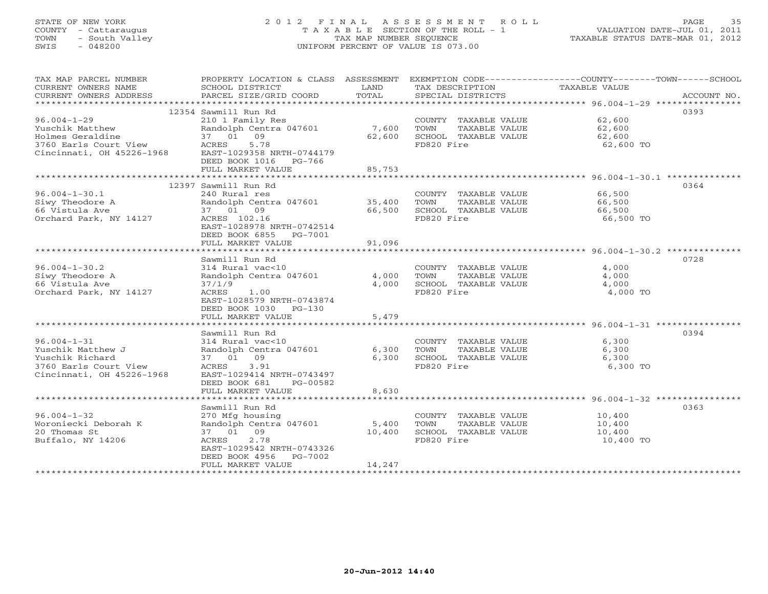# STATE OF NEW YORK 2 0 1 2 F I N A L A S S E S S M E N T R O L L PAGE 35 COUNTY - Cattaraugus T A X A B L E SECTION OF THE ROLL - 1 VALUATION DATE-JUL 01, 2011 TOWN - South Valley TAX MAP NUMBER SEQUENCE TAXABLE STATUS DATE-MAR 01, 2012 SWIS - 048200 UNIFORM PERCENT OF VALUE IS 073.00UNIFORM PERCENT OF VALUE IS 073.00

| TAX MAP PARCEL NUMBER                                                                                                                                          | PROPERTY LOCATION & CLASS ASSESSMENT |        |                             | EXEMPTION CODE-----------------COUNTY-------TOWN------SCHOOL |
|----------------------------------------------------------------------------------------------------------------------------------------------------------------|--------------------------------------|--------|-----------------------------|--------------------------------------------------------------|
| CURRENT OWNERS NAME                                                                                                                                            | SCHOOL DISTRICT                      | LAND   | TAX DESCRIPTION             | TAXABLE VALUE                                                |
| CURRENT OWNERS ADDRESS                                                                                                                                         | PARCEL SIZE/GRID COORD               | TOTAL  | SPECIAL DISTRICTS           | ACCOUNT NO.                                                  |
|                                                                                                                                                                |                                      |        |                             |                                                              |
|                                                                                                                                                                | 12354 Sawmill Run Rd                 |        |                             | 0393                                                         |
| $96.004 - 1 - 29$                                                                                                                                              | 210 1 Family Res                     |        | COUNTY TAXABLE VALUE 62,600 |                                                              |
|                                                                                                                                                                |                                      | 7,600  | TOWN<br>TAXABLE VALUE       | 62,600                                                       |
|                                                                                                                                                                |                                      | 62,600 | SCHOOL TAXABLE VALUE        | 62,600                                                       |
|                                                                                                                                                                |                                      |        | FD820 Fire                  | 62,600 TO                                                    |
| Yuschik Matthew Randolph Centra 047601<br>Holmes Geraldine 37 01 09<br>3760 Earls Court View ACRES 5.78<br>Cincinnati, OH 45226-1968 EAST-1029358 NRTH-0744179 |                                      |        |                             |                                                              |
|                                                                                                                                                                | DEED BOOK 1016 PG-766                |        |                             |                                                              |
|                                                                                                                                                                | FULL MARKET VALUE                    | 85,753 |                             |                                                              |
|                                                                                                                                                                |                                      |        |                             |                                                              |
|                                                                                                                                                                | 12397 Sawmill Run Rd                 |        |                             | 0364                                                         |
| $96.004 - 1 - 30.1$                                                                                                                                            | 240 Rural res                        |        | COUNTY TAXABLE VALUE        | 66,500                                                       |
| Siwy Theodore A                                                                                                                                                | Randolph Centra 047601 35,400        |        | TOWN<br>TAXABLE VALUE       | 66,500                                                       |
| 66 Vistula Ave                                                                                                                                                 | 37 01 09                             | 66,500 | SCHOOL TAXABLE VALUE        | 66,500                                                       |
| Orchard Park, NY 14127                                                                                                                                         | ACRES 102.16                         |        | FD820 Fire                  | 66,500 TO                                                    |
|                                                                                                                                                                | EAST-1028978 NRTH-0742514            |        |                             |                                                              |
|                                                                                                                                                                | DEED BOOK 6855 PG-7001               |        |                             |                                                              |
|                                                                                                                                                                | FULL MARKET VALUE                    | 91,096 |                             |                                                              |
|                                                                                                                                                                |                                      |        |                             |                                                              |
|                                                                                                                                                                | Sawmill Run Rd                       |        |                             | 0728                                                         |
| $96.004 - 1 - 30.2$                                                                                                                                            | 314 Rural vac<10                     |        | COUNTY TAXABLE VALUE        | 4,000                                                        |
| Siwy Theodore A                                                                                                                                                | Randolph Centra 047601               | 4,000  | TOWN<br>TAXABLE VALUE       | 4,000                                                        |
| 66 Vistula Ave                                                                                                                                                 | 37/1/9                               | 4,000  | SCHOOL TAXABLE VALUE        | 4,000                                                        |
| Orchard Park, NY 14127                                                                                                                                         | 1.00<br>ACRES                        |        | FD820 Fire                  | 4,000 TO                                                     |
|                                                                                                                                                                | EAST-1028579 NRTH-0743874            |        |                             |                                                              |
|                                                                                                                                                                | DEED BOOK 1030 PG-130                |        |                             |                                                              |
|                                                                                                                                                                | FULL MARKET VALUE                    | 5,479  |                             |                                                              |
|                                                                                                                                                                |                                      |        |                             |                                                              |
|                                                                                                                                                                | Sawmill Run Rd                       |        |                             | 0394                                                         |
| $96.004 - 1 - 31$                                                                                                                                              | 314 Rural vac<10                     |        | COUNTY TAXABLE VALUE        | 6,300                                                        |
| Yuschik Matthew J                                                                                                                                              | Randolph Centra 047601               | 6,300  | TOWN<br>TAXABLE VALUE       | 6,300                                                        |
| Yuschik Richard                                                                                                                                                | 37 01 09                             | 6,300  | SCHOOL TAXABLE VALUE        | 6,300                                                        |
| 3760 Earls Court View                                                                                                                                          | 3.91<br>ACRES                        |        | FD820 Fire                  | 6,300 TO                                                     |
| Cincinnati, OH 45226-1968                                                                                                                                      | EAST-1029414 NRTH-0743497            |        |                             |                                                              |
|                                                                                                                                                                | DEED BOOK 681<br>PG-00582            |        |                             |                                                              |
|                                                                                                                                                                | FULL MARKET VALUE                    | 8,630  |                             |                                                              |
|                                                                                                                                                                |                                      |        |                             |                                                              |
|                                                                                                                                                                | Sawmill Run Rd                       |        |                             | 0363                                                         |
| $96.004 - 1 - 32$                                                                                                                                              | 270 Mfg housing                      |        | COUNTY TAXABLE VALUE        | 10,400                                                       |
| Woroniecki Deborah K                                                                                                                                           | Randolph Centra 047601               | 5,400  | TOWN<br>TAXABLE VALUE       | 10,400                                                       |
| 20 Thomas St                                                                                                                                                   | 37 01 09                             | 10,400 | SCHOOL TAXABLE VALUE        | 10,400                                                       |
| Buffalo, NY 14206                                                                                                                                              | 2.78<br>ACRES                        |        | FD820 Fire                  | 10,400 TO                                                    |
|                                                                                                                                                                | EAST-1029542 NRTH-0743326            |        |                             |                                                              |
|                                                                                                                                                                | PG-7002<br>DEED BOOK 4956            |        |                             |                                                              |
|                                                                                                                                                                | FULL MARKET VALUE                    | 14,247 |                             |                                                              |
|                                                                                                                                                                |                                      |        |                             |                                                              |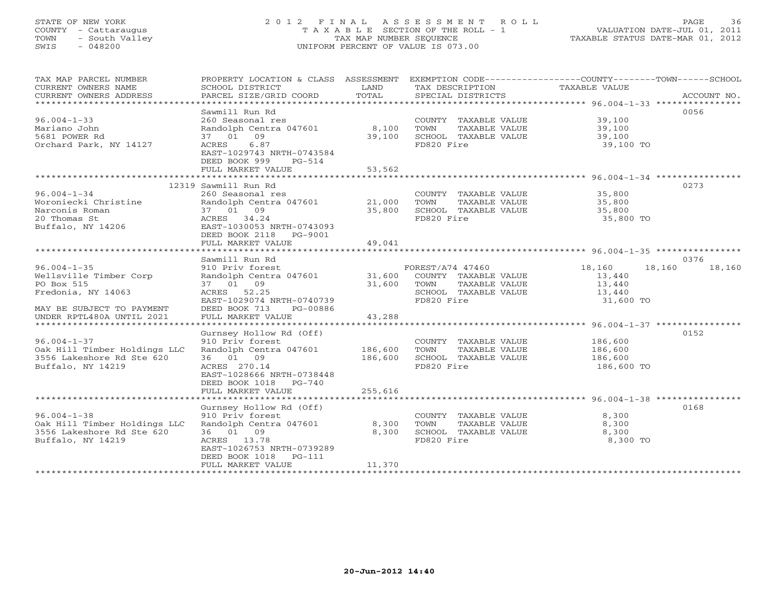# STATE OF NEW YORK 2 0 1 2 F I N A L A S S E S S M E N T R O L L PAGE 36 COUNTY - Cattaraugus T A X A B L E SECTION OF THE ROLL - 1 VALUATION DATE-JUL 01, 2011 TOWN - South Valley TAX MAP NUMBER SEQUENCE TAXABLE STATUS DATE-MAR 01, 2012 SWIS - 048200 UNIFORM PERCENT OF VALUE IS 073.00UNIFORM PERCENT OF VALUE IS 073.00

| TAX MAP PARCEL NUMBER<br>CURRENT OWNERS NAME<br>CURRENT OWNERS ADDRESS<br>************************* | PROPERTY LOCATION & CLASS ASSESSMENT<br>SCHOOL DISTRICT<br>PARCEL SIZE/GRID COORD                                                                                               | LAND<br>TOTAL                 | TAX DESCRIPTION<br>SPECIAL DISTRICTS                                                                    | EXEMPTION CODE-----------------COUNTY-------TOWN------SCHOOL<br>TAXABLE VALUE | ACCOUNT NO. |
|-----------------------------------------------------------------------------------------------------|---------------------------------------------------------------------------------------------------------------------------------------------------------------------------------|-------------------------------|---------------------------------------------------------------------------------------------------------|-------------------------------------------------------------------------------|-------------|
| $96.004 - 1 - 33$<br>Mariano John<br>5681 POWER Rd<br>Orchard Park, NY 14127                        | Sawmill Run Rd<br>260 Seasonal res<br>Randolph Centra 047601<br>37 01 09<br>6.87<br>ACRES<br>EAST-1029743 NRTH-0743584<br>DEED BOOK 999<br>$PG-514$<br>FULL MARKET VALUE        | 8,100<br>39,100<br>53,562     | COUNTY TAXABLE VALUE<br>TOWN<br>TAXABLE VALUE<br>SCHOOL TAXABLE VALUE<br>FD820 Fire                     | 39,100<br>39,100<br>39,100<br>39,100 TO                                       | 0056        |
|                                                                                                     | 12319 Sawmill Run Rd                                                                                                                                                            |                               |                                                                                                         |                                                                               | 0273        |
| $96.004 - 1 - 34$<br>Woroniecki Christine<br>Narconis Roman<br>20 Thomas St<br>Buffalo, NY 14206    | 260 Seasonal res<br>Randolph Centra 047601<br>37 01 09<br>ACRES 34.24<br>EAST-1030053 NRTH-0743093<br>DEED BOOK 2118<br>PG-9001                                                 | 21,000<br>35,800              | COUNTY TAXABLE VALUE<br>TOWN<br>TAXABLE VALUE<br>SCHOOL TAXABLE VALUE<br>FD820 Fire                     | 35,800<br>35,800<br>35,800<br>35,800 TO                                       |             |
|                                                                                                     | FULL MARKET VALUE                                                                                                                                                               | 49,041                        |                                                                                                         |                                                                               |             |
|                                                                                                     | Sawmill Run Rd                                                                                                                                                                  |                               |                                                                                                         |                                                                               | 0376        |
| $96.004 - 1 - 35$<br>Wellsville Timber Corp<br>PO Box 515<br>Fredonia, NY 14063                     | 910 Priv forest<br>Randolph Centra 047601<br>37 01 09<br>ACRES 52.25<br>EAST-1029074 NRTH-0740739                                                                               | 31,600<br>31,600              | FOREST/A74 47460<br>COUNTY TAXABLE VALUE<br>TAXABLE VALUE<br>TOWN<br>SCHOOL TAXABLE VALUE<br>FD820 Fire | 18,160<br>18,160<br>13,440<br>13,440<br>13,440<br>31,600 TO                   | 18,160      |
| MAY BE SUBJECT TO PAYMENT<br>UNDER RPTL480A UNTIL 2021                                              | DEED BOOK 713<br>PG-00886<br>FULL MARKET VALUE                                                                                                                                  | 43,288                        |                                                                                                         |                                                                               |             |
| *************************                                                                           |                                                                                                                                                                                 |                               |                                                                                                         |                                                                               |             |
| $96.004 - 1 - 37$<br>Oak Hill Timber Holdings LLC<br>3556 Lakeshore Rd Ste 620<br>Buffalo, NY 14219 | Gurnsey Hollow Rd (Off)<br>910 Priv forest<br>Randolph Centra 047601<br>36 01 09<br>ACRES 270.14<br>EAST-1028666 NRTH-0738448<br>DEED BOOK 1018<br>PG-740<br>FULL MARKET VALUE  | 186,600<br>186,600<br>255,616 | COUNTY TAXABLE VALUE<br><b>TOWN</b><br>TAXABLE VALUE<br>SCHOOL TAXABLE VALUE<br>FD820 Fire              | 186,600<br>186,600<br>186,600<br>186,600 TO                                   | 0152        |
|                                                                                                     |                                                                                                                                                                                 |                               |                                                                                                         |                                                                               |             |
| $96.004 - 1 - 38$<br>Oak Hill Timber Holdings LLC<br>3556 Lakeshore Rd Ste 620<br>Buffalo, NY 14219 | Gurnsey Hollow Rd (Off)<br>910 Priv forest<br>Randolph Centra 047601<br>36 01 09<br>ACRES 13.78<br>EAST-1026753 NRTH-0739289<br>DEED BOOK 1018<br>$PG-111$<br>FULL MARKET VALUE | 8,300<br>8,300<br>11,370      | COUNTY TAXABLE VALUE<br>TOWN<br>TAXABLE VALUE<br>SCHOOL TAXABLE VALUE<br>FD820 Fire                     | 8,300<br>8,300<br>8,300<br>8,300 TO                                           | 0168        |
|                                                                                                     |                                                                                                                                                                                 |                               |                                                                                                         |                                                                               |             |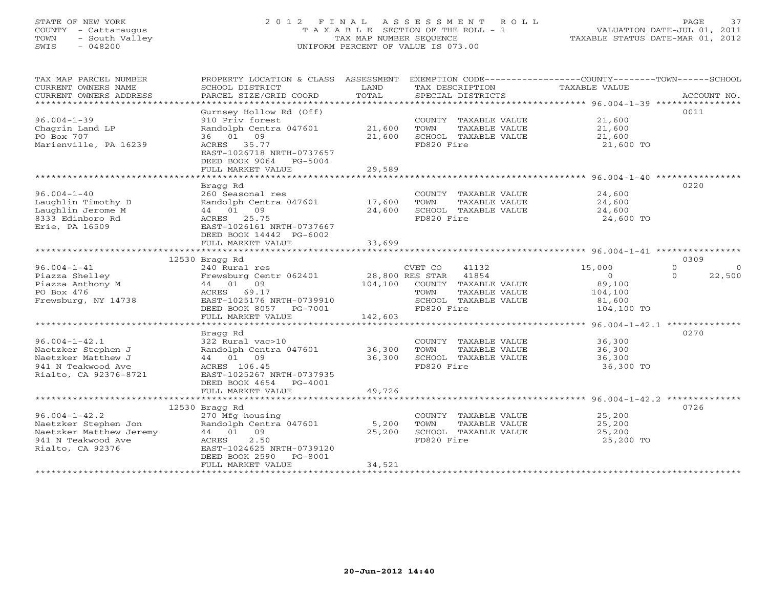# STATE OF NEW YORK 2 0 1 2 F I N A L A S S E S S M E N T R O L L PAGE 37 COUNTY - Cattaraugus T A X A B L E SECTION OF THE ROLL - 1 VALUATION DATE-JUL 01, 2011 TOWN - South Valley TAX MAP NUMBER SEQUENCE TAXABLE STATUS DATE-MAR 01, 2012 SWIS - 048200 UNIFORM PERCENT OF VALUE IS 073.00UNIFORM PERCENT OF VALUE IS 073.00

| TAX MAP PARCEL NUMBER<br>CURRENT OWNERS NAME<br>CURRENT OWNERS ADDRESS<br>***********************                | PROPERTY LOCATION & CLASS ASSESSMENT<br>SCHOOL DISTRICT<br>PARCEL SIZE/GRID COORD                                                                                       | LAND<br>TOTAL              | EXEMPTION CODE-----------------COUNTY-------TOWN------SCHOOL<br>TAX DESCRIPTION<br>SPECIAL DISTRICTS             | TAXABLE VALUE                                                   | ACCOUNT NO.                                |
|------------------------------------------------------------------------------------------------------------------|-------------------------------------------------------------------------------------------------------------------------------------------------------------------------|----------------------------|------------------------------------------------------------------------------------------------------------------|-----------------------------------------------------------------|--------------------------------------------|
| $96.004 - 1 - 39$<br>Chagrin Land LP<br>PO Box 707<br>Marienville, PA 16239                                      | Gurnsey Hollow Rd (Off)<br>910 Priv forest<br>Randolph Centra 047601<br>36 01 09<br>ACRES 35.77<br>EAST-1026718 NRTH-0737657<br>DEED BOOK 9064 PG-5004                  | 21,600<br>21,600           | COUNTY TAXABLE VALUE<br>TOWN<br>TAXABLE VALUE<br>SCHOOL TAXABLE VALUE<br>FD820 Fire                              | 21,600<br>21,600<br>21,600<br>21,600 TO                         | 0011                                       |
|                                                                                                                  | FULL MARKET VALUE                                                                                                                                                       | 29,589                     |                                                                                                                  |                                                                 |                                            |
| $96.004 - 1 - 40$<br>Laughlin Timothy D<br>Laughlin Jerome M<br>8333 Edinboro Rd<br>Erie, PA 16509               | Bragg Rd<br>260 Seasonal res<br>Randolph Centra 047601 17,600<br>44 01 09<br>ACRES 25.75<br>EAST-1026161 NRTH-0737667<br>DEED BOOK 14442 PG-6002                        | 24,600                     | COUNTY TAXABLE VALUE<br>TOWN<br>TAXABLE VALUE<br>SCHOOL TAXABLE VALUE<br>FD820 Fire                              | 24,600<br>24,600<br>24,600<br>24,600 TO                         | 0220                                       |
|                                                                                                                  | FULL MARKET VALUE                                                                                                                                                       | 33,699                     |                                                                                                                  |                                                                 |                                            |
|                                                                                                                  |                                                                                                                                                                         |                            |                                                                                                                  |                                                                 |                                            |
|                                                                                                                  | 12530 Bragg Rd                                                                                                                                                          |                            |                                                                                                                  |                                                                 | 0309                                       |
| $96.004 - 1 - 41$<br>Piazza Shelley<br>Piazza Anthony M<br>PO Box 476<br>Frewsburg, NY 14738                     | 240 Rural res<br>Frewsburg Centr 062401<br>44 01 09<br>ACRES<br>69.17<br>EAST-1025176 NRTH-0739910<br>DEED BOOK 8057 PG-7001                                            | 28,800 RES STAR<br>104,100 | CVET CO<br>41132<br>41854<br>COUNTY TAXABLE VALUE<br>TAXABLE VALUE<br>TOWN<br>SCHOOL TAXABLE VALUE<br>FD820 Fire | 15,000<br>$\Omega$<br>89,100<br>104,100<br>81,600<br>104,100 TO | $\Omega$<br>$\Omega$<br>$\Omega$<br>22,500 |
|                                                                                                                  | FULL MARKET VALUE                                                                                                                                                       | 142,603                    |                                                                                                                  |                                                                 |                                            |
|                                                                                                                  |                                                                                                                                                                         |                            |                                                                                                                  |                                                                 |                                            |
| $96.004 - 1 - 42.1$<br>Naetzker Stephen J<br>Naetzker Matthew J<br>941 N Teakwood Ave<br>Rialto, CA 92376-8721   | Bragg Rd<br>322 Rural vac>10<br>Randolph Centra 047601<br>44 01 09<br>ACRES 106.45<br>EAST-1025267 NRTH-0737935<br>DEED BOOK 4654 PG-4001                               | 36,300<br>36,300           | COUNTY TAXABLE VALUE<br>TOWN<br>TAXABLE VALUE<br>SCHOOL TAXABLE VALUE<br>FD820 Fire                              | 36,300<br>36,300<br>36,300<br>36,300 TO                         | 0270                                       |
|                                                                                                                  | FULL MARKET VALUE                                                                                                                                                       | 49,726                     |                                                                                                                  |                                                                 |                                            |
|                                                                                                                  |                                                                                                                                                                         |                            |                                                                                                                  |                                                                 |                                            |
| $96.004 - 1 - 42.2$<br>Naetzker Stephen Jon<br>Naetzker Matthew Jeremy<br>941 N Teakwood Ave<br>Rialto, CA 92376 | 12530 Bragg Rd<br>270 Mfg housing<br>Randolph Centra 047601<br>44 01 09<br>2.50<br>ACRES<br>EAST-1024625 NRTH-0739120<br>DEED BOOK 2590<br>PG-8001<br>FULL MARKET VALUE | 5,200<br>25,200<br>34,521  | COUNTY TAXABLE VALUE<br>TOWN<br>TAXABLE VALUE<br>SCHOOL TAXABLE VALUE<br>FD820 Fire                              | 25,200<br>25,200<br>25,200<br>25,200 TO                         | 0726                                       |
|                                                                                                                  |                                                                                                                                                                         |                            |                                                                                                                  |                                                                 |                                            |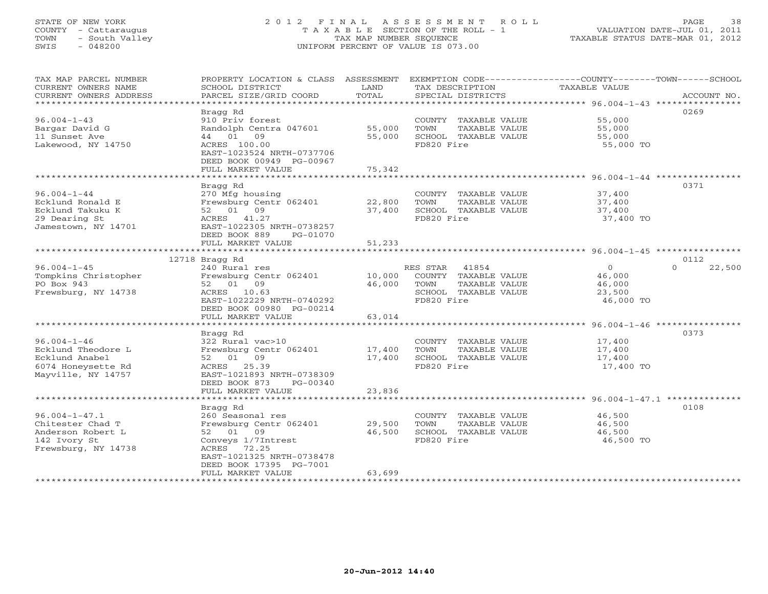# STATE OF NEW YORK 2 0 1 2 F I N A L A S S E S S M E N T R O L L PAGE 38 COUNTY - Cattaraugus T A X A B L E SECTION OF THE ROLL - 1 VALUATION DATE-JUL 01, 2011 TOWN - South Valley TAX MAP NUMBER SEQUENCE TAXABLE STATUS DATE-MAR 01, 2012 SWIS - 048200 UNIFORM PERCENT OF VALUE IS 073.00UNIFORM PERCENT OF VALUE IS 073.00

| TAX MAP PARCEL NUMBER<br>CURRENT OWNERS NAME<br>CURRENT OWNERS ADDRESS | PROPERTY LOCATION & CLASS ASSESSMENT<br>SCHOOL DISTRICT<br>PARCEL SIZE/GRID COORD | LAND<br>TOTAL    | EXEMPTION CODE-----------------COUNTY-------TOWN------SCHOOL<br>TAX DESCRIPTION<br>SPECIAL DISTRICTS | TAXABLE VALUE       | ACCOUNT NO.        |
|------------------------------------------------------------------------|-----------------------------------------------------------------------------------|------------------|------------------------------------------------------------------------------------------------------|---------------------|--------------------|
|                                                                        |                                                                                   |                  |                                                                                                      |                     |                    |
|                                                                        | Bragg Rd                                                                          |                  |                                                                                                      |                     | 0269               |
| $96.004 - 1 - 43$                                                      | 910 Priv forest                                                                   |                  | COUNTY TAXABLE VALUE                                                                                 | 55,000              |                    |
| Bargar David G<br>11 Sunset Ave                                        | Randolph Centra 047601<br>44 01 09                                                | 55,000<br>55,000 | TOWN<br>TAXABLE VALUE<br>SCHOOL TAXABLE VALUE                                                        | 55,000<br>55,000    |                    |
| Lakewood, NY 14750                                                     | ACRES 100.00                                                                      |                  | FD820 Fire                                                                                           | 55,000 TO           |                    |
|                                                                        | EAST-1023524 NRTH-0737706                                                         |                  |                                                                                                      |                     |                    |
|                                                                        | DEED BOOK 00949 PG-00967                                                          |                  |                                                                                                      |                     |                    |
|                                                                        | FULL MARKET VALUE                                                                 | 75,342           |                                                                                                      |                     |                    |
|                                                                        |                                                                                   |                  |                                                                                                      |                     |                    |
|                                                                        | Bragg Rd                                                                          |                  |                                                                                                      |                     | 0371               |
| $96.004 - 1 - 44$                                                      | 270 Mfg housing                                                                   |                  | COUNTY TAXABLE VALUE                                                                                 | 37,400              |                    |
| Ecklund Ronald E                                                       | Frewsburg Centr 062401                                                            | 22,800           | TOWN<br>TAXABLE VALUE                                                                                | 37,400              |                    |
| Ecklund Takuku K                                                       | 52 01 09                                                                          | 37,400           | SCHOOL TAXABLE VALUE                                                                                 | 37,400              |                    |
| 29 Dearing St                                                          | ACRES 41.27                                                                       |                  | FD820 Fire                                                                                           | 37,400 TO           |                    |
| Jamestown, NY 14701                                                    | EAST-1022305 NRTH-0738257                                                         |                  |                                                                                                      |                     |                    |
|                                                                        | DEED BOOK 889<br>PG-01070                                                         |                  |                                                                                                      |                     |                    |
|                                                                        | FULL MARKET VALUE                                                                 | 51,233           |                                                                                                      |                     |                    |
|                                                                        | 12718 Bragg Rd                                                                    |                  |                                                                                                      |                     | 0112               |
| $96.004 - 1 - 45$                                                      | 240 Rural res                                                                     |                  | RES STAR 41854                                                                                       | $\Omega$            | $\Omega$<br>22,500 |
| Tompkins Christopher                                                   | Frewsburg Centr 062401                                                            | 10,000           | COUNTY TAXABLE VALUE                                                                                 | 46,000              |                    |
| PO Box 943                                                             | 52 01 09                                                                          | 46,000           | TOWN<br>TAXABLE VALUE                                                                                | 46,000              |                    |
| Frewsburg, NY 14738                                                    | ACRES 10.63                                                                       |                  | SCHOOL TAXABLE VALUE                                                                                 | 23,500              |                    |
|                                                                        | EAST-1022229 NRTH-0740292                                                         |                  | FD820 Fire                                                                                           | 46,000 TO           |                    |
|                                                                        | DEED BOOK 00980 PG-00214                                                          |                  |                                                                                                      |                     |                    |
|                                                                        | FULL MARKET VALUE                                                                 | 63,014           |                                                                                                      |                     |                    |
|                                                                        |                                                                                   |                  |                                                                                                      |                     |                    |
|                                                                        | Bragg Rd                                                                          |                  |                                                                                                      |                     | 0373               |
| $96.004 - 1 - 46$                                                      | 322 Rural vac>10                                                                  |                  | COUNTY TAXABLE VALUE                                                                                 | 17,400              |                    |
| Ecklund Theodore L                                                     | Frewsburg Centr 062401                                                            | 17,400           | TOWN<br>TAXABLE VALUE                                                                                | 17,400              |                    |
| Ecklund Anabel<br>6074 Honeysette Rd                                   | 52 01 09<br>ACRES 25.39                                                           | 17,400           | SCHOOL TAXABLE VALUE<br>FD820 Fire                                                                   | 17,400<br>17,400 TO |                    |
| Mayville, NY 14757                                                     | EAST-1021893 NRTH-0738309                                                         |                  |                                                                                                      |                     |                    |
|                                                                        | DEED BOOK 873<br>PG-00340                                                         |                  |                                                                                                      |                     |                    |
|                                                                        | FULL MARKET VALUE                                                                 | 23,836           |                                                                                                      |                     |                    |
|                                                                        |                                                                                   |                  |                                                                                                      |                     |                    |
|                                                                        | Bragg Rd                                                                          |                  |                                                                                                      |                     | 0108               |
| $96.004 - 1 - 47.1$                                                    | 260 Seasonal res                                                                  |                  | COUNTY TAXABLE VALUE                                                                                 | 46,500              |                    |
| Chitester Chad T                                                       | Frewsburg Centr 062401                                                            | 29,500           | TAXABLE VALUE<br>TOWN                                                                                | 46,500              |                    |
| Anderson Robert L                                                      | 52 01 09                                                                          | 46,500           | SCHOOL TAXABLE VALUE                                                                                 | 46,500              |                    |
| 142 Ivory St                                                           | Conveys 1/7Intrest                                                                |                  | FD820 Fire                                                                                           | 46,500 TO           |                    |
| Frewsburg, NY 14738                                                    | ACRES 72.25                                                                       |                  |                                                                                                      |                     |                    |
|                                                                        | EAST-1021325 NRTH-0738478                                                         |                  |                                                                                                      |                     |                    |
|                                                                        | DEED BOOK 17395 PG-7001                                                           |                  |                                                                                                      |                     |                    |
|                                                                        | FULL MARKET VALUE                                                                 | 63,699           |                                                                                                      |                     |                    |
|                                                                        |                                                                                   |                  |                                                                                                      |                     |                    |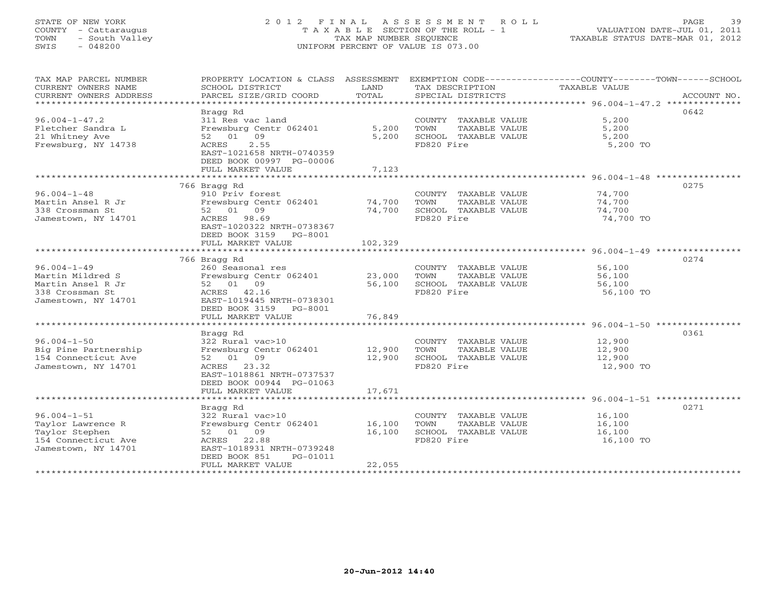# STATE OF NEW YORK 2 0 1 2 F I N A L A S S E S S M E N T R O L L PAGE 39 COUNTY - Cattaraugus T A X A B L E SECTION OF THE ROLL - 1 VALUATION DATE-JUL 01, 2011 TOWN - South Valley TAX MAP NUMBER SEQUENCE TAXABLE STATUS DATE-MAR 01, 2012 SWIS - 048200 UNIFORM PERCENT OF VALUE IS 073.00UNIFORM PERCENT OF VALUE IS 073.00

| TAX MAP PARCEL NUMBER<br>CURRENT OWNERS NAME<br>CURRENT OWNERS ADDRESS | PROPERTY LOCATION & CLASS ASSESSMENT<br>SCHOOL DISTRICT<br>PARCEL SIZE/GRID COORD | LAND<br>TOTAL | TAX DESCRIPTION<br>SPECIAL DISTRICTS | EXEMPTION CODE-----------------COUNTY-------TOWN------SCHOOL<br>TAXABLE VALUE<br>ACCOUNT NO. |
|------------------------------------------------------------------------|-----------------------------------------------------------------------------------|---------------|--------------------------------------|----------------------------------------------------------------------------------------------|
| *************************                                              |                                                                                   |               |                                      |                                                                                              |
|                                                                        |                                                                                   |               |                                      |                                                                                              |
|                                                                        | Bragg Rd                                                                          |               |                                      | 0642                                                                                         |
| $96.004 - 1 - 47.2$                                                    | 311 Res vac land                                                                  |               | COUNTY TAXABLE VALUE                 | 5,200                                                                                        |
| Fletcher Sandra L                                                      | Frewsburg Centr 062401                                                            | 5,200         | TOWN<br>TAXABLE VALUE                | 5,200                                                                                        |
| 21 Whitney Ave                                                         | 52 01 09                                                                          | 5,200         | SCHOOL TAXABLE VALUE                 | 5,200                                                                                        |
| Frewsburg, NY 14738                                                    | 2.55<br>ACRES                                                                     |               | FD820 Fire                           | 5,200 TO                                                                                     |
|                                                                        | EAST-1021658 NRTH-0740359                                                         |               |                                      |                                                                                              |
|                                                                        | DEED BOOK 00997 PG-00006                                                          |               |                                      |                                                                                              |
|                                                                        | FULL MARKET VALUE                                                                 | 7,123         |                                      |                                                                                              |
|                                                                        |                                                                                   |               |                                      |                                                                                              |
|                                                                        | 766 Bragg Rd                                                                      |               |                                      | 0275                                                                                         |
| $96.004 - 1 - 48$                                                      | 910 Priv forest                                                                   |               | COUNTY TAXABLE VALUE                 | 74,700                                                                                       |
| Martin Ansel R Jr                                                      | Frewsburg Centr 062401                                                            | 74,700        | TOWN<br>TAXABLE VALUE                | 74,700                                                                                       |
| 338 Crossman St                                                        | 52 01 09                                                                          | 74,700        | SCHOOL TAXABLE VALUE                 | 74,700                                                                                       |
| Jamestown, NY 14701                                                    | ACRES 98.69                                                                       |               | FD820 Fire                           | 74,700 TO                                                                                    |
|                                                                        | EAST-1020322 NRTH-0738367                                                         |               |                                      |                                                                                              |
|                                                                        | DEED BOOK 3159 PG-8001                                                            |               |                                      |                                                                                              |
|                                                                        | FULL MARKET VALUE                                                                 | 102,329       |                                      |                                                                                              |
|                                                                        |                                                                                   |               |                                      |                                                                                              |
|                                                                        | 766 Bragg Rd                                                                      |               |                                      | 0274                                                                                         |
| $96.004 - 1 - 49$                                                      | 260 Seasonal res                                                                  |               | COUNTY TAXABLE VALUE                 | 56,100                                                                                       |
| Martin Mildred S                                                       | Frewsburg Centr 062401                                                            | 23,000        | TOWN<br>TAXABLE VALUE                | 56,100                                                                                       |
| Martin Ansel R Jr                                                      | 52 01 09                                                                          | 56,100        | SCHOOL TAXABLE VALUE                 | 56,100                                                                                       |
|                                                                        |                                                                                   |               | FD820 Fire                           |                                                                                              |
| 338 Crossman St                                                        | ACRES 42.16                                                                       |               |                                      | 56,100 TO                                                                                    |
| Jamestown, NY 14701                                                    | EAST-1019445 NRTH-0738301                                                         |               |                                      |                                                                                              |
|                                                                        | DEED BOOK 3159 PG-8001                                                            |               |                                      |                                                                                              |
| *************************                                              | FULL MARKET VALUE                                                                 | 76,849        |                                      |                                                                                              |
|                                                                        |                                                                                   |               |                                      |                                                                                              |
|                                                                        | Bragg Rd                                                                          |               |                                      | 0361                                                                                         |
| $96.004 - 1 - 50$                                                      | 322 Rural vac>10                                                                  |               | COUNTY TAXABLE VALUE                 | 12,900                                                                                       |
| Big Pine Partnership                                                   | Frewsburg Centr 062401                                                            | 12,900        | TOWN<br>TAXABLE VALUE                | 12,900                                                                                       |
| 154 Connecticut Ave                                                    | 52 01 09                                                                          | 12,900        | SCHOOL TAXABLE VALUE                 | 12,900                                                                                       |
| Jamestown, NY 14701                                                    | ACRES 23.32                                                                       |               | FD820 Fire                           | 12,900 TO                                                                                    |
|                                                                        | EAST-1018861 NRTH-0737537                                                         |               |                                      |                                                                                              |
|                                                                        | DEED BOOK 00944 PG-01063                                                          |               |                                      |                                                                                              |
|                                                                        | FULL MARKET VALUE                                                                 | 17,671        |                                      |                                                                                              |
|                                                                        |                                                                                   |               |                                      |                                                                                              |
|                                                                        | Bragg Rd                                                                          |               |                                      | 0271                                                                                         |
| $96.004 - 1 - 51$                                                      | 322 Rural vac>10                                                                  |               | COUNTY TAXABLE VALUE                 | 16,100                                                                                       |
| Taylor Lawrence R                                                      | Frewsburg Centr 062401                                                            | 16,100        | TAXABLE VALUE<br>TOWN                | 16,100                                                                                       |
| Taylor Stephen                                                         | 52 01 09                                                                          | 16,100        | SCHOOL TAXABLE VALUE                 | 16,100                                                                                       |
| 154 Connecticut Ave                                                    | ACRES 22.88                                                                       |               | FD820 Fire                           | 16,100 TO                                                                                    |
| Jamestown, NY 14701                                                    | EAST-1018931 NRTH-0739248                                                         |               |                                      |                                                                                              |
|                                                                        | DEED BOOK 851<br>PG-01011                                                         |               |                                      |                                                                                              |
|                                                                        | FULL MARKET VALUE                                                                 | 22,055        |                                      |                                                                                              |
| *******************                                                    |                                                                                   |               | ********************************     |                                                                                              |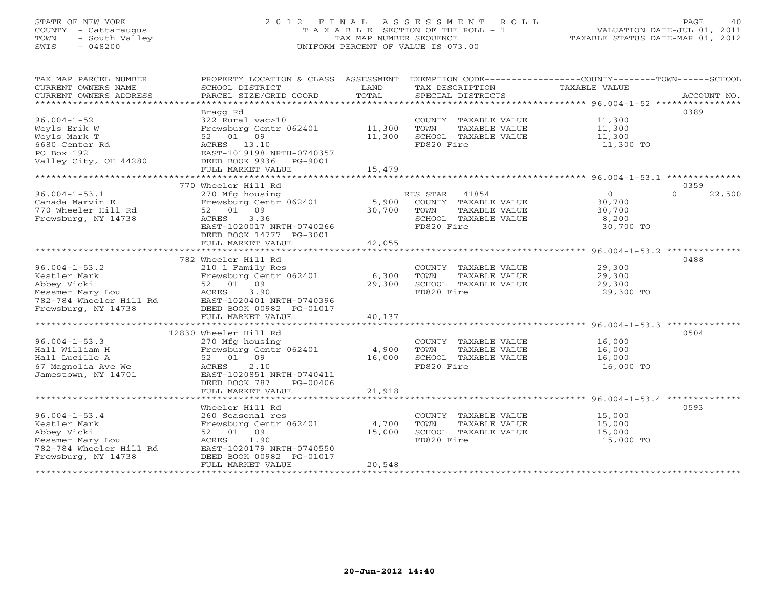# STATE OF NEW YORK 2 0 1 2 F I N A L A S S E S S M E N T R O L L PAGE 40 COUNTY - Cattaraugus T A X A B L E SECTION OF THE ROLL - 1 VALUATION DATE-JUL 01, 2011 TOWN - South Valley TAX MAP NUMBER SEQUENCE TAXABLE STATUS DATE-MAR 01, 2012 SWIS - 048200 UNIFORM PERCENT OF VALUE IS 073.00UNIFORM PERCENT OF VALUE IS 073.00

| TAX MAP PARCEL NUMBER<br>CURRENT OWNERS NAME<br>CURRENT OWNERS ADDRESS<br>*************************                      | PROPERTY LOCATION & CLASS ASSESSMENT<br>SCHOOL DISTRICT<br>PARCEL SIZE/GRID COORD                                                                                        | LAND<br>TOTAL              | TAX DESCRIPTION<br>SPECIAL DISTRICTS                                                                  | EXEMPTION CODE-----------------COUNTY-------TOWN------SCHOOL<br>TAXABLE VALUE | ACCOUNT NO.        |
|--------------------------------------------------------------------------------------------------------------------------|--------------------------------------------------------------------------------------------------------------------------------------------------------------------------|----------------------------|-------------------------------------------------------------------------------------------------------|-------------------------------------------------------------------------------|--------------------|
| $96.004 - 1 - 52$<br>Weyls Erik W<br>Weyls Mark T<br>6680 Center Rd<br>PO Box 192<br>Valley City, OH 44280               | Bragg Rd<br>322 Rural vac>10<br>Frewsburg Centr 062401<br>52 01 09<br>ACRES 13.10<br>EAST-1019198 NRTH-0740357<br>DEED BOOK 9936<br>PG-9001<br>FULL MARKET VALUE         | 11,300<br>11,300<br>15,479 | COUNTY TAXABLE VALUE<br>TOWN<br>TAXABLE VALUE<br>SCHOOL TAXABLE VALUE<br>FD820 Fire                   | 11,300<br>11,300<br>11,300<br>11,300 TO                                       | 0389               |
|                                                                                                                          | 770 Wheeler Hill Rd                                                                                                                                                      |                            |                                                                                                       |                                                                               | 0359               |
| $96.004 - 1 - 53.1$<br>Canada Marvin E<br>770 Wheeler Hill Rd<br>Frewsburg, NY 14738                                     | 270 Mfg housing<br>Frewsburg Centr 062401<br>52 01 09<br>3.36<br>ACRES<br>EAST-1020017 NRTH-0740266<br>DEED BOOK 14777 PG-3001                                           | 5,900<br>30,700            | RES STAR 41854<br>COUNTY TAXABLE VALUE<br>TOWN<br>TAXABLE VALUE<br>SCHOOL TAXABLE VALUE<br>FD820 Fire | $\overline{0}$<br>30,700<br>30,700<br>8,200<br>30,700 TO                      | $\Omega$<br>22,500 |
|                                                                                                                          | FULL MARKET VALUE                                                                                                                                                        | 42,055                     |                                                                                                       |                                                                               |                    |
| $96.004 - 1 - 53.2$<br>Kestler Mark<br>Abbey Vicki<br>Messmer Mary Lou<br>782-784 Wheeler Hill Rd<br>Frewsburg, NY 14738 | 782 Wheeler Hill Rd<br>210 1 Family Res<br>Frewsburg Centr 062401<br>52 01 09<br>ACRES<br>3.90<br>EAST-1020401 NRTH-0740396<br>DEED BOOK 00982 PG-01017                  | 6,300<br>29,300            | COUNTY TAXABLE VALUE<br>TOWN<br>TAXABLE VALUE<br>SCHOOL TAXABLE VALUE<br>FD820 Fire                   | 29,300<br>29,300<br>29,300<br>29,300 TO                                       | 0488               |
|                                                                                                                          | FULL MARKET VALUE                                                                                                                                                        | 40,137                     |                                                                                                       |                                                                               |                    |
| $96.004 - 1 - 53.3$<br>Hall William H<br>Hall Lucille A<br>67 Magnolia Ave We<br>Jamestown, NY 14701                     | 12830 Wheeler Hill Rd<br>270 Mfg housing<br>Frewsburg Centr 062401<br>09<br>52 01<br>2.10<br>ACRES<br>EAST-1020851 NRTH-0740411<br>DEED BOOK 787<br>PG-00406             | 4,900<br>16,000            | COUNTY TAXABLE VALUE<br>TOWN<br>TAXABLE VALUE<br>SCHOOL TAXABLE VALUE<br>FD820 Fire                   | 16,000<br>16,000<br>16,000<br>16,000 TO                                       | 0504               |
|                                                                                                                          | FULL MARKET VALUE                                                                                                                                                        | 21,918                     |                                                                                                       |                                                                               |                    |
| $96.004 - 1 - 53.4$<br>Kestler Mark<br>Abbey Vicki<br>Messmer Mary Lou<br>782-784 Wheeler Hill Rd<br>Frewsburg, NY 14738 | Wheeler Hill Rd<br>260 Seasonal res<br>Frewsburg Centr 062401<br>52 01 09<br>1.90<br>ACRES<br>EAST-1020179 NRTH-0740550<br>DEED BOOK 00982 PG-01017<br>FULL MARKET VALUE | 4,700<br>15,000<br>20,548  | COUNTY TAXABLE VALUE<br>TOWN<br>TAXABLE VALUE<br>SCHOOL TAXABLE VALUE<br>FD820 Fire                   | 15,000<br>15,000<br>15,000<br>15,000 TO                                       | 0593               |
|                                                                                                                          |                                                                                                                                                                          |                            |                                                                                                       |                                                                               |                    |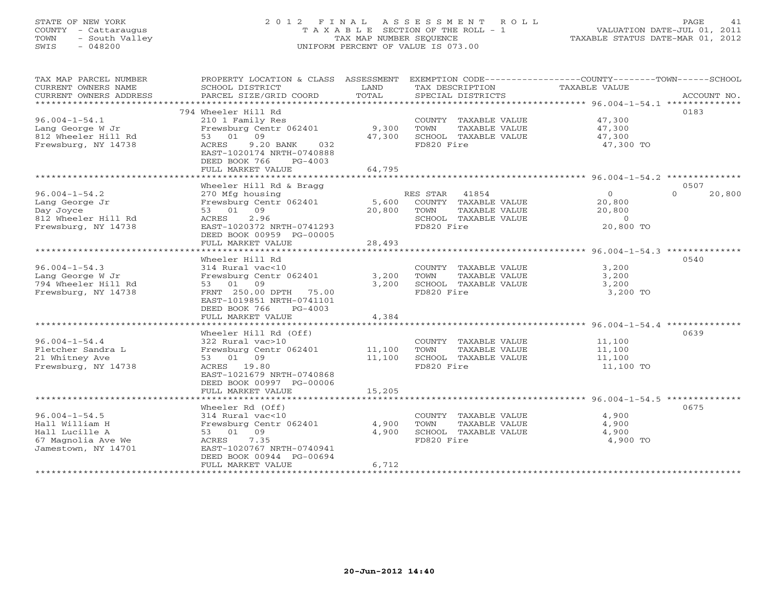# STATE OF NEW YORK 2 0 1 2 F I N A L A S S E S S M E N T R O L L PAGE 41 COUNTY - Cattaraugus T A X A B L E SECTION OF THE ROLL - 1 VALUATION DATE-JUL 01, 2011 TOWN - South Valley TAX MAP NUMBER SEQUENCE TAXABLE STATUS DATE-MAR 01, 2012 SWIS - 048200 UNIFORM PERCENT OF VALUE IS 073.00

| TAX MAP PARCEL NUMBER<br>CURRENT OWNERS NAME | PROPERTY LOCATION & CLASS ASSESSMENT<br>SCHOOL DISTRICT | LAND   | TAX DESCRIPTION                               | EXEMPTION CODE-----------------COUNTY-------TOWN-----SCHOOL<br>TAXABLE VALUE |                    |
|----------------------------------------------|---------------------------------------------------------|--------|-----------------------------------------------|------------------------------------------------------------------------------|--------------------|
| CURRENT OWNERS ADDRESS                       | PARCEL SIZE/GRID COORD                                  | TOTAL  | SPECIAL DISTRICTS                             |                                                                              | ACCOUNT NO.        |
| *******************                          | ************************************                    |        |                                               |                                                                              |                    |
| $96.004 - 1 - 54.1$                          | 794 Wheeler Hill Rd<br>210 1 Family Res                 |        | COUNTY TAXABLE VALUE                          | 47,300                                                                       | 0183               |
| Lang George W Jr                             | Frewsburg Centr 062401                                  | 9,300  | TOWN<br>TAXABLE VALUE                         | 47,300                                                                       |                    |
| 812 Wheeler Hill Rd                          | 53 01<br>09                                             | 47,300 | SCHOOL TAXABLE VALUE                          | 47,300                                                                       |                    |
| Frewsburg, NY 14738                          | 9.20 BANK<br>ACRES<br>032                               |        | FD820 Fire                                    | 47,300 TO                                                                    |                    |
|                                              | EAST-1020174 NRTH-0740888                               |        |                                               |                                                                              |                    |
|                                              | DEED BOOK 766<br>$PG-4003$                              |        |                                               |                                                                              |                    |
|                                              | FULL MARKET VALUE                                       | 64,795 |                                               |                                                                              |                    |
|                                              |                                                         |        |                                               |                                                                              |                    |
|                                              | Wheeler Hill Rd & Bragg                                 |        |                                               |                                                                              | 0507               |
| $96.004 - 1 - 54.2$                          | 270 Mfg housing                                         |        | RES STAR<br>41854                             | $\circ$                                                                      | 20,800<br>$\Omega$ |
| Lang George Jr                               | Frewsburg Centr 062401                                  | 5,600  | COUNTY TAXABLE VALUE                          | 20,800                                                                       |                    |
| Day Joyce                                    | 53 01 09<br>2.96                                        | 20,800 | TOWN<br>TAXABLE VALUE                         | 20,800<br>$\circ$                                                            |                    |
| 812 Wheeler Hill Rd<br>Frewsburg, NY 14738   | ACRES<br>EAST-1020372 NRTH-0741293                      |        | SCHOOL TAXABLE VALUE<br>FD820 Fire            | 20,800 TO                                                                    |                    |
|                                              | DEED BOOK 00959 PG-00005                                |        |                                               |                                                                              |                    |
|                                              | FULL MARKET VALUE                                       | 28,493 |                                               |                                                                              |                    |
|                                              |                                                         |        |                                               |                                                                              |                    |
|                                              | Wheeler Hill Rd                                         |        |                                               |                                                                              | 0540               |
| $96.004 - 1 - 54.3$                          | 314 Rural vac<10                                        |        | COUNTY TAXABLE VALUE                          | 3,200                                                                        |                    |
| Lang George W Jr                             | Frewsburg Centr 062401                                  | 3,200  | TOWN<br>TAXABLE VALUE                         | 3,200                                                                        |                    |
| 794 Wheeler Hill Rd                          | 53 01 09                                                | 3,200  | SCHOOL TAXABLE VALUE                          | 3,200                                                                        |                    |
| Frewsburg, NY 14738                          | FRNT 250.00 DPTH<br>75.00                               |        | FD820 Fire                                    | 3,200 TO                                                                     |                    |
|                                              | EAST-1019851 NRTH-0741101                               |        |                                               |                                                                              |                    |
|                                              | DEED BOOK 766<br>$PG-4003$                              |        |                                               |                                                                              |                    |
|                                              | FULL MARKET VALUE                                       | 4,384  |                                               | ****************************** 96.004-1-54.4 *********                       |                    |
|                                              | Wheeler Hill Rd (Off)                                   |        |                                               |                                                                              | 0639               |
| $96.004 - 1 - 54.4$                          | 322 Rural vac>10                                        |        | COUNTY TAXABLE VALUE                          | 11,100                                                                       |                    |
| Fletcher Sandra L                            | Frewsburg Centr 062401                                  | 11,100 | TOWN<br>TAXABLE VALUE                         | 11,100                                                                       |                    |
| 21 Whitney Ave                               | 53 01 09                                                | 11,100 | SCHOOL TAXABLE VALUE                          | 11,100                                                                       |                    |
| Frewsburg, NY 14738                          | ACRES 19.80                                             |        | FD820 Fire                                    | 11,100 TO                                                                    |                    |
|                                              | EAST-1021679 NRTH-0740868                               |        |                                               |                                                                              |                    |
|                                              | DEED BOOK 00997 PG-00006                                |        |                                               |                                                                              |                    |
|                                              | FULL MARKET VALUE                                       | 15,205 |                                               |                                                                              |                    |
|                                              |                                                         |        |                                               |                                                                              |                    |
| $96.004 - 1 - 54.5$                          | Wheeler Rd (Off)                                        |        |                                               | 4,900                                                                        | 0675               |
| Hall William H                               | 314 Rural vac<10<br>Frewsburg Centr 062401              | 4,900  | COUNTY TAXABLE VALUE<br>TOWN<br>TAXABLE VALUE | 4,900                                                                        |                    |
| Hall Lucille A                               | 53 01 09                                                | 4,900  | SCHOOL TAXABLE VALUE                          | 4,900                                                                        |                    |
| 67 Magnolia Ave We                           | 7.35<br>ACRES                                           |        | FD820 Fire                                    | 4,900 TO                                                                     |                    |
| Jamestown, NY 14701                          | EAST-1020767 NRTH-0740941                               |        |                                               |                                                                              |                    |
|                                              | DEED BOOK 00944 PG-00694                                |        |                                               |                                                                              |                    |
|                                              | FULL MARKET VALUE                                       | 6,712  |                                               |                                                                              |                    |
|                                              |                                                         |        |                                               |                                                                              |                    |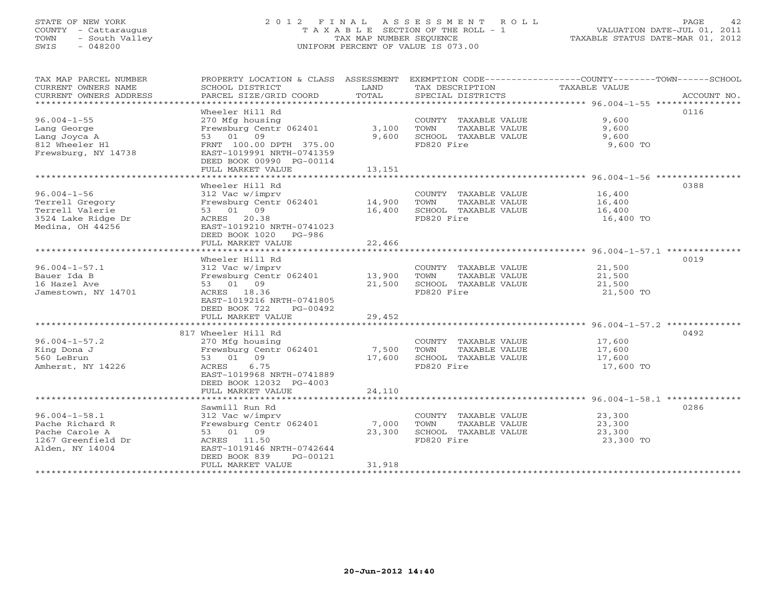# STATE OF NEW YORK 2 0 1 2 F I N A L A S S E S S M E N T R O L L PAGE 42 COUNTY - Cattaraugus T A X A B L E SECTION OF THE ROLL - 1 VALUATION DATE-JUL 01, 2011 TOWN - South Valley TAX MAP NUMBER SEQUENCE TAXABLE STATUS DATE-MAR 01, 2012 SWIS - 048200 UNIFORM PERCENT OF VALUE IS 073.00UNIFORM PERCENT OF VALUE IS 073.00

| TAX MAP PARCEL NUMBER<br>CURRENT OWNERS NAME<br>CURRENT OWNERS ADDRESS<br>****************************** | PROPERTY LOCATION & CLASS ASSESSMENT<br>SCHOOL DISTRICT<br>PARCEL SIZE/GRID COORD                                                                                                              | LAND<br>TOTAL              | TAX DESCRIPTION<br>SPECIAL DISTRICTS                                                | EXEMPTION CODE-----------------COUNTY-------TOWN------SCHOOL<br>TAXABLE VALUE<br>ACCOUNT NO.                   |
|----------------------------------------------------------------------------------------------------------|------------------------------------------------------------------------------------------------------------------------------------------------------------------------------------------------|----------------------------|-------------------------------------------------------------------------------------|----------------------------------------------------------------------------------------------------------------|
| $96.004 - 1 - 55$<br>Lang George<br>Lang Joyca A<br>812 Wheeler Hl<br>Frewsburg, NY 14738                | Wheeler Hill Rd<br>270 Mfg housing<br>Frewsburg Centr 062401<br>53 01 09<br>FRNT 100.00 DPTH 375.00<br>EAST-1019991 NRTH-0741359<br>DEED BOOK 00990 PG-00114<br>FULL MARKET VALUE              | 3,100<br>9,600<br>13,151   | COUNTY TAXABLE VALUE<br>TOWN<br>TAXABLE VALUE<br>SCHOOL TAXABLE VALUE<br>FD820 Fire | 0116<br>9,600<br>9,600<br>9,600<br>9,600 TO                                                                    |
| $96.004 - 1 - 56$<br>Terrell Gregory<br>Terrell Valerie<br>3524 Lake Ridge Dr<br>Medina, OH 44256        | Wheeler Hill Rd<br>312 Vac w/imprv<br>Frewsburg Centr 062401<br>53 01 09<br>ACRES 20.38<br>EAST-1019210 NRTH-0741023<br>DEED BOOK 1020 PG-986<br>FULL MARKET VALUE                             | 14,900<br>16,400<br>22,466 | COUNTY TAXABLE VALUE<br>TOWN<br>TAXABLE VALUE<br>SCHOOL TAXABLE VALUE<br>FD820 Fire | 0388<br>16,400<br>16,400<br>16,400<br>16,400 TO                                                                |
| $96.004 - 1 - 57.1$<br>Bauer Ida B<br>16 Hazel Ave<br>Jamestown, NY 14701                                | Wheeler Hill Rd<br>312 Vac w/imprv<br>Frewsburg Centr 062401<br>53 01 09<br>ACRES 18.36<br>EAST-1019216 NRTH-0741805<br>DEED BOOK 722<br>PG-00492<br>FULL MARKET VALUE                         | 13,900<br>21,500<br>29,452 | COUNTY TAXABLE VALUE<br>TOWN<br>TAXABLE VALUE<br>SCHOOL TAXABLE VALUE<br>FD820 Fire | ****************************** 96.004-1-57.1 **************<br>0019<br>21,500<br>21,500<br>21,500<br>21,500 TO |
| $96.004 - 1 - 57.2$<br>King Dona J<br>560 LeBrun<br>Amherst, NY 14226                                    | 817 Wheeler Hill Rd<br>270 Mfg housing<br>Frewsburg Centr 062401<br>53 01 09<br>6.75<br>ACRES<br>EAST-1019968 NRTH-0741889<br>DEED BOOK 12032 PG-4003<br>FULL MARKET VALUE                     | 7,500<br>17,600<br>24,110  | COUNTY TAXABLE VALUE<br>TOWN<br>TAXABLE VALUE<br>SCHOOL TAXABLE VALUE<br>FD820 Fire | 0492<br>17,600<br>17,600<br>17,600<br>17,600 TO                                                                |
| $96.004 - 1 - 58.1$<br>Pache Richard R<br>Pache Carole A<br>1267 Greenfield Dr<br>Alden, NY 14004        | Sawmill Run Rd<br>312 Vac w/imprv<br>Frewsburg Centr 062401<br>53 01 09<br>ACRES 11.50<br>EAST-1019146 NRTH-0742644<br>DEED BOOK 839<br>PG-00121<br>FULL MARKET VALUE<br>********************* | 7,000<br>23,300<br>31,918  | COUNTY TAXABLE VALUE<br>TOWN<br>TAXABLE VALUE<br>SCHOOL TAXABLE VALUE<br>FD820 Fire | 0286<br>23,300<br>23,300<br>23,300<br>23,300 TO                                                                |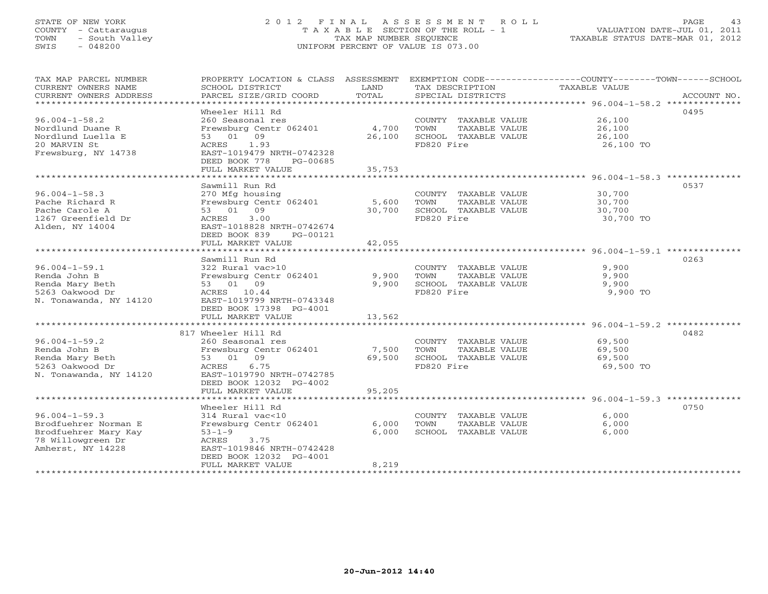# STATE OF NEW YORK 2 0 1 2 F I N A L A S S E S S M E N T R O L L PAGE 43 COUNTY - Cattaraugus T A X A B L E SECTION OF THE ROLL - 1 VALUATION DATE-JUL 01, 2011 TOWN - South Valley TAX MAP NUMBER SEQUENCE TAXABLE STATUS DATE-MAR 01, 2012 SWIS - 048200 UNIFORM PERCENT OF VALUE IS 073.00UNIFORM PERCENT OF VALUE IS 073.00

| TAX MAP PARCEL NUMBER<br>CURRENT OWNERS NAME<br>CURRENT OWNERS ADDRESS<br>*************************           | SCHOOL DISTRICT<br>PARCEL SIZE/GRID COORD                                                                                                                                   | LAND<br>TOTAL             | TAX DESCRIPTION<br>SPECIAL DISTRICTS                                                | PROPERTY LOCATION & CLASS ASSESSMENT EXEMPTION CODE----------------COUNTY-------TOWN------SCHOOL<br>TAXABLE VALUE<br>ACCOUNT NO. |
|---------------------------------------------------------------------------------------------------------------|-----------------------------------------------------------------------------------------------------------------------------------------------------------------------------|---------------------------|-------------------------------------------------------------------------------------|----------------------------------------------------------------------------------------------------------------------------------|
| $96.004 - 1 - 58.2$<br>Nordlund Duane R<br>Nordlund Luella E<br>20 MARVIN St<br>Frewsburg, NY 14738           | Wheeler Hill Rd<br>260 Seasonal res<br>Frewsburg Centr 062401<br>53 01 09<br>ACRES<br>1.93<br>EAST-1019479 NRTH-0742328<br>DEED BOOK 778<br>PG-00685<br>FULL MARKET VALUE   | 4,700<br>26,100<br>35,753 | COUNTY TAXABLE VALUE<br>TAXABLE VALUE<br>TOWN<br>SCHOOL TAXABLE VALUE<br>FD820 Fire | 0495<br>26,100<br>26,100<br>26,100<br>26,100 TO                                                                                  |
|                                                                                                               |                                                                                                                                                                             |                           |                                                                                     | 0537                                                                                                                             |
| $96.004 - 1 - 58.3$<br>Pache Richard R<br>Pache Carole A<br>1267 Greenfield Dr<br>Alden, NY 14004             | Sawmill Run Rd<br>270 Mfg housing<br>Frewsburg Centr 062401<br>53 01 09<br>ACRES<br>3.00<br>EAST-1018828 NRTH-0742674<br>DEED BOOK 839<br>PG-00121                          | 5,600<br>30,700           | COUNTY TAXABLE VALUE<br>TOWN<br>TAXABLE VALUE<br>SCHOOL TAXABLE VALUE<br>FD820 Fire | 30,700<br>30,700<br>30,700<br>30,700 TO                                                                                          |
| ******************************                                                                                | FULL MARKET VALUE                                                                                                                                                           | 42,055                    |                                                                                     |                                                                                                                                  |
| $96.004 - 1 - 59.1$<br>Renda John B<br>Renda Mary Beth<br>5263 Oakwood Dr<br>N. Tonawanda, NY 14120           | Sawmill Run Rd<br>322 Rural vac>10<br>Frewsburg Centr 062401<br>53 01 09<br>ACRES 10.44<br>EAST-1019799 NRTH-0743348<br>DEED BOOK 17398 PG-4001                             | 9,900<br>9,900            | COUNTY TAXABLE VALUE<br>TOWN<br>TAXABLE VALUE<br>SCHOOL TAXABLE VALUE<br>FD820 Fire | 0263<br>9,900<br>9,900<br>9,900<br>9,900 TO                                                                                      |
|                                                                                                               | FULL MARKET VALUE                                                                                                                                                           | 13,562                    |                                                                                     |                                                                                                                                  |
| $96.004 - 1 - 59.2$                                                                                           | 817 Wheeler Hill Rd<br>260 Seasonal res                                                                                                                                     |                           | COUNTY TAXABLE VALUE                                                                | 0482<br>69,500                                                                                                                   |
| Renda John B<br>Renda Mary Beth<br>5263 Oakwood Dr<br>N. Tonawanda, NY 14120                                  | Frewsburg Centr 062401<br>53 01 09<br>6.75<br>ACRES<br>EAST-1019790 NRTH-0742785<br>DEED BOOK 12032 PG-4002                                                                 | 7,500<br>69,500           | TOWN<br>TAXABLE VALUE<br>SCHOOL TAXABLE VALUE<br>FD820 Fire                         | 69,500<br>69,500<br>69,500 TO                                                                                                    |
| ******************************                                                                                | FULL MARKET VALUE                                                                                                                                                           | 95,205                    |                                                                                     |                                                                                                                                  |
| $96.004 - 1 - 59.3$<br>Brodfuehrer Norman E<br>Brodfuehrer Mary Kay<br>78 Willowgreen Dr<br>Amherst, NY 14228 | Wheeler Hill Rd<br>314 Rural vac<10<br>Frewsburg Centr 062401<br>$53 - 1 - 9$<br>ACRES<br>3.75<br>EAST-1019846 NRTH-0742428<br>DEED BOOK 12032 PG-4001<br>FULL MARKET VALUE | 6,000<br>6,000<br>8,219   | COUNTY TAXABLE VALUE<br>TOWN<br>TAXABLE VALUE<br>SCHOOL TAXABLE VALUE               | 0750<br>6,000<br>6.000<br>6,000                                                                                                  |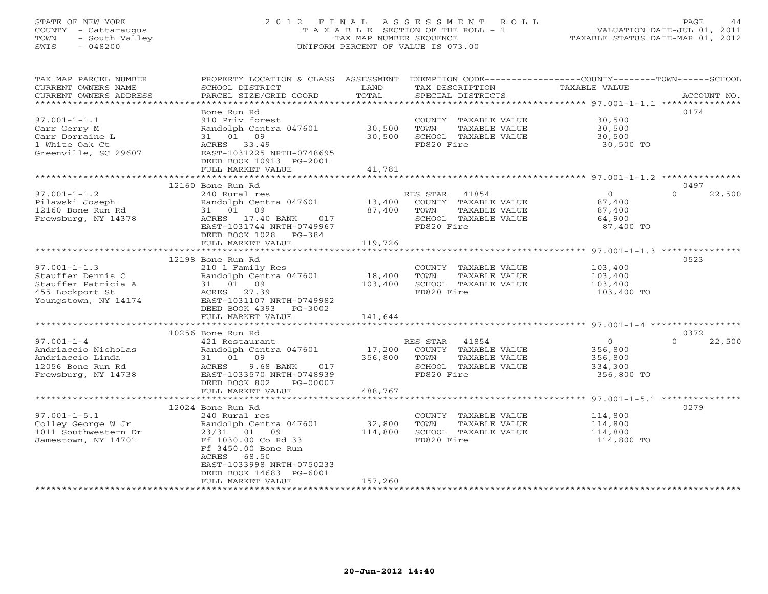# STATE OF NEW YORK 2 0 1 2 F I N A L A S S E S S M E N T R O L L PAGE 44 COUNTY - Cattaraugus T A X A B L E SECTION OF THE ROLL - 1 VALUATION DATE-JUL 01, 2011 TOWN - South Valley TAX MAP NUMBER SEQUENCE TAXABLE STATUS DATE-MAR 01, 2012 SWIS - 048200 UNIFORM PERCENT OF VALUE IS 073.00UNIFORM PERCENT OF VALUE IS 073.00

| TAX MAP PARCEL NUMBER<br>CURRENT OWNERS NAME<br>CURRENT OWNERS ADDRESS | PROPERTY LOCATION & CLASS ASSESSMENT<br>SCHOOL DISTRICT<br>PARCEL SIZE/GRID COORD | LAND<br>TOTAL | TAX DESCRIPTION<br>SPECIAL DISTRICTS | EXEMPTION CODE-----------------COUNTY-------TOWN------SCHOOL<br>TAXABLE VALUE | ACCOUNT NO.        |
|------------------------------------------------------------------------|-----------------------------------------------------------------------------------|---------------|--------------------------------------|-------------------------------------------------------------------------------|--------------------|
|                                                                        |                                                                                   |               |                                      |                                                                               |                    |
|                                                                        | Bone Run Rd                                                                       |               |                                      |                                                                               | 0174               |
| $97.001 - 1 - 1.1$                                                     | 910 Priv forest                                                                   |               | COUNTY TAXABLE VALUE                 | 30,500                                                                        |                    |
| Carr Gerry M                                                           | Randolph Centra 047601                                                            | 30,500        | TOWN<br>TAXABLE VALUE                | 30,500                                                                        |                    |
| Carr Dorraine L<br>1 White Oak Ct                                      | 31 01 09<br>ACRES 33.49                                                           | 30,500        | SCHOOL TAXABLE VALUE<br>FD820 Fire   | 30,500<br>30,500 TO                                                           |                    |
| Greenville, SC 29607                                                   | EAST-1031225 NRTH-0748695                                                         |               |                                      |                                                                               |                    |
|                                                                        | DEED BOOK 10913 PG-2001                                                           |               |                                      |                                                                               |                    |
|                                                                        | FULL MARKET VALUE                                                                 | 41,781        |                                      |                                                                               |                    |
|                                                                        | **************************                                                        |               |                                      |                                                                               |                    |
|                                                                        | 12160 Bone Run Rd                                                                 |               |                                      |                                                                               | 0497               |
| $97.001 - 1 - 1.2$                                                     | 240 Rural res                                                                     |               | RES STAR<br>41854                    | $\circ$                                                                       | $\Omega$<br>22,500 |
| Pilawski Joseph                                                        | Randolph Centra 047601                                                            | 13,400        | COUNTY TAXABLE VALUE                 | 87,400                                                                        |                    |
| 12160 Bone Run Rd                                                      | 31 01 09                                                                          | 87,400        | TOWN<br>TAXABLE VALUE                | 87,400                                                                        |                    |
| Frewsburg, NY 14378                                                    | ACRES 17.40 BANK<br>017                                                           |               | SCHOOL TAXABLE VALUE                 | 64,900                                                                        |                    |
|                                                                        | EAST-1031744 NRTH-0749967                                                         |               | FD820 Fire                           | 87,400 TO                                                                     |                    |
|                                                                        | DEED BOOK 1028 PG-384                                                             |               |                                      |                                                                               |                    |
|                                                                        | FULL MARKET VALUE                                                                 | 119,726       |                                      |                                                                               |                    |
|                                                                        |                                                                                   |               |                                      | ********************************** 97.001-1-1.3 **************                |                    |
|                                                                        | 12198 Bone Run Rd                                                                 |               |                                      |                                                                               | 0523               |
| $97.001 - 1 - 1.3$                                                     | 210 1 Family Res                                                                  |               | COUNTY TAXABLE VALUE                 | 103,400                                                                       |                    |
| Stauffer Dennis C                                                      | Randolph Centra 047601                                                            | 18,400        | TOWN<br>TAXABLE VALUE                | 103,400                                                                       |                    |
| Stauffer Patricia A                                                    | 31 01 09                                                                          | 103,400       | SCHOOL TAXABLE VALUE                 | 103,400                                                                       |                    |
| 455 Lockport St<br>Youngstown, NY 14174                                | ACRES 27.39                                                                       |               | FD820 Fire                           | 103,400 TO                                                                    |                    |
|                                                                        | EAST-1031107 NRTH-0749982<br>DEED BOOK 4393<br>PG-3002                            |               |                                      |                                                                               |                    |
|                                                                        | FULL MARKET VALUE                                                                 | 141,644       |                                      |                                                                               |                    |
|                                                                        |                                                                                   |               |                                      |                                                                               |                    |
|                                                                        | 10256 Bone Run Rd                                                                 |               |                                      |                                                                               | 0372               |
| $97.001 - 1 - 4$                                                       | 421 Restaurant                                                                    |               | 41854<br>RES STAR                    | $\circ$                                                                       | $\Omega$<br>22,500 |
| Andriaccio Nicholas                                                    | Randolph Centra 047601                                                            | 17,200        | COUNTY TAXABLE VALUE                 | 356,800                                                                       |                    |
| Andriaccio Linda                                                       | 31 01 09                                                                          | 356,800       | TOWN<br>TAXABLE VALUE                | 356,800                                                                       |                    |
| 12056 Bone Run Rd                                                      | 9.68 BANK<br>017<br>ACRES                                                         |               | SCHOOL TAXABLE VALUE                 | 334,300                                                                       |                    |
| Frewsburg, NY 14738                                                    | EAST-1033570 NRTH-0748939                                                         |               | FD820 Fire                           | 356,800 TO                                                                    |                    |
|                                                                        | DEED BOOK 802<br>PG-00007                                                         |               |                                      |                                                                               |                    |
|                                                                        | FULL MARKET VALUE                                                                 | 488,767       |                                      |                                                                               |                    |
|                                                                        |                                                                                   |               |                                      |                                                                               |                    |
|                                                                        | 12024 Bone Run Rd                                                                 |               |                                      |                                                                               | 0279               |
| $97.001 - 1 - 5.1$                                                     | 240 Rural res                                                                     |               | COUNTY TAXABLE VALUE                 | 114,800                                                                       |                    |
| Colley George W Jr                                                     | Randolph Centra 047601                                                            | 32,800        | TAXABLE VALUE<br>TOWN                | 114,800                                                                       |                    |
| 1011 Southwestern Dr                                                   | 23/31 01 09                                                                       | 114,800       | SCHOOL TAXABLE VALUE                 | 114,800                                                                       |                    |
| Jamestown, NY 14701                                                    | Ff 1030.00 Co Rd 33                                                               |               | FD820 Fire                           | 114,800 TO                                                                    |                    |
|                                                                        | Ff 3450.00 Bone Run<br>ACRES<br>68.50                                             |               |                                      |                                                                               |                    |
|                                                                        | EAST-1033998 NRTH-0750233                                                         |               |                                      |                                                                               |                    |
|                                                                        | DEED BOOK 14683 PG-6001                                                           |               |                                      |                                                                               |                    |
|                                                                        | FULL MARKET VALUE                                                                 | 157,260       |                                      |                                                                               |                    |
|                                                                        |                                                                                   |               |                                      |                                                                               |                    |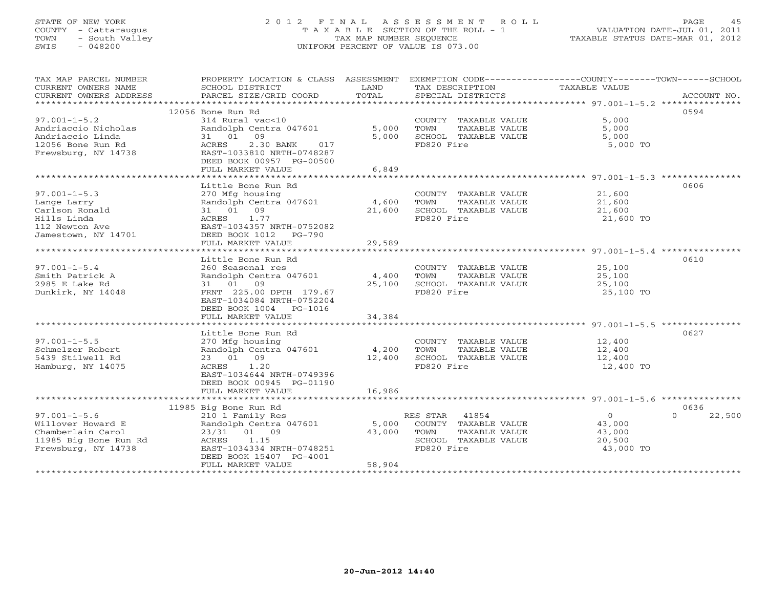# STATE OF NEW YORK 2 0 1 2 F I N A L A S S E S S M E N T R O L L PAGE 45 COUNTY - Cattaraugus T A X A B L E SECTION OF THE ROLL - 1 VALUATION DATE-JUL 01, 2011 TOWN - South Valley TAX MAP NUMBER SEQUENCE TAXABLE STATUS DATE-MAR 01, 2012 SWIS - 048200 UNIFORM PERCENT OF VALUE IS 073.00UNIFORM PERCENT OF VALUE IS 073.00

| TAX MAP PARCEL NUMBER                                                                                                                                                                                    | PROPERTY LOCATION & CLASS ASSESSMENT                        |                        |                                                              | EXEMPTION CODE----------------COUNTY-------TOWN------SCHOOL |
|----------------------------------------------------------------------------------------------------------------------------------------------------------------------------------------------------------|-------------------------------------------------------------|------------------------|--------------------------------------------------------------|-------------------------------------------------------------|
| CURRENT OWNERS NAME                                                                                                                                                                                      | SCHOOL DISTRICT                                             | <b>Example 12</b> LAND | TAX DESCRIPTION                                              | TAXABLE VALUE                                               |
|                                                                                                                                                                                                          |                                                             |                        |                                                              | ACCOUNT NO.                                                 |
|                                                                                                                                                                                                          |                                                             |                        |                                                              |                                                             |
|                                                                                                                                                                                                          | 12056 Bone Run Rd                                           |                        |                                                              | 0594                                                        |
| $97.001 - 1 - 5.2$                                                                                                                                                                                       | 314 Rural vac<10                                            |                        | COUNTY TAXABLE VALUE                                         | 5,000                                                       |
|                                                                                                                                                                                                          | Randolph Centra 047601 5,000 TOWN<br>31 01 09 5.000 SCHOOT. |                        | TAXABLE VALUE                                                | 5,000                                                       |
|                                                                                                                                                                                                          |                                                             |                        | 5,000 SCHOOL TAXABLE VALUE 5,000                             |                                                             |
| Andriaccio Nicholas<br>Andriaccio Linda<br>12056 Bone Run Rd<br>12056 Bone Run Rd<br>12056 Bone Run Rd<br>12056 Bone Run Rd<br>12076 Bone Run Rd<br>12056 Bone Run Rd<br>12078 BAST-1033810 NRTH-0748287 | 2.30 BANK 017                                               |                        | FD820 Fire                                                   | 5,000 TO                                                    |
|                                                                                                                                                                                                          |                                                             |                        |                                                              |                                                             |
|                                                                                                                                                                                                          | DEED BOOK 00957 PG-00500                                    |                        |                                                              |                                                             |
|                                                                                                                                                                                                          | FULL MARKET VALUE                                           | 6,849                  |                                                              |                                                             |
|                                                                                                                                                                                                          |                                                             |                        |                                                              |                                                             |
|                                                                                                                                                                                                          | Little Bone Run Rd                                          |                        |                                                              | 0606                                                        |
| $97.001 - 1 - 5.3$                                                                                                                                                                                       | 270 Mfg housing COUNTY<br>Randolph Centra 047601 4,600 TOWN |                        | COUNTY TAXABLE VALUE $21,600$<br>TOWN TAXABLE VALUE $21,600$ |                                                             |
| Lange Larry                                                                                                                                                                                              |                                                             |                        |                                                              |                                                             |
| Carlson Ronald                                                                                                                                                                                           | 31 01 09                                                    |                        | $21,600$<br>$21,600$ SCHOOL TAXABLE VALUE 21,600             |                                                             |
| Hills Linda                                                                                                                                                                                              | ACRES 1.77                                                  |                        | FD820 Fire                                                   | 21,600 TO                                                   |
| 112 Newton Ave                                                                                                                                                                                           | EAST-1034357 NRTH-0752082                                   |                        |                                                              |                                                             |
| Jamestown, NY 14701                                                                                                                                                                                      | DEED BOOK 1012    PG-790                                    |                        |                                                              |                                                             |
|                                                                                                                                                                                                          | FULL MARKET VALUE                                           | 29,589                 |                                                              |                                                             |
|                                                                                                                                                                                                          |                                                             |                        |                                                              |                                                             |
|                                                                                                                                                                                                          | Little Bone Run Rd                                          |                        |                                                              | 0610                                                        |
| $97.001 - 1 - 5.4$                                                                                                                                                                                       |                                                             |                        |                                                              |                                                             |
| Smith Patrick A                                                                                                                                                                                          | 260 Seasonal res<br>Randolph Centra 047601 14,400 TOWN      |                        | COUNTY TAXABLE VALUE $25,100$<br>TOWN TAXABLE VALUE $25,100$ |                                                             |
| 2985 E Lake Rd                                                                                                                                                                                           | 31 01 09                                                    | 25,100                 | SCHOOL TAXABLE VALUE                                         | 25,100                                                      |
| Dunkirk, NY 14048                                                                                                                                                                                        | FRNT 225.00 DPTH 179.67                                     |                        | FD820 Fire                                                   | 25,100 TO                                                   |
|                                                                                                                                                                                                          | EAST-1034084 NRTH-0752204                                   |                        |                                                              |                                                             |
|                                                                                                                                                                                                          | DEED BOOK 1004 PG-1016                                      |                        |                                                              |                                                             |
|                                                                                                                                                                                                          | FULL MARKET VALUE                                           | 34,384                 |                                                              |                                                             |
|                                                                                                                                                                                                          |                                                             |                        |                                                              |                                                             |
|                                                                                                                                                                                                          | Little Bone Run Rd                                          |                        |                                                              | 0627                                                        |
| $97.001 - 1 - 5.5$                                                                                                                                                                                       | 270 Mfg housing                                             |                        | COUNTY TAXABLE VALUE 12,400                                  |                                                             |
| Schmelzer Robert                                                                                                                                                                                         | Randolph Centra 047601 4,200                                |                        | TAXABLE VALUE<br>TOWN                                        | 12,400                                                      |
| 5439 Stilwell Rd                                                                                                                                                                                         | 23 01 09                                                    |                        | SCHOOL TAXABLE VALUE                                         | 12,400                                                      |
| Hamburg, NY 14075                                                                                                                                                                                        | 12,400<br>ACRES 1.20                                        |                        | FD820 Fire                                                   | 12,400 TO                                                   |
|                                                                                                                                                                                                          | EAST-1034644 NRTH-0749396                                   |                        |                                                              |                                                             |
|                                                                                                                                                                                                          | DEED BOOK 00945 PG-01190                                    |                        |                                                              |                                                             |
|                                                                                                                                                                                                          | FULL MARKET VALUE                                           | 16,986                 |                                                              |                                                             |
|                                                                                                                                                                                                          |                                                             |                        |                                                              |                                                             |
|                                                                                                                                                                                                          | 11985 Big Bone Run Rd                                       |                        |                                                              | 0636                                                        |
| $97.001 - 1 - 5.6$                                                                                                                                                                                       | 210 1 Family Res                                            |                        | RES STAR 41854                                               | $\overline{0}$<br>$\Omega$<br>22,500                        |
|                                                                                                                                                                                                          | Randolph Centra 047601 5,000 COUNTY TAXABLE VALUE           |                        |                                                              |                                                             |
| Willover Howard E<br>Chamberlain Carol                                                                                                                                                                   | 23/31 01 09                                                 | 43,000 TOWN            | TAXABLE VALUE                                                | 43,000<br>43,000                                            |
|                                                                                                                                                                                                          | 1.15                                                        |                        | SCHOOL TAXABLE VALUE 20,500                                  |                                                             |
| 11985 Big Bone Run Rd<br>Frewsburg, NY 14738 EAST-1                                                                                                                                                      | EAST-1034334 NRTH-0748251                                   |                        | FD820 Fire                                                   | 43,000 TO                                                   |
|                                                                                                                                                                                                          | DEED BOOK 15407 PG-4001                                     |                        |                                                              |                                                             |
|                                                                                                                                                                                                          | FULL MARKET VALUE                                           | 58,904                 |                                                              |                                                             |
|                                                                                                                                                                                                          |                                                             |                        |                                                              |                                                             |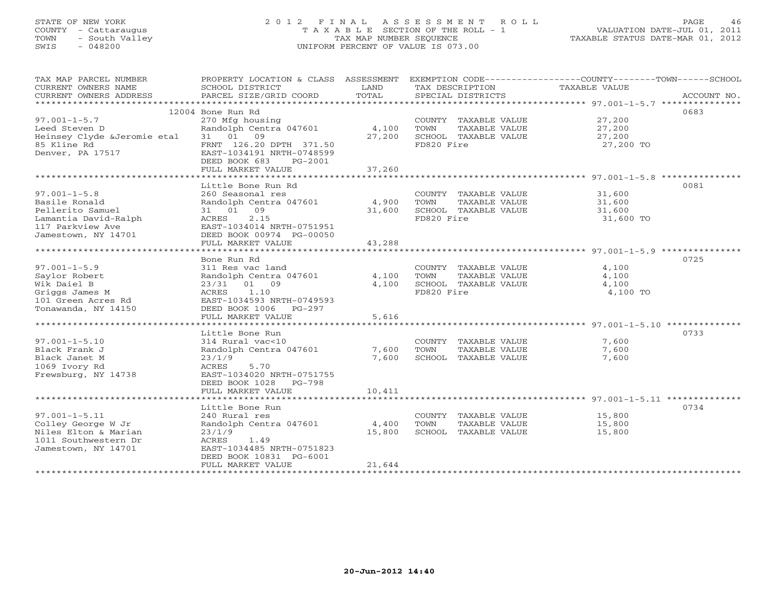# STATE OF NEW YORK 2 0 1 2 F I N A L A S S E S S M E N T R O L L PAGE 46 COUNTY - Cattaraugus T A X A B L E SECTION OF THE ROLL - 1 VALUATION DATE-JUL 01, 2011 TOWN - South Valley TAX MAP NUMBER SEQUENCE TAXABLE STATUS DATE-MAR 01, 2012 SWIS - 048200 UNIFORM PERCENT OF VALUE IS 073.00UNIFORM PERCENT OF VALUE IS 073.00

| TAX MAP PARCEL NUMBER       | PROPERTY LOCATION & CLASS ASSESSMENT |            |                       | EXEMPTION CODE-----------------COUNTY-------TOWN-----SCHOOL |
|-----------------------------|--------------------------------------|------------|-----------------------|-------------------------------------------------------------|
| CURRENT OWNERS NAME         | SCHOOL DISTRICT                      | LAND       | TAX DESCRIPTION       | TAXABLE VALUE                                               |
| CURRENT OWNERS ADDRESS      |                                      |            |                       | ACCOUNT NO.                                                 |
| ***********************     |                                      |            |                       |                                                             |
|                             | 12004 Bone Run Rd                    |            |                       | 0683                                                        |
| $97.001 - 1 - 5.7$          | 270 Mfg housing                      |            | COUNTY TAXABLE VALUE  | 27,200                                                      |
| Leed Steven D               | Randolph Centra 047601               | 4,100 TOWN | TAXABLE VALUE         | 27,200                                                      |
| Heinsey Clyde &Jeromie etal | 31 01 09                             | 27,200     | SCHOOL TAXABLE VALUE  | 27,200                                                      |
| 85 Kline Rd                 | FRNT 126.20 DPTH 371.50              |            | FD820 Fire            | 27,200 TO                                                   |
| Denver, PA 17517            | EAST-1034191 NRTH-0748599            |            |                       |                                                             |
|                             | DEED BOOK 683<br>PG-2001             |            |                       |                                                             |
|                             | FULL MARKET VALUE                    | 37,260     |                       |                                                             |
|                             |                                      |            |                       |                                                             |
|                             | Little Bone Run Rd                   |            |                       | 0081                                                        |
| $97.001 - 1 - 5.8$          | 260 Seasonal res                     |            | COUNTY TAXABLE VALUE  | 31,600                                                      |
| Basile Ronald               | Randolph Centra 047601               | 4,900      | TOWN<br>TAXABLE VALUE | 31,600                                                      |
| Pellerito Samuel            | 31 01 09                             | 31,600     | SCHOOL TAXABLE VALUE  | 31,600                                                      |
| Lamantia David-Ralph        | 2.15<br>ACRES                        |            | FD820 Fire            | 31,600 TO                                                   |
| 117 Parkview Ave            | EAST-1034014 NRTH-0751951            |            |                       |                                                             |
| Jamestown, NY 14701         | DEED BOOK 00974 PG-00050             |            |                       |                                                             |
|                             | FULL MARKET VALUE                    | 43,288     |                       |                                                             |
|                             |                                      |            |                       |                                                             |
|                             | Bone Run Rd                          |            |                       | 0725                                                        |
| $97.001 - 1 - 5.9$          | 311 Res vac land                     |            | COUNTY TAXABLE VALUE  | 4,100                                                       |
| Saylor Robert               | Randolph Centra 047601               | 4,100      | TAXABLE VALUE<br>TOWN | 4,100                                                       |
| Wik Daiel B                 | 23/31 01 09                          | 4,100      | SCHOOL TAXABLE VALUE  | 4,100                                                       |
| Griggs James M              | ACRES<br>1.10                        |            | FD820 Fire            | 4,100 TO                                                    |
| 101 Green Acres Rd          | EAST-1034593 NRTH-0749593            |            |                       |                                                             |
| Tonawanda, NY 14150         | DEED BOOK 1006 PG-297                |            |                       |                                                             |
|                             | FULL MARKET VALUE                    | 5,616      |                       |                                                             |
|                             |                                      |            |                       |                                                             |
|                             | Little Bone Run                      |            |                       | 0733                                                        |
| $97.001 - 1 - 5.10$         | 314 Rural vac<10                     |            | COUNTY TAXABLE VALUE  | 7,600                                                       |
| Black Frank J               | Randolph Centra 047601               | 7,600      | TOWN<br>TAXABLE VALUE | 7,600                                                       |
| Black Janet M               | 23/1/9                               | 7,600      | SCHOOL TAXABLE VALUE  | 7,600                                                       |
| 1069 Ivory Rd               | ACRES<br>5.70                        |            |                       |                                                             |
| Frewsburg, NY 14738         | EAST-1034020 NRTH-0751755            |            |                       |                                                             |
|                             | DEED BOOK 1028 PG-798                |            |                       |                                                             |
|                             | FULL MARKET VALUE                    | 10,411     |                       |                                                             |
|                             |                                      |            |                       |                                                             |
|                             | Little Bone Run                      |            |                       | 0734                                                        |
| $97.001 - 1 - 5.11$         | 240 Rural res                        |            | COUNTY TAXABLE VALUE  | 15,800                                                      |
| Colley George W Jr          | Randolph Centra 047601               | 4,400      | TAXABLE VALUE<br>TOWN | 15,800                                                      |
| Niles Elton & Marian        | 23/1/9                               | 15,800     | SCHOOL TAXABLE VALUE  | 15,800                                                      |
| 1011 Southwestern Dr        | ACRES<br>1.49                        |            |                       |                                                             |
| Jamestown, NY 14701         | EAST-1034485 NRTH-0751823            |            |                       |                                                             |
|                             | DEED BOOK 10831 PG-6001              |            |                       |                                                             |
|                             | FULL MARKET VALUE                    | 21,644     |                       |                                                             |
|                             | **************************           |            |                       |                                                             |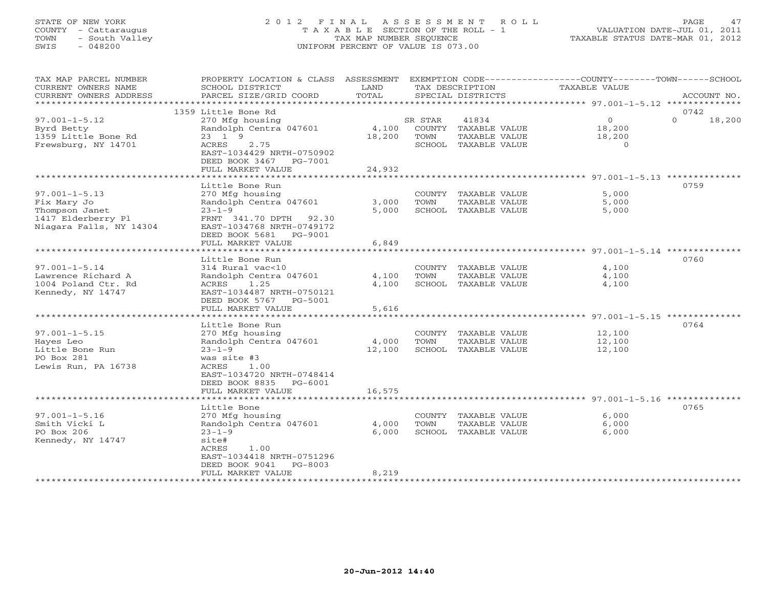# STATE OF NEW YORK 2 0 1 2 F I N A L A S S E S S M E N T R O L L PAGE 47 COUNTY - Cattaraugus T A X A B L E SECTION OF THE ROLL - 1 VALUATION DATE-JUL 01, 2011 TOWN - South Valley TAX MAP NUMBER SEQUENCE TAXABLE STATUS DATE-MAR 01, 2012 SWIS - 048200 UNIFORM PERCENT OF VALUE IS 073.00UNIFORM PERCENT OF VALUE IS 073.00

| TAX MAP PARCEL NUMBER<br>CURRENT OWNERS NAME<br>CURRENT OWNERS ADDRESS<br>******************          | PROPERTY LOCATION & CLASS<br>SCHOOL DISTRICT<br>PARCEL SIZE/GRID COORD                                                                                                             | ASSESSMENT<br>LAND<br>TOTAL |                          | TAX DESCRIPTION<br>SPECIAL DISTRICTS                                   | EXEMPTION CODE-----------------COUNTY-------TOWN------SCHOOL<br>TAXABLE VALUE | ACCOUNT NO.                |
|-------------------------------------------------------------------------------------------------------|------------------------------------------------------------------------------------------------------------------------------------------------------------------------------------|-----------------------------|--------------------------|------------------------------------------------------------------------|-------------------------------------------------------------------------------|----------------------------|
|                                                                                                       |                                                                                                                                                                                    |                             |                          |                                                                        |                                                                               |                            |
| $97.001 - 1 - 5.12$<br>Byrd Betty<br>1359 Little Bone Rd<br>Frewsburg, NY 14701                       | 1359 Little Bone Rd<br>270 Mfg housing<br>Randolph Centra 047601<br>23 1 9<br>ACRES<br>2.75<br>EAST-1034429 NRTH-0750902<br>DEED BOOK 3467<br>PG-7001<br>FULL MARKET VALUE         | 4,100<br>18,200<br>24,932   | SR STAR<br>TOWN          | 41834<br>COUNTY TAXABLE VALUE<br>TAXABLE VALUE<br>SCHOOL TAXABLE VALUE | $\circ$<br>18,200<br>18,200<br>$\Omega$                                       | 0742<br>$\Omega$<br>18,200 |
|                                                                                                       | *****************                                                                                                                                                                  | <b>********</b>             |                          |                                                                        | ************* 97.001-1-5.13 ***************                                   |                            |
| $97.001 - 1 - 5.13$<br>Fix Mary Jo<br>Thompson Janet<br>1417 Elderberry Pl<br>Niagara Falls, NY 14304 | Little Bone Run<br>270 Mfg housing<br>Randolph Centra 047601<br>$23 - 1 - 9$<br>FRNT 341.70 DPTH 92.30<br>EAST-1034768 NRTH-0749172<br>DEED BOOK 5681 PG-9001<br>FULL MARKET VALUE | 3,000<br>5,000<br>6,849     | COUNTY<br>TOWN           | TAXABLE VALUE<br>TAXABLE VALUE<br>SCHOOL TAXABLE VALUE                 | 5,000<br>5,000<br>5,000                                                       | 0759                       |
|                                                                                                       | **************                                                                                                                                                                     |                             |                          |                                                                        | ************ 97.001-1-5.14 **                                                 |                            |
| $97.001 - 1 - 5.14$<br>Lawrence Richard A<br>1004 Poland Ctr. Rd<br>Kennedy, NY 14747                 | Little Bone Run<br>314 Rural vac<10<br>Randolph Centra 047601<br>1.25<br>ACRES<br>EAST-1034487 NRTH-0750121<br>DEED BOOK 5767<br>PG-5001<br>FULL MARKET VALUE                      | 4,100<br>4,100<br>5,616     | TOWN<br>SCHOOL           | COUNTY TAXABLE VALUE<br>TAXABLE VALUE<br>TAXABLE VALUE                 | 4,100<br>4,100<br>4,100                                                       | 0760                       |
|                                                                                                       |                                                                                                                                                                                    |                             |                          |                                                                        | ************************* 97.001-1-5.15 *********                             |                            |
| $97.001 - 1 - 5.15$<br>Hayes Leo<br>Little Bone Run<br>PO Box 281<br>Lewis Run, PA 16738              | Little Bone Run<br>270 Mfg housing<br>Randolph Centra 047601<br>$23 - 1 - 9$<br>was site #3<br>ACRES<br>1.00<br>EAST-1034720 NRTH-0748414<br>DEED BOOK 8835<br>$PG-6001$           | 4,000<br>12,100             | COUNTY<br>TOWN<br>SCHOOL | TAXABLE VALUE<br>TAXABLE VALUE<br>TAXABLE VALUE                        | 12,100<br>12,100<br>12,100                                                    | 0764                       |
|                                                                                                       | FULL MARKET VALUE                                                                                                                                                                  | 16,575                      |                          |                                                                        |                                                                               |                            |
|                                                                                                       |                                                                                                                                                                                    |                             |                          |                                                                        |                                                                               |                            |
| $97.001 - 1 - 5.16$<br>Smith Vicki L<br>PO Box 206<br>Kennedy, NY 14747                               | Little Bone<br>270 Mfg housing<br>Randolph Centra 047601<br>$23 - 1 - 9$<br>site#<br>ACRES<br>1.00<br>EAST-1034418 NRTH-0751296<br>DEED BOOK 9041<br>$PG-8003$                     | 4,000<br>6,000              | TOWN                     | COUNTY TAXABLE VALUE<br>TAXABLE VALUE<br>SCHOOL TAXABLE VALUE          | 6,000<br>6,000<br>6,000                                                       | 0765                       |
|                                                                                                       | FULL MARKET VALUE<br>********************                                                                                                                                          | 8,219                       |                          |                                                                        |                                                                               |                            |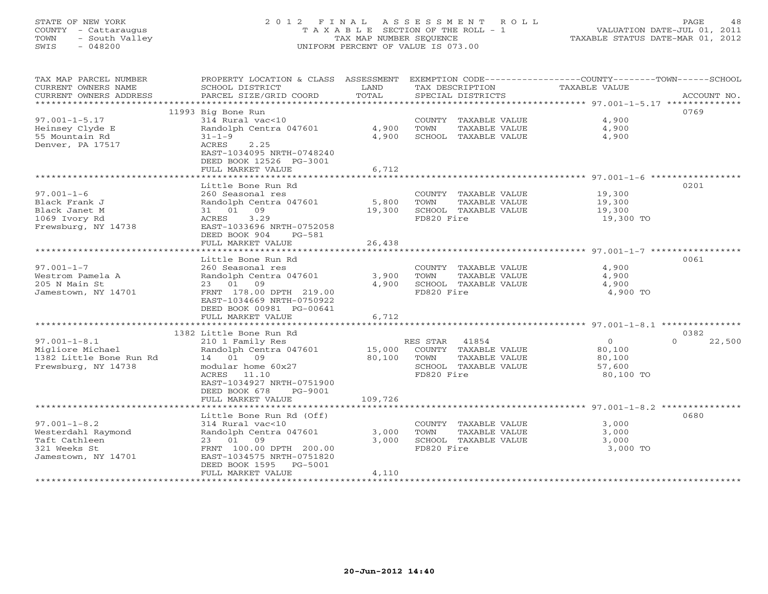# STATE OF NEW YORK 2 0 1 2 F I N A L A S S E S S M E N T R O L L PAGE 48 COUNTY - Cattaraugus T A X A B L E SECTION OF THE ROLL - 1 VALUATION DATE-JUL 01, 2011 TOWN - South Valley TAX MAP NUMBER SEQUENCE TAXABLE STATUS DATE-MAR 01, 2012 SWIS - 048200 UNIFORM PERCENT OF VALUE IS 073.00UNIFORM PERCENT OF VALUE IS 073.00

| TAX MAP PARCEL NUMBER                    | PROPERTY LOCATION & CLASS ASSESSMENT                                  |         |                                               | EXEMPTION CODE-----------------COUNTY-------TOWN------SCHOOL |                    |
|------------------------------------------|-----------------------------------------------------------------------|---------|-----------------------------------------------|--------------------------------------------------------------|--------------------|
| CURRENT OWNERS NAME                      | SCHOOL DISTRICT                                                       | LAND    | TAX DESCRIPTION                               | TAXABLE VALUE                                                |                    |
| CURRENT OWNERS ADDRESS                   | PARCEL SIZE/GRID COORD                                                | TOTAL   | SPECIAL DISTRICTS                             |                                                              | ACCOUNT NO.        |
| ***********************                  |                                                                       |         |                                               |                                                              |                    |
| $97.001 - 1 - 5.17$                      | 11993 Big Bone Run<br>314 Rural vac<10                                |         |                                               | 4,900                                                        | 0769               |
|                                          | Randolph Centra 047601                                                | 4,900   | COUNTY TAXABLE VALUE<br>TOWN<br>TAXABLE VALUE | 4,900                                                        |                    |
| Heinsey Clyde E<br>55 Mountain Rd        | $31 - 1 - 9$                                                          | 4,900   | SCHOOL TAXABLE VALUE                          | 4,900                                                        |                    |
| Denver, PA 17517                         | ACRES<br>2.25<br>EAST-1034095 NRTH-0748240<br>DEED BOOK 12526 PG-3001 |         |                                               |                                                              |                    |
|                                          | FULL MARKET VALUE                                                     | 6,712   |                                               |                                                              |                    |
|                                          |                                                                       |         |                                               |                                                              |                    |
|                                          | Little Bone Run Rd                                                    |         |                                               |                                                              | 0201               |
| $97.001 - 1 - 6$                         | 260 Seasonal res                                                      |         | COUNTY TAXABLE VALUE                          | 19,300                                                       |                    |
| Black Frank J                            | Randolph Centra 047601                                                | 5,800   | TAXABLE VALUE<br>TOWN                         | 19,300                                                       |                    |
| Black Janet M                            | 31 01 09                                                              | 19,300  | SCHOOL TAXABLE VALUE                          | 19,300                                                       |                    |
| 1069 Ivory Rd<br>Frewsburg, NY 14738     | 3.29<br>ACRES<br>EAST-1033696 NRTH-0752058<br>DEED BOOK 904<br>PG-581 |         | FD820 Fire                                    | 19,300 TO                                                    |                    |
|                                          | FULL MARKET VALUE                                                     | 26,438  |                                               |                                                              |                    |
|                                          |                                                                       |         |                                               |                                                              |                    |
|                                          | Little Bone Run Rd                                                    |         |                                               |                                                              | 0061               |
| $97.001 - 1 - 7$                         | 260 Seasonal res                                                      |         | COUNTY TAXABLE VALUE                          | 4,900                                                        |                    |
| Westrom Pamela A                         | Randolph Centra 047601                                                | 3,900   | TOWN<br>TAXABLE VALUE                         | 4,900                                                        |                    |
| 205 N Main St                            | 23 01 09                                                              | 4,900   | SCHOOL TAXABLE VALUE<br>FD820 Fire            | 4,900                                                        |                    |
| Jamestown, NY 14701                      | FRNT 178.00 DPTH 219.00<br>EAST-1034669 NRTH-0750922                  |         |                                               | 4,900 TO                                                     |                    |
|                                          | DEED BOOK 00981 PG-00641                                              |         |                                               |                                                              |                    |
|                                          | FULL MARKET VALUE                                                     | 6,712   |                                               |                                                              |                    |
|                                          |                                                                       |         |                                               |                                                              |                    |
|                                          | 1382 Little Bone Run Rd                                               |         |                                               |                                                              | 0382               |
| $97.001 - 1 - 8.1$                       | 210 1 Family Res                                                      |         | RES STAR<br>41854                             | $\Omega$                                                     | $\Omega$<br>22,500 |
| Migliore Michael                         | Randolph Centra 047601                                                | 15,000  | COUNTY TAXABLE VALUE                          | 80,100                                                       |                    |
| 1382 Little Bone Run Rd                  | 14 01 09                                                              | 80,100  | TOWN<br>TAXABLE VALUE                         | 80,100                                                       |                    |
| Frewsburg, NY 14738                      | modular home 60x27                                                    |         | SCHOOL TAXABLE VALUE                          | 57,600                                                       |                    |
|                                          | ACRES 11.10                                                           |         | FD820 Fire                                    | 80,100 TO                                                    |                    |
|                                          | EAST-1034927 NRTH-0751900                                             |         |                                               |                                                              |                    |
|                                          | DEED BOOK 678<br>PG-9001                                              |         |                                               |                                                              |                    |
|                                          | FULL MARKET VALUE                                                     | 109,726 |                                               |                                                              |                    |
|                                          |                                                                       |         |                                               |                                                              | 0680               |
|                                          | Little Bone Run Rd (Off)                                              |         |                                               |                                                              |                    |
| $97.001 - 1 - 8.2$<br>Westerdahl Raymond | 314 Rural vac<10<br>Randolph Centra 047601                            | 3,000   | COUNTY TAXABLE VALUE<br>TOWN<br>TAXABLE VALUE | 3,000<br>3,000                                               |                    |
| Taft Cathleen                            | 23 01<br>09                                                           | 3,000   | SCHOOL TAXABLE VALUE                          | 3,000                                                        |                    |
| 321 Weeks St                             | FRNT 100.00 DPTH 200.00                                               |         | FD820 Fire                                    | 3,000 TO                                                     |                    |
| Jamestown, NY 14701                      | EAST-1034575 NRTH-0751820                                             |         |                                               |                                                              |                    |
|                                          | DEED BOOK 1595 PG-5001                                                |         |                                               |                                                              |                    |
|                                          | FULL MARKET VALUE                                                     | 4,110   |                                               |                                                              |                    |
|                                          |                                                                       |         |                                               |                                                              |                    |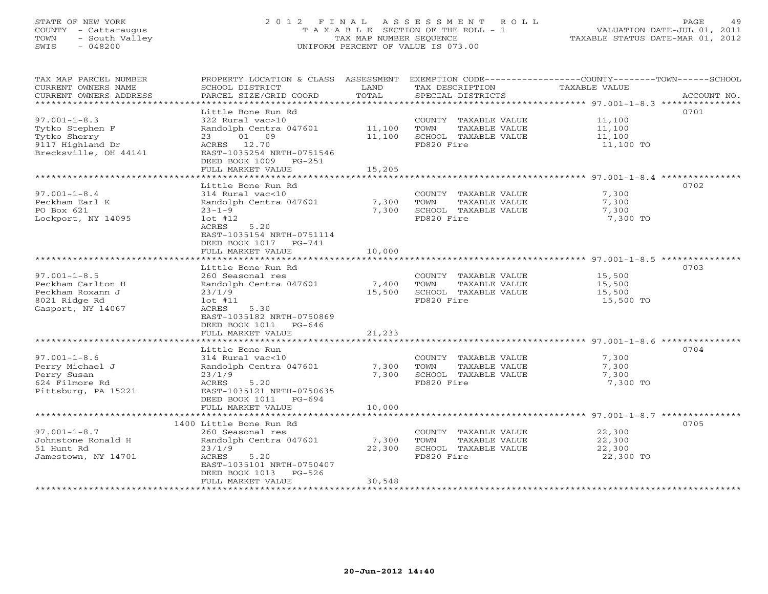# STATE OF NEW YORK 2 0 1 2 F I N A L A S S E S S M E N T R O L L PAGE 49 COUNTY - Cattaraugus T A X A B L E SECTION OF THE ROLL - 1 VALUATION DATE-JUL 01, 2011 TOWN - South Valley TAX MAP NUMBER SEQUENCE TAXABLE STATUS DATE-MAR 01, 2012 SWIS - 048200 UNIFORM PERCENT OF VALUE IS 073.00UNIFORM PERCENT OF VALUE IS 073.00

| TAX MAP PARCEL NUMBER<br>CURRENT OWNERS NAME<br>CURRENT OWNERS ADDRESS<br>************************* | PROPERTY LOCATION & CLASS ASSESSMENT<br>SCHOOL DISTRICT<br>PARCEL SIZE/GRID COORD                                                                               | LAND<br>TOTAL            | TAX DESCRIPTION<br>SPECIAL DISTRICTS                                                | EXEMPTION CODE----------------COUNTY-------TOWN-----SCHOOL<br><b>TAXABLE VALUE</b><br>ACCOUNT NO. |
|-----------------------------------------------------------------------------------------------------|-----------------------------------------------------------------------------------------------------------------------------------------------------------------|--------------------------|-------------------------------------------------------------------------------------|---------------------------------------------------------------------------------------------------|
| $97.001 - 1 - 8.3$<br>Tytko Stephen F<br>Tytko Sherry<br>9117 Highland Dr<br>Brecksville, OH 44141  | Little Bone Run Rd<br>322 Rural vac>10<br>Randolph Centra 047601<br>01 09<br>23<br>ACRES 12.70<br>EAST-1035254 NRTH-0751546                                     | 11,100<br>11,100         | COUNTY TAXABLE VALUE<br>TOWN<br>TAXABLE VALUE<br>SCHOOL TAXABLE VALUE<br>FD820 Fire | 0701<br>11,100<br>11,100<br>11,100<br>11,100 TO                                                   |
|                                                                                                     | DEED BOOK 1009 PG-251<br>FULL MARKET VALUE                                                                                                                      | 15,205                   |                                                                                     |                                                                                                   |
|                                                                                                     | Little Bone Run Rd                                                                                                                                              |                          |                                                                                     | 0702                                                                                              |
| $97.001 - 1 - 8.4$<br>Peckham Earl K<br>PO Box 621<br>Lockport, NY 14095                            | 314 Rural vac<10<br>Randolph Centra 047601<br>$23 - 1 - 9$<br>$1$ ot #12<br>5.20<br>ACRES<br>EAST-1035154 NRTH-0751114                                          | 7,300<br>7,300           | COUNTY TAXABLE VALUE<br>TOWN<br>TAXABLE VALUE<br>SCHOOL TAXABLE VALUE<br>FD820 Fire | 7,300<br>7,300<br>7,300<br>7,300 TO                                                               |
|                                                                                                     | DEED BOOK 1017<br>$PG-741$<br>FULL MARKET VALUE                                                                                                                 | 10,000                   |                                                                                     |                                                                                                   |
|                                                                                                     |                                                                                                                                                                 |                          |                                                                                     |                                                                                                   |
| $97.001 - 1 - 8.5$<br>Peckham Carlton H<br>Peckham Roxann J<br>8021 Ridge Rd<br>Gasport, NY 14067   | Little Bone Run Rd<br>260 Seasonal res<br>Randolph Centra 047601<br>23/1/9<br>$1$ ot #11<br>5.30<br>ACRES<br>EAST-1035182 NRTH-0750869<br>DEED BOOK 1011 PG-646 | 7,400<br>15,500          | COUNTY TAXABLE VALUE<br>TOWN<br>TAXABLE VALUE<br>SCHOOL TAXABLE VALUE<br>FD820 Fire | 0703<br>15,500<br>15,500<br>15,500<br>15,500 TO                                                   |
|                                                                                                     | FULL MARKET VALUE                                                                                                                                               | 21,233                   |                                                                                     |                                                                                                   |
| $97.001 - 1 - 8.6$                                                                                  | Little Bone Run<br>314 Rural vac<10                                                                                                                             |                          | COUNTY TAXABLE VALUE                                                                | 0704<br>7,300                                                                                     |
| Perry Michael J<br>Perry Susan<br>624 Filmore Rd<br>Pittsburg, PA 15221                             | Randolph Centra 047601<br>23/1/9<br>ACRES<br>5.20<br>EAST-1035121 NRTH-0750635<br>DEED BOOK 1011<br>$PG-694$<br>FULL MARKET VALUE                               | 7,300<br>7,300<br>10,000 | TAXABLE VALUE<br>TOWN<br>SCHOOL TAXABLE VALUE<br>FD820 Fire                         | 7,300<br>7,300<br>7,300 TO                                                                        |
|                                                                                                     |                                                                                                                                                                 |                          |                                                                                     |                                                                                                   |
| $97.001 - 1 - 8.7$                                                                                  | 1400 Little Bone Run Rd<br>260 Seasonal res                                                                                                                     |                          | COUNTY TAXABLE VALUE                                                                | 0705<br>22,300                                                                                    |
| Johnstone Ronald H<br>51 Hunt Rd<br>Jamestown, NY 14701                                             | Randolph Centra 047601<br>23/1/9<br>ACRES<br>5.20<br>EAST-1035101 NRTH-0750407<br>DEED BOOK 1013<br>$PG-526$                                                    | 7,300<br>22,300          | TOWN<br>TAXABLE VALUE<br>SCHOOL TAXABLE VALUE<br>FD820 Fire                         | 22,300<br>22,300<br>22,300 TO                                                                     |
| **********************                                                                              | FULL MARKET VALUE                                                                                                                                               | 30,548                   | *******************************                                                     |                                                                                                   |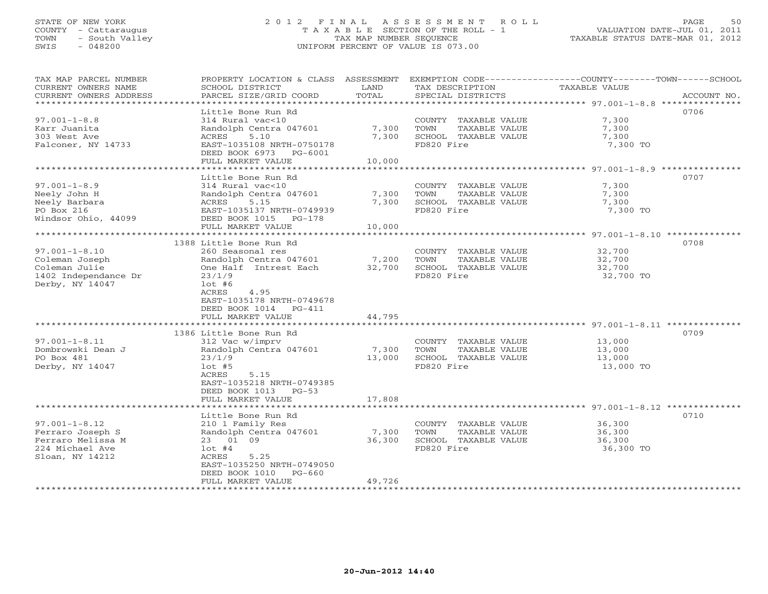## STATE OF NEW YORK 2 0 1 2 F I N A L A S S E S S M E N T R O L L PAGE 50 COUNTY - Cattaraugus T A X A B L E SECTION OF THE ROLL - 1 VALUATION DATE-JUL 01, 2011 TOWN - South Valley TAX MAP NUMBER SEQUENCE TAXABLE STATUS DATE-MAR 01, 2012 SWIS - 048200 UNIFORM PERCENT OF VALUE IS 073.00UNIFORM PERCENT OF VALUE IS 073.00

| TAX MAP PARCEL NUMBER  | PROPERTY LOCATION & CLASS ASSESSMENT |        |                       | EXEMPTION CODE----------------COUNTY-------TOWN------SCHOOL |             |
|------------------------|--------------------------------------|--------|-----------------------|-------------------------------------------------------------|-------------|
| CURRENT OWNERS NAME    | SCHOOL DISTRICT                      | LAND   | TAX DESCRIPTION       | TAXABLE VALUE                                               |             |
| CURRENT OWNERS ADDRESS | PARCEL SIZE/GRID COORD               | TOTAL  | SPECIAL DISTRICTS     |                                                             | ACCOUNT NO. |
| ********************   |                                      |        |                       |                                                             |             |
|                        | Little Bone Run Rd                   |        |                       |                                                             | 0706        |
| $97.001 - 1 - 8.8$     | 314 Rural vac<10                     |        | COUNTY TAXABLE VALUE  | 7,300                                                       |             |
| Karr Juanita           | Randolph Centra 047601               | 7,300  | TOWN<br>TAXABLE VALUE | 7,300                                                       |             |
| 303 West Ave           | ACRES<br>5.10                        | 7,300  | SCHOOL TAXABLE VALUE  | 7,300                                                       |             |
| Falconer, NY 14733     | EAST-1035108 NRTH-0750178            |        | FD820 Fire            | 7,300 TO                                                    |             |
|                        | DEED BOOK 6973 PG-6001               |        |                       |                                                             |             |
|                        | FULL MARKET VALUE                    | 10,000 |                       |                                                             |             |
|                        |                                      |        |                       |                                                             |             |
|                        | Little Bone Run Rd                   |        |                       |                                                             | 0707        |
| $97.001 - 1 - 8.9$     | 314 Rural vac<10                     |        | COUNTY TAXABLE VALUE  | 7,300                                                       |             |
| Neely John H           | Randolph Centra 047601               | 7,300  | TOWN<br>TAXABLE VALUE | 7,300                                                       |             |
| Neely Barbara          | ACRES<br>5.15                        | 7,300  | SCHOOL TAXABLE VALUE  | 7,300                                                       |             |
| PO Box 216             | EAST-1035137 NRTH-0749939            |        | FD820 Fire            | 7,300 TO                                                    |             |
| Windsor Ohio, 44099    | DEED BOOK 1015 PG-178                |        |                       |                                                             |             |
|                        | FULL MARKET VALUE                    | 10,000 |                       |                                                             |             |
|                        |                                      |        |                       |                                                             |             |
|                        | 1388 Little Bone Run Rd              |        |                       |                                                             | 0708        |
| $97.001 - 1 - 8.10$    | 260 Seasonal res                     |        | COUNTY TAXABLE VALUE  | 32,700                                                      |             |
| Coleman Joseph         | Randolph Centra 047601               | 7,200  | TOWN<br>TAXABLE VALUE | 32,700                                                      |             |
| Coleman Julie          | One Half Intrest Each                | 32,700 | SCHOOL TAXABLE VALUE  | 32,700                                                      |             |
| 1402 Independance Dr   | 23/1/9                               |        | FD820 Fire            | 32,700 TO                                                   |             |
| Derby, NY 14047        | $1$ ot #6                            |        |                       |                                                             |             |
|                        | 4.95<br>ACRES                        |        |                       |                                                             |             |
|                        | EAST-1035178 NRTH-0749678            |        |                       |                                                             |             |
|                        | DEED BOOK 1014 PG-411                |        |                       |                                                             |             |
|                        | FULL MARKET VALUE                    | 44,795 |                       |                                                             |             |
|                        |                                      |        |                       |                                                             |             |
|                        | 1386 Little Bone Run Rd              |        |                       |                                                             | 0709        |
| $97.001 - 1 - 8.11$    | 312 Vac w/imprv                      |        | COUNTY TAXABLE VALUE  | 13,000                                                      |             |
| Dombrowski Dean J      | Randolph Centra 047601               | 7,300  | TOWN<br>TAXABLE VALUE | 13,000                                                      |             |
| PO Box 481             | 23/1/9                               | 13,000 | SCHOOL TAXABLE VALUE  | 13,000                                                      |             |
| Derby, NY 14047        | $1$ ot #5                            |        | FD820 Fire            | 13,000 TO                                                   |             |
|                        | ACRES<br>5.15                        |        |                       |                                                             |             |
|                        | EAST-1035218 NRTH-0749385            |        |                       |                                                             |             |
|                        | DEED BOOK 1013 PG-53                 |        |                       |                                                             |             |
|                        | FULL MARKET VALUE                    | 17,808 |                       |                                                             |             |
|                        | ****************************         |        |                       |                                                             |             |
|                        | Little Bone Run Rd                   |        |                       |                                                             | 0710        |
| $97.001 - 1 - 8.12$    | 210 1 Family Res                     |        | COUNTY TAXABLE VALUE  | 36,300                                                      |             |
| Ferraro Joseph S       | Randolph Centra 047601               | 7,300  | TOWN<br>TAXABLE VALUE | 36,300                                                      |             |
| Ferraro Melissa M      | 23 01 09                             | 36,300 | SCHOOL TAXABLE VALUE  | 36,300                                                      |             |
| 224 Michael Ave        | $1$ ot #4                            |        | FD820 Fire            | 36,300 TO                                                   |             |
| Sloan, NY 14212        | 5.25<br>ACRES                        |        |                       |                                                             |             |
|                        | EAST-1035250 NRTH-0749050            |        |                       |                                                             |             |
|                        | DEED BOOK 1010<br>$PG-660$           |        |                       |                                                             |             |
|                        | FULL MARKET VALUE                    | 49,726 |                       |                                                             |             |
| *********************  |                                      |        |                       |                                                             |             |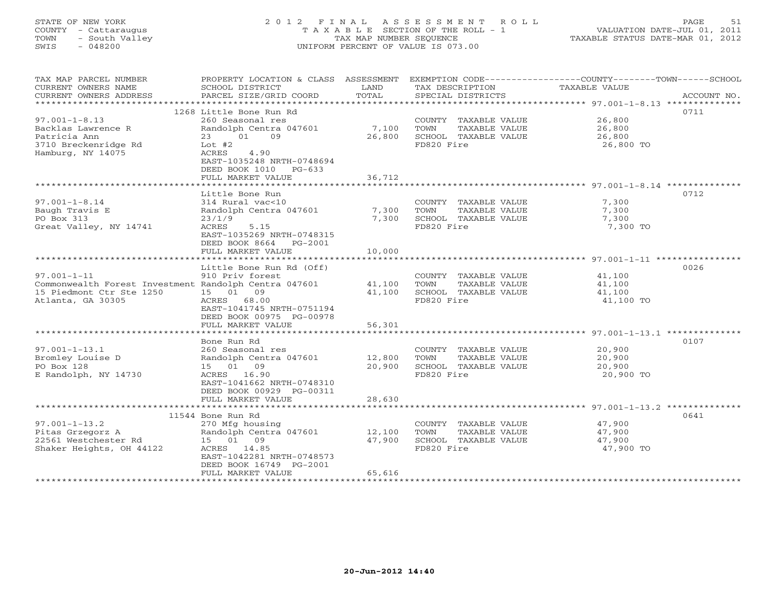# STATE OF NEW YORK 2 0 1 2 F I N A L A S S E S S M E N T R O L L PAGE 51 COUNTY - Cattaraugus T A X A B L E SECTION OF THE ROLL - 1 VALUATION DATE-JUL 01, 2011 TOWN - South Valley TAX MAP NUMBER SEQUENCE TAXABLE STATUS DATE-MAR 01, 2012 SWIS - 048200 UNIFORM PERCENT OF VALUE IS 073.00UNIFORM PERCENT OF VALUE IS 073.00

| TAX MAP PARCEL NUMBER                                 | PROPERTY LOCATION & CLASS ASSESSMENT |        |                       | EXEMPTION CODE-----------------COUNTY-------TOWN------SCHOOL |
|-------------------------------------------------------|--------------------------------------|--------|-----------------------|--------------------------------------------------------------|
| CURRENT OWNERS NAME                                   | SCHOOL DISTRICT                      | LAND   | TAX DESCRIPTION       | TAXABLE VALUE                                                |
| CURRENT OWNERS ADDRESS                                | PARCEL SIZE/GRID COORD               | TOTAL  | SPECIAL DISTRICTS     | ACCOUNT NO.                                                  |
| ********************                                  | ****************************         |        |                       |                                                              |
|                                                       | 1268 Little Bone Run Rd              |        |                       | 0711                                                         |
| $97.001 - 1 - 8.13$                                   | 260 Seasonal res                     |        | COUNTY TAXABLE VALUE  | 26,800                                                       |
| Backlas Lawrence R                                    | Randolph Centra 047601               | 7,100  | TAXABLE VALUE<br>TOWN | 26,800                                                       |
| Patricia Ann                                          | 23 01 09                             | 26,800 | SCHOOL TAXABLE VALUE  | 26,800                                                       |
| 3710 Breckenridge Rd                                  | Lot #2                               |        | FD820 Fire            | 26,800 TO                                                    |
| Hamburg, NY 14075                                     | 4.90<br>ACRES                        |        |                       |                                                              |
|                                                       | EAST-1035248 NRTH-0748694            |        |                       |                                                              |
|                                                       | DEED BOOK 1010 PG-633                |        |                       |                                                              |
|                                                       | FULL MARKET VALUE                    | 36,712 |                       |                                                              |
|                                                       |                                      |        |                       |                                                              |
|                                                       | Little Bone Run                      |        |                       | 0712                                                         |
| $97.001 - 1 - 8.14$                                   | 314 Rural vac<10                     |        | COUNTY TAXABLE VALUE  | 7,300                                                        |
| Baugh Travis E                                        | Randolph Centra 047601               | 7,300  | TAXABLE VALUE<br>TOWN | 7,300                                                        |
| PO Box 313                                            | 23/1/9                               | 7,300  | SCHOOL TAXABLE VALUE  | 7,300                                                        |
| Great Valley, NY 14741                                | ACRES<br>5.15                        |        | FD820 Fire            | 7,300 TO                                                     |
|                                                       | EAST-1035269 NRTH-0748315            |        |                       |                                                              |
|                                                       | DEED BOOK 8664<br>PG-2001            |        |                       |                                                              |
|                                                       | FULL MARKET VALUE                    | 10,000 |                       |                                                              |
|                                                       | **********************               |        |                       |                                                              |
|                                                       | Little Bone Run Rd (Off)             |        |                       | 0026                                                         |
| $97.001 - 1 - 11$                                     | 910 Priv forest                      |        | COUNTY TAXABLE VALUE  | 41,100                                                       |
| Commonwealth Forest Investment Randolph Centra 047601 |                                      | 41,100 | TOWN<br>TAXABLE VALUE | 41,100                                                       |
| 15 Piedmont Ctr Ste 1250                              | 15 01 09                             | 41,100 | SCHOOL TAXABLE VALUE  | 41,100                                                       |
| Atlanta, GA 30305                                     | ACRES 68.00                          |        | FD820 Fire            | 41,100 TO                                                    |
|                                                       | EAST-1041745 NRTH-0751194            |        |                       |                                                              |
|                                                       | DEED BOOK 00975 PG-00978             |        |                       |                                                              |
|                                                       | FULL MARKET VALUE                    | 56,301 |                       |                                                              |
|                                                       |                                      |        |                       |                                                              |
|                                                       | Bone Run Rd                          |        |                       | 0107                                                         |
| $97.001 - 1 - 13.1$                                   | 260 Seasonal res                     |        | COUNTY TAXABLE VALUE  | 20,900                                                       |
| Bromley Louise D                                      | Randolph Centra 047601               | 12,800 | TOWN<br>TAXABLE VALUE | 20,900                                                       |
| PO Box 128                                            | 15 01 09                             | 20,900 | SCHOOL TAXABLE VALUE  | 20,900                                                       |
| E Randolph, NY 14730                                  | ACRES 16.90                          |        | FD820 Fire            | 20,900 TO                                                    |
|                                                       | EAST-1041662 NRTH-0748310            |        |                       |                                                              |
|                                                       | DEED BOOK 00929 PG-00311             |        |                       |                                                              |
|                                                       | FULL MARKET VALUE                    | 28,630 |                       |                                                              |
|                                                       |                                      |        |                       |                                                              |
|                                                       | 11544 Bone Run Rd                    |        |                       | 0641                                                         |
| $97.001 - 1 - 13.2$                                   | 270 Mfg housing                      |        | COUNTY TAXABLE VALUE  | 47,900                                                       |
| Pitas Grzegorz A                                      | Randolph Centra 047601               | 12,100 | TOWN<br>TAXABLE VALUE | 47,900                                                       |
| 22561 Westchester Rd                                  | 15 01 09                             | 47,900 | SCHOOL TAXABLE VALUE  | 47,900                                                       |
| Shaker Heights, OH 44122                              | ACRES 14.85                          |        | FD820 Fire            | 47,900 TO                                                    |
|                                                       | EAST-1042281 NRTH-0748573            |        |                       |                                                              |
|                                                       | DEED BOOK 16749 PG-2001              |        |                       |                                                              |
|                                                       | FULL MARKET VALUE                    | 65,616 |                       |                                                              |
|                                                       |                                      |        |                       |                                                              |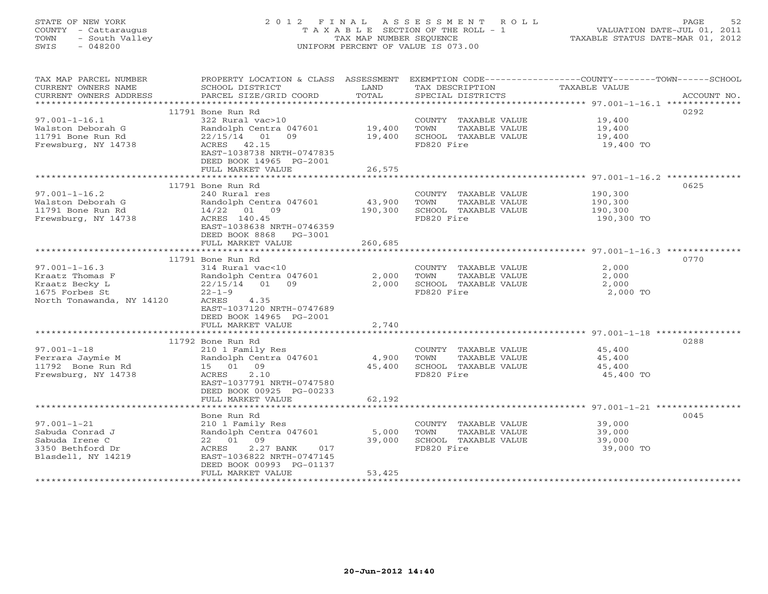# STATE OF NEW YORK 2 0 1 2 F I N A L A S S E S S M E N T R O L L PAGE 52 COUNTY - Cattaraugus T A X A B L E SECTION OF THE ROLL - 1 VALUATION DATE-JUL 01, 2011 TOWN - South Valley TAX MAP NUMBER SEQUENCE TAXABLE STATUS DATE-MAR 01, 2012 SWIS - 048200 UNIFORM PERCENT OF VALUE IS 073.00UNIFORM PERCENT OF VALUE IS 073.00

| TAX MAP PARCEL NUMBER<br>CURRENT OWNERS NAME<br>CURRENT OWNERS ADDRESS | PROPERTY LOCATION & CLASS ASSESSMENT<br>SCHOOL DISTRICT<br>PARCEL SIZE/GRID COORD | LAND<br>TOTAL | TAX DESCRIPTION TAXABLE VALUE<br>SPECIAL DISTRICTS<br>SPECIAL DISTRICTS | EXEMPTION CODE-----------------COUNTY-------TOWN------SCHOOL<br>ACCOUNT NO. |
|------------------------------------------------------------------------|-----------------------------------------------------------------------------------|---------------|-------------------------------------------------------------------------|-----------------------------------------------------------------------------|
|                                                                        |                                                                                   |               |                                                                         |                                                                             |
|                                                                        | 11791 Bone Run Rd                                                                 |               |                                                                         | 0292                                                                        |
| $97.001 - 1 - 16.1$                                                    | 322 Rural vac>10                                                                  |               | COUNTY TAXABLE VALUE 19,400                                             |                                                                             |
| Walston Deborah G                                                      | Randolph Centra 047601 19,400                                                     |               | TOWN<br>TAXABLE VALUE                                                   | 19,400<br>19,400                                                            |
| 11791 Bone Run Rd                                                      | $22/15/14$ 01<br>09                                                               | 19,400        | SCHOOL TAXABLE VALUE                                                    |                                                                             |
| Frewsburg, NY 14738                                                    | ACRES 42.15                                                                       |               | FD820 Fire                                                              | 19,400 TO                                                                   |
|                                                                        | EAST-1038738 NRTH-0747835                                                         |               |                                                                         |                                                                             |
|                                                                        | DEED BOOK 14965 PG-2001                                                           |               |                                                                         |                                                                             |
|                                                                        | FULL MARKET VALUE                                                                 | 26,575        |                                                                         |                                                                             |
|                                                                        |                                                                                   |               |                                                                         |                                                                             |
|                                                                        | 11791 Bone Run Rd                                                                 |               |                                                                         | 0625                                                                        |
| $97.001 - 1 - 16.2$                                                    | 240 Rural res                                                                     |               | COUNTY TAXABLE VALUE                                                    | 190,300<br>190,300                                                          |
| Walston Deborah G                                                      | Randolph Centra 047601                                                            | 43,900        | TOWN<br>TAXABLE VALUE                                                   |                                                                             |
| 11791 Bone Run Rd                                                      | 14/22 01 09                                                                       | 190,300       | SCHOOL TAXABLE VALUE                                                    | 190,300                                                                     |
| Frewsburg, NY 14738                                                    | ACRES 140.45                                                                      |               | FD820 Fire                                                              | 190,300 TO                                                                  |
|                                                                        | EAST-1038638 NRTH-0746359                                                         |               |                                                                         |                                                                             |
|                                                                        | DEED BOOK 8868 PG-3001                                                            |               |                                                                         |                                                                             |
|                                                                        | FULL MARKET VALUE                                                                 | 260,685       |                                                                         |                                                                             |
|                                                                        |                                                                                   |               |                                                                         |                                                                             |
|                                                                        | 11791 Bone Run Rd                                                                 |               |                                                                         | 0770                                                                        |
| $97.001 - 1 - 16.3$                                                    | 314 Rural vac<10                                                                  |               | COUNTY TAXABLE VALUE                                                    | 2,000                                                                       |
| Kraatz Thomas F                                                        | Randolph Centra 047601                                                            | 2,000         | TOWN                                                                    | 2,000                                                                       |
| Kraatz Becky L                                                         | 22/15/14 01 09                                                                    | 2,000         | TAXABLE VALUE<br>TAXABLE VALUE<br>TILLE<br>SCHOOL TAXABLE VALUE         | 2,000                                                                       |
| 1675 Forbes St                                                         | $22 - 1 - 9$                                                                      |               | FD820 Fire                                                              | 2,000 TO                                                                    |
| North Tonawanda, NY 14120                                              | ACRES<br>4.35                                                                     |               |                                                                         |                                                                             |
|                                                                        | EAST-1037120 NRTH-0747689                                                         |               |                                                                         |                                                                             |
|                                                                        | DEED BOOK 14965 PG-2001                                                           |               |                                                                         |                                                                             |
|                                                                        | FULL MARKET VALUE                                                                 | 2,740         |                                                                         |                                                                             |
|                                                                        |                                                                                   |               |                                                                         |                                                                             |
|                                                                        | 11792 Bone Run Rd                                                                 |               |                                                                         | 0288                                                                        |
| $97.001 - 1 - 18$                                                      | 210 1 Family Res                                                                  |               | COUNTY TAXABLE VALUE 45,400                                             |                                                                             |
| Ferrara Jaymie M                                                       | Randolph Centra 047601                                                            | 4,900         | TOWN<br>TAXABLE VALUE                                                   | 45,400                                                                      |
| 11792 Bone Run Rd                                                      | 15 01 09                                                                          | 45,400        | SCHOOL TAXABLE VALUE                                                    | 45,400                                                                      |
| Frewsburg, NY 14738                                                    | ACRES<br>2.10                                                                     |               | FD820 Fire                                                              | 45,400 TO                                                                   |
|                                                                        | EAST-1037791 NRTH-0747580                                                         |               |                                                                         |                                                                             |
|                                                                        | DEED BOOK 00925 PG-00233                                                          |               |                                                                         |                                                                             |
|                                                                        | FULL MARKET VALUE                                                                 | 62,192        |                                                                         |                                                                             |
|                                                                        |                                                                                   |               |                                                                         |                                                                             |
|                                                                        | Bone Run Rd                                                                       |               |                                                                         | 0045                                                                        |
| $97.001 - 1 - 21$                                                      | 210 1 Family Res                                                                  |               | COUNTY TAXABLE VALUE                                                    | 39,000                                                                      |
| Sabuda Conrad J                                                        | Randolph Centra 047601 5,000                                                      |               | TOWN<br>TAXABLE VALUE                                                   | 39,000                                                                      |
| Sabuda Irene C                                                         | 22 01 09                                                                          | 39,000        | SCHOOL TAXABLE VALUE                                                    | 39,000                                                                      |
| 3350 Bethford Dr                                                       | 2.27 BANK<br>ACRES<br>017                                                         |               | FD820 Fire                                                              | 39,000 TO                                                                   |
| Blasdell, NY 14219                                                     | EAST-1036822 NRTH-0747145                                                         |               |                                                                         |                                                                             |
|                                                                        | DEED BOOK 00993 PG-01137                                                          |               |                                                                         |                                                                             |
|                                                                        | FULL MARKET VALUE                                                                 | 53,425        |                                                                         |                                                                             |
|                                                                        |                                                                                   |               |                                                                         |                                                                             |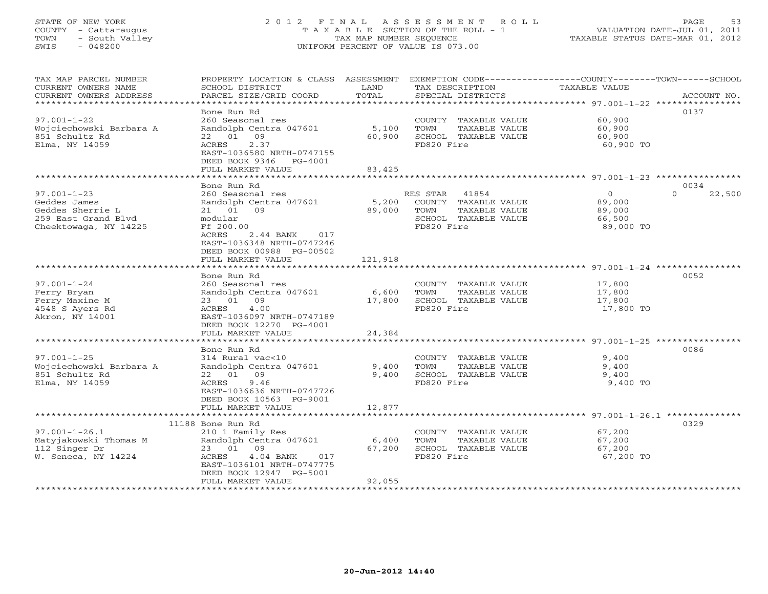#### STATE OF NEW YORK 2 0 1 2 F I N A L A S S E S S M E N T R O L L PAGE 53 COUNTY - Cattaraugus T A X A B L E SECTION OF THE ROLL - 1 VALUATION DATE-JUL 01, 2011 TOWN - South Valley TAX MAP NUMBER SEQUENCE TAXABLE STATUS DATE-MAR 01, 2012<br>SWIS - 048200 - 048200 SWIS - 048200 UNIFORM PERCENT OF VALUE IS 073.00

TAX MAP PARCEL NUMBER PROPERTY LOCATION & CLASS ASSESSMENT EXEMPTION CODE------------------COUNTY--------TOWN------SCHOOL

| CURRENT OWNERS NAME       | SCHOOL DISTRICT                                        | LAND       | TAX DESCRIPTION       | TAXABLE VALUE                                                  |                    |
|---------------------------|--------------------------------------------------------|------------|-----------------------|----------------------------------------------------------------|--------------------|
| CURRENT OWNERS ADDRESS    | PARCEL SIZE/GRID COORD                                 | TOTAL      | SPECIAL DISTRICTS     |                                                                | ACCOUNT NO.        |
| ************************* |                                                        |            |                       |                                                                |                    |
|                           | Bone Run Rd                                            |            |                       |                                                                | 0137               |
| $97.001 - 1 - 22$         | 260 Seasonal res                                       |            | COUNTY TAXABLE VALUE  | 60,900                                                         |                    |
| Wojciechowski Barbara A   | Randolph Centra 047601                                 | 5,100      | TAXABLE VALUE<br>TOWN | 60,900                                                         |                    |
| 851 Schultz Rd            | 22 01 09                                               | 60,900     | SCHOOL TAXABLE VALUE  | 60,900                                                         |                    |
| Elma, NY 14059            | ACRES<br>2.37                                          |            | FD820 Fire            | 60,900 TO                                                      |                    |
|                           | EAST-1036580 NRTH-0747155                              |            |                       |                                                                |                    |
|                           | DEED BOOK 9346 PG-4001                                 |            |                       |                                                                |                    |
|                           | FULL MARKET VALUE<br>.                                 | 83,425     |                       |                                                                |                    |
|                           |                                                        | ********** |                       | ********************************* 97.001-1-23 **************** |                    |
|                           | Bone Run Rd                                            |            |                       |                                                                | 0034               |
| $97.001 - 1 - 23$         | 260 Seasonal res                                       |            | RES STAR<br>41854     | $\Omega$                                                       | $\Omega$<br>22,500 |
| Geddes James              | Randolph Centra 047601                                 | 5,200      | COUNTY TAXABLE VALUE  | 89,000                                                         |                    |
| Geddes Sherrie L          | 21 01 09                                               | 89,000     | TAXABLE VALUE<br>TOWN | 89,000                                                         |                    |
| 259 East Grand Blyd       | modular                                                |            | SCHOOL TAXABLE VALUE  | 66,500                                                         |                    |
| Cheektowaga, NY 14225     | Ff 200.00                                              |            | FD820 Fire            | 89,000 TO                                                      |                    |
|                           | 2.44 BANK<br>ACRES<br>017<br>EAST-1036348 NRTH-0747246 |            |                       |                                                                |                    |
|                           | DEED BOOK 00988 PG-00502                               |            |                       |                                                                |                    |
|                           | FULL MARKET VALUE                                      | 121,918    |                       |                                                                |                    |
|                           | * * * * * * * * * * * * * * * * * *                    |            |                       | ***************************** 97.001-1-24 *************        |                    |
|                           | Bone Run Rd                                            |            |                       |                                                                | 0052               |
| $97.001 - 1 - 24$         | 260 Seasonal res                                       |            | COUNTY TAXABLE VALUE  | 17,800                                                         |                    |
| Ferry Bryan               | Randolph Centra 047601                                 | 6,600      | TOWN<br>TAXABLE VALUE | 17,800                                                         |                    |
| Ferry Maxine M            | 23 01 09                                               | 17,800     | SCHOOL TAXABLE VALUE  | 17,800                                                         |                    |
| 4548 S Ayers Rd           | 4.00<br>ACRES                                          |            | FD820 Fire            | 17,800 TO                                                      |                    |
| Akron, NY 14001           | EAST-1036097 NRTH-0747189                              |            |                       |                                                                |                    |
|                           | DEED BOOK 12270 PG-4001                                |            |                       |                                                                |                    |
|                           | FULL MARKET VALUE                                      | 24,384     |                       |                                                                |                    |
|                           |                                                        |            |                       |                                                                |                    |
|                           | Bone Run Rd                                            |            |                       |                                                                | 0086               |
| $97.001 - 1 - 25$         | 314 Rural vac<10                                       |            | COUNTY TAXABLE VALUE  | 9,400                                                          |                    |
| Wojciechowski Barbara A   | Randolph Centra 047601                                 | 9,400      | TOWN<br>TAXABLE VALUE | 9,400                                                          |                    |
| 851 Schultz Rd            | 22 01 09                                               | 9,400      | SCHOOL TAXABLE VALUE  | 9,400                                                          |                    |
| Elma, NY 14059            | 9.46<br>ACRES                                          |            | FD820 Fire            | 9,400 TO                                                       |                    |
|                           | EAST-1036636 NRTH-0747726                              |            |                       |                                                                |                    |
|                           | DEED BOOK 10563 PG-9001                                |            |                       |                                                                |                    |
|                           | FULL MARKET VALUE                                      | 12,877     |                       |                                                                |                    |
|                           |                                                        |            |                       |                                                                |                    |
|                           | 11188 Bone Run Rd                                      |            |                       |                                                                | 0329               |
| $97.001 - 1 - 26.1$       | 210 1 Family Res                                       |            | COUNTY TAXABLE VALUE  | 67,200                                                         |                    |
| Matyjakowski Thomas M     | Randolph Centra 047601                                 | 6,400      | TOWN<br>TAXABLE VALUE | 67,200                                                         |                    |
| 112 Singer Dr             | 23 01<br>09                                            | 67,200     | SCHOOL TAXABLE VALUE  | 67,200                                                         |                    |
| W. Seneca, NY 14224       | ACRES<br>$4.04$ BANK<br>017                            |            | FD820 Fire            | 67,200 TO                                                      |                    |
|                           | EAST-1036101 NRTH-0747775                              |            |                       |                                                                |                    |
|                           | DEED BOOK 12947 PG-5001                                |            |                       |                                                                |                    |
|                           | FULL MARKET VALUE                                      | 92,055     |                       |                                                                |                    |
|                           |                                                        |            |                       |                                                                |                    |
|                           |                                                        |            |                       |                                                                |                    |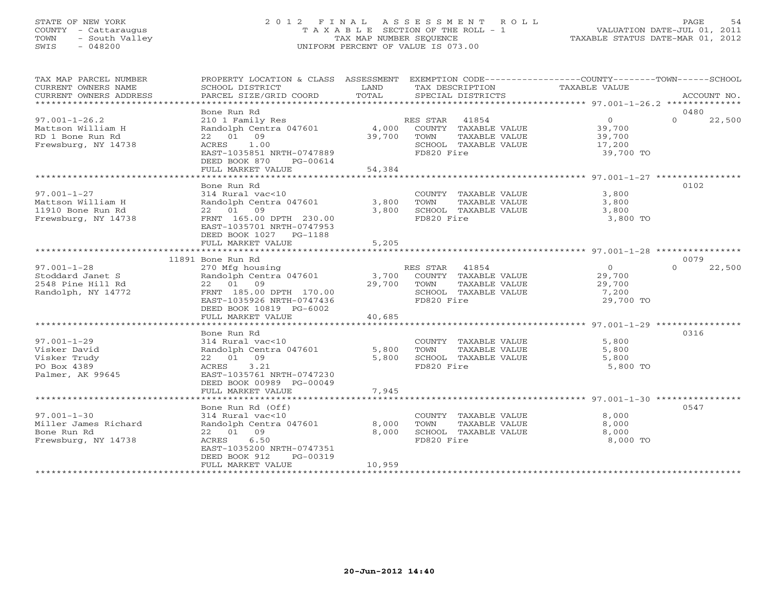#### STATE OF NEW YORK 2 0 1 2 F I N A L A S S E S S M E N T R O L L PAGE 54 COUNTY - Cattaraugus T A X A B L E SECTION OF THE ROLL - 1 VALUATION DATE-JUL 01, 2011 TOWN - South Valley TAX MAP NUMBER SEQUENCE TAXABLE STATUS DATE-MAR 01, 2012 SWIS - 048200 UNIFORM PERCENT OF VALUE IS 073.00UNIFORM PERCENT OF VALUE IS 073.00

| TAX MAP PARCEL NUMBER  |                           |        |                            | PROPERTY LOCATION & CLASS ASSESSMENT EXEMPTION CODE---------------COUNTY-------TOWN------SCHOOL |             |
|------------------------|---------------------------|--------|----------------------------|-------------------------------------------------------------------------------------------------|-------------|
| CURRENT OWNERS NAME    | SCHOOL DISTRICT           | LAND   | TAX DESCRIPTION            | TAXABLE VALUE                                                                                   |             |
| CURRENT OWNERS ADDRESS | PARCEL SIZE/GRID COORD    | TOTAL  | SPECIAL DISTRICTS          |                                                                                                 | ACCOUNT NO. |
|                        |                           |        |                            |                                                                                                 |             |
|                        | Bone Run Rd               |        |                            |                                                                                                 | 0480        |
| $97.001 - 1 - 26.2$    | 210 1 Family Res          |        | 41854<br>RES STAR          | $\overline{0}$<br>$\Omega$                                                                      | 22,500      |
| Mattson William H      | Randolph Centra 047601    |        | 4,000 COUNTY TAXABLE VALUE | 39,700                                                                                          |             |
| RD 1 Bone Run Rd       | 22 01 09                  | 39,700 | TOWN<br>TAXABLE VALUE      | 39,700                                                                                          |             |
| Frewsburg, NY 14738    | ACRES<br>1.00             |        | SCHOOL TAXABLE VALUE       | 17,200                                                                                          |             |
|                        | EAST-1035851 NRTH-0747889 |        | FD820 Fire                 | 39,700 TO                                                                                       |             |
|                        | DEED BOOK 870<br>PG-00614 |        |                            |                                                                                                 |             |
|                        | FULL MARKET VALUE         | 54,384 |                            |                                                                                                 |             |
|                        |                           |        |                            |                                                                                                 |             |
|                        | Bone Run Rd               |        |                            |                                                                                                 | 0102        |
| $97.001 - 1 - 27$      | 314 Rural vac<10          |        | COUNTY TAXABLE VALUE       | 3,800                                                                                           |             |
| Mattson William H      | Randolph Centra 047601    | 3,800  | TOWN<br>TAXABLE VALUE      | 3,800                                                                                           |             |
| 11910 Bone Run Rd      | 22 01 09                  | 3,800  | SCHOOL TAXABLE VALUE       | 3,800                                                                                           |             |
| Frewsburg, NY 14738    | FRNT 165.00 DPTH 230.00   |        | FD820 Fire                 | 3,800 TO                                                                                        |             |
|                        | EAST-1035701 NRTH-0747953 |        |                            |                                                                                                 |             |
|                        | DEED BOOK 1027 PG-1188    |        |                            |                                                                                                 |             |
|                        | FULL MARKET VALUE         | 5,205  |                            |                                                                                                 |             |
|                        |                           |        |                            |                                                                                                 |             |
|                        | 11891 Bone Run Rd         |        |                            |                                                                                                 | 0079        |
| $97.001 - 1 - 28$      | 270 Mfg housing           |        | RES STAR 41854             | $\overline{0}$<br>$\Omega$                                                                      | 22,500      |
| Stoddard Janet S       | Randolph Centra 047601    | 3,700  | COUNTY TAXABLE VALUE       | 29,700                                                                                          |             |
| 2548 Pine Hill Rd      | 22 01 09                  | 29,700 | TOWN<br>TAXABLE VALUE      | 29,700                                                                                          |             |
| Randolph, NY 14772     | FRNT 185.00 DPTH 170.00   |        | SCHOOL TAXABLE VALUE       | 7,200                                                                                           |             |
|                        | EAST-1035926 NRTH-0747436 |        | FD820 Fire                 | 29,700 TO                                                                                       |             |
|                        | DEED BOOK 10819 PG-6002   |        |                            |                                                                                                 |             |
|                        | FULL MARKET VALUE         | 40,685 |                            |                                                                                                 |             |
|                        |                           |        |                            |                                                                                                 |             |
|                        | Bone Run Rd               |        |                            |                                                                                                 | 0316        |
| $97.001 - 1 - 29$      | 314 Rural vac<10          |        | COUNTY TAXABLE VALUE       | 5,800                                                                                           |             |
| Visker David           | Randolph Centra 047601    | 5,800  | TOWN<br>TAXABLE VALUE      | 5,800                                                                                           |             |
| Visker Trudy           | 22 01 09                  | 5,800  | SCHOOL TAXABLE VALUE       | 5,800                                                                                           |             |
| PO Box 4389            | ACRES<br>3.21             |        | FD820 Fire                 | 5,800 TO                                                                                        |             |
| Palmer, AK 99645       | EAST-1035761 NRTH-0747230 |        |                            |                                                                                                 |             |
|                        | DEED BOOK 00989 PG-00049  |        |                            |                                                                                                 |             |
|                        | FULL MARKET VALUE         | 7,945  |                            |                                                                                                 |             |
|                        |                           |        |                            |                                                                                                 |             |
|                        | Bone Run Rd (Off)         |        |                            |                                                                                                 | 0547        |
| $97.001 - 1 - 30$      | 314 Rural vac<10          |        | COUNTY TAXABLE VALUE       | 8,000                                                                                           |             |
| Miller James Richard   | Randolph Centra 047601    | 8,000  | TAXABLE VALUE<br>TOWN      | 8,000                                                                                           |             |
| Bone Run Rd            | 22 01 09                  | 8,000  | SCHOOL TAXABLE VALUE       | 8,000                                                                                           |             |
| Frewsburg, NY 14738    | ACRES<br>6.50             |        | FD820 Fire                 | 8,000 TO                                                                                        |             |
|                        | EAST-1035200 NRTH-0747351 |        |                            |                                                                                                 |             |
|                        | DEED BOOK 912<br>PG-00319 |        |                            |                                                                                                 |             |
|                        | FULL MARKET VALUE         | 10,959 |                            |                                                                                                 |             |
|                        | *******************       |        |                            |                                                                                                 |             |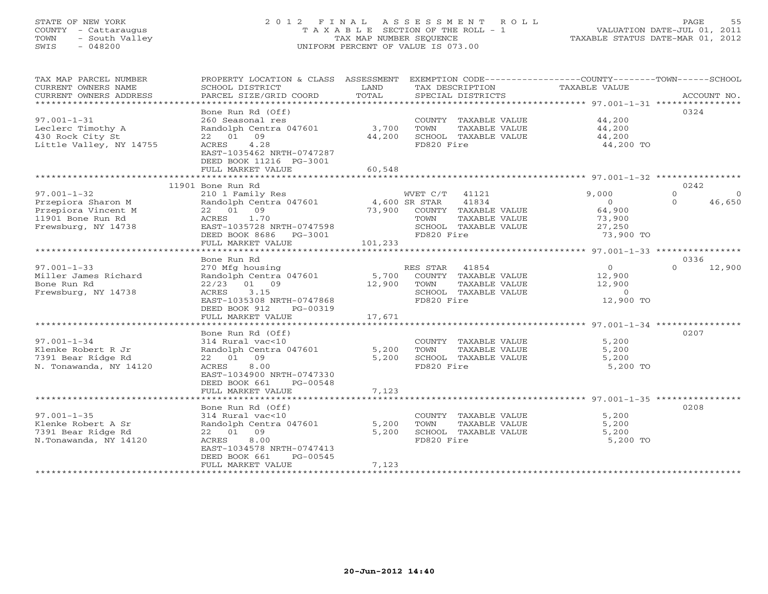# STATE OF NEW YORK 2 0 1 2 F I N A L A S S E S S M E N T R O L L PAGE 55 COUNTY - Cattaraugus T A X A B L E SECTION OF THE ROLL - 1 VALUATION DATE-JUL 01, 2011 TOWN - South Valley TAX MAP NUMBER SEQUENCE TAXABLE STATUS DATE-MAR 01, 2012 SWIS - 048200 UNIFORM PERCENT OF VALUE IS 073.00UNIFORM PERCENT OF VALUE IS 073.00

| TAX MAP PARCEL NUMBER                         | PROPERTY LOCATION & CLASS                             | ASSESSMENT               | EXEMPTION CODE-----------------COUNTY-------TOWN------SCHOOL      |                   |                    |
|-----------------------------------------------|-------------------------------------------------------|--------------------------|-------------------------------------------------------------------|-------------------|--------------------|
| CURRENT OWNERS NAME<br>CURRENT OWNERS ADDRESS | SCHOOL DISTRICT<br>PARCEL SIZE/GRID COORD             | LAND<br>TOTAL            | TAX DESCRIPTION<br>SPECIAL DISTRICTS                              | TAXABLE VALUE     | ACCOUNT NO.        |
| ***********************                       |                                                       |                          |                                                                   |                   |                    |
| $97.001 - 1 - 31$                             | Bone Run Rd (Off)<br>260 Seasonal res                 |                          | COUNTY TAXABLE VALUE                                              | 44,200            | 0324               |
| Leclerc Timothy A                             | Randolph Centra 047601                                | 3,700                    | TOWN<br>TAXABLE VALUE                                             | 44,200            |                    |
| 430 Rock City St                              | 22 01 09                                              | 44,200                   | SCHOOL TAXABLE VALUE                                              | 44,200            |                    |
| Little Valley, NY 14755                       | 4.28<br>ACRES                                         |                          | FD820 Fire                                                        | 44,200 TO         |                    |
|                                               | EAST-1035462 NRTH-0747287                             |                          |                                                                   |                   |                    |
|                                               | DEED BOOK 11216 PG-3001                               |                          |                                                                   |                   |                    |
|                                               | FULL MARKET VALUE<br>******************************** | 60,548<br>************** |                                                                   |                   |                    |
|                                               | 11901 Bone Run Rd                                     |                          | ************************************ 97.001-1-32 **************** |                   | 0242               |
| $97.001 - 1 - 32$                             | 210 1 Family Res                                      |                          | WVET C/T<br>41121                                                 | 9,000             | $\Omega$<br>- 0    |
| Przepiora Sharon M                            | Randolph Centra 047601                                |                          | 41834<br>4,600 SR STAR                                            | $\circ$           | 46,650<br>$\Omega$ |
| Przepiora Vincent M                           | 22 01 09                                              | 73,900                   | COUNTY TAXABLE VALUE                                              | 64,900            |                    |
| 11901 Bone Run Rd                             | 1.70<br>ACRES                                         |                          | TAXABLE VALUE<br>TOWN                                             | 73,900            |                    |
| Frewsburg, NY 14738                           | EAST-1035728 NRTH-0747598                             |                          | SCHOOL TAXABLE VALUE                                              | 27,250            |                    |
|                                               | DEED BOOK 8686 PG-3001                                |                          | FD820 Fire                                                        | 73,900 TO         |                    |
|                                               | FULL MARKET VALUE                                     | 101,233                  |                                                                   |                   |                    |
|                                               |                                                       |                          |                                                                   |                   |                    |
|                                               | Bone Run Rd                                           |                          |                                                                   |                   | 0336               |
| $97.001 - 1 - 33$                             | 270 Mfg housing                                       | 5,700                    | RES STAR<br>41854                                                 | $\overline{0}$    | 12,900<br>$\Omega$ |
| Miller James Richard<br>Bone Run Rd           | Randolph Centra 047601<br>$22/23$ 01 09               | 12,900                   | COUNTY TAXABLE VALUE<br>TOWN<br>TAXABLE VALUE                     | 12,900<br>12,900  |                    |
| Frewsburg, NY 14738                           | 3.15<br>ACRES                                         |                          | SCHOOL TAXABLE VALUE                                              | $\circ$           |                    |
|                                               | EAST-1035308 NRTH-0747868                             |                          | FD820 Fire                                                        | 12,900 TO         |                    |
|                                               | DEED BOOK 912<br>PG-00319                             |                          |                                                                   |                   |                    |
|                                               | FULL MARKET VALUE                                     | 17,671                   |                                                                   |                   |                    |
|                                               |                                                       |                          |                                                                   |                   |                    |
|                                               | Bone Run Rd (Off)                                     |                          |                                                                   |                   | 0207               |
| $97.001 - 1 - 34$                             | 314 Rural vac<10                                      |                          | COUNTY TAXABLE VALUE                                              | 5,200             |                    |
| Klenke Robert R Jr                            | Randolph Centra 047601<br>22 01 09                    | 5,200                    | TOWN<br>TAXABLE VALUE<br>SCHOOL TAXABLE VALUE                     | 5,200             |                    |
| 7391 Bear Ridge Rd<br>N. Tonawanda, NY 14120  | 8.00<br>ACRES                                         | 5,200                    | FD820 Fire                                                        | 5,200<br>5,200 TO |                    |
|                                               | EAST-1034900 NRTH-0747330                             |                          |                                                                   |                   |                    |
|                                               | DEED BOOK 661<br>PG-00548                             |                          |                                                                   |                   |                    |
|                                               | FULL MARKET VALUE                                     | 7,123                    |                                                                   |                   |                    |
|                                               |                                                       |                          |                                                                   |                   |                    |
|                                               | Bone Run Rd (Off)                                     |                          |                                                                   |                   | 0208               |
| $97.001 - 1 - 35$                             | 314 Rural vac<10                                      |                          | COUNTY TAXABLE VALUE                                              | 5,200             |                    |
| Klenke Robert A Sr                            | Randolph Centra 047601                                | 5,200                    | TOWN<br>TAXABLE VALUE                                             | 5,200             |                    |
| 7391 Bear Ridge Rd                            | 09<br>22 01                                           | 5,200                    | SCHOOL TAXABLE VALUE                                              | 5,200             |                    |
| N.Tonawanda, NY 14120                         | ACRES<br>8.00<br>EAST-1034578 NRTH-0747413            |                          | FD820 Fire                                                        | 5,200 TO          |                    |
|                                               | DEED BOOK 661<br>PG-00545                             |                          |                                                                   |                   |                    |
|                                               | FULL MARKET VALUE                                     | 7,123                    |                                                                   |                   |                    |
|                                               | ********************                                  |                          |                                                                   |                   |                    |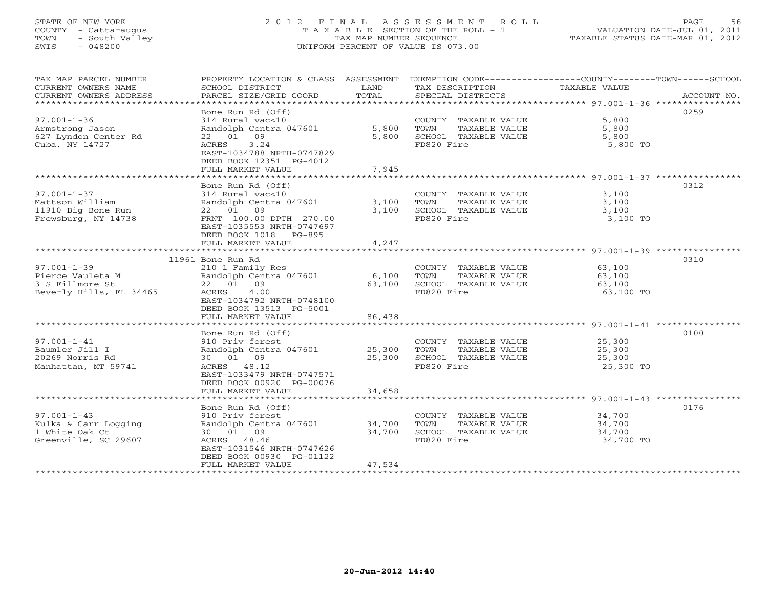# STATE OF NEW YORK 2 0 1 2 F I N A L A S S E S S M E N T R O L L PAGE 56 COUNTY - Cattaraugus T A X A B L E SECTION OF THE ROLL - 1 VALUATION DATE-JUL 01, 2011 TOWN - South Valley TAX MAP NUMBER SEQUENCE TAXABLE STATUS DATE-MAR 01, 2012 SWIS - 048200 UNIFORM PERCENT OF VALUE IS 073.00UNIFORM PERCENT OF VALUE IS 073.00

| TAX MAP PARCEL NUMBER         | PROPERTY LOCATION & CLASS ASSESSMENT EXEMPTION CODE----------------COUNTY-------TOWN------SCHOOL |        |                       |               |             |
|-------------------------------|--------------------------------------------------------------------------------------------------|--------|-----------------------|---------------|-------------|
| CURRENT OWNERS NAME           | SCHOOL DISTRICT                                                                                  | LAND   | TAX DESCRIPTION       | TAXABLE VALUE |             |
| CURRENT OWNERS ADDRESS        | PARCEL SIZE/GRID COORD                                                                           | TOTAL  | SPECIAL DISTRICTS     |               | ACCOUNT NO. |
| ***************************** |                                                                                                  |        |                       |               |             |
|                               | Bone Run Rd (Off)                                                                                |        |                       |               | 0259        |
| $97.001 - 1 - 36$             | 314 Rural vac<10                                                                                 |        | COUNTY TAXABLE VALUE  | 5,800         |             |
| Armstrong Jason               | Randolph Centra 047601                                                                           | 5,800  | TOWN<br>TAXABLE VALUE | 5,800         |             |
| 627 Lyndon Center Rd          | 22 01 09                                                                                         | 5,800  | SCHOOL TAXABLE VALUE  | 5,800         |             |
| Cuba, NY 14727                | 3.24<br>ACRES                                                                                    |        | FD820 Fire            | 5,800 TO      |             |
|                               | EAST-1034788 NRTH-0747829                                                                        |        |                       |               |             |
|                               | DEED BOOK 12351 PG-4012                                                                          |        |                       |               |             |
|                               | FULL MARKET VALUE                                                                                | 7,945  |                       |               |             |
|                               |                                                                                                  |        |                       |               |             |
|                               | Bone Run Rd (Off)                                                                                |        |                       |               | 0312        |
| $97.001 - 1 - 37$             | 314 Rural vac<10                                                                                 |        | COUNTY TAXABLE VALUE  | 3,100         |             |
| Mattson William               | Randolph Centra 047601                                                                           | 3,100  | TOWN<br>TAXABLE VALUE | 3,100         |             |
| 11910 Big Bone Run            | 22 01 09                                                                                         | 3,100  | SCHOOL TAXABLE VALUE  | 3,100         |             |
| Frewsburg, NY 14738           | FRNT 100.00 DPTH 270.00                                                                          |        | FD820 Fire            | 3,100 TO      |             |
|                               | EAST-1035553 NRTH-0747697                                                                        |        |                       |               |             |
|                               | DEED BOOK 1018 PG-895                                                                            |        |                       |               |             |
|                               | FULL MARKET VALUE                                                                                | 4,247  |                       |               |             |
|                               | 11961 Bone Run Rd                                                                                |        |                       |               | 0310        |
| $97.001 - 1 - 39$             | 210 1 Family Res                                                                                 |        | COUNTY TAXABLE VALUE  | 63,100        |             |
| Pierce Vauleta M              | Randolph Centra 047601                                                                           | 6,100  | TOWN<br>TAXABLE VALUE | 63,100        |             |
| 3 S Fillmore St               | 22 01 09                                                                                         | 63,100 | SCHOOL TAXABLE VALUE  | 63,100        |             |
| Beverly Hills, FL 34465       | ACRES<br>4.00                                                                                    |        | FD820 Fire            | 63,100 TO     |             |
|                               | EAST-1034792 NRTH-0748100                                                                        |        |                       |               |             |
|                               | DEED BOOK 13513 PG-5001                                                                          |        |                       |               |             |
|                               | FULL MARKET VALUE                                                                                | 86,438 |                       |               |             |
|                               |                                                                                                  |        |                       |               |             |
|                               | Bone Run Rd (Off)                                                                                |        |                       |               | 0100        |
| $97.001 - 1 - 41$             | 910 Priv forest                                                                                  |        | COUNTY TAXABLE VALUE  | 25,300        |             |
| Baumler Jill I                | Randolph Centra 047601                                                                           | 25,300 | TOWN<br>TAXABLE VALUE | 25,300        |             |
| 20269 Norris Rd               | 30 01 09                                                                                         | 25,300 | SCHOOL TAXABLE VALUE  | 25,300        |             |
| Manhattan, MT 59741           | ACRES 48.12                                                                                      |        | FD820 Fire            | 25,300 TO     |             |
|                               | EAST-1033479 NRTH-0747571                                                                        |        |                       |               |             |
|                               | DEED BOOK 00920 PG-00076                                                                         |        |                       |               |             |
|                               | FULL MARKET VALUE                                                                                | 34,658 |                       |               |             |
|                               |                                                                                                  |        |                       |               |             |
|                               | Bone Run Rd (Off)                                                                                |        |                       |               | 0176        |
| $97.001 - 1 - 43$             | 910 Priv forest                                                                                  |        | COUNTY TAXABLE VALUE  | 34,700        |             |
| Kulka & Carr Logging          | Randolph Centra 047601                                                                           | 34,700 | TAXABLE VALUE<br>TOWN | 34,700        |             |
| 1 White Oak Ct                | 30 01 09                                                                                         | 34,700 | SCHOOL TAXABLE VALUE  | 34,700        |             |
| Greenville, SC 29607          | ACRES 48.46                                                                                      |        | FD820 Fire            | 34,700 TO     |             |
|                               | EAST-1031546 NRTH-0747626                                                                        |        |                       |               |             |
|                               | DEED BOOK 00930 PG-01122                                                                         |        |                       |               |             |
|                               | FULL MARKET VALUE                                                                                | 47,534 |                       |               |             |
|                               |                                                                                                  |        |                       |               |             |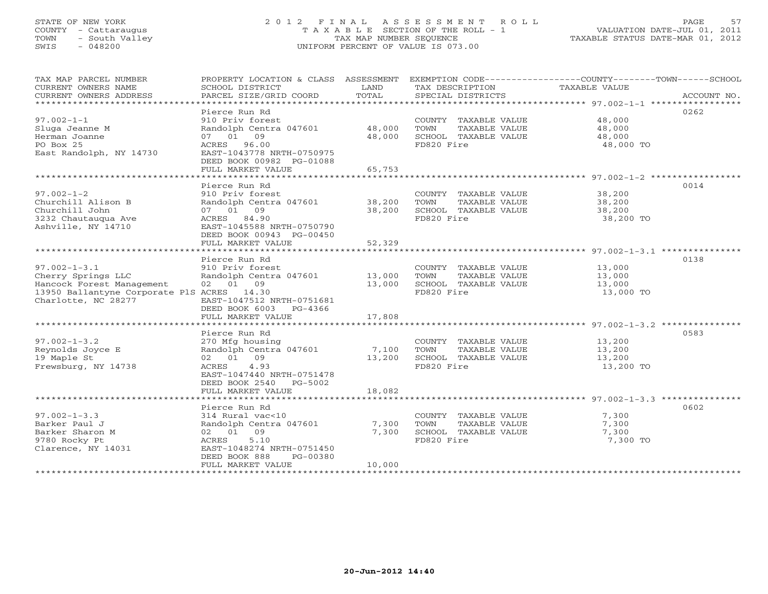# STATE OF NEW YORK 2 0 1 2 F I N A L A S S E S S M E N T R O L L PAGE 57 COUNTY - Cattaraugus T A X A B L E SECTION OF THE ROLL - 1 VALUATION DATE-JUL 01, 2011 TOWN - South Valley TAX MAP NUMBER SEQUENCE TAXABLE STATUS DATE-MAR 01, 2012 SWIS - 048200 UNIFORM PERCENT OF VALUE IS 073.00UNIFORM PERCENT OF VALUE IS 073.00

| TAX MAP PARCEL NUMBER                      |                               |        |                             | PROPERTY LOCATION & CLASS ASSESSMENT EXEMPTION CODE----------------COUNTY-------TOWN------SCHOOL                                                                                                                                                                                                                                                                                                                                                                                                                       |
|--------------------------------------------|-------------------------------|--------|-----------------------------|------------------------------------------------------------------------------------------------------------------------------------------------------------------------------------------------------------------------------------------------------------------------------------------------------------------------------------------------------------------------------------------------------------------------------------------------------------------------------------------------------------------------|
| CURRENT OWNERS NAME                        | SCHOOL DISTRICT               | LAND   | TAX DESCRIPTION             | TAXABLE VALUE                                                                                                                                                                                                                                                                                                                                                                                                                                                                                                          |
| CURRENT OWNERS ADDRESS                     |                               |        |                             | $\begin{minipage}{.45\textwidth} \begin{minipage}{.45\textwidth} \begin{minipage}{.45\textwidth} \begin{minipage}{.45\textwidth} \begin{minipage}{.45\textwidth} \begin{minipage}{.45\textwidth} \begin{minipage}{.45\textwidth} \begin{minipage}{.45\textwidth} \begin{minipage}{.45\textwidth} \begin{minipage}{.45\textwidth} \begin{minipage}{.45\textwidth} \begin{minipage}{.45\textwidth} \begin{minipage}{.45\textwidth} \begin{minipage}{.45\textwidth} \begin{minipage}{.45\textwidth} \begin{minipage}{.45$ |
| ***********************                    |                               |        |                             |                                                                                                                                                                                                                                                                                                                                                                                                                                                                                                                        |
|                                            | Pierce Run Rd                 |        |                             | 0262                                                                                                                                                                                                                                                                                                                                                                                                                                                                                                                   |
| $97.002 - 1 - 1$                           | 910 Priv forest               |        | COUNTY TAXABLE VALUE 48,000 |                                                                                                                                                                                                                                                                                                                                                                                                                                                                                                                        |
| Sluga Jeanne M                             | Randolph Centra 047601 48,000 |        | TOWN<br>TAXABLE VALUE       | 48,000                                                                                                                                                                                                                                                                                                                                                                                                                                                                                                                 |
| Herman Joanne                              | 07 01 09                      | 48,000 | SCHOOL TAXABLE VALUE        | 48,000                                                                                                                                                                                                                                                                                                                                                                                                                                                                                                                 |
| PO Box 25                                  | ACRES 96.00                   |        | FD820 Fire                  | 48,000 TO                                                                                                                                                                                                                                                                                                                                                                                                                                                                                                              |
| East Randolph, NY 14730                    | EAST-1043778 NRTH-0750975     |        |                             |                                                                                                                                                                                                                                                                                                                                                                                                                                                                                                                        |
|                                            | DEED BOOK 00982 PG-01088      |        |                             |                                                                                                                                                                                                                                                                                                                                                                                                                                                                                                                        |
|                                            | FULL MARKET VALUE             | 65,753 |                             |                                                                                                                                                                                                                                                                                                                                                                                                                                                                                                                        |
|                                            |                               |        |                             |                                                                                                                                                                                                                                                                                                                                                                                                                                                                                                                        |
|                                            | Pierce Run Rd                 |        |                             | 0014                                                                                                                                                                                                                                                                                                                                                                                                                                                                                                                   |
| $97.002 - 1 - 2$                           | 910 Priv forest               |        | COUNTY TAXABLE VALUE        | 38,200                                                                                                                                                                                                                                                                                                                                                                                                                                                                                                                 |
| Churchill Alison B                         | Randolph Centra 047601 38,200 |        | TOWN<br>TAXABLE VALUE       | 38,200                                                                                                                                                                                                                                                                                                                                                                                                                                                                                                                 |
| Churchill John                             | 07 01 09                      | 38,200 | SCHOOL TAXABLE VALUE        | 38,200                                                                                                                                                                                                                                                                                                                                                                                                                                                                                                                 |
| 3232 Chautauqua Ave                        | ACRES 84.90                   |        | FD820 Fire                  | 38,200 TO                                                                                                                                                                                                                                                                                                                                                                                                                                                                                                              |
| Ashville, NY 14710                         | EAST-1045588 NRTH-0750790     |        |                             |                                                                                                                                                                                                                                                                                                                                                                                                                                                                                                                        |
|                                            | DEED BOOK 00943 PG-00450      |        |                             |                                                                                                                                                                                                                                                                                                                                                                                                                                                                                                                        |
|                                            | FULL MARKET VALUE             | 52,329 |                             |                                                                                                                                                                                                                                                                                                                                                                                                                                                                                                                        |
|                                            |                               |        |                             |                                                                                                                                                                                                                                                                                                                                                                                                                                                                                                                        |
|                                            | Pierce Run Rd                 |        |                             | 0138                                                                                                                                                                                                                                                                                                                                                                                                                                                                                                                   |
| $97.002 - 1 - 3.1$                         | 910 Priv forest               |        | COUNTY TAXABLE VALUE        | 13,000                                                                                                                                                                                                                                                                                                                                                                                                                                                                                                                 |
| Cherry Springs LLC                         | Randolph Centra 047601 13,000 |        | TAXABLE VALUE<br>TOWN       | 13,000                                                                                                                                                                                                                                                                                                                                                                                                                                                                                                                 |
| Hancock Forest Management                  | 02 01 09                      |        | SCHOOL TAXABLE VALUE        | 13,000                                                                                                                                                                                                                                                                                                                                                                                                                                                                                                                 |
| 13950 Ballantyne Corporate PlS ACRES 14.30 |                               | 13,000 | FD820 Fire                  | 13,000 TO                                                                                                                                                                                                                                                                                                                                                                                                                                                                                                              |
| Charlotte, NC 28277                        | EAST-1047512 NRTH-0751681     |        |                             |                                                                                                                                                                                                                                                                                                                                                                                                                                                                                                                        |
|                                            | DEED BOOK 6003 PG-4366        |        |                             |                                                                                                                                                                                                                                                                                                                                                                                                                                                                                                                        |
|                                            | FULL MARKET VALUE             | 17,808 |                             |                                                                                                                                                                                                                                                                                                                                                                                                                                                                                                                        |
|                                            |                               |        |                             |                                                                                                                                                                                                                                                                                                                                                                                                                                                                                                                        |
|                                            | Pierce Run Rd                 |        |                             | 0583                                                                                                                                                                                                                                                                                                                                                                                                                                                                                                                   |
| $97.002 - 1 - 3.2$                         | 270 Mfg housing               |        | COUNTY TAXABLE VALUE        | 13,200                                                                                                                                                                                                                                                                                                                                                                                                                                                                                                                 |
| Reynolds Joyce E                           | Randolph Centra 047601 7,100  |        | TOWN<br>TAXABLE VALUE       | 13,200                                                                                                                                                                                                                                                                                                                                                                                                                                                                                                                 |
| 19 Maple St                                | 02 01 09                      | 13,200 | SCHOOL TAXABLE VALUE        | 13,200                                                                                                                                                                                                                                                                                                                                                                                                                                                                                                                 |
| Frewsburg, NY 14738                        | ACRES 4.93                    |        | FD820 Fire                  | 13,200 TO                                                                                                                                                                                                                                                                                                                                                                                                                                                                                                              |
|                                            | EAST-1047440 NRTH-0751478     |        |                             |                                                                                                                                                                                                                                                                                                                                                                                                                                                                                                                        |
|                                            | DEED BOOK 2540 PG-5002        |        |                             |                                                                                                                                                                                                                                                                                                                                                                                                                                                                                                                        |
|                                            | FULL MARKET VALUE             | 18,082 |                             |                                                                                                                                                                                                                                                                                                                                                                                                                                                                                                                        |
|                                            |                               |        |                             |                                                                                                                                                                                                                                                                                                                                                                                                                                                                                                                        |
|                                            | Pierce Run Rd                 |        |                             | 0602                                                                                                                                                                                                                                                                                                                                                                                                                                                                                                                   |
| $97.002 - 1 - 3.3$                         | 314 Rural vac<10              |        | COUNTY TAXABLE VALUE        | 7,300                                                                                                                                                                                                                                                                                                                                                                                                                                                                                                                  |
| Barker Paul J                              | Randolph Centra 047601        | 7,300  | TAXABLE VALUE<br>TOWN       | 7,300                                                                                                                                                                                                                                                                                                                                                                                                                                                                                                                  |
| Barker Sharon M                            | 02 01 09                      | 7,300  | SCHOOL TAXABLE VALUE        | 7,300                                                                                                                                                                                                                                                                                                                                                                                                                                                                                                                  |
| 9780 Rocky Pt                              | ACRES<br>5.10                 |        | FD820 Fire                  | 7,300 TO                                                                                                                                                                                                                                                                                                                                                                                                                                                                                                               |
| Clarence, NY 14031                         | EAST-1048274 NRTH-0751450     |        |                             |                                                                                                                                                                                                                                                                                                                                                                                                                                                                                                                        |
|                                            | DEED BOOK 888<br>PG-00380     |        |                             |                                                                                                                                                                                                                                                                                                                                                                                                                                                                                                                        |
|                                            | FULL MARKET VALUE             | 10,000 |                             |                                                                                                                                                                                                                                                                                                                                                                                                                                                                                                                        |
|                                            |                               |        |                             |                                                                                                                                                                                                                                                                                                                                                                                                                                                                                                                        |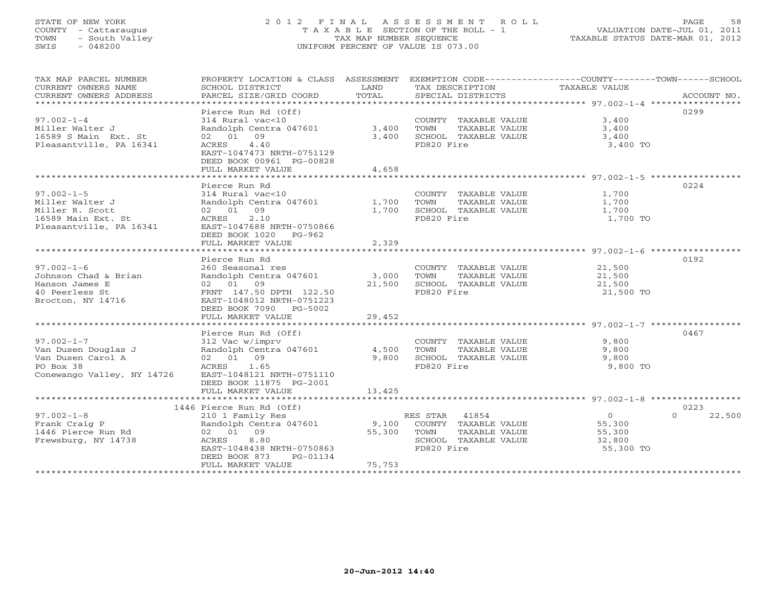# STATE OF NEW YORK 2 0 1 2 F I N A L A S S E S S M E N T R O L L PAGE 58 COUNTY - Cattaraugus T A X A B L E SECTION OF THE ROLL - 1 VALUATION DATE-JUL 01, 2011 TOWN - South Valley TAX MAP NUMBER SEQUENCE TAXABLE STATUS DATE-MAR 01, 2012 SWIS - 048200 UNIFORM PERCENT OF VALUE IS 073.00UNIFORM PERCENT OF VALUE IS 073.00

| TAX MAP PARCEL NUMBER         | PROPERTY LOCATION & CLASS ASSESSMENT EXEMPTION CODE----------------COUNTY-------TOWN------SCHOOL |        |                              |                  |                    |
|-------------------------------|--------------------------------------------------------------------------------------------------|--------|------------------------------|------------------|--------------------|
| CURRENT OWNERS NAME           | SCHOOL DISTRICT                                                                                  | LAND   | TAX DESCRIPTION              | TAXABLE VALUE    |                    |
| CURRENT OWNERS ADDRESS        | PARCEL SIZE/GRID COORD                                                                           | TOTAL  | SPECIAL DISTRICTS            |                  | ACCOUNT NO.        |
| ***************************** |                                                                                                  |        |                              |                  |                    |
|                               | Pierce Run Rd (Off)                                                                              |        |                              |                  | 0299               |
| $97.002 - 1 - 4$              | 314 Rural vac<10                                                                                 |        | COUNTY TAXABLE VALUE         | 3,400            |                    |
| Miller Walter J               | Randolph Centra 047601                                                                           | 3,400  | TOWN<br>TAXABLE VALUE        | 3,400            |                    |
| 16589 S Main Ext. St          | 02 01 09                                                                                         | 3,400  | SCHOOL TAXABLE VALUE         | 3,400            |                    |
| Pleasantville, PA 16341       | ACRES<br>4.40                                                                                    |        | FD820 Fire                   | 3,400 TO         |                    |
|                               | EAST-1047473 NRTH-0751129                                                                        |        |                              |                  |                    |
|                               | DEED BOOK 00961 PG-00828                                                                         |        |                              |                  |                    |
|                               | FULL MARKET VALUE                                                                                | 4,658  |                              |                  |                    |
|                               |                                                                                                  |        |                              |                  |                    |
|                               | Pierce Run Rd                                                                                    |        |                              |                  | 0224               |
| $97.002 - 1 - 5$              | 314 Rural vac<10                                                                                 |        | COUNTY TAXABLE VALUE 1,700   |                  |                    |
| Miller Walter J               | 314 Rural vac<10 (COUNT)<br>Randolph Centra 047601 (Randolph Centra 047601                       |        | TAXABLE VALUE                | 1,700            |                    |
| Miller R. Scott               | 02 01 09                                                                                         |        | 1,700 SCHOOL TAXABLE VALUE   | 1,700            |                    |
| 16589 Main Ext. St            | ACRES 2.10                                                                                       |        | FD820 Fire                   | 1,700 TO         |                    |
| Pleasantville, PA 16341       | EAST-1047688 NRTH-0750866                                                                        |        |                              |                  |                    |
|                               | DEED BOOK 1020 PG-962                                                                            |        |                              |                  |                    |
|                               | FULL MARKET VALUE                                                                                | 2,329  |                              |                  |                    |
|                               |                                                                                                  |        |                              |                  |                    |
|                               | Pierce Run Rd                                                                                    |        |                              |                  | 0192               |
| $97.002 - 1 - 6$              | 260 Seasonal res                                                                                 |        | COUNTY TAXABLE VALUE         |                  |                    |
| Johnson Chad & Brian          | Randolph Centra 047601 3,000                                                                     |        | TOWN<br>TAXABLE VALUE        | 21,500<br>21,500 |                    |
| Hanson James E                | 02 01 09                                                                                         | 21,500 | SCHOOL TAXABLE VALUE         | 21,500           |                    |
| 40 Peerless St                | FRNT 147.50 DPTH 122.50                                                                          |        | FD820 Fire                   | 21,500 TO        |                    |
| Brocton, NY 14716             | EAST-1048012 NRTH-0751223                                                                        |        |                              |                  |                    |
|                               | DEED BOOK 7090 PG-5002                                                                           |        |                              |                  |                    |
|                               | FULL MARKET VALUE                                                                                | 29,452 |                              |                  |                    |
|                               |                                                                                                  |        |                              |                  |                    |
|                               | Pierce Run Rd (Off)                                                                              |        |                              |                  | 0467               |
| $97.002 - 1 - 7$              | 312 Vac w/imprv                                                                                  |        | COUNTY TAXABLE VALUE         | 9,800            |                    |
| Van Dusen Douglas J           | Randolph Centra 047601 4,500                                                                     |        | TAXABLE VALUE<br>TOWN        | 9,800            |                    |
| Van Dusen Carol A             | 02 01 09                                                                                         | 9,800  | SCHOOL TAXABLE VALUE         | 9,800            |                    |
| PO Box 38                     | ACRES 1.65                                                                                       |        | FD820 Fire                   | 9,800 TO         |                    |
| Conewango Valley, NY 14726    | EAST-1048121 NRTH-0751110                                                                        |        |                              |                  |                    |
|                               | DEED BOOK 11875 PG-2001                                                                          |        |                              |                  |                    |
|                               | FULL MARKET VALUE                                                                                | 13,425 |                              |                  |                    |
|                               |                                                                                                  |        |                              |                  |                    |
|                               | 1446 Pierce Run Rd (Off)                                                                         |        |                              |                  | 0223               |
| $97.002 - 1 - 8$              | 210 1 Family Res                                                                                 |        | RES STAR 41854               | $\overline{0}$   | 22,500<br>$\Omega$ |
| Frank Craig P                 | Randolph Centra 047601 9,100 COUNTY TAXABLE VALUE                                                |        |                              | 55,300           |                    |
| 1446 Pierce Run Rd            | 02 01 09                                                                                         |        | 55,300 TOWN<br>TAXABLE VALUE | 55,300           |                    |
| Frewsburg, NY 14738           | 8.80<br>ACRES                                                                                    |        | SCHOOL TAXABLE VALUE         | 32,800           |                    |
|                               | EAST-1048438 NRTH-0750863                                                                        |        | FD820 Fire                   | 55,300 TO        |                    |
|                               | DEED BOOK 873<br>PG-01134                                                                        |        |                              |                  |                    |
|                               | FULL MARKET VALUE                                                                                | 75,753 |                              |                  |                    |
| ************************      |                                                                                                  |        |                              |                  |                    |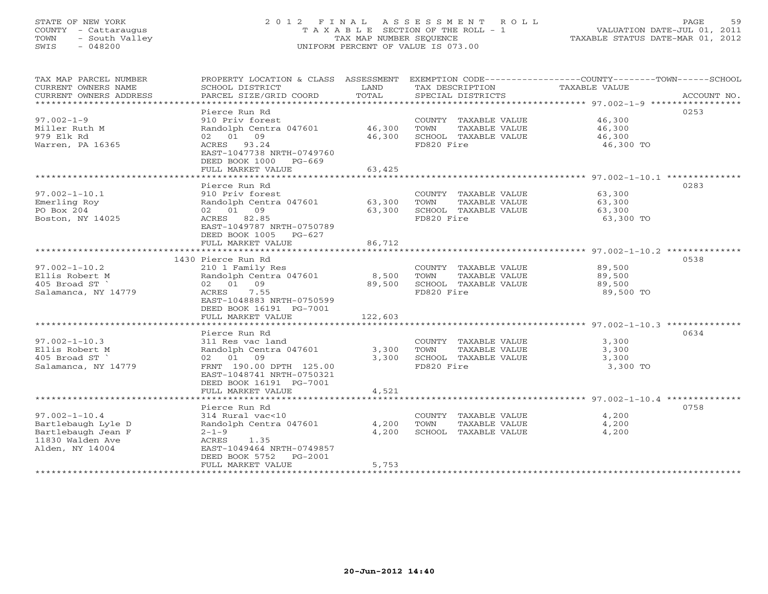# STATE OF NEW YORK 2 0 1 2 F I N A L A S S E S S M E N T R O L L PAGE 59 COUNTY - Cattaraugus T A X A B L E SECTION OF THE ROLL - 1 VALUATION DATE-JUL 01, 2011 TOWN - South Valley TAX MAP NUMBER SEQUENCE TAXABLE STATUS DATE-MAR 01, 2012 SWIS - 048200 UNIFORM PERCENT OF VALUE IS 073.00UNIFORM PERCENT OF VALUE IS 073.00

| TAX MAP PARCEL NUMBER<br>CURRENT OWNERS NAME<br>CURRENT OWNERS ADDRESS                                 | PROPERTY LOCATION & CLASS ASSESSMENT<br>SCHOOL DISTRICT<br>PARCEL SIZE/GRID COORD                                                                                       | LAND<br>TOTAL              | TAX DESCRIPTION<br>SPECIAL DISTRICTS                                                | EXEMPTION CODE-----------------COUNTY--------TOWN------SCHOOL<br>TAXABLE VALUE<br>ACCOUNT NO. |
|--------------------------------------------------------------------------------------------------------|-------------------------------------------------------------------------------------------------------------------------------------------------------------------------|----------------------------|-------------------------------------------------------------------------------------|-----------------------------------------------------------------------------------------------|
| $97.002 - 1 - 9$<br>Miller Ruth M<br>979 Elk Rd<br>Warren, PA 16365                                    | Pierce Run Rd<br>910 Priv forest<br>Randolph Centra 047601<br>02 01 09<br>ACRES 93.24<br>EAST-1047738 NRTH-0749760<br>DEED BOOK 1000 PG-669<br>FULL MARKET VALUE        | 46,300<br>46,300<br>63,425 | COUNTY TAXABLE VALUE<br>TOWN<br>TAXABLE VALUE<br>SCHOOL TAXABLE VALUE<br>FD820 Fire | 0253<br>46,300<br>46,300<br>46,300<br>46,300 TO                                               |
|                                                                                                        |                                                                                                                                                                         |                            |                                                                                     |                                                                                               |
| $97.002 - 1 - 10.1$<br>Emerling Roy<br>PO Box 204<br>Boston, NY 14025                                  | Pierce Run Rd<br>910 Priv forest<br>Randolph Centra 047601<br>02 01 09<br>ACRES 82.85<br>EAST-1049787 NRTH-0750789<br>DEED BOOK 1005 PG-627                             | 63,300<br>63,300           | COUNTY TAXABLE VALUE<br>TOWN<br>TAXABLE VALUE<br>SCHOOL TAXABLE VALUE<br>FD820 Fire | 0283<br>63,300<br>63,300<br>63,300<br>63,300 TO                                               |
|                                                                                                        | FULL MARKET VALUE                                                                                                                                                       | 86,712                     |                                                                                     |                                                                                               |
|                                                                                                        | 1430 Pierce Run Rd                                                                                                                                                      |                            |                                                                                     | 0538                                                                                          |
| $97.002 - 1 - 10.2$<br>Ellis Robert M<br>405 Broad ST<br>Salamanca, NY 14779                           | 210 1 Family Res<br>Randolph Centra 047601<br>02 01 09<br>ACRES<br>7.55<br>EAST-1048883 NRTH-0750599                                                                    | 8,500<br>89,500            | COUNTY TAXABLE VALUE<br>TOWN<br>TAXABLE VALUE<br>SCHOOL TAXABLE VALUE<br>FD820 Fire | 89,500<br>89,500<br>89,500<br>89,500 TO                                                       |
|                                                                                                        | DEED BOOK 16191 PG-7001<br>FULL MARKET VALUE                                                                                                                            | 122,603                    |                                                                                     |                                                                                               |
|                                                                                                        |                                                                                                                                                                         |                            |                                                                                     |                                                                                               |
| $97.002 - 1 - 10.3$<br>Ellis Robert M<br>405 Broad ST<br>Salamanca, NY 14779                           | Pierce Run Rd<br>311 Res vac land<br>Randolph Centra 047601<br>02 01 09<br>FRNT 190.00 DPTH 125.00<br>EAST-1048741 NRTH-0750321<br>DEED BOOK 16191 PG-7001              | 3,300<br>3,300             | COUNTY TAXABLE VALUE<br>TAXABLE VALUE<br>TOWN<br>SCHOOL TAXABLE VALUE<br>FD820 Fire | 0634<br>3,300<br>3,300<br>3,300<br>3,300 TO                                                   |
|                                                                                                        | FULL MARKET VALUE                                                                                                                                                       | 4,521                      |                                                                                     |                                                                                               |
|                                                                                                        |                                                                                                                                                                         |                            |                                                                                     |                                                                                               |
| $97.002 - 1 - 10.4$<br>Bartlebaugh Lyle D<br>Bartlebaugh Jean F<br>11830 Walden Ave<br>Alden, NY 14004 | Pierce Run Rd<br>314 Rural vac<10<br>Randolph Centra 047601<br>$2 - 1 - 9$<br>ACRES<br>1.35<br>EAST-1049464 NRTH-0749857<br>DEED BOOK 5752 PG-2001<br>FULL MARKET VALUE | 4,200<br>4,200<br>5,753    | COUNTY TAXABLE VALUE<br>TOWN<br>TAXABLE VALUE<br>SCHOOL TAXABLE VALUE               | 0758<br>4,200<br>4,200<br>4,200                                                               |
|                                                                                                        |                                                                                                                                                                         |                            |                                                                                     |                                                                                               |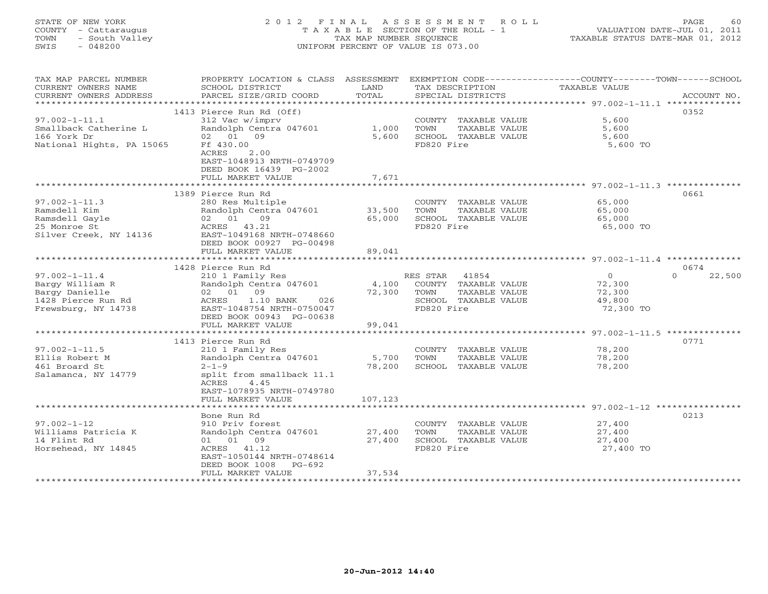# STATE OF NEW YORK 2 0 1 2 F I N A L A S S E S S M E N T R O L L PAGE 60 COUNTY - Cattaraugus T A X A B L E SECTION OF THE ROLL - 1 VALUATION DATE-JUL 01, 2011 TOWN - South Valley TAX MAP NUMBER SEQUENCE TAXABLE STATUS DATE-MAR 01, 2012 SWIS - 048200 UNIFORM PERCENT OF VALUE IS 073.00UNIFORM PERCENT OF VALUE IS 073.00

| TAX MAP PARCEL NUMBER     |                                                  |         |                                       | PROPERTY LOCATION & CLASS ASSESSMENT EXEMPTION CODE---------------COUNTY-------TOWN------SCHOOL |             |
|---------------------------|--------------------------------------------------|---------|---------------------------------------|-------------------------------------------------------------------------------------------------|-------------|
| CURRENT OWNERS NAME       | SCHOOL DISTRICT                                  | LAND    | TAX DESCRIPTION                       | TAXABLE VALUE                                                                                   |             |
| CURRENT OWNERS ADDRESS    | PARCEL SIZE/GRID COORD                           | TOTAL   | SPECIAL DISTRICTS                     |                                                                                                 | ACCOUNT NO. |
|                           |                                                  |         |                                       |                                                                                                 |             |
|                           | 1413 Pierce Run Rd (Off)                         |         |                                       |                                                                                                 | 0352        |
| $97.002 - 1 - 11.1$       | 312 Vac w/imprv                                  |         | COUNTY TAXABLE VALUE                  | 5,600                                                                                           |             |
| Smallback Catherine L     | Randolph Centra 047601                           | 1,000   | TOWN<br>TAXABLE VALUE                 | 5,600                                                                                           |             |
| 166 York Dr               | 02 01 09                                         | 5,600   | SCHOOL TAXABLE VALUE                  | 5,600                                                                                           |             |
| National Hights, PA 15065 | Ff 430.00                                        |         | FD820 Fire                            | 5,600 TO                                                                                        |             |
|                           | ACRES<br>2.00                                    |         |                                       |                                                                                                 |             |
|                           | EAST-1048913 NRTH-0749709                        |         |                                       |                                                                                                 |             |
|                           | DEED BOOK 16439 PG-2002                          |         |                                       |                                                                                                 |             |
|                           | FULL MARKET VALUE                                | 7,671   |                                       |                                                                                                 |             |
|                           |                                                  |         |                                       |                                                                                                 |             |
|                           | 1389 Pierce Run Rd                               |         |                                       |                                                                                                 | 0661        |
| $97.002 - 1 - 11.3$       | 280 Res Multiple                                 |         | COUNTY TAXABLE VALUE                  |                                                                                                 |             |
| Ramsdell Kim              | Randolph Centra 047601                           | 33,500  | TOWN<br>TAXABLE VALUE                 | 65,000<br>65 noo<br>65,000                                                                      |             |
| Ramsdell Gayle            | 02 01<br>09                                      | 65,000  | SCHOOL TAXABLE VALUE                  | 65,000                                                                                          |             |
| 25 Monroe St              | ACRES 43.21                                      |         | FD820 Fire                            | 65,000 TO                                                                                       |             |
| Silver Creek, NY 14136    | EAST-1049168 NRTH-0748660                        |         |                                       |                                                                                                 |             |
|                           | DEED BOOK 00927 PG-00498                         |         |                                       |                                                                                                 |             |
|                           | FULL MARKET VALUE                                | 89,041  |                                       |                                                                                                 |             |
|                           |                                                  |         |                                       |                                                                                                 |             |
|                           | 1428 Pierce Run Rd                               |         |                                       |                                                                                                 | 0674        |
| $97.002 - 1 - 11.4$       |                                                  |         | RES STAR 41854                        | $\overline{0}$<br>$\Omega$                                                                      | 22,500      |
| Bargy William R           | 210 1 Family Res<br>Randolph Centra 047601       |         | 4,100 COUNTY TAXABLE VALUE            | 72,300                                                                                          |             |
| Bargy Danielle            | 02 01 09                                         | 72,300  | TOWN                                  |                                                                                                 |             |
|                           | ACRES                                            |         | TAXABLE VALUE<br>SCHOOL TAXABLE VALUE | 72,300                                                                                          |             |
| 1428 Pierce Run Rd        | $1.10$ BANK<br>026<br>EAST-1048754 NRTH-0750047  |         | FD820 Fire                            | 49,800                                                                                          |             |
| Frewsburg, NY 14738       |                                                  |         |                                       | 72,300 TO                                                                                       |             |
|                           | DEED BOOK 00943 PG-00638                         | 99,041  |                                       |                                                                                                 |             |
|                           | FULL MARKET VALUE                                |         |                                       |                                                                                                 |             |
|                           |                                                  |         |                                       |                                                                                                 |             |
|                           | 1413 Pierce Run Rd                               |         |                                       |                                                                                                 | 0771        |
| $97.002 - 1 - 11.5$       | 210 1 Family Res<br>Randolph Centra 047601 5,700 |         | COUNTY TAXABLE VALUE                  | 78,200                                                                                          |             |
| Ellis Robert M            |                                                  |         | TOWN<br>TAXABLE VALUE                 | 78,200                                                                                          |             |
| 461 Broard St             | $2 - 1 - 9$                                      | 78,200  | SCHOOL TAXABLE VALUE                  | 78,200                                                                                          |             |
| Salamanca, NY 14779       | split from smallback 11.1                        |         |                                       |                                                                                                 |             |
|                           | ACRES<br>4.45                                    |         |                                       |                                                                                                 |             |
|                           | EAST-1078935 NRTH-0749780                        |         |                                       |                                                                                                 |             |
|                           | FULL MARKET VALUE                                | 107,123 |                                       |                                                                                                 |             |
|                           |                                                  |         |                                       |                                                                                                 |             |
|                           | Bone Run Rd                                      |         |                                       |                                                                                                 | 0213        |
| $97.002 - 1 - 12$         | 910 Priv forest                                  |         | COUNTY TAXABLE VALUE                  | 27,400                                                                                          |             |
| Williams Patricia K       | Randolph Centra 047601                           | 27,400  | TAXABLE VALUE<br>TOWN                 | 27,400                                                                                          |             |
| 14 Flint Rd               | 01 01 09                                         | 27,400  | SCHOOL TAXABLE VALUE                  | 27,400                                                                                          |             |
| Horsehead, NY 14845       | ACRES 41.12                                      |         | FD820 Fire                            | 27,400 TO                                                                                       |             |
|                           | EAST-1050144 NRTH-0748614                        |         |                                       |                                                                                                 |             |
|                           | DEED BOOK 1008 PG-692                            |         |                                       |                                                                                                 |             |
|                           | FULL MARKET VALUE                                | 37,534  |                                       |                                                                                                 |             |
|                           |                                                  |         |                                       |                                                                                                 |             |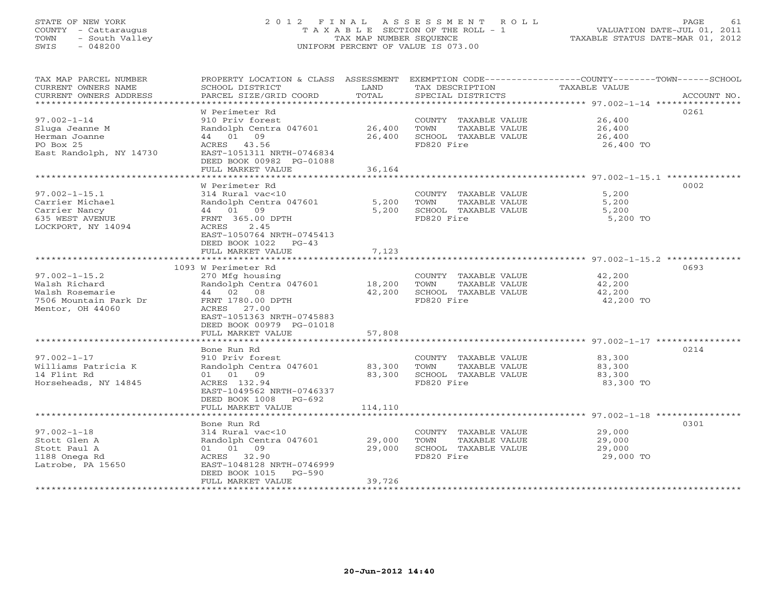# STATE OF NEW YORK 2 0 1 2 F I N A L A S S E S S M E N T R O L L PAGE 61 COUNTY - Cattaraugus T A X A B L E SECTION OF THE ROLL - 1 VALUATION DATE-JUL 01, 2011 TOWN - South Valley TAX MAP NUMBER SEQUENCE TAXABLE STATUS DATE-MAR 01, 2012 SWIS - 048200 UNIFORM PERCENT OF VALUE IS 073.00UNIFORM PERCENT OF VALUE IS 073.00

| TAX MAP PARCEL NUMBER<br>CURRENT OWNERS NAME<br>CURRENT OWNERS ADDRESS | SCHOOL DISTRICT<br>PARCEL SIZE/GRID COORD     | LAND<br>TOTAL  | TAX DESCRIPTION<br>SPECIAL DISTRICTS | PROPERTY LOCATION & CLASS ASSESSMENT EXEMPTION CODE-----------------COUNTY-------TOWN------SCHOOL<br>TAXABLE VALUE<br>ACCOUNT NO. |
|------------------------------------------------------------------------|-----------------------------------------------|----------------|--------------------------------------|-----------------------------------------------------------------------------------------------------------------------------------|
| **********************                                                 |                                               |                |                                      |                                                                                                                                   |
|                                                                        | W Perimeter Rd                                |                |                                      | 0261                                                                                                                              |
| $97.002 - 1 - 14$                                                      | 910 Priv forest                               |                | COUNTY TAXABLE VALUE                 | 26,400                                                                                                                            |
| Sluga Jeanne M                                                         | Randolph Centra 047601                        | 26,400         | TOWN<br>TAXABLE VALUE                | 26,400                                                                                                                            |
| Herman Joanne                                                          | 44 01 09                                      | 26,400         | SCHOOL TAXABLE VALUE                 | 26,400                                                                                                                            |
| PO Box 25                                                              | ACRES 43.56                                   |                | FD820 Fire                           | 26,400 TO                                                                                                                         |
| East Randolph, NY 14730                                                | EAST-1051311 NRTH-0746834                     |                |                                      |                                                                                                                                   |
|                                                                        | DEED BOOK 00982 PG-01088<br>FULL MARKET VALUE |                |                                      |                                                                                                                                   |
|                                                                        | *************************                     | 36,164         |                                      |                                                                                                                                   |
|                                                                        | W Perimeter Rd                                |                |                                      | 0002                                                                                                                              |
| $97.002 - 1 - 15.1$                                                    | 314 Rural vac<10                              |                | COUNTY TAXABLE VALUE                 | 5,200                                                                                                                             |
| Carrier Michael                                                        | Randolph Centra 047601                        | 5,200          | TOWN<br>TAXABLE VALUE                | 5,200                                                                                                                             |
| Carrier Nancy                                                          | 44 01 09                                      | 5,200          | SCHOOL TAXABLE VALUE                 | 5,200                                                                                                                             |
| 635 WEST AVENUE                                                        | FRNT 365.00 DPTH                              |                | FD820 Fire                           | 5,200 TO                                                                                                                          |
| LOCKPORT, NY 14094                                                     | ACRES<br>2.45                                 |                |                                      |                                                                                                                                   |
|                                                                        | EAST-1050764 NRTH-0745413                     |                |                                      |                                                                                                                                   |
|                                                                        | DEED BOOK 1022 PG-43                          |                |                                      |                                                                                                                                   |
|                                                                        | FULL MARKET VALUE                             | 7,123          |                                      |                                                                                                                                   |
|                                                                        | ***************************                   |                |                                      |                                                                                                                                   |
|                                                                        | 1093 W Perimeter Rd                           |                |                                      | 0693                                                                                                                              |
| $97.002 - 1 - 15.2$                                                    | 270 Mfg housing                               |                | COUNTY TAXABLE VALUE                 | 42,200                                                                                                                            |
| Walsh Richard                                                          | Randolph Centra 047601                        | 18,200         | TAXABLE VALUE<br>TOWN                | 42,200                                                                                                                            |
| Walsh Rosemarie                                                        | 44 02 08                                      | 42,200         | SCHOOL TAXABLE VALUE                 | 42,200                                                                                                                            |
| 7506 Mountain Park Dr                                                  | FRNT 1780.00 DPTH                             |                | FD820 Fire                           | 42,200 TO                                                                                                                         |
| Mentor, OH 44060                                                       | ACRES 27.00                                   |                |                                      |                                                                                                                                   |
|                                                                        | EAST-1051363 NRTH-0745883                     |                |                                      |                                                                                                                                   |
|                                                                        | DEED BOOK 00979 PG-01018                      |                |                                      |                                                                                                                                   |
|                                                                        | FULL MARKET VALUE                             | 57,808         |                                      |                                                                                                                                   |
|                                                                        | Bone Run Rd                                   |                |                                      | 0214                                                                                                                              |
| $97.002 - 1 - 17$                                                      | 910 Priv forest                               |                | COUNTY TAXABLE VALUE                 | 83,300                                                                                                                            |
| Williams Patricia K                                                    | Randolph Centra 047601                        | 83,300         | TAXABLE VALUE<br>TOWN                | 83,300                                                                                                                            |
| 14 Flint Rd                                                            | 01 01 09                                      | 83,300         | SCHOOL TAXABLE VALUE                 | 83,300                                                                                                                            |
| Horseheads, NY 14845                                                   | ACRES 132.94                                  |                | FD820 Fire                           | 83,300 TO                                                                                                                         |
|                                                                        | EAST-1049562 NRTH-0746337                     |                |                                      |                                                                                                                                   |
|                                                                        | DEED BOOK 1008 PG-692                         |                |                                      |                                                                                                                                   |
|                                                                        | FULL MARKET VALUE                             | 114,110        |                                      |                                                                                                                                   |
|                                                                        | *************************                     | ************** |                                      | ******************************** 97.002-1-18 ****************                                                                     |
|                                                                        | Bone Run Rd                                   |                |                                      | 0301                                                                                                                              |
| $97.002 - 1 - 18$                                                      | 314 Rural vac<10                              |                | COUNTY TAXABLE VALUE                 | 29,000                                                                                                                            |
| Stott Glen A                                                           | Randolph Centra 047601                        | 29,000         | TOWN<br>TAXABLE VALUE                | 29,000                                                                                                                            |
| Stott Paul A                                                           | 01 01 09                                      | 29,000         | SCHOOL TAXABLE VALUE                 | 29,000                                                                                                                            |
| 1188 Onega Rd                                                          | ACRES 32.90                                   |                | FD820 Fire                           | 29,000 TO                                                                                                                         |
| Latrobe, PA 15650                                                      | EAST-1048128 NRTH-0746999                     |                |                                      |                                                                                                                                   |
|                                                                        | DEED BOOK 1015 PG-590                         |                |                                      |                                                                                                                                   |
| ************************                                               | FULL MARKET VALUE                             | 39,726         |                                      |                                                                                                                                   |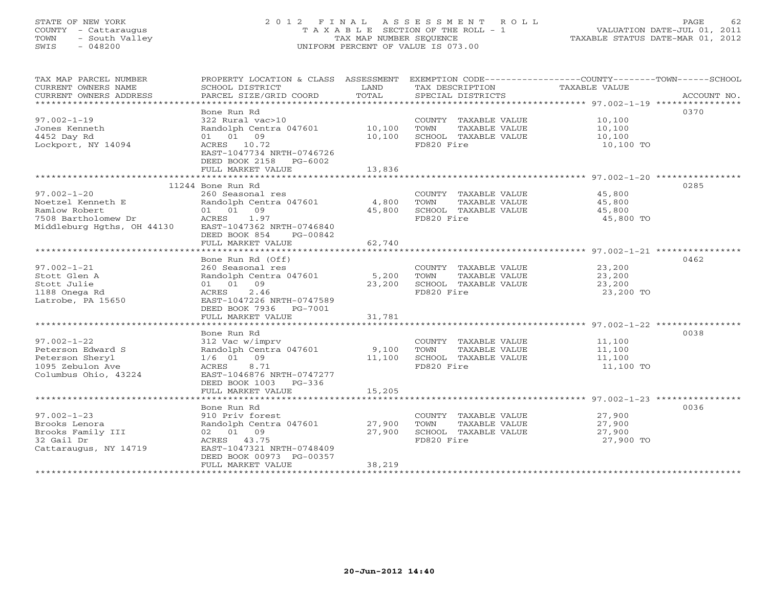# STATE OF NEW YORK 2 0 1 2 F I N A L A S S E S S M E N T R O L L PAGE 62 COUNTY - Cattaraugus T A X A B L E SECTION OF THE ROLL - 1 VALUATION DATE-JUL 01, 2011 TOWN - South Valley TAX MAP NUMBER SEQUENCE TAXABLE STATUS DATE-MAR 01, 2012 SWIS - 048200 UNIFORM PERCENT OF VALUE IS 073.00

| TAX MAP PARCEL NUMBER<br>CURRENT OWNERS NAME<br>CURRENT OWNERS ADDRESS | PROPERTY LOCATION & CLASS ASSESSMENT<br>SCHOOL DISTRICT<br>PARCEL SIZE/GRID COORD | LAND<br>TOTAL          | TAX DESCRIPTION<br>SPECIAL DISTRICTS | EXEMPTION CODE-----------------COUNTY-------TOWN-----SCHOOL<br>TAXABLE VALUE<br>ACCOUNT NO. |  |
|------------------------------------------------------------------------|-----------------------------------------------------------------------------------|------------------------|--------------------------------------|---------------------------------------------------------------------------------------------|--|
|                                                                        |                                                                                   |                        |                                      |                                                                                             |  |
|                                                                        | Bone Run Rd                                                                       |                        |                                      | 0370                                                                                        |  |
| $97.002 - 1 - 19$                                                      | 322 Rural vac>10                                                                  |                        | COUNTY TAXABLE VALUE                 | 10,100                                                                                      |  |
| Jones Kenneth                                                          | Randolph Centra 047601                                                            | 10,100                 | TOWN<br>TAXABLE VALUE                | 10,100                                                                                      |  |
| 4452 Day Rd                                                            | 01 01 09                                                                          | 10,100                 | SCHOOL TAXABLE VALUE                 | 10,100                                                                                      |  |
| Lockport, NY 14094                                                     | ACRES 10.72                                                                       |                        | FD820 Fire                           | 10,100 TO                                                                                   |  |
|                                                                        | EAST-1047734 NRTH-0746726<br>DEED BOOK 2158 PG-6002                               |                        |                                      |                                                                                             |  |
|                                                                        | FULL MARKET VALUE                                                                 | 13,836                 |                                      |                                                                                             |  |
|                                                                        |                                                                                   |                        |                                      |                                                                                             |  |
|                                                                        | 11244 Bone Run Rd                                                                 |                        |                                      | 0285                                                                                        |  |
| $97.002 - 1 - 20$                                                      | 260 Seasonal res                                                                  |                        | COUNTY TAXABLE VALUE                 | 45,800                                                                                      |  |
| Noetzel Kenneth E                                                      | Randolph Centra 047601                                                            | 4,800                  | TOWN<br>TAXABLE VALUE                | 45,800                                                                                      |  |
| Ramlow Robert                                                          | 01 01 09                                                                          | 45,800                 | SCHOOL TAXABLE VALUE                 | 45,800                                                                                      |  |
| 7508 Bartholomew Dr                                                    | ACRES<br>1.97                                                                     |                        | FD820 Fire                           | 45,800 TO                                                                                   |  |
| Middleburg Hgths, OH 44130                                             | EAST-1047362 NRTH-0746840                                                         |                        |                                      |                                                                                             |  |
|                                                                        | DEED BOOK 854<br>PG-00842                                                         |                        |                                      |                                                                                             |  |
|                                                                        | FULL MARKET VALUE<br>****************************                                 | 62,740<br>************ |                                      |                                                                                             |  |
|                                                                        |                                                                                   |                        |                                      | 0462                                                                                        |  |
| $97.002 - 1 - 21$                                                      | Bone Run Rd (Off)<br>260 Seasonal res                                             |                        | COUNTY TAXABLE VALUE                 | 23,200                                                                                      |  |
| Stott Glen A                                                           | Randolph Centra 047601                                                            | 5,200                  | TOWN<br>TAXABLE VALUE                | 23,200                                                                                      |  |
| Stott Julie                                                            | 01 01 09                                                                          | 23,200                 | SCHOOL TAXABLE VALUE                 | 23,200                                                                                      |  |
| 1188 Onega Rd                                                          | 2.46<br>ACRES                                                                     |                        | FD820 Fire                           | 23,200 TO                                                                                   |  |
| Latrobe, PA 15650                                                      | EAST-1047226 NRTH-0747589                                                         |                        |                                      |                                                                                             |  |
|                                                                        | DEED BOOK 7936 PG-7001                                                            |                        |                                      |                                                                                             |  |
|                                                                        | FULL MARKET VALUE                                                                 | 31,781                 |                                      |                                                                                             |  |
|                                                                        |                                                                                   |                        |                                      |                                                                                             |  |
|                                                                        | Bone Run Rd                                                                       |                        |                                      | 0038                                                                                        |  |
| $97.002 - 1 - 22$                                                      | 312 Vac w/imprv                                                                   |                        | COUNTY TAXABLE VALUE                 | 11,100                                                                                      |  |
| Peterson Edward S                                                      | Randolph Centra 047601                                                            | 9,100                  | TOWN<br>TAXABLE VALUE                | 11,100                                                                                      |  |
| Peterson Sheryl<br>1095 Zebulon Ave                                    | $1/6$ 01 09                                                                       | 11,100                 | SCHOOL TAXABLE VALUE<br>FD820 Fire   | 11,100                                                                                      |  |
| Columbus Ohio, 43224                                                   | ACRES<br>8.71<br>EAST-1046876 NRTH-0747277                                        |                        |                                      | 11,100 TO                                                                                   |  |
|                                                                        | DEED BOOK 1003<br>PG-336                                                          |                        |                                      |                                                                                             |  |
|                                                                        | FULL MARKET VALUE                                                                 | 15,205                 |                                      |                                                                                             |  |
|                                                                        |                                                                                   |                        |                                      |                                                                                             |  |
|                                                                        | Bone Run Rd                                                                       |                        |                                      | 0036                                                                                        |  |
| $97.002 - 1 - 23$                                                      | 910 Priv forest                                                                   |                        | COUNTY TAXABLE VALUE                 | 27,900                                                                                      |  |
| Brooks Lenora                                                          | Randolph Centra 047601                                                            | 27,900                 | TAXABLE VALUE<br>TOWN                | 27,900                                                                                      |  |
| Brooks Family III                                                      | 02 01 09                                                                          | 27,900                 | SCHOOL TAXABLE VALUE                 | 27,900                                                                                      |  |
| 32 Gail Dr                                                             | ACRES 43.75                                                                       |                        | FD820 Fire                           | 27,900 TO                                                                                   |  |
| Cattaraugus, NY 14719                                                  | EAST-1047321 NRTH-0748409                                                         |                        |                                      |                                                                                             |  |
|                                                                        | DEED BOOK 00973 PG-00357<br>FULL MARKET VALUE                                     | 38,219                 |                                      |                                                                                             |  |
|                                                                        |                                                                                   |                        |                                      |                                                                                             |  |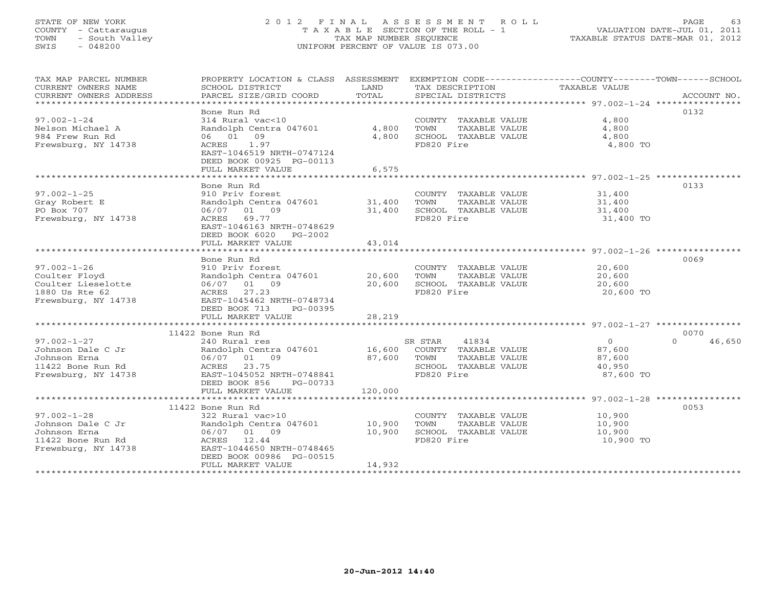# STATE OF NEW YORK 2 0 1 2 F I N A L A S S E S S M E N T R O L L PAGE 63 COUNTY - Cattaraugus T A X A B L E SECTION OF THE ROLL - 1 VALUATION DATE-JUL 01, 2011 TOWN - South Valley TAX MAP NUMBER SEQUENCE TAXABLE STATUS DATE-MAR 01, 2012 SWIS - 048200 UNIFORM PERCENT OF VALUE IS 073.00UNIFORM PERCENT OF VALUE IS 073.00

| TAX MAP PARCEL NUMBER<br>CURRENT OWNERS NAME<br>CURRENT OWNERS ADDRESS<br>****************************** | PROPERTY LOCATION & CLASS ASSESSMENT<br>SCHOOL DISTRICT<br>PARCEL SIZE/GRID COORD                                                                                              | LAND<br>TOTAL              | TAX DESCRIPTION<br>SPECIAL DISTRICTS                                                                    | EXEMPTION CODE-----------------COUNTY-------TOWN------SCHOOL<br>TAXABLE VALUE | ACCOUNT NO.    |
|----------------------------------------------------------------------------------------------------------|--------------------------------------------------------------------------------------------------------------------------------------------------------------------------------|----------------------------|---------------------------------------------------------------------------------------------------------|-------------------------------------------------------------------------------|----------------|
| $97.002 - 1 - 24$<br>Nelson Michael A<br>984 Frew Run Rd<br>Frewsburg, NY 14738                          | Bone Run Rd<br>314 Rural vac<10<br>Randolph Centra 047601<br>06 01 09<br>ACRES<br>1.97<br>EAST-1046519 NRTH-0747124<br>DEED BOOK 00925 PG-00113                                | 4,800<br>4,800             | COUNTY TAXABLE VALUE<br>TOWN<br>TAXABLE VALUE<br>SCHOOL TAXABLE VALUE<br>FD820 Fire                     | 4,800<br>4,800<br>4,800<br>4,800 TO                                           | 0132           |
|                                                                                                          | FULL MARKET VALUE                                                                                                                                                              | 6,575                      |                                                                                                         |                                                                               |                |
| $97.002 - 1 - 25$                                                                                        | Bone Run Rd<br>910 Priv forest                                                                                                                                                 |                            | COUNTY TAXABLE VALUE                                                                                    | 31,400                                                                        | 0133           |
| Gray Robert E<br>PO Box 707<br>Frewsburg, NY 14738                                                       | Randolph Centra 047601<br>06/07 01 09<br>69.77<br>ACRES<br>EAST-1046163 NRTH-0748629<br>DEED BOOK 6020 PG-2002                                                                 | 31,400<br>31,400           | TOWN<br>TAXABLE VALUE<br>SCHOOL TAXABLE VALUE<br>FD820 Fire                                             | 31,400<br>31,400<br>31,400 TO                                                 |                |
|                                                                                                          | FULL MARKET VALUE                                                                                                                                                              | 43,014                     |                                                                                                         |                                                                               |                |
| $97.002 - 1 - 26$<br>Coulter Floyd<br>Coulter Lieselotte<br>1880 Us Rte 62<br>Frewsburg, NY 14738        | Bone Run Rd<br>910 Priv forest<br>Randolph Centra 047601<br>06/07 01 09<br>ACRES<br>27.23<br>EAST-1045462 NRTH-0748734<br>DEED BOOK 713<br>PG-00395                            | 20,600<br>20,600           | COUNTY TAXABLE VALUE<br>TOWN<br>TAXABLE VALUE<br>SCHOOL TAXABLE VALUE<br>FD820 Fire                     | 20,600<br>20,600<br>20,600<br>20,600 TO                                       | 0069           |
|                                                                                                          | FULL MARKET VALUE                                                                                                                                                              | 28,219                     |                                                                                                         |                                                                               |                |
|                                                                                                          |                                                                                                                                                                                |                            |                                                                                                         |                                                                               |                |
| $97.002 - 1 - 27$<br>Johnson Dale C Jr<br>Johnson Erna<br>11422 Bone Run Rd<br>Frewsburg, NY 14738       | 11422 Bone Run Rd<br>240 Rural res<br>Randolph Centra 047601<br>06/07 01 09<br>ACRES 23.75<br>EAST-1045052 NRTH-0748841<br>DEED BOOK 856<br>PG-00733                           | 16,600<br>87,600           | SR STAR<br>41834<br>COUNTY TAXABLE VALUE<br>TOWN<br>TAXABLE VALUE<br>SCHOOL TAXABLE VALUE<br>FD820 Fire | $\circ$<br>$\cap$<br>87,600<br>87,600<br>40,950<br>87,600 TO                  | 0070<br>46,650 |
|                                                                                                          | FULL MARKET VALUE                                                                                                                                                              | 120,000                    |                                                                                                         |                                                                               |                |
| $97.002 - 1 - 28$<br>Johnson Dale C Jr<br>Johnson Erna<br>11422 Bone Run Rd<br>Frewsburg, NY 14738       | 11422 Bone Run Rd<br>322 Rural vac>10<br>Randolph Centra 047601<br>06/07 01 09<br>ACRES<br>12.44<br>EAST-1044650 NRTH-0748465<br>DEED BOOK 00986 PG-00515<br>FULL MARKET VALUE | 10,900<br>10,900<br>14,932 | COUNTY TAXABLE VALUE<br>TAXABLE VALUE<br>TOWN<br>SCHOOL TAXABLE VALUE<br>FD820 Fire                     | 10,900<br>10,900<br>10,900<br>10,900 TO                                       | 0053           |
|                                                                                                          |                                                                                                                                                                                |                            |                                                                                                         |                                                                               |                |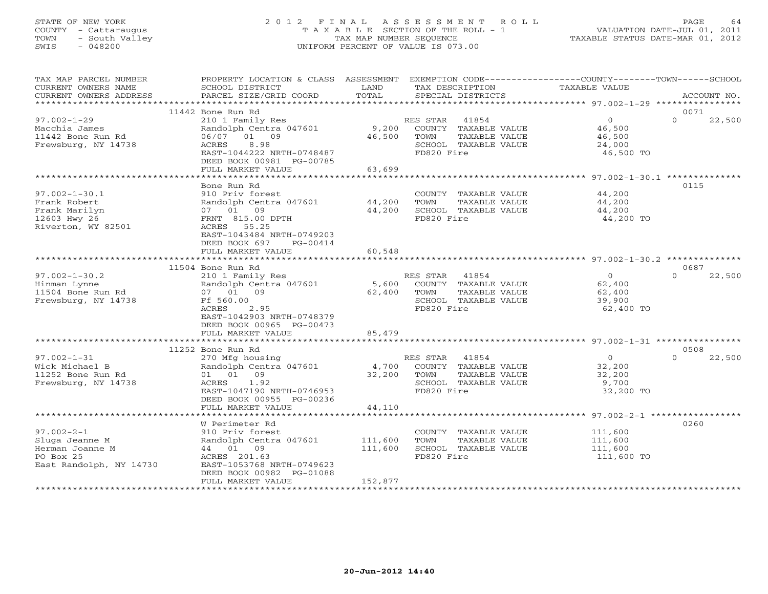# STATE OF NEW YORK 2 0 1 2 F I N A L A S S E S S M E N T R O L L PAGE 64 COUNTY - Cattaraugus T A X A B L E SECTION OF THE ROLL - 1 VALUATION DATE-JUL 01, 2011 TOWN - South Valley TAX MAP NUMBER SEQUENCE TAXABLE STATUS DATE-MAR 01, 2012 SWIS - 048200 UNIFORM PERCENT OF VALUE IS 073.00UNIFORM PERCENT OF VALUE IS 073.00

| TAX MAP PARCEL NUMBER<br>CURRENT OWNERS NAME<br>CURRENT OWNERS ADDRESS                        | PROPERTY LOCATION & CLASS ASSESSMENT<br>SCHOOL DISTRICT<br>PARCEL SIZE/GRID COORD                                                                    | LAND<br>TOTAL      | EXEMPTION CODE----------------COUNTY-------TOWN------SCHOOL<br>TAX DESCRIPTION<br>SPECIAL DISTRICTS          | TAXABLE VALUE                                             | ACCOUNT NO.        |
|-----------------------------------------------------------------------------------------------|------------------------------------------------------------------------------------------------------------------------------------------------------|--------------------|--------------------------------------------------------------------------------------------------------------|-----------------------------------------------------------|--------------------|
| *************************                                                                     |                                                                                                                                                      |                    |                                                                                                              |                                                           |                    |
|                                                                                               | 11442 Bone Run Rd                                                                                                                                    |                    |                                                                                                              |                                                           | 0071               |
| $97.002 - 1 - 29$<br>Macchia James<br>11442 Bone Run Rd<br>Frewsburg, NY 14738                | 210 1 Family Res<br>Randolph Centra 047601<br>06/07 01 09<br>ACRES<br>8.98<br>EAST-1044222 NRTH-0748487<br>DEED BOOK 00981 PG-00785                  | 9,200<br>46,500    | 41854<br>RES STAR<br>COUNTY TAXABLE VALUE<br>TOWN<br>TAXABLE VALUE<br>SCHOOL TAXABLE VALUE<br>FD820 Fire     | $\overline{0}$<br>46,500<br>46,500<br>24,000<br>46,500 TO | $\Omega$<br>22,500 |
|                                                                                               | FULL MARKET VALUE                                                                                                                                    | 63,699             |                                                                                                              |                                                           |                    |
|                                                                                               | Bone Run Rd                                                                                                                                          |                    |                                                                                                              |                                                           | 0115               |
| $97.002 - 1 - 30.1$<br>Frank Robert<br>Frank Marilyn<br>12603 Hwy 26<br>Riverton, WY 82501    | 910 Priv forest<br>Randolph Centra 047601<br>07 01 09<br>FRNT 815.00 DPTH<br>ACRES 55.25<br>EAST-1043484 NRTH-0749203<br>DEED BOOK 697<br>PG-00414   | 44,200<br>44,200   | COUNTY TAXABLE VALUE<br>TOWN<br>TAXABLE VALUE<br>SCHOOL TAXABLE VALUE<br>FD820 Fire                          | 44,200<br>44,200<br>44,200<br>44,200 TO                   |                    |
|                                                                                               | FULL MARKET VALUE                                                                                                                                    | 60,548             |                                                                                                              |                                                           |                    |
|                                                                                               | *********************                                                                                                                                | ************       |                                                                                                              |                                                           |                    |
| $97.002 - 1 - 30.2$                                                                           | 11504 Bone Run Rd                                                                                                                                    |                    | 41854                                                                                                        | $\Omega$                                                  | 0687<br>$\Omega$   |
| Hinman Lynne<br>11504 Bone Run Rd<br>Frewsburg, NY 14738                                      | 210 1 Family Res<br>Randolph Centra 047601<br>07 01 09<br>Ff 560.00<br>ACRES<br>2.95<br>EAST-1042903 NRTH-0748379<br>DEED BOOK 00965 PG-00473        | 5,600<br>62,400    | RES STAR<br>COUNTY TAXABLE VALUE<br>TOWN<br>TAXABLE VALUE<br>SCHOOL TAXABLE VALUE<br>FD820 Fire              | 62,400<br>62,400<br>39,900<br>62,400 TO                   | 22,500             |
|                                                                                               | FULL MARKET VALUE                                                                                                                                    | 85,479             |                                                                                                              |                                                           |                    |
|                                                                                               | 11252 Bone Run Rd                                                                                                                                    |                    |                                                                                                              |                                                           | 0508               |
| $97.002 - 1 - 31$<br>Wick Michael B<br>11252 Bone Run Rd<br>Frewsburg, NY 14738               | 270 Mfg housing<br>Randolph Centra 047601<br>01 01 09<br>ACRES<br>1.92<br>EAST-1047190 NRTH-0746953<br>DEED BOOK 00955 PG-00236<br>FULL MARKET VALUE | 4,700<br>44,110    | RES STAR 41854<br>COUNTY TAXABLE VALUE<br>32,200 TOWN<br>TAXABLE VALUE<br>SCHOOL TAXABLE VALUE<br>FD820 Fire | $\overline{O}$<br>32,200<br>32,200<br>9,700<br>32,200 TO  | $\Omega$<br>22,500 |
|                                                                                               | *********************                                                                                                                                | **********         |                                                                                                              | ******************** 97.002-2-1 ****************          |                    |
| $97.002 - 2 - 1$<br>Sluga Jeanne M<br>Herman Joanne M<br>PO Box 25<br>East Randolph, NY 14730 | W Perimeter Rd<br>910 Priv forest<br>Randolph Centra 047601<br>44 01 09<br>ACRES 201.63<br>EAST-1053768 NRTH-0749623<br>DEED BOOK 00982 PG-01088     | 111,600<br>111,600 | COUNTY TAXABLE VALUE<br>TOWN<br>TAXABLE VALUE<br>SCHOOL TAXABLE VALUE<br>FD820 Fire                          | 111,600<br>111,600<br>111,600<br>111,600 TO               | 0260               |
|                                                                                               | FULL MARKET VALUE                                                                                                                                    | 152,877            |                                                                                                              |                                                           |                    |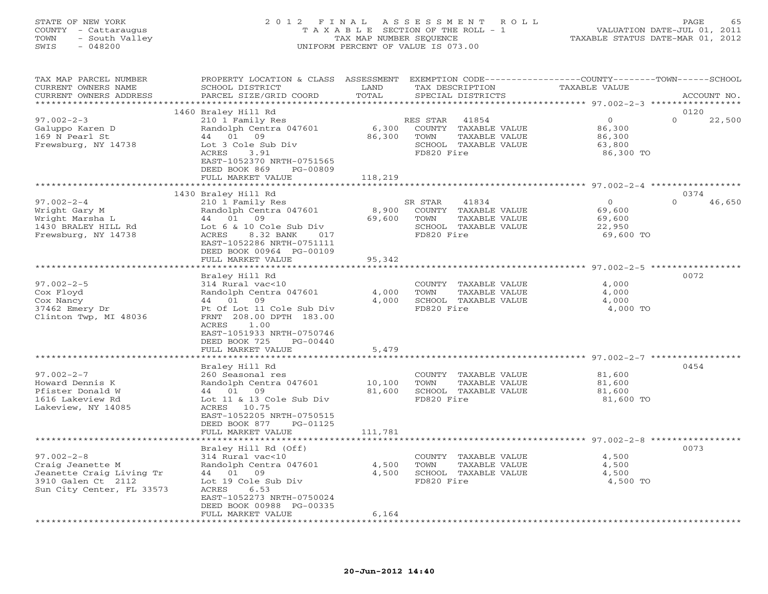### STATE OF NEW YORK 2 0 1 2 F I N A L A S S E S S M E N T R O L L PAGE 65 COUNTY - Cattaraugus T A X A B L E SECTION OF THE ROLL - 1 VALUATION DATE-JUL 01, 2011 TOWN - South Valley TAX MAP NUMBER SEQUENCE TAXABLE STATUS DATE-MAR 01, 2012 SWIS - 048200 UNIFORM PERCENT OF VALUE IS 073.00UNIFORM PERCENT OF VALUE IS 073.00

| TAX MAP PARCEL NUMBER<br>CURRENT OWNERS NAME<br>CURRENT OWNERS ADDRESS                             | PROPERTY LOCATION & CLASS ASSESSMENT<br>SCHOOL DISTRICT<br>PARCEL SIZE/GRID COORD                                                                                                | LAND<br>TOTAL               | TAX DESCRIPTION<br>SPECIAL DISTRICTS                                                                     | EXEMPTION CODE-----------------COUNTY-------TOWN------SCHOOL<br>TAXABLE VALUE | ACCOUNT NO.    |
|----------------------------------------------------------------------------------------------------|----------------------------------------------------------------------------------------------------------------------------------------------------------------------------------|-----------------------------|----------------------------------------------------------------------------------------------------------|-------------------------------------------------------------------------------|----------------|
| *********************                                                                              |                                                                                                                                                                                  |                             |                                                                                                          |                                                                               |                |
| $97.002 - 2 - 3$<br>Galuppo Karen D<br>169 N Pearl St<br>Frewsburg, NY 14738                       | 1460 Braley Hill Rd<br>210 1 Family Res<br>Randolph Centra 047601<br>44 01 09<br>Lot 3 Cole Sub Div<br>ACRES<br>3.91<br>EAST-1052370 NRTH-0751565<br>DEED BOOK 869<br>PG-00809   | 6,300<br>86,300             | RES STAR<br>41854<br>COUNTY TAXABLE VALUE<br>TOWN<br>TAXABLE VALUE<br>SCHOOL TAXABLE VALUE<br>FD820 Fire | $\circ$<br>$\Omega$<br>86,300<br>86,300<br>63,800<br>86,300 TO                | 0120<br>22,500 |
|                                                                                                    | FULL MARKET VALUE                                                                                                                                                                | 118,219                     |                                                                                                          |                                                                               |                |
|                                                                                                    | 1430 Braley Hill Rd                                                                                                                                                              |                             |                                                                                                          |                                                                               | 0374           |
| $97.002 - 2 - 4$<br>Wright Gary M<br>Wright Marsha L<br>1430 BRALEY HILL Rd<br>Frewsburg, NY 14738 | 210 1 Family Res<br>Randolph Centra 047601<br>44 01 09<br>Lot 6 & 10 Cole Sub Div<br>ACRES<br>8.32 BANK<br>017<br>EAST-1052286 NRTH-0751111<br>DEED BOOK 00964 PG-00109          | 8,900<br>69,600             | 41834<br>SR STAR<br>COUNTY TAXABLE VALUE<br>TOWN<br>TAXABLE VALUE<br>SCHOOL TAXABLE VALUE<br>FD820 Fire  | $\Omega$<br>$\Omega$<br>69,600<br>69,600<br>22,950<br>69,600 TO               | 46,650         |
|                                                                                                    | FULL MARKET VALUE                                                                                                                                                                | 95,342                      |                                                                                                          |                                                                               |                |
| $97.002 - 2 - 5$                                                                                   | Braley Hill Rd<br>314 Rural vac<10                                                                                                                                               |                             | COUNTY TAXABLE VALUE                                                                                     | 4,000                                                                         | 0072           |
| Cox Floyd<br>Cox Nancy<br>37462 Emery Dr<br>Clinton Twp, MI 48036                                  | Randolph Centra 047601<br>44 01 09<br>Pt Of Lot 11 Cole Sub Div<br>FRNT 208.00 DPTH 183.00<br>ACRES<br>1.00<br>EAST-1051933 NRTH-0750746<br>DEED BOOK 725<br>PG-00440            | 4,000<br>4,000              | TOWN<br>TAXABLE VALUE<br>SCHOOL TAXABLE VALUE<br>FD820 Fire                                              | 4,000<br>4,000<br>4,000 TO                                                    |                |
|                                                                                                    | FULL MARKET VALUE                                                                                                                                                                | 5,479                       |                                                                                                          |                                                                               |                |
|                                                                                                    | Braley Hill Rd                                                                                                                                                                   |                             |                                                                                                          |                                                                               | 0454           |
| $97.002 - 2 - 7$<br>Howard Dennis K<br>Pfister Donald W<br>1616 Lakeview Rd<br>Lakeview, NY 14085  | 260 Seasonal res<br>Randolph Centra 047601<br>44 01 09<br>Lot 11 & 13 Cole Sub Div<br>ACRES 10.75<br>EAST-1052205 NRTH-0750515<br>DEED BOOK 877<br>PG-01125<br>FULL MARKET VALUE | 10,100<br>81,600<br>111,781 | COUNTY TAXABLE VALUE<br>TOWN<br>TAXABLE VALUE<br>SCHOOL TAXABLE VALUE<br>FD820 Fire                      | 81,600<br>81,600<br>81,600<br>81,600 TO                                       |                |
| ******************************                                                                     |                                                                                                                                                                                  |                             |                                                                                                          |                                                                               |                |
| $97.002 - 2 - 8$<br>Craig Jeanette M                                                               | Braley Hill Rd (Off)<br>314 Rural vac<10<br>Randolph Centra 047601                                                                                                               | 4,500                       | COUNTY TAXABLE VALUE<br>TOWN<br>TAXABLE VALUE                                                            | 4,500<br>4,500                                                                | 0073           |
| Jeanette Craig Living Tr<br>3910 Galen Ct 2112<br>Sun City Center, FL 33573                        | 44 01 09<br>Lot 19 Cole Sub Div<br>ACRES<br>6.53<br>EAST-1052273 NRTH-0750024<br>DEED BOOK 00988 PG-00335<br>FULL MARKET VALUE                                                   | 4,500<br>6,164              | SCHOOL TAXABLE VALUE<br>FD820 Fire                                                                       | 4,500<br>4,500 TO                                                             |                |
|                                                                                                    |                                                                                                                                                                                  |                             |                                                                                                          |                                                                               |                |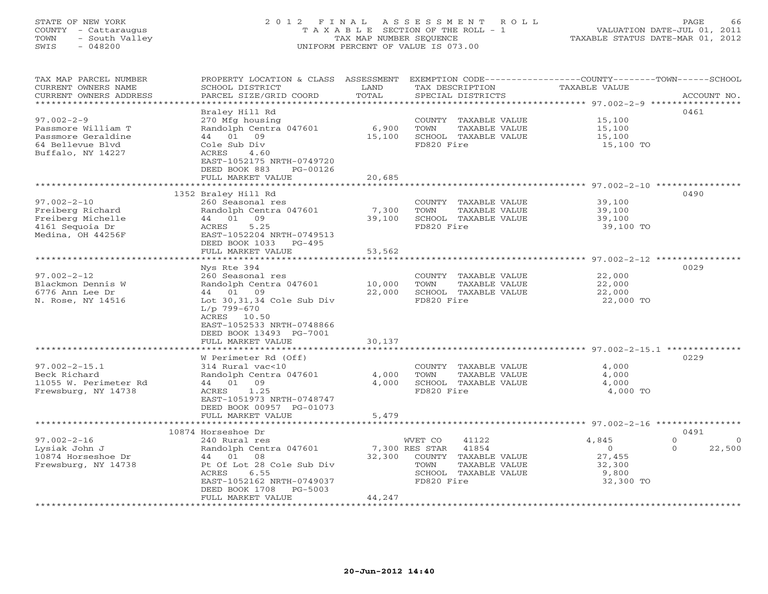## STATE OF NEW YORK 2 0 1 2 F I N A L A S S E S S M E N T R O L L PAGE 66 COUNTY - Cattaraugus T A X A B L E SECTION OF THE ROLL - 1 VALUATION DATE-JUL 01, 2011 TOWN - South Valley TAX MAP NUMBER SEQUENCE TAXABLE STATUS DATE-MAR 01, 2012 SWIS - 048200 UNIFORM PERCENT OF VALUE IS 073.00UNIFORM PERCENT OF VALUE IS 073.00

| TAX MAP PARCEL NUMBER<br>CURRENT OWNERS NAME<br>CURRENT OWNERS ADDRESS<br>**********************      | PROPERTY LOCATION & CLASS ASSESSMENT EXEMPTION CODE----------------COUNTY-------TOWN------SCHOOL<br>SCHOOL DISTRICT<br>PARCEL SIZE/GRID COORD                                                                     | LAND<br>TOTAL              | TAX DESCRIPTION<br>SPECIAL DISTRICTS                                                                                                  | TAXABLE VALUE                                               | ACCOUNT NO.                                |
|-------------------------------------------------------------------------------------------------------|-------------------------------------------------------------------------------------------------------------------------------------------------------------------------------------------------------------------|----------------------------|---------------------------------------------------------------------------------------------------------------------------------------|-------------------------------------------------------------|--------------------------------------------|
| $97.002 - 2 - 9$<br>Passmore William T<br>Passmore Geraldine<br>64 Bellevue Blvd<br>Buffalo, NY 14227 | Braley Hill Rd<br>270 Mfg housing<br>Randolph Centra 047601<br>09<br>44 01<br>Cole Sub Div<br>ACRES<br>4.60<br>EAST-1052175 NRTH-0749720<br>DEED BOOK 883<br>PG-00126                                             | 6,900<br>15,100            | COUNTY TAXABLE VALUE<br>TOWN<br>TAXABLE VALUE<br>SCHOOL TAXABLE VALUE<br>FD820 Fire                                                   | 15,100<br>15,100<br>15,100<br>15,100 TO                     | 0461                                       |
|                                                                                                       | FULL MARKET VALUE                                                                                                                                                                                                 | 20,685                     |                                                                                                                                       |                                                             |                                            |
| $97.002 - 2 - 10$<br>Freiberg Richard<br>Freiberg Michelle<br>4161 Sequoia Dr<br>Medina, OH 44256F    | 1352 Braley Hill Rd<br>260 Seasonal res<br>Randolph Centra 047601<br>09<br>44 01<br>5.25<br>ACRES<br>EAST-1052204 NRTH-0749513<br>DEED BOOK 1033 PG-495<br>FULL MARKET VALUE                                      | 7,300<br>39,100<br>53,562  | COUNTY TAXABLE VALUE<br>TOWN<br>TAXABLE VALUE<br>SCHOOL TAXABLE VALUE<br>FD820 Fire                                                   | 39,100<br>39,100<br>39,100<br>39,100 TO                     | 0490                                       |
|                                                                                                       |                                                                                                                                                                                                                   | *****************          |                                                                                                                                       |                                                             |                                            |
| $97.002 - 2 - 12$<br>Blackmon Dennis W<br>6776 Ann Lee Dr<br>N. Rose, NY 14516                        | Nys Rte 394<br>260 Seasonal res<br>Randolph Centra 047601<br>44 01 09<br>Lot $30,31,34$ Cole Sub Div<br>$L/p$ 799-670<br>ACRES 10.50<br>EAST-1052533 NRTH-0748866<br>DEED BOOK 13493 PG-7001<br>FULL MARKET VALUE | 10,000<br>22,000<br>30,137 | COUNTY TAXABLE VALUE<br>TOWN<br>TAXABLE VALUE<br>SCHOOL TAXABLE VALUE<br>FD820 Fire                                                   | 22,000<br>22,000<br>22,000<br>22,000 TO                     | 0029                                       |
|                                                                                                       |                                                                                                                                                                                                                   |                            |                                                                                                                                       |                                                             |                                            |
| $97.002 - 2 - 15.1$<br>Beck Richard<br>11055 W. Perimeter Rd<br>Frewsburg, NY 14738                   | W Perimeter Rd (Off)<br>314 Rural vac<10<br>Randolph Centra 047601<br>44 01 09<br>1.25<br>ACRES<br>EAST-1051973 NRTH-0748747<br>DEED BOOK 00957 PG-01073<br>FULL MARKET VALUE                                     | 4,000<br>4,000<br>5,479    | COUNTY TAXABLE VALUE<br>TOWN<br>TAXABLE VALUE<br>SCHOOL TAXABLE VALUE<br>FD820 Fire                                                   | 4,000<br>4,000<br>4,000<br>4,000 TO                         | 0229                                       |
|                                                                                                       | *************************                                                                                                                                                                                         |                            |                                                                                                                                       |                                                             |                                            |
|                                                                                                       | 10874 Horseshoe Dr                                                                                                                                                                                                |                            |                                                                                                                                       |                                                             | 0491                                       |
| $97.002 - 2 - 16$<br>Lysiak John J<br>10874 Horseshoe Dr<br>Frewsburg, NY 14738                       | 240 Rural res<br>Randolph Centra 047601<br>44 01<br>08<br>Pt Of Lot 28 Cole Sub Div<br>ACRES<br>6.55<br>EAST-1052162 NRTH-0749037<br>DEED BOOK 1708<br>PG-5003<br>FULL MARKET VALUE                               | 32,300<br>44,247           | WVET CO<br>41122<br>7,300 RES STAR<br>41854<br>COUNTY<br>TAXABLE VALUE<br>TOWN<br>TAXABLE VALUE<br>SCHOOL TAXABLE VALUE<br>FD820 Fire | 4,845<br>$\Omega$<br>27,455<br>32,300<br>9,800<br>32,300 TO | $\Omega$<br>$\Omega$<br>$\Omega$<br>22,500 |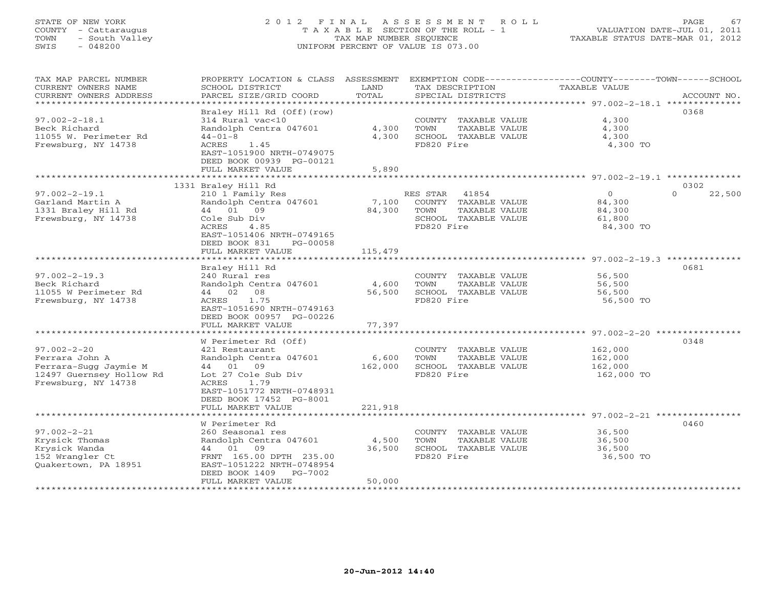# STATE OF NEW YORK 2 0 1 2 F I N A L A S S E S S M E N T R O L L PAGE 67 COUNTY - Cattaraugus T A X A B L E SECTION OF THE ROLL - 1 VALUATION DATE-JUL 01, 2011 TOWN - South Valley TAX MAP NUMBER SEQUENCE TAXABLE STATUS DATE-MAR 01, 2012 SWIS - 048200 UNIFORM PERCENT OF VALUE IS 073.00UNIFORM PERCENT OF VALUE IS 073.00

| TAX MAP PARCEL NUMBER<br>CURRENT OWNERS NAME | PROPERTY LOCATION & CLASS ASSESSMENT<br>SCHOOL DISTRICT | LAND    | TAX DESCRIPTION                               | EXEMPTION CODE-----------------COUNTY-------TOWN------SCHOOL<br>TAXABLE VALUE |
|----------------------------------------------|---------------------------------------------------------|---------|-----------------------------------------------|-------------------------------------------------------------------------------|
| CURRENT OWNERS ADDRESS                       | PARCEL SIZE/GRID COORD                                  | TOTAL   | SPECIAL DISTRICTS                             | ACCOUNT NO.                                                                   |
| ************************                     |                                                         |         |                                               |                                                                               |
| $97.002 - 2 - 18.1$                          | Braley Hill Rd (Off) (row)<br>314 Rural vac<10          |         | COUNTY TAXABLE VALUE                          | 0368<br>4,300                                                                 |
| Beck Richard                                 | Randolph Centra 047601                                  | 4,300   | TOWN<br>TAXABLE VALUE                         | 4,300                                                                         |
| 11055 W. Perimeter Rd                        | $44 - 01 - 8$                                           | 4,300   | SCHOOL TAXABLE VALUE                          | 4,300                                                                         |
| Frewsburg, NY 14738                          | ACRES<br>1.45                                           |         | FD820 Fire                                    | 4,300 TO                                                                      |
|                                              | EAST-1051900 NRTH-0749075                               |         |                                               |                                                                               |
|                                              | DEED BOOK 00939 PG-00121                                |         |                                               |                                                                               |
|                                              | FULL MARKET VALUE                                       | 5,890   |                                               |                                                                               |
|                                              |                                                         |         |                                               |                                                                               |
|                                              | 1331 Braley Hill Rd                                     |         |                                               | 0302                                                                          |
| $97.002 - 2 - 19.1$                          | 210 1 Family Res                                        |         | RES STAR 41854                                | $\Omega$<br>$\Omega$<br>22,500                                                |
| Garland Martin A                             | Randolph Centra 047601                                  | 7,100   | COUNTY TAXABLE VALUE                          | 84,300                                                                        |
| 1331 Braley Hill Rd<br>Frewsburg, NY 14738   | 44 01<br>09                                             | 84,300  | TOWN<br>TAXABLE VALUE<br>SCHOOL TAXABLE VALUE | 84,300                                                                        |
|                                              | Cole Sub Div<br>ACRES<br>4.85                           |         | FD820 Fire                                    | 61,800<br>84,300 TO                                                           |
|                                              | EAST-1051406 NRTH-0749165                               |         |                                               |                                                                               |
|                                              | DEED BOOK 831<br>PG-00058                               |         |                                               |                                                                               |
|                                              | FULL MARKET VALUE                                       | 115,479 |                                               |                                                                               |
|                                              |                                                         |         |                                               |                                                                               |
|                                              | Braley Hill Rd                                          |         |                                               | 0681                                                                          |
| $97.002 - 2 - 19.3$                          | 240 Rural res                                           |         | COUNTY TAXABLE VALUE                          | 56,500                                                                        |
| Beck Richard                                 | Randolph Centra 047601                                  | 4,600   | TOWN<br>TAXABLE VALUE                         | 56,500                                                                        |
| 11055 W Perimeter Rd                         | 44 02 08                                                | 56,500  | SCHOOL TAXABLE VALUE                          | 56,500                                                                        |
| Frewsburg, NY 14738                          | 1.75<br>ACRES                                           |         | FD820 Fire                                    | 56,500 TO                                                                     |
|                                              | EAST-1051690 NRTH-0749163<br>DEED BOOK 00957 PG-00226   |         |                                               |                                                                               |
|                                              | FULL MARKET VALUE                                       | 77,397  |                                               |                                                                               |
|                                              |                                                         |         |                                               |                                                                               |
|                                              | W Perimeter Rd (Off)                                    |         |                                               | 0348                                                                          |
| $97.002 - 2 - 20$                            | 421 Restaurant                                          |         | COUNTY TAXABLE VALUE                          | 162,000                                                                       |
| Ferrara John A                               | Randolph Centra 047601                                  | 6,600   | TAXABLE VALUE<br>TOWN                         | 162,000                                                                       |
| Ferrara-Sugg Jaymie M                        | 44 01 09                                                | 162,000 | SCHOOL TAXABLE VALUE                          | 162,000                                                                       |
| 12497 Guernsey Hollow Rd                     | Lot 27 Cole Sub Div                                     |         | FD820 Fire                                    | 162,000 TO                                                                    |
| Frewsburg, NY 14738                          | <b>ACRES</b><br>1.79                                    |         |                                               |                                                                               |
|                                              | EAST-1051772 NRTH-0748931                               |         |                                               |                                                                               |
|                                              | DEED BOOK 17452 PG-8001<br>FULL MARKET VALUE            | 221,918 |                                               |                                                                               |
| ******************************               |                                                         |         |                                               |                                                                               |
|                                              | W Perimeter Rd                                          |         |                                               | 0460                                                                          |
| $97.002 - 2 - 21$                            | 260 Seasonal res                                        |         | COUNTY TAXABLE VALUE                          | 36,500                                                                        |
| Krysick Thomas                               | Randolph Centra 047601                                  | 4,500   | TOWN<br>TAXABLE VALUE                         | 36,500                                                                        |
| Krysick Wanda                                | 44 01 09                                                | 36,500  | SCHOOL TAXABLE VALUE                          | 36,500                                                                        |
| 152 Wrangler Ct                              | FRNT 165.00 DPTH 235.00                                 |         | FD820 Fire                                    | 36,500 TO                                                                     |
| Quakertown, PA 18951                         | EAST-1051222 NRTH-0748954                               |         |                                               |                                                                               |
|                                              | DEED BOOK 1409<br>PG-7002                               |         |                                               |                                                                               |
|                                              | FULL MARKET VALUE                                       | 50,000  |                                               |                                                                               |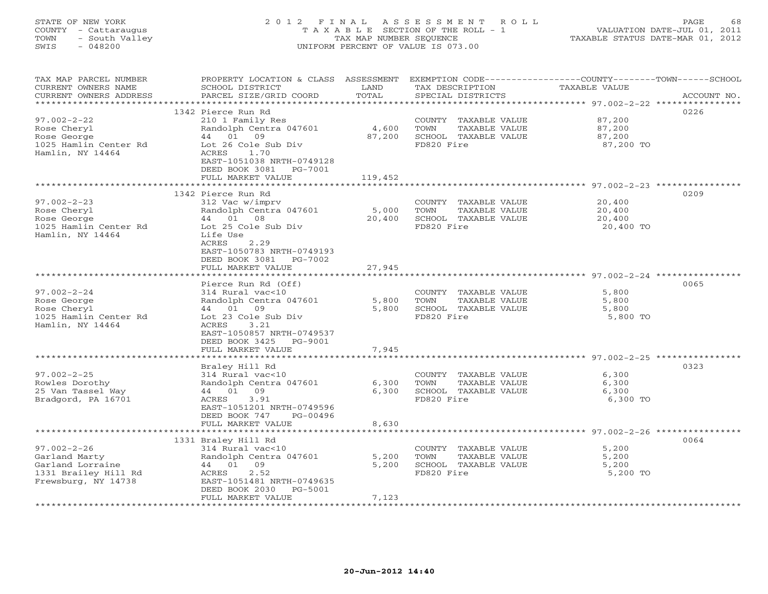# STATE OF NEW YORK 2 0 1 2 F I N A L A S S E S S M E N T R O L L PAGE 68 COUNTY - Cattaraugus T A X A B L E SECTION OF THE ROLL - 1 VALUATION DATE-JUL 01, 2011 TOWN - South Valley TAX MAP NUMBER SEQUENCE TAXABLE STATUS DATE-MAR 01, 2012 SWIS - 048200 UNIFORM PERCENT OF VALUE IS 073.00UNIFORM PERCENT OF VALUE IS 073.00

| TAX MAP PARCEL NUMBER<br>CURRENT OWNERS NAME<br>CURRENT OWNERS ADDRESS | PROPERTY LOCATION & CLASS ASSESSMENT<br>SCHOOL DISTRICT<br>PARCEL SIZE/GRID COORD | LAND<br>TOTAL | EXEMPTION CODE-----------------COUNTY-------TOWN------SCHOOL<br>TAX DESCRIPTION<br>SPECIAL DISTRICTS | TAXABLE VALUE | ACCOUNT NO. |
|------------------------------------------------------------------------|-----------------------------------------------------------------------------------|---------------|------------------------------------------------------------------------------------------------------|---------------|-------------|
| **********************                                                 |                                                                                   |               |                                                                                                      |               |             |
|                                                                        | 1342 Pierce Run Rd                                                                |               |                                                                                                      |               | 0226        |
| $97.002 - 2 - 22$                                                      | 210 1 Family Res                                                                  |               | COUNTY TAXABLE VALUE                                                                                 | 87,200        |             |
| Rose Cheryl                                                            | Randolph Centra 047601                                                            | 4,600         | TOWN<br>TAXABLE VALUE                                                                                | 87,200        |             |
| Rose George                                                            | 44 01<br>09                                                                       | 87,200        | SCHOOL TAXABLE VALUE                                                                                 | 87,200        |             |
| 1025 Hamlin Center Rd                                                  | Lot 26 Cole Sub Div                                                               |               | FD820 Fire                                                                                           | 87,200 TO     |             |
| Hamlin, NY 14464                                                       | ACRES<br>1.70                                                                     |               |                                                                                                      |               |             |
|                                                                        | EAST-1051038 NRTH-0749128                                                         |               |                                                                                                      |               |             |
|                                                                        | DEED BOOK 3081<br>PG-7001                                                         | 119,452       |                                                                                                      |               |             |
|                                                                        | FULL MARKET VALUE<br>**************************                                   |               |                                                                                                      |               |             |
|                                                                        | 1342 Pierce Run Rd                                                                |               |                                                                                                      |               | 0209        |
| $97.002 - 2 - 23$                                                      | 312 Vac w/imprv                                                                   |               | COUNTY TAXABLE VALUE                                                                                 | 20,400        |             |
| Rose Cheryl                                                            | Randolph Centra 047601                                                            | 5,000         | TOWN<br>TAXABLE VALUE                                                                                | 20,400        |             |
| Rose George                                                            | 44 01 08                                                                          | 20,400        | SCHOOL TAXABLE VALUE                                                                                 | 20,400        |             |
| 1025 Hamlin Center Rd                                                  | Lot 25 Cole Sub Div                                                               |               | FD820 Fire                                                                                           | 20,400 TO     |             |
| Hamlin, NY 14464                                                       | Life Use                                                                          |               |                                                                                                      |               |             |
|                                                                        | ACRES<br>2.29                                                                     |               |                                                                                                      |               |             |
|                                                                        | EAST-1050783 NRTH-0749193                                                         |               |                                                                                                      |               |             |
|                                                                        | DEED BOOK 3081<br>PG-7002<br>FULL MARKET VALUE                                    | 27,945        |                                                                                                      |               |             |
|                                                                        |                                                                                   |               |                                                                                                      |               |             |
|                                                                        | Pierce Run Rd (Off)                                                               |               |                                                                                                      |               | 0065        |
| $97.002 - 2 - 24$                                                      | 314 Rural vac<10                                                                  |               | COUNTY TAXABLE VALUE                                                                                 | 5,800         |             |
| Rose George                                                            | Randolph Centra 047601                                                            | 5,800         | TAXABLE VALUE<br>TOWN                                                                                | 5,800         |             |
| Rose Cheryl                                                            | 44 01 09                                                                          | 5,800         | SCHOOL TAXABLE VALUE                                                                                 | 5,800         |             |
| 1025 Hamlin Center Rd                                                  | Lot 23 Cole Sub Div                                                               |               | FD820 Fire                                                                                           | 5,800 TO      |             |
| Hamlin, NY 14464                                                       | 3.21<br>ACRES                                                                     |               |                                                                                                      |               |             |
|                                                                        | EAST-1050857 NRTH-0749537                                                         |               |                                                                                                      |               |             |
|                                                                        | DEED BOOK 3425<br>PG-9001<br>FULL MARKET VALUE                                    | 7,945         |                                                                                                      |               |             |
|                                                                        |                                                                                   |               |                                                                                                      |               |             |
|                                                                        | Braley Hill Rd                                                                    |               |                                                                                                      |               | 0323        |
| $97.002 - 2 - 25$                                                      | 314 Rural vac<10                                                                  |               | COUNTY TAXABLE VALUE                                                                                 | 6,300         |             |
| Rowles Dorothy                                                         | Randolph Centra 047601                                                            | 6,300         | TAXABLE VALUE<br>TOWN                                                                                | 6,300         |             |
| 25 Van Tassel Way                                                      | 44 01 09                                                                          | 6,300         | SCHOOL TAXABLE VALUE                                                                                 | 6,300         |             |
| Bradgord, PA 16701                                                     | ACRES<br>3.91                                                                     |               | FD820 Fire                                                                                           | 6,300 TO      |             |
|                                                                        | EAST-1051201 NRTH-0749596                                                         |               |                                                                                                      |               |             |
|                                                                        | DEED BOOK 747<br>PG-00496                                                         |               |                                                                                                      |               |             |
|                                                                        | FULL MARKET VALUE                                                                 | 8,630         |                                                                                                      |               |             |
|                                                                        | 1331 Braley Hill Rd                                                               |               |                                                                                                      |               | 0064        |
| $97.002 - 2 - 26$                                                      | 314 Rural vac<10                                                                  |               | COUNTY TAXABLE VALUE                                                                                 | 5,200         |             |
| Garland Marty                                                          | Randolph Centra 047601                                                            | 5,200         | TOWN<br>TAXABLE VALUE                                                                                | 5,200         |             |
| Garland Lorraine                                                       | 44 01 09                                                                          | 5,200         | SCHOOL TAXABLE VALUE                                                                                 | 5,200         |             |
| 1331 Brailey Hill Rd                                                   | 2.52<br>ACRES                                                                     |               | FD820 Fire                                                                                           | 5,200 TO      |             |
| Frewsburg, NY 14738                                                    | EAST-1051481 NRTH-0749635                                                         |               |                                                                                                      |               |             |
|                                                                        | DEED BOOK 2030<br>PG-5001                                                         |               |                                                                                                      |               |             |
|                                                                        | FULL MARKET VALUE                                                                 | 7,123         |                                                                                                      |               |             |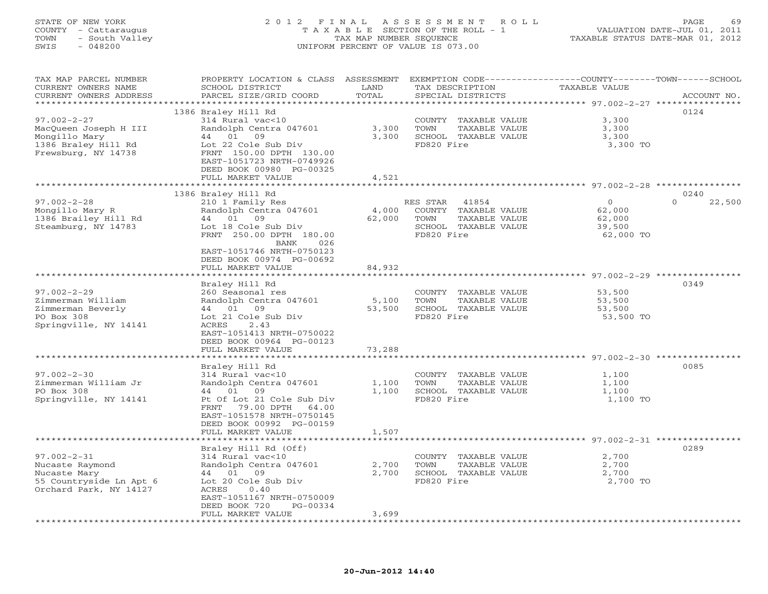## STATE OF NEW YORK 2 0 1 2 F I N A L A S S E S S M E N T R O L L PAGE 69 COUNTY - Cattaraugus T A X A B L E SECTION OF THE ROLL - 1 VALUATION DATE-JUL 01, 2011 TOWN - South Valley TAX MAP NUMBER SEQUENCE TAXABLE STATUS DATE-MAR 01, 2012 SWIS - 048200 UNIFORM PERCENT OF VALUE IS 073.00UNIFORM PERCENT OF VALUE IS 073.00

| TAX MAP PARCEL NUMBER<br>CURRENT OWNERS NAME    | PROPERTY LOCATION & CLASS ASSESSMENT<br>SCHOOL DISTRICT | LAND   | TAX DESCRIPTION       | EXEMPTION CODE-----------------COUNTY-------TOWN------SCHOOL<br>TAXABLE VALUE |
|-------------------------------------------------|---------------------------------------------------------|--------|-----------------------|-------------------------------------------------------------------------------|
| CURRENT OWNERS ADDRESS<br>********************* | PARCEL SIZE/GRID COORD<br>************************      | TOTAL  | SPECIAL DISTRICTS     | ACCOUNT NO.                                                                   |
|                                                 | 1386 Braley Hill Rd                                     |        |                       | 0124                                                                          |
| $97.002 - 2 - 27$                               | 314 Rural vac<10                                        |        | COUNTY TAXABLE VALUE  | 3,300                                                                         |
| MacQueen Joseph H III                           | Randolph Centra 047601                                  | 3,300  | TAXABLE VALUE<br>TOWN | 3,300                                                                         |
| Mongillo Mary                                   | 44 01 09                                                | 3,300  | SCHOOL TAXABLE VALUE  | 3,300                                                                         |
| 1386 Braley Hill Rd                             | Lot 22 Cole Sub Div                                     |        | FD820 Fire            | 3,300 TO                                                                      |
| Frewsburg, NY 14738                             | FRNT 150.00 DPTH 130.00                                 |        |                       |                                                                               |
|                                                 | EAST-1051723 NRTH-0749926                               |        |                       |                                                                               |
|                                                 | DEED BOOK 00980 PG-00325                                |        |                       |                                                                               |
|                                                 | FULL MARKET VALUE                                       | 4,521  |                       |                                                                               |
|                                                 |                                                         |        |                       |                                                                               |
|                                                 | 1386 Braley Hill Rd                                     |        |                       | 0240                                                                          |
| $97.002 - 2 - 28$                               | 210 1 Family Res                                        |        | RES STAR<br>41854     | $\Omega$<br>$\Omega$<br>22,500                                                |
| Mongillo Mary R                                 | Randolph Centra 047601                                  | 4,000  | COUNTY TAXABLE VALUE  | 62,000                                                                        |
| 1386 Brailey Hill Rd                            | 44 01 09                                                | 62,000 | TOWN<br>TAXABLE VALUE | 62,000                                                                        |
| Steamburg, NY 14783                             | Lot 18 Cole Sub Div                                     |        | SCHOOL TAXABLE VALUE  | 39,500                                                                        |
|                                                 | FRNT 250.00 DPTH 180.00                                 |        | FD820 Fire            | 62,000 TO                                                                     |
|                                                 | BANK<br>026                                             |        |                       |                                                                               |
|                                                 | EAST-1051746 NRTH-0750123                               |        |                       |                                                                               |
|                                                 | DEED BOOK 00974 PG-00692                                |        |                       |                                                                               |
|                                                 | FULL MARKET VALUE                                       | 84,932 |                       |                                                                               |
|                                                 |                                                         |        |                       |                                                                               |
|                                                 | Braley Hill Rd                                          |        |                       | 0349                                                                          |
| $97.002 - 2 - 29$                               | 260 Seasonal res                                        |        | COUNTY TAXABLE VALUE  | 53,500                                                                        |
| Zimmerman William                               | Randolph Centra 047601                                  | 5,100  | TOWN<br>TAXABLE VALUE | 53,500                                                                        |
| Zimmerman Beverly                               | 44 01 09                                                | 53,500 | SCHOOL TAXABLE VALUE  | 53,500                                                                        |
| PO Box 308                                      | Lot 21 Cole Sub Div                                     |        | FD820 Fire            | 53,500 TO                                                                     |
| Springville, NY 14141                           | ACRES<br>2.43                                           |        |                       |                                                                               |
|                                                 | EAST-1051413 NRTH-0750022                               |        |                       |                                                                               |
|                                                 | DEED BOOK 00964 PG-00123                                |        |                       |                                                                               |
|                                                 | FULL MARKET VALUE                                       | 73,288 |                       |                                                                               |
|                                                 | *************************                               |        |                       |                                                                               |
|                                                 | Braley Hill Rd                                          |        |                       | 0085                                                                          |
| $97.002 - 2 - 30$                               | 314 Rural vac<10                                        |        | COUNTY TAXABLE VALUE  | 1,100                                                                         |
| Zimmerman William Jr                            | Randolph Centra 047601                                  | 1,100  | TOWN<br>TAXABLE VALUE | 1,100                                                                         |
| PO Box 308                                      | 44 01 09                                                | 1,100  | SCHOOL TAXABLE VALUE  | 1,100                                                                         |
| Springville, NY 14141                           | Pt Of Lot 21 Cole Sub Div                               |        | FD820 Fire            | 1,100 TO                                                                      |
|                                                 | FRNT 79.00 DPTH<br>64.00                                |        |                       |                                                                               |
|                                                 | EAST-1051578 NRTH-0750145                               |        |                       |                                                                               |
|                                                 | DEED BOOK 00992 PG-00159                                |        |                       |                                                                               |
|                                                 | FULL MARKET VALUE                                       | 1,507  |                       |                                                                               |
|                                                 | ********************                                    |        |                       |                                                                               |
|                                                 | Braley Hill Rd (Off)                                    |        |                       | 0289                                                                          |
| $97.002 - 2 - 31$                               | 314 Rural vac<10                                        |        | COUNTY TAXABLE VALUE  | 2,700                                                                         |
| Nucaste Raymond                                 | Randolph Centra 047601                                  | 2,700  | TAXABLE VALUE<br>TOWN | 2,700                                                                         |
| Nucaste Mary                                    | 44 01 09                                                | 2,700  | SCHOOL TAXABLE VALUE  | 2,700                                                                         |
| 55 Countryside Ln Apt 6                         | Lot 20 Cole Sub Div                                     |        | FD820 Fire            | 2,700 TO                                                                      |
| Orchard Park, NY 14127                          | ACRES<br>0.40                                           |        |                       |                                                                               |
|                                                 | EAST-1051167 NRTH-0750009                               |        |                       |                                                                               |
|                                                 | DEED BOOK 720<br>PG-00334                               |        |                       |                                                                               |
|                                                 | FULL MARKET VALUE                                       | 3,699  |                       |                                                                               |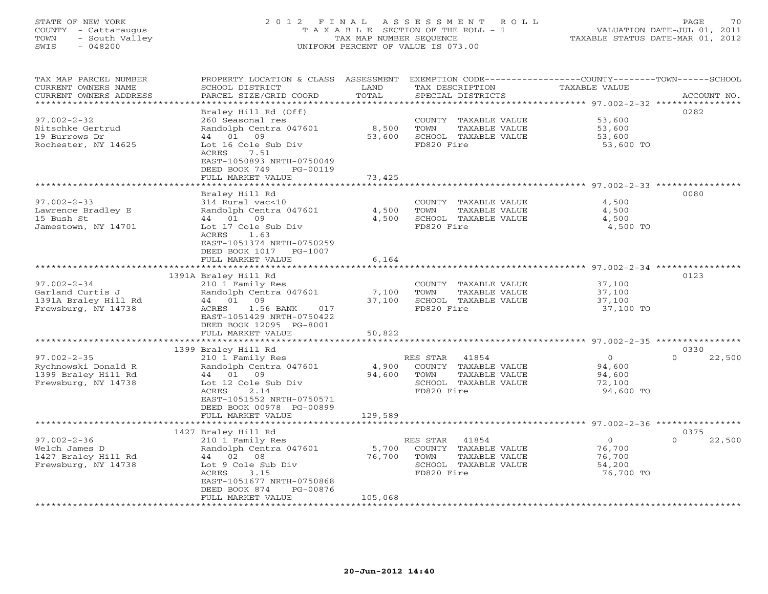### STATE OF NEW YORK 2 0 1 2 F I N A L A S S E S S M E N T R O L L PAGE 70 COUNTY - Cattaraugus T A X A B L E SECTION OF THE ROLL - 1 VALUATION DATE-JUL 01, 2011 TOWN - South Valley TAX MAP NUMBER SEQUENCE TAXABLE STATUS DATE-MAR 01, 2012 SWIS - 048200 UNIFORM PERCENT OF VALUE IS 073.00UNIFORM PERCENT OF VALUE IS 073.00

| TAX MAP PARCEL NUMBER<br>CURRENT OWNERS NAME<br>CURRENT OWNERS ADDRESS<br>************************* | PROPERTY LOCATION & CLASS ASSESSMENT<br>SCHOOL DISTRICT<br>PARCEL SIZE/GRID COORD                                                                                                                        | LAND<br>TOTAL                           | EXEMPTION CODE-----------------COUNTY-------TOWN------SCHOOL<br>TAX DESCRIPTION<br>SPECIAL DISTRICTS     | TAXABLE VALUE                                                                                         | ACCOUNT NO.                |
|-----------------------------------------------------------------------------------------------------|----------------------------------------------------------------------------------------------------------------------------------------------------------------------------------------------------------|-----------------------------------------|----------------------------------------------------------------------------------------------------------|-------------------------------------------------------------------------------------------------------|----------------------------|
| $97.002 - 2 - 32$<br>Nitschke Gertrud<br>19 Burrows Dr<br>Rochester, NY 14625                       | Braley Hill Rd (Off)<br>260 Seasonal res<br>Randolph Centra 047601<br>44 01<br>09<br>Lot 16 Cole Sub Div<br>7.51<br>ACRES<br>EAST-1050893 NRTH-0750049<br>DEED BOOK 749<br>PG-00119<br>FULL MARKET VALUE | 8,500<br>53,600<br>73,425<br>********** | COUNTY TAXABLE VALUE<br>TOWN<br>TAXABLE VALUE<br>SCHOOL TAXABLE VALUE<br>FD820 Fire                      | 53,600<br>53,600<br>53,600<br>53,600 TO<br>********************************* 97.002-2-33 ************ | 0282                       |
| $97.002 - 2 - 33$<br>Lawrence Bradley E<br>15 Bush St<br>Jamestown, NY 14701                        | Braley Hill Rd<br>314 Rural vac<10<br>Randolph Centra 047601<br>44 01<br>09<br>Lot 17 Cole Sub Div<br>ACRES<br>1.63<br>EAST-1051374 NRTH-0750259<br>DEED BOOK 1017<br>PG-1007<br>FULL MARKET VALUE       | 4,500<br>4,500<br>6,164                 | COUNTY TAXABLE VALUE<br>TOWN<br>TAXABLE VALUE<br>SCHOOL TAXABLE VALUE<br>FD820 Fire                      | 4,500<br>4,500<br>4,500<br>4,500 TO                                                                   | 0080                       |
| $97.002 - 2 - 34$<br>Garland Curtis J<br>1391A Braley Hill Rd<br>Frewsburg, NY 14738                | 1391A Braley Hill Rd<br>210 1 Family Res<br>Randolph Centra 047601<br>44 01 09<br>017<br>ACRES<br>1.56 BANK<br>EAST-1051429 NRTH-0750422<br>DEED BOOK 12095 PG-8001<br>FULL MARKET VALUE                 | 7,100<br>37,100<br>50,822               | COUNTY TAXABLE VALUE<br>TOWN<br>TAXABLE VALUE<br>SCHOOL TAXABLE VALUE<br>FD820 Fire                      | 37,100<br>37,100<br>37,100<br>37,100 TO                                                               | 0123                       |
|                                                                                                     |                                                                                                                                                                                                          |                                         |                                                                                                          |                                                                                                       |                            |
| $97.002 - 2 - 35$<br>Rychnowski Donald R<br>1399 Braley Hill Rd<br>Frewsburg, NY 14738              | 1399 Braley Hill Rd<br>210 1 Family Res<br>Randolph Centra 047601<br>44 01 09<br>Lot 12 Cole Sub Div<br>ACRES<br>2.14<br>EAST-1051552 NRTH-0750571<br>DEED BOOK 00978 PG-00899                           | 4,900<br>94,600                         | RES STAR<br>41854<br>COUNTY TAXABLE VALUE<br>TOWN<br>TAXABLE VALUE<br>SCHOOL TAXABLE VALUE<br>FD820 Fire | $\circ$<br>94,600<br>94,600<br>72,100<br>94,600 TO                                                    | 0330<br>$\Omega$<br>22,500 |
|                                                                                                     | FULL MARKET VALUE                                                                                                                                                                                        | 129,589                                 |                                                                                                          |                                                                                                       |                            |
| $97.002 - 2 - 36$<br>Welch James D<br>1427 Braley Hill Rd<br>Frewsburg, NY 14738                    | 1427 Braley Hill Rd<br>210 1 Family Res<br>Randolph Centra 047601<br>44 02 08<br>Lot 9 Cole Sub Div<br>ACRES<br>3.15<br>EAST-1051677 NRTH-0750868<br>DEED BOOK 874<br>PG-00876<br>FULL MARKET VALUE      | 5,700<br>76,700<br>105,068              | 41854<br>RES STAR<br>COUNTY TAXABLE VALUE<br>TOWN<br>TAXABLE VALUE<br>SCHOOL TAXABLE VALUE<br>FD820 Fire | $\circ$<br>76,700<br>76,700<br>54,200<br>76,700 TO                                                    | 0375<br>22,500<br>$\Omega$ |
|                                                                                                     |                                                                                                                                                                                                          |                                         |                                                                                                          |                                                                                                       |                            |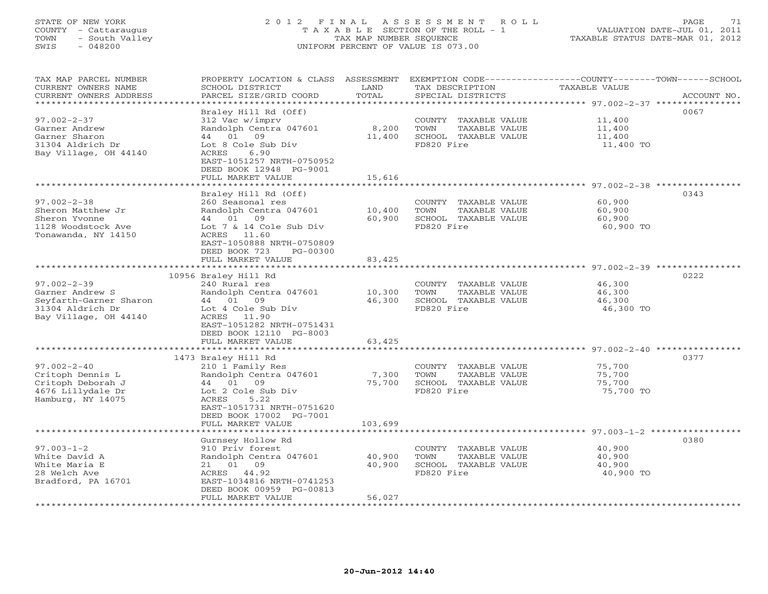#### STATE OF NEW YORK 2 0 1 2 F I N A L A S S E S S M E N T R O L L PAGE 71 COUNTY - Cattaraugus T A X A B L E SECTION OF THE ROLL - 1 VALUATION DATE-JUL 01, 2011 TOWN - South Valley TAX MAP NUMBER SEQUENCE TAXABLE STATUS DATE-MAR 01, 2012 SWIS - 048200 UNIFORM PERCENT OF VALUE IS 073.00UNIFORM PERCENT OF VALUE IS 073.00

| TAX MAP PARCEL NUMBER<br>CURRENT OWNERS NAME<br>CURRENT OWNERS ADDRESS<br>*********************             | PROPERTY LOCATION & CLASS ASSESSMENT<br>SCHOOL DISTRICT<br>PARCEL SIZE/GRID COORD                                                                                                                          | LAND<br>TOTAL              | TAX DESCRIPTION<br>SPECIAL DISTRICTS                                                | EXEMPTION CODE-----------------COUNTY-------TOWN------SCHOOL<br>TAXABLE VALUE<br>ACCOUNT NO. |
|-------------------------------------------------------------------------------------------------------------|------------------------------------------------------------------------------------------------------------------------------------------------------------------------------------------------------------|----------------------------|-------------------------------------------------------------------------------------|----------------------------------------------------------------------------------------------|
| $97.002 - 2 - 37$<br>Garner Andrew<br>Garner Sharon<br>31304 Aldrich Dr<br>Bay Village, OH 44140            | Braley Hill Rd (Off)<br>312 Vac w/imprv<br>Randolph Centra 047601<br>44 01 09<br>Lot 8 Cole Sub Div<br>6.90<br>ACRES<br>EAST-1051257 NRTH-0750952<br>DEED BOOK 12948 PG-9001<br>FULL MARKET VALUE          | 8,200<br>11,400<br>15,616  | COUNTY TAXABLE VALUE<br>TOWN<br>TAXABLE VALUE<br>SCHOOL TAXABLE VALUE<br>FD820 Fire | 0067<br>11,400<br>11,400<br>11,400<br>11,400 TO                                              |
| $97.002 - 2 - 38$<br>Sheron Matthew Jr<br>Sheron Yvonne<br>1128 Woodstock Ave<br>Tonawanda, NY 14150        | Braley Hill Rd (Off)<br>260 Seasonal res<br>Randolph Centra 047601<br>44 01<br>09<br>Lot 7 & 14 Cole Sub Div<br>ACRES 11.60<br>EAST-1050888 NRTH-0750809<br>DEED BOOK 723<br>PG-00300<br>FULL MARKET VALUE | 10,400<br>60,900<br>83,425 | COUNTY TAXABLE VALUE<br>TOWN<br>TAXABLE VALUE<br>SCHOOL TAXABLE VALUE<br>FD820 Fire | 0343<br>60,900<br>60,900<br>60,900<br>60,900 TO                                              |
|                                                                                                             | ********************                                                                                                                                                                                       | ************               |                                                                                     | ************************ 97.002-2-39 *****************                                       |
| $97.002 - 2 - 39$<br>Garner Andrew S<br>Seyfarth-Garner Sharon<br>31304 Aldrich Dr<br>Bay Village, OH 44140 | 10956 Braley Hill Rd<br>240 Rural res<br>Randolph Centra 047601<br>44 01<br>09<br>Lot 4 Cole Sub Div<br>ACRES 11.90<br>EAST-1051282 NRTH-0751431<br>DEED BOOK 12110 PG-8003<br>FULL MARKET VALUE           | 10,300<br>46,300<br>63,425 | COUNTY TAXABLE VALUE<br>TOWN<br>TAXABLE VALUE<br>SCHOOL TAXABLE VALUE<br>FD820 Fire | 0222<br>46,300<br>46,300<br>46,300<br>46,300 TO                                              |
|                                                                                                             |                                                                                                                                                                                                            |                            |                                                                                     |                                                                                              |
| $97.002 - 2 - 40$<br>Critoph Dennis L<br>Critoph Deborah J<br>4676 Lillydale Dr<br>Hamburg, NY 14075        | 1473 Braley Hill Rd<br>210 1 Family Res<br>Randolph Centra 047601<br>01<br>09<br>44<br>Lot 2 Cole Sub Div<br>ACRES<br>5.22<br>EAST-1051731 NRTH-0751620<br>DEED BOOK 17002 PG-7001                         | 7,300<br>75,700            | COUNTY TAXABLE VALUE<br>TOWN<br>TAXABLE VALUE<br>SCHOOL TAXABLE VALUE<br>FD820 Fire | 0377<br>75,700<br>75,700<br>75,700<br>75,700 TO                                              |
|                                                                                                             | FULL MARKET VALUE                                                                                                                                                                                          | 103,699                    |                                                                                     | $97.003 - 1 - 2$ ************                                                                |
| $97.003 - 1 - 2$<br>White David A<br>White Maria E<br>28 Welch Ave<br>Bradford, PA 16701                    | Gurnsey Hollow Rd<br>910 Priv forest<br>Randolph Centra 047601<br>21 01 09<br>ACRES 44.92<br>EAST-1034816 NRTH-0741253<br>DEED BOOK 00959 PG-00813<br>FULL MARKET VALUE                                    | 40,900<br>40,900<br>56,027 | COUNTY TAXABLE VALUE<br>TOWN<br>TAXABLE VALUE<br>SCHOOL TAXABLE VALUE<br>FD820 Fire | 0380<br>40,900<br>40,900<br>40,900<br>40,900 TO                                              |
|                                                                                                             | * * * * * * * * * * * * * * * * *                                                                                                                                                                          |                            |                                                                                     |                                                                                              |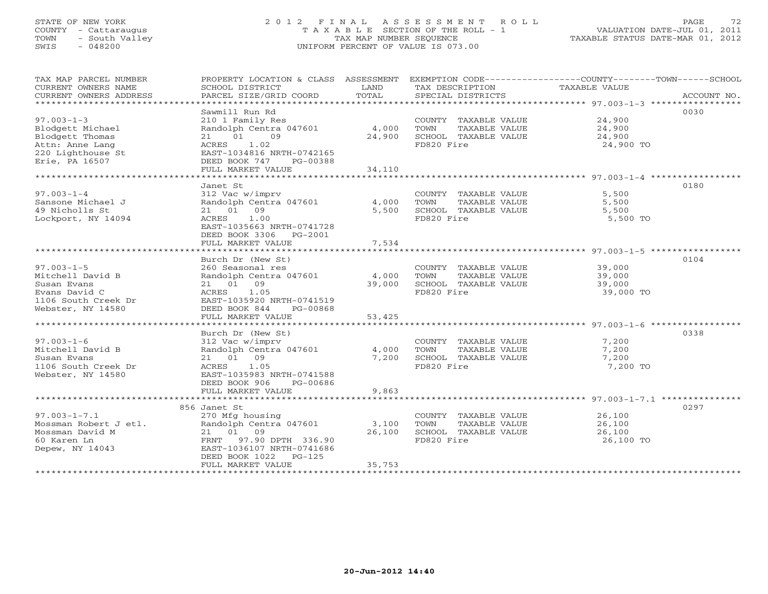# STATE OF NEW YORK 2 0 1 2 F I N A L A S S E S S M E N T R O L L PAGE 72 COUNTY - Cattaraugus T A X A B L E SECTION OF THE ROLL - 1 VALUATION DATE-JUL 01, 2011 TOWN - South Valley TAX MAP NUMBER SEQUENCE TAXABLE STATUS DATE-MAR 01, 2012 SWIS - 048200 UNIFORM PERCENT OF VALUE IS 073.00

| TAX MAP PARCEL NUMBER<br>CURRENT OWNERS NAME<br>CURRENT OWNERS ADDRESS                                            | SCHOOL DISTRICT<br>PARCEL SIZE/GRID COORD                                                                                                                                | LAND<br>TOTAL             | TAX DESCRIPTION<br>SPECIAL DISTRICTS                                                | PROPERTY LOCATION & CLASS ASSESSMENT EXEMPTION CODE---------------COUNTY-------TOWN------SCHOOL<br>TAXABLE VALUE<br>ACCOUNT NO. |
|-------------------------------------------------------------------------------------------------------------------|--------------------------------------------------------------------------------------------------------------------------------------------------------------------------|---------------------------|-------------------------------------------------------------------------------------|---------------------------------------------------------------------------------------------------------------------------------|
| $97.003 - 1 - 3$<br>Blodgett Michael<br>Blodgett Thomas<br>Attn: Anne Lang<br>220 Lighthouse St<br>Erie, PA 16507 | Sawmill Run Rd<br>210 1 Family Res<br>Randolph Centra 047601<br>21 01 09<br>ACRES<br>1.02<br>EAST-1034816 NRTH-0742165<br>DEED BOOK 747<br>PG-00388<br>FULL MARKET VALUE | 4,000<br>24,900<br>34,110 | COUNTY TAXABLE VALUE<br>TOWN<br>TAXABLE VALUE<br>SCHOOL TAXABLE VALUE<br>FD820 Fire | 0030<br>24,900<br>24,900<br>24,900<br>24,900 TO                                                                                 |
|                                                                                                                   | Janet St                                                                                                                                                                 |                           |                                                                                     | 0180                                                                                                                            |
| $97.003 - 1 - 4$<br>Sansone Michael J<br>49 Nicholls St<br>Lockport, NY 14094                                     | 312 Vac w/imprv<br>Randolph Centra 047601<br>21 01 09<br>ACRES<br>1.00<br>EAST-1035663 NRTH-0741728<br>DEED BOOK 3306 PG-2001                                            | 4,000<br>5,500            | COUNTY TAXABLE VALUE<br>TOWN<br>TAXABLE VALUE<br>SCHOOL TAXABLE VALUE<br>FD820 Fire | 5,500<br>5,500<br>5,500<br>5,500 TO                                                                                             |
|                                                                                                                   | FULL MARKET VALUE                                                                                                                                                        | 7,534                     |                                                                                     |                                                                                                                                 |
| $97.003 - 1 - 5$<br>Mitchell David B<br>Susan Evans<br>Evans David C<br>1106 South Creek Dr<br>Webster, NY 14580  | Burch Dr (New St)<br>260 Seasonal res<br>Randolph Centra 047601<br>21 01 09<br>ACRES<br>1.05<br>EAST-1035920 NRTH-0741519<br>DEED BOOK 844<br>PG-00868                   | 4,000<br>39,000           | COUNTY TAXABLE VALUE<br>TOWN<br>TAXABLE VALUE<br>SCHOOL TAXABLE VALUE<br>FD820 Fire | 0104<br>39,000<br>39,000<br>39,000<br>39,000 TO                                                                                 |
|                                                                                                                   | FULL MARKET VALUE                                                                                                                                                        | 53,425                    |                                                                                     |                                                                                                                                 |
| $97.003 - 1 - 6$<br>Mitchell David B                                                                              | Burch Dr (New St)<br>312 Vac w/imprv<br>Randolph Centra 047601                                                                                                           | 4,000                     | COUNTY TAXABLE VALUE<br>TOWN<br>TAXABLE VALUE                                       | 0338<br>7,200<br>7,200                                                                                                          |
| Susan Evans<br>1106 South Creek Dr<br>Webster, NY 14580                                                           | 21 01 09<br>ACRES<br>1.05<br>EAST-1035983 NRTH-0741588<br>DEED BOOK 906<br>PG-00686<br>FULL MARKET VALUE                                                                 | 7,200<br>9,863            | SCHOOL TAXABLE VALUE<br>FD820 Fire                                                  | 7,200<br>7,200 TO                                                                                                               |
|                                                                                                                   |                                                                                                                                                                          |                           |                                                                                     |                                                                                                                                 |
| $97.003 - 1 - 7.1$<br>Mossman Robert J etl.<br>Mossman David M<br>60 Karen Ln<br>Depew, NY 14043                  | 856 Janet St<br>270 Mfg housing<br>Randolph Centra 047601<br>21 01 09<br>FRNT 97.90 DPTH 336.90<br>EAST-1036107 NRTH-0741686<br>DEED BOOK 1022<br>$PG-125$               | 3,100<br>26,100           | COUNTY TAXABLE VALUE<br>TOWN<br>TAXABLE VALUE<br>SCHOOL TAXABLE VALUE<br>FD820 Fire | 0297<br>26,100<br>26,100<br>26,100<br>26,100 TO                                                                                 |
|                                                                                                                   | FULL MARKET VALUE                                                                                                                                                        | 35,753                    |                                                                                     |                                                                                                                                 |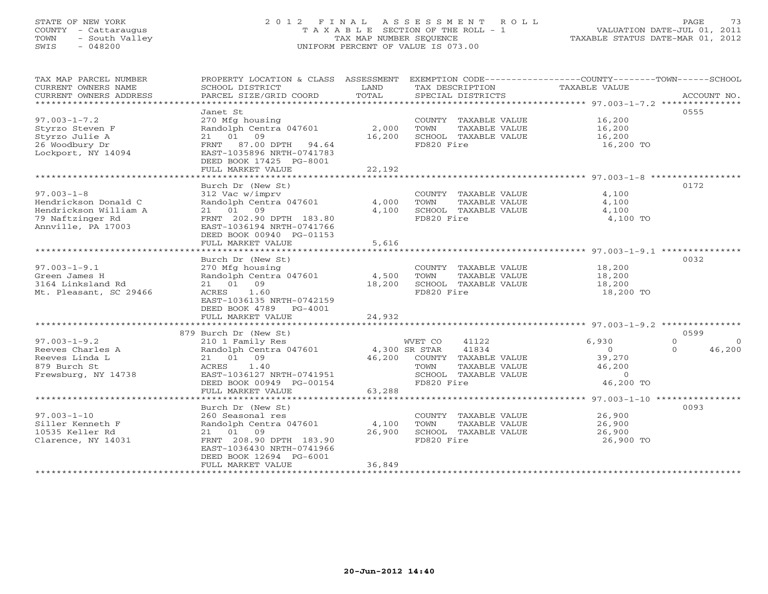# STATE OF NEW YORK 2 0 1 2 F I N A L A S S E S S M E N T R O L L PAGE 73 COUNTY - Cattaraugus T A X A B L E SECTION OF THE ROLL - 1 VALUATION DATE-JUL 01, 2011 TOWN - South Valley TAX MAP NUMBER SEQUENCE TAXABLE STATUS DATE-MAR 01, 2012 SWIS - 048200 UNIFORM PERCENT OF VALUE IS 073.00

TAX MAP PARCEL NUMBER PROPERTY LOCATION & CLASS ASSESSMENT EXEMPTION CODE------------------COUNTY--------TOWN------SCHOOL

| CURRENT OWNERS NAME    | SCHOOL DISTRICT                                      | LAND    | TAX DESCRIPTION         | TAXABLE VALUE                                             |                          |
|------------------------|------------------------------------------------------|---------|-------------------------|-----------------------------------------------------------|--------------------------|
| CURRENT OWNERS ADDRESS | PARCEL SIZE/GRID COORD                               | TOTAL   | SPECIAL DISTRICTS       |                                                           | ACCOUNT NO.              |
|                        |                                                      |         |                         | **************************** 97.003-1-7.2 *************** |                          |
|                        | Janet St                                             |         |                         |                                                           | 0555                     |
| $97.003 - 1 - 7.2$     | 270 Mfg housing                                      |         | COUNTY TAXABLE VALUE    | 16,200                                                    |                          |
| Styrzo Steven F        | Randolph Centra 047601                               | 2,000   | TOWN<br>TAXABLE VALUE   | 16,200                                                    |                          |
| Styrzo Julie A         | 01<br>09<br>21                                       | 16,200  | SCHOOL TAXABLE VALUE    | 16,200                                                    |                          |
| 26 Woodbury Dr         | 87.00 DPTH<br>FRNT<br>94.64                          |         | FD820 Fire              | 16,200 TO                                                 |                          |
| Lockport, NY 14094     | EAST-1035896 NRTH-0741783                            |         |                         |                                                           |                          |
|                        | DEED BOOK 17425 PG-8001                              |         |                         |                                                           |                          |
|                        | FULL MARKET VALUE                                    | 22,192  |                         |                                                           |                          |
|                        |                                                      |         |                         | ***************** 97.003-1-8 ********                     |                          |
|                        | Burch Dr (New St)                                    |         |                         |                                                           | 0172                     |
| $97.003 - 1 - 8$       | 312 Vac w/imprv                                      |         | COUNTY TAXABLE VALUE    | 4,100                                                     |                          |
| Hendrickson Donald C   | Randolph Centra 047601                               | 4,000   | TOWN<br>TAXABLE VALUE   | 4,100                                                     |                          |
| Hendrickson William A  | 09<br>01<br>21                                       | 4,100   | SCHOOL TAXABLE VALUE    | 4,100                                                     |                          |
| 79 Naftzinger Rd       | FRNT 202.90 DPTH 183.80                              |         | FD820 Fire              |                                                           |                          |
| Annville, PA 17003     |                                                      |         |                         | 4,100 TO                                                  |                          |
|                        | EAST-1036194 NRTH-0741766                            |         |                         |                                                           |                          |
|                        | DEED BOOK 00940 PG-01153                             |         |                         |                                                           |                          |
|                        | FULL MARKET VALUE                                    | 5,616   |                         |                                                           |                          |
|                        |                                                      |         |                         | $97.003 - 1 - 9.1$<br>**********                          |                          |
|                        | Burch Dr (New St)                                    |         |                         |                                                           | 0032                     |
| $97.003 - 1 - 9.1$     | 270 Mfg housing                                      |         | COUNTY TAXABLE VALUE    | 18,200                                                    |                          |
| Green James H          | Randolph Centra 047601                               | 4,500   | TOWN<br>TAXABLE VALUE   | 18,200                                                    |                          |
| 3164 Linksland Rd      | 01<br>09<br>21                                       | 18,200  | SCHOOL TAXABLE VALUE    | 18,200                                                    |                          |
| Mt. Pleasant, SC 29466 | ACRES<br>1.60                                        |         | FD820 Fire              | 18,200 TO                                                 |                          |
|                        | EAST-1036135 NRTH-0742159                            |         |                         |                                                           |                          |
|                        | DEED BOOK 4789<br>PG-4001                            |         |                         |                                                           |                          |
|                        | FULL MARKET VALUE                                    | 24,932  |                         |                                                           |                          |
|                        |                                                      | ******* |                         | *************** 97.003-1-9.2 ***************              |                          |
|                        | 879 Burch Dr (New St)                                |         |                         |                                                           | 0599                     |
| $97.003 - 1 - 9.2$     | 210 1 Family Res                                     |         | 41122<br>WVET CO        | 6,930                                                     | $\mathbf{0}$<br>$\Omega$ |
| Reeves Charles A       | Randolph Centra 047601                               |         | 41834<br>4,300 SR STAR  | $\Omega$                                                  | 46,200<br>$\Omega$       |
| Reeves Linda L         | 21 01<br>09                                          | 46,200  | COUNTY TAXABLE VALUE    | 39,270                                                    |                          |
| 879 Burch St           | <b>ACRES</b><br>1.40                                 |         | TOWN<br>TAXABLE VALUE   | 46,200                                                    |                          |
| Frewsburg, NY 14738    | EAST-1036127 NRTH-0741951                            |         | SCHOOL<br>TAXABLE VALUE | $\Omega$                                                  |                          |
|                        | DEED BOOK 00949 PG-00154                             |         | FD820 Fire              | 46,200 TO                                                 |                          |
|                        | FULL MARKET VALUE                                    | 63,288  |                         |                                                           |                          |
|                        |                                                      |         |                         | $97.003 - 1 - 10$ **********                              |                          |
|                        | Burch Dr (New St)                                    |         |                         |                                                           | 0093                     |
| $97.003 - 1 - 10$      | 260 Seasonal res                                     |         | COUNTY<br>TAXABLE VALUE | 26,900                                                    |                          |
| Siller Kenneth F       | Randolph Centra 047601                               | 4,100   | TOWN<br>TAXABLE VALUE   | 26,900                                                    |                          |
| 10535 Keller Rd        | 01 09<br>21                                          | 26,900  | SCHOOL TAXABLE VALUE    | 26,900                                                    |                          |
|                        |                                                      |         | FD820 Fire              |                                                           |                          |
| Clarence, NY 14031     | FRNT 208.90 DPTH 183.90<br>EAST-1036430 NRTH-0741966 |         |                         | 26,900 TO                                                 |                          |
|                        |                                                      |         |                         |                                                           |                          |
|                        | DEED BOOK 12694 PG-6001                              |         |                         |                                                           |                          |
|                        | FULL MARKET VALUE                                    | 36,849  |                         |                                                           |                          |
|                        |                                                      |         |                         |                                                           |                          |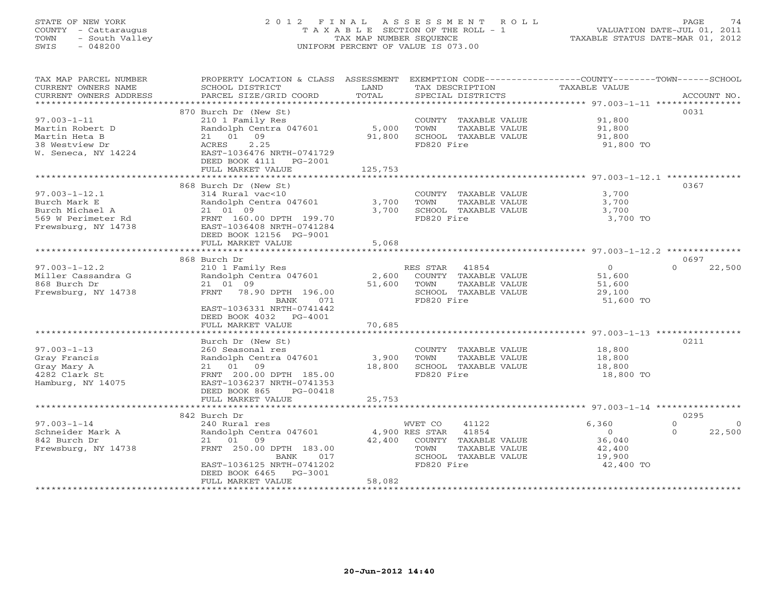# STATE OF NEW YORK 2 0 1 2 F I N A L A S S E S S M E N T R O L L PAGE 74 COUNTY - Cattaraugus T A X A B L E SECTION OF THE ROLL - 1 VALUATION DATE-JUL 01, 2011 TOWN - South Valley TAX MAP NUMBER SEQUENCE TAXABLE STATUS DATE-MAR 01, 2012 SWIS - 048200 UNIFORM PERCENT OF VALUE IS 073.00UNIFORM PERCENT OF VALUE IS 073.00

| TAX MAP PARCEL NUMBER  | PROPERTY LOCATION & CLASS ASSESSMENT           |         | EXEMPTION CODE-----------------COUNTY-------TOWN------SCHOOL |                |                      |
|------------------------|------------------------------------------------|---------|--------------------------------------------------------------|----------------|----------------------|
| CURRENT OWNERS NAME    | SCHOOL DISTRICT                                | LAND    | TAX DESCRIPTION                                              | TAXABLE VALUE  |                      |
| CURRENT OWNERS ADDRESS | PARCEL SIZE/GRID COORD                         | TOTAL   | SPECIAL DISTRICTS                                            |                | ACCOUNT NO.          |
|                        |                                                |         |                                                              |                |                      |
|                        | 870 Burch Dr (New St)                          |         |                                                              |                | 0031                 |
| $97.003 - 1 - 11$      | 210 1 Family Res                               |         | COUNTY TAXABLE VALUE                                         | 91,800         |                      |
| Martin Robert D        | Randolph Centra 047601                         | 5,000   | TOWN<br>TAXABLE VALUE                                        | 91,800         |                      |
| Martin Heta B          | 21 01 09                                       | 91,800  | SCHOOL TAXABLE VALUE                                         | 91,800         |                      |
| 38 Westview Dr         | ACRES<br>2.25                                  |         | FD820 Fire                                                   | 91,800 TO      |                      |
| W. Seneca, NY 14224    | EAST-1036476 NRTH-0741729                      |         |                                                              |                |                      |
|                        | DEED BOOK 4111    PG-2001                      |         |                                                              |                |                      |
|                        |                                                | 125,753 |                                                              |                |                      |
|                        | FULL MARKET VALUE                              |         |                                                              |                |                      |
|                        |                                                |         |                                                              |                |                      |
|                        | 868 Burch Dr (New St)                          |         |                                                              |                | 0367                 |
| $97.003 - 1 - 12.1$    | 314 Rural vac<10                               |         | COUNTY TAXABLE VALUE                                         | 3,700          |                      |
| Burch Mark E           | Randolph Centra 047601                         | 3,700   | TOWN<br>TAXABLE VALUE                                        | 3,700          |                      |
| Burch Michael A        | 21 01 09                                       | 3,700   | SCHOOL TAXABLE VALUE                                         | 3,700          |                      |
| 569 W Perimeter Rd     | FRNT 160.00 DPTH 199.70                        |         | FD820 Fire                                                   | 3,700 TO       |                      |
| Frewsburg, NY 14738    | EAST-1036408 NRTH-0741284                      |         |                                                              |                |                      |
|                        | DEED BOOK 12156 PG-9001                        |         |                                                              |                |                      |
|                        | FULL MARKET VALUE                              | 5,068   |                                                              |                |                      |
|                        |                                                |         |                                                              |                |                      |
|                        | 868 Burch Dr                                   |         |                                                              |                | 0697                 |
| $97.003 - 1 - 12.2$    | 210 1 Family Res                               |         | RES STAR<br>41854                                            | $\overline{0}$ | $\Omega$<br>22,500   |
| Miller Cassandra G     | Randolph Centra 047601                         | 2,600   | COUNTY TAXABLE VALUE                                         | 51,600         |                      |
| 868 Burch Dr           | 21 01 09                                       | 51,600  | TAXABLE VALUE<br>TOWN                                        | 51,600         |                      |
| Frewsburg, NY 14738    | FRNT 78.90 DPTH 196.00                         |         | SCHOOL TAXABLE VALUE                                         | 29,100         |                      |
|                        | BANK<br>071                                    |         | FD820 Fire                                                   | 51,600 TO      |                      |
|                        | EAST-1036331 NRTH-0741442                      |         |                                                              |                |                      |
|                        | DEED BOOK 4032 PG-4001                         |         |                                                              |                |                      |
|                        | FULL MARKET VALUE                              | 70,685  |                                                              |                |                      |
|                        |                                                |         |                                                              |                |                      |
|                        | Burch Dr (New St)                              |         |                                                              |                | 0211                 |
| $97.003 - 1 - 13$      | 260 Seasonal res                               |         | COUNTY TAXABLE VALUE                                         | 18,800         |                      |
| Gray Francis           | Randolph Centra 047601                         | 3,900   | TOWN<br>TAXABLE VALUE                                        | 18,800         |                      |
|                        |                                                |         |                                                              |                |                      |
| Gray Mary A            | 21 01 09                                       | 18,800  | SCHOOL TAXABLE VALUE                                         | 18,800         |                      |
| 4282 Clark St          | FRNT 200.00 DPTH 185.00                        |         | FD820 Fire                                                   | 18,800 TO      |                      |
| Hamburg, NY 14075      | EAST-1036237 NRTH-0741353                      |         |                                                              |                |                      |
|                        | DEED BOOK 865<br>PG-00418                      |         |                                                              |                |                      |
|                        | FULL MARKET VALUE<br>************************* | 25,753  |                                                              |                |                      |
|                        |                                                |         |                                                              |                |                      |
|                        | 842 Burch Dr                                   |         |                                                              |                | 0295                 |
| $97.003 - 1 - 14$      | 240 Rural res                                  |         | WVET CO<br>41122                                             | 6,360          | $\Omega$<br>$\Omega$ |
| Schneider Mark A       | Randolph Centra 047601                         |         | 4,900 RES STAR<br>41854                                      | $\overline{0}$ | 22,500<br>$\Omega$   |
| 842 Burch Dr           | 21 01<br>09                                    |         | 42,400 COUNTY TAXABLE VALUE                                  | 36,040         |                      |
| Frewsburg, NY 14738    | FRNT 250.00 DPTH 183.00                        |         | TOWN<br>TAXABLE VALUE                                        | 42,400         |                      |
|                        | 017<br>BANK                                    |         | SCHOOL TAXABLE VALUE                                         | 19,900         |                      |
|                        | EAST-1036125 NRTH-0741202                      |         | FD820 Fire                                                   | 42,400 TO      |                      |
|                        | DEED BOOK 6465<br>PG-3001                      |         |                                                              |                |                      |
|                        | FULL MARKET VALUE                              | 58,082  |                                                              |                |                      |
|                        |                                                |         |                                                              |                |                      |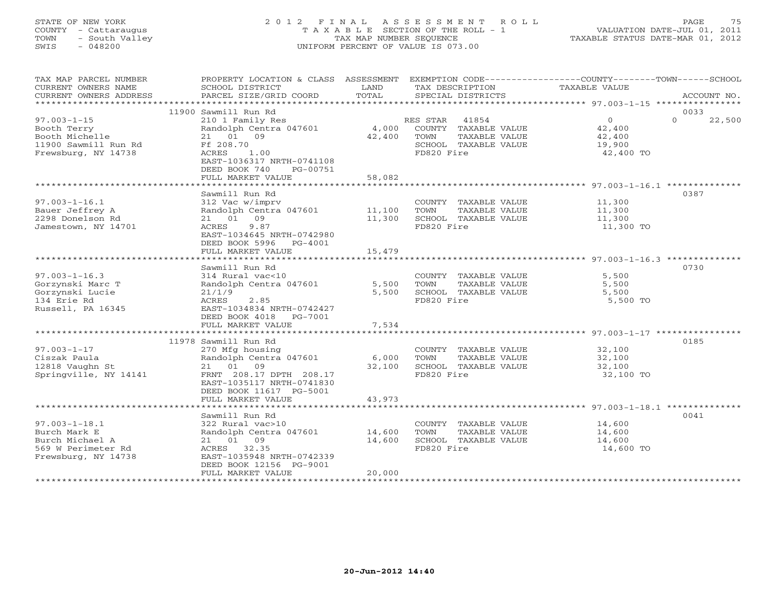# STATE OF NEW YORK 2 0 1 2 F I N A L A S S E S S M E N T R O L L PAGE 75 COUNTY - Cattaraugus T A X A B L E SECTION OF THE ROLL - 1 VALUATION DATE-JUL 01, 2011 TOWN - South Valley TAX MAP NUMBER SEQUENCE TAXABLE STATUS DATE-MAR 01, 2012 SWIS - 048200 UNIFORM PERCENT OF VALUE IS 073.00UNIFORM PERCENT OF VALUE IS 073.00

| 11900 Sawmill Run Rd<br>0033<br>$97.003 - 1 - 15$<br>$\circ$<br>$\Omega$<br>22,500<br>210 1 Family Res<br>RES STAR<br>41854<br>Randolph Centra 047601<br>4,000<br>COUNTY TAXABLE VALUE<br>42,400<br>Booth Terry<br>Booth Michelle<br>21 01 09<br>42,400<br>TOWN<br>TAXABLE VALUE<br>42,400<br>11900 Sawmill Run Rd<br>Ff 208.70<br>SCHOOL TAXABLE VALUE<br>19,900<br>Frewsburg, NY 14738<br>ACRES<br>1.00<br>FD820 Fire<br>42,400 TO<br>EAST-1036317 NRTH-0741108<br>DEED BOOK 740<br>PG-00751<br>FULL MARKET VALUE<br>58,082<br>Sawmill Run Rd<br>0387<br>$97.003 - 1 - 16.1$<br>312 Vac w/imprv<br>COUNTY TAXABLE VALUE<br>11,300<br>Bauer Jeffrey A<br>Randolph Centra 047601<br>11,100<br>TOWN<br>TAXABLE VALUE<br>11,300<br>2298 Donelson Rd<br>21 01 09<br>11,300<br>SCHOOL TAXABLE VALUE<br>11,300<br>9.87<br>FD820 Fire<br>Jamestown, NY 14701<br>ACRES<br>11,300 TO<br>EAST-1034645 NRTH-0742980<br>DEED BOOK 5996<br>PG-4001<br>15,479<br>FULL MARKET VALUE<br>0730<br>Sawmill Run Rd<br>$97.003 - 1 - 16.3$<br>314 Rural vac<10<br>5,500<br>COUNTY TAXABLE VALUE<br>Gorzynski Marc T<br>Randolph Centra 047601<br>5,500<br>TOWN<br>TAXABLE VALUE<br>5,500<br>Gorzynski Lucie<br>5,500<br>SCHOOL TAXABLE VALUE<br>21/1/9<br>5,500<br>FD820 Fire<br>134 Erie Rd<br>ACRES<br>2.85<br>5,500 TO<br>Russell, PA 16345<br>EAST-1034834 NRTH-0742427<br>DEED BOOK 4018<br>PG-7001<br>FULL MARKET VALUE<br>7,534<br>0185<br>11978 Sawmill Run Rd<br>$97.003 - 1 - 17$<br>270 Mfg housing<br>COUNTY TAXABLE VALUE<br>32,100<br>Randolph Centra 047601<br>Ciszak Paula<br>6,000<br>TOWN<br>TAXABLE VALUE<br>32,100<br>21 01 09<br>32,100<br>12818 Vaughn St<br>32,100<br>SCHOOL TAXABLE VALUE<br>FD820 Fire<br>Springville, NY 14141<br>FRNT 208.17 DPTH 208.17<br>32,100 TO<br>EAST-1035117 NRTH-0741830<br>DEED BOOK 11617 PG-5001<br>43,973<br>FULL MARKET VALUE<br>0041<br>Sawmill Run Rd<br>$97.003 - 1 - 18.1$<br>322 Rural vac>10<br>14,600<br>COUNTY TAXABLE VALUE<br>Burch Mark E<br>Randolph Centra 047601<br>14,600<br>TOWN<br>TAXABLE VALUE<br>14,600<br>21 01 09<br>14,600<br>Burch Michael A<br>SCHOOL TAXABLE VALUE<br>14,600<br>569 W Perimeter Rd<br>ACRES 32.35<br>FD820 Fire<br>14,600 TO<br>EAST-1035948 NRTH-0742339<br>Frewsburg, NY 14738<br>DEED BOOK 12156 PG-9001<br>FULL MARKET VALUE<br>20,000 | TAX MAP PARCEL NUMBER<br>CURRENT OWNERS NAME<br>CURRENT OWNERS ADDRESS | PROPERTY LOCATION & CLASS ASSESSMENT<br>SCHOOL DISTRICT<br>PARCEL SIZE/GRID COORD | <b>T,AND</b><br>TOTAL | EXEMPTION CODE-----------------COUNTY-------TOWN------SCHOOL<br>TAX DESCRIPTION<br>SPECIAL DISTRICTS | <b>TAXABLE VALUE</b> | ACCOUNT NO. |
|----------------------------------------------------------------------------------------------------------------------------------------------------------------------------------------------------------------------------------------------------------------------------------------------------------------------------------------------------------------------------------------------------------------------------------------------------------------------------------------------------------------------------------------------------------------------------------------------------------------------------------------------------------------------------------------------------------------------------------------------------------------------------------------------------------------------------------------------------------------------------------------------------------------------------------------------------------------------------------------------------------------------------------------------------------------------------------------------------------------------------------------------------------------------------------------------------------------------------------------------------------------------------------------------------------------------------------------------------------------------------------------------------------------------------------------------------------------------------------------------------------------------------------------------------------------------------------------------------------------------------------------------------------------------------------------------------------------------------------------------------------------------------------------------------------------------------------------------------------------------------------------------------------------------------------------------------------------------------------------------------------------------------------------------------------------------------------------------------------------------------------------------------------------------------------------------------------------------------------------------------------------------------------------------------------------------------|------------------------------------------------------------------------|-----------------------------------------------------------------------------------|-----------------------|------------------------------------------------------------------------------------------------------|----------------------|-------------|
|                                                                                                                                                                                                                                                                                                                                                                                                                                                                                                                                                                                                                                                                                                                                                                                                                                                                                                                                                                                                                                                                                                                                                                                                                                                                                                                                                                                                                                                                                                                                                                                                                                                                                                                                                                                                                                                                                                                                                                                                                                                                                                                                                                                                                                                                                                                            |                                                                        |                                                                                   |                       |                                                                                                      |                      |             |
|                                                                                                                                                                                                                                                                                                                                                                                                                                                                                                                                                                                                                                                                                                                                                                                                                                                                                                                                                                                                                                                                                                                                                                                                                                                                                                                                                                                                                                                                                                                                                                                                                                                                                                                                                                                                                                                                                                                                                                                                                                                                                                                                                                                                                                                                                                                            |                                                                        |                                                                                   |                       |                                                                                                      |                      |             |
|                                                                                                                                                                                                                                                                                                                                                                                                                                                                                                                                                                                                                                                                                                                                                                                                                                                                                                                                                                                                                                                                                                                                                                                                                                                                                                                                                                                                                                                                                                                                                                                                                                                                                                                                                                                                                                                                                                                                                                                                                                                                                                                                                                                                                                                                                                                            |                                                                        |                                                                                   |                       |                                                                                                      |                      |             |
|                                                                                                                                                                                                                                                                                                                                                                                                                                                                                                                                                                                                                                                                                                                                                                                                                                                                                                                                                                                                                                                                                                                                                                                                                                                                                                                                                                                                                                                                                                                                                                                                                                                                                                                                                                                                                                                                                                                                                                                                                                                                                                                                                                                                                                                                                                                            |                                                                        |                                                                                   |                       |                                                                                                      |                      |             |
|                                                                                                                                                                                                                                                                                                                                                                                                                                                                                                                                                                                                                                                                                                                                                                                                                                                                                                                                                                                                                                                                                                                                                                                                                                                                                                                                                                                                                                                                                                                                                                                                                                                                                                                                                                                                                                                                                                                                                                                                                                                                                                                                                                                                                                                                                                                            |                                                                        |                                                                                   |                       |                                                                                                      |                      |             |
|                                                                                                                                                                                                                                                                                                                                                                                                                                                                                                                                                                                                                                                                                                                                                                                                                                                                                                                                                                                                                                                                                                                                                                                                                                                                                                                                                                                                                                                                                                                                                                                                                                                                                                                                                                                                                                                                                                                                                                                                                                                                                                                                                                                                                                                                                                                            |                                                                        |                                                                                   |                       |                                                                                                      |                      |             |
|                                                                                                                                                                                                                                                                                                                                                                                                                                                                                                                                                                                                                                                                                                                                                                                                                                                                                                                                                                                                                                                                                                                                                                                                                                                                                                                                                                                                                                                                                                                                                                                                                                                                                                                                                                                                                                                                                                                                                                                                                                                                                                                                                                                                                                                                                                                            |                                                                        |                                                                                   |                       |                                                                                                      |                      |             |
|                                                                                                                                                                                                                                                                                                                                                                                                                                                                                                                                                                                                                                                                                                                                                                                                                                                                                                                                                                                                                                                                                                                                                                                                                                                                                                                                                                                                                                                                                                                                                                                                                                                                                                                                                                                                                                                                                                                                                                                                                                                                                                                                                                                                                                                                                                                            |                                                                        |                                                                                   |                       |                                                                                                      |                      |             |
|                                                                                                                                                                                                                                                                                                                                                                                                                                                                                                                                                                                                                                                                                                                                                                                                                                                                                                                                                                                                                                                                                                                                                                                                                                                                                                                                                                                                                                                                                                                                                                                                                                                                                                                                                                                                                                                                                                                                                                                                                                                                                                                                                                                                                                                                                                                            |                                                                        |                                                                                   |                       |                                                                                                      |                      |             |
|                                                                                                                                                                                                                                                                                                                                                                                                                                                                                                                                                                                                                                                                                                                                                                                                                                                                                                                                                                                                                                                                                                                                                                                                                                                                                                                                                                                                                                                                                                                                                                                                                                                                                                                                                                                                                                                                                                                                                                                                                                                                                                                                                                                                                                                                                                                            |                                                                        |                                                                                   |                       |                                                                                                      |                      |             |
|                                                                                                                                                                                                                                                                                                                                                                                                                                                                                                                                                                                                                                                                                                                                                                                                                                                                                                                                                                                                                                                                                                                                                                                                                                                                                                                                                                                                                                                                                                                                                                                                                                                                                                                                                                                                                                                                                                                                                                                                                                                                                                                                                                                                                                                                                                                            |                                                                        |                                                                                   |                       |                                                                                                      |                      |             |
|                                                                                                                                                                                                                                                                                                                                                                                                                                                                                                                                                                                                                                                                                                                                                                                                                                                                                                                                                                                                                                                                                                                                                                                                                                                                                                                                                                                                                                                                                                                                                                                                                                                                                                                                                                                                                                                                                                                                                                                                                                                                                                                                                                                                                                                                                                                            |                                                                        |                                                                                   |                       |                                                                                                      |                      |             |
|                                                                                                                                                                                                                                                                                                                                                                                                                                                                                                                                                                                                                                                                                                                                                                                                                                                                                                                                                                                                                                                                                                                                                                                                                                                                                                                                                                                                                                                                                                                                                                                                                                                                                                                                                                                                                                                                                                                                                                                                                                                                                                                                                                                                                                                                                                                            |                                                                        |                                                                                   |                       |                                                                                                      |                      |             |
|                                                                                                                                                                                                                                                                                                                                                                                                                                                                                                                                                                                                                                                                                                                                                                                                                                                                                                                                                                                                                                                                                                                                                                                                                                                                                                                                                                                                                                                                                                                                                                                                                                                                                                                                                                                                                                                                                                                                                                                                                                                                                                                                                                                                                                                                                                                            |                                                                        |                                                                                   |                       |                                                                                                      |                      |             |
|                                                                                                                                                                                                                                                                                                                                                                                                                                                                                                                                                                                                                                                                                                                                                                                                                                                                                                                                                                                                                                                                                                                                                                                                                                                                                                                                                                                                                                                                                                                                                                                                                                                                                                                                                                                                                                                                                                                                                                                                                                                                                                                                                                                                                                                                                                                            |                                                                        |                                                                                   |                       |                                                                                                      |                      |             |
|                                                                                                                                                                                                                                                                                                                                                                                                                                                                                                                                                                                                                                                                                                                                                                                                                                                                                                                                                                                                                                                                                                                                                                                                                                                                                                                                                                                                                                                                                                                                                                                                                                                                                                                                                                                                                                                                                                                                                                                                                                                                                                                                                                                                                                                                                                                            |                                                                        |                                                                                   |                       |                                                                                                      |                      |             |
|                                                                                                                                                                                                                                                                                                                                                                                                                                                                                                                                                                                                                                                                                                                                                                                                                                                                                                                                                                                                                                                                                                                                                                                                                                                                                                                                                                                                                                                                                                                                                                                                                                                                                                                                                                                                                                                                                                                                                                                                                                                                                                                                                                                                                                                                                                                            |                                                                        |                                                                                   |                       |                                                                                                      |                      |             |
|                                                                                                                                                                                                                                                                                                                                                                                                                                                                                                                                                                                                                                                                                                                                                                                                                                                                                                                                                                                                                                                                                                                                                                                                                                                                                                                                                                                                                                                                                                                                                                                                                                                                                                                                                                                                                                                                                                                                                                                                                                                                                                                                                                                                                                                                                                                            |                                                                        |                                                                                   |                       |                                                                                                      |                      |             |
|                                                                                                                                                                                                                                                                                                                                                                                                                                                                                                                                                                                                                                                                                                                                                                                                                                                                                                                                                                                                                                                                                                                                                                                                                                                                                                                                                                                                                                                                                                                                                                                                                                                                                                                                                                                                                                                                                                                                                                                                                                                                                                                                                                                                                                                                                                                            |                                                                        |                                                                                   |                       |                                                                                                      |                      |             |
|                                                                                                                                                                                                                                                                                                                                                                                                                                                                                                                                                                                                                                                                                                                                                                                                                                                                                                                                                                                                                                                                                                                                                                                                                                                                                                                                                                                                                                                                                                                                                                                                                                                                                                                                                                                                                                                                                                                                                                                                                                                                                                                                                                                                                                                                                                                            |                                                                        |                                                                                   |                       |                                                                                                      |                      |             |
|                                                                                                                                                                                                                                                                                                                                                                                                                                                                                                                                                                                                                                                                                                                                                                                                                                                                                                                                                                                                                                                                                                                                                                                                                                                                                                                                                                                                                                                                                                                                                                                                                                                                                                                                                                                                                                                                                                                                                                                                                                                                                                                                                                                                                                                                                                                            |                                                                        |                                                                                   |                       |                                                                                                      |                      |             |
|                                                                                                                                                                                                                                                                                                                                                                                                                                                                                                                                                                                                                                                                                                                                                                                                                                                                                                                                                                                                                                                                                                                                                                                                                                                                                                                                                                                                                                                                                                                                                                                                                                                                                                                                                                                                                                                                                                                                                                                                                                                                                                                                                                                                                                                                                                                            |                                                                        |                                                                                   |                       |                                                                                                      |                      |             |
|                                                                                                                                                                                                                                                                                                                                                                                                                                                                                                                                                                                                                                                                                                                                                                                                                                                                                                                                                                                                                                                                                                                                                                                                                                                                                                                                                                                                                                                                                                                                                                                                                                                                                                                                                                                                                                                                                                                                                                                                                                                                                                                                                                                                                                                                                                                            |                                                                        |                                                                                   |                       |                                                                                                      |                      |             |
|                                                                                                                                                                                                                                                                                                                                                                                                                                                                                                                                                                                                                                                                                                                                                                                                                                                                                                                                                                                                                                                                                                                                                                                                                                                                                                                                                                                                                                                                                                                                                                                                                                                                                                                                                                                                                                                                                                                                                                                                                                                                                                                                                                                                                                                                                                                            |                                                                        |                                                                                   |                       |                                                                                                      |                      |             |
|                                                                                                                                                                                                                                                                                                                                                                                                                                                                                                                                                                                                                                                                                                                                                                                                                                                                                                                                                                                                                                                                                                                                                                                                                                                                                                                                                                                                                                                                                                                                                                                                                                                                                                                                                                                                                                                                                                                                                                                                                                                                                                                                                                                                                                                                                                                            |                                                                        |                                                                                   |                       |                                                                                                      |                      |             |
|                                                                                                                                                                                                                                                                                                                                                                                                                                                                                                                                                                                                                                                                                                                                                                                                                                                                                                                                                                                                                                                                                                                                                                                                                                                                                                                                                                                                                                                                                                                                                                                                                                                                                                                                                                                                                                                                                                                                                                                                                                                                                                                                                                                                                                                                                                                            |                                                                        |                                                                                   |                       |                                                                                                      |                      |             |
|                                                                                                                                                                                                                                                                                                                                                                                                                                                                                                                                                                                                                                                                                                                                                                                                                                                                                                                                                                                                                                                                                                                                                                                                                                                                                                                                                                                                                                                                                                                                                                                                                                                                                                                                                                                                                                                                                                                                                                                                                                                                                                                                                                                                                                                                                                                            |                                                                        |                                                                                   |                       |                                                                                                      |                      |             |
|                                                                                                                                                                                                                                                                                                                                                                                                                                                                                                                                                                                                                                                                                                                                                                                                                                                                                                                                                                                                                                                                                                                                                                                                                                                                                                                                                                                                                                                                                                                                                                                                                                                                                                                                                                                                                                                                                                                                                                                                                                                                                                                                                                                                                                                                                                                            |                                                                        |                                                                                   |                       |                                                                                                      |                      |             |
|                                                                                                                                                                                                                                                                                                                                                                                                                                                                                                                                                                                                                                                                                                                                                                                                                                                                                                                                                                                                                                                                                                                                                                                                                                                                                                                                                                                                                                                                                                                                                                                                                                                                                                                                                                                                                                                                                                                                                                                                                                                                                                                                                                                                                                                                                                                            |                                                                        |                                                                                   |                       |                                                                                                      |                      |             |
|                                                                                                                                                                                                                                                                                                                                                                                                                                                                                                                                                                                                                                                                                                                                                                                                                                                                                                                                                                                                                                                                                                                                                                                                                                                                                                                                                                                                                                                                                                                                                                                                                                                                                                                                                                                                                                                                                                                                                                                                                                                                                                                                                                                                                                                                                                                            |                                                                        |                                                                                   |                       |                                                                                                      |                      |             |
|                                                                                                                                                                                                                                                                                                                                                                                                                                                                                                                                                                                                                                                                                                                                                                                                                                                                                                                                                                                                                                                                                                                                                                                                                                                                                                                                                                                                                                                                                                                                                                                                                                                                                                                                                                                                                                                                                                                                                                                                                                                                                                                                                                                                                                                                                                                            |                                                                        |                                                                                   |                       |                                                                                                      |                      |             |
|                                                                                                                                                                                                                                                                                                                                                                                                                                                                                                                                                                                                                                                                                                                                                                                                                                                                                                                                                                                                                                                                                                                                                                                                                                                                                                                                                                                                                                                                                                                                                                                                                                                                                                                                                                                                                                                                                                                                                                                                                                                                                                                                                                                                                                                                                                                            |                                                                        |                                                                                   |                       |                                                                                                      |                      |             |
|                                                                                                                                                                                                                                                                                                                                                                                                                                                                                                                                                                                                                                                                                                                                                                                                                                                                                                                                                                                                                                                                                                                                                                                                                                                                                                                                                                                                                                                                                                                                                                                                                                                                                                                                                                                                                                                                                                                                                                                                                                                                                                                                                                                                                                                                                                                            |                                                                        |                                                                                   |                       |                                                                                                      |                      |             |
|                                                                                                                                                                                                                                                                                                                                                                                                                                                                                                                                                                                                                                                                                                                                                                                                                                                                                                                                                                                                                                                                                                                                                                                                                                                                                                                                                                                                                                                                                                                                                                                                                                                                                                                                                                                                                                                                                                                                                                                                                                                                                                                                                                                                                                                                                                                            |                                                                        |                                                                                   |                       |                                                                                                      |                      |             |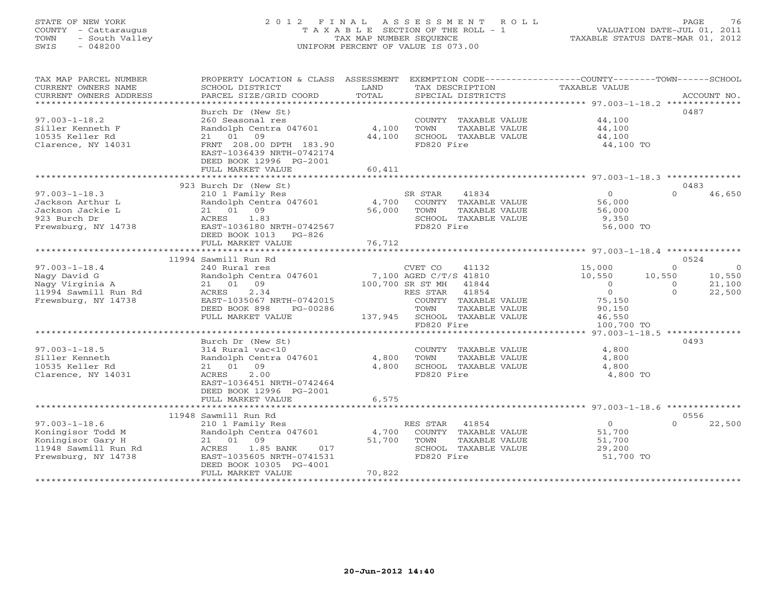# STATE OF NEW YORK 2 0 1 2 F I N A L A S S E S S M E N T R O L L PAGE 76 COUNTY - Cattaraugus T A X A B L E SECTION OF THE ROLL - 1 VALUATION DATE-JUL 01, 2011 TOWN - South Valley TAX MAP NUMBER SEQUENCE TAXABLE STATUS DATE-MAR 01, 2012<br>SWIS - 048200 - TAXABLE STATUS DATE-MAR 01, 2012 SWIS - 048200 UNIFORM PERCENT OF VALUE IS 073.00

| TAX MAP PARCEL NUMBER                     | PROPERTY LOCATION & CLASS ASSESSMENT                                  |             | EXEMPTION CODE----------------COUNTY-------TOWN------SCHOOL |                          |                          |
|-------------------------------------------|-----------------------------------------------------------------------|-------------|-------------------------------------------------------------|--------------------------|--------------------------|
| CURRENT OWNERS NAME                       | SCHOOL DISTRICT                                                       | LAND        | TAX DESCRIPTION                                             | TAXABLE VALUE            |                          |
| CURRENT OWNERS ADDRESS                    | PARCEL SIZE/GRID COORD                                                | TOTAL       | SPECIAL DISTRICTS                                           |                          | ACCOUNT NO.              |
| *********************                     |                                                                       |             |                                                             |                          |                          |
|                                           | Burch Dr (New St)                                                     |             |                                                             |                          | 0487                     |
| $97.003 - 1 - 18.2$                       | 260 Seasonal res                                                      |             | COUNTY TAXABLE VALUE                                        | 44,100                   |                          |
| Siller Kenneth F                          | Randolph Centra 047601                                                | 4,100       | TOWN<br>TAXABLE VALUE                                       | 44,100                   |                          |
| 10535 Keller Rd                           | 21 01<br>09                                                           | 44,100      | SCHOOL TAXABLE VALUE                                        | 44,100                   |                          |
| Clarence, NY 14031                        | FRNT 208.00 DPTH 183.90                                               |             | FD820 Fire                                                  | 44,100 TO                |                          |
|                                           | EAST-1036439 NRTH-0742174                                             |             |                                                             |                          |                          |
|                                           | DEED BOOK 12996 PG-2001                                               |             |                                                             |                          |                          |
|                                           | FULL MARKET VALUE                                                     | 60,411      |                                                             |                          |                          |
|                                           | 923 Burch Dr (New St)                                                 |             |                                                             |                          | 0483                     |
| $97.003 - 1 - 18.3$                       | 210 1 Family Res                                                      |             | SR STAR<br>41834                                            | $\Omega$                 | $\cap$<br>46,650         |
| Jackson Arthur L                          |                                                                       |             |                                                             |                          |                          |
| Jackson Jackie L                          | Randolph Centra 047601 4,700 COUNTY TAXABLE VALUE<br>21 01 09         | 56,000      | TOWN<br>TAXABLE VALUE                                       | 56,000<br>56,000         |                          |
| 923 Burch Dr                              | 1.83<br>ACRES                                                         |             | SCHOOL TAXABLE VALUE                                        | 9,350                    |                          |
| Frewsburg, NY 14738                       | EAST-1036180 NRTH-0742567                                             |             | FD820 Fire                                                  | 56,000 TO                |                          |
|                                           | DEED BOOK 1013 PG-826                                                 |             |                                                             |                          |                          |
|                                           | FULL MARKET VALUE                                                     | 76,712      |                                                             |                          |                          |
|                                           |                                                                       |             |                                                             |                          |                          |
|                                           | 11994 Sawmill Run Rd                                                  |             |                                                             |                          | 0524                     |
| $97.003 - 1 - 18.4$                       | 240 Rural res                                                         |             | CVET CO<br>41132                                            | $\frac{15}{10}$ , 000    | $\Omega$<br>$\Omega$     |
| Nagy David G                              | Randolph Centra 047601 7,100 AGED C/T/S 41810                         |             |                                                             | 10,550                   | 10,550<br>10,550         |
| Nagy Virginia A                           | 21 01 09                                                              |             | 100,700 SR ST MH 41844                                      | $\overline{0}$           | 21,100<br>$\overline{0}$ |
| 11994 Sawmill Run Rd                      | 2.34<br>ACRES                                                         |             | 41854<br>RES STAR                                           | $\overline{0}$           | $\Omega$<br>22,500       |
| Frewsburg, NY 14738                       | EAST-1035067 NRTH-0742015                                             |             | COUNTY TAXABLE VALUE                                        | 75,150                   |                          |
|                                           | DEED BOOK 898<br>PG-00286                                             |             | TOWN<br>TAXABLE VALUE                                       | 90,150                   |                          |
|                                           | FULL MARKET VALUE                                                     |             | 137,945 SCHOOL TAXABLE VALUE                                | 46,550                   |                          |
|                                           |                                                                       |             | FD820 Fire                                                  | 100,700 TO               |                          |
|                                           |                                                                       |             |                                                             |                          |                          |
|                                           | Burch Dr (New St)                                                     |             |                                                             |                          | 0493                     |
| $97.003 - 1 - 18.5$                       | 314 Rural vac<10                                                      |             | COUNTY TAXABLE VALUE                                        | 4,800                    |                          |
| Siller Kenneth                            | Randolph Centra 047601 4,800                                          |             | TOWN<br>TAXABLE VALUE                                       | 4,800                    |                          |
| 10535 Keller Rd                           | 21 01 09                                                              | 4,800       | SCHOOL TAXABLE VALUE                                        | 4,800                    |                          |
| Clarence, NY 14031                        | 2.00<br>ACRES                                                         |             | FD820 Fire                                                  | 4,800 TO                 |                          |
|                                           | EAST-1036451 NRTH-0742464                                             |             |                                                             |                          |                          |
|                                           | DEED BOOK 12996 PG-2001                                               |             |                                                             |                          |                          |
|                                           | FULL MARKET VALUE                                                     | 6,575       |                                                             |                          |                          |
|                                           |                                                                       |             |                                                             |                          |                          |
|                                           | 11948 Sawmill Run Rd                                                  |             |                                                             |                          | 0556                     |
| $97.003 - 1 - 18.6$                       | 210 1 Family Res<br>Randolph Centra 047601 4,700 COUNTY TAXABLE VALUE |             | RES STAR<br>41854                                           | $\overline{0}$<br>51,700 | 22,500<br>$\Omega$       |
| Koningisor Todd M                         |                                                                       |             |                                                             |                          |                          |
| Koningisor Gary H<br>11948 Sawmill Run Rd | 21 01 09<br>ACRES 1.85 BANK<br>017                                    | 51,700 TOWN | TAXABLE VALUE<br>SCHOOL TAXABLE VALUE                       | 51,700<br>29,200         |                          |
| Frewsburg, NY 14738                       | EAST-1035605 NRTH-0741531                                             |             | FD820 Fire                                                  | 51,700 TO                |                          |
|                                           | DEED BOOK 10305 PG-4001                                               |             |                                                             |                          |                          |
|                                           | FULL MARKET VALUE                                                     | 70,822      |                                                             |                          |                          |
|                                           |                                                                       |             |                                                             |                          |                          |
|                                           |                                                                       |             |                                                             |                          |                          |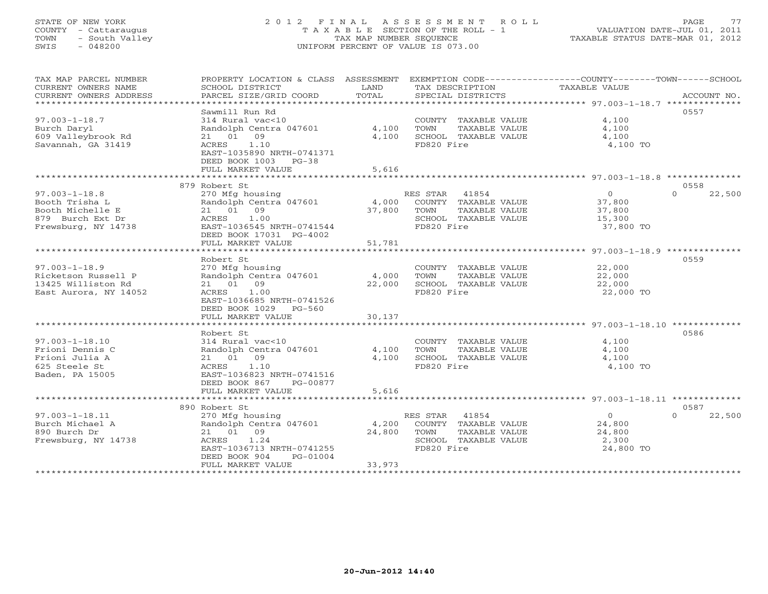# STATE OF NEW YORK 2 0 1 2 F I N A L A S S E S S M E N T R O L L PAGE 77 COUNTY - Cattaraugus T A X A B L E SECTION OF THE ROLL - 1 VALUATION DATE-JUL 01, 2011 TOWN - South Valley TAX MAP NUMBER SEQUENCE TAXABLE STATUS DATE-MAR 01, 2012 SWIS - 048200 UNIFORM PERCENT OF VALUE IS 073.00UNIFORM PERCENT OF VALUE IS 073.00

| TAX MAP PARCEL NUMBER<br>CURRENT OWNERS NAME<br>CURRENT OWNERS ADDRESS<br>***********************    | PROPERTY LOCATION & CLASS ASSESSMENT EXEMPTION CODE---------------COUNTY-------TOWN-----SCHOOL<br>SCHOOL DISTRICT<br>PARCEL SIZE/GRID COORD                      | LAND<br>TOTAL             | TAX DESCRIPTION<br>SPECIAL DISTRICTS                                                                  | TAXABLE VALUE                                             | ACCOUNT NO.        |
|------------------------------------------------------------------------------------------------------|------------------------------------------------------------------------------------------------------------------------------------------------------------------|---------------------------|-------------------------------------------------------------------------------------------------------|-----------------------------------------------------------|--------------------|
| $97.003 - 1 - 18.7$<br>Burch Daryl<br>609 Valleybrook Rd<br>Savannah, GA 31419                       | Sawmill Run Rd<br>314 Rural vac<10<br>Randolph Centra 047601<br>21 01 09<br>ACRES 1.10<br>EAST-1035890 NRTH-0741371<br>DEED BOOK 1003 PG-38<br>FULL MARKET VALUE | 4,100<br>4,100<br>5,616   | COUNTY TAXABLE VALUE<br>TOWN<br>TAXABLE VALUE<br>SCHOOL TAXABLE VALUE<br>FD820 Fire                   | 4,100<br>4,100<br>4,100<br>4,100 TO                       | 0557               |
|                                                                                                      | 879 Robert St                                                                                                                                                    |                           |                                                                                                       |                                                           | 0558               |
| $97.003 - 1 - 18.8$<br>Booth Trisha L<br>Booth Michelle E<br>879 Burch Ext Dr<br>Frewsburg, NY 14738 | 270 Mfg housing<br>Randolph Centra 047601<br>21 01 09<br>1.00<br>ACRES<br>EAST-1036545 NRTH-0741544<br>DEED BOOK 17031 PG-4002<br>FULL MARKET VALUE              | 4,000<br>37,800<br>51,781 | RES STAR 41854<br>COUNTY TAXABLE VALUE<br>TOWN<br>TAXABLE VALUE<br>SCHOOL TAXABLE VALUE<br>FD820 Fire | $\overline{O}$<br>37,800<br>37,800<br>15,300<br>37,800 TO | $\Omega$<br>22,500 |
|                                                                                                      |                                                                                                                                                                  |                           |                                                                                                       |                                                           |                    |
| $97.003 - 1 - 18.9$<br>Ricketson Russell P<br>13425 Williston Rd<br>East Aurora, NY 14052            | Robert St<br>270 Mfg housing<br>Randolph Centra 047601<br>21 01 09<br>1.00<br>ACRES<br>EAST-1036685 NRTH-0741526<br>DEED BOOK 1029<br>PG-560                     | 4,000<br>22,000           | COUNTY TAXABLE VALUE<br>TOWN<br>TAXABLE VALUE<br>SCHOOL TAXABLE VALUE<br>FD820 Fire                   | 22,000<br>22,000<br>22,000<br>22,000 TO                   | 0559               |
|                                                                                                      | FULL MARKET VALUE                                                                                                                                                | 30,137                    |                                                                                                       |                                                           |                    |
| $97.003 - 1 - 18.10$<br>Frioni Dennis C<br>Frioni Julia A<br>625 Steele St<br>Baden, PA 15005        | Robert St<br>314 Rural vac<10<br>Randolph Centra 047601<br>21 01 09<br>1.10<br>ACRES<br>EAST-1036823 NRTH-0741516<br>DEED BOOK 867<br>PG-00877                   | 4,100<br>4,100            | COUNTY TAXABLE VALUE<br>TOWN<br>TAXABLE VALUE<br>SCHOOL TAXABLE VALUE<br>FD820 Fire                   | 4,100<br>4,100<br>4,100<br>4,100 TO                       | 0586               |
|                                                                                                      | FULL MARKET VALUE                                                                                                                                                | 5,616                     |                                                                                                       |                                                           |                    |
|                                                                                                      | 890 Robert St                                                                                                                                                    |                           |                                                                                                       |                                                           | 0587               |
| $97.003 - 1 - 18.11$<br>Burch Michael A<br>890 Burch Dr<br>Frewsburg, NY 14738                       | 270 Mfg housing<br>Randolph Centra 047601<br>21 01 09<br>1.24<br>ACRES<br>EAST-1036713 NRTH-0741255<br>DEED BOOK 904<br>PG-01004<br>FULL MARKET VALUE            | 4,200<br>24,800<br>33,973 | RES STAR 41854<br>COUNTY TAXABLE VALUE<br>TOWN<br>TAXABLE VALUE<br>SCHOOL TAXABLE VALUE<br>FD820 Fire | $\circ$<br>24,800<br>24,800<br>2,300<br>24,800 TO         | $\cap$<br>22,500   |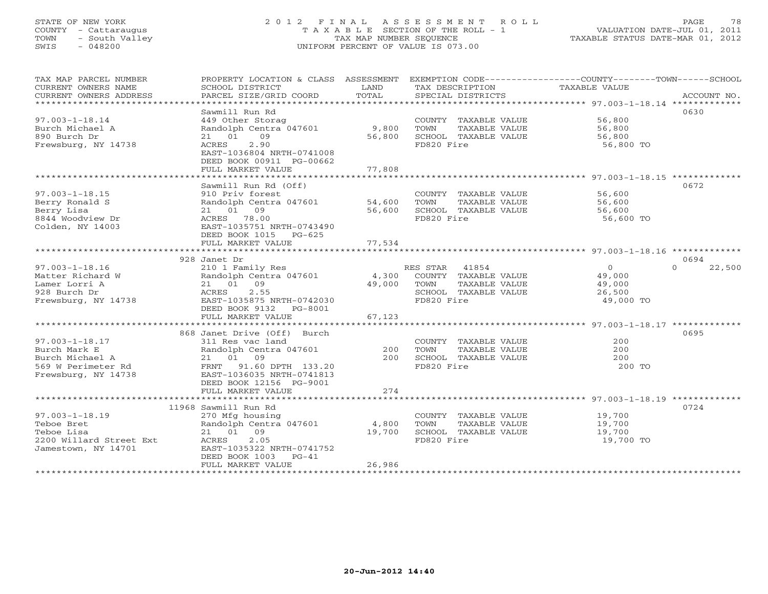# STATE OF NEW YORK 2 0 1 2 F I N A L A S S E S S M E N T R O L L PAGE 78 COUNTY - Cattaraugus T A X A B L E SECTION OF THE ROLL - 1 VALUATION DATE-JUL 01, 2011 TOWN - South Valley TAX MAP NUMBER SEQUENCE TAXABLE STATUS DATE-MAR 01, 2012 SWIS - 048200 UNIFORM PERCENT OF VALUE IS 073.00UNIFORM PERCENT OF VALUE IS 073.00

| TAX MAP PARCEL NUMBER<br>CURRENT OWNERS NAME<br>CURRENT OWNERS ADDRESS                               | PROPERTY LOCATION & CLASS ASSESSMENT<br>SCHOOL DISTRICT<br>PARCEL SIZE/GRID COORD                                                                                             | LAND<br>TOTAL              | TAX DESCRIPTION<br>SPECIAL DISTRICTS                                                                                       | EXEMPTION CODE-----------------COUNTY-------TOWN------SCHOOL<br>TAXABLE VALUE | ACCOUNT NO.                |
|------------------------------------------------------------------------------------------------------|-------------------------------------------------------------------------------------------------------------------------------------------------------------------------------|----------------------------|----------------------------------------------------------------------------------------------------------------------------|-------------------------------------------------------------------------------|----------------------------|
| $97.003 - 1 - 18.14$<br>Burch Michael A<br>890 Burch Dr<br>Frewsburg, NY 14738                       | Sawmill Run Rd<br>449 Other Storag<br>Randolph Centra 047601<br>21 01 09<br>2.90<br>ACRES<br>EAST-1036804 NRTH-0741008<br>DEED BOOK 00911 PG-00662<br>FULL MARKET VALUE       | 9,800<br>56,800<br>77,808  | COUNTY TAXABLE VALUE<br>TAXABLE VALUE<br>TOWN<br>SCHOOL TAXABLE VALUE<br>FD820 Fire                                        | 56,800<br>56,800<br>56,800<br>56,800 TO                                       | 0630                       |
|                                                                                                      | Sawmill Run Rd (Off)                                                                                                                                                          |                            |                                                                                                                            |                                                                               | 0672                       |
| $97.003 - 1 - 18.15$<br>Berry Ronald S<br>Berry Lisa<br>8844 Woodview Dr<br>Colden, NY 14003         | 910 Priv forest<br>Randolph Centra 047601<br>21 01 09<br>ACRES 78.00<br>EAST-1035751 NRTH-0743490<br>DEED BOOK 1015 PG-625<br>FULL MARKET VALUE                               | 54,600<br>56,600<br>77,534 | COUNTY TAXABLE VALUE<br>TOWN<br>TAXABLE VALUE<br>SCHOOL TAXABLE VALUE<br>FD820 Fire                                        | 56,600<br>56,600<br>56,600<br>56,600 TO                                       |                            |
|                                                                                                      | ***********************                                                                                                                                                       | ************               |                                                                                                                            |                                                                               |                            |
| $97.003 - 1 - 18.16$                                                                                 | 928 Janet Dr<br>210 1 Family Res                                                                                                                                              |                            | RES STAR<br>41854                                                                                                          | $\overline{O}$                                                                | 0694<br>$\Omega$<br>22,500 |
| Matter Richard W<br>Lamer Lorri A<br>928 Burch Dr<br>Frewsburg, NY 14738                             | Randolph Centra 047601<br>21 01 09<br>2.55<br>ACRES<br>EAST-1035875 NRTH-0742030<br>DEED BOOK 9132 PG-8001                                                                    | 4,300<br>49,000            | COUNTY TAXABLE VALUE<br>TOWN<br>TAXABLE VALUE<br>SCHOOL TAXABLE VALUE<br>FD820 Fire                                        | 49,000<br>49,000<br>26,500<br>49,000 TO                                       |                            |
|                                                                                                      | FULL MARKET VALUE                                                                                                                                                             | 67,123                     |                                                                                                                            |                                                                               |                            |
| $97.003 - 1 - 18.17$<br>Burch Mark E<br>Burch Michael A<br>569 W Perimeter Rd<br>Frewsburg, NY 14738 | 868 Janet Drive (Off) Burch<br>311 Res vac land<br>Randolph Centra 047601<br>21 01 09<br>FRNT 91.60 DPTH 133.20<br>EAST-1036035 NRTH-0741813<br>DEED BOOK 12156 PG-9001       | 200<br>200                 | COUNTY TAXABLE VALUE<br>TOWN<br>TAXABLE VALUE<br>SCHOOL TAXABLE VALUE<br>FD820 Fire                                        | 200<br>200<br>200<br>200 TO                                                   | 0695                       |
|                                                                                                      | FULL MARKET VALUE                                                                                                                                                             | 274                        |                                                                                                                            |                                                                               |                            |
| $97.003 - 1 - 18.19$<br>Teboe Bret<br>Teboe Lisa<br>2200 Willard Street Ext<br>Jamestown, NY 14701   | 11968 Sawmill Run Rd<br>270 Mfg housing<br>Randolph Centra 047601<br>21 01 09<br>ACRES<br>2.05<br>EAST-1035322 NRTH-0741752<br>DEED BOOK 1003<br>$PG-41$<br>FULL MARKET VALUE | 4,800<br>19,700<br>26,986  | COUNTY TAXABLE VALUE<br>TOWN<br>TAXABLE VALUE<br>SCHOOL TAXABLE VALUE<br>FD820 Fire<br>*********************************** | 19,700<br>19,700<br>19,700<br>19,700 TO                                       | 0724                       |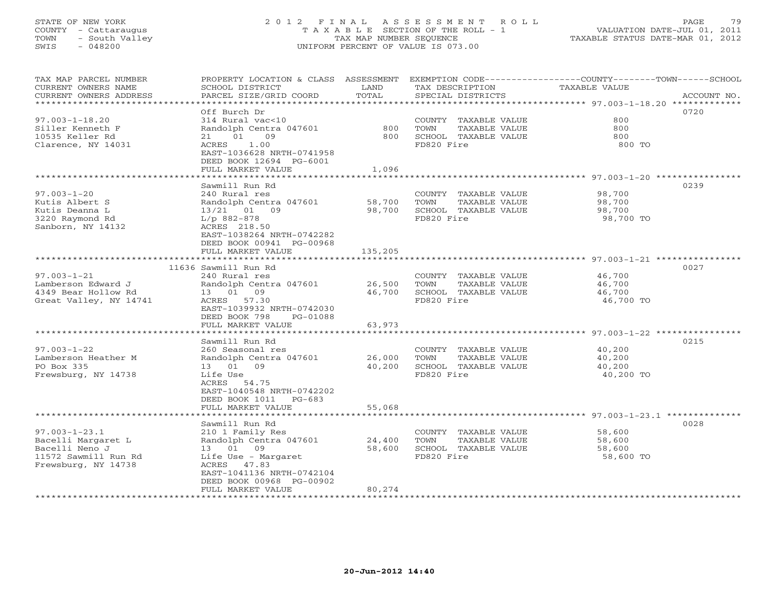# STATE OF NEW YORK 2 0 1 2 F I N A L A S S E S S M E N T R O L L PAGE 79 COUNTY - Cattaraugus T A X A B L E SECTION OF THE ROLL - 1 VALUATION DATE-JUL 01, 2011 TOWN - South Valley TAX MAP NUMBER SEQUENCE TAXABLE STATUS DATE-MAR 01, 2012 SWIS - 048200 UNIFORM PERCENT OF VALUE IS 073.00UNIFORM PERCENT OF VALUE IS 073.00

| TAX MAP PARCEL NUMBER<br>CURRENT OWNERS NAME<br>CURRENT OWNERS ADDRESS<br>************************** | PROPERTY LOCATION & CLASS ASSESSMENT<br>SCHOOL DISTRICT<br>PARCEL SIZE/GRID COORD                                                                | LAND<br>TOTAL    | TAX DESCRIPTION<br>SPECIAL DISTRICTS                                                | EXEMPTION CODE-----------------COUNTY-------TOWN------SCHOOL<br>TAXABLE VALUE<br>ACCOUNT NO. |
|------------------------------------------------------------------------------------------------------|--------------------------------------------------------------------------------------------------------------------------------------------------|------------------|-------------------------------------------------------------------------------------|----------------------------------------------------------------------------------------------|
|                                                                                                      |                                                                                                                                                  |                  |                                                                                     |                                                                                              |
| $97.003 - 1 - 18.20$<br>Siller Kenneth F<br>10535 Keller Rd<br>Clarence, NY 14031                    | Off Burch Dr<br>314 Rural vac<10<br>Randolph Centra 047601<br>01<br>09<br>21<br>1.00<br>ACRES                                                    | 800<br>800       | COUNTY TAXABLE VALUE<br>TAXABLE VALUE<br>TOWN<br>SCHOOL TAXABLE VALUE<br>FD820 Fire | 0720<br>800<br>800<br>800<br>800 TO                                                          |
|                                                                                                      | EAST-1036628 NRTH-0741958<br>DEED BOOK 12694 PG-6001<br>FULL MARKET VALUE                                                                        | 1,096            |                                                                                     |                                                                                              |
|                                                                                                      |                                                                                                                                                  |                  |                                                                                     |                                                                                              |
|                                                                                                      | Sawmill Run Rd                                                                                                                                   |                  |                                                                                     | 0239                                                                                         |
| $97.003 - 1 - 20$<br>Kutis Albert S<br>Kutis Deanna L<br>3220 Raymond Rd<br>Sanborn, NY 14132        | 240 Rural res<br>Randolph Centra 047601<br>13/21 01 09<br>$L/p$ 882-878<br>ACRES 218.50<br>EAST-1038264 NRTH-0742282<br>DEED BOOK 00941 PG-00968 | 58,700<br>98,700 | COUNTY TAXABLE VALUE<br>TAXABLE VALUE<br>TOWN<br>SCHOOL TAXABLE VALUE<br>FD820 Fire | 98,700<br>98,700<br>98,700<br>98,700 TO                                                      |
|                                                                                                      | FULL MARKET VALUE                                                                                                                                | 135,205          |                                                                                     |                                                                                              |
|                                                                                                      | *************************                                                                                                                        | **********       |                                                                                     | ****************************** 97.003-1-21 ****************                                  |
| $97.003 - 1 - 21$                                                                                    | 11636 Sawmill Run Rd<br>240 Rural res                                                                                                            |                  |                                                                                     | 0027                                                                                         |
| Lamberson Edward J                                                                                   | Randolph Centra 047601                                                                                                                           | 26,500           | COUNTY TAXABLE VALUE<br>TAXABLE VALUE<br>TOWN                                       | 46,700<br>46,700                                                                             |
| 4349 Bear Hollow Rd                                                                                  | 13 01 09                                                                                                                                         | 46,700           | SCHOOL TAXABLE VALUE                                                                | 46,700                                                                                       |
| Great Valley, NY 14741                                                                               | ACRES 57.30                                                                                                                                      |                  | FD820 Fire                                                                          | 46,700 TO                                                                                    |
|                                                                                                      | EAST-1039932 NRTH-0742030                                                                                                                        |                  |                                                                                     |                                                                                              |
|                                                                                                      | DEED BOOK 798<br>PG-01088                                                                                                                        |                  |                                                                                     |                                                                                              |
|                                                                                                      | FULL MARKET VALUE                                                                                                                                | 63,973           |                                                                                     |                                                                                              |
|                                                                                                      | ***************************                                                                                                                      | **************   |                                                                                     | ******************************* 97.003-1-22 ****************                                 |
|                                                                                                      | Sawmill Run Rd                                                                                                                                   |                  |                                                                                     | 0215                                                                                         |
| $97.003 - 1 - 22$                                                                                    | 260 Seasonal res                                                                                                                                 |                  | COUNTY TAXABLE VALUE                                                                | 40,200                                                                                       |
| Lamberson Heather M                                                                                  | Randolph Centra 047601                                                                                                                           | 26,000           | TOWN<br>TAXABLE VALUE                                                               | 40,200                                                                                       |
| PO Box 335                                                                                           | 13 01<br>09                                                                                                                                      | 40,200           | SCHOOL TAXABLE VALUE                                                                | 40,200                                                                                       |
| Frewsburg, NY 14738                                                                                  | Life Use<br>ACRES 54.75<br>EAST-1040548 NRTH-0742202<br>DEED BOOK 1011<br>$PG-683$                                                               |                  | FD820 Fire                                                                          | 40,200 TO                                                                                    |
|                                                                                                      | FULL MARKET VALUE                                                                                                                                | 55,068           |                                                                                     | ******************************* 97.003-1-23.1 **************                                 |
|                                                                                                      | Sawmill Run Rd                                                                                                                                   |                  |                                                                                     | 0028                                                                                         |
| $97.003 - 1 - 23.1$                                                                                  | 210 1 Family Res                                                                                                                                 |                  | COUNTY TAXABLE VALUE                                                                | 58,600                                                                                       |
| Bacelli Margaret L                                                                                   | Randolph Centra 047601                                                                                                                           | 24,400           | TOWN<br>TAXABLE VALUE                                                               | 58,600                                                                                       |
| Bacelli Neno J                                                                                       | 13 01 09                                                                                                                                         | 58,600           | SCHOOL TAXABLE VALUE                                                                | 58,600                                                                                       |
| 11572 Sawmill Run Rd                                                                                 | Life Use - Margaret                                                                                                                              |                  | FD820 Fire                                                                          | 58,600 TO                                                                                    |
| Frewsburg, NY 14738                                                                                  | ACRES 47.83                                                                                                                                      |                  |                                                                                     |                                                                                              |
|                                                                                                      | EAST-1041136 NRTH-0742104                                                                                                                        |                  |                                                                                     |                                                                                              |
|                                                                                                      | DEED BOOK 00968 PG-00902                                                                                                                         |                  |                                                                                     |                                                                                              |
|                                                                                                      | FULL MARKET VALUE                                                                                                                                | 80,274           |                                                                                     |                                                                                              |
| ***********************                                                                              | **************************                                                                                                                       |                  |                                                                                     |                                                                                              |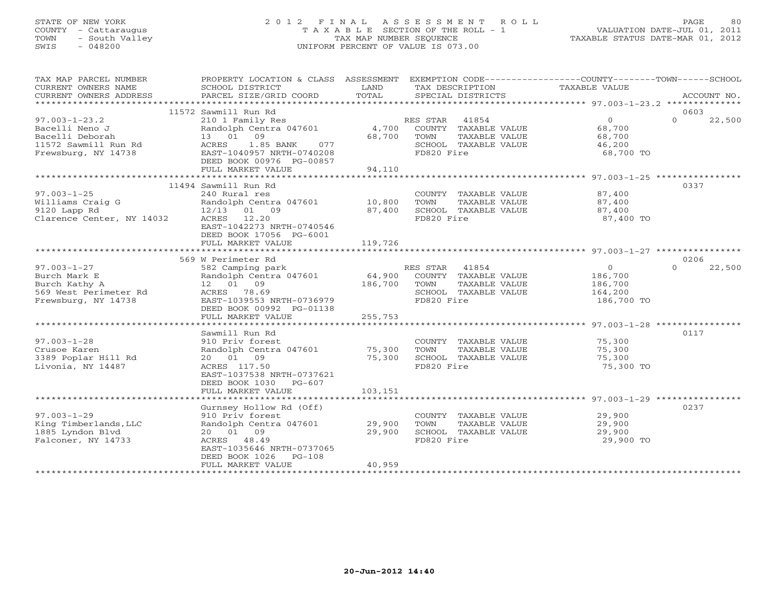# STATE OF NEW YORK 2 0 1 2 F I N A L A S S E S S M E N T R O L L PAGE 80 COUNTY - Cattaraugus T A X A B L E SECTION OF THE ROLL - 1 VALUATION DATE-JUL 01, 2011 TOWN - South Valley TAX MAP NUMBER SEQUENCE TAXABLE STATUS DATE-MAR 01, 2012 SWIS - 048200 UNIFORM PERCENT OF VALUE IS 073.00UNIFORM PERCENT OF VALUE IS 073.00

| TAX MAP PARCEL NUMBER                       | PROPERTY LOCATION & CLASS ASSESSMENT EXEMPTION CODE---------------COUNTY-------TOWN------SCHOOL |              |                             |                    |                    |
|---------------------------------------------|-------------------------------------------------------------------------------------------------|--------------|-----------------------------|--------------------|--------------------|
| CURRENT OWNERS NAME                         | SCHOOL DISTRICT                                                                                 | LAND         | TAX DESCRIPTION             | TAXABLE VALUE      |                    |
| CURRENT OWNERS ADDRESS                      | PARCEL SIZE/GRID COORD                                                                          | TOTAL        | SPECIAL DISTRICTS           |                    | ACCOUNT NO.        |
|                                             |                                                                                                 |              |                             |                    |                    |
|                                             | 11572 Sawmill Run Rd                                                                            |              |                             |                    | 0603               |
| $97.003 - 1 - 23.2$                         | 210 1 Family Res                                                                                |              | RES STAR 41854              | $\overline{0}$     | $\Omega$<br>22,500 |
| Bacelli Neno J<br>Randolph Cent<br>13 01 09 | Randolph Centra 047601                                                                          |              | 4,700 COUNTY TAXABLE VALUE  | 68,700<br>68.700   |                    |
| Bacelli Deborah                             |                                                                                                 | 68,700       | TOWN<br>TAXABLE VALUE       | 68,700             |                    |
|                                             |                                                                                                 |              | SCHOOL TAXABLE VALUE        | 46,200             |                    |
|                                             |                                                                                                 |              | FD820 Fire                  | 68,700 TO          |                    |
|                                             | DEED BOOK 00976 PG-00857<br>FULL MARKET VALUE                                                   | 94,110       |                             |                    |                    |
|                                             |                                                                                                 |              |                             |                    |                    |
|                                             | 11494 Sawmill Run Rd                                                                            |              |                             |                    | 0337               |
| $97.003 - 1 - 25$                           | 240 Rural res                                                                                   |              | COUNTY TAXABLE VALUE 87,400 |                    |                    |
|                                             |                                                                                                 |              | TOWN<br>TAXABLE VALUE       | 87,400             |                    |
|                                             |                                                                                                 |              | SCHOOL TAXABLE VALUE        | 87,400             |                    |
|                                             |                                                                                                 |              | FD820 Fire                  | 87,400 TO          |                    |
|                                             | EAST-1042273 NRTH-0740546                                                                       |              |                             |                    |                    |
|                                             | DEED BOOK 17056 PG-6001                                                                         |              |                             |                    |                    |
|                                             | FULL MARKET VALUE                                                                               | 119,726      |                             |                    |                    |
|                                             |                                                                                                 |              |                             |                    |                    |
|                                             | 569 W Perimeter Rd                                                                              |              |                             |                    | 0206               |
| $97.003 - 1 - 27$                           | 582 Camping park                                                                                |              | RES STAR 41854              | $\overline{0}$     | $\Omega$<br>22,500 |
| Burch Mark E                                |                                                                                                 |              |                             | 186,700            |                    |
| Burch Kathy A                               | 12  01  09                                                                                      | 186,700 TOWN | TAXABLE VALUE               |                    |                    |
| 569 West Perimeter Rd                       | ACRES 78.69                                                                                     |              | SCHOOL TAXABLE VALUE        | 186,700<br>164,200 |                    |
| Frewsburg, NY 14738                         | EAST-1039553 NRTH-0736979                                                                       |              | FD820 Fire                  | 186,700 TO         |                    |
|                                             | DEED BOOK 00992 PG-01138                                                                        |              |                             |                    |                    |
|                                             | FULL MARKET VALUE                                                                               | 255,753      |                             |                    |                    |
|                                             |                                                                                                 |              |                             |                    |                    |
|                                             | Sawmill Run Rd                                                                                  |              |                             |                    | 0117               |
| $97.003 - 1 - 28$                           | 910 Priv forest                                                                                 |              | COUNTY TAXABLE VALUE        | 75,300             |                    |
| Crusoe Karen                                | Randolph Centra 047601 75,300                                                                   |              | TAXABLE VALUE<br>TOWN       | 75,300             |                    |
| 3389 Poplar Hill Rd                         | 20 01 09                                                                                        | 75,300       | SCHOOL TAXABLE VALUE        | 75,300             |                    |
| Livonia, NY 14487                           | ACRES 117.50                                                                                    |              | FD820 Fire                  | 75,300 TO          |                    |
|                                             | EAST-1037538 NRTH-0737621                                                                       |              |                             |                    |                    |
|                                             | DEED BOOK 1030 PG-607                                                                           |              |                             |                    |                    |
|                                             | FULL MARKET VALUE                                                                               | 103,151      |                             |                    |                    |
|                                             |                                                                                                 |              |                             |                    | 0237               |
| $97.003 - 1 - 29$                           | Gurnsey Hollow Rd (Off)<br>910 Priv forest                                                      |              | COUNTY TAXABLE VALUE        | 29,900             |                    |
| King Timberlands, LLC                       | Randolph Centra 047601 29,900                                                                   |              | TOWN<br>TAXABLE VALUE       | 29,900             |                    |
| 1885 Lyndon Blyd                            | 20 01 09                                                                                        | 29,900       | SCHOOL TAXABLE VALUE        | 29,900             |                    |
| Falconer, NY 14733                          | ACRES 48.49                                                                                     |              | FD820 Fire                  | 29,900 TO          |                    |
|                                             | EAST-1035646 NRTH-0737065                                                                       |              |                             |                    |                    |
|                                             | DEED BOOK 1026<br>PG-108                                                                        |              |                             |                    |                    |
|                                             | FULL MARKET VALUE                                                                               | 40,959       |                             |                    |                    |
|                                             |                                                                                                 |              |                             |                    |                    |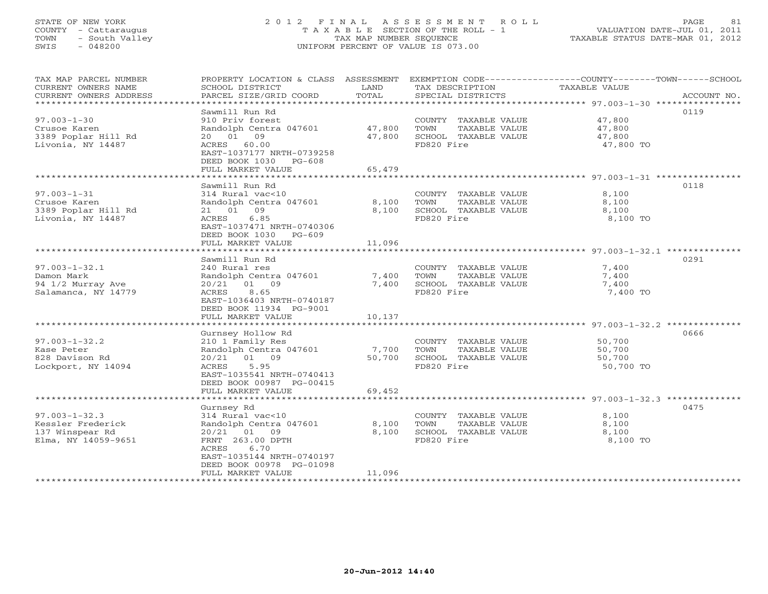# STATE OF NEW YORK 2 0 1 2 F I N A L A S S E S S M E N T R O L L PAGE 81 COUNTY - Cattaraugus T A X A B L E SECTION OF THE ROLL - 1 VALUATION DATE-JUL 01, 2011 TOWN - South Valley TAX MAP NUMBER SEQUENCE TAXABLE STATUS DATE-MAR 01, 2012 SWIS - 048200 UNIFORM PERCENT OF VALUE IS 073.00UNIFORM PERCENT OF VALUE IS 073.00

| TAX MAP PARCEL NUMBER<br>CURRENT OWNERS NAME<br>CURRENT OWNERS ADDRESS | SCHOOL DISTRICT<br>PARCEL SIZE/GRID COORD    | LAND<br>TOTAL                   | TAX DESCRIPTION<br>SPECIAL DISTRICTS | PROPERTY LOCATION & CLASS ASSESSMENT EXEMPTION CODE----------------COUNTY-------TOWN------SCHOOL<br>TAXABLE VALUE<br>ACCOUNT NO. |
|------------------------------------------------------------------------|----------------------------------------------|---------------------------------|--------------------------------------|----------------------------------------------------------------------------------------------------------------------------------|
| ***********************                                                |                                              |                                 |                                      |                                                                                                                                  |
|                                                                        | Sawmill Run Rd                               |                                 |                                      | 0119                                                                                                                             |
| $97.003 - 1 - 30$                                                      | 910 Priv forest                              |                                 | COUNTY TAXABLE VALUE                 | 47,800                                                                                                                           |
| Crusoe Karen                                                           | Randolph Centra 047601                       | 47,800                          | TAXABLE VALUE<br>TOWN                | 47,800                                                                                                                           |
| 3389 Poplar Hill Rd                                                    | 20  01  09                                   | 47,800                          | SCHOOL TAXABLE VALUE                 | 47,800                                                                                                                           |
| Livonia, NY 14487                                                      | ACRES 60.00<br>EAST-1037177 NRTH-0739258     |                                 | FD820 Fire                           | 47,800 TO                                                                                                                        |
|                                                                        | DEED BOOK 1030<br>PG-608                     |                                 |                                      |                                                                                                                                  |
|                                                                        | FULL MARKET VALUE<br>*********************** | 65,479<br>* * * * * * * * * * * |                                      | ******************** 97.003-1-31 *****************                                                                               |
|                                                                        | Sawmill Run Rd                               |                                 |                                      | 0118                                                                                                                             |
| $97.003 - 1 - 31$                                                      | 314 Rural vac<10                             |                                 | COUNTY TAXABLE VALUE                 | 8,100                                                                                                                            |
| Crusoe Karen                                                           | Randolph Centra 047601                       | 8,100                           | TOWN<br>TAXABLE VALUE                | 8,100                                                                                                                            |
| 3389 Poplar Hill Rd                                                    | 21 01 09                                     | 8,100                           | SCHOOL TAXABLE VALUE                 | 8,100                                                                                                                            |
| Livonia, NY 14487                                                      | ACRES<br>6.85                                |                                 | FD820 Fire                           | 8,100 TO                                                                                                                         |
|                                                                        | EAST-1037471 NRTH-0740306                    |                                 |                                      |                                                                                                                                  |
|                                                                        | DEED BOOK 1030 PG-609                        |                                 |                                      |                                                                                                                                  |
|                                                                        | FULL MARKET VALUE                            | 11,096                          |                                      |                                                                                                                                  |
|                                                                        |                                              |                                 |                                      |                                                                                                                                  |
|                                                                        | Sawmill Run Rd                               |                                 |                                      | 0291                                                                                                                             |
| $97.003 - 1 - 32.1$                                                    | 240 Rural res                                |                                 | COUNTY TAXABLE VALUE                 | 7,400                                                                                                                            |
| Damon Mark                                                             | Randolph Centra 047601                       | 7,400                           | TOWN<br>TAXABLE VALUE                | 7,400                                                                                                                            |
| 94 1/2 Murray Ave                                                      | 20/21<br>01 09                               | 7,400                           | SCHOOL TAXABLE VALUE                 | 7,400                                                                                                                            |
| Salamanca, NY 14779                                                    | ACRES<br>8.65<br>EAST-1036403 NRTH-0740187   |                                 | FD820 Fire                           | 7,400 TO                                                                                                                         |
|                                                                        | DEED BOOK 11934 PG-9001                      |                                 |                                      |                                                                                                                                  |
|                                                                        | FULL MARKET VALUE                            | 10,137                          |                                      |                                                                                                                                  |
|                                                                        |                                              |                                 |                                      |                                                                                                                                  |
|                                                                        | Gurnsey Hollow Rd                            |                                 |                                      | 0666                                                                                                                             |
| $97.003 - 1 - 32.2$                                                    | 210 1 Family Res                             |                                 | COUNTY TAXABLE VALUE                 | 50,700                                                                                                                           |
| Kase Peter                                                             | Randolph Centra 047601                       | 7,700                           | TAXABLE VALUE<br>TOWN                | 50,700                                                                                                                           |
| 828 Davison Rd                                                         | 20/21 01 09                                  | 50,700                          | SCHOOL TAXABLE VALUE                 | 50,700                                                                                                                           |
| Lockport, NY 14094                                                     | 5.95<br>ACRES                                |                                 | FD820 Fire                           | 50,700 TO                                                                                                                        |
|                                                                        | EAST-1035541 NRTH-0740413                    |                                 |                                      |                                                                                                                                  |
|                                                                        | DEED BOOK 00987 PG-00415                     |                                 |                                      |                                                                                                                                  |
|                                                                        | FULL MARKET VALUE<br>********************    | 69,452<br>************          |                                      |                                                                                                                                  |
|                                                                        | Gurnsey Rd                                   |                                 |                                      | 0475                                                                                                                             |
| $97.003 - 1 - 32.3$                                                    | 314 Rural vac<10                             |                                 | COUNTY TAXABLE VALUE                 | 8,100                                                                                                                            |
| Kessler Frederick                                                      | Randolph Centra 047601                       | 8,100                           | TOWN<br>TAXABLE VALUE                | 8,100                                                                                                                            |
| 137 Winspear Rd                                                        | $20/21$ 01<br>09                             | 8,100                           | SCHOOL TAXABLE VALUE                 | 8,100                                                                                                                            |
| Elma, NY 14059-9651                                                    | FRNT 263.00 DPTH                             |                                 | FD820 Fire                           | 8,100 TO                                                                                                                         |
|                                                                        | ACRES<br>6.70                                |                                 |                                      |                                                                                                                                  |
|                                                                        | EAST-1035144 NRTH-0740197                    |                                 |                                      |                                                                                                                                  |
|                                                                        | DEED BOOK 00978 PG-01098                     |                                 |                                      |                                                                                                                                  |
|                                                                        | FULL MARKET VALUE                            | 11,096                          |                                      |                                                                                                                                  |
|                                                                        |                                              |                                 |                                      |                                                                                                                                  |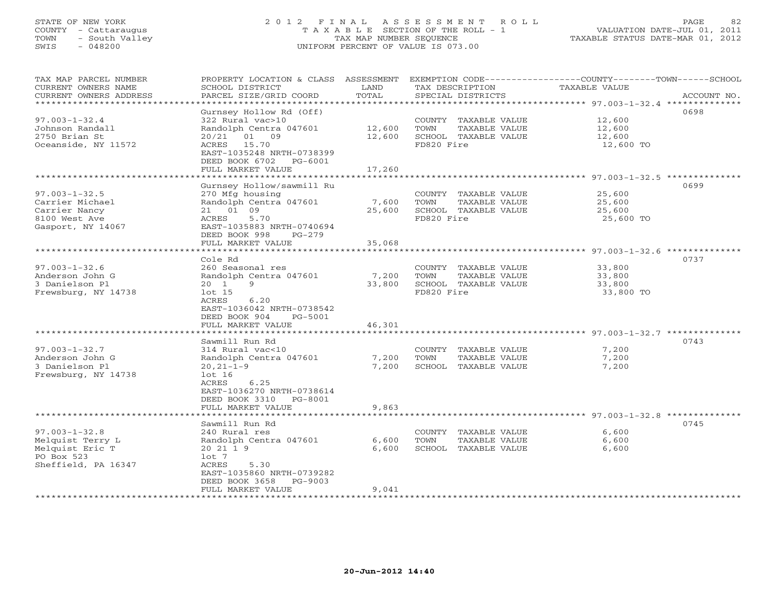# STATE OF NEW YORK 2 0 1 2 F I N A L A S S E S S M E N T R O L L PAGE 82 COUNTY - Cattaraugus T A X A B L E SECTION OF THE ROLL - 1 VALUATION DATE-JUL 01, 2011 TOWN - South Valley TAX MAP NUMBER SEQUENCE TAXABLE STATUS DATE-MAR 01, 2012 SWIS - 048200 UNIFORM PERCENT OF VALUE IS 073.00UNIFORM PERCENT OF VALUE IS 073.00

| TAX MAP PARCEL NUMBER<br>CURRENT OWNERS NAME<br>CURRENT OWNERS ADDRESS | PROPERTY LOCATION & CLASS ASSESSMENT<br>SCHOOL DISTRICT<br>PARCEL SIZE/GRID COORD | LAND<br>TOTAL | TAX DESCRIPTION<br>SPECIAL DISTRICTS | EXEMPTION CODE-----------------COUNTY-------TOWN------SCHOOL<br><b>TAXABLE VALUE</b><br>ACCOUNT NO. |
|------------------------------------------------------------------------|-----------------------------------------------------------------------------------|---------------|--------------------------------------|-----------------------------------------------------------------------------------------------------|
| ********************                                                   |                                                                                   |               |                                      |                                                                                                     |
| $97.003 - 1 - 32.4$                                                    | Gurnsey Hollow Rd (Off)<br>322 Rural vac>10                                       |               | COUNTY TAXABLE VALUE                 | 0698<br>12,600                                                                                      |
| Johnson Randall                                                        | Randolph Centra 047601                                                            | 12,600        | TOWN<br>TAXABLE VALUE                | 12,600                                                                                              |
| 2750 Brian St                                                          | 20/21<br>01 09                                                                    | 12,600        | SCHOOL TAXABLE VALUE                 | 12,600                                                                                              |
| Oceanside, NY 11572                                                    | ACRES 15.70<br>EAST-1035248 NRTH-0738399                                          |               | FD820 Fire                           | 12,600 TO                                                                                           |
|                                                                        | DEED BOOK 6702 PG-6001                                                            |               |                                      |                                                                                                     |
|                                                                        | FULL MARKET VALUE                                                                 | 17,260        |                                      |                                                                                                     |
|                                                                        |                                                                                   |               |                                      |                                                                                                     |
|                                                                        | Gurnsey Hollow/sawmill Ru                                                         |               |                                      | 0699                                                                                                |
| $97.003 - 1 - 32.5$                                                    | 270 Mfg housing                                                                   |               | COUNTY TAXABLE VALUE                 | 25,600                                                                                              |
| Carrier Michael                                                        | Randolph Centra 047601                                                            | 7,600         | TOWN<br>TAXABLE VALUE                | 25,600                                                                                              |
| Carrier Nancy                                                          | 21 01 09                                                                          | 25,600        | SCHOOL TAXABLE VALUE                 | 25,600                                                                                              |
| 8100 West Ave<br>Gasport, NY 14067                                     | 5.70<br>ACRES<br>EAST-1035883 NRTH-0740694                                        |               | FD820 Fire                           | 25,600 TO                                                                                           |
|                                                                        | DEED BOOK 998<br>$PG-279$                                                         |               |                                      |                                                                                                     |
|                                                                        | FULL MARKET VALUE                                                                 | 35,068        |                                      |                                                                                                     |
|                                                                        | *************************                                                         |               |                                      |                                                                                                     |
|                                                                        | Cole Rd                                                                           |               |                                      | 0737                                                                                                |
| $97.003 - 1 - 32.6$                                                    | 260 Seasonal res                                                                  |               | COUNTY TAXABLE VALUE                 | 33,800                                                                                              |
| Anderson John G                                                        | Randolph Centra 047601                                                            | 7,200         | TOWN<br>TAXABLE VALUE                | 33,800                                                                                              |
| 3 Danielson Pl                                                         | $20 \t1$<br>9                                                                     | 33,800        | SCHOOL TAXABLE VALUE                 | 33,800                                                                                              |
| Frewsburg, NY 14738                                                    | $1$ ot $15$                                                                       |               | FD820 Fire                           | 33,800 TO                                                                                           |
|                                                                        | ACRES<br>6.20                                                                     |               |                                      |                                                                                                     |
|                                                                        | EAST-1036042 NRTH-0738542<br>DEED BOOK 904                                        |               |                                      |                                                                                                     |
|                                                                        | PG-5001<br>FULL MARKET VALUE                                                      | 46,301        |                                      |                                                                                                     |
|                                                                        |                                                                                   |               |                                      |                                                                                                     |
|                                                                        | Sawmill Run Rd                                                                    |               |                                      | 0743                                                                                                |
| $97.003 - 1 - 32.7$                                                    | 314 Rural vac<10                                                                  |               | COUNTY TAXABLE VALUE                 | 7,200                                                                                               |
| Anderson John G                                                        | Randolph Centra 047601                                                            | 7,200         | TOWN<br>TAXABLE VALUE                | 7,200                                                                                               |
| 3 Danielson Pl                                                         | $20, 21 - 1 - 9$                                                                  | 7,200         | SCHOOL TAXABLE VALUE                 | 7,200                                                                                               |
| Frewsburg, NY 14738                                                    | $1$ ot $16$                                                                       |               |                                      |                                                                                                     |
|                                                                        | 6.25<br>ACRES                                                                     |               |                                      |                                                                                                     |
|                                                                        | EAST-1036270 NRTH-0738614                                                         |               |                                      |                                                                                                     |
|                                                                        | DEED BOOK 3310 PG-8001<br>FULL MARKET VALUE                                       | 9,863         |                                      |                                                                                                     |
|                                                                        |                                                                                   |               |                                      | ********** 97.003-1-32.8 ***                                                                        |
|                                                                        | Sawmill Run Rd                                                                    |               |                                      | 0745                                                                                                |
| $97.003 - 1 - 32.8$                                                    | 240 Rural res                                                                     |               | COUNTY TAXABLE VALUE                 | 6,600                                                                                               |
| Melquist Terry L                                                       | Randolph Centra 047601                                                            | 6,600         | TAXABLE VALUE<br>TOWN                | 6,600                                                                                               |
| Melquist Eric T                                                        | 20 21 1 9                                                                         | 6,600         | SCHOOL TAXABLE VALUE                 | 6,600                                                                                               |
| PO Box 523                                                             | $1$ ot 7                                                                          |               |                                      |                                                                                                     |
| Sheffield, PA 16347                                                    | ACRES<br>5.30                                                                     |               |                                      |                                                                                                     |
|                                                                        | EAST-1035860 NRTH-0739282                                                         |               |                                      |                                                                                                     |
|                                                                        | DEED BOOK 3658<br>PG-9003                                                         | 9,041         |                                      |                                                                                                     |
|                                                                        | FULL MARKET VALUE                                                                 |               |                                      |                                                                                                     |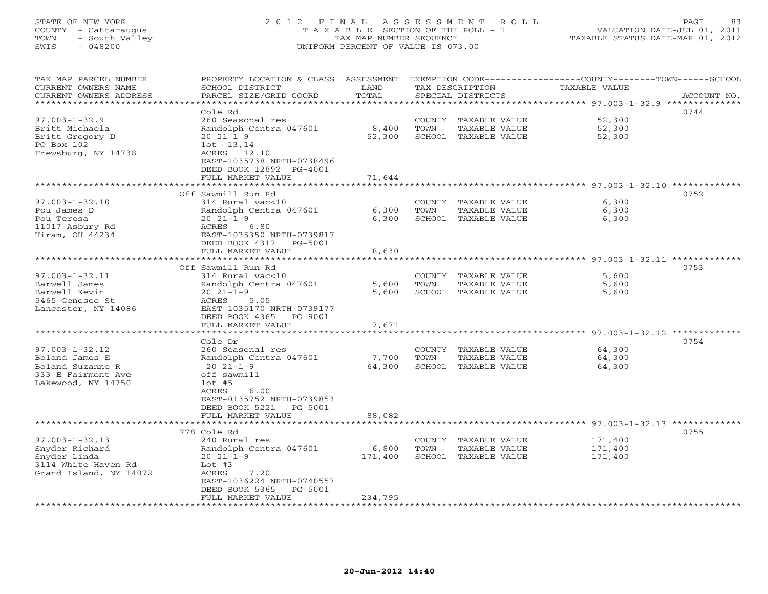# STATE OF NEW YORK 2 0 1 2 F I N A L A S S E S S M E N T R O L L PAGE 83 COUNTY - Cattaraugus T A X A B L E SECTION OF THE ROLL - 1 VALUATION DATE-JUL 01, 2011 TOWN - South Valley TAX MAP NUMBER SEQUENCE TAXABLE STATUS DATE-MAR 01, 2012 SWIS - 048200 UNIFORM PERCENT OF VALUE IS 073.00UNIFORM PERCENT OF VALUE IS 073.00

| TAX MAP PARCEL NUMBER<br>CURRENT OWNERS NAME<br>CURRENT OWNERS ADDRESS<br>********************                               | PROPERTY LOCATION & CLASS ASSESSMENT<br>SCHOOL DISTRICT<br>PARCEL SIZE/GRID COORD                                                                                                                                | LAND<br>TOTAL                                 |                          | TAX DESCRIPTION<br>SPECIAL DISTRICTS                   | EXEMPTION CODE-----------------COUNTY-------TOWN------SCHOOL<br>TAXABLE VALUE                | ACCOUNT NO. |
|------------------------------------------------------------------------------------------------------------------------------|------------------------------------------------------------------------------------------------------------------------------------------------------------------------------------------------------------------|-----------------------------------------------|--------------------------|--------------------------------------------------------|----------------------------------------------------------------------------------------------|-------------|
| $97.003 - 1 - 32.9$<br>Britt Michaela<br>Britt Gregory D<br>PO Box 102<br>Frewsburg, NY 14738                                | Cole Rd<br>260 Seasonal res<br>Randolph Centra 047601<br>20 21 1 9<br>$1$ ot $13,14$<br>ACRES 12.10<br>EAST-1035738 NRTH-0738496<br>DEED BOOK 12892 PG-4001<br>FULL MARKET VALUE<br>***********************      | 8,400<br>52,300<br>71,644                     | COUNTY<br>TOWN           | TAXABLE VALUE<br>TAXABLE VALUE<br>SCHOOL TAXABLE VALUE | 52,300<br>52,300<br>52,300<br>********************************* 97.003-1-32.10 ************* | 0744        |
| $97.003 - 1 - 32.10$<br>Pou James D<br>Pou Teresa<br>11017 Asbury Rd<br>Hiram, OH 44234                                      | Off Sawmill Run Rd<br>314 Rural vac<10<br>Randolph Centra 047601<br>$20 \t21 - 1 - 9$<br>ACRES<br>6.80<br>EAST-1035350 NRTH-0739817<br>DEED BOOK 4317<br>PG-5001<br>FULL MARKET VALUE                            | 6,300<br>6,300<br>8,630                       | TOWN<br>SCHOOL           | COUNTY TAXABLE VALUE<br>TAXABLE VALUE<br>TAXABLE VALUE | 6,300<br>6,300<br>6,300<br>************************ 97.003-1-32.11 ********                  | 0752        |
| $97.003 - 1 - 32.11$<br>Barwell James<br>Barwell Kevin<br>5465 Genesee St<br>Lancaster, NY 14086                             | Off Sawmill Run Rd<br>314 Rural vac<10<br>Randolph Centra 047601<br>$20 21 - 1 - 9$<br>ACRES<br>5.05<br>EAST-1035170 NRTH-0739177<br>DEED BOOK 4365<br>PG-9001<br>FULL MARKET VALUE                              | 5,600<br>5,600<br>7,671                       | COUNTY<br>TOWN<br>SCHOOL | TAXABLE VALUE<br>TAXABLE VALUE<br>TAXABLE VALUE        | 5,600<br>5,600<br>5,600                                                                      | 0753        |
| $97.003 - 1 - 32.12$<br>Boland James E<br>Boland Suzanne R<br>333 E Fairmont Ave<br>Lakewood, NY 14750                       | Cole Dr<br>260 Seasonal res<br>Randolph Centra 047601<br>$20 \t21 - 1 - 9$<br>off sawmill<br>$1$ ot #5<br>ACRES<br>6.00<br>EAST-0135752 NRTH-0739853<br>DEED BOOK 5221<br>PG-5001<br>FULL MARKET VALUE           | 7,700<br>64,300<br>88,082                     | COUNTY<br>TOWN<br>SCHOOL | TAXABLE VALUE<br>TAXABLE VALUE<br>TAXABLE VALUE        | 64,300<br>64,300<br>64,300                                                                   | 0754        |
| $97.003 - 1 - 32.13$<br>Snyder Richard<br>Snyder Linda<br>3114 White Haven Rd<br>Grand Island, NY 14072<br>***************** | 778 Cole Rd<br>240 Rural res<br>Randolph Centra 047601<br>$20 21 - 1 - 9$<br>Lot $#3$<br>ACRES<br>7.20<br>EAST-1036224 NRTH-0740557<br>DEED BOOK 5365<br>PG-5001<br>FULL MARKET VALUE<br>*********************** | 6,800<br>171,400<br>234,795<br>************** | <b>COUNTY</b><br>TOWN    | TAXABLE VALUE<br>TAXABLE VALUE<br>SCHOOL TAXABLE VALUE | ****************************** 97.003-1-32.13 ********<br>171,400<br>171,400<br>171,400      | 0755        |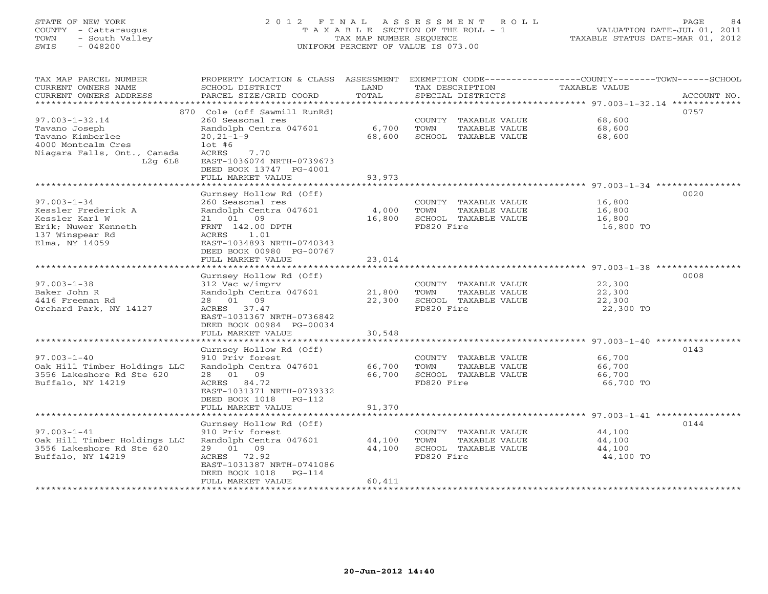# STATE OF NEW YORK 2 0 1 2 F I N A L A S S E S S M E N T R O L L PAGE 84 COUNTY - Cattaraugus T A X A B L E SECTION OF THE ROLL - 1 VALUATION DATE-JUL 01, 2011 TOWN - South Valley TAX MAP NUMBER SEQUENCE TAXABLE STATUS DATE-MAR 01, 2012 SWIS - 048200 UNIFORM PERCENT OF VALUE IS 073.00UNIFORM PERCENT OF VALUE IS 073.00

| TAX MAP PARCEL NUMBER<br>CURRENT OWNERS NAME              | PROPERTY LOCATION & CLASS ASSESSMENT<br>SCHOOL DISTRICT<br>PARCEL SIZE/GRID COORD | LAND<br>TOTAL    | TAX DESCRIPTION                               | EXEMPTION CODE-----------------COUNTY-------TOWN-----SCHOOL<br>TAXABLE VALUE<br>ACCOUNT NO. |
|-----------------------------------------------------------|-----------------------------------------------------------------------------------|------------------|-----------------------------------------------|---------------------------------------------------------------------------------------------|
| CURRENT OWNERS ADDRESS<br>**************************      |                                                                                   |                  | SPECIAL DISTRICTS                             |                                                                                             |
|                                                           | 870 Cole (off Sawmill RunRd)                                                      |                  |                                               | 0757                                                                                        |
| $97.003 - 1 - 32.14$                                      | 260 Seasonal res                                                                  |                  | COUNTY TAXABLE VALUE                          | 68,600                                                                                      |
| Tavano Joseph                                             | Randolph Centra 047601                                                            | 6,700            | TOWN<br>TAXABLE VALUE                         | 68,600                                                                                      |
| Tavano Kimberlee                                          | $20, 21 - 1 - 9$                                                                  | 68,600           | SCHOOL TAXABLE VALUE                          | 68,600                                                                                      |
| 4000 Montcalm Cres                                        | $1$ ot #6                                                                         |                  |                                               |                                                                                             |
| Niagara Falls, Ont., Canada                               | ACRES<br>7.70                                                                     |                  |                                               |                                                                                             |
| $L2q$ 6 $L8$                                              | EAST-1036074 NRTH-0739673                                                         |                  |                                               |                                                                                             |
|                                                           | DEED BOOK 13747 PG-4001                                                           |                  |                                               |                                                                                             |
|                                                           | FULL MARKET VALUE                                                                 | 93,973           |                                               |                                                                                             |
|                                                           | Gurnsey Hollow Rd (Off)                                                           |                  |                                               | 0020                                                                                        |
| $97.003 - 1 - 34$                                         | 260 Seasonal res                                                                  |                  | COUNTY TAXABLE VALUE                          | 16,800                                                                                      |
| Kessler Frederick A                                       | Randolph Centra 047601                                                            | 4,000            | TOWN<br>TAXABLE VALUE                         | 16,800                                                                                      |
| Kessler Karl W                                            | 21 01 09                                                                          | 16,800           | SCHOOL TAXABLE VALUE                          | 16,800                                                                                      |
| Erik; Nuwer Kenneth                                       | FRNT 142.00 DPTH                                                                  |                  | FD820 Fire                                    | 16,800 TO                                                                                   |
| 137 Winspear Rd                                           | 1.01<br>ACRES                                                                     |                  |                                               |                                                                                             |
| Elma, NY 14059                                            | EAST-1034893 NRTH-0740343                                                         |                  |                                               |                                                                                             |
|                                                           | DEED BOOK 00980 PG-00767                                                          |                  |                                               |                                                                                             |
|                                                           | FULL MARKET VALUE                                                                 | 23,014           |                                               |                                                                                             |
|                                                           |                                                                                   |                  |                                               | 0008                                                                                        |
| $97.003 - 1 - 38$                                         | Gurnsey Hollow Rd (Off)<br>312 Vac w/imprv                                        |                  | COUNTY TAXABLE VALUE                          | 22,300                                                                                      |
| Baker John R                                              | Randolph Centra 047601                                                            | 21,800           | TOWN<br>TAXABLE VALUE                         | 22,300                                                                                      |
| 4416 Freeman Rd                                           | 28 01 09                                                                          | 22,300           | SCHOOL TAXABLE VALUE                          | 22,300                                                                                      |
| Orchard Park, NY 14127                                    | ACRES 37.47                                                                       |                  | FD820 Fire                                    | 22,300 TO                                                                                   |
|                                                           | EAST-1031367 NRTH-0736842                                                         |                  |                                               |                                                                                             |
|                                                           | DEED BOOK 00984 PG-00034                                                          |                  |                                               |                                                                                             |
|                                                           | FULL MARKET VALUE                                                                 | 30,548           |                                               |                                                                                             |
|                                                           | ******************                                                                | **************** |                                               | ******************************** 97.003-1-40 *********                                      |
| $97.003 - 1 - 40$                                         | Gurnsey Hollow Rd (Off)<br>910 Priv forest                                        |                  |                                               | 0143                                                                                        |
| Oak Hill Timber Holdings LLC                              | Randolph Centra 047601                                                            | 66,700           | COUNTY TAXABLE VALUE<br>TOWN<br>TAXABLE VALUE | 66,700<br>66,700                                                                            |
| 3556 Lakeshore Rd Ste 620                                 | 28 01 09                                                                          | 66,700           | SCHOOL TAXABLE VALUE                          | 66,700                                                                                      |
| Buffalo, NY 14219                                         | ACRES 84.72                                                                       |                  | FD820 Fire                                    | 66,700 TO                                                                                   |
|                                                           | EAST-1031371 NRTH-0739332                                                         |                  |                                               |                                                                                             |
|                                                           | DEED BOOK 1018<br>$PG-112$                                                        |                  |                                               |                                                                                             |
|                                                           | FULL MARKET VALUE                                                                 | 91,370           |                                               |                                                                                             |
|                                                           |                                                                                   |                  |                                               |                                                                                             |
|                                                           | Gurnsey Hollow Rd (Off)                                                           |                  |                                               | 0144                                                                                        |
| $97.003 - 1 - 41$                                         | 910 Priv forest                                                                   |                  | COUNTY TAXABLE VALUE                          | 44,100                                                                                      |
| Oak Hill Timber Holdings LLC<br>3556 Lakeshore Rd Ste 620 | Randolph Centra 047601<br>29 01 09                                                | 44,100<br>44,100 | TOWN<br>TAXABLE VALUE<br>SCHOOL TAXABLE VALUE | 44,100<br>44,100                                                                            |
| Buffalo, NY 14219                                         | ACRES<br>72.92                                                                    |                  | FD820 Fire                                    | 44,100 TO                                                                                   |
|                                                           | EAST-1031387 NRTH-0741086                                                         |                  |                                               |                                                                                             |
|                                                           | DEED BOOK 1018<br>$PG-114$                                                        |                  |                                               |                                                                                             |
|                                                           | FULL MARKET VALUE                                                                 | 60,411           |                                               |                                                                                             |
|                                                           |                                                                                   |                  |                                               |                                                                                             |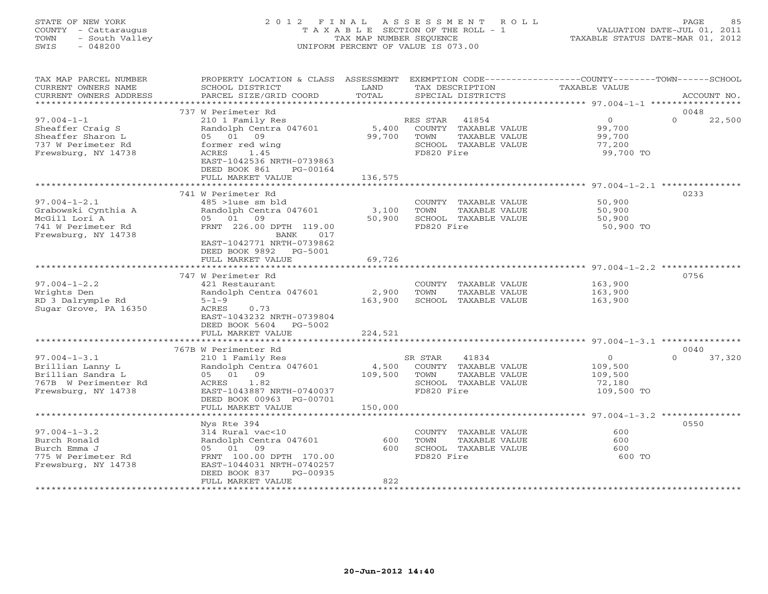## STATE OF NEW YORK 2 0 1 2 F I N A L A S S E S S M E N T R O L L PAGE 85 COUNTY - Cattaraugus T A X A B L E SECTION OF THE ROLL - 1 VALUATION DATE-JUL 01, 2011 TOWN - South Valley TAX MAP NUMBER SEQUENCE TAXABLE STATUS DATE-MAR 01, 2012 SWIS - 048200 UNIFORM PERCENT OF VALUE IS 073.00UNIFORM PERCENT OF VALUE IS 073.00

| TAX MAP PARCEL NUMBER<br>CURRENT OWNERS NAME        | PROPERTY LOCATION & CLASS ASSESSMENT EXEMPTION CODE----------------COUNTY-------TOWN------SCHOOL<br>SCHOOL DISTRICT | LAND<br>TOTAL | TAX DESCRIPTION                               | TAXABLE VALUE                                          |                    |
|-----------------------------------------------------|---------------------------------------------------------------------------------------------------------------------|---------------|-----------------------------------------------|--------------------------------------------------------|--------------------|
| CURRENT OWNERS ADDRESS<br>************************* | PARCEL SIZE/GRID COORD                                                                                              |               | SPECIAL DISTRICTS                             |                                                        | ACCOUNT NO.        |
|                                                     | 737 W Perimeter Rd                                                                                                  |               |                                               |                                                        | 0048               |
| $97.004 - 1 - 1$                                    | 210 1 Family Res                                                                                                    |               | RES STAR 41854                                | $\circ$                                                | $\Omega$<br>22,500 |
| Sheaffer Craig S                                    | Randolph Centra 047601                                                                                              | 5,400         | COUNTY TAXABLE VALUE                          | 99,700                                                 |                    |
| Sheaffer Sharon L                                   | 05 01 09                                                                                                            | 99,700        | TOWN<br>TAXABLE VALUE                         | 99,700                                                 |                    |
| 737 W Perimeter Rd                                  | former red wing                                                                                                     |               | SCHOOL TAXABLE VALUE                          | 77,200                                                 |                    |
| Frewsburg, NY 14738                                 | 1.45<br>ACRES<br>EAST-1042536 NRTH-0739863<br>DEED BOOK 861<br>PG-00164                                             |               | FD820 Fire                                    | 99,700 TO                                              |                    |
|                                                     | FULL MARKET VALUE                                                                                                   | 136,575       |                                               |                                                        |                    |
|                                                     |                                                                                                                     |               |                                               |                                                        |                    |
|                                                     | 741 W Perimeter Rd                                                                                                  |               |                                               |                                                        | 0233               |
| $97.004 - 1 - 2.1$                                  | 485 >1use sm bld                                                                                                    |               | COUNTY TAXABLE VALUE                          | 50,900                                                 |                    |
| Grabowski Cynthia A                                 | Randolph Centra 047601                                                                                              | 3,100         | TOWN<br>TAXABLE VALUE                         | 50,900                                                 |                    |
| McGill Lori A                                       | 05 01 09                                                                                                            | 50,900        | SCHOOL TAXABLE VALUE                          | 50,900                                                 |                    |
| 741 W Perimeter Rd                                  | FRNT 226.00 DPTH 119.00                                                                                             |               | FD820 Fire                                    | 50,900 TO                                              |                    |
| Frewsburg, NY 14738                                 | BANK<br>017                                                                                                         |               |                                               |                                                        |                    |
|                                                     | EAST-1042771 NRTH-0739862                                                                                           |               |                                               |                                                        |                    |
|                                                     | DEED BOOK 9892 PG-5001                                                                                              |               |                                               |                                                        |                    |
|                                                     | FULL MARKET VALUE                                                                                                   | 69,726        |                                               |                                                        |                    |
|                                                     |                                                                                                                     |               |                                               |                                                        | 0756               |
| $97.004 - 1 - 2.2$                                  | 747 W Perimeter Rd<br>421 Restaurant                                                                                |               |                                               | 163,900                                                |                    |
| Wrights Den                                         | Randolph Centra 047601                                                                                              | 2,900         | COUNTY TAXABLE VALUE<br>TOWN<br>TAXABLE VALUE | 163,900                                                |                    |
| RD 3 Dalrymple Rd                                   | $5 - 1 - 9$                                                                                                         | 163,900       | SCHOOL TAXABLE VALUE                          | 163,900                                                |                    |
| Sugar Grove, PA 16350                               | ACRES<br>0.73                                                                                                       |               |                                               |                                                        |                    |
|                                                     | EAST-1043232 NRTH-0739804                                                                                           |               |                                               |                                                        |                    |
|                                                     | DEED BOOK 5604<br>PG-5002                                                                                           |               |                                               |                                                        |                    |
|                                                     | FULL MARKET VALUE                                                                                                   | 224,521       |                                               |                                                        |                    |
|                                                     | ***********************                                                                                             |               |                                               | ****************************** 97.004-1-3.1 ********** |                    |
|                                                     | 767B W Perimenter Rd                                                                                                |               |                                               |                                                        | 0040               |
| $97.004 - 1 - 3.1$                                  | 210 1 Family Res                                                                                                    |               | 41834<br>SR STAR                              | $\circ$                                                | $\Omega$<br>37,320 |
| Brillian Lanny L                                    | Randolph Centra 047601                                                                                              | 4,500         | COUNTY TAXABLE VALUE                          | 109,500                                                |                    |
| Brillian Sandra L                                   | 05 01 09                                                                                                            | 109,500       | TOWN<br>TAXABLE VALUE                         | 109,500                                                |                    |
| 767B W Perimenter Rd                                | ACRES<br>1.82                                                                                                       |               | SCHOOL TAXABLE VALUE                          | 72,180                                                 |                    |
| Frewsburg, NY 14738                                 | EAST-1043887 NRTH-0740037                                                                                           |               | FD820 Fire                                    | 109,500 TO                                             |                    |
|                                                     | DEED BOOK 00963 PG-00701                                                                                            |               |                                               |                                                        |                    |
|                                                     | FULL MARKET VALUE                                                                                                   | 150,000       |                                               |                                                        |                    |
|                                                     | *************************                                                                                           |               |                                               |                                                        |                    |
|                                                     | Nys Rte 394                                                                                                         |               |                                               |                                                        | 0550               |
| $97.004 - 1 - 3.2$                                  | 314 Rural vac<10                                                                                                    |               | COUNTY TAXABLE VALUE                          | 600                                                    |                    |
| Burch Ronald                                        | Randolph Centra 047601                                                                                              | 600           | <b>TOWN</b><br>TAXABLE VALUE                  | 600                                                    |                    |
| Burch Emma J                                        | 05 01<br>09                                                                                                         | 600           | SCHOOL TAXABLE VALUE                          | 600                                                    |                    |
| 775 W Perimeter Rd                                  | FRNT 100.00 DPTH 170.00                                                                                             |               | FD820 Fire                                    | 600 TO                                                 |                    |
| Frewsburg, NY 14738                                 | EAST-1044031 NRTH-0740257                                                                                           |               |                                               |                                                        |                    |
|                                                     | DEED BOOK 837<br>PG-00935                                                                                           |               |                                               |                                                        |                    |
|                                                     | FULL MARKET VALUE                                                                                                   | 822           |                                               |                                                        |                    |
|                                                     |                                                                                                                     |               |                                               |                                                        |                    |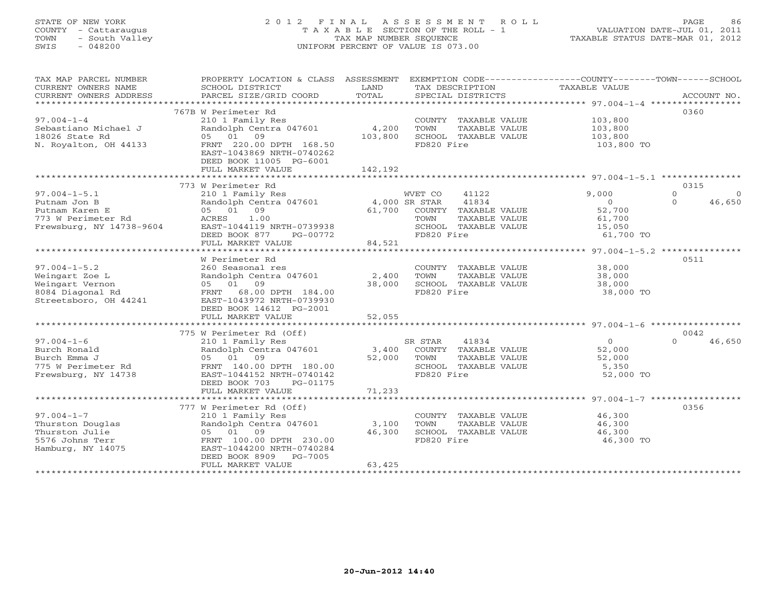# STATE OF NEW YORK 2 0 1 2 F I N A L A S S E S S M E N T R O L L PAGE 86 COUNTY - Cattaraugus T A X A B L E SECTION OF THE ROLL - 1 VALUATION DATE-JUL 01, 2011 TOWN - South Valley TAX MAP NUMBER SEQUENCE TAXABLE STATUS DATE-MAR 01, 2012 SWIS - 048200 UNIFORM PERCENT OF VALUE IS 073.00UNIFORM PERCENT OF VALUE IS 073.00

| TAX MAP PARCEL NUMBER<br>CURRENT OWNERS NAME<br>CURRENT OWNERS ADDRESS | PROPERTY LOCATION & CLASS ASSESSMENT<br>SCHOOL DISTRICT<br>PARCEL SIZE/GRID COORD | LAND<br>TOTAL | EXEMPTION CODE-----------------COUNTY-------TOWN------SCHOOL<br>TAX DESCRIPTION<br>SPECIAL DISTRICTS | TAXABLE VALUE | ACCOUNT NO. |          |
|------------------------------------------------------------------------|-----------------------------------------------------------------------------------|---------------|------------------------------------------------------------------------------------------------------|---------------|-------------|----------|
| *************************                                              |                                                                                   |               |                                                                                                      |               |             |          |
|                                                                        | 767B W Perimeter Rd                                                               |               |                                                                                                      |               | 0360        |          |
| $97.004 - 1 - 4$                                                       | 210 1 Family Res                                                                  |               | COUNTY TAXABLE VALUE                                                                                 | 103,800       |             |          |
| Sebastiano Michael J                                                   | Randolph Centra 047601                                                            | 4,200         | TOWN<br>TAXABLE VALUE                                                                                | 103,800       |             |          |
| 18026 State Rd                                                         | 05 01 09                                                                          | 103,800       | SCHOOL TAXABLE VALUE                                                                                 | 103,800       |             |          |
| N. Royalton, OH 44133                                                  | FRNT 220.00 DPTH 168.50                                                           |               | FD820 Fire                                                                                           | 103,800 TO    |             |          |
|                                                                        | EAST-1043869 NRTH-0740262                                                         |               |                                                                                                      |               |             |          |
|                                                                        | DEED BOOK 11005 PG-6001                                                           |               |                                                                                                      |               |             |          |
|                                                                        | FULL MARKET VALUE                                                                 | 142,192       |                                                                                                      |               |             |          |
|                                                                        |                                                                                   |               |                                                                                                      |               |             |          |
|                                                                        | 773 W Perimeter Rd                                                                |               |                                                                                                      |               | 0315        |          |
| $97.004 - 1 - 5.1$                                                     |                                                                                   |               | 41122                                                                                                | 9,000         | $\Omega$    |          |
|                                                                        | 210 1 Family Res                                                                  |               | WVET CO                                                                                              |               |             | $\Omega$ |
| Putnam Jon B                                                           | Randolph Centra 047601                                                            |               | 41834<br>4,000 SR STAR                                                                               | $\circ$       | $\Omega$    | 46,650   |
| Putnam Karen E                                                         | 05 01 09                                                                          | 61,700        | COUNTY TAXABLE VALUE                                                                                 | 52,700        |             |          |
| 773 W Perimeter Rd                                                     | 1.00<br>ACRES                                                                     |               | TOWN<br>TAXABLE VALUE                                                                                | 61,700        |             |          |
| Frewsburg, NY 14738-9604                                               | EAST-1044119 NRTH-0739938                                                         |               | SCHOOL TAXABLE VALUE                                                                                 | 15,050        |             |          |
|                                                                        | DEED BOOK 877<br>PG-00772                                                         |               | FD820 Fire                                                                                           | 61,700 TO     |             |          |
|                                                                        | FULL MARKET VALUE                                                                 | 84,521        |                                                                                                      |               |             |          |
|                                                                        |                                                                                   |               |                                                                                                      |               |             |          |
|                                                                        | W Perimeter Rd                                                                    |               |                                                                                                      |               | 0511        |          |
| $97.004 - 1 - 5.2$                                                     | 260 Seasonal res                                                                  |               | COUNTY TAXABLE VALUE                                                                                 | 38,000        |             |          |
| Weingart Zoe L                                                         | Randolph Centra 047601                                                            | 2,400         | TOWN<br>TAXABLE VALUE                                                                                | 38,000        |             |          |
| Weingart Vernon                                                        | 05 01 09                                                                          | 38,000        | SCHOOL TAXABLE VALUE                                                                                 | 38,000        |             |          |
| 8084 Diagonal Rd                                                       | FRNT 68.00 DPTH 184.00                                                            |               | FD820 Fire                                                                                           | 38,000 TO     |             |          |
| Streetsboro, OH 44241                                                  | EAST-1043972 NRTH-0739930                                                         |               |                                                                                                      |               |             |          |
|                                                                        | DEED BOOK 14612 PG-2001                                                           |               |                                                                                                      |               |             |          |
|                                                                        | FULL MARKET VALUE                                                                 | 52,055        |                                                                                                      |               |             |          |
|                                                                        |                                                                                   |               |                                                                                                      |               |             |          |
|                                                                        | 775 W Perimeter Rd (Off)                                                          |               |                                                                                                      |               | 0042        |          |
| $97.004 - 1 - 6$                                                       | 210 1 Family Res                                                                  |               | 41834<br>SR STAR                                                                                     | $\circ$       | $\Omega$    | 46,650   |
| Burch Ronald                                                           | Randolph Centra 047601                                                            | 3,400         | COUNTY TAXABLE VALUE                                                                                 | 52,000        |             |          |
| Burch Emma J                                                           | 05 01 09                                                                          | 52,000        | TOWN<br>TAXABLE VALUE                                                                                | 52,000        |             |          |
| 775 W Perimeter Rd                                                     | FRNT 140.00 DPTH 180.00                                                           |               | SCHOOL TAXABLE VALUE                                                                                 | 5,350         |             |          |
| Frewsburg, NY 14738                                                    |                                                                                   |               | FD820 Fire                                                                                           | 52,000 TO     |             |          |
|                                                                        | EAST-1044152 NRTH-0740142                                                         |               |                                                                                                      |               |             |          |
|                                                                        | DEED BOOK 703<br>PG-01175                                                         |               |                                                                                                      |               |             |          |
|                                                                        | FULL MARKET VALUE                                                                 | 71,233        |                                                                                                      |               |             |          |
|                                                                        |                                                                                   |               |                                                                                                      |               |             |          |
|                                                                        | 777 W Perimeter Rd (Off)                                                          |               |                                                                                                      |               | 0356        |          |
| $97.004 - 1 - 7$                                                       | 210 1 Family Res                                                                  |               | COUNTY TAXABLE VALUE                                                                                 | 46,300        |             |          |
| Thurston Douglas                                                       | Randolph Centra 047601                                                            | 3,100         | TOWN<br>TAXABLE VALUE                                                                                | 46,300        |             |          |
| Thurston Julie                                                         | 05 01 09                                                                          | 46,300        | SCHOOL TAXABLE VALUE                                                                                 | 46,300        |             |          |
| 5576 Johns Terr                                                        | FRNT 100.00 DPTH 230.00                                                           |               | FD820 Fire                                                                                           | 46,300 TO     |             |          |
| Hamburg, NY 14075                                                      | EAST-1044200 NRTH-0740284                                                         |               |                                                                                                      |               |             |          |
|                                                                        | DEED BOOK 8909<br>PG-7005                                                         |               |                                                                                                      |               |             |          |
|                                                                        | FULL MARKET VALUE                                                                 | 63,425        |                                                                                                      |               |             |          |
|                                                                        |                                                                                   |               |                                                                                                      |               |             |          |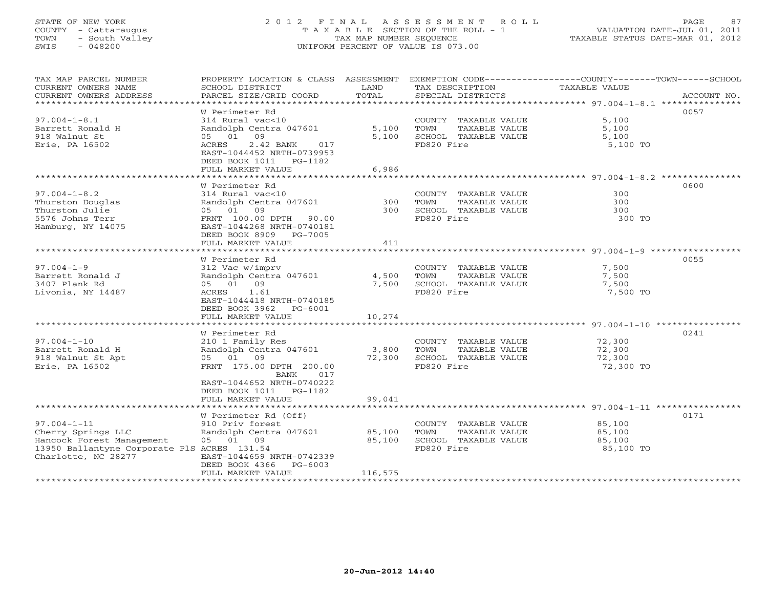# STATE OF NEW YORK 2 0 1 2 F I N A L A S S E S S M E N T R O L L PAGE 87 COUNTY - Cattaraugus T A X A B L E SECTION OF THE ROLL - 1 VALUATION DATE-JUL 01, 2011 TOWN - South Valley TAX MAP NUMBER SEQUENCE TAXABLE STATUS DATE-MAR 01, 2012 SWIS - 048200 UNIFORM PERCENT OF VALUE IS 073.00UNIFORM PERCENT OF VALUE IS 073.00

| TAX MAP PARCEL NUMBER<br>CURRENT OWNERS NAME<br>CURRENT OWNERS ADDRESS | SCHOOL DISTRICT<br>PARCEL SIZE/GRID COORD                                                    | LAND<br>TOTAL | TAX DESCRIPTION<br>SPECIAL DISTRICTS | PROPERTY LOCATION & CLASS ASSESSMENT EXEMPTION CODE----------------COUNTY-------TOWN------SCHOOL<br><b>TAXABLE VALUE</b><br>ACCOUNT NO. |
|------------------------------------------------------------------------|----------------------------------------------------------------------------------------------|---------------|--------------------------------------|-----------------------------------------------------------------------------------------------------------------------------------------|
|                                                                        |                                                                                              |               |                                      |                                                                                                                                         |
| $97.004 - 1 - 8.1$                                                     | W Perimeter Rd<br>314 Rural vac<10                                                           |               | COUNTY TAXABLE VALUE                 | 0057<br>5,100                                                                                                                           |
| Barrett Ronald H                                                       | Randolph Centra 047601                                                                       | 5,100         | TOWN<br>TAXABLE VALUE                | 5,100                                                                                                                                   |
| 918 Walnut St<br>Erie, PA 16502                                        | 05 01 09<br>ACRES<br>2.42 BANK<br>017<br>EAST-1044452 NRTH-0739953<br>DEED BOOK 1011 PG-1182 | 5,100         | SCHOOL TAXABLE VALUE<br>FD820 Fire   | 5,100<br>5,100 TO                                                                                                                       |
|                                                                        | FULL MARKET VALUE<br>********************                                                    | 6,986         |                                      |                                                                                                                                         |
|                                                                        |                                                                                              |               |                                      | ************************ 97.004-1-8.2 **********                                                                                        |
| $97.004 - 1 - 8.2$                                                     | W Perimeter Rd<br>314 Rural vac<10                                                           |               | COUNTY TAXABLE VALUE                 | 0600<br>300                                                                                                                             |
| Thurston Douglas                                                       | Randolph Centra 047601                                                                       | 300           | TAXABLE VALUE<br>TOWN                | 300                                                                                                                                     |
| Thurston Julie                                                         | 05 01<br>09                                                                                  | 300           | SCHOOL TAXABLE VALUE                 | 300                                                                                                                                     |
| 5576 Johns Terr                                                        | FRNT 100.00 DPTH 90.00                                                                       |               | FD820 Fire                           | 300 TO                                                                                                                                  |
| Hamburg, NY 14075                                                      | EAST-1044268 NRTH-0740181<br>DEED BOOK 8909 PG-7005<br>FULL MARKET VALUE                     | 411           |                                      |                                                                                                                                         |
|                                                                        |                                                                                              |               |                                      |                                                                                                                                         |
|                                                                        | W Perimeter Rd                                                                               |               |                                      | 0055                                                                                                                                    |
| $97.004 - 1 - 9$                                                       | 312 Vac w/imprv                                                                              |               | COUNTY TAXABLE VALUE                 | 7,500                                                                                                                                   |
| Barrett Ronald J                                                       | Randolph Centra 047601                                                                       | 4,500         | TOWN<br>TAXABLE VALUE                | 7,500                                                                                                                                   |
| 3407 Plank Rd                                                          | 05 01 09                                                                                     | 7,500         | SCHOOL TAXABLE VALUE                 | 7,500                                                                                                                                   |
| Livonia, NY 14487                                                      | ACRES<br>1.61                                                                                |               | FD820 Fire                           | 7,500 TO                                                                                                                                |
|                                                                        | EAST-1044418 NRTH-0740185                                                                    |               |                                      |                                                                                                                                         |
|                                                                        | DEED BOOK 3962<br>PG-6001                                                                    |               |                                      |                                                                                                                                         |
|                                                                        | FULL MARKET VALUE                                                                            | 10,274        |                                      |                                                                                                                                         |
|                                                                        |                                                                                              |               |                                      |                                                                                                                                         |
|                                                                        | W Perimeter Rd                                                                               |               |                                      | 0241                                                                                                                                    |
| $97.004 - 1 - 10$                                                      | 210 1 Family Res                                                                             |               | COUNTY TAXABLE VALUE                 | 72,300                                                                                                                                  |
| Barrett Ronald H                                                       | Randolph Centra 047601                                                                       | 3,800         | TOWN<br>TAXABLE VALUE                | 72,300                                                                                                                                  |
| 918 Walnut St Apt                                                      | 05 01 09                                                                                     | 72,300        | SCHOOL TAXABLE VALUE                 | 72,300                                                                                                                                  |
| Erie, PA 16502                                                         | FRNT 175.00 DPTH 200.00<br>017<br>BANK                                                       |               | FD820 Fire                           | 72,300 TO                                                                                                                               |
|                                                                        | EAST-1044652 NRTH-0740222                                                                    |               |                                      |                                                                                                                                         |
|                                                                        | DEED BOOK 1011 PG-1182                                                                       |               |                                      |                                                                                                                                         |
|                                                                        | FULL MARKET VALUE                                                                            | 99,041        |                                      |                                                                                                                                         |
|                                                                        | W Perimeter Rd (Off)                                                                         |               |                                      | 0171                                                                                                                                    |
| $97.004 - 1 - 11$                                                      | 910 Priv forest                                                                              |               | COUNTY TAXABLE VALUE                 | 85,100                                                                                                                                  |
| Cherry Springs LLC                                                     | Randolph Centra 047601                                                                       | 85,100        | TOWN<br>TAXABLE VALUE                | 85,100                                                                                                                                  |
| Hancock Forest Management                                              | 05 01 09                                                                                     | 85,100        | SCHOOL TAXABLE VALUE                 | 85,100                                                                                                                                  |
| 13950 Ballantyne Corporate PlS ACRES 131.54                            |                                                                                              |               | FD820 Fire                           | 85,100 TO                                                                                                                               |
| Charlotte, NC 28277                                                    | EAST-1044659 NRTH-0742339                                                                    |               |                                      |                                                                                                                                         |
|                                                                        | DEED BOOK 4366<br>PG-6003                                                                    |               |                                      |                                                                                                                                         |
|                                                                        | FULL MARKET VALUE                                                                            | 116,575       |                                      |                                                                                                                                         |
|                                                                        |                                                                                              |               |                                      |                                                                                                                                         |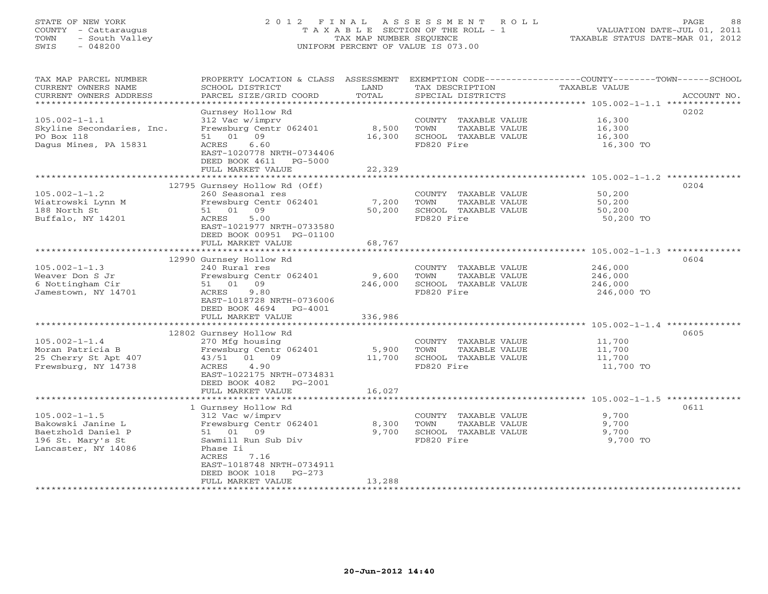# STATE OF NEW YORK 2 0 1 2 F I N A L A S S E S S M E N T R O L L PAGE 88 COUNTY - Cattaraugus T A X A B L E SECTION OF THE ROLL - 1 VALUATION DATE-JUL 01, 2011 TOWN - South Valley TAX MAP NUMBER SEQUENCE TAXABLE STATUS DATE-MAR 01, 2012 SWIS - 048200 UNIFORM PERCENT OF VALUE IS 073.00UNIFORM PERCENT OF VALUE IS 073.00

| TAX MAP PARCEL NUMBER<br>CURRENT OWNERS NAME    | PROPERTY LOCATION & CLASS ASSESSMENT<br>SCHOOL DISTRICT | LAND                    | TAX DESCRIPTION                    | EXEMPTION CODE-----------------COUNTY-------TOWN------SCHOOL<br>TAXABLE VALUE |
|-------------------------------------------------|---------------------------------------------------------|-------------------------|------------------------------------|-------------------------------------------------------------------------------|
| CURRENT OWNERS ADDRESS<br>********************* | PARCEL SIZE/GRID COORD                                  | TOTAL                   | SPECIAL DISTRICTS                  | ACCOUNT NO.                                                                   |
|                                                 | Gurnsey Hollow Rd                                       |                         |                                    | 0202                                                                          |
| $105.002 - 1 - 1.1$                             | 312 Vac w/imprv                                         |                         | COUNTY TAXABLE VALUE               | 16,300                                                                        |
| Skyline Secondaries, Inc.                       | Frewsburg Centr 062401                                  | 8,500                   | TAXABLE VALUE<br>TOWN              | 16,300                                                                        |
| PO Box 118                                      | 51 01 09                                                | 16,300                  | SCHOOL TAXABLE VALUE               | 16,300                                                                        |
| Dagus Mines, PA 15831                           | 6.60<br>ACRES                                           |                         | FD820 Fire                         | 16,300 TO                                                                     |
|                                                 | EAST-1020778 NRTH-0734406                               |                         |                                    |                                                                               |
|                                                 | DEED BOOK 4611<br>PG-5000                               |                         |                                    |                                                                               |
|                                                 | FULL MARKET VALUE                                       | 22,329                  |                                    |                                                                               |
|                                                 | *********************************                       | **************          |                                    | ******************** 105.002-1-1.2 *********                                  |
|                                                 | 12795 Gurnsey Hollow Rd (Off)                           |                         |                                    | 0204                                                                          |
| $105.002 - 1 - 1.2$                             | 260 Seasonal res                                        |                         | COUNTY TAXABLE VALUE               | 50,200                                                                        |
| Wiatrowski Lynn M                               | Frewsburg Centr 062401<br>09                            | 7,200                   | TAXABLE VALUE<br>TOWN              | 50,200                                                                        |
| 188 North St                                    | 51 01<br>ACRES<br>5.00                                  | 50,200                  | SCHOOL TAXABLE VALUE<br>FD820 Fire | 50,200                                                                        |
| Buffalo, NY 14201                               | EAST-1021977 NRTH-0733580                               |                         |                                    | 50,200 TO                                                                     |
|                                                 | DEED BOOK 00951 PG-01100                                |                         |                                    |                                                                               |
|                                                 | FULL MARKET VALUE                                       | 68,767                  |                                    |                                                                               |
|                                                 |                                                         |                         |                                    |                                                                               |
|                                                 | 12990 Gurnsey Hollow Rd                                 |                         |                                    | 0604                                                                          |
| $105.002 - 1 - 1.3$                             | 240 Rural res                                           |                         | COUNTY TAXABLE VALUE               | 246,000                                                                       |
| Weaver Don S Jr                                 | Frewsburg Centr 062401                                  | 9,600                   | TOWN<br>TAXABLE VALUE              | 246,000                                                                       |
| 6 Nottingham Cir                                | 51 01 09                                                | 246,000                 | SCHOOL TAXABLE VALUE               | 246,000                                                                       |
| Jamestown, NY 14701                             | ACRES<br>9.80                                           |                         | FD820 Fire                         | 246,000 TO                                                                    |
|                                                 | EAST-1018728 NRTH-0736006                               |                         |                                    |                                                                               |
|                                                 | DEED BOOK 4694 PG-4001                                  |                         |                                    |                                                                               |
|                                                 | FULL MARKET VALUE<br>*************************          | 336,986<br>************ |                                    |                                                                               |
|                                                 | 12802 Gurnsey Hollow Rd                                 |                         |                                    | 0605                                                                          |
| $105.002 - 1 - 1.4$                             | 270 Mfg housing                                         |                         | COUNTY TAXABLE VALUE               | 11,700                                                                        |
| Moran Patricia B                                | Frewsburg Centr 062401                                  | 5,900                   | TOWN<br>TAXABLE VALUE              | 11,700                                                                        |
| 25 Cherry St Apt 407                            | 01 09<br>43/51                                          | 11,700                  | SCHOOL TAXABLE VALUE               | 11,700                                                                        |
| Frewsburg, NY 14738                             | 4.90<br>ACRES                                           |                         | FD820 Fire                         | 11,700 TO                                                                     |
|                                                 | EAST-1022175 NRTH-0734831                               |                         |                                    |                                                                               |
|                                                 | DEED BOOK 4082<br>PG-2001                               |                         |                                    |                                                                               |
|                                                 | FULL MARKET VALUE                                       | 16,027                  |                                    |                                                                               |
|                                                 |                                                         |                         |                                    |                                                                               |
|                                                 | 1 Gurnsey Hollow Rd                                     |                         |                                    | 0611                                                                          |
| $105.002 - 1 - 1.5$                             | 312 Vac w/imprv                                         |                         | COUNTY TAXABLE VALUE               | 9,700                                                                         |
| Bakowski Janine L                               | Frewsburg Centr 062401                                  | 8,300                   | TOWN<br>TAXABLE VALUE              | 9,700                                                                         |
| Baetzhold Daniel P                              | 51 01 09                                                | 9,700                   | SCHOOL TAXABLE VALUE               | 9,700                                                                         |
| 196 St. Mary's St                               | Sawmill Run Sub Div                                     |                         | FD820 Fire                         | 9,700 TO                                                                      |
| Lancaster, NY 14086                             | Phase Ii<br>ACRES<br>7.16                               |                         |                                    |                                                                               |
|                                                 | EAST-1018748 NRTH-0734911                               |                         |                                    |                                                                               |
|                                                 | $PG-273$<br>DEED BOOK 1018                              |                         |                                    |                                                                               |
|                                                 | FULL MARKET VALUE                                       | 13,288                  |                                    |                                                                               |
|                                                 |                                                         |                         |                                    |                                                                               |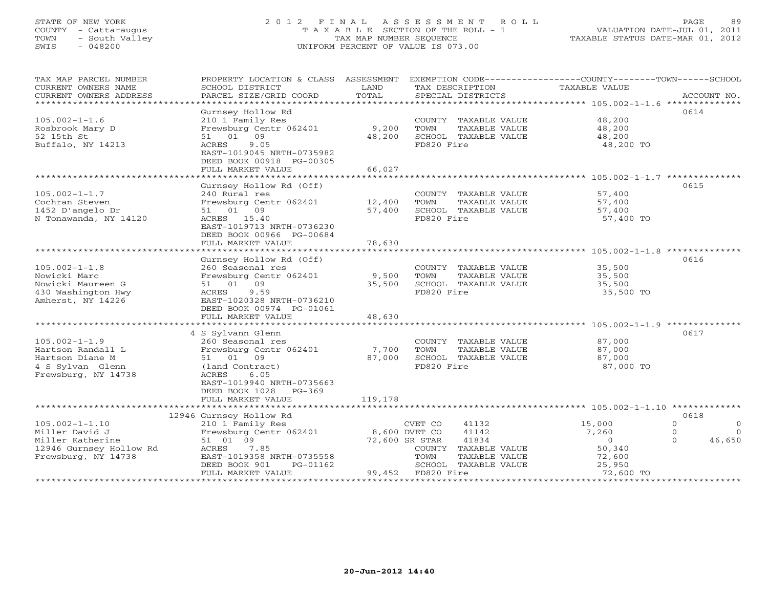# STATE OF NEW YORK 2 0 1 2 F I N A L A S S E S S M E N T R O L L PAGE 89 COUNTY - Cattaraugus T A X A B L E SECTION OF THE ROLL - 1 VALUATION DATE-JUL 01, 2011 TOWN - South Valley TAX MAP NUMBER SEQUENCE TAXABLE STATUS DATE-MAR 01, 2012 SWIS - 048200 UNIFORM PERCENT OF VALUE IS 073.00UNIFORM PERCENT OF VALUE IS 073.00

| 0614<br>Gurnsey Hollow Rd<br>$105.002 - 1 - 1.6$<br>210 1 Family Res<br>48,200<br>COUNTY TAXABLE VALUE<br>Frewsburg Centr 062401<br>9,200<br>48,200<br>Rosbrook Mary D<br>TOWN<br>TAXABLE VALUE<br>51 01 09<br>52 15th St<br>48,200<br>SCHOOL TAXABLE VALUE<br>48,200<br>9.05<br>FD820 Fire<br>Buffalo, NY 14213<br>ACRES<br>48,200 TO<br>EAST-1019045 NRTH-0735982<br>DEED BOOK 00918 PG-00305<br>FULL MARKET VALUE<br>66,027<br>*********************<br>0615<br>Gurnsey Hollow Rd (Off)<br>$105.002 - 1 - 1.7$<br>240 Rural res<br>57,400<br>COUNTY TAXABLE VALUE<br>Cochran Steven<br>Frewsburg Centr 062401<br>12,400<br>TOWN<br>TAXABLE VALUE<br>57,400<br>1452 D'angelo Dr<br>51 01 09<br>57,400<br>SCHOOL TAXABLE VALUE<br>57,400 |
|-------------------------------------------------------------------------------------------------------------------------------------------------------------------------------------------------------------------------------------------------------------------------------------------------------------------------------------------------------------------------------------------------------------------------------------------------------------------------------------------------------------------------------------------------------------------------------------------------------------------------------------------------------------------------------------------------------------------------------------------|
|                                                                                                                                                                                                                                                                                                                                                                                                                                                                                                                                                                                                                                                                                                                                           |
|                                                                                                                                                                                                                                                                                                                                                                                                                                                                                                                                                                                                                                                                                                                                           |
|                                                                                                                                                                                                                                                                                                                                                                                                                                                                                                                                                                                                                                                                                                                                           |
|                                                                                                                                                                                                                                                                                                                                                                                                                                                                                                                                                                                                                                                                                                                                           |
|                                                                                                                                                                                                                                                                                                                                                                                                                                                                                                                                                                                                                                                                                                                                           |
|                                                                                                                                                                                                                                                                                                                                                                                                                                                                                                                                                                                                                                                                                                                                           |
|                                                                                                                                                                                                                                                                                                                                                                                                                                                                                                                                                                                                                                                                                                                                           |
|                                                                                                                                                                                                                                                                                                                                                                                                                                                                                                                                                                                                                                                                                                                                           |
| N Tonawanda, NY 14120<br>ACRES 15.40<br>FD820 Fire<br>57,400 TO                                                                                                                                                                                                                                                                                                                                                                                                                                                                                                                                                                                                                                                                           |
| EAST-1019713 NRTH-0736230                                                                                                                                                                                                                                                                                                                                                                                                                                                                                                                                                                                                                                                                                                                 |
| DEED BOOK 00966 PG-00684                                                                                                                                                                                                                                                                                                                                                                                                                                                                                                                                                                                                                                                                                                                  |
| FULL MARKET VALUE<br>78,630                                                                                                                                                                                                                                                                                                                                                                                                                                                                                                                                                                                                                                                                                                               |
| Gurnsey Hollow Rd (Off)<br>0616                                                                                                                                                                                                                                                                                                                                                                                                                                                                                                                                                                                                                                                                                                           |
| $105.002 - 1 - 1.8$<br>260 Seasonal res<br>COUNTY TAXABLE VALUE<br>35,500                                                                                                                                                                                                                                                                                                                                                                                                                                                                                                                                                                                                                                                                 |
| Nowicki Marc<br>Frewsburg Centr 062401<br>9,500<br>TOWN<br>TAXABLE VALUE<br>35,500                                                                                                                                                                                                                                                                                                                                                                                                                                                                                                                                                                                                                                                        |
| 51 01 09<br>Nowicki Maureen G<br>SCHOOL TAXABLE VALUE<br>35,500<br>35,500                                                                                                                                                                                                                                                                                                                                                                                                                                                                                                                                                                                                                                                                 |
| 430 Washington Hwy<br>FD820 Fire<br>35,500 TO<br>ACRES<br>9.59                                                                                                                                                                                                                                                                                                                                                                                                                                                                                                                                                                                                                                                                            |
| Amherst, NY 14226<br>EAST-1020328 NRTH-0736210                                                                                                                                                                                                                                                                                                                                                                                                                                                                                                                                                                                                                                                                                            |
| DEED BOOK 00974 PG-01061                                                                                                                                                                                                                                                                                                                                                                                                                                                                                                                                                                                                                                                                                                                  |
| 48,630<br>FULL MARKET VALUE                                                                                                                                                                                                                                                                                                                                                                                                                                                                                                                                                                                                                                                                                                               |
| 0617                                                                                                                                                                                                                                                                                                                                                                                                                                                                                                                                                                                                                                                                                                                                      |
| 4 S Sylvann Glenn<br>$105.002 - 1 - 1.9$<br>260 Seasonal res<br>87,000<br>COUNTY TAXABLE VALUE                                                                                                                                                                                                                                                                                                                                                                                                                                                                                                                                                                                                                                            |
| Hartson Randall L<br>Frewsburg Centr 062401<br>87,000<br>7,700<br>TOWN<br>TAXABLE VALUE                                                                                                                                                                                                                                                                                                                                                                                                                                                                                                                                                                                                                                                   |
| 87,000<br>Hartson Diane M<br>51 01 09<br>SCHOOL TAXABLE VALUE<br>87,000                                                                                                                                                                                                                                                                                                                                                                                                                                                                                                                                                                                                                                                                   |
| 4 S Sylvan Glenn<br>FD820 Fire<br>(land Contract)<br>87,000 TO                                                                                                                                                                                                                                                                                                                                                                                                                                                                                                                                                                                                                                                                            |
| Frewsburg, NY 14738<br>ACRES<br>6.05                                                                                                                                                                                                                                                                                                                                                                                                                                                                                                                                                                                                                                                                                                      |
| EAST-1019940 NRTH-0735663                                                                                                                                                                                                                                                                                                                                                                                                                                                                                                                                                                                                                                                                                                                 |
| DEED BOOK 1028 PG-369                                                                                                                                                                                                                                                                                                                                                                                                                                                                                                                                                                                                                                                                                                                     |
| 119,178<br>FULL MARKET VALUE                                                                                                                                                                                                                                                                                                                                                                                                                                                                                                                                                                                                                                                                                                              |
| 0618                                                                                                                                                                                                                                                                                                                                                                                                                                                                                                                                                                                                                                                                                                                                      |
| 12946 Gurnsey Hollow Rd<br>$105.002 - 1 - 1.10$<br>210 1 Family Res<br>CVET CO<br>41132<br>15,000<br>$\Omega$<br>$\circ$                                                                                                                                                                                                                                                                                                                                                                                                                                                                                                                                                                                                                  |
| Frewsburg Centr 062401<br>8,600 DVET CO<br>Miller David J<br>41142<br>7,260<br>$\Omega$<br>$\Omega$                                                                                                                                                                                                                                                                                                                                                                                                                                                                                                                                                                                                                                       |
| 51 01 09<br>Miller Katherine<br>72,600 SR STAR<br>41834<br>$\Omega$<br>$\Omega$<br>46,650                                                                                                                                                                                                                                                                                                                                                                                                                                                                                                                                                                                                                                                 |
| 50,340<br>12946 Gurnsey Hollow Rd<br>ACRES<br>7.85<br>COUNTY TAXABLE VALUE                                                                                                                                                                                                                                                                                                                                                                                                                                                                                                                                                                                                                                                                |
| Frewsburg, NY 14738<br>EAST-1019358 NRTH-0735558<br>TOWN<br>TAXABLE VALUE<br>72,600                                                                                                                                                                                                                                                                                                                                                                                                                                                                                                                                                                                                                                                       |
| 25,950<br>DEED BOOK 901<br>SCHOOL TAXABLE VALUE<br>PG-01162                                                                                                                                                                                                                                                                                                                                                                                                                                                                                                                                                                                                                                                                               |
| FD820 Fire<br>FULL MARKET VALUE<br>99,452<br>72,600 TO                                                                                                                                                                                                                                                                                                                                                                                                                                                                                                                                                                                                                                                                                    |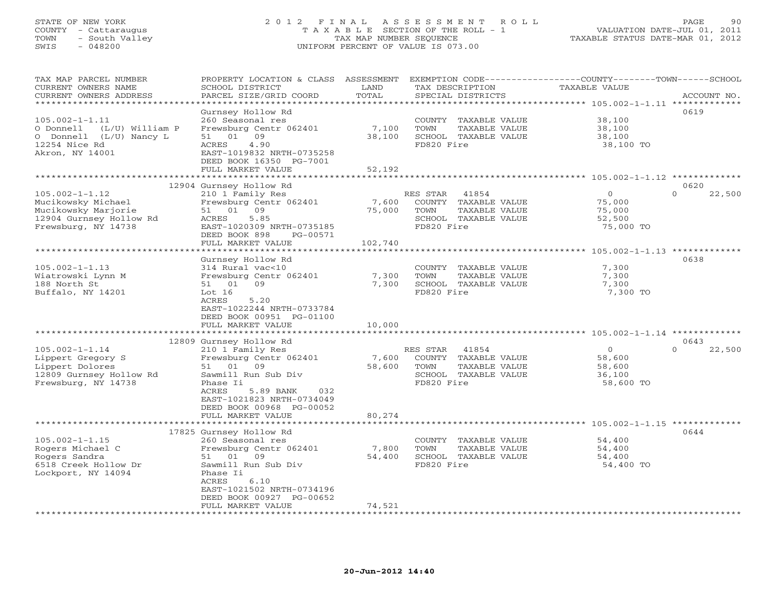## STATE OF NEW YORK 2 0 1 2 F I N A L A S S E S S M E N T R O L L PAGE 90 COUNTY - Cattaraugus T A X A B L E SECTION OF THE ROLL - 1 VALUATION DATE-JUL 01, 2011 TOWN - South Valley TAX MAP NUMBER SEQUENCE TAXABLE STATUS DATE-MAR 01, 2012 SWIS - 048200 UNIFORM PERCENT OF VALUE IS 073.00UNIFORM PERCENT OF VALUE IS 073.00

| TAX MAP PARCEL NUMBER<br>CURRENT OWNERS NAME   | PROPERTY LOCATION & CLASS ASSESSMENT<br>SCHOOL DISTRICT | LAND            | TAX DESCRIPTION                               | EXEMPTION CODE----------------COUNTY-------TOWN------SCHOOL<br>TAXABLE VALUE |
|------------------------------------------------|---------------------------------------------------------|-----------------|-----------------------------------------------|------------------------------------------------------------------------------|
| CURRENT OWNERS ADDRESS                         | PARCEL SIZE/GRID COORD                                  | TOTAL           | SPECIAL DISTRICTS                             | ACCOUNT NO.                                                                  |
| *********************                          |                                                         |                 |                                               |                                                                              |
|                                                | Gurnsey Hollow Rd                                       |                 |                                               | 0619                                                                         |
| $105.002 - 1 - 1.11$                           | 260 Seasonal res                                        |                 | COUNTY TAXABLE VALUE                          | 38,100                                                                       |
| O Donnell<br>(L/U) William P                   | Frewsburg Centr 062401                                  | 7,100           | TOWN<br>TAXABLE VALUE                         | 38,100                                                                       |
| O Donnell (L/U) Nancy L                        | 51 01 09                                                | 38,100          | SCHOOL TAXABLE VALUE                          | 38,100                                                                       |
| 12254 Nice Rd                                  | ACRES<br>4.90                                           |                 | FD820 Fire                                    | 38,100 TO                                                                    |
| Akron, NY 14001                                | EAST-1019832 NRTH-0735258                               |                 |                                               |                                                                              |
|                                                | DEED BOOK 16350 PG-7001                                 |                 |                                               |                                                                              |
|                                                | FULL MARKET VALUE<br>***************************        | 52,192          |                                               |                                                                              |
|                                                |                                                         |                 |                                               |                                                                              |
|                                                | 12904 Gurnsey Hollow Rd                                 |                 |                                               | 0620                                                                         |
| $105.002 - 1 - 1.12$                           | 210 1 Family Res                                        |                 | 41854<br>RES STAR                             | 22,500<br>$\overline{O}$<br>$\Omega$                                         |
| Mucikowsky Michael                             | Frewsburg Centr 062401                                  | 7,600           | COUNTY TAXABLE VALUE                          | 75,000                                                                       |
| Mucikowsky Marjorie                            | 51 01 09                                                | 75,000          | TOWN<br>TAXABLE VALUE                         | 75,000                                                                       |
| 12904 Gurnsey Hollow Rd<br>Frewsburg, NY 14738 | 5.85<br>ACRES<br>EAST-1020309 NRTH-0735185              |                 | SCHOOL TAXABLE VALUE<br>FD820 Fire            | 52,500<br>75,000 TO                                                          |
|                                                | DEED BOOK 898<br>PG-00571                               |                 |                                               |                                                                              |
|                                                | FULL MARKET VALUE                                       | 102,740         |                                               |                                                                              |
|                                                |                                                         |                 |                                               |                                                                              |
|                                                | Gurnsey Hollow Rd                                       |                 |                                               | 0638                                                                         |
| $105.002 - 1 - 1.13$                           | 314 Rural vac<10                                        |                 | COUNTY TAXABLE VALUE                          | 7,300                                                                        |
| Wiatrowski Lynn M                              | Frewsburg Centr 062401                                  | 7,300           | TOWN<br>TAXABLE VALUE                         | 7,300                                                                        |
| 188 North St                                   | 09<br>51 01                                             | 7,300           | SCHOOL TAXABLE VALUE                          | 7,300                                                                        |
| Buffalo, NY 14201                              | Lot $16$                                                |                 | FD820 Fire                                    | 7,300 TO                                                                     |
|                                                | ACRES<br>5.20                                           |                 |                                               |                                                                              |
|                                                | EAST-1022244 NRTH-0733784                               |                 |                                               |                                                                              |
|                                                | DEED BOOK 00951 PG-01100                                |                 |                                               |                                                                              |
|                                                | FULL MARKET VALUE                                       | 10,000          |                                               |                                                                              |
|                                                |                                                         |                 |                                               |                                                                              |
|                                                | 12809 Gurnsey Hollow Rd                                 |                 |                                               | 0643                                                                         |
| $105.002 - 1 - 1.14$                           | 210 1 Family Res                                        |                 | RES STAR<br>41854                             | $\overline{0}$<br>$\Omega$<br>22,500                                         |
| Lippert Gregory S                              | Frewsburg Centr 062401                                  | 7,600           | COUNTY TAXABLE VALUE                          | 58,600                                                                       |
| Lippert Dolores                                | 51 01 09                                                | 58,600          | TOWN<br>TAXABLE VALUE                         | 58,600                                                                       |
| 12809 Gurnsey Hollow Rd                        | Sawmill Run Sub Div                                     |                 | SCHOOL TAXABLE VALUE                          | 36,100                                                                       |
| Frewsburg, NY 14738                            | Phase Ii                                                |                 | FD820 Fire                                    | 58,600 TO                                                                    |
|                                                | 5.89 BANK<br>ACRES<br>032                               |                 |                                               |                                                                              |
|                                                | EAST-1021823 NRTH-0734049                               |                 |                                               |                                                                              |
|                                                | DEED BOOK 00968 PG-00052                                |                 |                                               |                                                                              |
|                                                | FULL MARKET VALUE<br>**************************         | 80,274          |                                               |                                                                              |
|                                                |                                                         |                 |                                               |                                                                              |
|                                                | 17825 Gurnsey Hollow Rd                                 |                 |                                               | 0644                                                                         |
| $105.002 - 1 - 1.15$                           | 260 Seasonal res                                        |                 | COUNTY TAXABLE VALUE                          | 54,400                                                                       |
| Rogers Michael C<br>Rogers Sandra              | Frewsburg Centr 062401<br>51 01 09                      | 7,800<br>54,400 | TOWN<br>TAXABLE VALUE<br>SCHOOL TAXABLE VALUE | 54,400<br>54,400                                                             |
| 6518 Creek Hollow Dr                           | Sawmill Run Sub Div                                     |                 | FD820 Fire                                    | 54,400 TO                                                                    |
| Lockport, NY 14094                             | Phase Ii                                                |                 |                                               |                                                                              |
|                                                | ACRES<br>6.10                                           |                 |                                               |                                                                              |
|                                                | EAST-1021502 NRTH-0734196                               |                 |                                               |                                                                              |
|                                                | DEED BOOK 00927 PG-00652                                |                 |                                               |                                                                              |
|                                                | FULL MARKET VALUE                                       | 74,521          |                                               |                                                                              |
|                                                | ******************                                      |                 |                                               |                                                                              |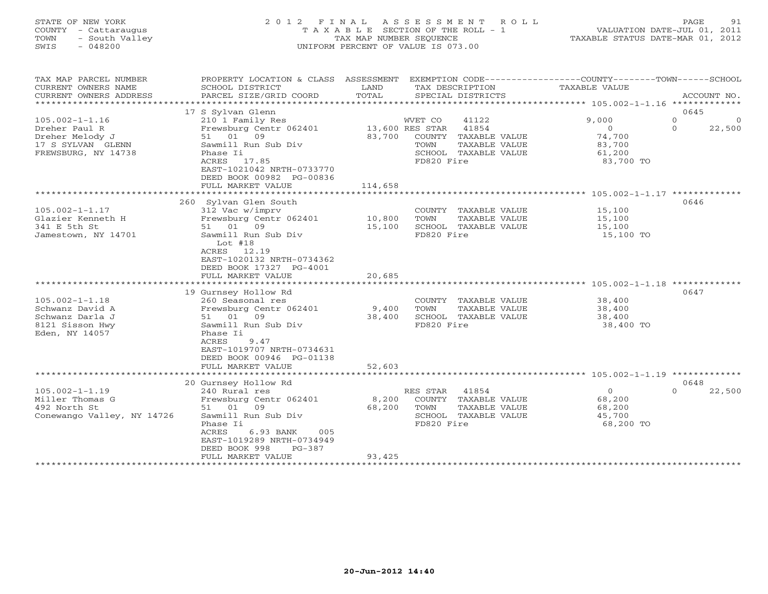## STATE OF NEW YORK 2 0 1 2 F I N A L A S S E S S M E N T R O L L PAGE 91 COUNTY - Cattaraugus T A X A B L E SECTION OF THE ROLL - 1 VALUATION DATE-JUL 01, 2011 TOWN - South Valley TAX MAP NUMBER SEQUENCE TAXABLE STATUS DATE-MAR 01, 2012 SWIS - 048200 UNIFORM PERCENT OF VALUE IS 073.00UNIFORM PERCENT OF VALUE IS 073.00

| TAX MAP PARCEL NUMBER<br>CURRENT OWNERS NAME<br>CURRENT OWNERS ADDRESS<br>***********************    | PROPERTY LOCATION & CLASS ASSESSMENT<br>SCHOOL DISTRICT<br>PARCEL SIZE/GRID COORD                                                                                                                           | LAND<br>TOTAL                        | TAX DESCRIPTION<br>SPECIAL DISTRICTS                                                                                | EXEMPTION CODE-----------------COUNTY-------TOWN------SCHOOL<br><b>TAXABLE VALUE</b> | ACCOUNT NO.                                      |
|------------------------------------------------------------------------------------------------------|-------------------------------------------------------------------------------------------------------------------------------------------------------------------------------------------------------------|--------------------------------------|---------------------------------------------------------------------------------------------------------------------|--------------------------------------------------------------------------------------|--------------------------------------------------|
| $105.002 - 1 - 1.16$<br>Dreher Paul R<br>Dreher Melody J<br>17 S SYLVAN GLENN<br>FREWSBURG, NY 14738 | 17 S Sylvan Glenn<br>210 1 Family Res<br>Frewsburg Centr 062401<br>51 01 09<br>Sawmill Run Sub Div<br>Phase Ii<br>ACRES 17.85<br>EAST-1021042 NRTH-0733770<br>DEED BOOK 00982 PG-00836<br>FULL MARKET VALUE | 13,600 RES STAR<br>83,700<br>114,658 | WVET CO<br>41122<br>41854<br>COUNTY<br>TAXABLE VALUE<br>TOWN<br>TAXABLE VALUE<br>SCHOOL TAXABLE VALUE<br>FD820 Fire | 9,000<br>$\Omega$<br>74,700<br>83,700<br>61,200<br>83,700 TO                         | 0645<br>$\circ$<br>$\circ$<br>$\Omega$<br>22,500 |
|                                                                                                      |                                                                                                                                                                                                             |                                      |                                                                                                                     |                                                                                      |                                                  |
| $105.002 - 1 - 1.17$<br>Glazier Kenneth H<br>341 E 5th St<br>Jamestown, NY 14701                     | 260 Sylvan Glen South<br>312 Vac w/imprv<br>Frewsburg Centr 062401<br>51 01<br>09<br>Sawmill Run Sub Div<br>Lot $#18$<br>ACRES<br>12.19                                                                     | 10,800<br>15,100                     | COUNTY TAXABLE VALUE<br>TOWN<br>TAXABLE VALUE<br>SCHOOL TAXABLE VALUE<br>FD820 Fire                                 | 15,100<br>15,100<br>15,100<br>15,100 TO                                              | 0646                                             |
|                                                                                                      | EAST-1020132 NRTH-0734362<br>DEED BOOK 17327 PG-4001<br>FULL MARKET VALUE                                                                                                                                   | 20,685                               |                                                                                                                     |                                                                                      |                                                  |
| $105.002 - 1 - 1.18$<br>Schwanz David A<br>Schwanz Darla J<br>8121 Sisson Hwy<br>Eden, NY 14057      | 19 Gurnsey Hollow Rd<br>260 Seasonal res<br>Frewsburg Centr 062401<br>51 01 09<br>Sawmill Run Sub Div<br>Phase Ii<br>ACRES<br>9.47<br>EAST-1019707 NRTH-0734631<br>DEED BOOK 00946 PG-01138                 | 9,400<br>38,400                      | COUNTY TAXABLE VALUE<br>TOWN<br>TAXABLE VALUE<br>SCHOOL TAXABLE VALUE<br>FD820 Fire                                 | 38,400<br>38,400<br>38,400<br>38,400 TO                                              | 0647                                             |
|                                                                                                      | FULL MARKET VALUE                                                                                                                                                                                           | 52,603                               |                                                                                                                     |                                                                                      |                                                  |
| $105.002 - 1 - 1.19$<br>Miller Thomas G<br>492 North St<br>Conewango Valley, NY 14726                | 20 Gurnsey Hollow Rd<br>240 Rural res<br>Frewsburg Centr 062401<br>51 01<br>09<br>Sawmill Run Sub Div<br>Phase Ii                                                                                           | 8,200<br>68,200                      | 41854<br>RES STAR<br>COUNTY TAXABLE VALUE<br>TOWN<br>TAXABLE VALUE<br>SCHOOL TAXABLE VALUE<br>FD820 Fire            | $\circ$<br>68,200<br>68,200<br>45,700<br>68,200 TO                                   | 0648<br>$\cap$<br>22,500                         |
|                                                                                                      | ACRES<br>6.93 BANK<br>005<br>EAST-1019289 NRTH-0734949<br>DEED BOOK 998<br>$PG-387$<br>FULL MARKET VALUE                                                                                                    | 93,425                               |                                                                                                                     |                                                                                      |                                                  |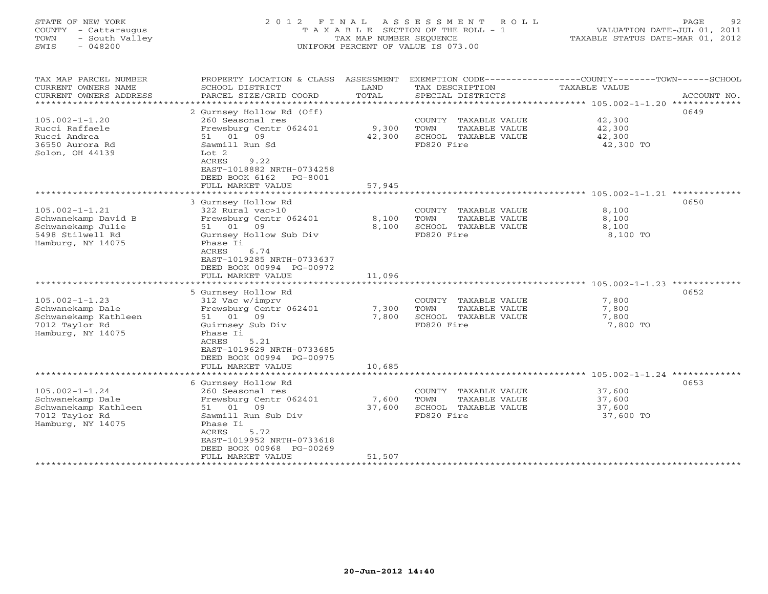## STATE OF NEW YORK 2 0 1 2 F I N A L A S S E S S M E N T R O L L PAGE 92 COUNTY - Cattaraugus T A X A B L E SECTION OF THE ROLL - 1 VALUATION DATE-JUL 01, 2011 TOWN - South Valley TAX MAP NUMBER SEQUENCE TAXABLE STATUS DATE-MAR 01, 2012 SWIS - 048200 UNIFORM PERCENT OF VALUE IS 073.00UNIFORM PERCENT OF VALUE IS 073.00

| TAX MAP PARCEL NUMBER<br>CURRENT OWNERS NAME<br>CURRENT OWNERS ADDRESS | PROPERTY LOCATION & CLASS<br>SCHOOL DISTRICT<br>PARCEL SIZE/GRID COORD | ASSESSMENT<br>LAND<br>TOTAL | TAX DESCRIPTION<br>SPECIAL DISTRICTS | EXEMPTION CODE-----------------COUNTY-------TOWN------SCHOOL<br><b>TAXABLE VALUE</b><br>ACCOUNT NO. |  |
|------------------------------------------------------------------------|------------------------------------------------------------------------|-----------------------------|--------------------------------------|-----------------------------------------------------------------------------------------------------|--|
| ***********************                                                |                                                                        |                             |                                      |                                                                                                     |  |
|                                                                        | 2 Gurnsey Hollow Rd (Off)                                              |                             |                                      | 0649                                                                                                |  |
| $105.002 - 1 - 1.20$                                                   | 260 Seasonal res                                                       |                             | COUNTY TAXABLE VALUE                 | 42,300                                                                                              |  |
| Rucci Raffaele                                                         | Frewsburg Centr 062401                                                 | 9,300                       | TOWN<br>TAXABLE VALUE                | 42,300                                                                                              |  |
| Rucci Andrea                                                           | 01<br>51<br>09                                                         | 42,300                      | SCHOOL TAXABLE VALUE                 | 42,300                                                                                              |  |
| 36550 Aurora Rd                                                        | Sawmill Run Sd                                                         |                             | FD820 Fire                           | 42,300 TO                                                                                           |  |
| Solon, OH 44139                                                        | Lot 2                                                                  |                             |                                      |                                                                                                     |  |
|                                                                        | ACRES<br>9.22                                                          |                             |                                      |                                                                                                     |  |
|                                                                        | EAST-1018882 NRTH-0734258                                              |                             |                                      |                                                                                                     |  |
|                                                                        | DEED BOOK 6162<br>PG-8001                                              |                             |                                      |                                                                                                     |  |
|                                                                        | FULL MARKET VALUE                                                      | 57,945                      |                                      |                                                                                                     |  |
|                                                                        | * * * * * * * * * * * * * * * * *                                      | ********                    |                                      | *********************** 105.002-1-1.21 *************                                                |  |
|                                                                        | 3 Gurnsey Hollow Rd                                                    |                             |                                      | 0650                                                                                                |  |
| $105.002 - 1 - 1.21$                                                   | 322 Rural vac>10                                                       |                             | COUNTY TAXABLE VALUE                 | 8,100                                                                                               |  |
| Schwanekamp David B                                                    | Frewsburg Centr 062401                                                 | 8,100                       | TOWN<br>TAXABLE VALUE                | 8,100                                                                                               |  |
| Schwanekamp Julie                                                      | 51 01<br>09                                                            | 8,100                       | SCHOOL TAXABLE VALUE                 | 8,100                                                                                               |  |
| 5498 Stilwell Rd                                                       | Gurnsey Hollow Sub Div                                                 |                             | FD820 Fire                           | 8,100 TO                                                                                            |  |
| Hamburg, NY 14075                                                      | Phase Ii                                                               |                             |                                      |                                                                                                     |  |
|                                                                        | 6.74<br>ACRES                                                          |                             |                                      |                                                                                                     |  |
|                                                                        | EAST-1019285 NRTH-0733637                                              |                             |                                      |                                                                                                     |  |
|                                                                        | DEED BOOK 00994 PG-00972                                               |                             |                                      |                                                                                                     |  |
|                                                                        | FULL MARKET VALUE                                                      | 11,096                      |                                      |                                                                                                     |  |
|                                                                        |                                                                        |                             |                                      | *************** 105.002-1-1.23 ******                                                               |  |
|                                                                        | 5 Gurnsey Hollow Rd                                                    |                             |                                      | 0652                                                                                                |  |
| $105.002 - 1 - 1.23$                                                   | 312 Vac w/imprv                                                        |                             | COUNTY<br>TAXABLE VALUE              | 7,800                                                                                               |  |
| Schwanekamp Dale                                                       | Frewsburg Centr 062401                                                 | 7,300                       | TOWN<br>TAXABLE VALUE                | 7,800                                                                                               |  |
| Schwanekamp Kathleen                                                   | 01<br>09<br>51                                                         | 7,800                       | SCHOOL TAXABLE VALUE                 | 7,800                                                                                               |  |
| 7012 Taylor Rd                                                         | Guirnsey Sub Div                                                       |                             | FD820 Fire                           | 7,800 TO                                                                                            |  |
| Hamburg, NY 14075                                                      | Phase Ii                                                               |                             |                                      |                                                                                                     |  |
|                                                                        | 5.21<br>ACRES                                                          |                             |                                      |                                                                                                     |  |
|                                                                        | EAST-1019629 NRTH-0733685                                              |                             |                                      |                                                                                                     |  |
|                                                                        | DEED BOOK 00994 PG-00975                                               |                             |                                      |                                                                                                     |  |
|                                                                        | FULL MARKET VALUE                                                      | 10,685                      |                                      |                                                                                                     |  |
|                                                                        | **********************                                                 | *************               |                                      | ****************************** 105.002-1-1.24 *************                                         |  |
|                                                                        | 6 Gurnsey Hollow Rd                                                    |                             |                                      | 0653                                                                                                |  |
| $105.002 - 1 - 1.24$                                                   | 260 Seasonal res                                                       |                             | COUNTY TAXABLE VALUE                 | 37,600                                                                                              |  |
| Schwanekamp Dale                                                       | Frewsburg Centr 062401                                                 | 7,600                       | TOWN<br>TAXABLE VALUE                | 37,600                                                                                              |  |
| Schwanekamp Kathleen                                                   | 01<br>09<br>51                                                         | 37,600                      | SCHOOL TAXABLE VALUE                 | 37,600                                                                                              |  |
| 7012 Taylor Rd                                                         | Sawmill Run Sub Div                                                    |                             | FD820 Fire                           | 37,600 TO                                                                                           |  |
| Hamburg, NY 14075                                                      | Phase Ii                                                               |                             |                                      |                                                                                                     |  |
|                                                                        | ACRES<br>5.72                                                          |                             |                                      |                                                                                                     |  |
|                                                                        | EAST-1019952 NRTH-0733618                                              |                             |                                      |                                                                                                     |  |
|                                                                        | DEED BOOK 00968 PG-00269                                               |                             |                                      |                                                                                                     |  |
|                                                                        | FULL MARKET VALUE                                                      | 51,507                      |                                      |                                                                                                     |  |
|                                                                        |                                                                        |                             |                                      |                                                                                                     |  |

#### **20-Jun-2012 14:40**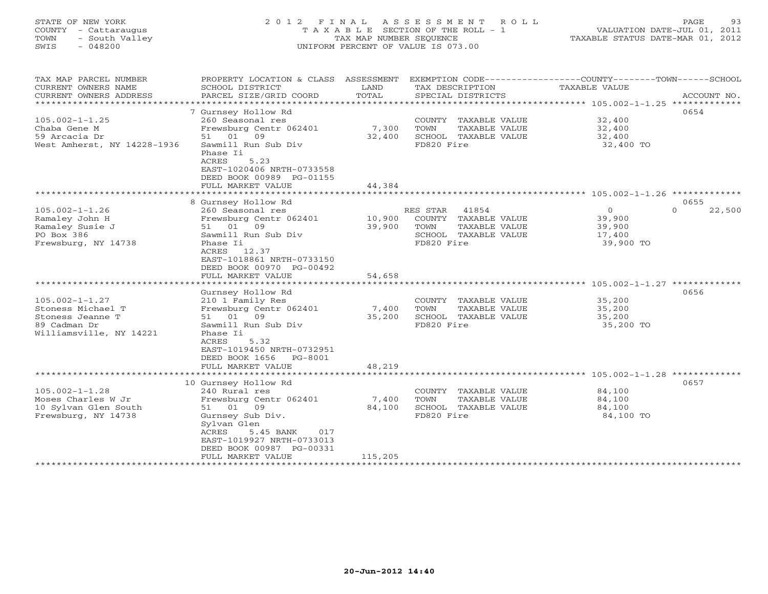# STATE OF NEW YORK 2 0 1 2 F I N A L A S S E S S M E N T R O L L PAGE 93 COUNTY - Cattaraugus T A X A B L E SECTION OF THE ROLL - 1 VALUATION DATE-JUL 01, 2011 TOWN - South Valley TAX MAP NUMBER SEQUENCE TAXABLE STATUS DATE-MAR 01, 2012 SWIS - 048200 UNIFORM PERCENT OF VALUE IS 073.00UNIFORM PERCENT OF VALUE IS 073.00

| TAX MAP PARCEL NUMBER<br>CURRENT OWNERS NAME                                                             | PROPERTY LOCATION & CLASS ASSESSMENT<br>SCHOOL DISTRICT                                                                                                                                   | LAND             | TAX DESCRIPTION                                                                                                | EXEMPTION CODE-----------------COUNTY-------TOWN------SCHOOL<br><b>TAXABLE VALUE</b> |                    |
|----------------------------------------------------------------------------------------------------------|-------------------------------------------------------------------------------------------------------------------------------------------------------------------------------------------|------------------|----------------------------------------------------------------------------------------------------------------|--------------------------------------------------------------------------------------|--------------------|
| CURRENT OWNERS ADDRESS                                                                                   | PARCEL SIZE/GRID COORD                                                                                                                                                                    | TOTAL            | SPECIAL DISTRICTS                                                                                              |                                                                                      | ACCOUNT NO.        |
|                                                                                                          | 7 Gurnsey Hollow Rd                                                                                                                                                                       |                  |                                                                                                                |                                                                                      | 0654               |
| $105.002 - 1 - 1.25$<br>Chaba Gene M<br>59 Arcacia Dr<br>West Amherst, NY 14228-1936                     | 260 Seasonal res<br>Frewsburg Centr 062401<br>51 01 09<br>Sawmill Run Sub Div<br>Phase Ii<br><b>ACRES</b><br>5.23<br>EAST-1020406 NRTH-0733558                                            | 7,300<br>32,400  | COUNTY<br>TAXABLE VALUE<br>TOWN<br>TAXABLE VALUE<br>SCHOOL TAXABLE VALUE<br>FD820 Fire                         | 32,400<br>32,400<br>32,400<br>32,400 TO                                              |                    |
|                                                                                                          | DEED BOOK 00989 PG-01155<br>FULL MARKET VALUE                                                                                                                                             | 44,384           |                                                                                                                |                                                                                      |                    |
|                                                                                                          | *******************                                                                                                                                                                       |                  |                                                                                                                |                                                                                      |                    |
|                                                                                                          | 8 Gurnsey Hollow Rd                                                                                                                                                                       |                  |                                                                                                                |                                                                                      | 0655               |
| $105.002 - 1 - 1.26$<br>Ramaley John H<br>Ramaley Susie J<br>PO Box 386<br>Frewsburg, NY 14738           | 260 Seasonal res<br>Frewsburg Centr 062401<br>01<br>09<br>51<br>Sawmill Run Sub Div<br>Phase Ii<br>12.37<br>ACRES<br>EAST-1018861 NRTH-0733150<br>DEED BOOK 00970 PG-00492                | 10,900<br>39,900 | RES STAR<br>41854<br>COUNTY<br>TAXABLE VALUE<br>TOWN<br>TAXABLE VALUE<br>SCHOOL<br>TAXABLE VALUE<br>FD820 Fire | $\mathbf 0$<br>39,900<br>39,900<br>17,400<br>39,900 TO                               | $\Omega$<br>22,500 |
|                                                                                                          | FULL MARKET VALUE<br>* * * * * * * * * * * * * * * * * *                                                                                                                                  | 54,658           |                                                                                                                | *********************** 105.002-1-1.27 *************                                 |                    |
| $105.002 - 1 - 1.27$<br>Stoness Michael T<br>Stoness Jeanne T<br>89 Cadman Dr<br>Williamsville, NY 14221 | Gurnsey Hollow Rd<br>210 1 Family Res<br>Frewsburg Centr 062401<br>51 01 09<br>Sawmill Run Sub Div<br>Phase Ii<br>ACRES<br>5.32<br>EAST-1019450 NRTH-0732951<br>DEED BOOK 1656<br>PG-8001 | 7,400<br>35,200  | COUNTY<br>TAXABLE VALUE<br>TOWN<br>TAXABLE VALUE<br>SCHOOL TAXABLE VALUE<br>FD820 Fire                         | 35,200<br>35,200<br>35,200<br>35,200 TO                                              | 0656               |
|                                                                                                          | FULL MARKET VALUE                                                                                                                                                                         | 48,219           |                                                                                                                |                                                                                      |                    |
|                                                                                                          | *****************<br>10 Gurnsey Hollow Rd                                                                                                                                                 | *********        |                                                                                                                | **************** 105.002-1-1.28 *************                                        | 0657               |
| $105.002 - 1 - 1.28$<br>Moses Charles W Jr<br>10 Sylvan Glen South<br>Frewsburg, NY 14738                | 240 Rural res<br>Frewsburg Centr 062401<br>51 01 09<br>Gurnsey Sub Div.<br>Sylvan Glen<br>ACRES<br>5.45 BANK<br>017<br>EAST-1019927 NRTH-0733013<br>DEED BOOK 00987 PG-00331              | 7,400<br>84,100  | COUNTY<br>TAXABLE VALUE<br>TOWN<br>TAXABLE VALUE<br>SCHOOL TAXABLE VALUE<br>FD820 Fire                         | 84,100<br>84,100<br>84,100<br>84,100 TO                                              |                    |
|                                                                                                          | FULL MARKET VALUE                                                                                                                                                                         | 115,205          |                                                                                                                |                                                                                      |                    |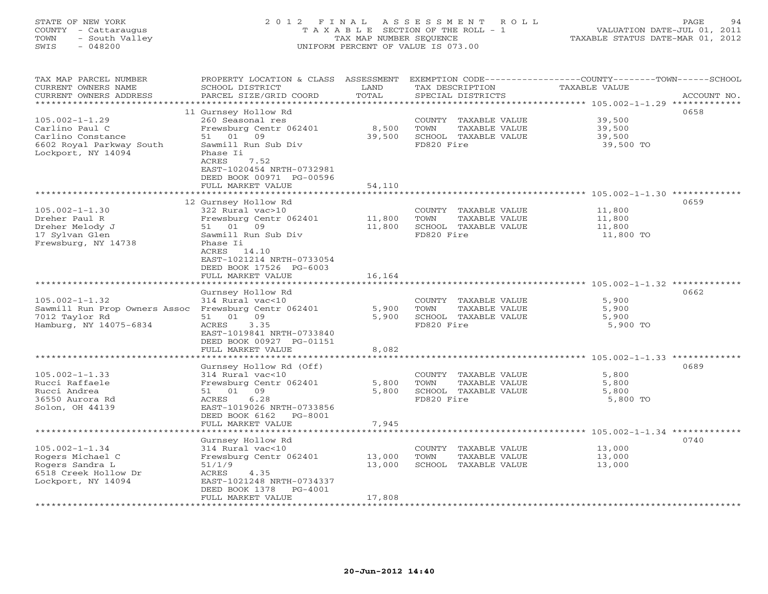## STATE OF NEW YORK 2 0 1 2 F I N A L A S S E S S M E N T R O L L PAGE 94 COUNTY - Cattaraugus T A X A B L E SECTION OF THE ROLL - 1 VALUATION DATE-JUL 01, 2011 TOWN - South Valley TAX MAP NUMBER SEQUENCE TAXABLE STATUS DATE-MAR 01, 2012 SWIS - 048200 UNIFORM PERCENT OF VALUE IS 073.00UNIFORM PERCENT OF VALUE IS 073.00

| TAX MAP PARCEL NUMBER<br>CURRENT OWNERS NAME          | PROPERTY LOCATION & CLASS ASSESSMENT<br>SCHOOL DISTRICT | LAND                | EXEMPTION CODE-----------------COUNTY-------TOWN------SCHOOL<br>TAX DESCRIPTION | TAXABLE VALUE                                              |             |
|-------------------------------------------------------|---------------------------------------------------------|---------------------|---------------------------------------------------------------------------------|------------------------------------------------------------|-------------|
| CURRENT OWNERS ADDRESS<br>**********************      | PARCEL SIZE/GRID COORD                                  | TOTAL               | SPECIAL DISTRICTS                                                               |                                                            | ACCOUNT NO. |
| $105.002 - 1 - 1.29$                                  | 11 Gurnsey Hollow Rd<br>260 Seasonal res                |                     | COUNTY TAXABLE VALUE                                                            | 39,500                                                     | 0658        |
| Carlino Paul C                                        | Frewsburg Centr 062401                                  | 8,500               | TOWN<br>TAXABLE VALUE                                                           | 39,500                                                     |             |
| Carlino Constance                                     | 01<br>09<br>51                                          | 39,500              | SCHOOL TAXABLE VALUE                                                            | 39,500                                                     |             |
| 6602 Royal Parkway South<br>Lockport, NY 14094        | Sawmill Run Sub Div<br>Phase Ii<br><b>ACRES</b><br>7.52 |                     | FD820 Fire                                                                      | 39,500 TO                                                  |             |
|                                                       | EAST-1020454 NRTH-0732981<br>DEED BOOK 00971 PG-00596   |                     |                                                                                 |                                                            |             |
|                                                       | FULL MARKET VALUE                                       | 54,110              |                                                                                 |                                                            |             |
|                                                       | *******************                                     | ********            |                                                                                 | ******************** 105.002-1-1.30 *************          |             |
| $105.002 - 1 - 1.30$                                  | 12 Gurnsey Hollow Rd<br>322 Rural vac>10                |                     | COUNTY TAXABLE VALUE                                                            | 11,800                                                     | 0659        |
| Dreher Paul R                                         | Frewsburg Centr 062401                                  | 11,800              | TOWN<br>TAXABLE VALUE                                                           | 11,800                                                     |             |
| Dreher Melody J                                       | 51 01 09                                                | 11,800              | SCHOOL TAXABLE VALUE                                                            | 11,800                                                     |             |
| 17 Sylvan Glen<br>Frewsburg, NY 14738                 | Sawmill Run Sub Div<br>Phase Ii                         |                     | FD820 Fire                                                                      | 11,800 TO                                                  |             |
|                                                       | ACRES 14.10                                             |                     |                                                                                 |                                                            |             |
|                                                       | EAST-1021214 NRTH-0733054                               |                     |                                                                                 |                                                            |             |
|                                                       | DEED BOOK 17526 PG-6003<br>FULL MARKET VALUE            | 16,164              |                                                                                 |                                                            |             |
|                                                       |                                                         |                     |                                                                                 | ***************************** 105.002-1-1.32 ************* |             |
|                                                       | Gurnsey Hollow Rd                                       |                     |                                                                                 |                                                            | 0662        |
| $105.002 - 1 - 1.32$<br>Sawmill Run Prop Owners Assoc | 314 Rural vac<10<br>Frewsburg Centr 062401              | 5,900               | COUNTY TAXABLE VALUE<br>TOWN<br>TAXABLE VALUE                                   | 5,900<br>5,900                                             |             |
| 7012 Taylor Rd                                        | 51 01 09                                                | 5,900               | SCHOOL TAXABLE VALUE                                                            | 5,900                                                      |             |
| Hamburg, NY 14075-6834                                | 3.35<br>ACRES                                           |                     | FD820 Fire                                                                      | 5,900 TO                                                   |             |
|                                                       | EAST-1019841 NRTH-0733840<br>DEED BOOK 00927 PG-01151   |                     |                                                                                 |                                                            |             |
|                                                       | FULL MARKET VALUE<br>******************                 | 8,082<br>********** |                                                                                 | ********************* 105.002-1-1.33 *************         |             |
|                                                       | Gurnsey Hollow Rd (Off)                                 |                     |                                                                                 |                                                            | 0689        |
| $105.002 - 1 - 1.33$                                  | 314 Rural vac<10                                        |                     | COUNTY TAXABLE VALUE                                                            | 5,800                                                      |             |
| Rucci Raffaele<br>Rucci Andrea                        | Frewsburg Centr 062401<br>01<br>09<br>51                | 5,800<br>5,800      | TOWN<br>TAXABLE VALUE<br>SCHOOL TAXABLE VALUE                                   | 5,800<br>5,800                                             |             |
| 36550 Aurora Rd                                       | 6.28<br>ACRES                                           |                     | FD820 Fire                                                                      | 5,800 TO                                                   |             |
| Solon, OH 44139                                       | EAST-1019026 NRTH-0733856                               |                     |                                                                                 |                                                            |             |
|                                                       | DEED BOOK 6162<br>PG-8001<br>FULL MARKET VALUE          | 7,945               |                                                                                 |                                                            |             |
|                                                       |                                                         |                     |                                                                                 |                                                            |             |
| $105.002 - 1 - 1.34$                                  | Gurnsey Hollow Rd<br>314 Rural vac<10                   |                     | COUNTY TAXABLE VALUE                                                            | 13,000                                                     | 0740        |
| Rogers Michael C                                      | Frewsburg Centr 062401                                  | 13,000              | TOWN<br>TAXABLE VALUE                                                           | 13,000                                                     |             |
| Rogers Sandra L                                       | 51/1/9                                                  | 13,000              | SCHOOL TAXABLE VALUE                                                            | 13,000                                                     |             |
| 6518 Creek Hollow Dr<br>Lockport, NY 14094            | ACRES<br>4.35<br>EAST-1021248 NRTH-0734337              |                     |                                                                                 |                                                            |             |
|                                                       | DEED BOOK 1378<br>$PG-4001$                             |                     |                                                                                 |                                                            |             |
|                                                       | FULL MARKET VALUE                                       | 17,808              |                                                                                 |                                                            |             |
|                                                       |                                                         |                     |                                                                                 |                                                            |             |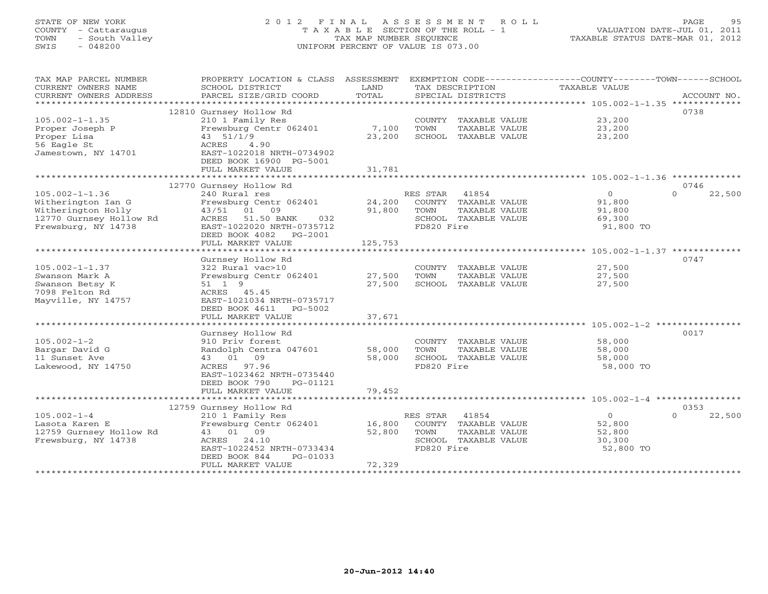# STATE OF NEW YORK 2 0 1 2 F I N A L A S S E S S M E N T R O L L PAGE 95 COUNTY - Cattaraugus T A X A B L E SECTION OF THE ROLL - 1 VALUATION DATE-JUL 01, 2011 TOWN - South Valley TAX MAP NUMBER SEQUENCE TAXABLE STATUS DATE-MAR 01, 2012 SWIS - 048200 UNIFORM PERCENT OF VALUE IS 073.00UNIFORM PERCENT OF VALUE IS 073.00

| TAX MAP PARCEL NUMBER   | PROPERTY LOCATION & CLASS ASSESSMENT |              |            |                      | EXEMPTION CODE-----------------COUNTY-------TOWN------SCHOOL |                    |
|-------------------------|--------------------------------------|--------------|------------|----------------------|--------------------------------------------------------------|--------------------|
| CURRENT OWNERS NAME     | SCHOOL DISTRICT                      | LAND         |            | TAX DESCRIPTION      | TAXABLE VALUE                                                |                    |
| CURRENT OWNERS ADDRESS  | PARCEL SIZE/GRID COORD               | TOTAL        |            | SPECIAL DISTRICTS    |                                                              | ACCOUNT NO.        |
| **********************  |                                      |              |            |                      |                                                              |                    |
|                         | 12810 Gurnsey Hollow Rd              |              |            |                      |                                                              | 0738               |
| $105.002 - 1 - 1.35$    | 210 1 Family Res                     |              |            | COUNTY TAXABLE VALUE | 23,200                                                       |                    |
| Proper Joseph P         | Frewsburg Centr 062401               | 7,100        | TOWN       | TAXABLE VALUE        | 23,200                                                       |                    |
| Proper Lisa             | 43 51/1/9                            | 23,200       |            | SCHOOL TAXABLE VALUE | 23,200                                                       |                    |
| 56 Eagle St             | ACRES<br>4.90                        |              |            |                      |                                                              |                    |
| Jamestown, NY 14701     | EAST-1022018 NRTH-0734902            |              |            |                      |                                                              |                    |
|                         | DEED BOOK 16900 PG-5001              |              |            |                      |                                                              |                    |
|                         | FULL MARKET VALUE                    | 31,781       |            |                      |                                                              |                    |
|                         | *************************            | ************ |            |                      |                                                              |                    |
|                         | 12770 Gurnsey Hollow Rd              |              |            |                      |                                                              | 0746               |
| $105.002 - 1 - 1.36$    | 240 Rural res                        |              | RES STAR   | 41854                | $\circ$                                                      | 22,500<br>$\Omega$ |
| Witherington Ian G      | Frewsburg Centr 062401               | 24,200       |            | COUNTY TAXABLE VALUE | 91,800                                                       |                    |
| Witherington Holly      | 43/51<br>01 09                       | 91,800       | TOWN       | TAXABLE VALUE        | 91,800                                                       |                    |
| 12770 Gurnsey Hollow Rd | ACRES 51.50 BANK<br>032              |              |            | SCHOOL TAXABLE VALUE | 69,300                                                       |                    |
| Frewsburg, NY 14738     | EAST-1022020 NRTH-0735712            |              | FD820 Fire |                      | 91,800 TO                                                    |                    |
|                         | DEED BOOK 4082<br>PG-2001            |              |            |                      |                                                              |                    |
|                         | FULL MARKET VALUE                    | 125,753      |            |                      |                                                              |                    |
|                         |                                      |              |            |                      |                                                              |                    |
|                         | Gurnsey Hollow Rd                    |              |            |                      |                                                              | 0747               |
| $105.002 - 1 - 1.37$    | 322 Rural vac>10                     |              |            | COUNTY TAXABLE VALUE | 27,500                                                       |                    |
| Swanson Mark A          | Frewsburg Centr 062401               | 27,500       | TOWN       | TAXABLE VALUE        | 27,500                                                       |                    |
| Swanson Betsy K         | 51 1 9                               | 27,500       |            | SCHOOL TAXABLE VALUE | 27,500                                                       |                    |
| 7098 Felton Rd          | ACRES 45.45                          |              |            |                      |                                                              |                    |
| Mayville, NY 14757      | EAST-1021034 NRTH-0735717            |              |            |                      |                                                              |                    |
|                         | DEED BOOK 4611<br>PG-5002            |              |            |                      |                                                              |                    |
|                         | FULL MARKET VALUE                    | 37,671       |            |                      |                                                              |                    |
|                         |                                      |              |            |                      |                                                              |                    |
|                         | Gurnsey Hollow Rd                    |              |            |                      |                                                              | 0017               |
| $105.002 - 1 - 2$       | 910 Priv forest                      |              |            | COUNTY TAXABLE VALUE | 58,000                                                       |                    |
| Bargar David G          | Randolph Centra 047601               | 58,000       | TOWN       | TAXABLE VALUE        | 58,000                                                       |                    |
| 11 Sunset Ave           | 43 01 09                             | 58,000       |            | SCHOOL TAXABLE VALUE | 58,000                                                       |                    |
| Lakewood, NY 14750      | ACRES 97.96                          |              | FD820 Fire |                      | 58,000 TO                                                    |                    |
|                         | EAST-1023462 NRTH-0735440            |              |            |                      |                                                              |                    |
|                         | DEED BOOK 790<br>PG-01121            |              |            |                      |                                                              |                    |
|                         | FULL MARKET VALUE                    | 79,452       |            |                      |                                                              |                    |
|                         |                                      |              |            |                      |                                                              |                    |
|                         | 12759 Gurnsey Hollow Rd              |              |            |                      |                                                              | 0353               |
| $105.002 - 1 - 4$       | 210 1 Family Res                     |              | RES STAR   | 41854                | $\circ$                                                      | $\Omega$<br>22,500 |
| Lasota Karen E          | Frewsburg Centr 062401               | 16,800       |            | COUNTY TAXABLE VALUE | 52,800                                                       |                    |
| 12759 Gurnsey Hollow Rd | 43 01 09                             | 52,800       | TOWN       | TAXABLE VALUE        | 52,800                                                       |                    |
| Frewsburg, NY 14738     | ACRES<br>24.10                       |              |            | SCHOOL TAXABLE VALUE | 30,300                                                       |                    |
|                         | EAST-1022452 NRTH-0733434            |              | FD820 Fire |                      | 52,800 TO                                                    |                    |
|                         | DEED BOOK 844<br>PG-01033            |              |            |                      |                                                              |                    |
|                         | FULL MARKET VALUE                    | 72,329       |            |                      |                                                              |                    |
|                         |                                      |              |            |                      |                                                              |                    |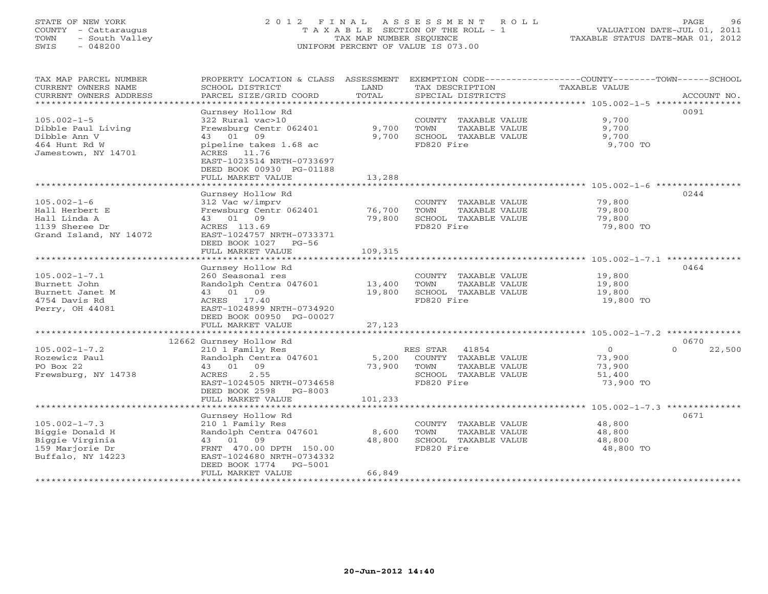# STATE OF NEW YORK 2 0 1 2 F I N A L A S S E S S M E N T R O L L PAGE 96 COUNTY - Cattaraugus T A X A B L E SECTION OF THE ROLL - 1 VALUATION DATE-JUL 01, 2011 TOWN - South Valley TAX MAP NUMBER SEQUENCE TAXABLE STATUS DATE-MAR 01, 2012 SWIS - 048200 UNIFORM PERCENT OF VALUE IS 073.00UNIFORM PERCENT OF VALUE IS 073.00

| TAX MAP PARCEL NUMBER<br>CURRENT OWNERS NAME<br>CURRENT OWNERS ADDRESS | PROPERTY LOCATION & CLASS ASSESSMENT<br>SCHOOL DISTRICT<br>PARCEL SIZE/GRID COORD              | LAND<br>TOTAL | TAX DESCRIPTION<br>SPECIAL DISTRICTS | EXEMPTION CODE-----------------COUNTY-------TOWN------SCHOOL<br>TAXABLE VALUE<br>ACCOUNT NO. |
|------------------------------------------------------------------------|------------------------------------------------------------------------------------------------|---------------|--------------------------------------|----------------------------------------------------------------------------------------------|
| *************************                                              |                                                                                                |               |                                      |                                                                                              |
|                                                                        | Gurnsey Hollow Rd                                                                              |               |                                      | 0091                                                                                         |
| $105.002 - 1 - 5$                                                      | 322 Rural vac>10                                                                               |               | COUNTY TAXABLE VALUE                 | 9,700                                                                                        |
| Dibble Paul Living                                                     | Frewsburg Centr 062401                                                                         | 9,700         | TOWN<br>TAXABLE VALUE                | 9,700                                                                                        |
| Dibble Ann V                                                           | 43 01 09                                                                                       | 9,700         | SCHOOL TAXABLE VALUE                 | 9,700                                                                                        |
| 464 Hunt Rd W<br>Jamestown, NY 14701                                   | pipeline takes 1.68 ac<br>ACRES 11.76<br>EAST-1023514 NRTH-0733697<br>DEED BOOK 00930 PG-01188 |               | FD820 Fire                           | 9,700 TO                                                                                     |
|                                                                        | FULL MARKET VALUE                                                                              | 13,288        |                                      |                                                                                              |
|                                                                        |                                                                                                |               |                                      |                                                                                              |
|                                                                        | Gurnsey Hollow Rd                                                                              |               |                                      | 0244                                                                                         |
| $105.002 - 1 - 6$                                                      | 312 Vac w/imprv                                                                                |               | COUNTY TAXABLE VALUE                 | 79,800                                                                                       |
| Hall Herbert E                                                         | Frewsburg Centr 062401                                                                         | 76,700        | TOWN<br>TAXABLE VALUE                | 79,800                                                                                       |
| Hall Linda A                                                           | 43 01 09                                                                                       | 79,800        | SCHOOL TAXABLE VALUE                 | 79,800                                                                                       |
| 1139 Sheree Dr                                                         | ACRES 113.69                                                                                   |               | FD820 Fire                           | 79,800 TO                                                                                    |
| Grand Island, NY 14072                                                 | EAST-1024757 NRTH-0733371                                                                      |               |                                      |                                                                                              |
|                                                                        | DEED BOOK 1027 PG-56                                                                           |               |                                      |                                                                                              |
|                                                                        | FULL MARKET VALUE                                                                              | 109,315       |                                      |                                                                                              |
|                                                                        |                                                                                                |               |                                      |                                                                                              |
|                                                                        | Gurnsey Hollow Rd                                                                              |               |                                      | 0464                                                                                         |
| $105.002 - 1 - 7.1$                                                    | 260 Seasonal res                                                                               |               | COUNTY TAXABLE VALUE                 | 19,800                                                                                       |
| Burnett John                                                           | Randolph Centra 047601 13,400                                                                  |               | TOWN<br>TAXABLE VALUE                | 19,800                                                                                       |
| Burnett Janet M                                                        | 43 01 09                                                                                       | 19,800        | SCHOOL TAXABLE VALUE                 | 19,800                                                                                       |
| 4754 Davis Rd                                                          | ACRES 17.40                                                                                    |               | FD820 Fire                           | 19,800 TO                                                                                    |
| Perry, OH 44081                                                        | EAST-1024899 NRTH-0734920                                                                      |               |                                      |                                                                                              |
|                                                                        | DEED BOOK 00950 PG-00027                                                                       |               |                                      |                                                                                              |
|                                                                        | FULL MARKET VALUE                                                                              | 27,123        |                                      |                                                                                              |
|                                                                        |                                                                                                |               |                                      |                                                                                              |
|                                                                        | 12662 Gurnsey Hollow Rd                                                                        |               |                                      | 0670                                                                                         |
| $105.002 - 1 - 7.2$                                                    | 210 1 Family Res                                                                               |               | RES STAR 41854                       | 22,500<br>$\overline{0}$<br>$\Omega$                                                         |
| Rozewicz Paul                                                          | Randolph Centra 047601                                                                         | 5,200         | COUNTY TAXABLE VALUE                 | 73,900                                                                                       |
| PO Box 22                                                              | 43 01 09                                                                                       | 73,900        | TOWN<br>TAXABLE VALUE                | 73,900                                                                                       |
| Frewsburg, NY 14738                                                    | 2.55<br>ACRES                                                                                  |               | SCHOOL TAXABLE VALUE                 | 51,400                                                                                       |
|                                                                        | EAST-1024505 NRTH-0734658                                                                      |               | FD820 Fire                           | 73,900 TO                                                                                    |
|                                                                        | DEED BOOK 2598 PG-8003                                                                         |               |                                      |                                                                                              |
|                                                                        | FULL MARKET VALUE                                                                              | 101,233       |                                      |                                                                                              |
|                                                                        |                                                                                                |               |                                      |                                                                                              |
|                                                                        | Gurnsey Hollow Rd                                                                              |               |                                      | 0671                                                                                         |
| $105.002 - 1 - 7.3$                                                    | 210 1 Family Res                                                                               |               | COUNTY TAXABLE VALUE                 | 48,800                                                                                       |
| Biggie Donald H                                                        | Randolph Centra 047601                                                                         | 8,600         | TOWN<br>TAXABLE VALUE                | 48,800                                                                                       |
| Biggie Virginia                                                        | 43 01 09                                                                                       | 48,800        | SCHOOL TAXABLE VALUE                 | 48,800                                                                                       |
| 159 Marjorie Dr                                                        | FRNT 470.00 DPTH 150.00                                                                        |               | FD820 Fire                           | 48,800 TO                                                                                    |
| Buffalo, NY 14223                                                      | EAST-1024680 NRTH-0734332                                                                      |               |                                      |                                                                                              |
|                                                                        | DEED BOOK 1774 PG-5001                                                                         |               |                                      |                                                                                              |
|                                                                        | FULL MARKET VALUE                                                                              | 66,849        |                                      |                                                                                              |
|                                                                        |                                                                                                |               | *********************************    |                                                                                              |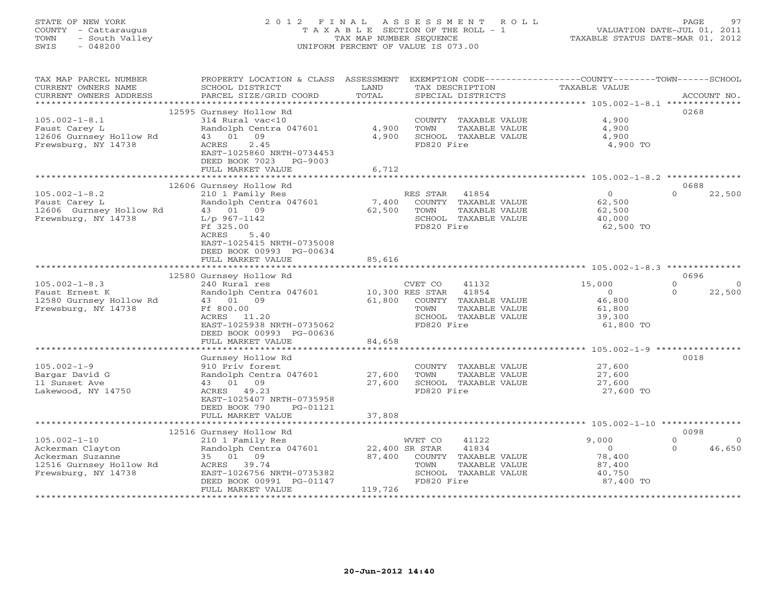# STATE OF NEW YORK 2 0 1 2 F I N A L A S S E S S M E N T R O L L PAGE 97 COUNTY - Cattaraugus T A X A B L E SECTION OF THE ROLL - 1 VALUATION DATE-JUL 01, 2011 TOWN - South Valley TAX MAP NUMBER SEQUENCE TAXABLE STATUS DATE-MAR 01, 2012 SWIS - 048200 UNIFORM PERCENT OF VALUE IS 073.00UNIFORM PERCENT OF VALUE IS 073.00

| TAX MAP PARCEL NUMBER<br>CURRENT OWNERS NAME<br>CURRENT OWNERS ADDRESS                                       | PROPERTY LOCATION & CLASS ASSESSMENT<br>SCHOOL DISTRICT<br>PARCEL SIZE/GRID COORD                                                                                                          | LAND<br>TOTAL                       | EXEMPTION CODE-----------------COUNTY-------TOWN------SCHOOL<br>TAX DESCRIPTION<br>SPECIAL DISTRICTS             | TAXABLE VALUE                                                       | ACCOUNT NO.                                        |
|--------------------------------------------------------------------------------------------------------------|--------------------------------------------------------------------------------------------------------------------------------------------------------------------------------------------|-------------------------------------|------------------------------------------------------------------------------------------------------------------|---------------------------------------------------------------------|----------------------------------------------------|
| **********************                                                                                       |                                                                                                                                                                                            |                                     |                                                                                                                  |                                                                     |                                                    |
| $105.002 - 1 - 8.1$<br>Faust Carey L<br>12606 Gurnsey Hollow Rd<br>Frewsburg, NY 14738                       | 12595 Gurnsey Hollow Rd<br>314 Rural vac<10<br>Randolph Centra 047601<br>43 01<br>09<br>2.45<br>ACRES<br>EAST-1025860 NRTH-0734453<br>DEED BOOK 7023 PG-9003<br>FULL MARKET VALUE          | 4,900<br>4,900<br>6,712             | COUNTY TAXABLE VALUE<br>TOWN<br>TAXABLE VALUE<br>SCHOOL TAXABLE VALUE<br>FD820 Fire                              | 4,900<br>4,900<br>4,900<br>4,900 TO                                 | 0268                                               |
|                                                                                                              |                                                                                                                                                                                            |                                     |                                                                                                                  |                                                                     |                                                    |
| $105.002 - 1 - 8.2$<br>Faust Carey L<br>12606 Gurnsey Hollow Rd<br>Frewsburg, NY 14738                       | 12606 Gurnsey Hollow Rd<br>210 1 Family Res<br>Randolph Centra 047601<br>43 01 09<br>$L/p$ 967-1142<br>Ff 325.00<br>ACRES<br>5.40<br>EAST-1025415 NRTH-0735008<br>DEED BOOK 00993 PG-00634 | 7,400<br>62,500                     | RES STAR<br>41854<br>COUNTY TAXABLE VALUE<br>TOWN<br>TAXABLE VALUE<br>SCHOOL TAXABLE VALUE<br>FD820 Fire         | $\overline{0}$<br>62,500<br>62,500<br>40,000<br>62,500 TO           | 0688<br>$\Omega$<br>22,500                         |
|                                                                                                              | FULL MARKET VALUE                                                                                                                                                                          | 85,616                              |                                                                                                                  |                                                                     |                                                    |
|                                                                                                              |                                                                                                                                                                                            |                                     |                                                                                                                  |                                                                     |                                                    |
| $105.002 - 1 - 8.3$<br>Faust Ernest K<br>12580 Gurnsey Hollow Rd<br>Frewsburg, NY 14738                      | 12580 Gurnsey Hollow Rd<br>240 Rural res<br>Randolph Centra 047601<br>43 01 09<br>Ff 800.00<br>ACRES 11.20<br>EAST-1025938 NRTH-0735062<br>DEED BOOK 00993 PG-00636<br>FULL MARKET VALUE   | 10,300 RES STAR<br>61,800<br>84,658 | CVET CO<br>41132<br>41854<br>COUNTY TAXABLE VALUE<br>TOWN<br>TAXABLE VALUE<br>SCHOOL TAXABLE VALUE<br>FD820 Fire | 15,000<br>$\overline{0}$<br>46,800<br>61,800<br>39,300<br>61,800 TO | 0696<br>$\Omega$<br>$\Omega$<br>$\Omega$<br>22,500 |
|                                                                                                              |                                                                                                                                                                                            |                                     |                                                                                                                  | ********************* 105.002-1-9 *************                     |                                                    |
| $105.002 - 1 - 9$<br>Bargar David G<br>11 Sunset Ave<br>Lakewood, NY 14750                                   | Gurnsey Hollow Rd<br>910 Priv forest<br>Randolph Centra 047601<br>43 01 09<br>ACRES 49.23<br>EAST-1025407 NRTH-0735958<br>DEED BOOK 790<br>PG-01121                                        | 27,600<br>27,600                    | COUNTY TAXABLE VALUE<br>TOWN<br>TAXABLE VALUE<br>SCHOOL TAXABLE VALUE<br>FD820 Fire                              | 27,600<br>27,600<br>27,600<br>27,600 TO                             | 0018                                               |
|                                                                                                              | FULL MARKET VALUE                                                                                                                                                                          | 37,808                              |                                                                                                                  |                                                                     |                                                    |
|                                                                                                              | 12516 Gurnsey Hollow Rd                                                                                                                                                                    |                                     |                                                                                                                  |                                                                     | 0098                                               |
| $105.002 - 1 - 10$<br>Ackerman Clayton<br>Ackerman Suzanne<br>12516 Gurnsey Hollow Rd<br>Frewsburg, NY 14738 | 210 1 Family Res<br>Randolph Centra 047601<br>35 01 09<br>ACRES 39.74<br>EAST-1026756 NRTH-0735382<br>DEED BOOK 00991 PG-01147<br>FULL MARKET VALUE                                        | 22,400 SR STAR<br>87,400<br>119,726 | 41122<br>WVET CO<br>41834<br>COUNTY TAXABLE VALUE<br>TAXABLE VALUE<br>TOWN<br>SCHOOL TAXABLE VALUE<br>FD820 Fire | 9,000<br>$\circ$<br>78,400<br>87,400<br>40,750<br>87,400 TO         | $\Omega$<br>- 0<br>46,650<br>$\Omega$              |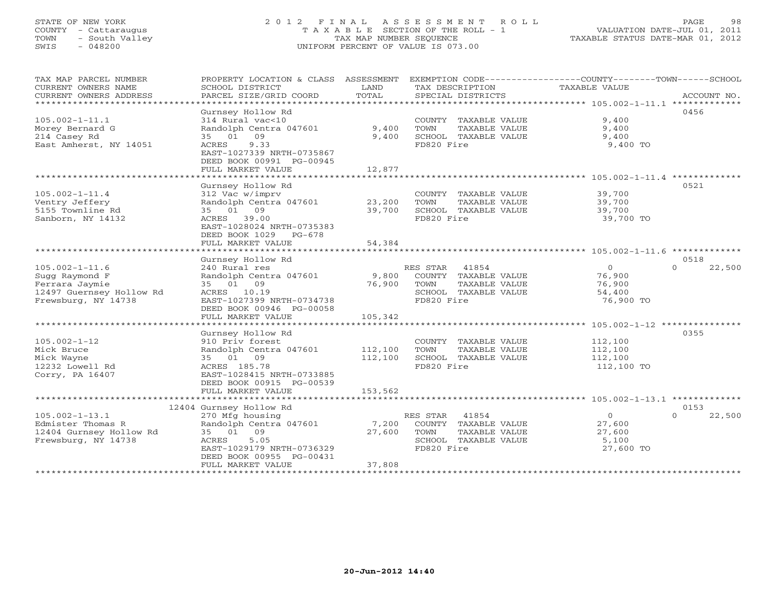# STATE OF NEW YORK 2 0 1 2 F I N A L A S S E S S M E N T R O L L PAGE 98 COUNTY - Cattaraugus T A X A B L E SECTION OF THE ROLL - 1 VALUATION DATE-JUL 01, 2011 TOWN - South Valley TAX MAP NUMBER SEQUENCE TAXABLE STATUS DATE-MAR 01, 2012 SWIS - 048200 UNIFORM PERCENT OF VALUE IS 073.00UNIFORM PERCENT OF VALUE IS 073.00

| TAX MAP PARCEL NUMBER                           | PROPERTY LOCATION & CLASS ASSESSMENT      |               | EXEMPTION CODE-----------------COUNTY-------TOWN------SCHOOL |                      |                    |
|-------------------------------------------------|-------------------------------------------|---------------|--------------------------------------------------------------|----------------------|--------------------|
| CURRENT OWNERS NAME<br>CURRENT OWNERS ADDRESS   | SCHOOL DISTRICT<br>PARCEL SIZE/GRID COORD | LAND<br>TOTAL | TAX DESCRIPTION<br>SPECIAL DISTRICTS                         | <b>TAXABLE VALUE</b> | ACCOUNT NO.        |
|                                                 |                                           |               |                                                              |                      |                    |
|                                                 | Gurnsey Hollow Rd                         |               |                                                              |                      | 0456               |
| $105.002 - 1 - 11.1$                            | 314 Rural vac<10                          |               | COUNTY TAXABLE VALUE                                         | 9,400                |                    |
| Morey Bernard G                                 | Randolph Centra 047601                    | 9,400         | TOWN<br>TAXABLE VALUE                                        | 9,400                |                    |
| 214 Casey Rd                                    | 35 01 09                                  | 9,400         | SCHOOL TAXABLE VALUE                                         | 9,400                |                    |
| East Amherst, NY 14051                          | ACRES<br>9.33                             |               | FD820 Fire                                                   | 9,400 TO             |                    |
|                                                 | EAST-1027339 NRTH-0735867                 |               |                                                              |                      |                    |
|                                                 | DEED BOOK 00991 PG-00945                  |               |                                                              |                      |                    |
|                                                 | FULL MARKET VALUE                         | 12,877        |                                                              |                      |                    |
|                                                 | Gurnsey Hollow Rd                         |               |                                                              |                      | 0521               |
| $105.002 - 1 - 11.4$                            | 312 Vac w/imprv                           |               | COUNTY TAXABLE VALUE                                         | 39,700               |                    |
| Ventry Jeffery                                  | Randolph Centra 047601                    | 23,200        | TOWN<br>TAXABLE VALUE                                        | 39,700               |                    |
| 5155 Townline Rd                                | 35 01 09                                  | 39,700        | SCHOOL TAXABLE VALUE                                         | 39,700               |                    |
| Sanborn, NY 14132                               | ACRES 39.00                               |               | FD820 Fire                                                   | 39,700 TO            |                    |
|                                                 | EAST-1028024 NRTH-0735383                 |               |                                                              |                      |                    |
|                                                 | DEED BOOK 1029 PG-678                     |               |                                                              |                      |                    |
|                                                 | FULL MARKET VALUE                         | 54,384        |                                                              |                      |                    |
|                                                 |                                           |               |                                                              |                      |                    |
|                                                 | Gurnsey Hollow Rd                         |               |                                                              |                      | 0518               |
| $105.002 - 1 - 11.6$                            | 240 Rural res                             |               | RES STAR<br>41854                                            | $\circ$              | 22,500<br>$\Omega$ |
| Sugg Raymond F                                  | Randolph Centra 047601                    | 9,800         | COUNTY TAXABLE VALUE                                         | 76,900               |                    |
| Ferrara Jaymie                                  | 35 01 09                                  | 76,900        | TOWN<br>TAXABLE VALUE                                        | 76,900               |                    |
| 12497 Guernsey Hollow Rd<br>Frewsburg, NY 14738 | ACRES 10.19<br>EAST-1027399 NRTH-0734738  |               | SCHOOL TAXABLE VALUE<br>FD820 Fire                           | 54,400<br>76,900 TO  |                    |
|                                                 | DEED BOOK 00946 PG-00058                  |               |                                                              |                      |                    |
|                                                 | FULL MARKET VALUE                         | 105,342       |                                                              |                      |                    |
|                                                 |                                           |               |                                                              |                      |                    |
|                                                 | Gurnsey Hollow Rd                         |               |                                                              |                      | 0355               |
| $105.002 - 1 - 12$                              | 910 Priv forest                           |               | COUNTY TAXABLE VALUE                                         | 112,100              |                    |
| Mick Bruce                                      | Randolph Centra 047601                    | 112,100       | TOWN<br>TAXABLE VALUE                                        | 112,100              |                    |
| Mick Wayne                                      | 35 01 09                                  | 112,100       | SCHOOL TAXABLE VALUE                                         | 112,100              |                    |
| 12232 Lowell Rd                                 | ACRES 185.78                              |               | FD820 Fire                                                   | 112,100 TO           |                    |
| Corry, PA 16407                                 | EAST-1028415 NRTH-0733885                 |               |                                                              |                      |                    |
|                                                 | DEED BOOK 00915 PG-00539                  |               |                                                              |                      |                    |
|                                                 | FULL MARKET VALUE                         | 153,562       |                                                              |                      |                    |
|                                                 | 12404 Gurnsey Hollow Rd                   |               |                                                              |                      | 0153               |
| $105.002 - 1 - 13.1$                            | 270 Mfg housing                           |               | RES STAR 41854                                               | $\circ$              | $\Omega$<br>22,500 |
| Edmister Thomas R                               | Randolph Centra 047601                    | 7,200         | COUNTY TAXABLE VALUE                                         | 27,600               |                    |
| 12404 Gurnsey Hollow Rd                         | 35 01 09                                  | 27,600        | TOWN<br>TAXABLE VALUE                                        | 27,600               |                    |
| Frewsburg, NY 14738                             | ACRES<br>5.05                             |               | SCHOOL TAXABLE VALUE                                         | 5,100                |                    |
|                                                 | EAST-1029179 NRTH-0736329                 |               | FD820 Fire                                                   | 27,600 TO            |                    |
|                                                 | DEED BOOK 00955 PG-00431                  |               |                                                              |                      |                    |
|                                                 | FULL MARKET VALUE                         | 37,808        |                                                              |                      |                    |
|                                                 |                                           |               |                                                              |                      |                    |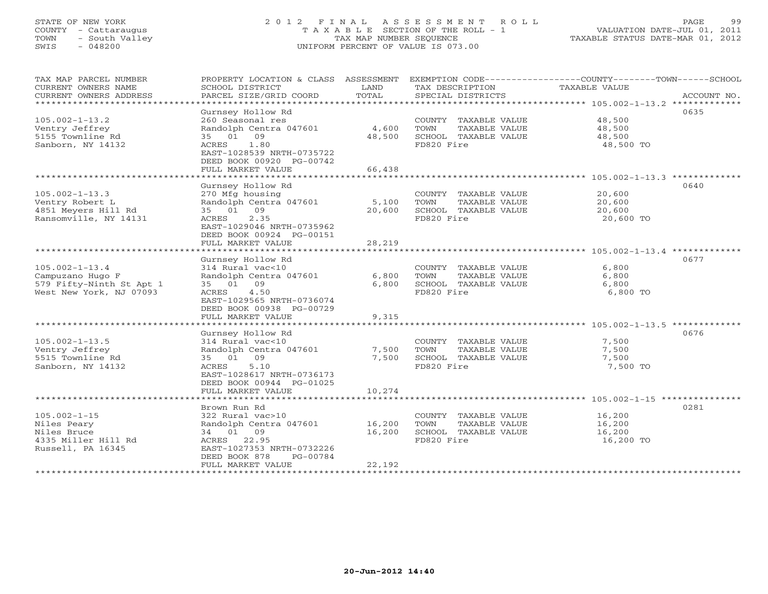# STATE OF NEW YORK 2 0 1 2 F I N A L A S S E S S M E N T R O L L PAGE 99 COUNTY - Cattaraugus T A X A B L E SECTION OF THE ROLL - 1 VALUATION DATE-JUL 01, 2011 TOWN - South Valley TAX MAP NUMBER SEQUENCE TAXABLE STATUS DATE-MAR 01, 2012 SWIS - 048200 UNIFORM PERCENT OF VALUE IS 073.00UNIFORM PERCENT OF VALUE IS 073.00

| TAX MAP PARCEL NUMBER<br>CURRENT OWNERS NAME<br>CURRENT OWNERS ADDRESS<br>******************    | PROPERTY LOCATION & CLASS ASSESSMENT<br>SCHOOL DISTRICT<br>PARCEL SIZE/GRID COORD<br>***************                                                                                                       | LAND<br>TOTAL                               | TAX DESCRIPTION<br>SPECIAL DISTRICTS                                                | EXEMPTION CODE-----------------COUNTY-------TOWN------SCHOOL<br>TAXABLE VALUE<br>ACCOUNT NO. |
|-------------------------------------------------------------------------------------------------|------------------------------------------------------------------------------------------------------------------------------------------------------------------------------------------------------------|---------------------------------------------|-------------------------------------------------------------------------------------|----------------------------------------------------------------------------------------------|
| $105.002 - 1 - 13.2$<br>Ventry Jeffrey<br>5155 Townline Rd<br>Sanborn, NY 14132                 | Gurnsey Hollow Rd<br>260 Seasonal res<br>Randolph Centra 047601<br>35 01 09<br>1.80<br>ACRES<br>EAST-1028539 NRTH-0735722<br>DEED BOOK 00920 PG-00742<br>FULL MARKET VALUE                                 | 4,600<br>48,500<br>66,438                   | COUNTY TAXABLE VALUE<br>TOWN<br>TAXABLE VALUE<br>SCHOOL TAXABLE VALUE<br>FD820 Fire | 0635<br>48,500<br>48,500<br>48,500<br>48,500 TO                                              |
| $105.002 - 1 - 13.3$<br>Ventry Robert L<br>4851 Meyers Hill Rd<br>Ransomville, NY 14131         | Gurnsey Hollow Rd<br>270 Mfg housing<br>Randolph Centra 047601<br>09<br>35 01<br>2.35<br>ACRES<br>EAST-1029046 NRTH-0735962<br>DEED BOOK 00924 PG-00151<br>FULL MARKET VALUE<br>************************** | 5,100<br>20,600<br>28,219<br>************** | COUNTY TAXABLE VALUE<br>TOWN<br>TAXABLE VALUE<br>SCHOOL TAXABLE VALUE<br>FD820 Fire | 0640<br>20,600<br>20,600<br>20,600<br>20,600 TO                                              |
| $105.002 - 1 - 13.4$<br>Campuzano Hugo F<br>579 Fifty-Ninth St Apt 1<br>West New York, NJ 07093 | Gurnsey Hollow Rd<br>314 Rural vac<10<br>Randolph Centra 047601<br>35 01 09<br>4.50<br>ACRES<br>EAST-1029565 NRTH-0736074<br>DEED BOOK 00938 PG-00729                                                      | 6,800<br>6,800                              | COUNTY TAXABLE VALUE<br>TOWN<br>TAXABLE VALUE<br>SCHOOL TAXABLE VALUE<br>FD820 Fire | 0677<br>6,800<br>6,800<br>6,800<br>6,800 TO                                                  |
|                                                                                                 | FULL MARKET VALUE                                                                                                                                                                                          | 9,315                                       |                                                                                     |                                                                                              |
| $105.002 - 1 - 13.5$<br>Ventry Jeffrey<br>5515 Townline Rd<br>Sanborn, NY 14132                 | Gurnsey Hollow Rd<br>314 Rural vac<10<br>Randolph Centra 047601<br>35 01 09<br>5.10<br>ACRES<br>EAST-1028617 NRTH-0736173<br>DEED BOOK 00944 PG-01025<br>FULL MARKET VALUE                                 | 7,500<br>7,500<br>10,274                    | COUNTY TAXABLE VALUE<br>TOWN<br>TAXABLE VALUE<br>SCHOOL TAXABLE VALUE<br>FD820 Fire | 0676<br>7,500<br>7,500<br>7,500<br>7,500 TO                                                  |
|                                                                                                 |                                                                                                                                                                                                            |                                             |                                                                                     |                                                                                              |
| $105.002 - 1 - 15$<br>Niles Peary<br>Niles Bruce<br>4335 Miller Hill Rd<br>Russell, PA 16345    | Brown Run Rd<br>322 Rural vac>10<br>Randolph Centra 047601<br>34 01 09<br>22.95<br>ACRES<br>EAST-1027353 NRTH-0732226<br>DEED BOOK 878<br>PG-00784<br>FULL MARKET VALUE                                    | 16,200<br>16,200<br>22,192                  | COUNTY TAXABLE VALUE<br>TOWN<br>TAXABLE VALUE<br>SCHOOL TAXABLE VALUE<br>FD820 Fire | 0281<br>16,200<br>16,200<br>16,200<br>16,200 TO                                              |
|                                                                                                 | *************************                                                                                                                                                                                  |                                             |                                                                                     |                                                                                              |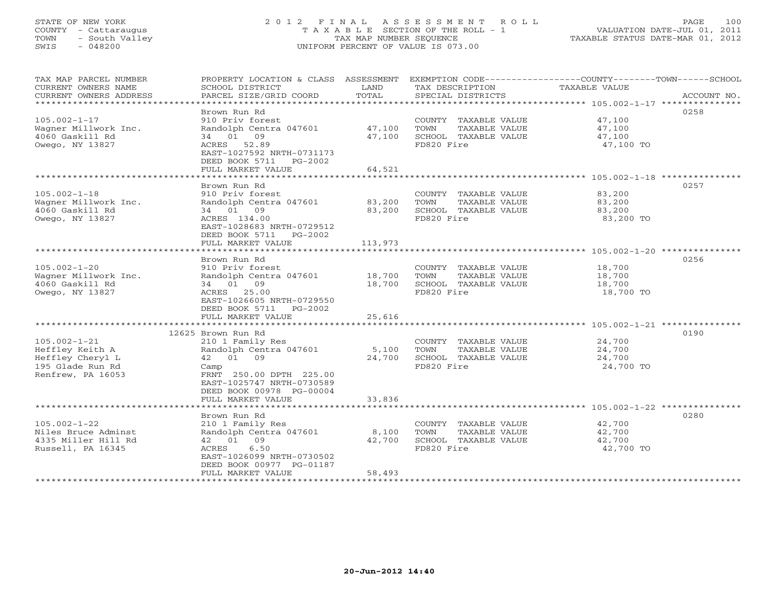# STATE OF NEW YORK 2 0 1 2 F I N A L A S S E S S M E N T R O L L PAGE 100 COUNTY - Cattaraugus T A X A B L E SECTION OF THE ROLL - 1 VALUATION DATE-JUL 01, 2011 TOWN - South Valley TAX MAP NUMBER SEQUENCE TAXABLE STATUS DATE-MAR 01, 2012 SWIS - 048200 UNIFORM PERCENT OF VALUE IS 073.00UNIFORM PERCENT OF VALUE IS 073.00

| TAX MAP PARCEL NUMBER<br>CURRENT OWNERS NAME<br>CURRENT OWNERS ADDRESS<br>***********************  | PROPERTY LOCATION & CLASS ASSESSMENT<br>SCHOOL DISTRICT<br>PARCEL SIZE/GRID COORD                                                                                        | LAND<br>TOTAL               | TAX DESCRIPTION<br>SPECIAL DISTRICTS                                                | EXEMPTION CODE-----------------COUNTY-------TOWN------SCHOOL<br>TAXABLE VALUE<br>ACCOUNT NO. |
|----------------------------------------------------------------------------------------------------|--------------------------------------------------------------------------------------------------------------------------------------------------------------------------|-----------------------------|-------------------------------------------------------------------------------------|----------------------------------------------------------------------------------------------|
| $105.002 - 1 - 17$<br>Wagner Millwork Inc.<br>4060 Gaskill Rd<br>Owego, NY 13827                   | Brown Run Rd<br>910 Priv forest<br>Randolph Centra 047601<br>34 01 09<br>ACRES 52.89<br>EAST-1027592 NRTH-0731173<br>DEED BOOK 5711 PG-2002<br>FULL MARKET VALUE         | 47,100<br>47,100<br>64,521  | COUNTY TAXABLE VALUE<br>TOWN<br>TAXABLE VALUE<br>SCHOOL TAXABLE VALUE<br>FD820 Fire | 0258<br>47,100<br>47,100<br>47,100<br>47,100 TO                                              |
|                                                                                                    | *******************                                                                                                                                                      | ************                |                                                                                     |                                                                                              |
| $105.002 - 1 - 18$<br>Wagner Millwork Inc.<br>4060 Gaskill Rd<br>Owego, NY 13827                   | Brown Run Rd<br>910 Priv forest<br>Randolph Centra 047601<br>34 01 09<br>ACRES 134.00<br>EAST-1028683 NRTH-0729512<br>DEED BOOK 5711 PG-2002<br>FULL MARKET VALUE        | 83,200<br>83,200<br>113,973 | COUNTY TAXABLE VALUE<br>TOWN<br>TAXABLE VALUE<br>SCHOOL TAXABLE VALUE<br>FD820 Fire | 0257<br>83,200<br>83,200<br>83,200<br>83,200 TO                                              |
|                                                                                                    |                                                                                                                                                                          |                             |                                                                                     |                                                                                              |
| $105.002 - 1 - 20$<br>Wagner Millwork Inc.<br>4060 Gaskill Rd<br>Owego, NY 13827                   | Brown Run Rd<br>910 Priv forest<br>Randolph Centra 047601<br>34 01<br>09<br>ACRES 25.00<br>EAST-1026605 NRTH-0729550<br>DEED BOOK 5711 PG-2002<br>FULL MARKET VALUE      | 18,700<br>18,700<br>25,616  | COUNTY TAXABLE VALUE<br>TOWN<br>TAXABLE VALUE<br>SCHOOL TAXABLE VALUE<br>FD820 Fire | 0256<br>18,700<br>18,700<br>18,700<br>18,700 TO                                              |
|                                                                                                    |                                                                                                                                                                          |                             |                                                                                     |                                                                                              |
| $105.002 - 1 - 21$<br>Heffley Keith A<br>Heffley Cheryl L<br>195 Glade Run Rd<br>Renfrew, PA 16053 | 12625 Brown Run Rd<br>210 1 Family Res<br>Randolph Centra 047601<br>42 01 09<br>Camp<br>FRNT 250.00 DPTH 225.00<br>EAST-1025747 NRTH-0730589<br>DEED BOOK 00978 PG-00004 | 5,100<br>24,700             | COUNTY TAXABLE VALUE<br>TAXABLE VALUE<br>TOWN<br>SCHOOL TAXABLE VALUE<br>FD820 Fire | 0190<br>24,700<br>24,700<br>24,700<br>24,700 TO                                              |
|                                                                                                    | FULL MARKET VALUE                                                                                                                                                        | 33,836                      |                                                                                     |                                                                                              |
|                                                                                                    | Brown Run Rd                                                                                                                                                             |                             |                                                                                     | 0280                                                                                         |
| $105.002 - 1 - 22$<br>Niles Bruce Adminst<br>4335 Miller Hill Rd<br>Russell, PA 16345              | 210 1 Family Res<br>Randolph Centra 047601<br>42 01 09<br>ACRES<br>6.50<br>EAST-1026099 NRTH-0730502<br>DEED BOOK 00977 PG-01187<br>FULL MARKET VALUE                    | 8,100<br>42,700<br>58,493   | COUNTY TAXABLE VALUE<br>TOWN<br>TAXABLE VALUE<br>SCHOOL TAXABLE VALUE<br>FD820 Fire | 42,700<br>42,700<br>42,700<br>42,700 TO                                                      |
|                                                                                                    |                                                                                                                                                                          |                             |                                                                                     |                                                                                              |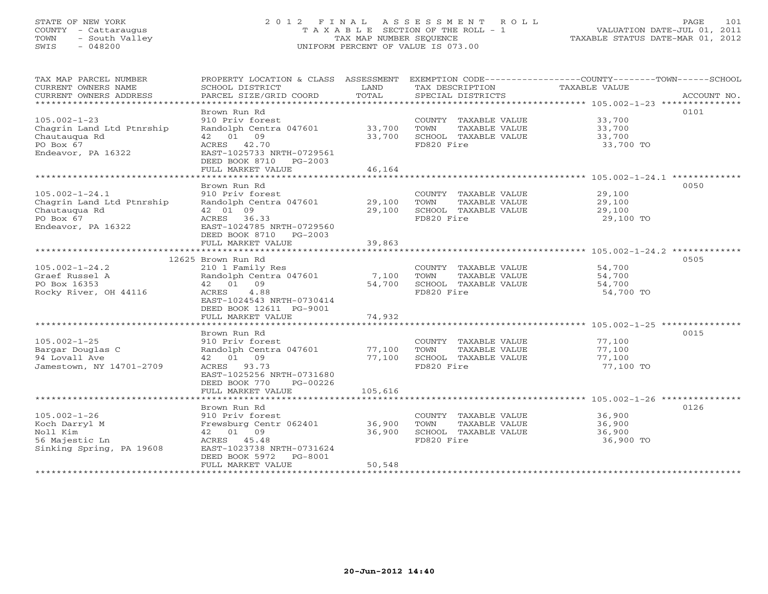# STATE OF NEW YORK 2 0 1 2 F I N A L A S S E S S M E N T R O L L PAGE 101 COUNTY - Cattaraugus T A X A B L E SECTION OF THE ROLL - 1 VALUATION DATE-JUL 01, 2011 TOWN - South Valley TAX MAP NUMBER SEQUENCE TAXABLE STATUS DATE-MAR 01, 2012 SWIS - 048200 UNIFORM PERCENT OF VALUE IS 073.00UNIFORM PERCENT OF VALUE IS 073.00

| TAX MAP PARCEL NUMBER     |                                               |         |                               | PROPERTY LOCATION & CLASS ASSESSMENT EXEMPTION CODE----------------COUNTY-------TOWN------SCHOOL |
|---------------------------|-----------------------------------------------|---------|-------------------------------|--------------------------------------------------------------------------------------------------|
| CURRENT OWNERS NAME       | SCHOOL DISTRICT                               | LAND    | TAX DESCRIPTION TAXABLE VALUE |                                                                                                  |
| CURRENT OWNERS ADDRESS    | PARCEL SIZE/GRID COORD                        | TOTAL   | SPECIAL DISTRICTS             | ACCOUNT NO.                                                                                      |
| ***********************   |                                               |         |                               |                                                                                                  |
|                           | Brown Run Rd                                  |         |                               | 0101                                                                                             |
| $105.002 - 1 - 23$        | 910 Priv forest                               |         | COUNTY TAXABLE VALUE          | 33,700                                                                                           |
| Chagrin Land Ltd Ptnrship | Randolph Centra 047601                        | 33,700  | TOWN<br>TAXABLE VALUE         | 33,700                                                                                           |
| Chautaugua Rd             | 42 01 09                                      | 33,700  | SCHOOL TAXABLE VALUE          | 33,700                                                                                           |
| PO Box 67                 | ACRES 42.70                                   |         | FD820 Fire                    | 33,700 TO                                                                                        |
| Endeavor, PA 16322        | EAST-1025733 NRTH-0729561                     |         |                               |                                                                                                  |
|                           | DEED BOOK 8710 PG-2003                        |         |                               |                                                                                                  |
|                           |                                               |         |                               |                                                                                                  |
|                           | FULL MARKET VALUE                             | 46,164  |                               |                                                                                                  |
|                           |                                               |         |                               |                                                                                                  |
|                           | Brown Run Rd                                  |         |                               | 0050                                                                                             |
| $105.002 - 1 - 24.1$      | 910 Priv forest                               |         | COUNTY TAXABLE VALUE          | 29,100                                                                                           |
| Chagrin Land Ltd Ptnrship | Randolph Centra 047601                        | 29,100  | TAXABLE VALUE<br>TOWN         | 29,100                                                                                           |
| Chautaugua Rd             | 42 01 09                                      | 29,100  | SCHOOL TAXABLE VALUE          | 29,100                                                                                           |
| PO Box 67                 | ACRES 36.33                                   |         | FD820 Fire                    | 29,100 TO                                                                                        |
| Endeavor, PA 16322        | EAST-1024785 NRTH-0729560                     |         |                               |                                                                                                  |
|                           | DEED BOOK 8710 PG-2003                        |         |                               |                                                                                                  |
|                           | FULL MARKET VALUE                             | 39,863  |                               |                                                                                                  |
|                           |                                               |         |                               |                                                                                                  |
|                           |                                               |         |                               |                                                                                                  |
|                           | 12625 Brown Run Rd                            |         |                               | 0505                                                                                             |
| $105.002 - 1 - 24.2$      | 210 1 Family Res                              |         | COUNTY TAXABLE VALUE 54,700   |                                                                                                  |
| Graef Russel A            | Randolph Centra 047601                        | 7,100   | TOWN<br>TAXABLE VALUE         | 54,700                                                                                           |
| PO Box 16353              | 42 01 09                                      | 54,700  | SCHOOL TAXABLE VALUE          | 54, 700<br>54, 700                                                                               |
| Rocky River, OH 44116     | 4.88<br>ACRES                                 |         | FD820 Fire                    | 54,700 TO                                                                                        |
|                           | EAST-1024543 NRTH-0730414                     |         |                               |                                                                                                  |
|                           | DEED BOOK 12611 PG-9001                       |         |                               |                                                                                                  |
|                           | FULL MARKET VALUE                             | 74,932  |                               |                                                                                                  |
|                           |                                               |         |                               |                                                                                                  |
|                           | Brown Run Rd                                  |         |                               | 0015                                                                                             |
| $105.002 - 1 - 25$        | 910 Priv forest                               |         | COUNTY TAXABLE VALUE          | 77,100                                                                                           |
| Bargar Douglas C          |                                               |         |                               |                                                                                                  |
|                           | Randolph Centra 047601                        | 77,100  | TOWN<br>TAXABLE VALUE         | 77,100                                                                                           |
| 94 Lovall Ave             | 42 01 09                                      | 77,100  | SCHOOL TAXABLE VALUE          | 77,100                                                                                           |
| Jamestown, NY 14701-2709  | ACRES 93.73                                   |         | FD820 Fire                    | 77,100 TO                                                                                        |
|                           | EAST-1025256 NRTH-0731680                     |         |                               |                                                                                                  |
|                           | DEED BOOK 770<br>PG-00226                     |         |                               |                                                                                                  |
|                           | FULL MARKET VALUE                             | 105,616 |                               |                                                                                                  |
|                           |                                               |         |                               |                                                                                                  |
|                           | Brown Run Rd                                  |         |                               | 0126                                                                                             |
| $105.002 - 1 - 26$        | 910 Priv forest                               |         | COUNTY TAXABLE VALUE          | 36,900                                                                                           |
| Koch Darryl M             | Frewsburg Centr 062401 36,900                 |         | TOWN<br>TAXABLE VALUE         | 36,900                                                                                           |
| Noll Kim                  | 42 01 09                                      | 36,900  | SCHOOL TAXABLE VALUE          | 36,900                                                                                           |
| 56 Majestic Ln            | ACRES 45.48                                   |         | FD820 Fire                    | 36,900 TO                                                                                        |
| Sinking Spring, PA 19608  | EAST-1023738 NRTH-0731624                     |         |                               |                                                                                                  |
|                           |                                               |         |                               |                                                                                                  |
|                           | DEED BOOK 5972<br>PG-8001                     |         |                               |                                                                                                  |
|                           | FULL MARKET VALUE<br>************************ | 50,548  |                               |                                                                                                  |
|                           |                                               |         |                               |                                                                                                  |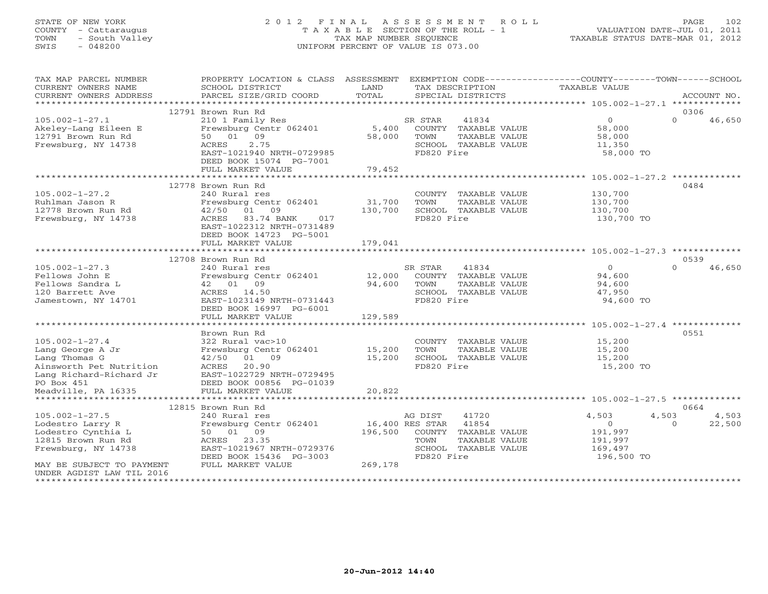# STATE OF NEW YORK 2 0 1 2 F I N A L A S S E S S M E N T R O L L PAGE 102 COUNTY - Cattaraugus T A X A B L E SECTION OF THE ROLL - 1 VALUATION DATE-JUL 01, 2011 TOWN - South Valley TAX MAP NUMBER SEQUENCE TAXABLE STATUS DATE-MAR 01, 2012 SWIS - 048200 UNIFORM PERCENT OF VALUE IS 073.00UNIFORM PERCENT OF VALUE IS 073.00

| CURRENT OWNERS NAME<br>SCHOOL DISTRICT<br>LAND<br>TAX DESCRIPTION<br>TAXABLE VALUE<br>TOTAL<br>CURRENT OWNERS ADDRESS<br>PARCEL SIZE/GRID COORD<br>SPECIAL DISTRICTS<br>ACCOUNT NO.<br>*************************<br>12791 Brown Run Rd<br>0306<br>$105.002 - 1 - 27.1$<br>210 1 Family Res<br>SR STAR<br>41834<br>$\overline{0}$<br>$\Omega$<br>46,650<br>Frewsburg Centr 062401<br>5,400<br>COUNTY TAXABLE VALUE<br>Akeley-Lang Eileen E<br>58,000<br>12791 Brown Run Rd<br>50 01 09<br>58,000<br>TOWN<br>TAXABLE VALUE<br>58,000<br>Frewsburg, NY 14738<br>2.75<br>SCHOOL TAXABLE VALUE<br>ACRES<br>11,350<br>EAST-1021940 NRTH-0729985<br>FD820 Fire<br>58,000 TO<br>DEED BOOK 15074 PG-7001 |
|-------------------------------------------------------------------------------------------------------------------------------------------------------------------------------------------------------------------------------------------------------------------------------------------------------------------------------------------------------------------------------------------------------------------------------------------------------------------------------------------------------------------------------------------------------------------------------------------------------------------------------------------------------------------------------------------------|
|                                                                                                                                                                                                                                                                                                                                                                                                                                                                                                                                                                                                                                                                                                 |
|                                                                                                                                                                                                                                                                                                                                                                                                                                                                                                                                                                                                                                                                                                 |
|                                                                                                                                                                                                                                                                                                                                                                                                                                                                                                                                                                                                                                                                                                 |
|                                                                                                                                                                                                                                                                                                                                                                                                                                                                                                                                                                                                                                                                                                 |
|                                                                                                                                                                                                                                                                                                                                                                                                                                                                                                                                                                                                                                                                                                 |
|                                                                                                                                                                                                                                                                                                                                                                                                                                                                                                                                                                                                                                                                                                 |
|                                                                                                                                                                                                                                                                                                                                                                                                                                                                                                                                                                                                                                                                                                 |
|                                                                                                                                                                                                                                                                                                                                                                                                                                                                                                                                                                                                                                                                                                 |
|                                                                                                                                                                                                                                                                                                                                                                                                                                                                                                                                                                                                                                                                                                 |
| 79,452<br>FULL MARKET VALUE                                                                                                                                                                                                                                                                                                                                                                                                                                                                                                                                                                                                                                                                     |
|                                                                                                                                                                                                                                                                                                                                                                                                                                                                                                                                                                                                                                                                                                 |
| 12778 Brown Run Rd<br>0484                                                                                                                                                                                                                                                                                                                                                                                                                                                                                                                                                                                                                                                                      |
| $105.002 - 1 - 27.2$<br>240 Rural res<br>COUNTY TAXABLE VALUE<br>130,700                                                                                                                                                                                                                                                                                                                                                                                                                                                                                                                                                                                                                        |
| 31,700<br>Ruhlman Jason R<br>Frewsburg Centr 062401<br>TOWN<br>TAXABLE VALUE<br>130,700                                                                                                                                                                                                                                                                                                                                                                                                                                                                                                                                                                                                         |
| 12778 Brown Run Rd<br>42/50<br>01 09<br>130,700<br>SCHOOL TAXABLE VALUE<br>130,700                                                                                                                                                                                                                                                                                                                                                                                                                                                                                                                                                                                                              |
| Frewsburg, NY 14738<br>ACRES 83.74 BANK<br>FD820 Fire<br>017<br>130,700 TO                                                                                                                                                                                                                                                                                                                                                                                                                                                                                                                                                                                                                      |
| EAST-1022312 NRTH-0731489                                                                                                                                                                                                                                                                                                                                                                                                                                                                                                                                                                                                                                                                       |
| DEED BOOK 14723 PG-5001                                                                                                                                                                                                                                                                                                                                                                                                                                                                                                                                                                                                                                                                         |
| 179,041<br>FULL MARKET VALUE                                                                                                                                                                                                                                                                                                                                                                                                                                                                                                                                                                                                                                                                    |
|                                                                                                                                                                                                                                                                                                                                                                                                                                                                                                                                                                                                                                                                                                 |
| 12708 Brown Run Rd<br>0539                                                                                                                                                                                                                                                                                                                                                                                                                                                                                                                                                                                                                                                                      |
| $\cap$<br>$105.002 - 1 - 27.3$<br>240 Rural res<br>SR STAR<br>41834<br>$\Omega$<br>46,650                                                                                                                                                                                                                                                                                                                                                                                                                                                                                                                                                                                                       |
| 12,000<br>94,600<br>Fellows John E<br>Frewsburg Centr 062401<br>COUNTY TAXABLE VALUE                                                                                                                                                                                                                                                                                                                                                                                                                                                                                                                                                                                                            |
| 42 01 09<br>94,600<br>TOWN<br>Fellows Sandra L<br>TAXABLE VALUE<br>94,600                                                                                                                                                                                                                                                                                                                                                                                                                                                                                                                                                                                                                       |
| SCHOOL TAXABLE VALUE<br>120 Barrett Ave<br>ACRES 14.50<br>47,950                                                                                                                                                                                                                                                                                                                                                                                                                                                                                                                                                                                                                                |
| EAST-1023149 NRTH-0731443<br>FD820 Fire<br>94,600 TO<br>Jamestown, NY 14701                                                                                                                                                                                                                                                                                                                                                                                                                                                                                                                                                                                                                     |
| DEED BOOK 16997 PG-6001                                                                                                                                                                                                                                                                                                                                                                                                                                                                                                                                                                                                                                                                         |
| 129,589<br>FULL MARKET VALUE                                                                                                                                                                                                                                                                                                                                                                                                                                                                                                                                                                                                                                                                    |
|                                                                                                                                                                                                                                                                                                                                                                                                                                                                                                                                                                                                                                                                                                 |
| 0551<br>Brown Run Rd<br>$105.002 - 1 - 27.4$<br>15,200<br>322 Rural vac>10                                                                                                                                                                                                                                                                                                                                                                                                                                                                                                                                                                                                                      |
| COUNTY TAXABLE VALUE<br>Frewsburg Centr 062401<br>15,200<br>TOWN<br>TAXABLE VALUE                                                                                                                                                                                                                                                                                                                                                                                                                                                                                                                                                                                                               |
| Lang George A Jr<br>15,200<br>Lang Thomas G<br>01 09<br>15,200<br>SCHOOL TAXABLE VALUE<br>42/50<br>15,200                                                                                                                                                                                                                                                                                                                                                                                                                                                                                                                                                                                       |
| 20.90<br>FD820 Fire<br>Ainsworth Pet Nutrition<br>ACRES<br>15,200 TO                                                                                                                                                                                                                                                                                                                                                                                                                                                                                                                                                                                                                            |
| Lang Richard-Richard Jr<br>EAST-1022729 NRTH-0729495                                                                                                                                                                                                                                                                                                                                                                                                                                                                                                                                                                                                                                            |
| PO Box 451<br>DEED BOOK 00856 PG-01039                                                                                                                                                                                                                                                                                                                                                                                                                                                                                                                                                                                                                                                          |
| 20,822<br>Meadville, PA 16335<br>FULL MARKET VALUE                                                                                                                                                                                                                                                                                                                                                                                                                                                                                                                                                                                                                                              |
|                                                                                                                                                                                                                                                                                                                                                                                                                                                                                                                                                                                                                                                                                                 |
| 12815 Brown Run Rd<br>0664                                                                                                                                                                                                                                                                                                                                                                                                                                                                                                                                                                                                                                                                      |
| $105.002 - 1 - 27.5$<br>240 Rural res<br>AG DIST<br>41720<br>4,503<br>4,503<br>4,503                                                                                                                                                                                                                                                                                                                                                                                                                                                                                                                                                                                                            |
| Frewsburg Centr 062401<br>16,400 RES STAR<br>41854<br>0<br>22,500<br>Lodestro Larry R<br>$\Omega$                                                                                                                                                                                                                                                                                                                                                                                                                                                                                                                                                                                               |
| Lodestro Cynthia L<br>50 01 09<br>196,500<br>COUNTY TAXABLE VALUE<br>191,997                                                                                                                                                                                                                                                                                                                                                                                                                                                                                                                                                                                                                    |
| 12815 Brown Run Rd<br>ACRES<br>23.35<br>TOWN<br>TAXABLE VALUE<br>191,997                                                                                                                                                                                                                                                                                                                                                                                                                                                                                                                                                                                                                        |
| Frewsburg, NY 14738<br>EAST-1021967 NRTH-0729376<br>SCHOOL TAXABLE VALUE<br>169,497                                                                                                                                                                                                                                                                                                                                                                                                                                                                                                                                                                                                             |
| FD820 Fire<br>196,500 TO<br>DEED BOOK 15436 PG-3003                                                                                                                                                                                                                                                                                                                                                                                                                                                                                                                                                                                                                                             |
| FULL MARKET VALUE<br>269,178<br>MAY BE SUBJECT TO PAYMENT                                                                                                                                                                                                                                                                                                                                                                                                                                                                                                                                                                                                                                       |
| UNDER AGDIST LAW TIL 2016                                                                                                                                                                                                                                                                                                                                                                                                                                                                                                                                                                                                                                                                       |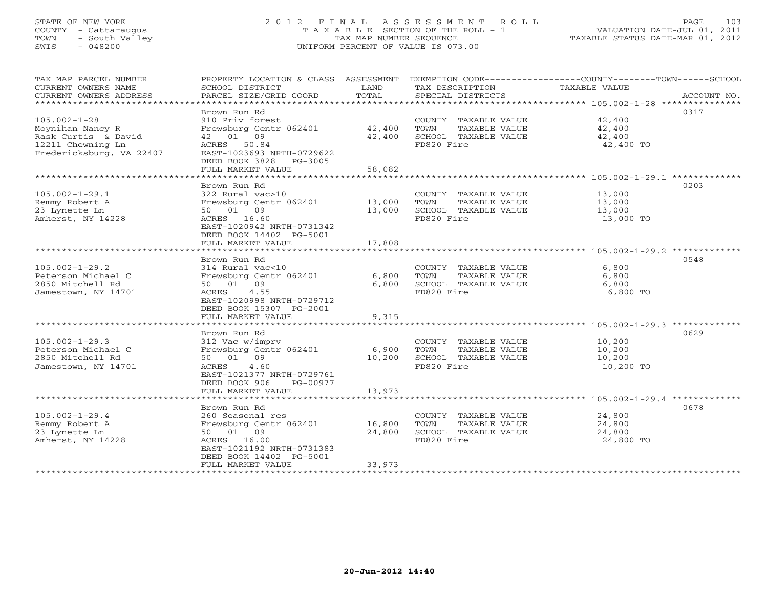# STATE OF NEW YORK 2 0 1 2 F I N A L A S S E S S M E N T R O L L PAGE 103 COUNTY - Cattaraugus T A X A B L E SECTION OF THE ROLL - 1 VALUATION DATE-JUL 01, 2011 TOWN - South Valley TAX MAP NUMBER SEQUENCE TAXABLE STATUS DATE-MAR 01, 2012 SWIS - 048200 UNIFORM PERCENT OF VALUE IS 073.00UNIFORM PERCENT OF VALUE IS 073.00

| TAX MAP PARCEL NUMBER<br>CURRENT OWNERS NAME<br>CURRENT OWNERS ADDRESS | PROPERTY LOCATION & CLASS ASSESSMENT<br>SCHOOL DISTRICT<br>PARCEL SIZE/GRID COORD | LAND<br>TOTAL | TAX DESCRIPTION<br>SPECIAL DISTRICTS | EXEMPTION CODE-----------------COUNTY-------TOWN------SCHOOL<br>TAXABLE VALUE<br>ACCOUNT NO. |
|------------------------------------------------------------------------|-----------------------------------------------------------------------------------|---------------|--------------------------------------|----------------------------------------------------------------------------------------------|
| ******************************                                         |                                                                                   |               |                                      |                                                                                              |
|                                                                        | Brown Run Rd                                                                      |               |                                      | 0317                                                                                         |
| $105.002 - 1 - 28$                                                     | 910 Priv forest                                                                   |               | COUNTY TAXABLE VALUE                 | 42,400                                                                                       |
| Moynihan Nancy R                                                       | Frewsburg Centr 062401                                                            | 42,400        | TOWN<br>TAXABLE VALUE                | 42,400                                                                                       |
| Rask Curtis & David                                                    | 42 01 09                                                                          | 42,400        | SCHOOL TAXABLE VALUE                 | 42,400                                                                                       |
| 12211 Chewning Ln                                                      | ACRES 50.84                                                                       |               | FD820 Fire                           | 42,400 TO                                                                                    |
| Fredericksburg, VA 22407                                               | EAST-1023693 NRTH-0729622                                                         |               |                                      |                                                                                              |
|                                                                        | DEED BOOK 3828 PG-3005                                                            |               |                                      |                                                                                              |
|                                                                        | FULL MARKET VALUE                                                                 | 58,082        |                                      |                                                                                              |
|                                                                        |                                                                                   |               |                                      |                                                                                              |
|                                                                        | Brown Run Rd                                                                      |               |                                      | 0203                                                                                         |
| $105.002 - 1 - 29.1$                                                   | 322 Rural vac>10                                                                  |               | COUNTY TAXABLE VALUE                 | 13,000                                                                                       |
| Remmy Robert A                                                         | Frewsburg Centr 062401                                                            | 13,000        | TAXABLE VALUE<br>TOWN                | 13,000                                                                                       |
| 23 Lynette Ln                                                          | 50 01 09                                                                          |               |                                      |                                                                                              |
|                                                                        |                                                                                   | 13,000        | SCHOOL TAXABLE VALUE                 | 13,000                                                                                       |
| Amherst, NY 14228                                                      | ACRES 16.60                                                                       |               | FD820 Fire                           | 13,000 TO                                                                                    |
|                                                                        | EAST-1020942 NRTH-0731342                                                         |               |                                      |                                                                                              |
|                                                                        | DEED BOOK 14402 PG-5001                                                           |               |                                      |                                                                                              |
|                                                                        | FULL MARKET VALUE                                                                 | 17,808        |                                      |                                                                                              |
|                                                                        |                                                                                   |               |                                      |                                                                                              |
|                                                                        | Brown Run Rd                                                                      |               |                                      | 0548                                                                                         |
| $105.002 - 1 - 29.2$                                                   | 314 Rural vac<10                                                                  |               | COUNTY TAXABLE VALUE                 | 6,800                                                                                        |
| Peterson Michael C                                                     | Frewsburg Centr 062401                                                            | 6,800         | TOWN<br>TAXABLE VALUE                | 6,800                                                                                        |
| 2850 Mitchell Rd                                                       | 50 01 09                                                                          | 6,800         | SCHOOL TAXABLE VALUE                 | 6,800                                                                                        |
| Jamestown, NY 14701                                                    | 4.55<br>ACRES                                                                     |               | FD820 Fire                           | 6,800 TO                                                                                     |
|                                                                        | EAST-1020998 NRTH-0729712                                                         |               |                                      |                                                                                              |
|                                                                        | DEED BOOK 15307 PG-2001                                                           |               |                                      |                                                                                              |
|                                                                        | FULL MARKET VALUE                                                                 | 9,315         |                                      |                                                                                              |
|                                                                        | *********************                                                             | ***********   |                                      | ************************** 105.002-1-29.3 *************                                      |
|                                                                        | Brown Run Rd                                                                      |               |                                      | 0629                                                                                         |
| $105.002 - 1 - 29.3$                                                   | 312 Vac w/imprv                                                                   |               | COUNTY TAXABLE VALUE                 | 10,200                                                                                       |
| Peterson Michael C                                                     | Frewsburg Centr 062401                                                            | 6,900         | TAXABLE VALUE<br>TOWN                | 10,200                                                                                       |
| 2850 Mitchell Rd                                                       | 50 01 09                                                                          | 10,200        | SCHOOL TAXABLE VALUE                 | 10,200                                                                                       |
| Jamestown, NY 14701                                                    | ACRES<br>4.60                                                                     |               | FD820 Fire                           | 10,200 TO                                                                                    |
|                                                                        | EAST-1021377 NRTH-0729761                                                         |               |                                      |                                                                                              |
|                                                                        | DEED BOOK 906<br>PG-00977                                                         |               |                                      |                                                                                              |
|                                                                        | FULL MARKET VALUE                                                                 | 13,973        |                                      |                                                                                              |
|                                                                        |                                                                                   |               |                                      |                                                                                              |
|                                                                        | Brown Run Rd                                                                      |               |                                      | 0678                                                                                         |
| $105.002 - 1 - 29.4$                                                   | 260 Seasonal res                                                                  |               | COUNTY TAXABLE VALUE                 | 24,800                                                                                       |
| Remmy Robert A                                                         | Frewsburg Centr 062401                                                            | 16,800        | TAXABLE VALUE<br>TOWN                | 24,800                                                                                       |
| 23 Lynette Ln                                                          | 50 01 09                                                                          | 24,800        | SCHOOL TAXABLE VALUE                 | 24,800                                                                                       |
| Amherst, NY 14228                                                      | ACRES 16.00                                                                       |               | FD820 Fire                           | 24,800 TO                                                                                    |
|                                                                        | EAST-1021192 NRTH-0731383                                                         |               |                                      |                                                                                              |
|                                                                        | DEED BOOK 14402 PG-5001                                                           |               |                                      |                                                                                              |
|                                                                        | FULL MARKET VALUE                                                                 | 33,973        |                                      |                                                                                              |
| * * * * * * * * * * * * * * * * * *                                    |                                                                                   |               |                                      |                                                                                              |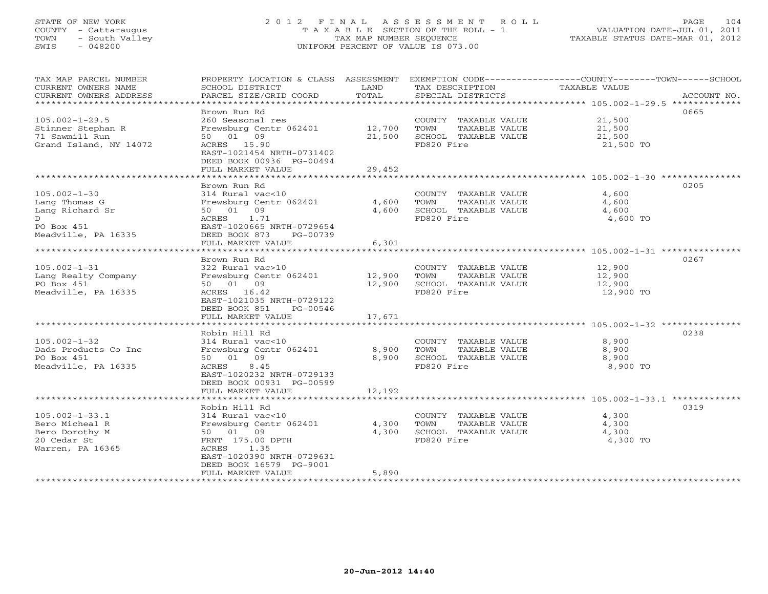# STATE OF NEW YORK 2 0 1 2 F I N A L A S S E S S M E N T R O L L PAGE 104 COUNTY - Cattaraugus T A X A B L E SECTION OF THE ROLL - 1 VALUATION DATE-JUL 01, 2011 TOWN - South Valley TAX MAP NUMBER SEQUENCE TAXABLE STATUS DATE-MAR 01, 2012 SWIS - 048200 UNIFORM PERCENT OF VALUE IS 073.00

| TAX MAP PARCEL NUMBER  | PROPERTY LOCATION & CLASS ASSESSMENT EXEMPTION CODE---------------COUNTY-------TOWN------SCHOOL |                              |                                    |                      |             |
|------------------------|-------------------------------------------------------------------------------------------------|------------------------------|------------------------------------|----------------------|-------------|
| CURRENT OWNERS NAME    | SCHOOL DISTRICT                                                                                 | LAND                         | TAX DESCRIPTION                    | <b>TAXABLE VALUE</b> |             |
| CURRENT OWNERS ADDRESS | PARCEL SIZE/GRID COORD                                                                          | TOTAL                        | SPECIAL DISTRICTS                  |                      | ACCOUNT NO. |
|                        |                                                                                                 |                              |                                    |                      |             |
|                        | Brown Run Rd                                                                                    |                              |                                    |                      | 0665        |
| $105.002 - 1 - 29.5$   | 260 Seasonal res                                                                                |                              | COUNTY TAXABLE VALUE               | 21,500               |             |
| Stinner Stephan R      | Frewsburg Centr 062401                                                                          | 12,700                       | TOWN<br>TAXABLE VALUE              | 21,500               |             |
| 71 Sawmill Run         | 50 01 09                                                                                        | 21,500                       | SCHOOL TAXABLE VALUE               | 21,500               |             |
| Grand Island, NY 14072 | ACRES 15.90                                                                                     |                              | FD820 Fire                         | 21,500 TO            |             |
|                        | EAST-1021454 NRTH-0731402                                                                       |                              |                                    |                      |             |
|                        | DEED BOOK 00936 PG-00494                                                                        |                              |                                    |                      |             |
|                        | FULL MARKET VALUE<br>*********************                                                      | 29,452<br>****************** |                                    |                      |             |
|                        | Brown Run Rd                                                                                    |                              |                                    |                      | 0205        |
| $105.002 - 1 - 30$     | 314 Rural vac<10                                                                                |                              | COUNTY TAXABLE VALUE               | 4,600                |             |
| Lang Thomas G          | Frewsburg Centr 062401                                                                          | 4,600                        | TOWN<br>TAXABLE VALUE              | 4,600                |             |
| Lang Richard Sr        | 50 01 09                                                                                        | 4,600                        |                                    | 4,600                |             |
| D                      | ACRES<br>1.71                                                                                   |                              | SCHOOL TAXABLE VALUE<br>FD820 Fire | 4,600 TO             |             |
| PO Box 451             | EAST-1020665 NRTH-0729654                                                                       |                              |                                    |                      |             |
| Meadville, PA 16335    | DEED BOOK 873<br>PG-00739                                                                       |                              |                                    |                      |             |
|                        | FULL MARKET VALUE                                                                               | 6,301                        |                                    |                      |             |
|                        |                                                                                                 |                              |                                    |                      |             |
|                        | Brown Run Rd                                                                                    |                              |                                    |                      | 0267        |
| $105.002 - 1 - 31$     | 322 Rural vac>10                                                                                |                              | COUNTY TAXABLE VALUE               | 12,900               |             |
| Lang Realty Company    | Frewsburg Centr 062401                                                                          | 12,900                       | TAXABLE VALUE<br>TOWN              | 12,900               |             |
| PO Box 451             | 50 01 09                                                                                        | 12,900                       | SCHOOL TAXABLE VALUE               | 12,900               |             |
| Meadville, PA 16335    | ACRES 16.42                                                                                     |                              | FD820 Fire                         | 12,900 TO            |             |
|                        | EAST-1021035 NRTH-0729122                                                                       |                              |                                    |                      |             |
|                        | DEED BOOK 851<br>PG-00546                                                                       |                              |                                    |                      |             |
|                        | FULL MARKET VALUE                                                                               | 17,671                       |                                    |                      |             |
|                        |                                                                                                 |                              |                                    |                      |             |
|                        | Robin Hill Rd                                                                                   |                              |                                    |                      | 0238        |
| $105.002 - 1 - 32$     | 314 Rural vac<10                                                                                |                              | COUNTY TAXABLE VALUE               | 8,900                |             |
| Dads Products Co Inc   | Frewsburg Centr 062401                                                                          | 8,900                        | TOWN<br>TAXABLE VALUE              | 8,900                |             |
| PO Box 451             | 50 01 09                                                                                        | 8,900                        | SCHOOL TAXABLE VALUE               | 8,900                |             |
| Meadville, PA 16335    | 8.45<br>ACRES                                                                                   |                              | FD820 Fire                         | 8,900 TO             |             |
|                        | EAST-1020232 NRTH-0729133                                                                       |                              |                                    |                      |             |
|                        | DEED BOOK 00931 PG-00599                                                                        |                              |                                    |                      |             |
|                        | FULL MARKET VALUE                                                                               | 12,192                       |                                    |                      |             |
|                        |                                                                                                 |                              |                                    |                      |             |
|                        | Robin Hill Rd                                                                                   |                              |                                    |                      | 0319        |
| $105.002 - 1 - 33.1$   | 314 Rural vac<10                                                                                |                              | COUNTY TAXABLE VALUE               | 4,300                |             |
| Bero Micheal R         | Frewsburg Centr 062401                                                                          | 4,300                        | TOWN<br>TAXABLE VALUE              | 4,300                |             |
| Bero Dorothy M         | 50 01 09                                                                                        | 4,300                        | SCHOOL TAXABLE VALUE               | 4,300                |             |
| 20 Cedar St            | FRNT 175.00 DPTH                                                                                |                              | FD820 Fire                         | 4,300 TO             |             |
| Warren, PA 16365       | ACRES 1.35                                                                                      |                              |                                    |                      |             |
|                        | EAST-1020390 NRTH-0729631<br>DEED BOOK 16579 PG-9001                                            |                              |                                    |                      |             |
|                        | FULL MARKET VALUE                                                                               | 5,890                        |                                    |                      |             |
|                        |                                                                                                 |                              |                                    |                      |             |
|                        |                                                                                                 |                              |                                    |                      |             |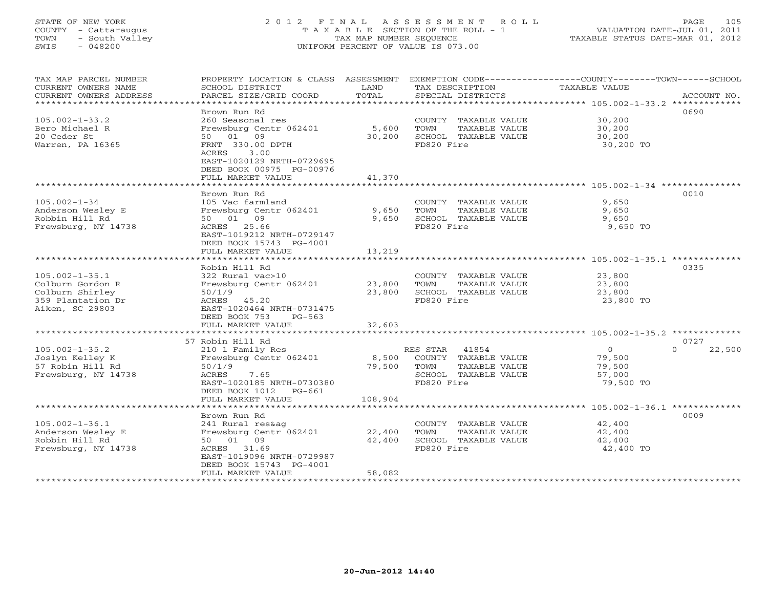# STATE OF NEW YORK 2 0 1 2 F I N A L A S S E S S M E N T R O L L PAGE 105 COUNTY - Cattaraugus T A X A B L E SECTION OF THE ROLL - 1 VALUATION DATE-JUL 01, 2011 TOWN - South Valley TAX MAP NUMBER SEQUENCE TAXABLE STATUS DATE-MAR 01, 2012 SWIS - 048200 UNIFORM PERCENT OF VALUE IS 073.00UNIFORM PERCENT OF VALUE IS 073.00

| TAX MAP PARCEL NUMBER<br>CURRENT OWNERS NAME<br>CURRENT OWNERS ADDRESS | PROPERTY LOCATION & CLASS ASSESSMENT<br>SCHOOL DISTRICT<br>PARCEL SIZE/GRID COORD | LAND<br>TOTAL | TAX DESCRIPTION<br>SPECIAL DISTRICTS | EXEMPTION CODE-----------------COUNTY-------TOWN------SCHOOL<br>TAXABLE VALUE<br>ACCOUNT NO. |
|------------------------------------------------------------------------|-----------------------------------------------------------------------------------|---------------|--------------------------------------|----------------------------------------------------------------------------------------------|
| *************************                                              |                                                                                   |               |                                      |                                                                                              |
|                                                                        | Brown Run Rd                                                                      |               |                                      | 0690                                                                                         |
| $105.002 - 1 - 33.2$                                                   | 260 Seasonal res                                                                  |               | COUNTY TAXABLE VALUE                 | 30,200                                                                                       |
| Bero Michael R                                                         | Frewsburg Centr 062401                                                            | 5,600         | TOWN<br>TAXABLE VALUE                | 30,200                                                                                       |
| 20 Ceder St                                                            | 50 01 09                                                                          | 30,200        | SCHOOL TAXABLE VALUE                 | 30,200                                                                                       |
| Warren, PA 16365                                                       | FRNT 330.00 DPTH<br>ACRES<br>3.00<br>EAST-1020129 NRTH-0729695                    |               | FD820 Fire                           | 30,200 TO                                                                                    |
|                                                                        | DEED BOOK 00975 PG-00976                                                          |               |                                      |                                                                                              |
|                                                                        | FULL MARKET VALUE                                                                 | 41,370        |                                      |                                                                                              |
|                                                                        |                                                                                   |               |                                      |                                                                                              |
|                                                                        | Brown Run Rd                                                                      |               |                                      | 0010                                                                                         |
| $105.002 - 1 - 34$                                                     | 105 Vac farmland                                                                  |               | COUNTY TAXABLE VALUE                 | 9,650                                                                                        |
| Anderson Wesley E                                                      | Frewsburg Centr 062401                                                            | 9,650         | TOWN<br>TAXABLE VALUE                | 9,650                                                                                        |
| Robbin Hill Rd                                                         | 50 01 09                                                                          | 9,650         | SCHOOL TAXABLE VALUE                 | 9,650                                                                                        |
| Frewsburg, NY 14738                                                    | ACRES 25.66<br>EAST-1019212 NRTH-0729147                                          |               | FD820 Fire                           | 9,650 TO                                                                                     |
|                                                                        | DEED BOOK 15743 PG-4001                                                           |               |                                      |                                                                                              |
|                                                                        | FULL MARKET VALUE                                                                 | 13,219        |                                      |                                                                                              |
| **************************                                             |                                                                                   |               |                                      |                                                                                              |
|                                                                        | Robin Hill Rd                                                                     |               |                                      | 0335                                                                                         |
| $105.002 - 1 - 35.1$                                                   | 322 Rural vac>10                                                                  |               | COUNTY TAXABLE VALUE                 | 23,800                                                                                       |
| Colburn Gordon R                                                       | Frewsburg Centr 062401                                                            | 23,800        | TOWN<br>TAXABLE VALUE                | 23,800                                                                                       |
| Colburn Shirley                                                        | 50/1/9                                                                            | 23,800        | SCHOOL TAXABLE VALUE                 | 23,800                                                                                       |
| 359 Plantation Dr                                                      | ACRES 45.20                                                                       |               | FD820 Fire                           | 23,800 TO                                                                                    |
| Aiken, SC 29803                                                        | EAST-1020464 NRTH-0731475                                                         |               |                                      |                                                                                              |
|                                                                        | DEED BOOK 753<br>$PG-563$                                                         |               |                                      |                                                                                              |
|                                                                        | FULL MARKET VALUE                                                                 | 32,603        |                                      |                                                                                              |
|                                                                        | 57 Robin Hill Rd                                                                  |               |                                      | 0727                                                                                         |
| $105.002 - 1 - 35.2$                                                   | 210 1 Family Res                                                                  |               | RES STAR 41854                       | 22,500<br>$\overline{0}$<br>$\Omega$                                                         |
| Joslyn Kelley K                                                        | Frewsburg Centr 062401                                                            | 8,500         | COUNTY TAXABLE VALUE                 | 79,500                                                                                       |
| 57 Robin Hill Rd                                                       | 50/1/9                                                                            | 79,500        | TAXABLE VALUE<br>TOWN                | 79,500                                                                                       |
| Frewsburg, NY 14738                                                    | ACRES<br>7.65                                                                     |               | SCHOOL TAXABLE VALUE                 | 57,000                                                                                       |
|                                                                        | EAST-1020185 NRTH-0730380                                                         |               | FD820 Fire                           | 79,500 TO                                                                                    |
|                                                                        | DEED BOOK 1012 PG-661                                                             |               |                                      |                                                                                              |
|                                                                        | FULL MARKET VALUE                                                                 | 108,904       |                                      |                                                                                              |
|                                                                        |                                                                                   |               |                                      | 0009                                                                                         |
| $105.002 - 1 - 36.1$                                                   | Brown Run Rd<br>241 Rural res&ag                                                  |               | COUNTY TAXABLE VALUE                 | 42,400                                                                                       |
| Anderson Wesley E                                                      | Frewsburg Centr 062401                                                            | 22,400        | TOWN<br>TAXABLE VALUE                | 42,400                                                                                       |
| Robbin Hill Rd                                                         | 50 01 09                                                                          | 42,400        | SCHOOL TAXABLE VALUE                 | 42,400                                                                                       |
| Frewsburg, NY 14738                                                    | ACRES 31.69                                                                       |               | FD820 Fire                           | 42,400 TO                                                                                    |
|                                                                        | EAST-1019096 NRTH-0729987                                                         |               |                                      |                                                                                              |
|                                                                        | DEED BOOK 15743 PG-4001                                                           |               |                                      |                                                                                              |
|                                                                        | FULL MARKET VALUE                                                                 | 58,082        |                                      |                                                                                              |
|                                                                        |                                                                                   |               |                                      |                                                                                              |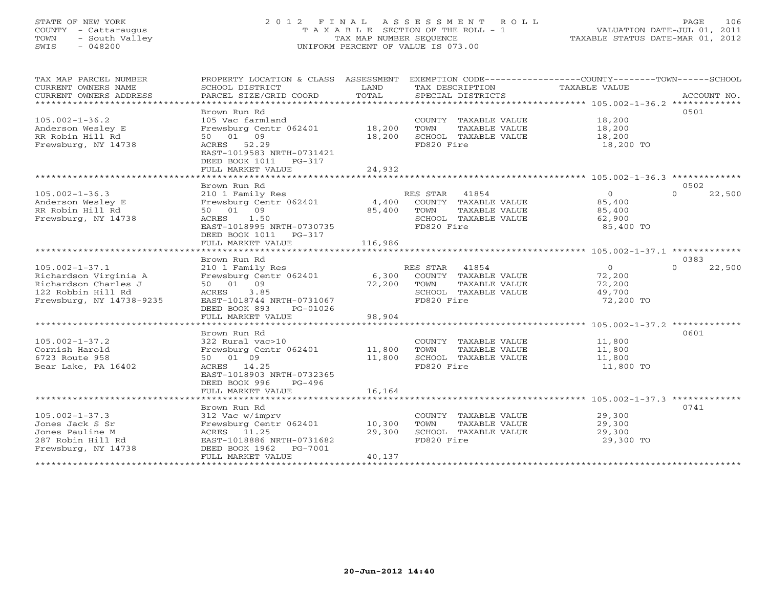## STATE OF NEW YORK 2 0 1 2 F I N A L A S S E S S M E N T R O L L PAGE 106 COUNTY - Cattaraugus T A X A B L E SECTION OF THE ROLL - 1 VALUATION DATE-JUL 01, 2011 TOWN - South Valley TAX MAP NUMBER SEQUENCE TAXABLE STATUS DATE-MAR 01, 2012 SWIS - 048200 UNIFORM PERCENT OF VALUE IS 073.00UNIFORM PERCENT OF VALUE IS 073.00

| TAX MAP PARCEL NUMBER<br>CURRENT OWNERS NAME                                                                            | PROPERTY LOCATION & CLASS ASSESSMENT<br>SCHOOL DISTRICT                                                                                                                      | LAND                       | TAX DESCRIPTION TAXABLE VALUE                                                                            | EXEMPTION CODE-----------------COUNTY-------TOWN------SCHOOL |                            |
|-------------------------------------------------------------------------------------------------------------------------|------------------------------------------------------------------------------------------------------------------------------------------------------------------------------|----------------------------|----------------------------------------------------------------------------------------------------------|--------------------------------------------------------------|----------------------------|
| CURRENT OWNERS ADDRESS                                                                                                  | PARCEL SIZE/GRID COORD                                                                                                                                                       | TOTAL                      | SPECIAL DISTRICTS                                                                                        |                                                              | ACCOUNT NO.                |
| $105.002 - 1 - 36.2$<br>Anderson Wesley E<br>RR Robin Hill Rd<br>Frewsburg, NY 14738                                    | Brown Run Rd<br>105 Vac farmland<br>Frewsburg Centr 062401<br>50 01 09<br>ACRES 52.29<br>EAST-1019583 NRTH-0731421<br>DEED BOOK 1011 PG-317                                  | 18,200<br>18,200           | COUNTY TAXABLE VALUE<br>TOWN<br>TAXABLE VALUE<br>SCHOOL TAXABLE VALUE<br>FD820 Fire                      | 18,200<br>18,200<br>18,200<br>18,200 TO                      | 0501                       |
|                                                                                                                         | FULL MARKET VALUE                                                                                                                                                            | 24,932                     |                                                                                                          |                                                              |                            |
|                                                                                                                         |                                                                                                                                                                              |                            |                                                                                                          |                                                              |                            |
| $105.002 - 1 - 36.3$<br>Anderson Wesley E<br>RR Robin Hill Rd<br>Frewsburg, NY 14738                                    | Brown Run Rd<br>210 1 Family Res<br>Frewsburg Centr 062401<br>50 01 09<br>ACRES 1.50<br>EAST-1018995 NRTH-0730735<br>DEED BOOK 1011 PG-317                                   | 4,400<br>85,400            | RES STAR<br>41854<br>COUNTY TAXABLE VALUE<br>TOWN<br>TAXABLE VALUE<br>SCHOOL TAXABLE VALUE<br>FD820 Fire | $\overline{0}$<br>85,400<br>85,400<br>62,900<br>85,400 TO    | 0502<br>$\Omega$<br>22,500 |
|                                                                                                                         |                                                                                                                                                                              |                            |                                                                                                          |                                                              |                            |
| $105.002 - 1 - 37.1$<br>Richardson Virginia A<br>Richardson Charles J<br>122 Robbin Hill Rd<br>Frewsburg, NY 14738-9235 | Brown Run Rd<br>210 1 Family Res<br>Frewsburg Centr 062401 6,300 COUNTY TAXABLE VALUE<br>50 01 09<br>ACRES<br>3.85<br>EAST-1018744 NRTH-0731067<br>DEED BOOK 893<br>PG-01026 | 72,200                     | RES STAR<br>41854<br>TOWN<br>TAXABLE VALUE<br>SCHOOL TAXABLE VALUE<br>FD820 Fire                         | $\bigcirc$<br>72,200<br>72,200<br>49,700<br>72,200 TO        | 0383<br>$\Omega$<br>22,500 |
|                                                                                                                         | FULL MARKET VALUE                                                                                                                                                            | 98,904                     |                                                                                                          |                                                              |                            |
| $105.002 - 1 - 37.2$<br>Cornish Harold<br>6723 Route 958<br>Bear Lake, PA 16402                                         | Brown Run Rd<br>322 Rural vac>10<br>Frewsburg Centr 062401<br>50 01 09<br>ACRES 14.25<br>EAST-1018903 NRTH-0732365<br>DEED BOOK 996<br>PG-496<br>FULL MARKET VALUE           | 11,800<br>11,800<br>16,164 | COUNTY TAXABLE VALUE<br>TOWN<br>TAXABLE VALUE<br>SCHOOL TAXABLE VALUE<br>FD820 Fire                      | 11,800<br>11,800<br>11,800<br>11,800 TO                      | 0601                       |
|                                                                                                                         | *************************                                                                                                                                                    | **************             |                                                                                                          |                                                              |                            |
| $105.002 - 1 - 37.3$<br>Jones Jack S Sr<br>Jones Pauline M<br>287 Robin Hill Rd<br>Frewsburg, NY 14738                  | Brown Run Rd<br>312 Vac w/imprv<br>Frewsburg Centr 062401<br>11.25<br>ACRES<br>EAST-1018886 NRTH-0731682<br>DEED BOOK 1962    PG-7001<br>FULL MARKET VALUE                   | 10,300<br>29,300<br>40,137 | COUNTY TAXABLE VALUE<br>TAXABLE VALUE<br>TOWN<br>SCHOOL TAXABLE VALUE<br>FD820 Fire                      | 29,300<br>29,300<br>29,300<br>29,300 TO                      | 0741                       |
|                                                                                                                         |                                                                                                                                                                              |                            |                                                                                                          |                                                              |                            |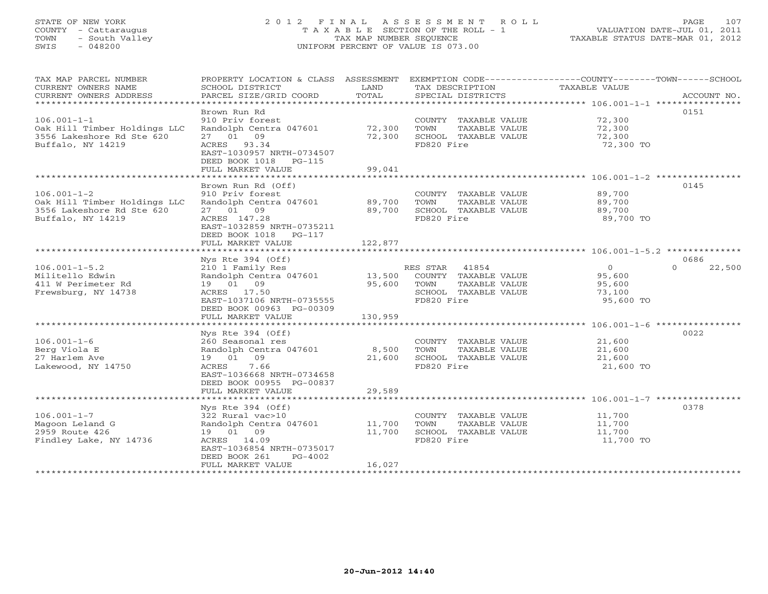# STATE OF NEW YORK 2 0 1 2 F I N A L A S S E S S M E N T R O L L PAGE 107 COUNTY - Cattaraugus T A X A B L E SECTION OF THE ROLL - 1 VALUATION DATE-JUL 01, 2011 TOWN - South Valley TAX MAP NUMBER SEQUENCE TAXABLE STATUS DATE-MAR 01, 2012 SWIS - 048200 UNIFORM PERCENT OF VALUE IS 073.00UNIFORM PERCENT OF VALUE IS 073.00

| TAX MAP PARCEL NUMBER<br>CURRENT OWNERS NAME<br>CURRENT OWNERS ADDRESS<br>************************* | PROPERTY LOCATION & CLASS ASSESSMENT<br>SCHOOL DISTRICT<br>PARCEL SIZE/GRID COORD | LAND<br>TOTAL    | EXEMPTION CODE-----------------COUNTY-------TOWN------SCHOOL<br>TAX DESCRIPTION<br>SPECIAL DISTRICTS | TAXABLE VALUE       | ACCOUNT NO.        |
|-----------------------------------------------------------------------------------------------------|-----------------------------------------------------------------------------------|------------------|------------------------------------------------------------------------------------------------------|---------------------|--------------------|
|                                                                                                     |                                                                                   |                  |                                                                                                      |                     |                    |
| $106.001 - 1 - 1$<br>Oak Hill Timber Holdings LLC                                                   | Brown Run Rd<br>910 Priv forest<br>Randolph Centra 047601                         | 72,300           | COUNTY TAXABLE VALUE<br>TAXABLE VALUE<br>TOWN                                                        | 72,300<br>72,300    | 0151               |
| 3556 Lakeshore Rd Ste 620<br>Buffalo, NY 14219                                                      | 27 01 09<br>ACRES 93.34<br>EAST-1030957 NRTH-0734507<br>DEED BOOK 1018 PG-115     | 72,300           | SCHOOL TAXABLE VALUE<br>FD820 Fire                                                                   | 72,300<br>72,300 TO |                    |
|                                                                                                     | FULL MARKET VALUE                                                                 | 99,041           |                                                                                                      |                     |                    |
|                                                                                                     |                                                                                   |                  |                                                                                                      |                     |                    |
|                                                                                                     | Brown Run Rd (Off)                                                                |                  |                                                                                                      |                     | 0145               |
| $106.001 - 1 - 2$                                                                                   | 910 Priv forest                                                                   |                  | COUNTY TAXABLE VALUE                                                                                 | 89,700              |                    |
| Oak Hill Timber Holdings LLC                                                                        | Randolph Centra 047601                                                            | 89,700           | TOWN<br>TAXABLE VALUE                                                                                | 89,700              |                    |
| 3556 Lakeshore Rd Ste 620                                                                           | 27 01 09                                                                          | 89,700           | SCHOOL TAXABLE VALUE                                                                                 | 89,700              |                    |
| Buffalo, NY 14219                                                                                   | ACRES 147.28<br>EAST-1032859 NRTH-0735211<br>DEED BOOK 1018 PG-117                |                  | FD820 Fire                                                                                           | 89,700 TO           |                    |
|                                                                                                     | FULL MARKET VALUE                                                                 | 122,877          |                                                                                                      |                     |                    |
|                                                                                                     |                                                                                   |                  |                                                                                                      |                     |                    |
|                                                                                                     | Nys Rte $394$ (Off)                                                               |                  |                                                                                                      |                     | 0686               |
| $106.001 - 1 - 5.2$                                                                                 | 210 1 Family Res                                                                  |                  | 41854<br>RES STAR                                                                                    | $\overline{O}$      | $\Omega$<br>22,500 |
| Militello Edwin                                                                                     | Randolph Centra 047601                                                            | 13,500           | COUNTY TAXABLE VALUE                                                                                 | 95,600              |                    |
| 411 W Perimeter Rd                                                                                  | 19 01 09                                                                          | 95,600           | TAXABLE VALUE<br>TOWN                                                                                | 95,600              |                    |
| Frewsburg, NY 14738                                                                                 | ACRES 17.50<br>EAST-1037106 NRTH-0735555                                          |                  | SCHOOL TAXABLE VALUE<br>FD820 Fire                                                                   | 73,100<br>95,600 TO |                    |
|                                                                                                     | DEED BOOK 00963 PG-00309<br>FULL MARKET VALUE                                     | 130,959          |                                                                                                      |                     |                    |
|                                                                                                     |                                                                                   |                  |                                                                                                      |                     |                    |
|                                                                                                     | Nys Rte 394 (Off)                                                                 |                  |                                                                                                      |                     | 0022               |
| $106.001 - 1 - 6$                                                                                   | 260 Seasonal res                                                                  |                  | COUNTY TAXABLE VALUE                                                                                 | 21,600              |                    |
| Berg Viola E                                                                                        | Randolph Centra 047601                                                            | 8,500            | TOWN<br>TAXABLE VALUE                                                                                | 21,600              |                    |
| 27 Harlem Ave                                                                                       | 19 01 09                                                                          | 21,600           | SCHOOL TAXABLE VALUE                                                                                 | 21,600              |                    |
| Lakewood, NY 14750                                                                                  | ACRES<br>7.66                                                                     |                  | FD820 Fire                                                                                           | 21,600 TO           |                    |
|                                                                                                     | EAST-1036668 NRTH-0734658<br>DEED BOOK 00955 PG-00837                             |                  |                                                                                                      |                     |                    |
|                                                                                                     | FULL MARKET VALUE                                                                 | 29,589           |                                                                                                      |                     |                    |
|                                                                                                     |                                                                                   |                  |                                                                                                      |                     |                    |
|                                                                                                     | Nys Rte 394 (Off)                                                                 |                  |                                                                                                      |                     | 0378               |
| $106.001 - 1 - 7$                                                                                   | 322 Rural vac>10                                                                  |                  | COUNTY TAXABLE VALUE                                                                                 | 11,700              |                    |
| Magoon Leland G<br>2959 Route 426                                                                   | Randolph Centra 047601<br>19 01 09                                                | 11,700<br>11,700 | TOWN<br>TAXABLE VALUE<br>SCHOOL TAXABLE VALUE                                                        | 11,700<br>11,700    |                    |
|                                                                                                     |                                                                                   |                  |                                                                                                      |                     |                    |
| Findley Lake, NY 14736                                                                              | ACRES 14.09<br>EAST-1036854 NRTH-0735017<br>DEED BOOK 261<br>PG-4002              |                  | FD820 Fire                                                                                           | 11,700 TO           |                    |
|                                                                                                     | FULL MARKET VALUE                                                                 | 16,027           |                                                                                                      |                     |                    |
|                                                                                                     |                                                                                   |                  |                                                                                                      |                     |                    |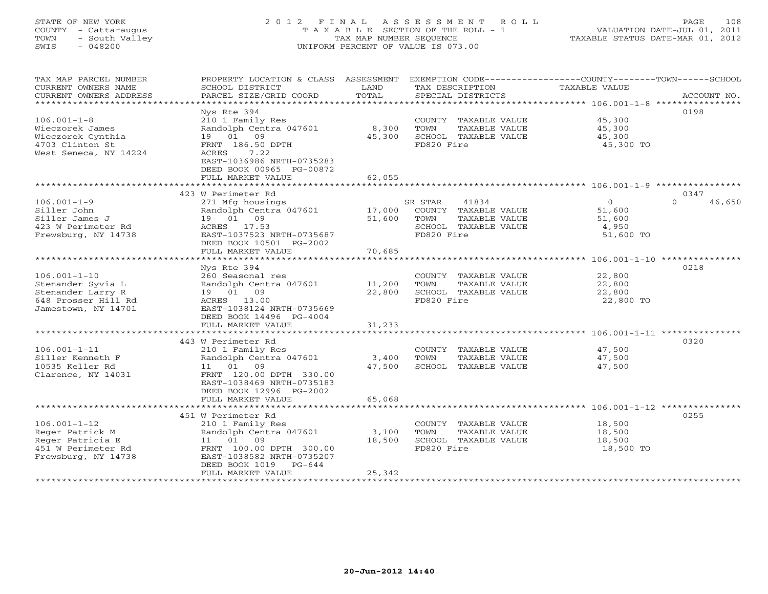# STATE OF NEW YORK 2 0 1 2 F I N A L A S S E S S M E N T R O L L PAGE 108 COUNTY - Cattaraugus T A X A B L E SECTION OF THE ROLL - 1 VALUATION DATE-JUL 01, 2011 TOWN - South Valley TAX MAP NUMBER SEQUENCE TAXABLE STATUS DATE-MAR 01, 2012 SWIS - 048200 UNIFORM PERCENT OF VALUE IS 073.00UNIFORM PERCENT OF VALUE IS 073.00

| TOTAL<br>CURRENT OWNERS ADDRESS<br>PARCEL SIZE/GRID COORD<br>ACCOUNT NO.<br>SPECIAL DISTRICTS                                                                           |  |
|-------------------------------------------------------------------------------------------------------------------------------------------------------------------------|--|
| *************************                                                                                                                                               |  |
| 0198<br>Nys Rte 394                                                                                                                                                     |  |
| $106.001 - 1 - 8$<br>210 1 Family Res<br>COUNTY TAXABLE VALUE<br>45,300                                                                                                 |  |
| Wieczorek James<br>Randolph Centra 047601<br>8,300<br>TOWN<br>TAXABLE VALUE<br>45,300                                                                                   |  |
| Wieczorek Cynthia<br>19 01 09<br>45,300<br>SCHOOL TAXABLE VALUE<br>45,300                                                                                               |  |
| FD820 Fire<br>4703 Clinton St<br>FRNT 186.50 DPTH<br>45,300 TO                                                                                                          |  |
| West Seneca, NY 14224<br>7.22<br>ACRES                                                                                                                                  |  |
| EAST-1036986 NRTH-0735283                                                                                                                                               |  |
| DEED BOOK 00965 PG-00872                                                                                                                                                |  |
| FULL MARKET VALUE<br>62,055                                                                                                                                             |  |
|                                                                                                                                                                         |  |
| 423 W Perimeter Rd<br>0347                                                                                                                                              |  |
| $\circ$<br>46,650<br>$106.001 - 1 - 9$<br>271 Mfg housings<br>SR STAR<br>41834<br>$\Omega$                                                                              |  |
| Siller John<br>Randolph Centra 047601<br>17,000<br>COUNTY TAXABLE VALUE<br>51,600                                                                                       |  |
| Siller James J<br>19 01 09<br>51,600<br>TOWN<br>TAXABLE VALUE<br>51,600                                                                                                 |  |
| ACRES 17.53<br>423 W Perimeter Rd<br>SCHOOL TAXABLE VALUE<br>4,950                                                                                                      |  |
| Frewsburg, NY 14738<br>EAST-1037523 NRTH-0735687<br>FD820 Fire<br>51,600 TO                                                                                             |  |
| DEED BOOK 10501 PG-2002                                                                                                                                                 |  |
| FULL MARKET VALUE<br>70,685                                                                                                                                             |  |
|                                                                                                                                                                         |  |
| 0218<br>Nys Rte 394                                                                                                                                                     |  |
| $106.001 - 1 - 10$<br>260 Seasonal res<br>22,800<br>COUNTY TAXABLE VALUE                                                                                                |  |
| 11,200<br>Stenander Syvia L<br>Randolph Centra 047601<br>TOWN<br>TAXABLE VALUE<br>22,800<br>19  01  09<br>22,800<br>Stenander Larry R<br>SCHOOL TAXABLE VALUE<br>22,800 |  |
| FD820 Fire<br>648 Prosser Hill Rd<br>ACRES 13.00<br>22,800 TO                                                                                                           |  |
| Jamestown, NY 14701<br>EAST-1038124 NRTH-0735669                                                                                                                        |  |
| DEED BOOK 14496 PG-4004                                                                                                                                                 |  |
| FULL MARKET VALUE<br>31,233                                                                                                                                             |  |
|                                                                                                                                                                         |  |
| 443 W Perimeter Rd<br>0320                                                                                                                                              |  |
| 47,500<br>$106.001 - 1 - 11$<br>210 1 Family Res<br>COUNTY TAXABLE VALUE                                                                                                |  |
| Randolph Centra 047601<br>3,400<br>TOWN<br>47,500<br>Siller Kenneth F<br>TAXABLE VALUE                                                                                  |  |
| 10535 Keller Rd<br>11 01 09<br>47,500<br>SCHOOL TAXABLE VALUE<br>47,500                                                                                                 |  |
| Clarence, NY 14031<br>FRNT 120.00 DPTH 330.00                                                                                                                           |  |
| EAST-1038469 NRTH-0735183                                                                                                                                               |  |
| DEED BOOK 12996 PG-2002                                                                                                                                                 |  |
| FULL MARKET VALUE<br>65,068                                                                                                                                             |  |
| *************************<br>* * * * * * * * * * * * * *                                                                                                                |  |
| 451 W Perimeter Rd<br>0255                                                                                                                                              |  |
| $106.001 - 1 - 12$<br>210 1 Family Res<br>COUNTY TAXABLE VALUE<br>18,500                                                                                                |  |
| Reger Patrick M<br>Randolph Centra 047601<br>3,100<br>TAXABLE VALUE<br>TOWN<br>18,500                                                                                   |  |
| Reger Patricia E<br>18,500<br>11 01 09<br>SCHOOL TAXABLE VALUE<br>18,500                                                                                                |  |
| 451 W Perimeter Rd<br>FRNT 100.00 DPTH 300.00<br>FD820 Fire<br>18,500 TO                                                                                                |  |
| Frewsburg, NY 14738<br>EAST-1038582 NRTH-0735207<br>DEED BOOK 1019 PG-644                                                                                               |  |
| 25,342<br>FULL MARKET VALUE                                                                                                                                             |  |
|                                                                                                                                                                         |  |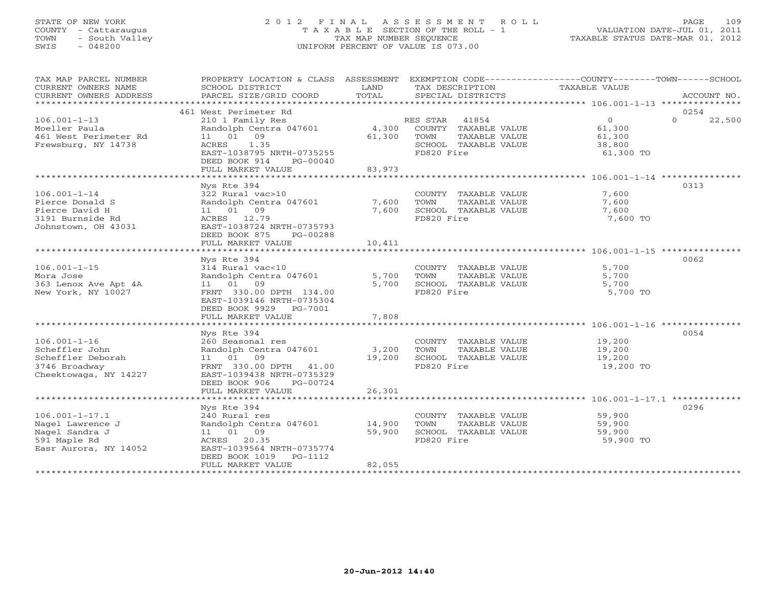## STATE OF NEW YORK 2 0 1 2 F I N A L A S S E S S M E N T R O L L PAGE 109 COUNTY - Cattaraugus T A X A B L E SECTION OF THE ROLL - 1 VALUATION DATE-JUL 01, 2011 TOWN - South Valley TAX MAP NUMBER SEQUENCE TAXABLE STATUS DATE-MAR 01, 2012 SWIS - 048200 UNIFORM PERCENT OF VALUE IS 073.00UNIFORM PERCENT OF VALUE IS 073.00

| TAX MAP PARCEL NUMBER                               |                                                        |        | PROPERTY LOCATION & CLASS ASSESSMENT EXEMPTION CODE----------------COUNTY-------TOWN------SCHOOL |                            |             |
|-----------------------------------------------------|--------------------------------------------------------|--------|--------------------------------------------------------------------------------------------------|----------------------------|-------------|
| CURRENT OWNERS NAME                                 | SCHOOL DISTRICT                                        | LAND   | TAX DESCRIPTION                                                                                  | TAXABLE VALUE              |             |
| CURRENT OWNERS ADDRESS<br>************************* | PARCEL SIZE/GRID COORD                                 | TOTAL  | SPECIAL DISTRICTS                                                                                |                            | ACCOUNT NO. |
|                                                     | 461 West Perimeter Rd                                  |        |                                                                                                  |                            | 0254        |
| $106.001 - 1 - 13$                                  | 210 1 Family Res                                       |        | RES STAR 41854                                                                                   | $\Omega$<br>$\overline{0}$ | 22,500      |
| Moeller Paula                                       | Randolph Centra 047601                                 |        | 4,300 COUNTY TAXABLE VALUE                                                                       | 61,300                     |             |
| 461 West Perimeter Rd                               | 11 01 09                                               | 61,300 | TOWN<br>TAXABLE VALUE                                                                            | 61,300                     |             |
| Frewsburg, NY 14738                                 | 1.35<br>ACRES                                          |        | SCHOOL TAXABLE VALUE                                                                             | 38,800                     |             |
|                                                     | EAST-1038795 NRTH-0735255                              |        | FD820 Fire                                                                                       | 61,300 TO                  |             |
|                                                     | DEED BOOK 914<br>PG-00040                              |        |                                                                                                  |                            |             |
|                                                     | FULL MARKET VALUE                                      | 83,973 |                                                                                                  |                            |             |
|                                                     |                                                        |        |                                                                                                  |                            |             |
| $106.001 - 1 - 14$                                  | Nys Rte 394                                            |        |                                                                                                  |                            | 0313        |
| Pierce Donald S                                     | 322 Rural vac>10<br>Randolph Centra 047601             | 7,600  | COUNTY TAXABLE VALUE<br>TOWN<br>TAXABLE VALUE                                                    | 7,600<br>7,600             |             |
| Pierce David H                                      | 11 01 09                                               | 7,600  | SCHOOL TAXABLE VALUE                                                                             | 7,600                      |             |
| 3191 Burnside Rd                                    | ACRES 12.79                                            |        | FD820 Fire                                                                                       | 7,600 TO                   |             |
| Johnstown, OH 43031                                 | EAST-1038724 NRTH-0735793                              |        |                                                                                                  |                            |             |
|                                                     | DEED BOOK 875<br>PG-00288                              |        |                                                                                                  |                            |             |
|                                                     | FULL MARKET VALUE                                      | 10,411 |                                                                                                  |                            |             |
|                                                     |                                                        |        |                                                                                                  |                            |             |
|                                                     | Nys Rte 394                                            |        |                                                                                                  |                            | 0062        |
| $106.001 - 1 - 15$                                  | 314 Rural vac<10                                       |        | COUNTY TAXABLE VALUE                                                                             | 5,700                      |             |
| Mora Jose                                           | Randolph Centra 047601                                 | 5,700  | TOWN<br>TAXABLE VALUE                                                                            | 5,700                      |             |
| 363 Lenox Ave Apt 4A<br>New York, NY 10027          | 11 01 09<br>FRNT 330.00 DPTH 134.00                    | 5,700  | SCHOOL TAXABLE VALUE<br>FD820 Fire                                                               | 5,700<br>5,700 TO          |             |
|                                                     | EAST-1039146 NRTH-0735304                              |        |                                                                                                  |                            |             |
|                                                     | DEED BOOK 9929 PG-7001                                 |        |                                                                                                  |                            |             |
|                                                     | FULL MARKET VALUE                                      | 7,808  |                                                                                                  |                            |             |
|                                                     |                                                        |        |                                                                                                  |                            |             |
|                                                     | Nys Rte 394                                            |        |                                                                                                  |                            | 0054        |
| $106.001 - 1 - 16$                                  | 260 Seasonal res                                       |        | COUNTY TAXABLE VALUE                                                                             | 19,200                     |             |
| Scheffler John                                      | Randolph Centra 047601                                 | 3,200  | TOWN<br>TAXABLE VALUE                                                                            | 19,200                     |             |
| Scheffler Deborah                                   | 11 01 09                                               | 19,200 | SCHOOL TAXABLE VALUE                                                                             | 19,200                     |             |
| 3746 Broadway                                       | FRNT 330.00 DPTH 41.00                                 |        | FD820 Fire                                                                                       | 19,200 TO                  |             |
| Cheektowaga, NY 14227                               | EAST-1039438 NRTH-0735329<br>DEED BOOK 906<br>PG-00724 |        |                                                                                                  |                            |             |
|                                                     | FULL MARKET VALUE                                      | 26,301 |                                                                                                  |                            |             |
|                                                     |                                                        |        |                                                                                                  |                            |             |
|                                                     | Nys Rte 394                                            |        |                                                                                                  |                            | 0296        |
| $106.001 - 1 - 17.1$                                | 240 Rural res                                          |        | COUNTY TAXABLE VALUE                                                                             | 59,900                     |             |
| Nagel Lawrence J                                    | Randolph Centra 047601                                 | 14,900 | TOWN<br>TAXABLE VALUE                                                                            | 59,900                     |             |
| Nagel Sandra J                                      | 11 01 09                                               | 59,900 | SCHOOL TAXABLE VALUE                                                                             | 59,900                     |             |
| 591 Maple Rd                                        | ACRES 20.35                                            |        | FD820 Fire                                                                                       | 59,900 TO                  |             |
| Easr Aurora, NY 14052                               | EAST-1039564 NRTH-0735774                              |        |                                                                                                  |                            |             |
|                                                     | DEED BOOK 1019<br>PG-1112                              |        |                                                                                                  |                            |             |
|                                                     | FULL MARKET VALUE<br>***********************           | 82,055 |                                                                                                  |                            |             |
|                                                     |                                                        |        |                                                                                                  |                            |             |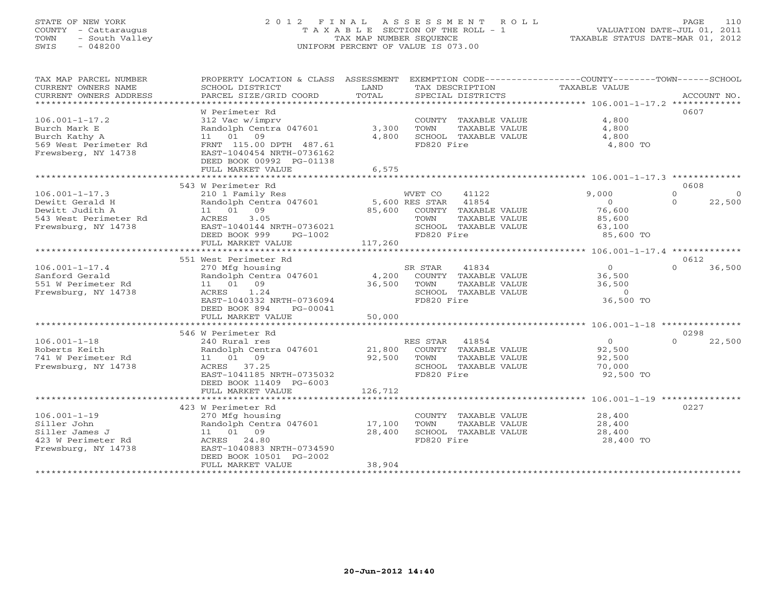## STATE OF NEW YORK 2 0 1 2 F I N A L A S S E S S M E N T R O L L PAGE 110 COUNTY - Cattaraugus T A X A B L E SECTION OF THE ROLL - 1 VALUATION DATE-JUL 01, 2011 TOWN - South Valley TAX MAP NUMBER SEQUENCE TAXABLE STATUS DATE-MAR 01, 2012 SWIS - 048200 UNIFORM PERCENT OF VALUE IS 073.00UNIFORM PERCENT OF VALUE IS 073.00

| TAX MAP PARCEL NUMBER<br>CURRENT OWNERS NAME<br>CURRENT OWNERS ADDRESS<br>*************************        | PROPERTY LOCATION & CLASS ASSESSMENT<br>SCHOOL DISTRICT<br>PARCEL SIZE/GRID COORD                                                                                                | LAND<br>TOTAL              | TAX DESCRIPTION<br>SPECIAL DISTRICTS                                                                                               | EXEMPTION CODE-----------------COUNTY-------TOWN------SCHOOL<br><b>TAXABLE VALUE</b> | ACCOUNT NO.                               |
|------------------------------------------------------------------------------------------------------------|----------------------------------------------------------------------------------------------------------------------------------------------------------------------------------|----------------------------|------------------------------------------------------------------------------------------------------------------------------------|--------------------------------------------------------------------------------------|-------------------------------------------|
| $106.001 - 1 - 17.2$<br>Burch Mark E<br>Burch Kathy A<br>569 West Perimeter Rd<br>Frewsberg, NY 14738      | W Perimeter Rd<br>312 Vac w/imprv<br>Randolph Centra 047601<br>11 01 09<br>FRNT 115.00 DPTH 487.61<br>EAST-1040454 NRTH-0736162<br>DEED BOOK 00992 PG-01138<br>FULL MARKET VALUE | 3,300<br>4,800<br>6,575    | COUNTY TAXABLE VALUE<br>TOWN<br>TAXABLE VALUE<br>SCHOOL TAXABLE VALUE<br>FD820 Fire                                                | 4,800<br>4,800<br>4,800<br>4,800 TO                                                  | 0607                                      |
|                                                                                                            | 543 W Perimeter Rd                                                                                                                                                               |                            |                                                                                                                                    |                                                                                      | 0608                                      |
| $106.001 - 1 - 17.3$<br>Dewitt Gerald H<br>Dewitt Judith A<br>543 West Perimeter Rd<br>Frewsburg, NY 14738 | 210 1 Family Res<br>Randolph Centra 047601<br>11 01 09<br>ACRES<br>3.05<br>EAST-1040144 NRTH-0736021<br>DEED BOOK 999<br>$PG-1002$<br>FULL MARKET VALUE                          | 85,600<br>117,260          | 41122<br>WVET CO<br>5,600 RES STAR<br>41854<br>COUNTY TAXABLE VALUE<br>TAXABLE VALUE<br>TOWN<br>SCHOOL TAXABLE VALUE<br>FD820 Fire | 9,000<br>$\mathbf{0}$<br>76,600<br>85,600<br>63,100<br>85,600 TO                     | $\Omega$<br>$\circ$<br>$\Omega$<br>22,500 |
|                                                                                                            |                                                                                                                                                                                  |                            |                                                                                                                                    |                                                                                      |                                           |
|                                                                                                            | 551 West Perimeter Rd                                                                                                                                                            |                            |                                                                                                                                    |                                                                                      | 0612                                      |
| $106.001 - 1 - 17.4$<br>Sanford Gerald<br>551 W Perimeter Rd<br>Frewsburg, NY 14738                        | 270 Mfg housing<br>Randolph Centra 047601<br>11 01<br>09<br>1.24<br>ACRES<br>EAST-1040332 NRTH-0736094<br>DEED BOOK 894<br>$PG-00041$                                            | 4,200<br>36,500            | SR STAR<br>41834<br>COUNTY TAXABLE VALUE<br>TAXABLE VALUE<br>TOWN<br>SCHOOL TAXABLE VALUE<br>FD820 Fire                            | $\circ$<br>36,500<br>36,500<br>$\Omega$<br>36,500 TO                                 | $\Omega$<br>36,500                        |
|                                                                                                            | FULL MARKET VALUE                                                                                                                                                                | 50,000                     |                                                                                                                                    |                                                                                      |                                           |
|                                                                                                            |                                                                                                                                                                                  |                            |                                                                                                                                    |                                                                                      |                                           |
| $106.001 - 1 - 18$<br>Roberts Keith<br>741 W Perimeter Rd<br>Frewsburg, NY 14738                           | 546 W Perimeter Rd<br>240 Rural res<br>Randolph Centra 047601<br>11 01 09<br>ACRES 37.25<br>EAST-1041185 NRTH-0735032<br>DEED BOOK 11409 PG-6003                                 | 21,800<br>92,500           | 41854<br>RES STAR<br>COUNTY TAXABLE VALUE<br>TOWN<br>TAXABLE VALUE<br>SCHOOL TAXABLE VALUE<br>FD820 Fire                           | $\circ$<br>92,500<br>92,500<br>70,000<br>92,500 TO                                   | 0298<br>$\Omega$<br>22,500                |
|                                                                                                            | FULL MARKET VALUE                                                                                                                                                                | 126,712                    |                                                                                                                                    |                                                                                      |                                           |
|                                                                                                            |                                                                                                                                                                                  |                            |                                                                                                                                    |                                                                                      |                                           |
| $106.001 - 1 - 19$<br>Siller John<br>Siller James J<br>423 W Perimeter Rd<br>Frewsburg, NY 14738           | 423 W Perimeter Rd<br>270 Mfg housing<br>Randolph Centra 047601<br>11 01 09<br>24.80<br>ACRES<br>EAST-1040883 NRTH-0734590<br>DEED BOOK 10501 PG-2002<br>FULL MARKET VALUE       | 17,100<br>28,400<br>38,904 | COUNTY TAXABLE VALUE<br>TOWN<br>TAXABLE VALUE<br>SCHOOL TAXABLE VALUE<br>FD820 Fire                                                | 28,400<br>28,400<br>28,400<br>28,400 TO                                              | 0227                                      |
| ********************                                                                                       |                                                                                                                                                                                  |                            |                                                                                                                                    |                                                                                      |                                           |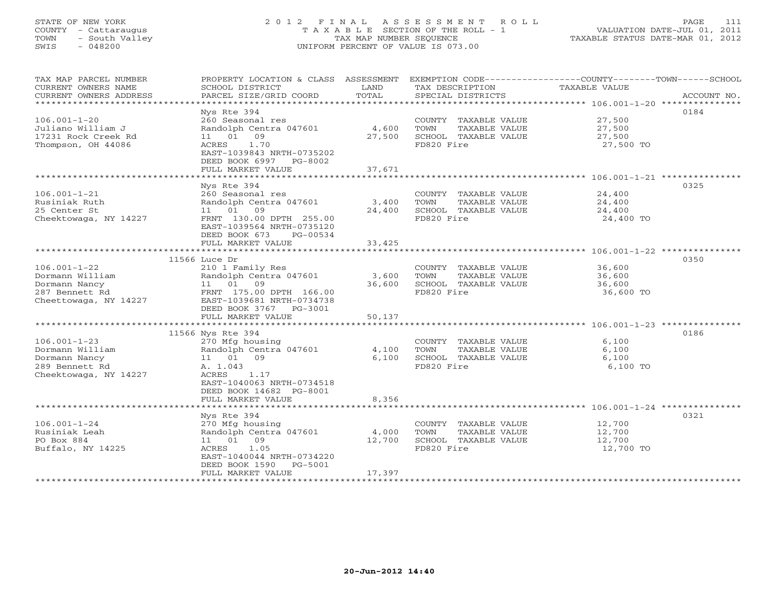## STATE OF NEW YORK 2 0 1 2 F I N A L A S S E S S M E N T R O L L PAGE 111 COUNTY - Cattaraugus T A X A B L E SECTION OF THE ROLL - 1 VALUATION DATE-JUL 01, 2011 TOWN - South Valley TAX MAP NUMBER SEQUENCE TAXABLE STATUS DATE-MAR 01, 2012 SWIS - 048200 UNIFORM PERCENT OF VALUE IS 073.00UNIFORM PERCENT OF VALUE IS 073.00

| TAX MAP PARCEL NUMBER<br>CURRENT OWNERS NAME | PROPERTY LOCATION & CLASS ASSESSMENT<br>SCHOOL DISTRICT | LAND   | TAX DESCRIPTION       | EXEMPTION CODE-----------------COUNTY-------TOWN------SCHOOL<br>TAXABLE VALUE |
|----------------------------------------------|---------------------------------------------------------|--------|-----------------------|-------------------------------------------------------------------------------|
| CURRENT OWNERS ADDRESS                       | PARCEL SIZE/GRID COORD                                  | TOTAL  | SPECIAL DISTRICTS     | ACCOUNT NO.                                                                   |
| *****************                            |                                                         |        |                       |                                                                               |
|                                              | Nys Rte 394                                             |        |                       | 0184                                                                          |
| $106.001 - 1 - 20$                           | 260 Seasonal res                                        |        | COUNTY TAXABLE VALUE  | 27,500                                                                        |
| Juliano William J                            | Randolph Centra 047601                                  | 4,600  | TOWN<br>TAXABLE VALUE | 27,500                                                                        |
| 17231 Rock Creek Rd                          | 09<br>11 01                                             | 27,500 | SCHOOL TAXABLE VALUE  | 27,500                                                                        |
| Thompson, OH 44086                           | 1.70<br>ACRES                                           |        | FD820 Fire            | 27,500 TO                                                                     |
|                                              | EAST-1039843 NRTH-0735202<br>DEED BOOK 6997 PG-8002     |        |                       |                                                                               |
|                                              | FULL MARKET VALUE                                       | 37,671 |                       |                                                                               |
|                                              | **********************************                      |        |                       |                                                                               |
|                                              | Nys Rte 394                                             |        |                       | 0325                                                                          |
| $106.001 - 1 - 21$                           | 260 Seasonal res                                        |        | COUNTY TAXABLE VALUE  | 24,400                                                                        |
| Rusiniak Ruth                                | Randolph Centra 047601                                  | 3,400  | TAXABLE VALUE<br>TOWN | 24,400                                                                        |
| 25 Center St                                 | 11 01 09                                                | 24,400 | SCHOOL TAXABLE VALUE  | 24,400                                                                        |
| Cheektowaga, NY 14227                        | FRNT 130.00 DPTH 255.00                                 |        | FD820 Fire            | 24,400 TO                                                                     |
|                                              | EAST-1039564 NRTH-0735120                               |        |                       |                                                                               |
|                                              | DEED BOOK 673<br>PG-00534                               |        |                       |                                                                               |
|                                              | FULL MARKET VALUE                                       | 33,425 |                       |                                                                               |
|                                              |                                                         |        |                       |                                                                               |
|                                              | 11566 Luce Dr                                           |        |                       | 0350                                                                          |
| $106.001 - 1 - 22$                           | 210 1 Family Res                                        |        | COUNTY TAXABLE VALUE  | 36,600                                                                        |
| Dormann William                              | Randolph Centra 047601                                  | 3,600  | TOWN<br>TAXABLE VALUE | 36,600                                                                        |
| Dormann Nancy                                | 11 01 09                                                | 36,600 | SCHOOL TAXABLE VALUE  | 36,600                                                                        |
| 287 Bennett Rd                               | FRNT 175.00 DPTH 166.00                                 |        | FD820 Fire            | 36,600 TO                                                                     |
| Cheettowaga, NY 14227                        | EAST-1039681 NRTH-0734738                               |        |                       |                                                                               |
|                                              | DEED BOOK 3767 PG-3001                                  |        |                       |                                                                               |
|                                              | FULL MARKET VALUE                                       | 50,137 |                       |                                                                               |
|                                              |                                                         |        |                       |                                                                               |
|                                              | 11566 Nys Rte 394                                       |        |                       | 0186                                                                          |
| $106.001 - 1 - 23$                           | 270 Mfg housing                                         |        | COUNTY TAXABLE VALUE  | 6,100                                                                         |
| Dormann William                              | Randolph Centra 047601                                  | 4,100  | TOWN<br>TAXABLE VALUE | 6,100                                                                         |
| Dormann Nancy                                | 11 01 09                                                | 6,100  | SCHOOL TAXABLE VALUE  | 6,100                                                                         |
| 289 Bennett Rd                               | A. 1.043<br>ACRES<br>1.17                               |        | FD820 Fire            | 6,100 TO                                                                      |
| Cheektowaga, NY 14227                        |                                                         |        |                       |                                                                               |
|                                              | EAST-1040063 NRTH-0734518                               |        |                       |                                                                               |
|                                              | DEED BOOK 14682 PG-8001<br>FULL MARKET VALUE            | 8,356  |                       |                                                                               |
|                                              |                                                         |        |                       |                                                                               |
|                                              | Nys Rte 394                                             |        |                       | 0321                                                                          |
| $106.001 - 1 - 24$                           | 270 Mfg housing                                         |        | COUNTY TAXABLE VALUE  | 12,700                                                                        |
| Rusiniak Leah                                | Randolph Centra 047601                                  | 4,000  | TOWN<br>TAXABLE VALUE | 12,700                                                                        |
| PO Box 884                                   | 11 01 09                                                | 12,700 | SCHOOL TAXABLE VALUE  | 12,700                                                                        |
| Buffalo, NY 14225                            | ACRES<br>1.05                                           |        | FD820 Fire            | 12,700 TO                                                                     |
|                                              | EAST-1040044 NRTH-0734220                               |        |                       |                                                                               |
|                                              | DEED BOOK 1590<br>PG-5001                               |        |                       |                                                                               |
|                                              | FULL MARKET VALUE                                       | 17,397 |                       |                                                                               |
|                                              |                                                         |        |                       |                                                                               |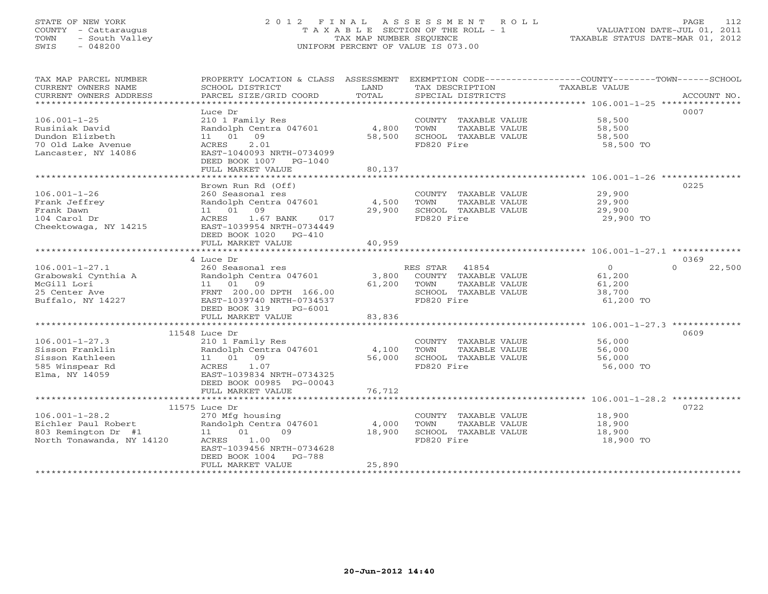## STATE OF NEW YORK 2 0 1 2 F I N A L A S S E S S M E N T R O L L PAGE 112 COUNTY - Cattaraugus T A X A B L E SECTION OF THE ROLL - 1 VALUATION DATE-JUL 01, 2011 TOWN - South Valley TAX MAP NUMBER SEQUENCE TAXABLE STATUS DATE-MAR 01, 2012 SWIS - 048200 UNIFORM PERCENT OF VALUE IS 073.00UNIFORM PERCENT OF VALUE IS 073.00

| TAX MAP PARCEL NUMBER<br>CURRENT OWNERS NAME<br>CURRENT OWNERS ADDRESS                               | PROPERTY LOCATION & CLASS ASSESSMENT<br>SCHOOL DISTRICT<br>PARCEL SIZE/GRID COORD                                                                                        | LAND<br>TOTAL             | EXEMPTION CODE----------------COUNTY-------TOWN------SCHOOL<br>TAX DESCRIPTION<br>SPECIAL DISTRICTS      | TAXABLE VALUE                                             | ACCOUNT NO.        |
|------------------------------------------------------------------------------------------------------|--------------------------------------------------------------------------------------------------------------------------------------------------------------------------|---------------------------|----------------------------------------------------------------------------------------------------------|-----------------------------------------------------------|--------------------|
| $106.001 - 1 - 25$<br>Rusiniak David<br>Dundon Elizbeth<br>70 Old Lake Avenue<br>Lancaster, NY 14086 | Luce Dr<br>210 1 Family Res<br>Randolph Centra 047601<br>11 01 09<br>2.01<br>ACRES<br>EAST-1040093 NRTH-0734099<br>DEED BOOK 1007 PG-1040<br>FULL MARKET VALUE           | 4,800<br>58,500<br>80,137 | COUNTY TAXABLE VALUE<br>TOWN<br>TAXABLE VALUE<br>SCHOOL TAXABLE VALUE<br>FD820 Fire                      | 58,500<br>58,500<br>58,500<br>58,500 TO                   | 0007               |
| $106.001 - 1 - 26$                                                                                   | Brown Run Rd (Off)<br>260 Seasonal res                                                                                                                                   |                           | COUNTY TAXABLE VALUE                                                                                     | 29,900                                                    | 0225               |
| Frank Jeffrey<br>Frank Dawn<br>104 Carol Dr<br>Cheektowaga, NY 14215                                 | Randolph Centra 047601<br>11 01 09<br>1.67 BANK<br>ACRES<br>017<br>EAST-1039954 NRTH-0734449<br>DEED BOOK 1020 PG-410                                                    | 4,500<br>29,900           | TOWN<br>TAXABLE VALUE<br>SCHOOL TAXABLE VALUE<br>FD820 Fire                                              | 29,900<br>29,900<br>29,900 TO                             |                    |
|                                                                                                      | FULL MARKET VALUE                                                                                                                                                        | 40,959                    |                                                                                                          |                                                           | 0369               |
| $106.001 - 1 - 27.1$<br>Grabowski Cynthia A<br>McGill Lori<br>25 Center Ave<br>Buffalo, NY 14227     | 4 Luce Dr<br>260 Seasonal res<br>Randolph Centra 047601<br>11 01 09<br>FRNT 200.00 DPTH 166.00<br>EAST-1039740 NRTH-0734537<br>DEED BOOK 319<br>PG-6001                  | 3,800<br>61,200           | RES STAR<br>41854<br>COUNTY TAXABLE VALUE<br>TOWN<br>TAXABLE VALUE<br>SCHOOL TAXABLE VALUE<br>FD820 Fire | $\overline{0}$<br>61,200<br>61,200<br>38,700<br>61,200 TO | 22,500<br>$\Omega$ |
|                                                                                                      | FULL MARKET VALUE                                                                                                                                                        | 83,836                    |                                                                                                          |                                                           |                    |
| $106.001 - 1 - 27.3$<br>Sisson Franklin<br>Sisson Kathleen<br>585 Winspear Rd<br>Elma, NY 14059      | 11548 Luce Dr<br>210 1 Family Res<br>Randolph Centra 047601<br>11 01 09<br>1.07<br>ACRES<br>EAST-1039834 NRTH-0734325<br>DEED BOOK 00985 PG-00043                        | 4,100<br>56,000           | COUNTY TAXABLE VALUE<br>TOWN<br>TAXABLE VALUE<br>SCHOOL TAXABLE VALUE<br>FD820 Fire                      | 56,000<br>56,000<br>56,000<br>56,000 TO                   | 0609               |
|                                                                                                      | FULL MARKET VALUE<br>**************************                                                                                                                          | 76,712                    |                                                                                                          |                                                           |                    |
| $106.001 - 1 - 28.2$<br>Eichler Paul Robert<br>803 Remington Dr #1<br>North Tonawanda, NY 14120      | 11575 Luce Dr<br>270 Mfg housing<br>Randolph Centra 047601<br>11 01<br>09<br>1.00<br>ACRES<br>EAST-1039456 NRTH-0734628<br>PG-788<br>DEED BOOK 1004<br>FULL MARKET VALUE | 4,000<br>18,900<br>25,890 | COUNTY TAXABLE VALUE<br>TOWN<br>TAXABLE VALUE<br>SCHOOL TAXABLE VALUE<br>FD820 Fire                      | 18,900<br>18,900<br>18,900<br>18,900 TO                   | 0722               |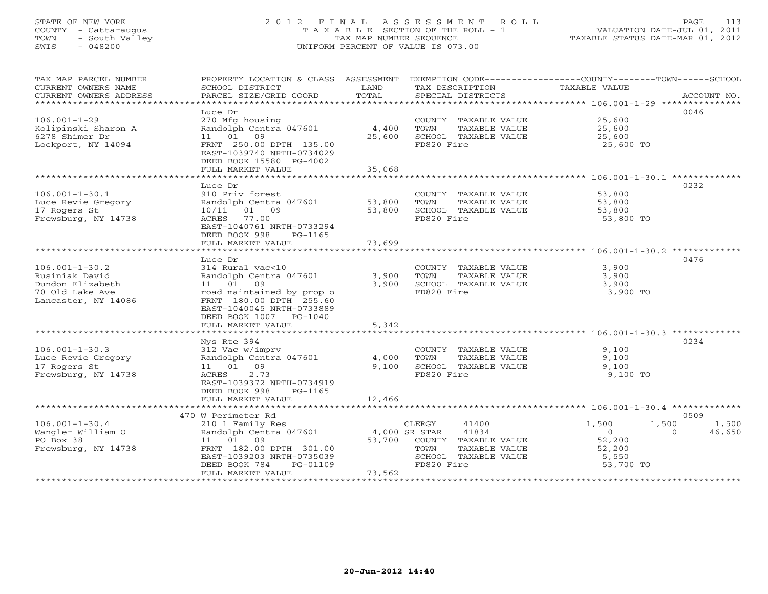## STATE OF NEW YORK 2 0 1 2 F I N A L A S S E S S M E N T R O L L PAGE 113 COUNTY - Cattaraugus T A X A B L E SECTION OF THE ROLL - 1 VALUATION DATE-JUL 01, 2011 TOWN - South Valley TAX MAP NUMBER SEQUENCE TAXABLE STATUS DATE-MAR 01, 2012 SWIS - 048200 UNIFORM PERCENT OF VALUE IS 073.00UNIFORM PERCENT OF VALUE IS 073.00

| TAX MAP PARCEL NUMBER  | PROPERTY LOCATION & CLASS ASSESSMENT |               |                             | EXEMPTION CODE-----------------COUNTY-------TOWN------SCHOOL |             |
|------------------------|--------------------------------------|---------------|-----------------------------|--------------------------------------------------------------|-------------|
| CURRENT OWNERS NAME    | SCHOOL DISTRICT                      | LAND          | TAX DESCRIPTION             | TAXABLE VALUE                                                |             |
| CURRENT OWNERS ADDRESS | PARCEL SIZE/GRID COORD               | TOTAL         | SPECIAL DISTRICTS           |                                                              | ACCOUNT NO. |
| ********************** |                                      |               |                             |                                                              |             |
|                        | Luce Dr                              |               |                             |                                                              | 0046        |
| $106.001 - 1 - 29$     | 270 Mfg housing                      |               | COUNTY TAXABLE VALUE        | 25,600                                                       |             |
| Kolipinski Sharon A    | Randolph Centra 047601               | 4,400         | TOWN<br>TAXABLE VALUE       | 25,600                                                       |             |
| 6278 Shimer Dr         | 11 01<br>09                          | 25,600        | SCHOOL TAXABLE VALUE        | 25,600                                                       |             |
| Lockport, NY 14094     | FRNT 250.00 DPTH 135.00              |               | FD820 Fire                  | 25,600 TO                                                    |             |
|                        | EAST-1039740 NRTH-0734029            |               |                             |                                                              |             |
|                        | DEED BOOK 15580 PG-4002              |               |                             |                                                              |             |
|                        | FULL MARKET VALUE                    | 35,068        |                             |                                                              |             |
|                        |                                      |               |                             |                                                              |             |
|                        | Luce Dr                              |               |                             |                                                              | 0232        |
| $106.001 - 1 - 30.1$   | 910 Priv forest                      |               | COUNTY TAXABLE VALUE        | 53,800                                                       |             |
| Luce Revie Gregory     | Randolph Centra 047601               | 53,800        | TOWN<br>TAXABLE VALUE       | 53,800                                                       |             |
| 17 Rogers St           | 10/11 01 09                          | 53,800        | SCHOOL TAXABLE VALUE        | 53,800                                                       |             |
| Frewsburg, NY 14738    | ACRES 77.00                          |               | FD820 Fire                  | 53,800 TO                                                    |             |
|                        | EAST-1040761 NRTH-0733294            |               |                             |                                                              |             |
|                        | DEED BOOK 998<br>PG-1165             |               |                             |                                                              |             |
|                        | FULL MARKET VALUE                    | 73,699        |                             |                                                              |             |
|                        |                                      |               |                             |                                                              |             |
|                        | Luce Dr                              |               |                             |                                                              | 0476        |
| $106.001 - 1 - 30.2$   | 314 Rural vac<10                     |               | COUNTY TAXABLE VALUE        | 3,900                                                        |             |
| Rusiniak David         | Randolph Centra 047601               | 3,900         | TOWN<br>TAXABLE VALUE       | 3,900                                                        |             |
| Dundon Elizabeth       | 11 01 09                             | 3,900         | SCHOOL TAXABLE VALUE        | 3,900                                                        |             |
| 70 Old Lake Ave        | road maintained by prop o            |               | FD820 Fire                  | 3,900 TO                                                     |             |
| Lancaster, NY 14086    | FRNT 180.00 DPTH 255.60              |               |                             |                                                              |             |
|                        | EAST-1040045 NRTH-0733889            |               |                             |                                                              |             |
|                        | DEED BOOK 1007 PG-1040               |               |                             |                                                              |             |
|                        | FULL MARKET VALUE                    | 5,342         |                             |                                                              |             |
|                        | Nys Rte 394                          |               |                             |                                                              | 0234        |
| $106.001 - 1 - 30.3$   | 312 Vac w/imprv                      |               | COUNTY TAXABLE VALUE        | 9,100                                                        |             |
| Luce Revie Gregory     | Randolph Centra 047601               | 4,000         | TOWN<br>TAXABLE VALUE       | 9,100                                                        |             |
| 17 Rogers St           | 11 01 09                             | 9,100         | SCHOOL TAXABLE VALUE        | 9,100                                                        |             |
| Frewsburg, NY 14738    | 2.73<br>ACRES                        |               | FD820 Fire                  | 9,100 TO                                                     |             |
|                        | EAST-1039372 NRTH-0734919            |               |                             |                                                              |             |
|                        | DEED BOOK 998<br>PG-1165             |               |                             |                                                              |             |
|                        | FULL MARKET VALUE                    | 12,466        |                             |                                                              |             |
|                        |                                      |               |                             |                                                              |             |
|                        | 470 W Perimeter Rd                   |               |                             |                                                              | 0509        |
| $106.001 - 1 - 30.4$   | 210 1 Family Res                     |               | CLERGY<br>41400             | 1,500<br>1,500                                               | 1,500       |
| Wangler William O      | Randolph Centra 047601               | 4,000 SR STAR | 41834                       | $\overline{0}$<br>$\Omega$                                   | 46,650      |
| PO Box 38              | 11 01 09                             |               | 53,700 COUNTY TAXABLE VALUE | 52,200                                                       |             |
| Frewsburg, NY 14738    | FRNT 182.00 DPTH 301.00              |               | TOWN<br>TAXABLE VALUE       | 52,200                                                       |             |
|                        | EAST-1039203 NRTH-0735039            |               | SCHOOL TAXABLE VALUE        | 5,550                                                        |             |
|                        | DEED BOOK 784<br>PG-01109            |               | FD820 Fire                  | 53,700 TO                                                    |             |
|                        | FULL MARKET VALUE                    | 73,562        |                             |                                                              |             |
|                        |                                      |               |                             |                                                              |             |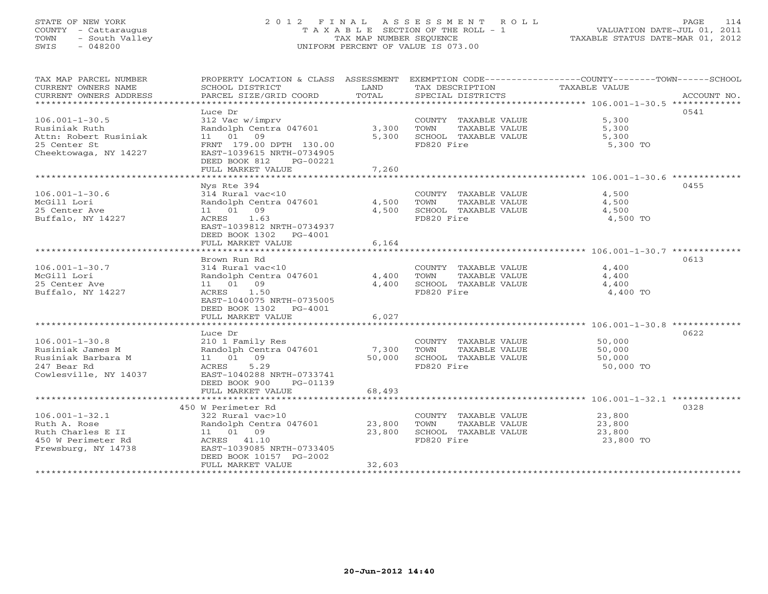# STATE OF NEW YORK 2 0 1 2 F I N A L A S S E S S M E N T R O L L PAGE 114 COUNTY - Cattaraugus T A X A B L E SECTION OF THE ROLL - 1 VALUATION DATE-JUL 01, 2011 TOWN - South Valley TAX MAP NUMBER SEQUENCE TAXABLE STATUS DATE-MAR 01, 2012 SWIS - 048200 UNIFORM PERCENT OF VALUE IS 073.00

| PROPERTY LOCATION & CLASS ASSESSMENT<br>SCHOOL DISTRICT<br>PARCEL SIZE/GRID COORD                                                                                          | LAND<br>TOTAL                                                     | TAX DESCRIPTION<br>SPECIAL DISTRICTS                                                | EXEMPTION CODE-----------------COUNTY-------TOWN------SCHOOL<br>TAXABLE VALUE<br>ACCOUNT NO. |
|----------------------------------------------------------------------------------------------------------------------------------------------------------------------------|-------------------------------------------------------------------|-------------------------------------------------------------------------------------|----------------------------------------------------------------------------------------------|
| Luce Dr<br>312 Vac w/imprv<br>Randolph Centra 047601<br>11 01 09<br>FRNT 179.00 DPTH 130.00<br>EAST-1039615 NRTH-0734905<br>DEED BOOK 812<br>PG-00221<br>FULL MARKET VALUE | 3,300<br>5,300<br>7,260                                           | COUNTY TAXABLE VALUE<br>TOWN<br>TAXABLE VALUE<br>SCHOOL TAXABLE VALUE<br>FD820 Fire | 0541<br>5,300<br>5,300<br>5,300<br>5,300 TO                                                  |
| Nys Rte 394                                                                                                                                                                |                                                                   |                                                                                     | 0455                                                                                         |
| 314 Rural vac<10<br>11  01  09<br>1.63<br>ACRES<br>EAST-1039812 NRTH-0734937<br>DEED BOOK 1302 PG-4001                                                                     | 4,500<br>4,500                                                    | COUNTY TAXABLE VALUE<br>TOWN<br>TAXABLE VALUE<br>SCHOOL TAXABLE VALUE<br>FD820 Fire | 4,500<br>4,500<br>4,500<br>4,500 TO                                                          |
|                                                                                                                                                                            |                                                                   |                                                                                     |                                                                                              |
| Brown Run Rd<br>314 Rural vac<10<br>Randolph Centra 047601<br>11 01 09<br>ACRES<br>1.50<br>EAST-1040075 NRTH-0735005                                                       | 4,400<br>4,400                                                    | COUNTY TAXABLE VALUE<br>TOWN<br>TAXABLE VALUE<br>SCHOOL TAXABLE VALUE<br>FD820 Fire | 0613<br>4,400<br>4,400<br>4,400<br>4,400 TO                                                  |
| FULL MARKET VALUE                                                                                                                                                          | 6,027                                                             |                                                                                     |                                                                                              |
| Luce Dr<br>210 1 Family Res<br>Randolph Centra 047601<br>11 01 09<br>ACRES<br>5.29<br>EAST-1040288 NRTH-0733741<br>DEED BOOK 900<br>PG-01139                               | 7,300<br>50,000                                                   | COUNTY TAXABLE VALUE<br>TOWN<br>TAXABLE VALUE<br>SCHOOL TAXABLE VALUE<br>FD820 Fire | 0622<br>50,000<br>50,000<br>50,000<br>50,000 TO                                              |
| FULL MARKET VALUE                                                                                                                                                          | 68,493                                                            |                                                                                     |                                                                                              |
|                                                                                                                                                                            |                                                                   |                                                                                     | 0328                                                                                         |
| 322 Rural vac>10<br>11 01 09<br>ACRES 41.10<br>EAST-1039085 NRTH-0733405<br>DEED BOOK 10157 PG-2002<br>FULL MARKET VALUE                                                   | 23,800<br>23,800<br>32,603                                        | COUNTY TAXABLE VALUE<br>TAXABLE VALUE<br>TOWN<br>SCHOOL TAXABLE VALUE<br>FD820 Fire | 23,800<br>23,800<br>23,800<br>23,800 TO                                                      |
|                                                                                                                                                                            | FULL MARKET VALUE<br>DEED BOOK 1302 PG-4001<br>450 W Perimeter Rd | Randolph Centra 047601<br>6,164<br>Randolph Centra 047601                           | * * * * * * * * * * * * *                                                                    |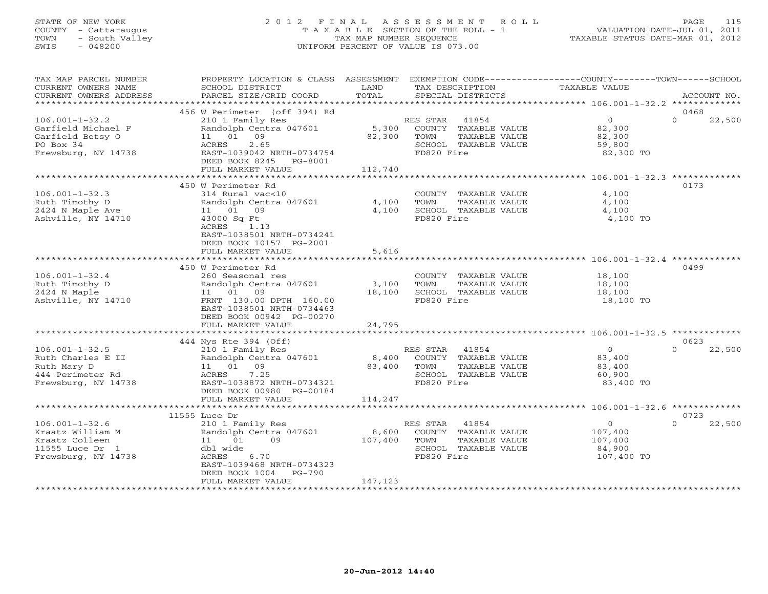## STATE OF NEW YORK 2 0 1 2 F I N A L A S S E S S M E N T R O L L PAGE 115 COUNTY - Cattaraugus T A X A B L E SECTION OF THE ROLL - 1 VALUATION DATE-JUL 01, 2011 TOWN - South Valley TAX MAP NUMBER SEQUENCE TAXABLE STATUS DATE-MAR 01, 2012 SWIS - 048200 UNIFORM PERCENT OF VALUE IS 073.00UNIFORM PERCENT OF VALUE IS 073.00

| TAX MAP PARCEL NUMBER<br>CURRENT OWNERS NAME<br>CURRENT OWNERS ADDRESS | PROPERTY LOCATION & CLASS ASSESSMENT<br>SCHOOL DISTRICT<br>PARCEL SIZE/GRID COORD | LAND<br>TOTAL   | EXEMPTION CODE-----------------COUNTY-------TOWN------SCHOOL<br>TAX DESCRIPTION<br>SPECIAL DISTRICTS | TAXABLE VALUE              | ACCOUNT NO.                |
|------------------------------------------------------------------------|-----------------------------------------------------------------------------------|-----------------|------------------------------------------------------------------------------------------------------|----------------------------|----------------------------|
| *************************                                              |                                                                                   |                 |                                                                                                      |                            |                            |
| $106.001 - 1 - 32.2$                                                   | 456 W Perimeter (off 394) Rd<br>210 1 Family Res                                  |                 | RES STAR<br>41854                                                                                    | $\overline{0}$             | 0468<br>$\Omega$<br>22,500 |
| Garfield Michael F<br>Garfield Betsy O<br>PO Box 34                    | Randolph Centra 047601<br>09<br>11 01<br>2.65<br>ACRES                            | 5,300<br>82,300 | COUNTY TAXABLE VALUE<br>TOWN<br>TAXABLE VALUE<br>SCHOOL TAXABLE VALUE                                | 82,300<br>82,300<br>59,800 |                            |
| Frewsburg, NY 14738                                                    | EAST-1039042 NRTH-0734754<br>DEED BOOK 8245 PG-8001                               |                 | FD820 Fire                                                                                           | 82,300 TO                  |                            |
|                                                                        | FULL MARKET VALUE                                                                 | 112,740         |                                                                                                      |                            |                            |
|                                                                        |                                                                                   |                 |                                                                                                      |                            |                            |
|                                                                        | 450 W Perimeter Rd                                                                |                 |                                                                                                      |                            | 0173                       |
| $106.001 - 1 - 32.3$<br>Ruth Timothy D                                 | 314 Rural vac<10<br>Randolph Centra 047601                                        | 4,100           | COUNTY TAXABLE VALUE<br>TOWN<br>TAXABLE VALUE                                                        | 4,100<br>4,100             |                            |
| 2424 N Maple Ave                                                       | 11 01 09                                                                          | 4,100           | SCHOOL TAXABLE VALUE                                                                                 | 4,100                      |                            |
| Ashville, NY 14710                                                     | 43000 Sq Ft                                                                       |                 | FD820 Fire                                                                                           | 4,100 TO                   |                            |
|                                                                        | ACRES<br>1.13<br>EAST-1038501 NRTH-0734241<br>DEED BOOK 10157 PG-2001             |                 |                                                                                                      |                            |                            |
|                                                                        | FULL MARKET VALUE                                                                 | 5,616           |                                                                                                      |                            |                            |
|                                                                        | ****************************                                                      |                 |                                                                                                      |                            |                            |
|                                                                        | 450 W Perimeter Rd                                                                |                 |                                                                                                      |                            | 0499                       |
| $106.001 - 1 - 32.4$                                                   | 260 Seasonal res                                                                  |                 | COUNTY TAXABLE VALUE                                                                                 | 18,100                     |                            |
| Ruth Timothy D                                                         | Randolph Centra 047601                                                            | 3,100           | TOWN<br>TAXABLE VALUE                                                                                | 18,100                     |                            |
| 2424 N Maple                                                           | 11 01 09                                                                          | 18,100          | SCHOOL TAXABLE VALUE                                                                                 | 18,100                     |                            |
| Ashville, NY 14710                                                     | FRNT 130.00 DPTH 160.00<br>EAST-1038501 NRTH-0734463<br>DEED BOOK 00942 PG-00270  |                 | FD820 Fire                                                                                           | 18,100 TO                  |                            |
|                                                                        | FULL MARKET VALUE                                                                 | 24,795          |                                                                                                      |                            |                            |
|                                                                        |                                                                                   |                 |                                                                                                      |                            |                            |
|                                                                        | 444 Nys Rte 394 (Off)                                                             |                 |                                                                                                      |                            | 0623                       |
| $106.001 - 1 - 32.5$                                                   | 210 1 Family Res                                                                  |                 | RES STAR 41854                                                                                       | $\circ$                    | $\Omega$<br>22,500         |
| Ruth Charles E II                                                      | Randolph Centra 047601                                                            | 8,400           | COUNTY TAXABLE VALUE                                                                                 | 83,400                     |                            |
| Ruth Mary D                                                            | 11 01 09                                                                          | 83,400          | TOWN<br>TAXABLE VALUE                                                                                | 83,400                     |                            |
| 444 Perimeter Rd                                                       | 7.25<br>ACRES                                                                     |                 | SCHOOL TAXABLE VALUE                                                                                 | 60,900                     |                            |
| Frewsburg, NY 14738                                                    | EAST-1038872 NRTH-0734321<br>DEED BOOK 00980 PG-00184                             |                 | FD820 Fire                                                                                           | 83,400 TO                  |                            |
|                                                                        | FULL MARKET VALUE                                                                 | 114,247         |                                                                                                      |                            |                            |
|                                                                        | 11555 Luce Dr                                                                     |                 |                                                                                                      |                            | 0723                       |
| $106.001 - 1 - 32.6$                                                   | 210 1 Family Res                                                                  |                 | RES STAR<br>41854                                                                                    | $\circ$                    | $\Omega$<br>22,500         |
| Kraatz William M                                                       | Randolph Centra 047601                                                            | 8,600           | COUNTY TAXABLE VALUE                                                                                 | 107,400                    |                            |
| Kraatz Colleen                                                         | 11 01<br>09                                                                       | 107,400         | TOWN<br>TAXABLE VALUE                                                                                | 107,400                    |                            |
| 11555 Luce Dr 1                                                        | dbl wide                                                                          |                 | SCHOOL TAXABLE VALUE                                                                                 | 84,900                     |                            |
| Frewsburg, NY 14738                                                    | ACRES<br>6.70                                                                     |                 | FD820 Fire                                                                                           | 107,400 TO                 |                            |
|                                                                        | EAST-1039468 NRTH-0734323                                                         |                 |                                                                                                      |                            |                            |
|                                                                        | DEED BOOK 1004<br>PG-790                                                          |                 |                                                                                                      |                            |                            |
|                                                                        | FULL MARKET VALUE                                                                 | 147,123         |                                                                                                      |                            |                            |
|                                                                        |                                                                                   |                 |                                                                                                      |                            |                            |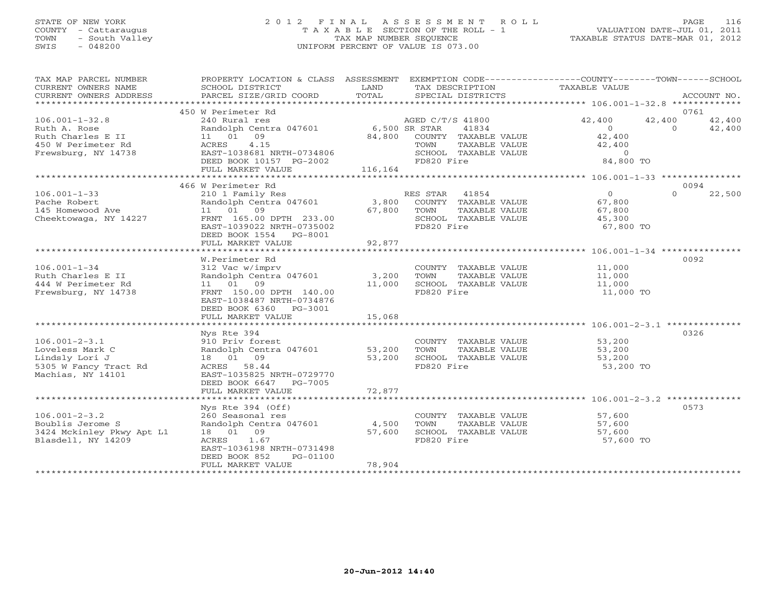# STATE OF NEW YORK 2 0 1 2 F I N A L A S S E S S M E N T R O L L PAGE 116 COUNTY - Cattaraugus T A X A B L E SECTION OF THE ROLL - 1 VALUATION DATE-JUL 01, 2011 TOWN - South Valley TAX MAP NUMBER SEQUENCE TAXABLE STATUS DATE-MAR 01, 2012 SWIS - 048200 UNIFORM PERCENT OF VALUE IS 073.00

| TAX MAP PARCEL NUMBER<br>CURRENT OWNERS NAME<br>CURRENT OWNERS ADDRESS | PROPERTY LOCATION & CLASS ASSESSMENT EXEMPTION CODE---------------COUNTY-------TOWN------SCHOOL<br>SCHOOL DISTRICT<br>PARCEL SIZE/GRID COORD | LAND<br>TOTAL | TAX DESCRIPTION TAXABLE VALUE<br>SPECIAL DISTRICTS                           |                                    | ACCOUNT NO.                            |
|------------------------------------------------------------------------|----------------------------------------------------------------------------------------------------------------------------------------------|---------------|------------------------------------------------------------------------------|------------------------------------|----------------------------------------|
|                                                                        | 450 W Perimeter Rd                                                                                                                           |               |                                                                              |                                    | 0761                                   |
| $106.001 - 1 - 32.8$<br>Ruth A. Rose                                   | 240 Rural res<br>Randolph Centra 047601 6,500 SR STAR                                                                                        |               | AGED C/T/S 41800<br>41834                                                    | 42,400<br>$\overline{0}$           | 42,400<br>42,400<br>$\Omega$<br>42,400 |
| Ruth Charles E II<br>450 W Perimeter Rd<br>Frewsburg, NY 14738         | 11 01 09<br>4.15<br>ACRES<br>EAST-1038681 NRTH-0734806                                                                                       |               | 84,800 COUNTY TAXABLE VALUE<br>TAXABLE VALUE<br>TOWN<br>SCHOOL TAXABLE VALUE | 42,400<br>42,400<br>$\overline{0}$ |                                        |
|                                                                        | DEED BOOK 10157 PG-2002<br>FULL MARKET VALUE                                                                                                 | 116,164       | FD820 Fire                                                                   | 84,800 TO                          |                                        |
|                                                                        | 466 W Perimeter Rd                                                                                                                           |               |                                                                              |                                    | 0094                                   |
| $106.001 - 1 - 33$                                                     | 210 1 Family Res                                                                                                                             |               | RES STAR 41854                                                               | $\overline{0}$                     | $\Omega$<br>22,500                     |
| Pache Robert                                                           | Randolph Centra 047601                                                                                                                       |               | 3,800 COUNTY TAXABLE VALUE                                                   | 67,800                             |                                        |
| 145 Homewood Ave                                                       | 11 01 09                                                                                                                                     | 67,800        | TAXABLE VALUE<br>TOWN                                                        | 67,800                             |                                        |
| Cheektowaga, NY 14227                                                  | FRNT 165.00 DPTH 233.00                                                                                                                      |               | SCHOOL TAXABLE VALUE                                                         | 45,300                             |                                        |
|                                                                        | EAST-1039022 NRTH-0735002                                                                                                                    |               | FD820 Fire                                                                   | 67,800 TO                          |                                        |
|                                                                        | DEED BOOK 1554 PG-8001                                                                                                                       |               |                                                                              |                                    |                                        |
|                                                                        | FULL MARKET VALUE                                                                                                                            | 92,877        |                                                                              |                                    |                                        |
|                                                                        |                                                                                                                                              |               |                                                                              |                                    |                                        |
|                                                                        | W.Perimeter Rd                                                                                                                               |               |                                                                              |                                    | 0092                                   |
| $106.001 - 1 - 34$                                                     | 312 Vac w/imprv                                                                                                                              |               | COUNTY TAXABLE VALUE                                                         | 11,000                             |                                        |
| Ruth Charles E II                                                      | Randolph Centra 047601                                                                                                                       | 3,200         | TAXABLE VALUE<br>TOWN                                                        | 11,000                             |                                        |
| 444 W Perimeter Rd                                                     | 11  01  09                                                                                                                                   | 11,000        | SCHOOL TAXABLE VALUE                                                         | 11,000                             |                                        |
| Frewsburg, NY 14738                                                    | FRNT 150.00 DPTH 140.00<br>EAST-1038487 NRTH-0734876                                                                                         |               | FD820 Fire                                                                   | 11,000 TO                          |                                        |
|                                                                        | DEED BOOK 6360 PG-3001                                                                                                                       |               |                                                                              |                                    |                                        |
|                                                                        | FULL MARKET VALUE                                                                                                                            | 15,068        |                                                                              |                                    |                                        |
|                                                                        |                                                                                                                                              |               |                                                                              |                                    |                                        |
|                                                                        | Nys Rte 394                                                                                                                                  |               |                                                                              |                                    | 0326                                   |
| $106.001 - 2 - 3.1$                                                    | 910 Priv forest                                                                                                                              |               | COUNTY TAXABLE VALUE                                                         | 53,200                             |                                        |
| Loveless Mark C                                                        | Randolph Centra 047601 53,200                                                                                                                |               | TAXABLE VALUE<br>TOWN                                                        | 53,200                             |                                        |
| Lindsly Lori J                                                         | 18  01  09                                                                                                                                   | 53,200        | SCHOOL TAXABLE VALUE                                                         | 53,200                             |                                        |
| 5305 W Fancy Tract Rd<br>Machias, NY 14101                             | ACRES 58.44<br>EAST-1035825 NRTH-0729770<br>DEED BOOK 6647 PG-7005                                                                           |               | FD820 Fire                                                                   | 53,200 TO                          |                                        |
|                                                                        | FULL MARKET VALUE                                                                                                                            | 72,877        |                                                                              |                                    |                                        |
|                                                                        |                                                                                                                                              |               |                                                                              |                                    |                                        |
|                                                                        | Nys Rte 394 (Off)                                                                                                                            |               |                                                                              |                                    | 0573                                   |
| $106.001 - 2 - 3.2$                                                    | 260 Seasonal res                                                                                                                             |               | COUNTY TAXABLE VALUE                                                         | 57,600                             |                                        |
| Boublis Jerome S                                                       | Randolph Centra 047601 4,500                                                                                                                 |               | TAXABLE VALUE<br>TOWN                                                        | 57,600                             |                                        |
| 3424 Mckinley Pkwy Apt L1                                              | 18  01  09                                                                                                                                   | 57,600        | SCHOOL TAXABLE VALUE                                                         | 57,600                             |                                        |
| Blasdell, NY 14209                                                     | ACRES<br>1.67<br>EAST-1036198 NRTH-0731498                                                                                                   |               | FD820 Fire                                                                   | 57,600 TO                          |                                        |
|                                                                        | DEED BOOK 852<br>PG-01100<br>FULL MARKET VALUE                                                                                               | 78,904        |                                                                              |                                    |                                        |
| ************************                                               |                                                                                                                                              |               |                                                                              |                                    |                                        |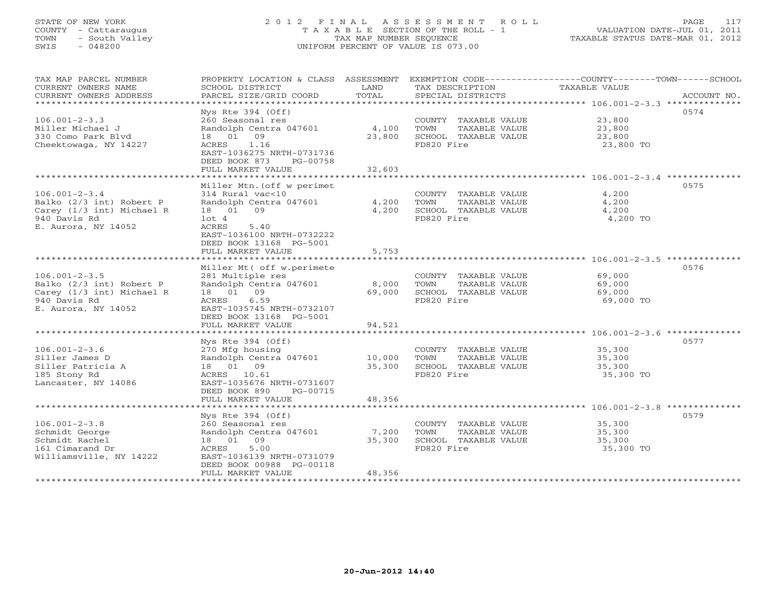## STATE OF NEW YORK 2 0 1 2 F I N A L A S S E S S M E N T R O L L PAGE 117 COUNTY - Cattaraugus T A X A B L E SECTION OF THE ROLL - 1 VALUATION DATE-JUL 01, 2011 TOWN - South Valley TAX MAP NUMBER SEQUENCE TAXABLE STATUS DATE-MAR 01, 2012 SWIS - 048200 UNIFORM PERCENT OF VALUE IS 073.00UNIFORM PERCENT OF VALUE IS 073.00

| TAX MAP PARCEL NUMBER<br>CURRENT OWNERS NAME<br>CURRENT OWNERS ADDRESS                                              | PROPERTY LOCATION & CLASS ASSESSMENT<br>SCHOOL DISTRICT<br>PARCEL SIZE/GRID COORD                                                                               | LAND<br>TOTAL           | TAX DESCRIPTION<br>SPECIAL DISTRICTS                                                | EXEMPTION CODE-----------------COUNTY-------TOWN------SCHOOL<br><b>TAXABLE VALUE</b> | ACCOUNT NO. |
|---------------------------------------------------------------------------------------------------------------------|-----------------------------------------------------------------------------------------------------------------------------------------------------------------|-------------------------|-------------------------------------------------------------------------------------|--------------------------------------------------------------------------------------|-------------|
| **********************<br>$106.001 - 2 - 3.3$                                                                       | $Nys$ Rte 394 (Off)<br>260 Seasonal res                                                                                                                         |                         | COUNTY TAXABLE VALUE                                                                | 23,800                                                                               | 0574        |
| Miller Michael J<br>330 Como Park Blvd<br>Cheektowaga, NY 14227                                                     | Randolph Centra 047601<br>18 01 09<br>ACRES<br>1.16                                                                                                             | 4,100<br>23,800         | TOWN<br>TAXABLE VALUE<br>SCHOOL TAXABLE VALUE<br>FD820 Fire                         | 23,800<br>23,800<br>23,800 TO                                                        |             |
|                                                                                                                     | EAST-1036275 NRTH-0731736<br>DEED BOOK 873<br>PG-00758<br>FULL MARKET VALUE<br>***************************                                                      | 32,603<br>************* |                                                                                     |                                                                                      |             |
|                                                                                                                     | Miller Mtn. (off w perimet                                                                                                                                      |                         |                                                                                     |                                                                                      | 0575        |
| $106.001 - 2 - 3.4$<br>Balko (2/3 int) Robert P<br>Carey (1/3 int) Michael R<br>940 Davis Rd                        | 314 Rural vac<10<br>Randolph Centra 047601<br>18  01  09<br>lot 4                                                                                               | 4,200<br>4,200          | COUNTY TAXABLE VALUE<br>TOWN<br>TAXABLE VALUE<br>SCHOOL TAXABLE VALUE<br>FD820 Fire | 4,200<br>4,200<br>4,200<br>4,200 TO                                                  |             |
| E. Aurora, NY 14052                                                                                                 | ACRES<br>5.40<br>EAST-1036100 NRTH-0732222<br>DEED BOOK 13168 PG-5001<br>FULL MARKET VALUE                                                                      | 5,753                   |                                                                                     |                                                                                      |             |
|                                                                                                                     |                                                                                                                                                                 |                         |                                                                                     |                                                                                      |             |
| $106.001 - 2 - 3.5$<br>Balko (2/3 int) Robert P<br>Carey (1/3 int) Michael R<br>940 Davis Rd<br>E. Aurora, NY 14052 | Miller Mt ( off w.perimete<br>281 Multiple res<br>Randolph Centra 047601<br>18  01  09<br>ACRES<br>6.59<br>EAST-1035745 NRTH-0732107<br>DEED BOOK 13168 PG-5001 | 8,000<br>69,000         | COUNTY TAXABLE VALUE<br>TOWN<br>TAXABLE VALUE<br>SCHOOL TAXABLE VALUE<br>FD820 Fire | 69,000<br>69,000<br>69,000<br>69,000 TO                                              | 0576        |
|                                                                                                                     | FULL MARKET VALUE                                                                                                                                               | 94,521                  |                                                                                     |                                                                                      |             |
|                                                                                                                     | Nys Rte $394$ (Off)                                                                                                                                             |                         |                                                                                     |                                                                                      | 0577        |
| $106.001 - 2 - 3.6$<br>Siller James D<br>Siller Patricia A<br>185 Stony Rd<br>Lancaster, NY 14086                   | 270 Mfg housing<br>Randolph Centra 047601<br>18  01  09<br>ACRES 10.61<br>EAST-1035676 NRTH-0731607<br>DEED BOOK 890<br>PG-00715                                | 10,000<br>35,300        | COUNTY TAXABLE VALUE<br>TOWN<br>TAXABLE VALUE<br>SCHOOL TAXABLE VALUE<br>FD820 Fire | 35,300<br>35,300<br>35,300<br>35,300 TO                                              |             |
|                                                                                                                     | FULL MARKET VALUE                                                                                                                                               | 48,356                  |                                                                                     |                                                                                      |             |
|                                                                                                                     | Nys Rte 394 (Off)                                                                                                                                               |                         |                                                                                     |                                                                                      | 0579        |
| $106.001 - 2 - 3.8$<br>Schmidt George<br>Schmidt Rachel<br>161 Cimarand Dr<br>Williamsville, NY 14222               | 260 Seasonal res<br>Randolph Centra 047601<br>18 01 09<br>5.00<br>ACRES<br>EAST-1036139 NRTH-0731079<br>DEED BOOK 00988 PG-00118                                | 7,200<br>35,300         | COUNTY TAXABLE VALUE<br>TOWN<br>TAXABLE VALUE<br>SCHOOL TAXABLE VALUE<br>FD820 Fire | 35,300<br>35,300<br>35,300<br>35,300 TO                                              |             |
| ******************                                                                                                  | FULL MARKET VALUE                                                                                                                                               | 48,356                  |                                                                                     |                                                                                      |             |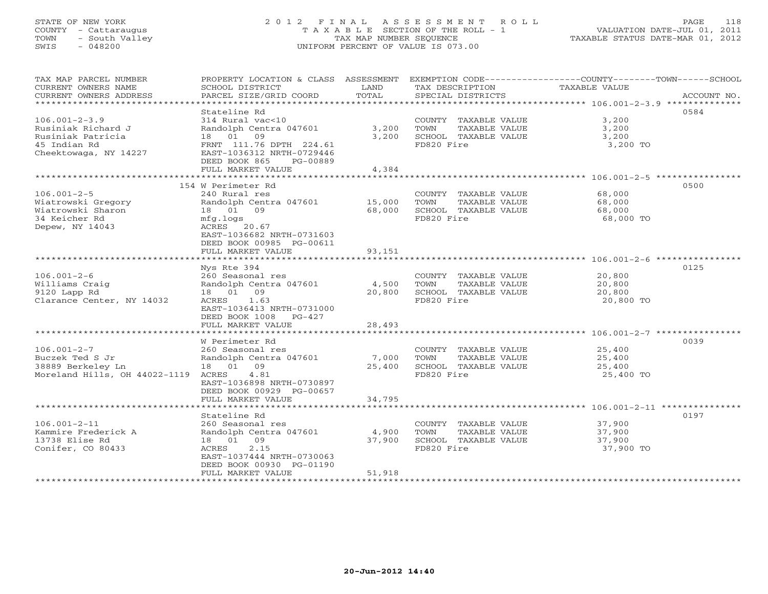## STATE OF NEW YORK 2 0 1 2 F I N A L A S S E S S M E N T R O L L PAGE 118 COUNTY - Cattaraugus T A X A B L E SECTION OF THE ROLL - 1 VALUATION DATE-JUL 01, 2011 TOWN - South Valley TAX MAP NUMBER SEQUENCE TAXABLE STATUS DATE-MAR 01, 2012 SWIS - 048200 UNIFORM PERCENT OF VALUE IS 073.00UNIFORM PERCENT OF VALUE IS 073.00

| TAX MAP PARCEL NUMBER<br>CURRENT OWNERS NAME      | PROPERTY LOCATION & CLASS ASSESSMENT<br>SCHOOL DISTRICT | LAND   | TAX DESCRIPTION                    | EXEMPTION CODE----------------COUNTY-------TOWN------SCHOOL<br>TAXABLE VALUE |
|---------------------------------------------------|---------------------------------------------------------|--------|------------------------------------|------------------------------------------------------------------------------|
| CURRENT OWNERS ADDRESS<br>*********************** | PARCEL SIZE/GRID COORD                                  | TOTAL  | SPECIAL DISTRICTS                  | ACCOUNT NO.                                                                  |
|                                                   | Stateline Rd                                            |        |                                    | 0584                                                                         |
| $106.001 - 2 - 3.9$                               | 314 Rural vac<10                                        |        | COUNTY TAXABLE VALUE               | 3,200                                                                        |
| Rusiniak Richard J                                | Randolph Centra 047601                                  | 3,200  | TOWN<br>TAXABLE VALUE              | 3,200                                                                        |
| Rusiniak Patricia                                 | 18  01  09                                              | 3,200  | SCHOOL TAXABLE VALUE               | 3,200                                                                        |
| 45 Indian Rd                                      | FRNT 111.76 DPTH 224.61                                 |        | FD820 Fire                         | 3,200 TO                                                                     |
| Cheektowaga, NY 14227                             | EAST-1036312 NRTH-0729446                               |        |                                    |                                                                              |
|                                                   | DEED BOOK 865<br>PG-00889                               |        |                                    |                                                                              |
|                                                   | FULL MARKET VALUE                                       | 4,384  |                                    |                                                                              |
|                                                   | 154 W Perimeter Rd                                      |        |                                    | 0500                                                                         |
| $106.001 - 2 - 5$                                 |                                                         |        |                                    |                                                                              |
|                                                   | 240 Rural res                                           |        | COUNTY TAXABLE VALUE               | 68,000                                                                       |
| Wiatrowski Gregory<br>Wiatrowski Sharon           | Randolph Centra 047601<br>18 01 09                      | 15,000 | TOWN<br>TAXABLE VALUE              | 68,000                                                                       |
| 34 Keicher Rd                                     |                                                         | 68,000 | SCHOOL TAXABLE VALUE<br>FD820 Fire | 68,000                                                                       |
|                                                   | mfg.logs<br>ACRES 20.67                                 |        |                                    | 68,000 TO                                                                    |
| Depew, NY 14043                                   | EAST-1036682 NRTH-0731603                               |        |                                    |                                                                              |
|                                                   | DEED BOOK 00985 PG-00611                                |        |                                    |                                                                              |
|                                                   | FULL MARKET VALUE                                       | 93,151 |                                    |                                                                              |
|                                                   |                                                         |        |                                    |                                                                              |
|                                                   | Nys Rte 394                                             |        |                                    | 0125                                                                         |
| $106.001 - 2 - 6$                                 | 260 Seasonal res                                        |        | COUNTY TAXABLE VALUE               | 20,800                                                                       |
| Williams Craig                                    | Randolph Centra 047601                                  | 4,500  | TOWN<br>TAXABLE VALUE              | 20,800                                                                       |
| 9120 Lapp Rd                                      | 18 01 09                                                | 20,800 | SCHOOL TAXABLE VALUE               | 20,800                                                                       |
| Clarance Center, NY 14032                         | ACRES 1.63                                              |        | FD820 Fire                         | 20,800 TO                                                                    |
|                                                   | EAST-1036413 NRTH-0731000                               |        |                                    |                                                                              |
|                                                   | DEED BOOK 1008 PG-427                                   |        |                                    |                                                                              |
|                                                   | FULL MARKET VALUE                                       | 28,493 |                                    |                                                                              |
|                                                   |                                                         |        |                                    | ********************** 106.001-2-7 ****************                          |
|                                                   | W Perimeter Rd                                          |        |                                    | 0039                                                                         |
| $106.001 - 2 - 7$                                 | 260 Seasonal res                                        |        | COUNTY TAXABLE VALUE               | 25,400                                                                       |
| Buczek Ted S Jr                                   | Randolph Centra 047601                                  | 7,000  | TOWN<br>TAXABLE VALUE              | 25,400                                                                       |
| 38889 Berkeley Ln                                 | 18  01  09                                              | 25,400 | SCHOOL TAXABLE VALUE               | 25,400                                                                       |
| Moreland Hills, OH 44022-1119                     | 4.81<br>ACRES                                           |        | FD820 Fire                         | 25,400 TO                                                                    |
|                                                   | EAST-1036898 NRTH-0730897                               |        |                                    |                                                                              |
|                                                   | DEED BOOK 00929 PG-00657                                |        |                                    |                                                                              |
|                                                   | FULL MARKET VALUE                                       | 34,795 |                                    |                                                                              |
|                                                   |                                                         |        |                                    |                                                                              |
|                                                   | Stateline Rd                                            |        |                                    | 0197                                                                         |
| $106.001 - 2 - 11$                                | 260 Seasonal res                                        |        | COUNTY TAXABLE VALUE               | 37,900                                                                       |
| Kammire Frederick A                               | Randolph Centra 047601                                  | 4,900  | TOWN<br>TAXABLE VALUE              | 37,900                                                                       |
| 13738 Elise Rd                                    | 18  01  09                                              | 37,900 | SCHOOL TAXABLE VALUE               | 37,900                                                                       |
| Conifer, CO 80433                                 | 2.15<br>ACRES                                           |        | FD820 Fire                         | 37,900 TO                                                                    |
|                                                   | EAST-1037444 NRTH-0730063                               |        |                                    |                                                                              |
|                                                   | DEED BOOK 00930 PG-01190                                |        |                                    |                                                                              |
|                                                   | FULL MARKET VALUE                                       | 51,918 |                                    |                                                                              |
|                                                   |                                                         |        |                                    |                                                                              |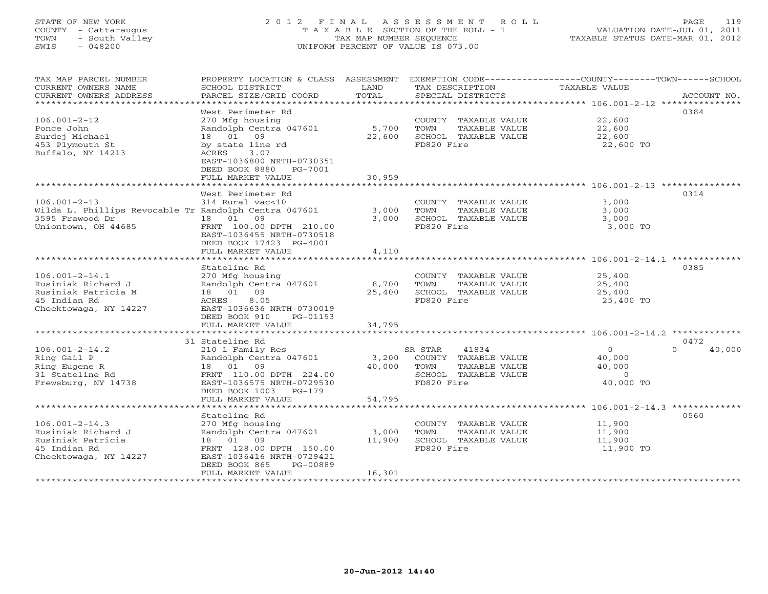## STATE OF NEW YORK 2 0 1 2 F I N A L A S S E S S M E N T R O L L PAGE 119 COUNTY - Cattaraugus T A X A B L E SECTION OF THE ROLL - 1 VALUATION DATE-JUL 01, 2011 TOWN - South Valley TAX MAP NUMBER SEQUENCE TAXABLE STATUS DATE-MAR 01, 2012 SWIS - 048200 UNIFORM PERCENT OF VALUE IS 073.00UNIFORM PERCENT OF VALUE IS 073.00

| TAX MAP PARCEL NUMBER<br>CURRENT OWNERS NAME<br>CURRENT OWNERS ADDRESS                                     | PROPERTY LOCATION & CLASS ASSESSMENT<br>SCHOOL DISTRICT<br>PARCEL SIZE/GRID COORD                                                                          | LAND<br>TOTAL    | TAX DESCRIPTION<br>SPECIAL DISTRICTS                                                                    | EXEMPTION CODE-----------------COUNTY-------TOWN------SCHOOL<br>TAXABLE VALUE<br>ACCOUNT NO. |
|------------------------------------------------------------------------------------------------------------|------------------------------------------------------------------------------------------------------------------------------------------------------------|------------------|---------------------------------------------------------------------------------------------------------|----------------------------------------------------------------------------------------------|
| *********************                                                                                      |                                                                                                                                                            |                  |                                                                                                         |                                                                                              |
| $106.001 - 2 - 12$<br>Ponce John                                                                           | West Perimeter Rd<br>270 Mfg housing<br>Randolph Centra 047601                                                                                             | 5,700            | COUNTY TAXABLE VALUE<br>TOWN<br>TAXABLE VALUE                                                           | 0384<br>22,600<br>22,600                                                                     |
| Surdej Michael<br>453 Plymouth St<br>Buffalo, NY 14213                                                     | 18 01<br>09<br>by state line rd<br>3.07<br>ACRES<br>EAST-1036800 NRTH-0730351<br>DEED BOOK 8880<br>PG-7001<br>FULL MARKET VALUE                            | 22,600<br>30,959 | SCHOOL TAXABLE VALUE<br>FD820 Fire                                                                      | 22,600<br>22,600 TO                                                                          |
|                                                                                                            |                                                                                                                                                            |                  |                                                                                                         |                                                                                              |
| $106.001 - 2 - 13$<br>Wilda L. Phillips Revocable Tr Randolph Centra 047601                                | West Perimeter Rd<br>314 Rural vac<10                                                                                                                      | 3,000            | COUNTY TAXABLE VALUE<br>TOWN<br>TAXABLE VALUE                                                           | 0314<br>3,000<br>3,000                                                                       |
| 3595 Frawood Dr<br>Uniontown, OH 44685                                                                     | 09<br>18 01<br>FRNT 100.00 DPTH 210.00<br>EAST-1036455 NRTH-0730518<br>DEED BOOK 17423 PG-4001<br>FULL MARKET VALUE                                        | 3.000<br>4,110   | SCHOOL TAXABLE VALUE<br>FD820 Fire                                                                      | 3,000<br>3,000 TO                                                                            |
|                                                                                                            | *********************                                                                                                                                      |                  |                                                                                                         | ·************************ 106.001-2-14.1 *************                                       |
|                                                                                                            | Stateline Rd                                                                                                                                               |                  |                                                                                                         | 0385                                                                                         |
| $106.001 - 2 - 14.1$<br>Rusiniak Richard J<br>Rusiniak Patricia M<br>45 Indian Rd<br>Cheektowaga, NY 14227 | 270 Mfg housing<br>Randolph Centra 047601<br>09<br>18 01<br>ACRES<br>8.05<br>EAST-1036636 NRTH-0730019<br>DEED BOOK 910<br>PG-01153                        | 8,700<br>25,400  | COUNTY TAXABLE VALUE<br>TAXABLE VALUE<br>TOWN<br>SCHOOL TAXABLE VALUE<br>FD820 Fire                     | 25,400<br>25,400<br>25,400<br>25,400 TO                                                      |
|                                                                                                            | FULL MARKET VALUE                                                                                                                                          | 34,795           |                                                                                                         |                                                                                              |
|                                                                                                            | **********************                                                                                                                                     |                  |                                                                                                         | ********************* 106.001-2-14.2 *************                                           |
|                                                                                                            | 31 Stateline Rd                                                                                                                                            |                  |                                                                                                         | 0472                                                                                         |
| $106.001 - 2 - 14.2$<br>Ring Gail P<br>Ring Eugene R<br>31 Stateline Rd<br>Frewsburg, NY 14738             | 210 1 Family Res<br>Randolph Centra 047601<br>18 01 09<br>FRNT 110.00 DPTH 224.00<br>EAST-1036575 NRTH-0729530<br>DEED BOOK 1003<br>$PG-179$               | 3,200<br>40,000  | SR STAR<br>41834<br>COUNTY TAXABLE VALUE<br>TOWN<br>TAXABLE VALUE<br>SCHOOL TAXABLE VALUE<br>FD820 Fire | $\circ$<br>$\Omega$<br>40,000<br>40,000<br>40,000<br>$\overline{0}$<br>40,000 TO             |
|                                                                                                            | FULL MARKET VALUE                                                                                                                                          | 54,795           |                                                                                                         |                                                                                              |
|                                                                                                            | *******************                                                                                                                                        | ************     |                                                                                                         |                                                                                              |
| $106.001 - 2 - 14.3$<br>Rusiniak Richard J<br>Rusiniak Patricia<br>45 Indian Rd<br>Cheektowaga, NY 14227   | Stateline Rd<br>270 Mfg housing<br>Randolph Centra 047601<br>18 01 09<br>FRNT 128.00 DPTH 150.00<br>EAST-1036416 NRTH-0729421<br>DEED BOOK 865<br>PG-00889 | 3,000<br>11,900  | COUNTY TAXABLE VALUE<br><b>TOWN</b><br>TAXABLE VALUE<br>SCHOOL TAXABLE VALUE<br>FD820 Fire              | 0560<br>11,900<br>11,900<br>11,900<br>11,900 TO                                              |
|                                                                                                            | FULL MARKET VALUE<br>*******************                                                                                                                   | 16,301           |                                                                                                         |                                                                                              |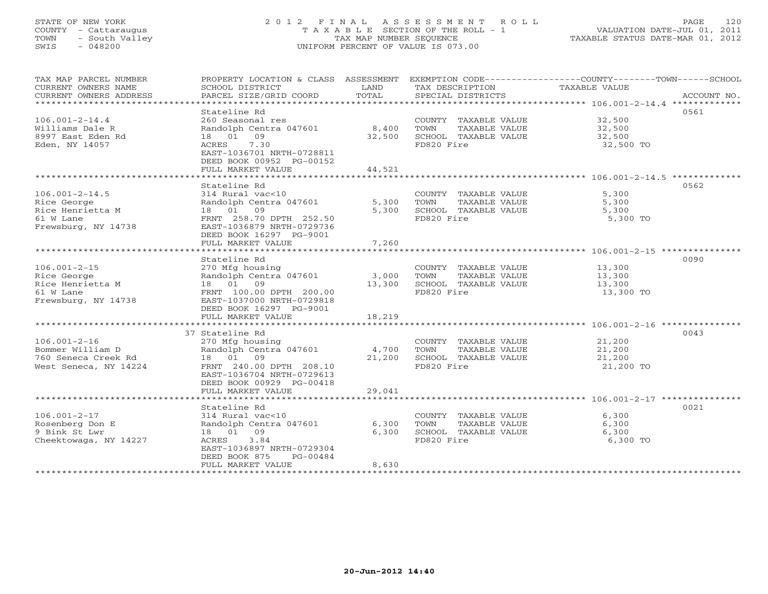## STATE OF NEW YORK 2 0 1 2 F I N A L A S S E S S M E N T R O L L PAGE 120 COUNTY - Cattaraugus T A X A B L E SECTION OF THE ROLL - 1 VALUATION DATE-JUL 01, 2011 TOWN - South Valley TAX MAP NUMBER SEQUENCE TAXABLE STATUS DATE-MAR 01, 2012 SWIS - 048200 UNIFORM PERCENT OF VALUE IS 073.00UNIFORM PERCENT OF VALUE IS 073.00

| TAX MAP PARCEL NUMBER<br>CURRENT OWNERS NAME<br>CURRENT OWNERS ADDRESS                      | PROPERTY LOCATION & CLASS ASSESSMENT<br>SCHOOL DISTRICT<br>PARCEL SIZE/GRID COORD                                                                                                 | LAND<br>TOTAL             | TAX DESCRIPTION<br>SPECIAL DISTRICTS                                                       | EXEMPTION CODE-----------------COUNTY-------TOWN------SCHOOL<br>TAXABLE VALUE<br>ACCOUNT NO. |
|---------------------------------------------------------------------------------------------|-----------------------------------------------------------------------------------------------------------------------------------------------------------------------------------|---------------------------|--------------------------------------------------------------------------------------------|----------------------------------------------------------------------------------------------|
| $106.001 - 2 - 14.4$<br>Williams Dale R<br>8997 East Eden Rd<br>Eden, NY 14057              | Stateline Rd<br>260 Seasonal res<br>Randolph Centra 047601 8,400<br>18  01  09<br>7.30<br>ACRES<br>EAST-1036701 NRTH-0728811<br>DEED BOOK 00952 PG-00152<br>FULL MARKET VALUE     | 32,500<br>44,521          | COUNTY TAXABLE VALUE<br>TAXABLE VALUE<br>TOWN<br>SCHOOL TAXABLE VALUE<br>FD820 Fire        | 0561<br>32,500<br>32,500<br>32,500<br>32,500 TO                                              |
|                                                                                             |                                                                                                                                                                                   |                           |                                                                                            |                                                                                              |
| $106.001 - 2 - 14.5$<br>Rice George<br>Rice Henrietta M<br>61 W Lane<br>Frewsburg, NY 14738 | Stateline Rd<br>314 Rural vac<10<br>Randolph Centra 047601<br>18  01  09<br>FRNT 258.70 DPTH 252.50<br>EAST-1036879 NRTH-0729736<br>DEED BOOK 16297 PG-9001<br>FULL MARKET VALUE  | 5,300<br>5,300<br>7,260   | COUNTY TAXABLE VALUE 5,300<br>TOWN<br>TAXABLE VALUE<br>SCHOOL TAXABLE VALUE<br>FD820 Fire  | 0562<br>5,300<br>5,300<br>5,300 TO                                                           |
|                                                                                             |                                                                                                                                                                                   |                           |                                                                                            |                                                                                              |
| $106.001 - 2 - 15$<br>Rice George<br>Rice Henrietta M<br>61 W Lane<br>Frewsburg, NY 14738   | Stateline Rd<br>270 Mfg housing<br>Randolph Centra 047601<br>18  01  09<br>FRNT 100.00 DPTH 200.00<br>EAST-1037000 NRTH-0729818<br>DEED BOOK 16297 PG-9001                        | 3,000<br>13,300           | COUNTY TAXABLE VALUE 13,300<br>TOWN<br>TAXABLE VALUE<br>SCHOOL TAXABLE VALUE<br>FD820 Fire | 0090<br>13,300<br>13,300<br>13,300 TO                                                        |
|                                                                                             | FULL MARKET VALUE                                                                                                                                                                 | 18,219                    |                                                                                            |                                                                                              |
|                                                                                             |                                                                                                                                                                                   |                           |                                                                                            |                                                                                              |
| $106.001 - 2 - 16$<br>Bommer William D<br>760 Seneca Creek Rd<br>West Seneca, NY 14224      | 37 Stateline Rd<br>270 Mfg housing<br>Randolph Centra 047601<br>18 01 09<br>FRNT 240.00 DPTH 208.10<br>EAST-1036704 NRTH-0729613<br>DEED BOOK 00929 PG-00418<br>FULL MARKET VALUE | 4,700<br>21,200<br>29,041 | COUNTY TAXABLE VALUE<br>TOWN<br>TAXABLE VALUE<br>SCHOOL TAXABLE VALUE<br>FD820 Fire        | 0043<br>21,200<br>21,200<br>21,200<br>21,200 TO                                              |
|                                                                                             |                                                                                                                                                                                   |                           |                                                                                            |                                                                                              |
| $106.001 - 2 - 17$<br>Rosenberg Don E<br>9 Bink St Lwr<br>Cheektowaga, NY 14227             | Stateline Rd<br>314 Rural vac<10<br>Randolph Centra 047601<br>18  01  09<br>3.84<br>ACRES<br>EAST-1036897 NRTH-0729304<br>DEED BOOK 875<br>PG-00484<br>FULL MARKET VALUE          | 6,300<br>6,300<br>8,630   | COUNTY TAXABLE VALUE<br>TOWN<br>TAXABLE VALUE<br>SCHOOL TAXABLE VALUE<br>FD820 Fire        | 0021<br>6,300<br>6,300<br>6,300<br>6,300 TO                                                  |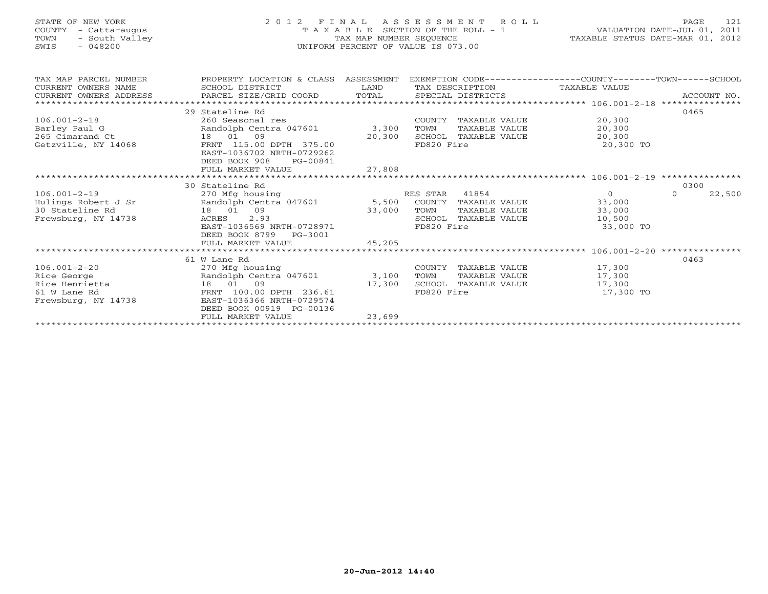## STATE OF NEW YORK 2 0 1 2 F I N A L A S S E S S M E N T R O L L PAGE 121 COUNTY - Cattaraugus T A X A B L E SECTION OF THE ROLL - 1 VALUATION DATE-JUL 01, 2011 TOWN - South Valley TAX MAP NUMBER SEQUENCE TAXABLE STATUS DATE-MAR 01, 2012 SWIS - 048200 UNIFORM PERCENT OF VALUE IS 073.00UNIFORM PERCENT OF VALUE IS 073.00

| TAX MAP PARCEL NUMBER<br>CURRENT OWNERS NAME  | PROPERTY LOCATION & CLASS ASSESSMENT<br>SCHOOL DISTRICT | LAND   |                      |               | EXEMPTION CODE-----------------COUNTY-------TOWN------SCHOOL<br>TAX DESCRIPTION TAXABLE VALUE |          |             |
|-----------------------------------------------|---------------------------------------------------------|--------|----------------------|---------------|-----------------------------------------------------------------------------------------------|----------|-------------|
| CURRENT OWNERS ADDRESS PARCEL SIZE/GRID COORD |                                                         | TOTAL  | SPECIAL DISTRICTS    |               |                                                                                               |          | ACCOUNT NO. |
|                                               |                                                         |        |                      |               |                                                                                               |          |             |
|                                               | 29 Stateline Rd                                         |        |                      |               |                                                                                               | 0465     |             |
| $106.001 - 2 - 18$                            | 260 Seasonal res                                        |        | COUNTY TAXABLE VALUE |               | 20,300                                                                                        |          |             |
| Barley Paul G                                 | Randolph Centra 047601                                  | 3,300  | TOWN                 | TAXABLE VALUE | 20,300                                                                                        |          |             |
| 265 Cimarand Ct                               | 18 01 09                                                | 20,300 | SCHOOL TAXABLE VALUE |               | 20,300                                                                                        |          |             |
| Getzville, NY 14068                           | FRNT 115.00 DPTH 375.00                                 |        | FD820 Fire           |               | 20,300 TO                                                                                     |          |             |
|                                               | EAST-1036702 NRTH-0729262                               |        |                      |               |                                                                                               |          |             |
|                                               | DEED BOOK 908<br>PG-00841                               |        |                      |               |                                                                                               |          |             |
|                                               | FULL MARKET VALUE                                       | 27,808 |                      |               |                                                                                               |          |             |
|                                               |                                                         |        |                      |               |                                                                                               |          |             |
|                                               | 30 Stateline Rd                                         |        |                      |               |                                                                                               | 0300     |             |
| $106.001 - 2 - 19$                            | 270 Mfg housing                                         |        | RES STAR<br>41854    |               | $\circ$                                                                                       | $\Omega$ | 22,500      |
| Hulings Robert J Sr                           | Randolph Centra 047601                                  | 5,500  | COUNTY               | TAXABLE VALUE | 33,000                                                                                        |          |             |
| 30 Stateline Rd                               | 09<br>18 01                                             | 33,000 | TOWN                 | TAXABLE VALUE | 33,000                                                                                        |          |             |
| Frewsburg, NY 14738                           | 2.93<br>ACRES                                           |        | SCHOOL               | TAXABLE VALUE | 10,500                                                                                        |          |             |
|                                               | EAST-1036569 NRTH-0728971                               |        | FD820 Fire           |               | 33,000 TO                                                                                     |          |             |
|                                               | DEED BOOK 8799<br>PG-3001                               |        |                      |               |                                                                                               |          |             |
|                                               | FULL MARKET VALUE                                       | 45,205 |                      |               |                                                                                               |          |             |
|                                               |                                                         |        |                      |               |                                                                                               |          |             |
|                                               | 61 W Lane Rd                                            |        |                      |               |                                                                                               | 0463     |             |
| $106.001 - 2 - 20$                            | 270 Mfg housing                                         |        | COUNTY TAXABLE VALUE |               | 17,300                                                                                        |          |             |
| Rice George                                   | Randolph Centra 047601                                  | 3,100  | TOWN                 | TAXABLE VALUE | 17,300                                                                                        |          |             |
| Rice Henrietta                                | 18 01 09                                                | 17,300 | SCHOOL               | TAXABLE VALUE | 17,300                                                                                        |          |             |
| 61 W Lane Rd                                  | FRNT 100.00 DPTH 236.61                                 |        | FD820 Fire           |               | 17,300 TO                                                                                     |          |             |
| Frewsburg, NY 14738                           | EAST-1036366 NRTH-0729574                               |        |                      |               |                                                                                               |          |             |
|                                               | DEED BOOK 00919 PG-00136                                |        |                      |               |                                                                                               |          |             |
|                                               | FULL MARKET VALUE                                       | 23,699 |                      |               |                                                                                               |          |             |
|                                               |                                                         |        |                      |               |                                                                                               |          |             |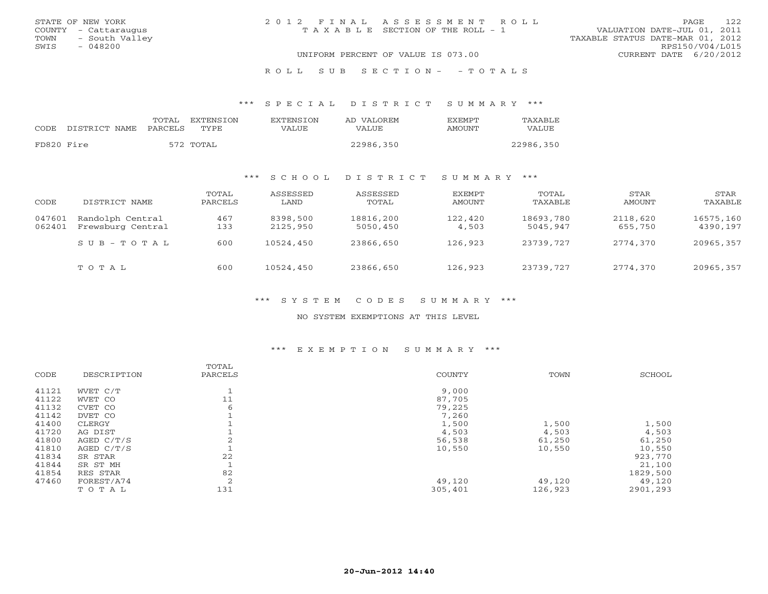| STATE OF NEW YORK      | 2012 FINAL ASSESSMENT ROLL            |                                  | PAGE            | 122 |
|------------------------|---------------------------------------|----------------------------------|-----------------|-----|
| COUNTY - Cattaraugus   | T A X A B L E SECTION OF THE ROLL - 1 | VALUATION DATE-JUL 01, 2011      |                 |     |
| - South Valley<br>TOWN |                                       | TAXABLE STATUS DATE-MAR 01, 2012 |                 |     |
| SWIS<br>$-048200$      |                                       |                                  | RPS150/V04/L015 |     |
|                        | UNIFORM PERCENT OF VALUE IS 073.00    | CURRENT DATE 6/20/2012           |                 |     |
|                        |                                       |                                  |                 |     |

### R O L L S U B S E C T I O N - - T O T A L S

#### \*\*\* S P E C I A L D I S T R I C T S U M M A R Y \*\*\*

|            |               | TOTAL   | EXTENSTON | <b>EXTENSION</b> | AD VALOREM   | <b>EXEMPT</b> | TAXABLE   |
|------------|---------------|---------|-----------|------------------|--------------|---------------|-----------|
| CODE       | DISTRICT NAME | PARCELS | TYPE      | VALUE            | <b>VALUE</b> | AMOUNT        | VALUE     |
|            |               |         |           |                  |              |               |           |
| FD820 Fire |               |         | 572 TOTAL |                  | 22986,350    |               | 22986,350 |

## \*\*\* S C H O O L D I S T R I C T S U M M A R Y \*\*\*

| CODE             | DISTRICT NAME                         | TOTAL<br>PARCELS | ASSESSED<br>LAND     | ASSESSED<br>TOTAL     | EXEMPT<br>AMOUNT | TOTAL<br>TAXABLE      | STAR<br>AMOUNT      | STAR<br>TAXABLE       |
|------------------|---------------------------------------|------------------|----------------------|-----------------------|------------------|-----------------------|---------------------|-----------------------|
| 047601<br>062401 | Randolph Central<br>Frewsburg Central | 467<br>133       | 8398,500<br>2125,950 | 18816,200<br>5050,450 | 122,420<br>4,503 | 18693,780<br>5045,947 | 2118,620<br>655,750 | 16575,160<br>4390,197 |
|                  | $SUB - TO T AL$                       | 600              | 10524,450            | 23866,650             | 126,923          | 23739,727             | 2774,370            | 20965,357             |
|                  | TOTAL                                 | 600              | 10524,450            | 23866,650             | 126,923          | 23739,727             | 2774,370            | 20965,357             |

### \*\*\* S Y S T E M C O D E S S U M M A R Y \*\*\*

### NO SYSTEM EXEMPTIONS AT THIS LEVEL

### \*\*\* E X E M P T I O N S U M M A R Y \*\*\*

|       |              | TOTAL   |         |         |          |
|-------|--------------|---------|---------|---------|----------|
| CODE  | DESCRIPTION  | PARCELS | COUNTY  | TOWN    | SCHOOL   |
| 41121 | WVET C/T     |         | 9,000   |         |          |
| 41122 | WVET CO      | 11      | 87,705  |         |          |
| 41132 | CVET CO      | 6       | 79,225  |         |          |
| 41142 | DVET CO      |         | 7,260   |         |          |
| 41400 | CLERGY       |         | 1,500   | 1,500   | 1,500    |
| 41720 | AG DIST      |         | 4,503   | 4,503   | 4,503    |
| 41800 | AGED $C/T/S$ |         | 56,538  | 61,250  | 61,250   |
| 41810 | AGED C/T/S   |         | 10,550  | 10,550  | 10,550   |
| 41834 | SR STAR      | 22      |         |         | 923,770  |
| 41844 | SR ST MH     |         |         |         | 21,100   |
| 41854 | RES STAR     | 82      |         |         | 1829,500 |
| 47460 | FOREST/A74   | 2       | 49,120  | 49,120  | 49,120   |
|       | TOTAL        | 131     | 305,401 | 126,923 | 2901,293 |
|       |              |         |         |         |          |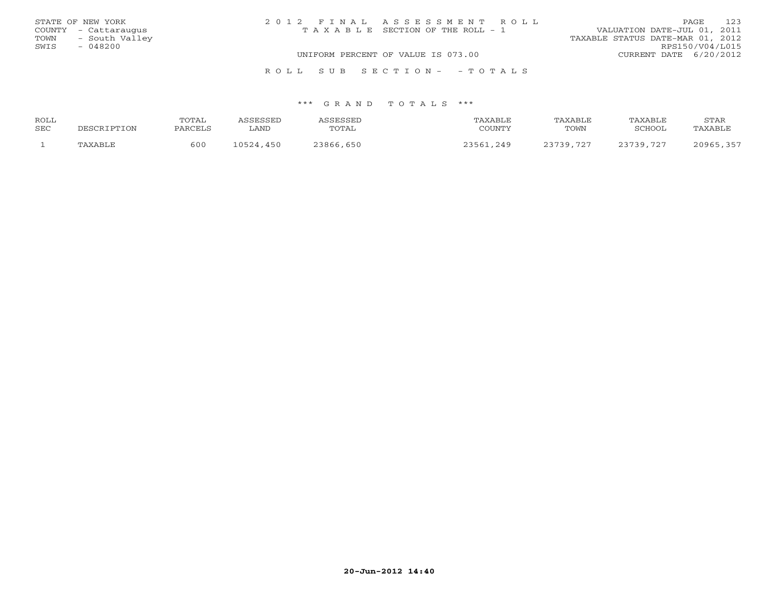|      | STATE OF NEW YORK    | 2012 FINAL ASSESSMENT ROLL            | PAGE.                            | 123 |
|------|----------------------|---------------------------------------|----------------------------------|-----|
|      | COUNTY - Cattaraugus | T A X A B L E SECTION OF THE ROLL - 1 | VALUATION DATE-JUL 01, 2011      |     |
| TOWN | - South Valley       |                                       | TAXABLE STATUS DATE-MAR 01, 2012 |     |
| SWIS | $-048200$            |                                       | RPS150/V04/L015                  |     |
|      |                      | UNIFORM PERCENT OF VALUE IS 073.00    | CURRENT DATE 6/20/2012           |     |
|      |                      |                                       |                                  |     |

### \*\*\* G R A N D T O T A L S \*\*\*

R O L L S U B S E C T I O N - - T O T A L S

| ROLL | TOTAL   |                                                                                                                                                                                                                                                                                                                                                                                          | CCFCCFL       | TAXABLE | TAXABLE   | TAXABLE   | STAR           |
|------|---------|------------------------------------------------------------------------------------------------------------------------------------------------------------------------------------------------------------------------------------------------------------------------------------------------------------------------------------------------------------------------------------------|---------------|---------|-----------|-----------|----------------|
| SEC  | PARCELS | ∟AND                                                                                                                                                                                                                                                                                                                                                                                     | TOTAL         | COUNTY  | TOWN      | SCHOOL    | <b>TAXABLF</b> |
|      | 500     | $\bigcap$ $\bigcap$ $\bigcap$ $\bigcap$ $\bigcap$ $\bigcap$ $\bigcap$ $\bigcap$ $\bigcap$ $\bigcap$ $\bigcap$ $\bigcap$ $\bigcap$ $\bigcap$ $\bigcap$ $\bigcap$ $\bigcap$ $\bigcap$ $\bigcap$ $\bigcap$ $\bigcap$ $\bigcap$ $\bigcap$ $\bigcap$ $\bigcap$ $\bigcap$ $\bigcap$ $\bigcap$ $\bigcap$ $\bigcap$ $\bigcap$ $\bigcap$ $\bigcap$ $\bigcap$ $\bigcap$ $\bigcap$ $\bigcap$<br>450 | . 650<br>3866 | 219     | 23739 727 | 23739 727 | $20965$        |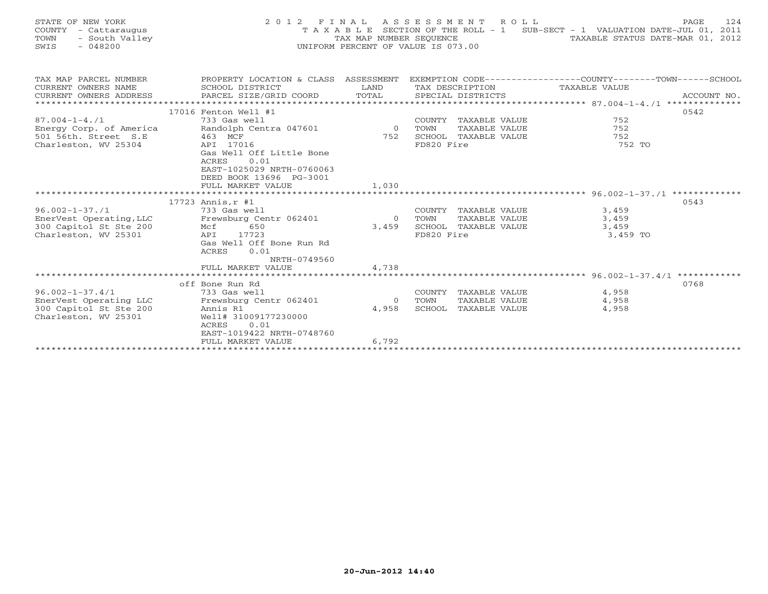| STATE OF NEW YORK<br>COUNTY<br>- Cattaraugus<br>- South Valley<br>TOWN<br>- 048200<br>SWIS |                 |                                                                                    | 2012 FINAL ASSESSMENT ROLL<br>T A X A B L E SECTION OF THE ROLL - 1<br>TAX MAP NUMBER SEOUENCE<br>UNIFORM PERCENT OF VALUE IS 073.00 | SUB-SECT - 1 VALUATION DATE-JUL 01, 2011     | 124<br>PAGE<br>TAXABLE STATUS DATE-MAR 01, 2012 |
|--------------------------------------------------------------------------------------------|-----------------|------------------------------------------------------------------------------------|--------------------------------------------------------------------------------------------------------------------------------------|----------------------------------------------|-------------------------------------------------|
| TAX MAP PARCEL NUMBER<br>CURRENT OWNERS NAME<br>CURRENT OWNERS ADDRESS                     | SCHOOL DISTRICT | ASSESSMENT<br>PROPERTY LOCATION & CLASS<br>LAND<br>PARCEL SIZE/GRID COORD<br>TOTAL | EXEMPTION CODE--<br>TAX DESCRIPTION<br>SPECIAL DISTRICTS                                                                             | ---------------COUNTY------<br>TAXABLE VALUE | -SCHOOL<br>- TOWN-<br>ACCOUNT NO.               |

\*\*\*\*\*\*\*\*\*\*\*\*\*\*\*\*\*\*\*\*\*\*\*\*\*\*\*\*\*\*\*\*\*\*\*\*\*\*\*\*\*\*\*\*\*\*\*\*\*\*\*\*\*\*\*\*\*\*\*\*\*\*\*\*\*\*\*\*\*\*\*\*\*\*\*\*\*\*\*\*\*\*\*\*\*\*\*\*\*\*\*\*\*\*\*\*\*\*\*\*\*\*\* 87.004-1-4./1 \*\*\*\*\*\*\*\*\*\*\*\*\*\*

\*\*\*\*\*\*\*\*\*\*\*\*\*\*\*\*\*\*\*\*\*\*\*\*\*\*\*\*\*\*\*\*\*\*\*\*\*\*\*\*\*\*\*\*\*\*\*\*\*\*\*\*\*\*\*\*\*\*\*\*\*\*\*\*\*\*\*\*\*\*\*\*\*\*\*\*\*\*\*\*\*\*\*\*\*\*\*\*\*\*\*\*\*\*\*\*\*\*\*\*\*\*\* 96.002-1-37./1 \*\*\*\*\*\*\*\*\*\*\*\*\*

87.004-1-4./1 733 Gas well COUNTY TAXABLE VALUE 752 Energy Corp. of America Randolph Centra 047601 0 TOWN TAXABLE VALUE 752<br>501 56th. Street S.E 463 MCF

96.002-1-37./1 733 Gas well COUNTY TAXABLE VALUE 3,459 EnerVest Operating,LLC Frewsburg Centr 062401 0 TOWN TAXABLE VALUE 3,459 300 Capitol St Ste 200 Mcf 650 3,459 SCHOOL TAXABLE VALUE 3,459 microscopic of the contract of the service of the service of the service of the service of the service of the s<br>Charleston, WV 25301 API 17723 FD820 Fire FD820 Fire 3,459 TO

Example 12 Solution of the U.S. Equation of the Charleston, WV 25304 API 17016 API 17016 FORE 752 SCHOOL TAX

FULL MARKET VALUE

Gas Well Off Bone Run Rd

 NRTH-0749560FULL MARKET VALUE 4,738

ACRES 0.01

ACRES 0.01

FULL MARKET VALUE 1,030

Gas Well Off Little Bone

 EAST-1025029 NRTH-0760063DEED BOOK 13696 PG-3001

17016 Fenton Well #1 0542

 $17723$  Annis,  $r \neq 1$  0543

752 TO

|                        | off Bone Run Rd           |       |        |               |       | 0768 |
|------------------------|---------------------------|-------|--------|---------------|-------|------|
| 96.002-1-37.4/1        | 733 Gas well              |       | COUNTY | TAXABLE VALUE | 4,958 |      |
| EnerVest Operating LLC | Frewsburg Centr 062401    |       | TOWN   | TAXABLE VALUE | 4,958 |      |
| 300 Capitol St Ste 200 | Annis R1                  | 4,958 | SCHOOL | TAXABLE VALUE | 4,958 |      |
| Charleston, WV 25301   | Well# 31009177230000      |       |        |               |       |      |
|                        | 0.01<br>ACRES             |       |        |               |       |      |
|                        | EAST-1019422 NRTH-0748760 |       |        |               |       |      |
|                        | FULL MARKET VALUE         | 6,792 |        |               |       |      |
|                        |                           |       |        |               |       |      |
|                        |                           |       |        |               |       |      |
|                        |                           |       |        |               |       |      |
|                        |                           |       |        |               |       |      |
|                        |                           |       |        |               |       |      |
|                        |                           |       |        |               |       |      |
|                        |                           |       |        |               |       |      |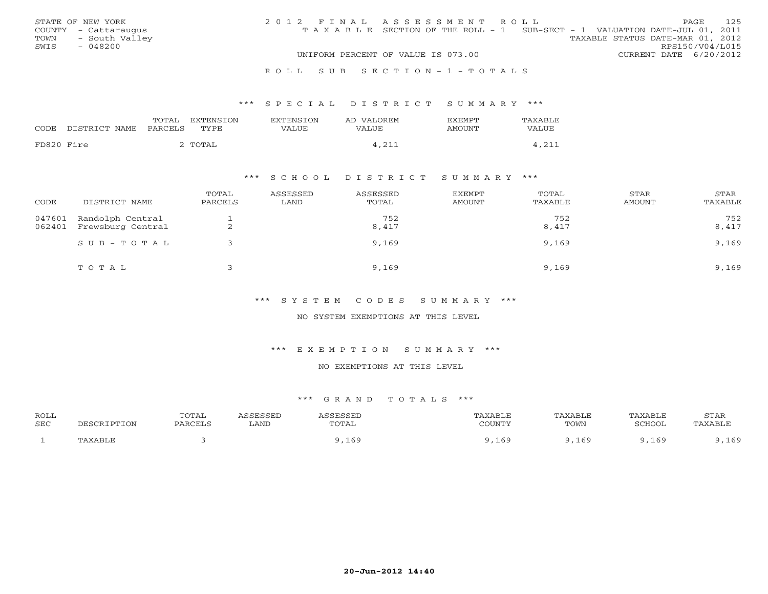|      | STATE OF NEW YORK    | 2012 FINAL ASSESSMENT ROLL |                                                                                |                                  |                        | PAGE. | 125 |
|------|----------------------|----------------------------|--------------------------------------------------------------------------------|----------------------------------|------------------------|-------|-----|
|      | COUNTY - Cattaraugus |                            | T A X A B L E SECTION OF THE ROLL - 1 SUB-SECT - 1 VALUATION DATE-JUL 01, 2011 |                                  |                        |       |     |
| TOWN | - South Valley       |                            |                                                                                | TAXABLE STATUS DATE-MAR 01, 2012 |                        |       |     |
| SWIS | - 048200             |                            |                                                                                |                                  | RPS150/V04/L015        |       |     |
|      |                      |                            | UNIFORM PERCENT OF VALUE IS 073.00                                             |                                  | CURRENT DATE 6/20/2012 |       |     |
|      |                      |                            |                                                                                |                                  |                        |       |     |

#### R O L L S U B S E C T I O N - 1 - T O T A L S

### \*\*\* S P E C I A L D I S T R I C T S U M M A R Y \*\*\*

|            | CODE DISTRICT NAME | PARCELS TYPE | TOTAL EXTENSION | EXTENSION<br>VALUE. | AD VALOREM<br>VALUE | <b>EXEMPT</b><br>AMOUNT | TAXABLE<br>VALUE |
|------------|--------------------|--------------|-----------------|---------------------|---------------------|-------------------------|------------------|
| FD820 Fire |                    |              | 2 TOTAL         |                     | 4,211               |                         | 4,211            |

### \*\*\* S C H O O L D I S T R I C T S U M M A R Y \*\*\*

| CODE             | DISTRICT NAME                         | TOTAL<br>PARCELS | ASSESSED<br>LAND | ASSESSED<br>TOTAL | <b>EXEMPT</b><br>AMOUNT | TOTAL<br>TAXABLE | STAR<br>AMOUNT | <b>STAR</b><br>TAXABLE |
|------------------|---------------------------------------|------------------|------------------|-------------------|-------------------------|------------------|----------------|------------------------|
| 047601<br>062401 | Randolph Central<br>Frewsburg Central | ∠                |                  | 752<br>8,417      |                         | 752<br>8,417     |                | 752<br>8,417           |
|                  | $SUB - TO TAL$                        |                  |                  | 9,169             |                         | 9,169            |                | 9,169                  |
|                  | TOTAL                                 |                  |                  | 9,169             |                         | 9,169            |                | 9,169                  |

\*\*\* S Y S T E M C O D E S S U M M A R Y \*\*\*

NO SYSTEM EXEMPTIONS AT THIS LEVEL

\*\*\* E X E M P T I O N S U M M A R Y \*\*\*

NO EXEMPTIONS AT THIS LEVEL

| ROLL |             | <b>TOTAL</b> | SSESSEL | ASSESSED | 'AXABLE         | TAXABLE | TAXABLE       | STAR   |
|------|-------------|--------------|---------|----------|-----------------|---------|---------------|--------|
| SEC  | DESCRIPTION | PARCELS      | LAND    | TOTAL    | COUNTY          | TOWN    | <b>RCHOOL</b> | AXABLI |
|      | 'AXABLE     |              |         | ,169     | 16 <sup>c</sup> | 169     | . 169.        | 169    |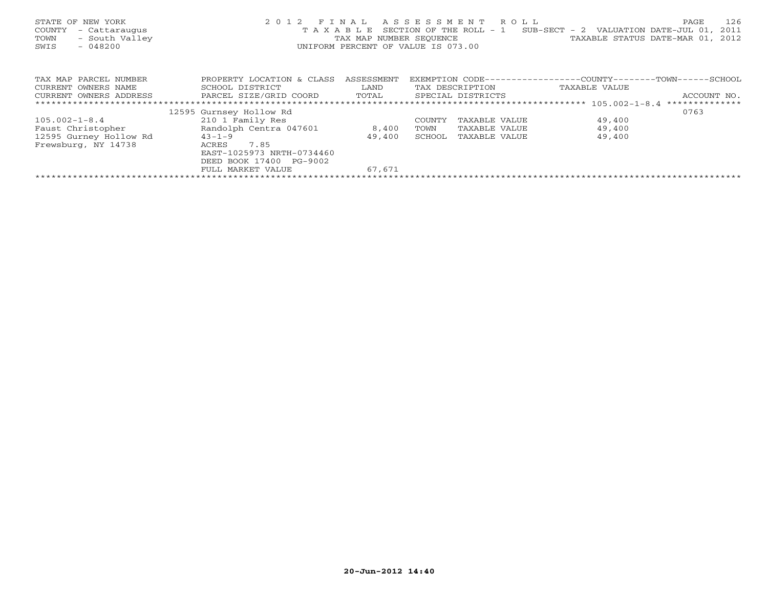| STATE OF NEW YORK<br>COUNTY<br>- Cattaraugus<br>- South Valley<br>TOWN<br>SWIS<br>$-048200$ |                           |            | 2012 FINAL ASSESSMENT ROLL<br>UNIFORM PERCENT OF VALUE IS 073.00 | T A X A B L E SECTION OF THE ROLL - 1 SUB-SECT - 2 VALUATION DATE-JUL 01,<br>TAX MAP NUMBER SEQUENCE TAN TAXABLE STATUS DATE-MAR 01, 2012 | 126<br>PAGE<br>2011 |
|---------------------------------------------------------------------------------------------|---------------------------|------------|------------------------------------------------------------------|-------------------------------------------------------------------------------------------------------------------------------------------|---------------------|
| TAX MAP PARCEL NUMBER                                                                       | PROPERTY LOCATION & CLASS | ASSESSMENT |                                                                  | EXEMPTION CODE----------------COUNTY-------TOWN------SCHOOL                                                                               |                     |
| CURRENT OWNERS NAME                                                                         | SCHOOL DISTRICT           | LAND       | TAX DESCRIPTION                                                  | TAXABLE VALUE                                                                                                                             |                     |
| CURRENT OWNERS ADDRESS                                                                      | PARCEL SIZE/GRID COORD    | TOTAL      | SPECIAL DISTRICTS                                                |                                                                                                                                           | ACCOUNT NO.         |
|                                                                                             |                           |            |                                                                  |                                                                                                                                           | **************      |
|                                                                                             | 12595 Gurnsey Hollow Rd   |            |                                                                  |                                                                                                                                           | 0763                |
| $105.002 - 1 - 8.4$                                                                         | 210 1 Family Res          |            | TAXABLE VALUE<br>COUNTY                                          | 49,400                                                                                                                                    |                     |
| Faust Christopher                                                                           | Randolph Centra 047601    | 8,400      | TAXABLE VALUE<br>TOWN                                            | 49,400                                                                                                                                    |                     |
| 12595 Gurney Hollow Rd                                                                      | $43 - 1 - 9$              | 49,400     | SCHOOL<br>TAXABLE VALUE                                          | 49,400                                                                                                                                    |                     |
| Frewsburg, NY 14738                                                                         | 7.85<br>ACRES             |            |                                                                  |                                                                                                                                           |                     |
|                                                                                             | EAST-1025973 NRTH-0734460 |            |                                                                  |                                                                                                                                           |                     |
|                                                                                             | DEED BOOK 17400 PG-9002   |            |                                                                  |                                                                                                                                           |                     |
|                                                                                             | FULL MARKET VALUE         | 67.671     |                                                                  |                                                                                                                                           |                     |
|                                                                                             |                           |            |                                                                  |                                                                                                                                           |                     |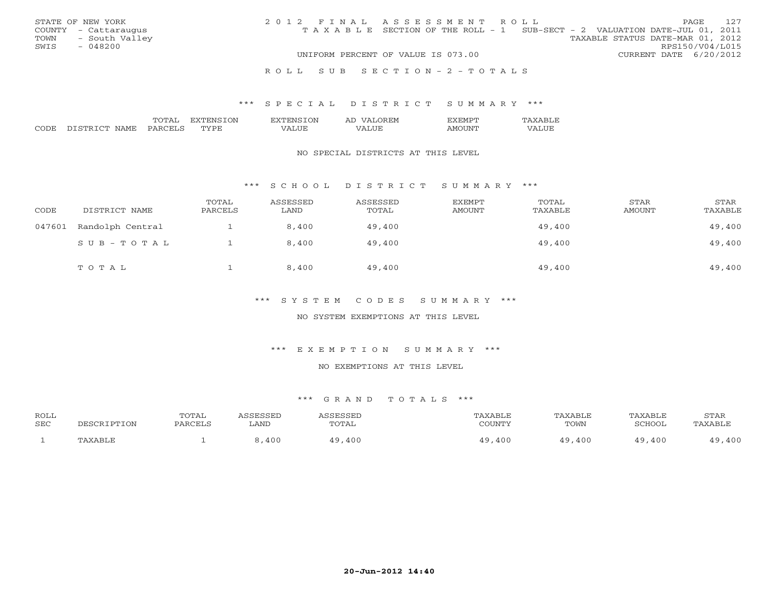|      | STATE OF NEW YORK    | 2012 FINAL ASSESSMENT ROLL |                                                                                |                                  |                        | <b>PAGE</b> | 127 |
|------|----------------------|----------------------------|--------------------------------------------------------------------------------|----------------------------------|------------------------|-------------|-----|
|      | COUNTY - Cattaraugus |                            | T A X A B L E SECTION OF THE ROLL - 1 SUB-SECT - 2 VALUATION DATE-JUL 01, 2011 |                                  |                        |             |     |
|      | TOWN - South Valley  |                            |                                                                                | TAXABLE STATUS DATE-MAR 01, 2012 |                        |             |     |
| SWIS | - 048200             |                            |                                                                                |                                  | RPS150/V04/L015        |             |     |
|      |                      |                            | UNIFORM PERCENT OF VALUE IS 073.00                                             |                                  | CURRENT DATE 6/20/2012 |             |     |
|      |                      |                            |                                                                                |                                  |                        |             |     |

#### R O L L S U B S E C T I O N - 2 - T O T A L S

### \*\*\* S P E C I A L D I S T R I C T S U M M A R Y \*\*\*

|               |      | $\mathcal{N}$<br>€NP | . IVI |  |
|---------------|------|----------------------|-------|--|
| $\sim$ $\sim$ | IVI. | m.<br>◡              |       |  |

#### NO SPECIAL DISTRICTS AT THIS LEVEL

### \*\*\* S C H O O L D I S T R I C T S U M M A R Y \*\*\*

| CODE   | DISTRICT NAME    | TOTAL<br>PARCELS | ASSESSED<br>LAND | ASSESSED<br>TOTAL | <b>EXEMPT</b><br><b>AMOUNT</b> | TOTAL<br>TAXABLE | STAR<br>AMOUNT | STAR<br>TAXABLE |
|--------|------------------|------------------|------------------|-------------------|--------------------------------|------------------|----------------|-----------------|
| 047601 | Randolph Central |                  | 8,400            | 49,400            |                                | 49,400           |                | 49,400          |
|        | SUB-TOTAL        |                  | 8,400            | 49,400            |                                | 49,400           |                | 49,400          |
|        | TOTAL            |                  | 8,400            | 49,400            |                                | 49,400           |                | 49,400          |

### \*\*\* S Y S T E M C O D E S S U M M A R Y \*\*\*

### NO SYSTEM EXEMPTIONS AT THIS LEVEL

## \*\*\* E X E M P T I O N S U M M A R Y \*\*\*

### NO EXEMPTIONS AT THIS LEVEL

| <b>ROLL</b> |           | TOTAL                                     |      |       |        |      | TAXABI F | STAR                    |
|-------------|-----------|-------------------------------------------|------|-------|--------|------|----------|-------------------------|
| SEC         | $\tau$ on | $\cap$ $\cap$ $\cap$ $\cap$ $\cap$ $\cap$ | LAND | TOTAL | COUNTY | TOWN | SCHOOL   | TAXARLF                 |
|             |           |                                           | 100  | .400  | 400    | ,400 | 400      | $\land$ $\land$ $\land$ |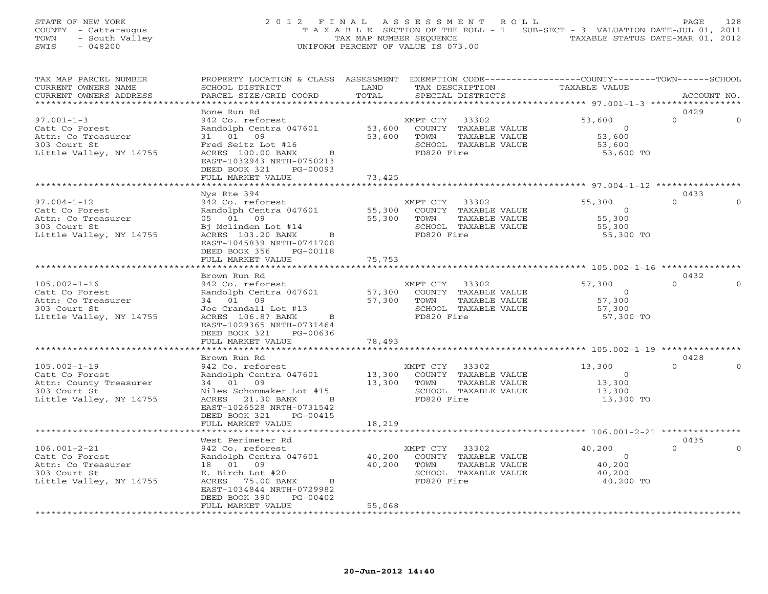## STATE OF NEW YORK 2 0 1 2 F I N A L A S S E S S M E N T R O L L PAGE 128 COUNTY - Cattaraugus T A X A B L E SECTION OF THE ROLL - 1 SUB-SECT - 3 VALUATION DATE-JUL 01, 2011 TOWN - South Valley TAX MAP NUMBER SEQUENCE TAXABLE STATUS DATE-MAR 01, 2012 SWIS - 048200 UNIFORM PERCENT OF VALUE IS 073.00

| TAX MAP PARCEL NUMBER   |                                            |             | PROPERTY LOCATION & CLASS ASSESSMENT EXEMPTION CODE----------------COUNTY-------TOWN------SCHOOL |                     |                      |
|-------------------------|--------------------------------------------|-------------|--------------------------------------------------------------------------------------------------|---------------------|----------------------|
| CURRENT OWNERS NAME     | SCHOOL DISTRICT                            | LAND        | TAX DESCRIPTION                                                                                  | TAXABLE VALUE       |                      |
| CURRENT OWNERS ADDRESS  | PARCEL SIZE/GRID COORD                     | TOTAL       | SPECIAL DISTRICTS                                                                                |                     | ACCOUNT NO.          |
|                         |                                            |             |                                                                                                  |                     |                      |
|                         | Bone Run Rd                                |             |                                                                                                  |                     | 0429                 |
| $97.001 - 1 - 3$        | 942 Co. reforest                           |             | XMPT CTY 33302                                                                                   | 53,600              | $\Omega$<br>$\Omega$ |
| Catt Co Forest          | Randolph Centra 047601                     |             | 53,600 COUNTY TAXABLE VALUE<br>53,600 TOWN TAXABLE VALUE                                         | $\Omega$            |                      |
| Attn: Co Treasurer      | 31 01 09<br>Fred Seitz Lot #16             |             |                                                                                                  | 53,600              |                      |
| 303 Court St            |                                            |             | SCHOOL TAXABLE VALUE                                                                             | 53,600              |                      |
| Little Valley, NY 14755 | ACRES 100.00 BANK B                        |             | FD820 Fire                                                                                       | 53,600 TO           |                      |
|                         | EAST-1032943 NRTH-0750213                  |             |                                                                                                  |                     |                      |
|                         | DEED BOOK 321<br>PG-00093                  |             |                                                                                                  |                     |                      |
|                         | FULL MARKET VALUE<br>*******************   | 73,425      |                                                                                                  |                     |                      |
|                         |                                            |             |                                                                                                  |                     |                      |
|                         | Nys Rte 394                                |             |                                                                                                  |                     | 0433<br>$\Omega$     |
| $97.004 - 1 - 12$       | 942 Co. reforest<br>Randolph Centra 047601 |             | XMPT CTY 33302                                                                                   | 55,300<br>$\Omega$  |                      |
| Catt Co Forest          | $\frac{1}{2}$                              |             | 55,300 COUNTY TAXABLE VALUE                                                                      |                     |                      |
| Attn: Co Treasurer      | 05 01 09                                   | 55,300 TOWN | TAXABLE VALUE                                                                                    | 55,300              |                      |
| 303 Court St            | Bj Mclinden Lot #14<br>ACRES 103.20 BANK B |             | SCHOOL TAXABLE VALUE<br>FD820 Fire                                                               | 55,300<br>55,300 TO |                      |
| Little Valley, NY 14755 | EAST-1045839 NRTH-0741708                  |             |                                                                                                  |                     |                      |
|                         | DEED BOOK 356 PG-00118                     |             |                                                                                                  |                     |                      |
|                         | FULL MARKET VALUE                          | 75,753      |                                                                                                  |                     |                      |
|                         |                                            |             |                                                                                                  |                     |                      |
|                         | Brown Run Rd                               |             |                                                                                                  |                     | 0432                 |
| $105.002 - 1 - 16$      | 942 Co. reforest                           |             | XMPT CTY 33302                                                                                   | 57,300              | $\Omega$             |
| Catt Co Forest          | Randolph Centra 047601                     |             | 57,300 COUNTY TAXABLE VALUE                                                                      | $\circ$             |                      |
| Attn: Co Treasurer      |                                            |             | 57,300 TOWN<br>TAXABLE VALUE                                                                     | 57,300              |                      |
| 303 Court St            | 34    01    09<br>Joe Crandall Lot #13     |             | SCHOOL TAXABLE VALUE                                                                             | 57,300              |                      |
| Little Valley, NY 14755 | ACRES 106.87 BANK B                        |             | FD820 Fire                                                                                       | 57,300 TO           |                      |
|                         | EAST-1029365 NRTH-0731464                  |             |                                                                                                  |                     |                      |
|                         | DEED BOOK 321 PG-00636                     |             |                                                                                                  |                     |                      |
|                         | FULL MARKET VALUE                          | 78,493      |                                                                                                  |                     |                      |
|                         |                                            |             |                                                                                                  |                     |                      |
|                         | Brown Run Rd                               |             |                                                                                                  |                     | 0428                 |
| $105.002 - 1 - 19$      | 942 Co. reforest                           |             | XMPT CTY 33302                                                                                   | 13,300              | $\cap$               |
| Catt Co Forest          | Randolph Centra 047601                     |             | 13,300 COUNTY TAXABLE VALUE                                                                      | $\circ$             |                      |
| Attn: County Treasurer  | 34 01 09                                   |             | 13,300 TOWN<br>TAXABLE VALUE                                                                     | 13,300              |                      |
| 303 Court St            | Niles Schonmaker Lot #15                   |             | SCHOOL TAXABLE VALUE                                                                             | 13,300              |                      |
| Little Valley, NY 14755 | ACRES 21.30 BANK B                         |             | FD820 Fire                                                                                       | 13,300 TO           |                      |
|                         | EAST-1026528 NRTH-0731542                  |             |                                                                                                  |                     |                      |
|                         | DEED BOOK 321 PG-00415                     |             |                                                                                                  |                     |                      |
|                         | FULL MARKET VALUE                          | 18,219      |                                                                                                  |                     |                      |
|                         |                                            |             |                                                                                                  |                     |                      |
|                         | West Perimeter Rd                          |             |                                                                                                  |                     | 0435                 |
| $106.001 - 2 - 21$      | 942 Co. reforest                           |             | XMPT CTY 33302                                                                                   | 40,200              | $\Omega$             |
| Catt Co Forest          | Randolph Centra 047601                     |             | 40,200 COUNTY TAXABLE VALUE                                                                      | $\overline{0}$      |                      |
| Attn: Co Treasurer      | 18 01 09                                   |             | 40,200 TOWN<br>TAXABLE VALUE                                                                     | 40,200              |                      |
| 303 Court St            | E. Birch Lot #20                           |             | SCHOOL TAXABLE VALUE                                                                             | 40,200              |                      |
| Little Valley, NY 14755 | ACRES 75.00 BANK B                         |             | FD820 Fire                                                                                       | 40,200 TO           |                      |
|                         | EAST-1034844 NRTH-0729982                  |             |                                                                                                  |                     |                      |
|                         | DEED BOOK 390<br>PG-00402                  |             |                                                                                                  |                     |                      |
|                         | FULL MARKET VALUE                          | 55,068      |                                                                                                  |                     |                      |
|                         |                                            |             |                                                                                                  |                     |                      |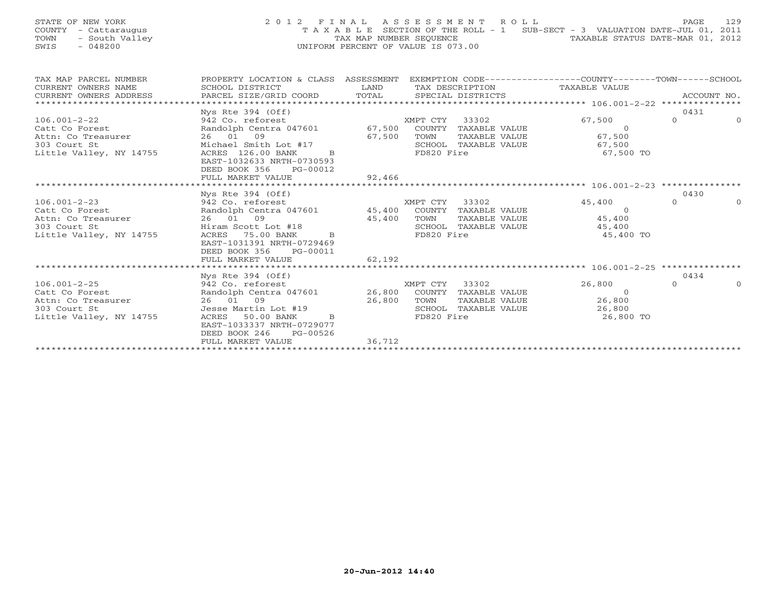## STATE OF NEW YORK 2012 FINAL ASSESSMENT ROLL PAGE 129 COUNTY - Cattaraugus T A X A B L E SECTION OF THE ROLL - 1 SUB-SECT - 3 VALUATION DATE-JUL 01, 2011 TOWN - South Valley TAX MAP NUMBER SEQUENCE TAXABLE STATUS DATE-MAR 01, 2012 SWIS - 048200 UNIFORM PERCENT OF VALUE IS 073.00

| TAX MAP PARCEL NUMBER                                                                                                                                                                                                                                                                                                                                                                                                                                                                | PROPERTY LOCATION & CLASS ASSESSMENT EXEMPTION CODE---------------COUNTY-------TOWN------SCHOOL |        |                |                                                                           |          |          |
|--------------------------------------------------------------------------------------------------------------------------------------------------------------------------------------------------------------------------------------------------------------------------------------------------------------------------------------------------------------------------------------------------------------------------------------------------------------------------------------|-------------------------------------------------------------------------------------------------|--------|----------------|---------------------------------------------------------------------------|----------|----------|
|                                                                                                                                                                                                                                                                                                                                                                                                                                                                                      |                                                                                                 |        |                |                                                                           |          |          |
|                                                                                                                                                                                                                                                                                                                                                                                                                                                                                      |                                                                                                 |        |                |                                                                           |          |          |
| $\begin{tabular}{lllllll} \multicolumn{2}{c}{\textbf{CURRENT}} & \multicolumn{2}{c}{\textbf{WMERS}} & \multicolumn{2}{c}{\textbf{NAME}} & \multicolumn{2}{c}{\textbf{SCHOUT}} & \multicolumn{2}{c}{\textbf{CORD}} & \multicolumn{2}{c}{\textbf{LAND}} & \multicolumn{2}{c}{\textbf{TAX} \textbf{DESCRIPTION}} & \multicolumn{2}{c}{\textbf{TAXABLE} \textbf{ VALUE}} & \multicolumn{2}{c}{\textbf{NALUE}} \\ & & & & & & & & \\ \multicolumn{2}{c}{\textbf{CURRENT}} & \multicolumn$ |                                                                                                 |        |                |                                                                           |          |          |
|                                                                                                                                                                                                                                                                                                                                                                                                                                                                                      | Nys Rte 394 (Off)                                                                               |        |                |                                                                           | 0431     |          |
|                                                                                                                                                                                                                                                                                                                                                                                                                                                                                      |                                                                                                 |        |                | 67,500                                                                    | $\Omega$ | $\Omega$ |
|                                                                                                                                                                                                                                                                                                                                                                                                                                                                                      |                                                                                                 |        |                |                                                                           |          |          |
|                                                                                                                                                                                                                                                                                                                                                                                                                                                                                      |                                                                                                 |        |                |                                                                           |          |          |
|                                                                                                                                                                                                                                                                                                                                                                                                                                                                                      |                                                                                                 |        |                |                                                                           |          |          |
| 106.001-2-22<br>Catt Co Forest Bandolph Centra 047601 67,500<br>Attn: Co Treasurer 26 01 09<br>303 Court St Michael Smith Lot #17<br>Little Valley, NY 14755 ACRES 126.00 BANK<br>CALLE CONTERNABLE VALUE 67,500<br>26 01 09<br>26 01 09<br>26                                                                                                                                                                                                                                       |                                                                                                 |        |                | SCHOOL TAXABLE VALUE 67,500<br>FD820 Fire 67,500 TO                       |          |          |
|                                                                                                                                                                                                                                                                                                                                                                                                                                                                                      | EAST-1032633 NRTH-0730593                                                                       |        |                |                                                                           |          |          |
|                                                                                                                                                                                                                                                                                                                                                                                                                                                                                      | DEED BOOK 356 PG-00012                                                                          |        |                |                                                                           |          |          |
|                                                                                                                                                                                                                                                                                                                                                                                                                                                                                      | FULL MARKET VALUE                                                                               | 92,466 |                |                                                                           |          |          |
|                                                                                                                                                                                                                                                                                                                                                                                                                                                                                      |                                                                                                 |        |                |                                                                           |          |          |
|                                                                                                                                                                                                                                                                                                                                                                                                                                                                                      | Nys Rte 394 (Off)                                                                               |        |                |                                                                           | 0430     |          |
| 106.001-2-23<br>Catt Co Forest Bandolph Centra 047601 45,400 COUNTY TAXABLE VALUE<br>Attn: Co Treasurer 26 01 09 45,400 TOWN TAXABLE VALUE 45,400<br>303 Court St Hiram Scott Lot #18 503 Count St Hiram Scott Lot #18 503 Count St                                                                                                                                                                                                                                                  |                                                                                                 |        |                |                                                                           | $\Omega$ |          |
|                                                                                                                                                                                                                                                                                                                                                                                                                                                                                      |                                                                                                 |        |                |                                                                           |          |          |
|                                                                                                                                                                                                                                                                                                                                                                                                                                                                                      |                                                                                                 |        |                |                                                                           |          |          |
|                                                                                                                                                                                                                                                                                                                                                                                                                                                                                      |                                                                                                 |        |                |                                                                           |          |          |
|                                                                                                                                                                                                                                                                                                                                                                                                                                                                                      |                                                                                                 |        |                | TOWN TAXABLE VALUE<br>SCHOOL TAXABLE VALUE 45,400<br>TROOL Fire 45,400 TO |          |          |
|                                                                                                                                                                                                                                                                                                                                                                                                                                                                                      | EAST-1031391 NRTH-0729469                                                                       |        |                |                                                                           |          |          |
|                                                                                                                                                                                                                                                                                                                                                                                                                                                                                      | DEED BOOK 356 PG-00011                                                                          |        |                |                                                                           |          |          |
|                                                                                                                                                                                                                                                                                                                                                                                                                                                                                      | FULL MARKET VALUE                                                                               | 62,192 |                |                                                                           |          |          |
|                                                                                                                                                                                                                                                                                                                                                                                                                                                                                      |                                                                                                 |        |                |                                                                           |          |          |
|                                                                                                                                                                                                                                                                                                                                                                                                                                                                                      | Nys Rte 394 (Off)                                                                               |        |                |                                                                           | 0434     |          |
| 106.001-2-25 942 Co. reforest                                                                                                                                                                                                                                                                                                                                                                                                                                                        |                                                                                                 |        | XMPT CTY 33302 | 26,800                                                                    | $\cap$   |          |
| Catt Co Forest and Db Centra 047601 26,800 COUNTY TAXABLE VALUE 0<br>Attn: Co Treasurer 26 01 09 26,800 TOWN TAXABLE VALUE 26,800<br>303 Court St Jesse Martin Lot #19 26,800 SCHOOL TAXABLE VALUE 26,800 COUNTY STAXABLE VALUE 26                                                                                                                                                                                                                                                   |                                                                                                 |        |                |                                                                           |          |          |
|                                                                                                                                                                                                                                                                                                                                                                                                                                                                                      |                                                                                                 |        |                |                                                                           |          |          |
|                                                                                                                                                                                                                                                                                                                                                                                                                                                                                      |                                                                                                 |        |                |                                                                           |          |          |
|                                                                                                                                                                                                                                                                                                                                                                                                                                                                                      |                                                                                                 |        |                | 26,800 TO                                                                 |          |          |
|                                                                                                                                                                                                                                                                                                                                                                                                                                                                                      | EAST-1033337 NRTH-0729077                                                                       |        |                |                                                                           |          |          |
|                                                                                                                                                                                                                                                                                                                                                                                                                                                                                      | DEED BOOK 246 PG-00526                                                                          |        |                |                                                                           |          |          |
|                                                                                                                                                                                                                                                                                                                                                                                                                                                                                      | FULL MARKET VALUE                                                                               | 36,712 |                |                                                                           |          |          |
|                                                                                                                                                                                                                                                                                                                                                                                                                                                                                      |                                                                                                 |        |                |                                                                           |          |          |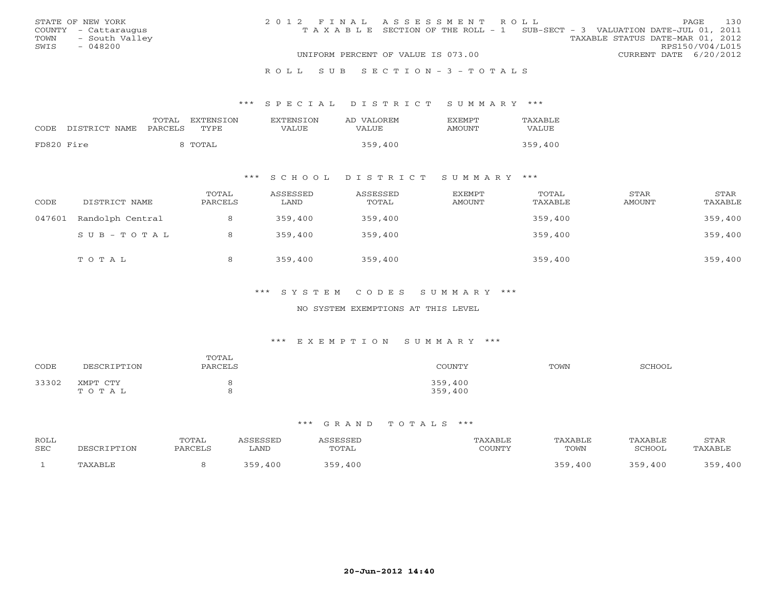|      | STATE OF NEW YORK    | 2012 FINAL ASSESSMENT ROLL |                                                                                |                                  |                        | PAGE | 130 |
|------|----------------------|----------------------------|--------------------------------------------------------------------------------|----------------------------------|------------------------|------|-----|
|      | COUNTY - Cattaraugus |                            | T A X A B L E SECTION OF THE ROLL - 1 SUB-SECT - 3 VALUATION DATE-JUL 01, 2011 |                                  |                        |      |     |
| TOWN | - South Valley       |                            |                                                                                | TAXABLE STATUS DATE-MAR 01, 2012 |                        |      |     |
| SWIS | - 048200             |                            |                                                                                |                                  | RPS150/V04/L015        |      |     |
|      |                      |                            | UNIFORM PERCENT OF VALUE IS 073.00                                             |                                  | CURRENT DATE 6/20/2012 |      |     |
|      |                      |                            |                                                                                |                                  |                        |      |     |

#### R O L L S U B S E C T I O N - 3 - T O T A L S

### \*\*\* S P E C I A L D I S T R I C T S U M M A R Y \*\*\*

| CODE       | DISTRICT NAME | TOTAL<br>PARCELS | EXTENSION<br>TYPE | <b>EXTENSION</b><br>VALUE | AD VALOREM<br>VALUE | <b>EXEMPT</b><br>AMOUNT | TAXABLE<br>VALUE |
|------------|---------------|------------------|-------------------|---------------------------|---------------------|-------------------------|------------------|
| FD820 Fire |               |                  | 8 TOTAL           |                           | 359,400             |                         | 359,400          |

## \*\*\* S C H O O L D I S T R I C T S U M M A R Y \*\*\*

| CODE   | DISTRICT NAME    | TOTAL<br>PARCELS | ASSESSED<br>LAND | ASSESSED<br>TOTAL | EXEMPT<br>AMOUNT | TOTAL<br>TAXABLE | <b>STAR</b><br>AMOUNT | STAR<br>TAXABLE |
|--------|------------------|------------------|------------------|-------------------|------------------|------------------|-----------------------|-----------------|
| 047601 | Randolph Central | 8                | 359,400          | 359,400           |                  | 359,400          |                       | 359,400         |
|        | SUB-TOTAL        |                  | 359,400          | 359,400           |                  | 359,400          |                       | 359,400         |
|        | TOTAL            | 8                | 359,400          | 359,400           |                  | 359,400          |                       | 359,400         |

### \*\*\* S Y S T E M C O D E S S U M M A R Y \*\*\*

### NO SYSTEM EXEMPTIONS AT THIS LEVEL

#### \*\*\* E X E M P T I O N S U M M A R Y \*\*\*

| CODE  | DESCRIPTION       | TOTAL<br>PARCELS | COUNTY             | TOWN | SCHOOL |
|-------|-------------------|------------------|--------------------|------|--------|
| 33302 | XMPT CTY<br>TOTAL |                  | 359,400<br>359,400 |      |        |

| ROLL<br>SEC | DESCRIPTION | TOTAL<br>PARCELS | <i><b>\SSESSED</b></i><br>LAND | <i><b>SSESSED</b></i><br>TOTAL | TAXABLE<br>COUNTY | TAXABLE<br>TOWN | TAXABLE<br>SCHOOL | STAR<br>TAXABLE |
|-------------|-------------|------------------|--------------------------------|--------------------------------|-------------------|-----------------|-------------------|-----------------|
|             | TAXABLE     |                  | 359,400                        | 359<br>$.59$ , $400$           |                   | 359<br>9,400    | 359,400           | 250<br>,400     |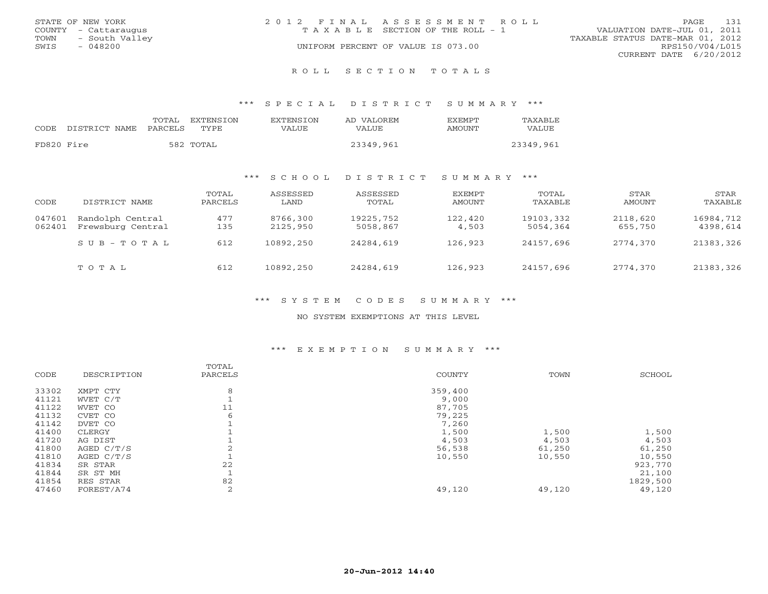|      | STATE OF NEW YORK    | 2012 FINAL ASSESSMENT ROLL |                                       |                                  | PAGE            | 131 |
|------|----------------------|----------------------------|---------------------------------------|----------------------------------|-----------------|-----|
|      | COUNTY - Cattaraugus |                            | T A X A B L E SECTION OF THE ROLL - 1 | VALUATION DATE-JUL 01, 2011      |                 |     |
| TOWN | - South Valley       |                            |                                       | TAXABLE STATUS DATE-MAR 01, 2012 |                 |     |
| SWIS | - 048200             |                            | UNIFORM PERCENT OF VALUE IS 073.00    |                                  | RPS150/V04/L015 |     |
|      |                      |                            |                                       | CURRENT DATE 6/20/2012           |                 |     |
|      |                      |                            |                                       |                                  |                 |     |

R O L L S E C T I O N T O T A L S

\*\*\* S P E C I A L D I S T R I C T S U M M A R Y \*\*\*

|            |               | TOTAL   | <b>EXTENSION</b> | <b>EXTENSION</b> | AD VALOREM | <b>EXEMPT</b> | TAXABLE   |
|------------|---------------|---------|------------------|------------------|------------|---------------|-----------|
| CODE       | DISTRICT NAME | PARCELS | <b>TYPE</b>      | VALUE            | VALUE      | AMOUNT        | VALUE     |
| FD820 Fire |               |         | 582 TOTAL        |                  | 23349,961  |               | 23349,961 |

### \*\*\* S C H O O L D I S T R I C T S U M M A R Y \*\*\*

| CODE             | DISTRICT NAME                         | TOTAL<br>PARCELS | ASSESSED<br>LAND     | ASSESSED<br>TOTAL     | <b>EXEMPT</b><br>AMOUNT | TOTAL<br>TAXABLE      | STAR<br>AMOUNT      | STAR<br>TAXABLE       |
|------------------|---------------------------------------|------------------|----------------------|-----------------------|-------------------------|-----------------------|---------------------|-----------------------|
| 047601<br>062401 | Randolph Central<br>Frewsburg Central | 477<br>135       | 8766,300<br>2125,950 | 19225,752<br>5058,867 | 122,420<br>4,503        | 19103,332<br>5054,364 | 2118,620<br>655,750 | 16984,712<br>4398,614 |
|                  | $S$ U B - T O T A L                   | 612              | 10892,250            | 24284,619             | 126,923                 | 24157,696             | 2774,370            | 21383,326             |
|                  | TOTAL                                 | 612              | 10892,250            | 24284,619             | 126,923                 | 24157,696             | 2774,370            | 21383,326             |

\*\*\* S Y S T E M C O D E S S U M M A R Y \*\*\*

NO SYSTEM EXEMPTIONS AT THIS LEVEL

## \*\*\* E X E M P T I O N S U M M A R Y \*\*\*

|       |              | TOTAL   |         |        |          |
|-------|--------------|---------|---------|--------|----------|
| CODE  | DESCRIPTION  | PARCELS | COUNTY  | TOWN   | SCHOOL   |
| 33302 | XMPT CTY     | 8       | 359,400 |        |          |
| 41121 | WVET C/T     |         | 9,000   |        |          |
| 41122 | WVET CO      | 11      | 87,705  |        |          |
| 41132 | CVET CO      | 6       | 79,225  |        |          |
| 41142 | DVET CO      |         | 7,260   |        |          |
| 41400 | CLERGY       |         | 1,500   | 1,500  | 1,500    |
| 41720 | AG DIST      |         | 4,503   | 4,503  | 4,503    |
| 41800 | AGED C/T/S   |         | 56,538  | 61,250 | 61,250   |
| 41810 | AGED $C/T/S$ |         | 10,550  | 10,550 | 10,550   |
| 41834 | SR STAR      | 22      |         |        | 923,770  |
| 41844 | SR ST MH     |         |         |        | 21,100   |
| 41854 | RES STAR     | 82      |         |        | 1829,500 |
| 47460 | FOREST/A74   | 2       | 49,120  | 49,120 | 49,120   |
|       |              |         |         |        |          |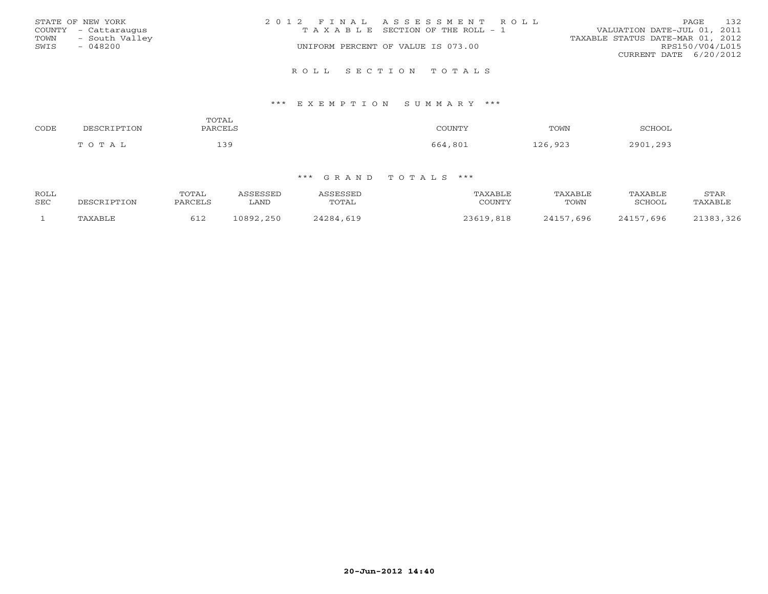| STATE OF NEW YORK    | 2012 FINAL ASSESSMENT ROLL            | 132<br>PAGE                      |
|----------------------|---------------------------------------|----------------------------------|
| COUNTY - Cattaraugus | T A X A B L E SECTION OF THE ROLL - 1 | VALUATION DATE-JUL 01, 2011      |
| TOWN - South Valley  |                                       | TAXABLE STATUS DATE-MAR 01, 2012 |
| $-048200$<br>SWIS    | UNIFORM PERCENT OF VALUE IS 073.00    | RPS150/V04/L015                  |
|                      |                                       | CURRENT DATE 6/20/2012           |
|                      | ROLL SECTION TOTALS                   |                                  |

### \*\*\* E X E M P T I O N S U M M A R Y \*\*\*

| CODE | NFC.         | mom <del>a</del> t<br>:UTAL | COUNTY                                                  | TOWN                   | CCTTOO      |
|------|--------------|-----------------------------|---------------------------------------------------------|------------------------|-------------|
|      | <b>ሰ ጥ</b> አ | 20                          | 561<br>$\Omega$ $\Omega$ $\Omega$ $\Omega$ <sup>4</sup> | $\alpha$<br>126<br>--- | 2001<br>203 |

| ROLL<br>SEC | DESCRIPTION | TOTAL<br>PARCELS | <i><b>\SSESSED</b></i><br>LAND | ASSESSED<br>TOTAL | TAXABLE<br>COUNTY | TAXABLE<br>TOWN | TAXABLE<br>SCHOOL | STAR<br>TAXABLE |
|-------------|-------------|------------------|--------------------------------|-------------------|-------------------|-----------------|-------------------|-----------------|
|             | TAXABLE     | 612              | 10892,250                      | 24284,619         | 23619,818         | 24157,696       | 24157,696         | 21383,326       |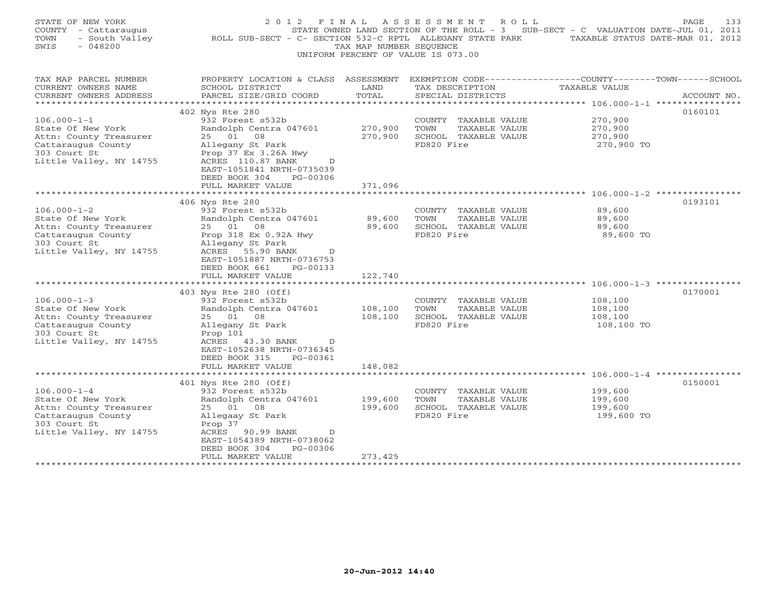| STATE OF NEW YORK<br>COUNTY - Cattaraugus<br>- South Valley<br>TOWN<br>SWIS<br>$-048200$                                                                      | ROLL SUB-SECT - C- SECTION 532-C RPTL ALLEGANY STATE PARK TAXABLE STATUS DATE-MAR 01, 2012                                                                                                                                                             | TAX MAP NUMBER SEQUENCE                         | 2012 FINAL ASSESSMENT ROLL<br>STATE OWNED LAND SECTION OF THE ROLL - 3 SUB-SECT - C VALUATION DATE-JUL 01, 2011<br>UNIFORM PERCENT OF VALUE IS 073.00 |                                             | PAGE<br>133 |
|---------------------------------------------------------------------------------------------------------------------------------------------------------------|--------------------------------------------------------------------------------------------------------------------------------------------------------------------------------------------------------------------------------------------------------|-------------------------------------------------|-------------------------------------------------------------------------------------------------------------------------------------------------------|---------------------------------------------|-------------|
| TAX MAP PARCEL NUMBER<br>CURRENT OWNERS NAME<br>CURRENT OWNERS ADDRESS<br>***********************                                                             | PROPERTY LOCATION & CLASS ASSESSMENT<br>SCHOOL DISTRICT<br>PARCEL SIZE/GRID COORD                                                                                                                                                                      | LAND<br>TOTAL                                   | EXEMPTION CODE-----------------COUNTY-------TOWN------SCHOOL<br>TAX DESCRIPTION<br>SPECIAL DISTRICTS                                                  | TAXABLE VALUE                               | ACCOUNT NO. |
| $106.000 - 1 - 1$<br>State Of New York<br>Attn: County Treasurer<br>Cattaraugus County<br>303 Court St<br>Little Valley, NY 14755                             | 402 Nys Rte 280<br>932 Forest s532b<br>Randolph Centra 047601<br>25 01 08<br>Allegany St Park<br>Prop 37 Ex 3.26A Hwy<br>ACRES 110.87 BANK<br>D<br>EAST-1051841 NRTH-0735039<br>DEED BOOK 304<br>PG-00306<br>FULL MARKET VALUE                         | 270,900<br>270,900<br>371,096                   | COUNTY TAXABLE VALUE<br>TAXABLE VALUE<br>TOWN<br>SCHOOL TAXABLE VALUE<br>FD820 Fire                                                                   | 270,900<br>270,900<br>270,900<br>270,900 TO | 0160101     |
|                                                                                                                                                               |                                                                                                                                                                                                                                                        |                                                 |                                                                                                                                                       |                                             |             |
| $106.000 - 1 - 2$<br>State Of New York<br>Attn: County Treasurer<br>Cattaraugus County<br>303 Court St<br>Little Valley, NY 14755                             | 406 Nys Rte 280<br>932 Forest s532b<br>Randolph Centra 047601<br>25 01 08<br>Prop 318 Ex 0.92A Hwy<br>Allegany St Park<br>ACRES 55.90 BANK<br>D<br>EAST-1051887 NRTH-0736753<br>DEED BOOK 661<br>PG-00133<br>FULL MARKET VALUE                         | 89,600<br>89,600<br>122,740                     | COUNTY TAXABLE VALUE<br>TOWN<br>TAXABLE VALUE<br>SCHOOL TAXABLE VALUE<br>FD820 Fire                                                                   | 89,600<br>89,600<br>89,600<br>89,600 TO     | 0193101     |
| $106.000 - 1 - 3$<br>State Of New York<br>Attn: County Treasurer<br>Cattaraugus County<br>303 Court St<br>Little Valley, NY 14755                             | 403 Nys Rte 280 (Off)<br>932 Forest s532b<br>Randolph Centra 047601<br>25 01 08<br>Allegany St Park<br>Prop 101<br>ACRES 43.30 BANK<br>D<br>EAST-1052638 NRTH-0736345<br>DEED BOOK 315<br>PG-00361<br>FULL MARKET VALUE<br>*************************** | 108,100<br>108,100<br>148,082<br>************** | COUNTY TAXABLE VALUE<br>TOWN<br>TAXABLE VALUE<br>SCHOOL TAXABLE VALUE<br>FD820 Fire                                                                   | 108,100<br>108,100<br>108,100<br>108,100 TO | 0170001     |
| $106.000 - 1 - 4$<br>State Of New York<br>Attn: County Treasurer<br>Cattaraugus County<br>303 Court St<br>Little Valley, NY 14755<br>************************ | 401 Nys Rte 280 (Off)<br>932 Forest s532b<br>Randolph Centra 047601<br>25 01 08<br>Allegaay St Park<br>Prop 37<br>ACRES 90.99 BANK<br>D<br>EAST-1054389 NRTH-0738062<br>PG-00306<br>DEED BOOK 304<br>FULL MARKET VALUE                                 | 199,600<br>199,600<br>273,425                   | COUNTY TAXABLE VALUE<br>TOWN<br>TAXABLE VALUE<br>SCHOOL TAXABLE VALUE<br>FD820 Fire                                                                   | 199,600<br>199,600<br>199,600<br>199,600 TO | 0150001     |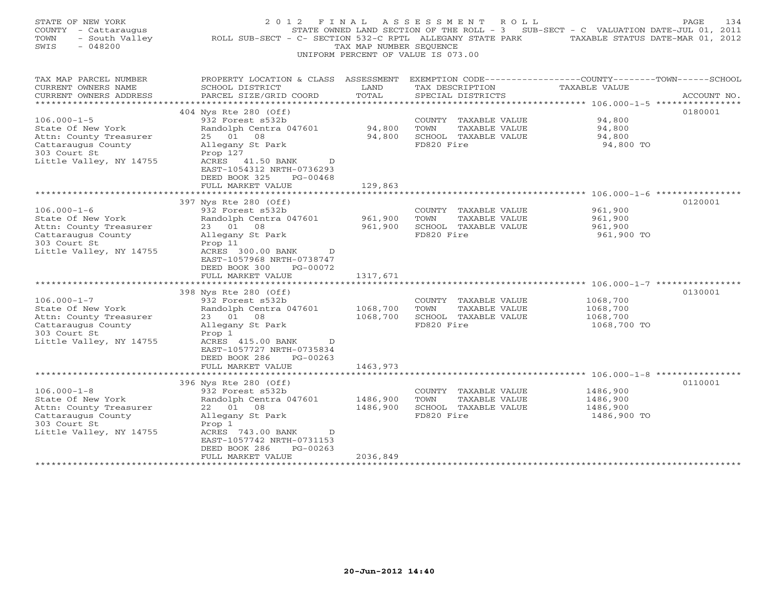| STATE OF NEW YORK<br>COUNTY - Cattaraugus<br>- South Valley<br>TOWN<br>SWIS<br>$-048200$                                          | 2012 FINAL<br>ROLL SUB-SECT - C- SECTION 532-C RPTL ALLEGANY STATE PARK TAXABLE STATUS DATE-MAR 01, 2012                                                                                                                     | TAX MAP NUMBER SEQUENCE                         | ASSESSMENT ROLL<br>STATE OWNED LAND SECTION OF THE ROLL - 3 SUB-SECT - C VALUATION DATE-JUL 01, 2011<br>UNIFORM PERCENT OF VALUE IS 073.00 |                                                 | PAGE<br>134 |
|-----------------------------------------------------------------------------------------------------------------------------------|------------------------------------------------------------------------------------------------------------------------------------------------------------------------------------------------------------------------------|-------------------------------------------------|--------------------------------------------------------------------------------------------------------------------------------------------|-------------------------------------------------|-------------|
| TAX MAP PARCEL NUMBER<br>CURRENT OWNERS NAME<br>CURRENT OWNERS ADDRESS<br>********************                                    | PROPERTY LOCATION & CLASS ASSESSMENT EXEMPTION CODE---------------COUNTY-------TOWN------SCHOOL<br>SCHOOL DISTRICT<br>PARCEL SIZE/GRID COORD                                                                                 | LAND<br>TOTAL                                   | TAX DESCRIPTION<br>SPECIAL DISTRICTS                                                                                                       | TAXABLE VALUE                                   | ACCOUNT NO. |
| $106.000 - 1 - 5$<br>State Of New York<br>Attn: County Treasurer<br>Cattaraugus County<br>303 Court St<br>Little Valley, NY 14755 | 404 Nys Rte 280 (Off)<br>932 Forest s532b<br>Randolph Centra 047601<br>25 01 08<br>Allegany St Park<br>Prop 127<br>ACRES 41.50 BANK<br>$\Box$<br>EAST-1054312 NRTH-0736293<br>DEED BOOK 325<br>PG-00468<br>FULL MARKET VALUE | 94,800<br>94,800<br>129,863                     | COUNTY TAXABLE VALUE<br>TAXABLE VALUE<br>TOWN<br>SCHOOL TAXABLE VALUE<br>FD820 Fire                                                        | 94,800<br>94,800<br>94,800<br>94,800 TO         | 0180001     |
| $106.000 - 1 - 6$                                                                                                                 | **************************<br>397 Nys Rte 280 (Off)<br>932 Forest s532b                                                                                                                                                      |                                                 | COUNTY TAXABLE VALUE                                                                                                                       | 961,900                                         | 0120001     |
| State Of New York<br>Attn: County Treasurer<br>Cattaraugus County<br>303 Court St<br>Little Valley, NY 14755                      | Randolph Centra 047601<br>23 01<br>08<br>Allegany St Park<br>Prop 11<br>ACRES 300.00 BANK<br>$\overline{D}$<br>EAST-1057968 NRTH-0738747<br>DEED BOOK 300<br>PG-00072                                                        | 961,900<br>961,900                              | TOWN<br>TAXABLE VALUE<br>SCHOOL TAXABLE VALUE<br>FD820 Fire                                                                                | 961,900<br>961,900<br>961,900 TO                |             |
|                                                                                                                                   | FULL MARKET VALUE<br>******************************                                                                                                                                                                          | 1317,671<br>* * * * * * * * * * * * * *         |                                                                                                                                            |                                                 |             |
| $106.000 - 1 - 7$<br>State Of New York<br>Attn: County Treasurer<br>Cattaraugus County<br>303 Court St<br>Little Valley, NY 14755 | 398 Nys Rte 280 (Off)<br>932 Forest s532b<br>Randolph Centra 047601<br>23 01 08<br>Allegany St Park<br>Prop 1<br>ACRES 415.00 BANK<br>D<br>EAST-1057727 NRTH-0735834<br>DEED BOOK 286<br>PG-00263                            | 1068,700<br>1068,700                            | COUNTY TAXABLE VALUE<br>TAXABLE VALUE<br>TOWN<br>SCHOOL TAXABLE VALUE<br>FD820 Fire                                                        | 1068,700<br>1068,700<br>1068,700<br>1068,700 TO | 0130001     |
|                                                                                                                                   | FULL MARKET VALUE<br>*********************                                                                                                                                                                                   | 1463,973<br>************                        |                                                                                                                                            |                                                 |             |
| $106.000 - 1 - 8$<br>State Of New York<br>Attn: County Treasurer<br>Cattaraugus County<br>303 Court St<br>Little Valley, NY 14755 | 396 Nys Rte 280 (Off)<br>932 Forest s532b<br>Randolph Centra 047601<br>22 01 08<br>Allegany St Park<br>Prop 1<br>ACRES 743.00 BANK<br>D<br>EAST-1057742 NRTH-0731153<br>PG-00263<br>DEED BOOK 286                            | 1486,900<br>1486,900                            | COUNTY TAXABLE VALUE<br>TOWN<br>TAXABLE VALUE<br>SCHOOL TAXABLE VALUE<br>FD820 Fire                                                        | 1486,900<br>1486,900<br>1486,900<br>1486,900 TO | 0110001     |
| **********************                                                                                                            | FULL MARKET VALUE<br>***************************                                                                                                                                                                             | 2036,849<br>* * * * * * * * * * * * * * * * * * |                                                                                                                                            |                                                 |             |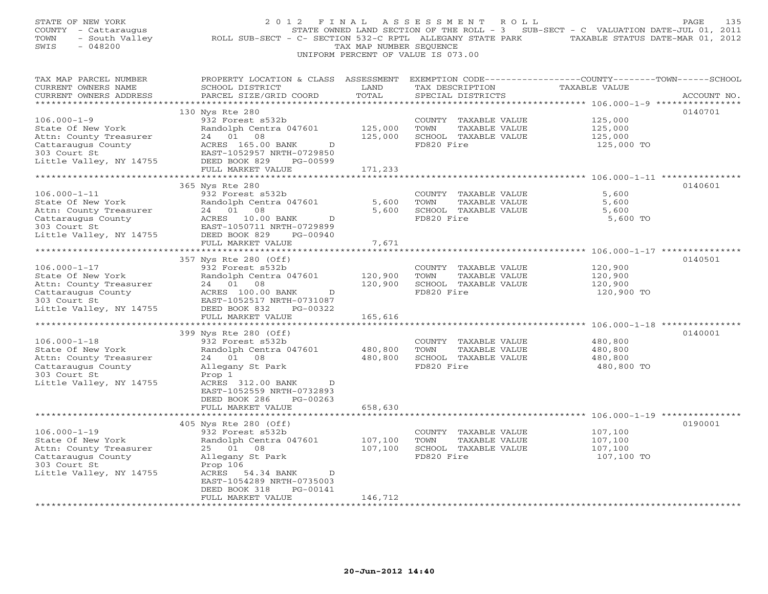| STATE OF NEW YORK<br>COUNTY - Cattaraugus<br>TOWN<br>- South Valley<br>$-048200$<br>SWIS | 2 0 1 2<br>ROLL SUB-SECT - C- SECTION 532-C RPTL ALLEGANY STATE PARK              | FINAL<br>TAX MAP NUMBER SEQUENCE   | ASSESSMENT<br>ROLL<br>UNIFORM PERCENT OF VALUE IS 073.00 | STATE OWNED LAND SECTION OF THE ROLL - 3 SUB-SECT - C VALUATION DATE-JUL 01, 2011<br>TAXABLE STATUS DATE-MAR 01, 2012 | 135<br>PAGE |
|------------------------------------------------------------------------------------------|-----------------------------------------------------------------------------------|------------------------------------|----------------------------------------------------------|-----------------------------------------------------------------------------------------------------------------------|-------------|
| TAX MAP PARCEL NUMBER<br>CURRENT OWNERS NAME<br>CURRENT OWNERS ADDRESS                   | PROPERTY LOCATION & CLASS ASSESSMENT<br>SCHOOL DISTRICT<br>PARCEL SIZE/GRID COORD | LAND<br>TOTAL                      | TAX DESCRIPTION<br>SPECIAL DISTRICTS                     | EXEMPTION CODE-----------------COUNTY-------TOWN------SCHOOL<br>TAXABLE VALUE                                         | ACCOUNT NO. |
|                                                                                          |                                                                                   |                                    |                                                          |                                                                                                                       |             |
| $106.000 - 1 - 9$                                                                        | 130 Nys Rte 280<br>932 Forest s532b                                               |                                    | COUNTY TAXABLE VALUE                                     | 125,000                                                                                                               | 0140701     |
| State Of New York                                                                        | Randolph Centra 047601                                                            | 125,000                            | TOWN<br>TAXABLE VALUE                                    | 125,000                                                                                                               |             |
| Attn: County Treasurer                                                                   | 24 01 08                                                                          | 125,000                            | SCHOOL TAXABLE VALUE                                     | 125,000                                                                                                               |             |
| Cattaraugus County                                                                       | ACRES 165.00 BANK<br>D                                                            |                                    | FD820 Fire                                               | 125,000 TO                                                                                                            |             |
| 303 Court St                                                                             | EAST-1052957 NRTH-0729850                                                         |                                    |                                                          |                                                                                                                       |             |
| Little Valley, NY 14755                                                                  | DEED BOOK 829<br>PG-00599                                                         |                                    |                                                          |                                                                                                                       |             |
|                                                                                          | FULL MARKET VALUE                                                                 | 171,233<br>************            |                                                          |                                                                                                                       |             |
|                                                                                          | 365 Nys Rte 280                                                                   |                                    |                                                          |                                                                                                                       | 0140601     |
| $106.000 - 1 - 11$                                                                       | 932 Forest s532b                                                                  |                                    | COUNTY TAXABLE VALUE                                     | 5,600                                                                                                                 |             |
| State Of New York                                                                        | Randolph Centra 047601                                                            | 5,600                              | TOWN<br>TAXABLE VALUE                                    | 5,600                                                                                                                 |             |
| Attn: County Treasurer                                                                   | 24 01 08                                                                          | 5,600                              | SCHOOL TAXABLE VALUE                                     | 5,600                                                                                                                 |             |
| Cattaraugus County                                                                       | ACRES 10.00 BANK<br>D                                                             |                                    | FD820 Fire                                               | 5,600 TO                                                                                                              |             |
| 303 Court St                                                                             | EAST-1050711 NRTH-0729899                                                         |                                    |                                                          |                                                                                                                       |             |
| Little Valley, NY 14755                                                                  | DEED BOOK 829<br>PG-00940<br>FULL MARKET VALUE                                    | 7,671                              |                                                          |                                                                                                                       |             |
|                                                                                          | *******************                                                               | ************                       |                                                          | ************************* 106.000-1-17 **************                                                                 |             |
|                                                                                          | 357 Nys Rte 280 (Off)                                                             |                                    |                                                          |                                                                                                                       | 0140501     |
| $106.000 - 1 - 17$                                                                       | 932 Forest s532b                                                                  |                                    | COUNTY TAXABLE VALUE                                     | 120,900                                                                                                               |             |
| State Of New York                                                                        | Randolph Centra 047601                                                            | 120,900                            | TOWN<br>TAXABLE VALUE                                    | 120,900                                                                                                               |             |
| Attn: County Treasurer                                                                   | 24<br>01<br>08                                                                    | 120,900                            | SCHOOL TAXABLE VALUE                                     | 120,900                                                                                                               |             |
| Cattaraugus County                                                                       | ACRES 100.00 BANK<br>D                                                            |                                    | FD820 Fire                                               | 120,900 TO                                                                                                            |             |
| 303 Court St                                                                             | EAST-1052517 NRTH-0731087                                                         |                                    |                                                          |                                                                                                                       |             |
| Little Valley, NY 14755                                                                  | DEED BOOK 832<br>PG-00322<br>FULL MARKET VALUE                                    | 165,616                            |                                                          |                                                                                                                       |             |
|                                                                                          |                                                                                   |                                    |                                                          | ********** 106.000-1-18 ***********                                                                                   |             |
|                                                                                          | 399 Nys Rte 280 (Off)                                                             |                                    |                                                          |                                                                                                                       | 0140001     |
| $106.000 - 1 - 18$                                                                       | 932 Forest s532b                                                                  |                                    | COUNTY TAXABLE VALUE                                     | 480,800                                                                                                               |             |
| State Of New York                                                                        | Randolph Centra 047601                                                            | 480,800                            | TOWN<br>TAXABLE VALUE                                    | 480,800                                                                                                               |             |
| Attn: County Treasurer                                                                   | 24 01 08                                                                          | 480,800                            | SCHOOL TAXABLE VALUE                                     | 480,800                                                                                                               |             |
| Cattaraugus County                                                                       | Allegany St Park                                                                  |                                    | FD820 Fire                                               | 480,800 TO                                                                                                            |             |
| 303 Court St<br>Little Valley, NY 14755                                                  | Prop 1<br>ACRES 312.00 BANK<br>D                                                  |                                    |                                                          |                                                                                                                       |             |
|                                                                                          | EAST-1052559 NRTH-0732893                                                         |                                    |                                                          |                                                                                                                       |             |
|                                                                                          | DEED BOOK 286<br>$PG-00263$                                                       |                                    |                                                          |                                                                                                                       |             |
|                                                                                          | FULL MARKET VALUE                                                                 | 658,630                            |                                                          |                                                                                                                       |             |
|                                                                                          | *******************                                                               | * * * * * * * * * *                |                                                          |                                                                                                                       |             |
|                                                                                          | 405 Nys Rte 280 (Off)                                                             |                                    |                                                          |                                                                                                                       | 0190001     |
| $106.000 - 1 - 19$                                                                       | 932 Forest s532b                                                                  |                                    | COUNTY TAXABLE VALUE                                     | 107,100                                                                                                               |             |
| State Of New York<br>Attn: County Treasurer                                              | Randolph Centra 047601<br>25 01 08                                                | 107,100<br>107,100                 | TOWN<br>TAXABLE VALUE<br>SCHOOL TAXABLE VALUE            | 107,100<br>107,100                                                                                                    |             |
| Cattaraugus County                                                                       | Allegany St Park                                                                  |                                    | FD820 Fire                                               | 107,100 TO                                                                                                            |             |
| 303 Court St                                                                             | Prop 106                                                                          |                                    |                                                          |                                                                                                                       |             |
| Little Valley, NY 14755                                                                  | ACRES<br>54.34 BANK<br>$\mathbb D$                                                |                                    |                                                          |                                                                                                                       |             |
|                                                                                          | EAST-1054289 NRTH-0735003                                                         |                                    |                                                          |                                                                                                                       |             |
|                                                                                          | DEED BOOK 318<br>PG-00141                                                         |                                    |                                                          |                                                                                                                       |             |
| *********************                                                                    | FULL MARKET VALUE<br>* * * * * * * * * * * * * * * * * * *                        | 146,712<br>* * * * * * * * * * * * |                                                          |                                                                                                                       |             |
|                                                                                          |                                                                                   |                                    |                                                          |                                                                                                                       |             |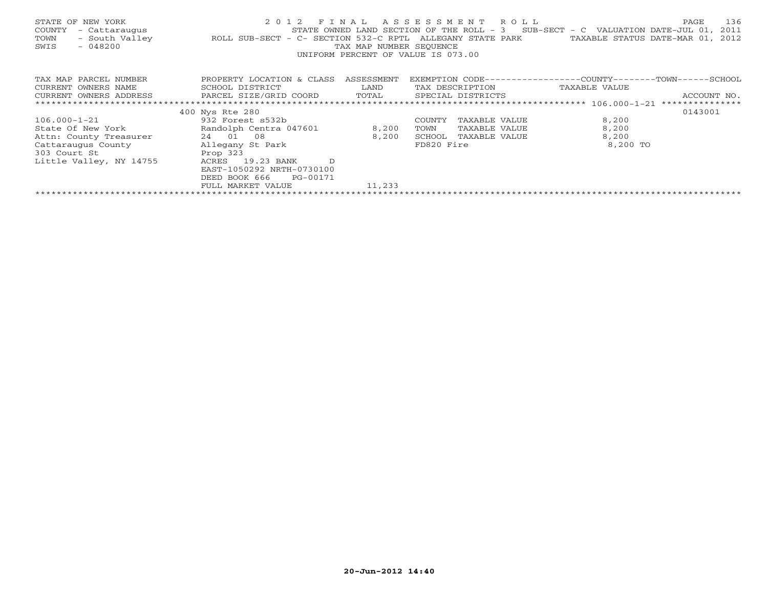| STATE OF NEW YORK<br>COUNTY<br>- Cattaraugus<br>- South Valley<br>TOWN<br>SWIS<br>$-048200$ | 2 0 1 2<br>ROLL SUB-SECT - C- SECTION 532-C RPTL | FINAL<br>TAX MAP NUMBER SEQUENCE | A S S E S S M E N T A O L L<br>ALLEGANY STATE PARK<br>UNIFORM PERCENT OF VALUE IS 073.00 | 136<br>PAGE<br>STATE OWNED LAND SECTION OF THE ROLL - $3$ SUB-SECT - C VALUATION DATE-JUL 01,<br>2011<br>TAXABLE STATUS DATE-MAR 01,<br>2012 |
|---------------------------------------------------------------------------------------------|--------------------------------------------------|----------------------------------|------------------------------------------------------------------------------------------|----------------------------------------------------------------------------------------------------------------------------------------------|
| TAX MAP PARCEL NUMBER                                                                       | PROPERTY LOCATION & CLASS ASSESSMENT             |                                  |                                                                                          | EXEMPTION CODE-----------------COUNTY-------TOWN------SCHOOL                                                                                 |
| CURRENT OWNERS NAME                                                                         | SCHOOL DISTRICT                                  | LAND                             | TAX DESCRIPTION                                                                          | TAXABLE VALUE                                                                                                                                |
| CURRENT OWNERS ADDRESS                                                                      | PARCEL SIZE/GRID COORD                           | TOTAL                            | SPECIAL DISTRICTS                                                                        | ACCOUNT NO.                                                                                                                                  |
|                                                                                             |                                                  |                                  |                                                                                          |                                                                                                                                              |
|                                                                                             | 400 Nys Rte 280                                  |                                  |                                                                                          | 0143001                                                                                                                                      |
| $106.000 - 1 - 21$                                                                          | 932 Forest s532b                                 |                                  | COUNTY<br>TAXABLE VALUE                                                                  | 8,200                                                                                                                                        |
| State Of New York                                                                           | Randolph Centra 047601                           | 8,200                            | TAXABLE VALUE<br>TOWN                                                                    | 8,200                                                                                                                                        |
| Attn: County Treasurer                                                                      | 24 01 08                                         | 8,200                            | SCHOOL<br>TAXABLE VALUE                                                                  | 8,200                                                                                                                                        |
|                                                                                             |                                                  |                                  | FD820 Fire                                                                               | 8,200 TO                                                                                                                                     |
| 303 Court St                                                                                | Prop 323                                         |                                  |                                                                                          |                                                                                                                                              |
| Little Valley, NY 14755                                                                     | ACRES 19.23 BANK<br><sup>D</sup>                 |                                  |                                                                                          |                                                                                                                                              |
|                                                                                             | EAST-1050292 NRTH-0730100                        |                                  |                                                                                          |                                                                                                                                              |
|                                                                                             | DEED BOOK 666<br>PG-00171                        |                                  |                                                                                          |                                                                                                                                              |
|                                                                                             | FULL MARKET VALUE                                | 11,233                           |                                                                                          |                                                                                                                                              |
|                                                                                             |                                                  |                                  |                                                                                          |                                                                                                                                              |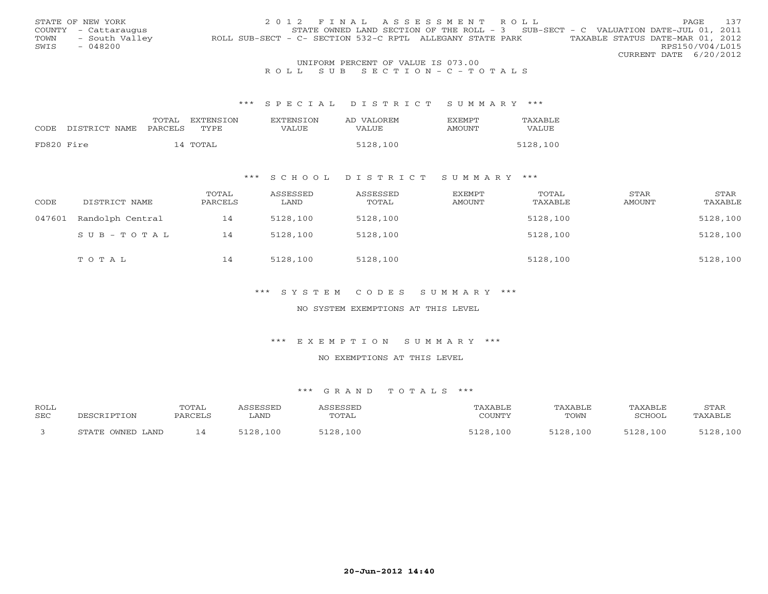|      | STATE OF NEW YORK    | 2012 FINAL ASSESSMENT ROLL                                                                    |                        | <b>PAGE</b> | 137 |
|------|----------------------|-----------------------------------------------------------------------------------------------|------------------------|-------------|-----|
|      | COUNTY - Cattaraugus | STATE OWNED LAND SECTION OF THE ROLL - 3 SUB-SECT - C VALUATION DATE-JUL 01, 2011             |                        |             |     |
| TOWN | - South Valley       | TAXABLE STATUS DATE-MAR 01, 2012<br>ROLL SUB-SECT - C- SECTION 532-C RPTL ALLEGANY STATE PARK |                        |             |     |
| SWIS | $-048200$            |                                                                                               | RPS150/V04/L015        |             |     |
|      |                      |                                                                                               | CURRENT DATE 6/20/2012 |             |     |
|      |                      | UNIFORM PERCENT OF VALUE IS 073.00                                                            |                        |             |     |

## R O L L S U B S E C T I O N - C - T O T A L S

#### \*\*\* S P E C I A L D I S T R I C T S U M M A R Y \*\*\*

|            |               | TOTAL   | <b>EXTENSION</b> | <b>EXTENSION</b> | AD VALOREM | <b>EXEMPT</b> | TAXABLE  |
|------------|---------------|---------|------------------|------------------|------------|---------------|----------|
| CODE       | DISTRICT NAME | PARCELS | TYPE             | VALUE            | VALUE      | AMOUNT        | VALUE    |
|            |               |         |                  |                  |            |               |          |
| FD820 Fire |               |         | 14 TOTAL         |                  | 5128,100   |               | 5128,100 |

### \*\*\* S C H O O L D I S T R I C T S U M M A R Y \*\*\*

| CODE   | DISTRICT NAME    | TOTAL<br>PARCELS | ASSESSED<br>LAND | ASSESSED<br>TOTAL | EXEMPT<br>AMOUNT | TOTAL<br>TAXABLE | STAR<br>AMOUNT | STAR<br>TAXABLE |
|--------|------------------|------------------|------------------|-------------------|------------------|------------------|----------------|-----------------|
| 047601 | Randolph Central | 14               | 5128,100         | 5128,100          |                  | 5128,100         |                | 5128,100        |
|        | SUB-TOTAL        | 14               | 5128,100         | 5128,100          |                  | 5128,100         |                | 5128,100        |
|        | TOTAL            | 14               | 5128,100         | 5128,100          |                  | 5128,100         |                | 5128,100        |

### \*\*\* S Y S T E M C O D E S S U M M A R Y \*\*\*

### NO SYSTEM EXEMPTIONS AT THIS LEVEL

#### \*\*\* E X E M P T I O N S U M M A R Y \*\*\*

#### NO EXEMPTIONS AT THIS LEVEL

| <b>ROLL</b><br><b>SEC</b> | DESCRIPTION         | TOTAL<br>PARCELS | <i><b>\SSESSED</b></i><br>∟AND | ASSESSED<br>TOTAL | TAXABLE<br>COUNTY | TAXABLE<br>TOWN | TAXABLE<br>SCHOOL | STAR<br>TAXABLE |
|---------------------------|---------------------|------------------|--------------------------------|-------------------|-------------------|-----------------|-------------------|-----------------|
|                           | OWNED LAND<br>STATE |                  | 5128,100                       | 5128,100          | 5128,100          | 5128,100        | 5128,100          | 5128,100        |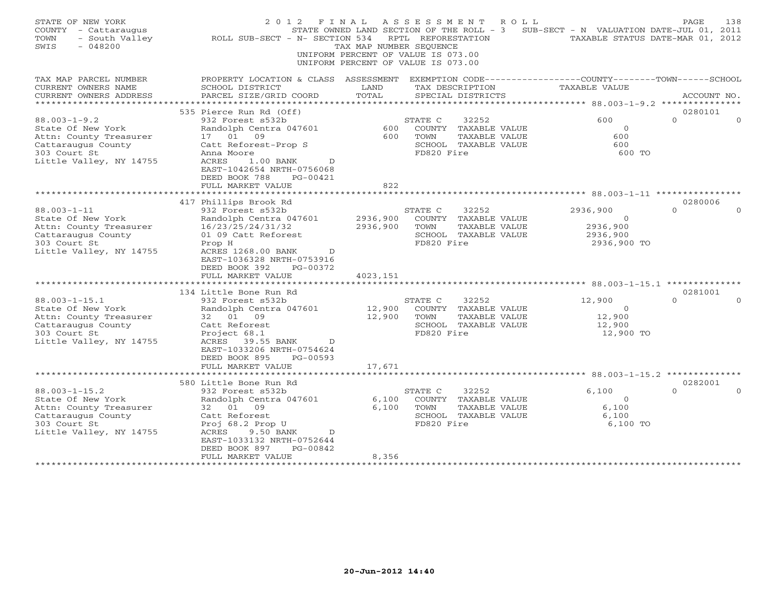| STATE OF NEW YORK<br>COUNTY<br>- Cattaraugus<br>- South Valley<br>TOWN<br>$-048200$<br>SWIS                                                              | 2 0 1 2<br>ROLL SUB-SECT - N- SECTION 534                                                                                                                                                                                                                           | FINAL<br>STATE OWNED LAND SECTION OF THE ROLL - 3<br>TAX MAP NUMBER SEQUENCE<br>UNIFORM PERCENT OF VALUE IS 073.00<br>UNIFORM PERCENT OF VALUE IS 073.00 | ASSESSMENT<br>RPTL REFORESTATION         |                                                                                 | R O L L | SUB-SECT - N VALUATION DATE-JUL 01, 2011<br>TAXABLE STATUS DATE-MAR 01, 2012  | PAGE                            | 138 |
|----------------------------------------------------------------------------------------------------------------------------------------------------------|---------------------------------------------------------------------------------------------------------------------------------------------------------------------------------------------------------------------------------------------------------------------|----------------------------------------------------------------------------------------------------------------------------------------------------------|------------------------------------------|---------------------------------------------------------------------------------|---------|-------------------------------------------------------------------------------|---------------------------------|-----|
| TAX MAP PARCEL NUMBER<br>CURRENT OWNERS NAME                                                                                                             | PROPERTY LOCATION & CLASS ASSESSMENT<br>SCHOOL DISTRICT                                                                                                                                                                                                             | LAND                                                                                                                                                     |                                          | TAX DESCRIPTION                                                                 |         | EXEMPTION CODE-----------------COUNTY-------TOWN------SCHOOL<br>TAXABLE VALUE |                                 |     |
| CURRENT OWNERS ADDRESS<br>**************                                                                                                                 | PARCEL SIZE/GRID COORD                                                                                                                                                                                                                                              | TOTAL                                                                                                                                                    |                                          | SPECIAL DISTRICTS                                                               |         | ***************** 88.003-1-9.2 ****************                               | ACCOUNT NO.                     |     |
|                                                                                                                                                          | 535 Pierce Run Rd (Off)                                                                                                                                                                                                                                             |                                                                                                                                                          |                                          |                                                                                 |         |                                                                               | 0280101                         |     |
| $88.003 - 1 - 9.2$<br>State Of New York<br>Attn: County Treasurer<br>Cattaraugus County<br>303 Court St                                                  | 932 Forest s532b<br>Randolph Centra 047601<br>17 01 09<br>Catt Reforest-Prop S<br>Anna Moore                                                                                                                                                                        | 600<br>600                                                                                                                                               | STATE C<br>TOWN<br>FD820 Fire            | 32252<br>COUNTY TAXABLE VALUE<br>TAXABLE VALUE<br>SCHOOL TAXABLE VALUE          |         | 600<br>$\circ$<br>600<br>600<br>600 TO                                        | $\Omega$                        |     |
| Little Valley, NY 14755                                                                                                                                  | ACRES<br>$1.00$ BANK<br>D<br>EAST-1042654 NRTH-0756068<br>DEED BOOK 788<br>$PG-00421$<br>FULL MARKET VALUE                                                                                                                                                          | 822                                                                                                                                                      |                                          |                                                                                 |         |                                                                               |                                 |     |
|                                                                                                                                                          | 417 Phillips Brook Rd                                                                                                                                                                                                                                               |                                                                                                                                                          |                                          |                                                                                 |         |                                                                               | 0280006                         |     |
| $88.003 - 1 - 11$<br>State Of New York<br>Attn: County Treasurer<br>Cattaraugus County<br>303 Court St<br>Little Valley, NY 14755<br>$88.003 - 1 - 15.1$ | 932 Forest s532b<br>Randolph Centra 047601<br>16/23/25/24/31/32<br>01 09 Catt Reforest<br>Prop H<br>ACRES 1268.00 BANK<br>$\mathbb{D}$<br>EAST-1036328 NRTH-0753916<br>DEED BOOK 392<br>PG-00372<br>FULL MARKET VALUE<br>134 Little Bone Run Rd<br>932 Forest s532b | 2936,900<br>2936,900<br>4023,151                                                                                                                         | STATE C<br>TOWN<br>FD820 Fire<br>STATE C | 32252<br>COUNTY TAXABLE VALUE<br>TAXABLE VALUE<br>SCHOOL TAXABLE VALUE<br>32252 |         | 2936,900<br>$\overline{0}$<br>2936,900<br>2936,900<br>2936,900 TO<br>12,900   | $\Omega$<br>0281001<br>$\Omega$ |     |
| State Of New York<br>Attn: County Treasurer<br>Cattaraugus County<br>303 Court St<br>Little Valley, NY 14755                                             | Randolph Centra 047601<br>32 01 09<br>Catt Reforest<br>Project 68.1<br>ACRES 39.55 BANK<br>D<br>EAST-1033206 NRTH-0754624<br>DEED BOOK 895<br>PG-00593<br>FULL MARKET VALUE                                                                                         | 12,900<br>12,900<br>17,671                                                                                                                               | TOWN<br>FD820 Fire                       | COUNTY TAXABLE VALUE<br>TAXABLE VALUE<br>SCHOOL TAXABLE VALUE                   |         | $\circ$<br>12,900<br>12,900<br>12,900 TO                                      |                                 |     |
|                                                                                                                                                          | * * * * * * * * * * * * * * * * * * *                                                                                                                                                                                                                               |                                                                                                                                                          |                                          |                                                                                 |         |                                                                               |                                 |     |
| $88.003 - 1 - 15.2$<br>State Of New York<br>Attn: County Treasurer<br>Cattaraugus County<br>303 Court St<br>Little Valley, NY 14755                      | 580 Little Bone Run Rd<br>932 Forest s532b<br>Randolph Centra 047601<br>32<br>01<br>09<br>Catt Reforest<br>Proj 68.2 Prop U<br>ACRES<br>9.50 BANK<br>D<br>EAST-1033132 NRTH-0752644<br>DEED BOOK 897<br>PG-00842                                                    | 6,100<br>6,100                                                                                                                                           | STATE C<br>TOWN<br>FD820 Fire            | 32252<br>COUNTY TAXABLE VALUE<br>TAXABLE VALUE<br>SCHOOL TAXABLE VALUE          |         | 6,100<br>$\circ$<br>6.100<br>6,100<br>6,100 TO                                | 0282001<br>$\Omega$             |     |
|                                                                                                                                                          | FULL MARKET VALUE                                                                                                                                                                                                                                                   | 8,356                                                                                                                                                    |                                          |                                                                                 |         |                                                                               |                                 |     |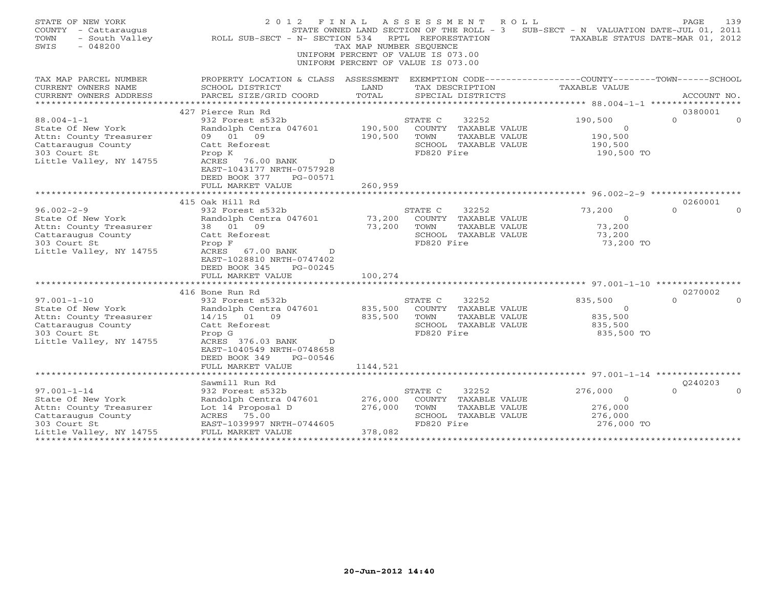| STATE OF NEW YORK<br>COUNTY - Cattaraugus<br>- South Valley<br>TOWN<br>SWIS<br>$-048200$ | 2012 FINAL<br>ROLL SUB-SECT - N- SECTION 534                                                    | TAX MAP NUMBER SEOUENCE<br>UNIFORM PERCENT OF VALUE IS 073.00<br>UNIFORM PERCENT OF VALUE IS 073.00 | RPTL REFORESTATION | ASSESSMENT ROLL<br>STATE OWNED LAND SECTION OF THE ROLL - 3 | SUB-SECT - N VALUATION DATE-JUL 01, 2011<br>TAXABLE STATUS DATE-MAR 01, 2012 | PAGE                | 139      |
|------------------------------------------------------------------------------------------|-------------------------------------------------------------------------------------------------|-----------------------------------------------------------------------------------------------------|--------------------|-------------------------------------------------------------|------------------------------------------------------------------------------|---------------------|----------|
| TAX MAP PARCEL NUMBER                                                                    | PROPERTY LOCATION & CLASS ASSESSMENT                                                            |                                                                                                     |                    |                                                             | EXEMPTION CODE-----------------COUNTY-------TOWN-----SCHOOL                  |                     |          |
| CURRENT OWNERS NAME                                                                      | SCHOOL DISTRICT                                                                                 | LAND                                                                                                |                    | TAX DESCRIPTION                                             | TAXABLE VALUE                                                                |                     |          |
| CURRENT OWNERS ADDRESS<br>**********************                                         | PARCEL SIZE/GRID COORD                                                                          | TOTAL                                                                                               |                    | SPECIAL DISTRICTS                                           |                                                                              | ACCOUNT NO.         |          |
|                                                                                          |                                                                                                 |                                                                                                     |                    |                                                             |                                                                              |                     |          |
| $88.004 - 1 - 1$                                                                         | 427 Pierce Run Rd<br>932 Forest s532b                                                           |                                                                                                     | STATE C            | 32252                                                       | 190,500                                                                      | 0380001<br>$\Omega$ | $\Omega$ |
| State Of New York                                                                        | Randolph Centra 047601                                                                          | 190,500                                                                                             |                    | COUNTY TAXABLE VALUE                                        | $\Omega$                                                                     |                     |          |
| Attn: County Treasurer                                                                   | 09<br>09 01                                                                                     | 190,500                                                                                             | TOWN               | TAXABLE VALUE                                               | 190,500                                                                      |                     |          |
| Cattaraugus County                                                                       | Catt Reforest                                                                                   |                                                                                                     |                    | SCHOOL TAXABLE VALUE                                        | 190,500                                                                      |                     |          |
| 303 Court St                                                                             | Prop K                                                                                          |                                                                                                     | FD820 Fire         |                                                             | 190,500 TO                                                                   |                     |          |
| Little Valley, NY 14755                                                                  | ACRES<br>76.00 BANK<br>$\mathbb{D}$<br>EAST-1043177 NRTH-0757928<br>DEED BOOK 377<br>PG-00571   |                                                                                                     |                    |                                                             |                                                                              |                     |          |
|                                                                                          | FULL MARKET VALUE                                                                               | 260,959                                                                                             |                    |                                                             |                                                                              |                     |          |
|                                                                                          |                                                                                                 | ************                                                                                        |                    |                                                             |                                                                              |                     |          |
|                                                                                          | 415 Oak Hill Rd                                                                                 |                                                                                                     |                    |                                                             |                                                                              | 0260001             |          |
| $96.002 - 2 - 9$                                                                         | 932 Forest s532b                                                                                |                                                                                                     | STATE C            | 32252                                                       | 73,200                                                                       | $\Omega$            |          |
| State Of New York                                                                        | Randolph Centra 047601                                                                          | 73,200                                                                                              |                    | COUNTY TAXABLE VALUE                                        | $\circ$                                                                      |                     |          |
| Attn: County Treasurer                                                                   | 38 01<br>09                                                                                     | 73,200                                                                                              | TOWN               | TAXABLE VALUE                                               | 73,200                                                                       |                     |          |
| Cattaraugus County                                                                       | Catt Reforest                                                                                   |                                                                                                     |                    | SCHOOL TAXABLE VALUE                                        | 73,200                                                                       |                     |          |
| 303 Court St                                                                             | Prop F                                                                                          |                                                                                                     | FD820 Fire         |                                                             | 73,200 TO                                                                    |                     |          |
| Little Valley, NY 14755                                                                  | ACRES<br>67.00 BANK<br>$\mathbb{D}$<br>EAST-1028810 NRTH-0747402<br>DEED BOOK 345<br>$PG-00245$ |                                                                                                     |                    |                                                             |                                                                              |                     |          |
|                                                                                          | FULL MARKET VALUE                                                                               | 100,274                                                                                             |                    |                                                             |                                                                              |                     |          |
|                                                                                          |                                                                                                 |                                                                                                     |                    |                                                             | *********************** 97.001-1-10 ****************                         |                     |          |
|                                                                                          | 416 Bone Run Rd                                                                                 |                                                                                                     |                    |                                                             |                                                                              | 0270002             |          |
| $97.001 - 1 - 10$                                                                        | 932 Forest s532b                                                                                |                                                                                                     | STATE C            | 32252                                                       | 835,500                                                                      | $\Omega$            |          |
| State Of New York                                                                        | Randolph Centra 047601                                                                          | 835,500                                                                                             |                    | COUNTY TAXABLE VALUE                                        | $\circ$                                                                      |                     |          |
| Attn: County Treasurer                                                                   | 14/15 01 09                                                                                     | 835,500                                                                                             | TOWN               | TAXABLE VALUE                                               | 835,500                                                                      |                     |          |
| Cattaraugus County<br>303 Court St                                                       | Catt Reforest<br>Prop G                                                                         |                                                                                                     | FD820 Fire         | SCHOOL TAXABLE VALUE                                        | 835,500<br>835,500 TO                                                        |                     |          |
| Little Valley, NY 14755                                                                  | ACRES 376.03 BANK<br>$\mathbb{D}$                                                               |                                                                                                     |                    |                                                             |                                                                              |                     |          |
|                                                                                          | EAST-1040549 NRTH-0748658                                                                       |                                                                                                     |                    |                                                             |                                                                              |                     |          |
|                                                                                          | DEED BOOK 349<br>PG-00546                                                                       |                                                                                                     |                    |                                                             |                                                                              |                     |          |
|                                                                                          | FULL MARKET VALUE                                                                               | 1144,521                                                                                            |                    |                                                             |                                                                              |                     |          |
|                                                                                          | **************************                                                                      |                                                                                                     |                    |                                                             |                                                                              |                     |          |
|                                                                                          | Sawmill Run Rd                                                                                  |                                                                                                     |                    |                                                             |                                                                              | 0240203             |          |
| $97.001 - 1 - 14$                                                                        | 932 Forest s532b                                                                                |                                                                                                     | STATE C            | 32252                                                       | 276,000                                                                      | $\Omega$            |          |
| State Of New York                                                                        | Randolph Centra 047601                                                                          | 276,000                                                                                             |                    | COUNTY TAXABLE VALUE                                        | $\Omega$                                                                     |                     |          |
| Attn: County Treasurer                                                                   | Lot 14 Proposal D                                                                               | 276,000                                                                                             | TOWN               | TAXABLE VALUE                                               | 276,000                                                                      |                     |          |
| Cattaraugus County                                                                       | ACRES 75.00                                                                                     |                                                                                                     |                    | SCHOOL TAXABLE VALUE                                        | 276,000                                                                      |                     |          |
| 303 Court St                                                                             | EAST-1039997 NRTH-0744605                                                                       |                                                                                                     | FD820 Fire         |                                                             | 276,000 TO                                                                   |                     |          |
| Little Valley, NY 14755                                                                  | FULL MARKET VALUE                                                                               | 378,082                                                                                             |                    |                                                             |                                                                              |                     |          |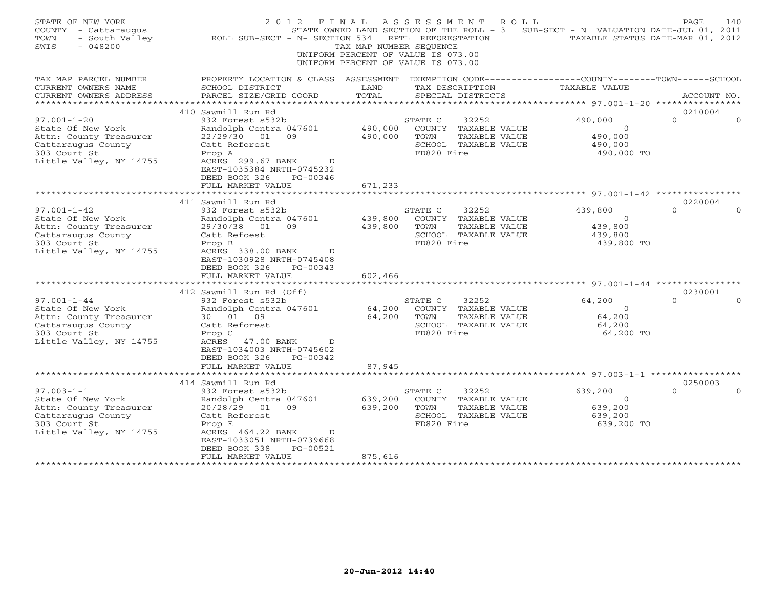| STATE OF NEW YORK<br>COUNTY - Cattaraugus<br>- South Valley<br>TOWN<br>SWIS<br>$-048200$ | 2012 FINAL<br>ROLL SUB-SECT - N- SECTION 534                                                  | TAX MAP NUMBER SEQUENCE<br>UNIFORM PERCENT OF VALUE IS 073.00<br>UNIFORM PERCENT OF VALUE IS 073.00 | A S S E S S M E N T<br>RPTL REFORESTATION | ROLL<br>STATE OWNED LAND SECTION OF THE ROLL - 3 | SUB-SECT - N VALUATION DATE-JUL 01, 2011<br>TAXABLE STATUS DATE-MAR 01, 2012  | PAGE                | 140 |
|------------------------------------------------------------------------------------------|-----------------------------------------------------------------------------------------------|-----------------------------------------------------------------------------------------------------|-------------------------------------------|--------------------------------------------------|-------------------------------------------------------------------------------|---------------------|-----|
| TAX MAP PARCEL NUMBER<br>CURRENT OWNERS NAME                                             | PROPERTY LOCATION & CLASS ASSESSMENT<br>SCHOOL DISTRICT                                       | LAND                                                                                                |                                           | TAX DESCRIPTION                                  | EXEMPTION CODE-----------------COUNTY-------TOWN------SCHOOL<br>TAXABLE VALUE |                     |     |
| CURRENT OWNERS ADDRESS<br>*******************                                            | PARCEL SIZE/GRID COORD                                                                        | TOTAL                                                                                               |                                           | SPECIAL DISTRICTS                                |                                                                               | ACCOUNT NO.         |     |
|                                                                                          | 410 Sawmill Run Rd                                                                            |                                                                                                     |                                           |                                                  |                                                                               | 0210004             |     |
| $97.001 - 1 - 20$                                                                        | 932 Forest s532b                                                                              |                                                                                                     | STATE C                                   | 32252                                            | 490,000                                                                       | $\Omega$            |     |
| State Of New York                                                                        | Randolph Centra 047601                                                                        | 490,000                                                                                             |                                           | COUNTY TAXABLE VALUE                             | $\circ$                                                                       |                     |     |
| Attn: County Treasurer                                                                   | 22/29/30 01 09                                                                                | 490,000                                                                                             | TOWN                                      | TAXABLE VALUE                                    | 490,000                                                                       |                     |     |
| Cattaraugus County                                                                       | Catt Reforest                                                                                 |                                                                                                     |                                           | SCHOOL TAXABLE VALUE                             | 490,000                                                                       |                     |     |
| 303 Court St                                                                             | Prop A                                                                                        |                                                                                                     | FD820 Fire                                |                                                  | 490,000 TO                                                                    |                     |     |
| Little Valley, NY 14755                                                                  | ACRES 299.67 BANK<br>$\Box$<br>EAST-1035384 NRTH-0745232<br>DEED BOOK 326<br>PG-00346         |                                                                                                     |                                           |                                                  |                                                                               |                     |     |
|                                                                                          | FULL MARKET VALUE                                                                             | 671,233                                                                                             |                                           |                                                  |                                                                               |                     |     |
|                                                                                          |                                                                                               |                                                                                                     |                                           |                                                  |                                                                               |                     |     |
|                                                                                          | 411 Sawmill Run Rd                                                                            |                                                                                                     |                                           |                                                  |                                                                               | 0220004             |     |
| $97.001 - 1 - 42$                                                                        | 932 Forest s532b                                                                              |                                                                                                     | STATE C                                   | 32252                                            | 439,800                                                                       | $\Omega$            |     |
| State Of New York                                                                        | Randolph Centra 047601                                                                        | 439,800                                                                                             |                                           | COUNTY TAXABLE VALUE                             | $\overline{0}$                                                                |                     |     |
| Attn: County Treasurer                                                                   | 29/30/38<br>01 09<br>Catt Refoest                                                             | 439,800                                                                                             | TOWN                                      | TAXABLE VALUE<br>SCHOOL TAXABLE VALUE            | 439,800                                                                       |                     |     |
| Cattaraugus County<br>303 Court St                                                       | Prop B                                                                                        |                                                                                                     | FD820 Fire                                |                                                  | 439,800<br>439,800 TO                                                         |                     |     |
| Little Valley, NY 14755                                                                  | ACRES 338.00 BANK<br>$\overline{D}$<br>EAST-1030928 NRTH-0745408<br>DEED BOOK 326<br>PG-00343 |                                                                                                     |                                           |                                                  |                                                                               |                     |     |
|                                                                                          | FULL MARKET VALUE<br>***********************                                                  | 602,466                                                                                             |                                           |                                                  |                                                                               |                     |     |
|                                                                                          |                                                                                               |                                                                                                     |                                           |                                                  |                                                                               | 0230001             |     |
| $97.001 - 1 - 44$                                                                        | 412 Sawmill Run Rd (Off)<br>932 Forest s532b                                                  |                                                                                                     | STATE C                                   | 32252                                            | 64,200                                                                        | $\cap$              |     |
| State Of New York                                                                        | Randolph Centra 047601                                                                        | 64,200                                                                                              |                                           | COUNTY TAXABLE VALUE                             | $\Omega$                                                                      |                     |     |
| Attn: County Treasurer                                                                   | 30 01 09                                                                                      | 64,200                                                                                              | TOWN                                      | TAXABLE VALUE                                    | 64,200                                                                        |                     |     |
| Cattaraugus County                                                                       | Catt Reforest                                                                                 |                                                                                                     |                                           | SCHOOL TAXABLE VALUE                             | 64,200                                                                        |                     |     |
| 303 Court St                                                                             | Prop C                                                                                        |                                                                                                     | FD820 Fire                                |                                                  | 64,200 TO                                                                     |                     |     |
| Little Valley, NY 14755                                                                  | ACRES<br>47.00 BANK<br>D<br>EAST-1034003 NRTH-0745602<br>DEED BOOK 326<br>PG-00342            |                                                                                                     |                                           |                                                  |                                                                               |                     |     |
|                                                                                          | FULL MARKET VALUE                                                                             | 87,945                                                                                              |                                           |                                                  |                                                                               |                     |     |
|                                                                                          |                                                                                               |                                                                                                     |                                           |                                                  | ********************************* 97.003-1-1 ******************               |                     |     |
|                                                                                          | 414 Sawmill Run Rd                                                                            |                                                                                                     |                                           |                                                  |                                                                               | 0250003<br>$\Omega$ |     |
| $97.003 - 1 - 1$<br>State Of New York                                                    | 932 Forest s532b                                                                              | 639,200                                                                                             | STATE C                                   | 32252<br>COUNTY TAXABLE VALUE                    | 639,200<br>$\circ$                                                            |                     |     |
| Attn: County Treasurer                                                                   | Randolph Centra 047601<br>20/28/29 01<br>09                                                   | 639,200                                                                                             | TOWN                                      | TAXABLE VALUE                                    | 639,200                                                                       |                     |     |
| Cattaraugus County                                                                       | Catt Reforest                                                                                 |                                                                                                     |                                           | SCHOOL TAXABLE VALUE                             | 639,200                                                                       |                     |     |
| 303 Court St                                                                             | Prop E                                                                                        |                                                                                                     | FD820 Fire                                |                                                  | 639,200 TO                                                                    |                     |     |
| Little Valley, NY 14755                                                                  | ACRES 464.22 BANK<br>D                                                                        |                                                                                                     |                                           |                                                  |                                                                               |                     |     |
|                                                                                          | EAST-1033051 NRTH-0739668                                                                     |                                                                                                     |                                           |                                                  |                                                                               |                     |     |
|                                                                                          | DEED BOOK 338<br>PG-00521                                                                     |                                                                                                     |                                           |                                                  |                                                                               |                     |     |
|                                                                                          | FULL MARKET VALUE                                                                             | 875,616                                                                                             |                                           |                                                  |                                                                               |                     |     |
|                                                                                          |                                                                                               |                                                                                                     |                                           |                                                  |                                                                               |                     |     |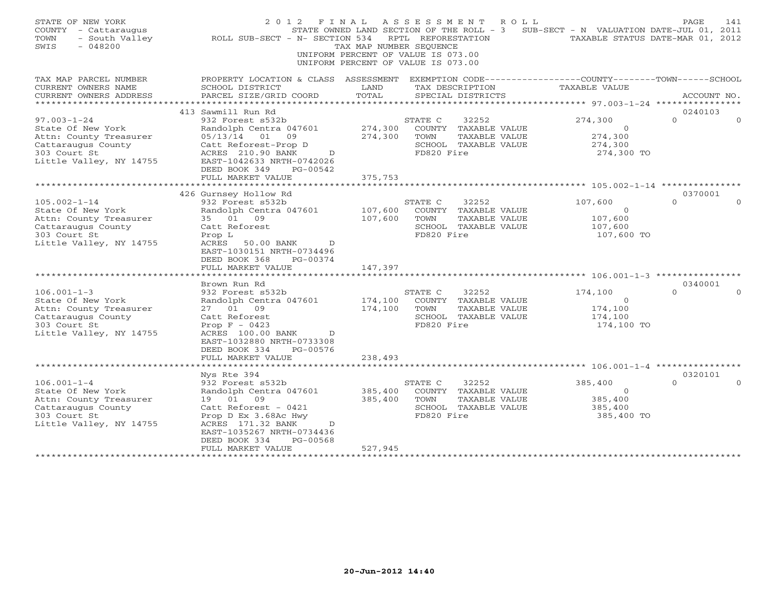| TAX MAP PARCEL NUMBER<br>EXEMPTION CODE-----------------COUNTY-------TOWN------SCHOOL<br>PROPERTY LOCATION & CLASS ASSESSMENT<br>CURRENT OWNERS NAME<br>SCHOOL DISTRICT<br>LAND<br>TAX DESCRIPTION<br><b>TAXABLE VALUE</b><br>TOTAL<br>CURRENT OWNERS ADDRESS<br>PARCEL SIZE/GRID COORD<br>SPECIAL DISTRICTS<br>ACCOUNT NO.<br>**********************<br>413 Sawmill Run Rd<br>0240103<br>$97.003 - 1 - 24$<br>932 Forest s532b<br>274,300<br>$\Omega$<br>STATE C<br>32252<br>Randolph Centra 047601<br>274,300<br>State Of New York<br>COUNTY TAXABLE VALUE<br>$\Omega$<br>Attn: County Treasurer<br>05/13/14 01<br>09<br>274,300<br>TOWN<br>TAXABLE VALUE<br>274,300<br>Cattaraugus County<br>SCHOOL TAXABLE VALUE<br>Catt Reforest-Prop D<br>274,300<br>303 Court St<br>ACRES 210.90 BANK<br>FD820 Fire<br>274,300 TO<br>$\overline{D}$ | STATE OF NEW YORK<br>COUNTY - Cattaraugus<br>- South Valley<br>TOWN<br>$-048200$<br>SWIS | 2012 FINAL<br>ROLL SUB-SECT - N- SECTION 534 | TAX MAP NUMBER SEQUENCE | A S S E S S M E N T<br>R O L L<br>STATE OWNED LAND SECTION OF THE ROLL - 3 SUB-SECT - N VALUATION DATE-JUL 01, 2011<br>RPTL REFORESTATION<br>UNIFORM PERCENT OF VALUE IS 073.00<br>UNIFORM PERCENT OF VALUE IS 073.00 | TAXABLE STATUS DATE-MAR 01, 2012 | PAGE | 141      |
|--------------------------------------------------------------------------------------------------------------------------------------------------------------------------------------------------------------------------------------------------------------------------------------------------------------------------------------------------------------------------------------------------------------------------------------------------------------------------------------------------------------------------------------------------------------------------------------------------------------------------------------------------------------------------------------------------------------------------------------------------------------------------------------------------------------------------------------------|------------------------------------------------------------------------------------------|----------------------------------------------|-------------------------|-----------------------------------------------------------------------------------------------------------------------------------------------------------------------------------------------------------------------|----------------------------------|------|----------|
|                                                                                                                                                                                                                                                                                                                                                                                                                                                                                                                                                                                                                                                                                                                                                                                                                                            |                                                                                          |                                              |                         |                                                                                                                                                                                                                       |                                  |      |          |
|                                                                                                                                                                                                                                                                                                                                                                                                                                                                                                                                                                                                                                                                                                                                                                                                                                            |                                                                                          |                                              |                         |                                                                                                                                                                                                                       |                                  |      |          |
|                                                                                                                                                                                                                                                                                                                                                                                                                                                                                                                                                                                                                                                                                                                                                                                                                                            |                                                                                          |                                              |                         |                                                                                                                                                                                                                       |                                  |      |          |
|                                                                                                                                                                                                                                                                                                                                                                                                                                                                                                                                                                                                                                                                                                                                                                                                                                            |                                                                                          |                                              |                         |                                                                                                                                                                                                                       |                                  |      |          |
|                                                                                                                                                                                                                                                                                                                                                                                                                                                                                                                                                                                                                                                                                                                                                                                                                                            |                                                                                          |                                              |                         |                                                                                                                                                                                                                       |                                  |      | $\Omega$ |
|                                                                                                                                                                                                                                                                                                                                                                                                                                                                                                                                                                                                                                                                                                                                                                                                                                            |                                                                                          |                                              |                         |                                                                                                                                                                                                                       |                                  |      |          |
|                                                                                                                                                                                                                                                                                                                                                                                                                                                                                                                                                                                                                                                                                                                                                                                                                                            |                                                                                          |                                              |                         |                                                                                                                                                                                                                       |                                  |      |          |
|                                                                                                                                                                                                                                                                                                                                                                                                                                                                                                                                                                                                                                                                                                                                                                                                                                            |                                                                                          |                                              |                         |                                                                                                                                                                                                                       |                                  |      |          |
| Little Valley, NY 14755<br>EAST-1042633 NRTH-0742026                                                                                                                                                                                                                                                                                                                                                                                                                                                                                                                                                                                                                                                                                                                                                                                       |                                                                                          |                                              |                         |                                                                                                                                                                                                                       |                                  |      |          |
| DEED BOOK 349<br>PG-00542                                                                                                                                                                                                                                                                                                                                                                                                                                                                                                                                                                                                                                                                                                                                                                                                                  |                                                                                          |                                              |                         |                                                                                                                                                                                                                       |                                  |      |          |
| FULL MARKET VALUE<br>375,753                                                                                                                                                                                                                                                                                                                                                                                                                                                                                                                                                                                                                                                                                                                                                                                                               |                                                                                          |                                              |                         |                                                                                                                                                                                                                       |                                  |      |          |
| ********************<br>************************* 105.002-1-14 *********                                                                                                                                                                                                                                                                                                                                                                                                                                                                                                                                                                                                                                                                                                                                                                   |                                                                                          |                                              |                         |                                                                                                                                                                                                                       |                                  |      |          |
| 426 Gurnsey Hollow Rd<br>0370001                                                                                                                                                                                                                                                                                                                                                                                                                                                                                                                                                                                                                                                                                                                                                                                                           |                                                                                          |                                              |                         |                                                                                                                                                                                                                       |                                  |      |          |
| $105.002 - 1 - 14$<br>932 Forest s532b<br>$\Omega$<br>STATE C<br>32252<br>107,600                                                                                                                                                                                                                                                                                                                                                                                                                                                                                                                                                                                                                                                                                                                                                          |                                                                                          |                                              |                         |                                                                                                                                                                                                                       |                                  |      | $\Omega$ |
| State Of New York<br>Randolph Centra 047601<br>107,600<br>COUNTY TAXABLE VALUE<br>$\Omega$<br>107,600<br>107,600<br>35 01 09<br>TOWN<br>TAXABLE VALUE                                                                                                                                                                                                                                                                                                                                                                                                                                                                                                                                                                                                                                                                                      |                                                                                          |                                              |                         |                                                                                                                                                                                                                       |                                  |      |          |
| Attn: County Treasurer<br>Cattaraugus County<br>Catt Reforest<br>SCHOOL TAXABLE VALUE<br>107,600                                                                                                                                                                                                                                                                                                                                                                                                                                                                                                                                                                                                                                                                                                                                           |                                                                                          |                                              |                         |                                                                                                                                                                                                                       |                                  |      |          |
| FD820 Fire<br>303 Court St<br>Prop L<br>107,600 TO                                                                                                                                                                                                                                                                                                                                                                                                                                                                                                                                                                                                                                                                                                                                                                                         |                                                                                          |                                              |                         |                                                                                                                                                                                                                       |                                  |      |          |
| Little Valley, NY 14755<br>ACRES<br>50.00 BANK<br>D                                                                                                                                                                                                                                                                                                                                                                                                                                                                                                                                                                                                                                                                                                                                                                                        |                                                                                          |                                              |                         |                                                                                                                                                                                                                       |                                  |      |          |
| EAST-1030151 NRTH-0734496                                                                                                                                                                                                                                                                                                                                                                                                                                                                                                                                                                                                                                                                                                                                                                                                                  |                                                                                          |                                              |                         |                                                                                                                                                                                                                       |                                  |      |          |
| DEED BOOK 368<br>PG-00374                                                                                                                                                                                                                                                                                                                                                                                                                                                                                                                                                                                                                                                                                                                                                                                                                  |                                                                                          |                                              |                         |                                                                                                                                                                                                                       |                                  |      |          |
| 147,397<br>FULL MARKET VALUE                                                                                                                                                                                                                                                                                                                                                                                                                                                                                                                                                                                                                                                                                                                                                                                                               |                                                                                          |                                              |                         |                                                                                                                                                                                                                       |                                  |      |          |
| * * * * * * * * * * * * * * * * * * * *                                                                                                                                                                                                                                                                                                                                                                                                                                                                                                                                                                                                                                                                                                                                                                                                    |                                                                                          |                                              |                         |                                                                                                                                                                                                                       |                                  |      |          |
| 0340001<br>Brown Run Rd<br>$\Omega$                                                                                                                                                                                                                                                                                                                                                                                                                                                                                                                                                                                                                                                                                                                                                                                                        |                                                                                          |                                              |                         |                                                                                                                                                                                                                       |                                  |      |          |
| $106.001 - 1 - 3$<br>932 Forest s532b<br>32252<br>174,100<br>STATE C<br>State Of New York<br>Randolph Centra 047601<br>174,100<br>COUNTY TAXABLE VALUE<br>$\circ$                                                                                                                                                                                                                                                                                                                                                                                                                                                                                                                                                                                                                                                                          |                                                                                          |                                              |                         |                                                                                                                                                                                                                       |                                  |      |          |
| Attn: County Treasurer<br>174,100<br>TAXABLE VALUE<br>174,100<br>27 01 09<br>TOWN                                                                                                                                                                                                                                                                                                                                                                                                                                                                                                                                                                                                                                                                                                                                                          |                                                                                          |                                              |                         |                                                                                                                                                                                                                       |                                  |      |          |
| SCHOOL TAXABLE VALUE<br>Cattaraugus County<br>Catt Reforest<br>174,100                                                                                                                                                                                                                                                                                                                                                                                                                                                                                                                                                                                                                                                                                                                                                                     |                                                                                          |                                              |                         |                                                                                                                                                                                                                       |                                  |      |          |
| FD820 Fire<br>174,100 TO<br>303 Court St<br>Prop $F - 0423$                                                                                                                                                                                                                                                                                                                                                                                                                                                                                                                                                                                                                                                                                                                                                                                |                                                                                          |                                              |                         |                                                                                                                                                                                                                       |                                  |      |          |
| Little Valley, NY 14755<br>ACRES 100.00 BANK<br>$\mathbb{D}$                                                                                                                                                                                                                                                                                                                                                                                                                                                                                                                                                                                                                                                                                                                                                                               |                                                                                          |                                              |                         |                                                                                                                                                                                                                       |                                  |      |          |
| EAST-1032880 NRTH-0733308                                                                                                                                                                                                                                                                                                                                                                                                                                                                                                                                                                                                                                                                                                                                                                                                                  |                                                                                          |                                              |                         |                                                                                                                                                                                                                       |                                  |      |          |
| DEED BOOK 334<br>PG-00576                                                                                                                                                                                                                                                                                                                                                                                                                                                                                                                                                                                                                                                                                                                                                                                                                  |                                                                                          |                                              |                         |                                                                                                                                                                                                                       |                                  |      |          |
| FULL MARKET VALUE<br>238,493                                                                                                                                                                                                                                                                                                                                                                                                                                                                                                                                                                                                                                                                                                                                                                                                               |                                                                                          |                                              |                         |                                                                                                                                                                                                                       |                                  |      |          |
| ************ 106.001-1-4 **************<br>0320101                                                                                                                                                                                                                                                                                                                                                                                                                                                                                                                                                                                                                                                                                                                                                                                         |                                                                                          |                                              |                         |                                                                                                                                                                                                                       |                                  |      |          |
| Nys Rte 394<br>$106.001 - 1 - 4$<br>932 Forest s532b<br>STATE C<br>32252<br>385,400<br>$\Omega$                                                                                                                                                                                                                                                                                                                                                                                                                                                                                                                                                                                                                                                                                                                                            |                                                                                          |                                              |                         |                                                                                                                                                                                                                       |                                  |      |          |
| State Of New York<br>385,400<br>Randolph Centra 047601<br>COUNTY TAXABLE VALUE<br>$\Omega$                                                                                                                                                                                                                                                                                                                                                                                                                                                                                                                                                                                                                                                                                                                                                 |                                                                                          |                                              |                         |                                                                                                                                                                                                                       |                                  |      |          |
| Attn: County Treasurer<br>19  01  09<br>385,400<br>TOWN<br>TAXABLE VALUE<br>385,400                                                                                                                                                                                                                                                                                                                                                                                                                                                                                                                                                                                                                                                                                                                                                        |                                                                                          |                                              |                         |                                                                                                                                                                                                                       |                                  |      |          |
| Cattaraugus County<br>Catt Reforest - 0421<br>SCHOOL TAXABLE VALUE<br>385,400                                                                                                                                                                                                                                                                                                                                                                                                                                                                                                                                                                                                                                                                                                                                                              |                                                                                          |                                              |                         |                                                                                                                                                                                                                       |                                  |      |          |
| 303 Court St<br>FD820 Fire<br>Prop D Ex 3.68Ac Hwy<br>385,400 TO                                                                                                                                                                                                                                                                                                                                                                                                                                                                                                                                                                                                                                                                                                                                                                           |                                                                                          |                                              |                         |                                                                                                                                                                                                                       |                                  |      |          |
| Little Valley, NY 14755<br>ACRES 171.32 BANK<br>$\mathbb{D}$                                                                                                                                                                                                                                                                                                                                                                                                                                                                                                                                                                                                                                                                                                                                                                               |                                                                                          |                                              |                         |                                                                                                                                                                                                                       |                                  |      |          |
| EAST-1035267 NRTH-0734436                                                                                                                                                                                                                                                                                                                                                                                                                                                                                                                                                                                                                                                                                                                                                                                                                  |                                                                                          |                                              |                         |                                                                                                                                                                                                                       |                                  |      |          |
| DEED BOOK 334<br>PG-00568                                                                                                                                                                                                                                                                                                                                                                                                                                                                                                                                                                                                                                                                                                                                                                                                                  |                                                                                          |                                              |                         |                                                                                                                                                                                                                       |                                  |      |          |
| FULL MARKET VALUE<br>527,945                                                                                                                                                                                                                                                                                                                                                                                                                                                                                                                                                                                                                                                                                                                                                                                                               |                                                                                          |                                              |                         |                                                                                                                                                                                                                       |                                  |      |          |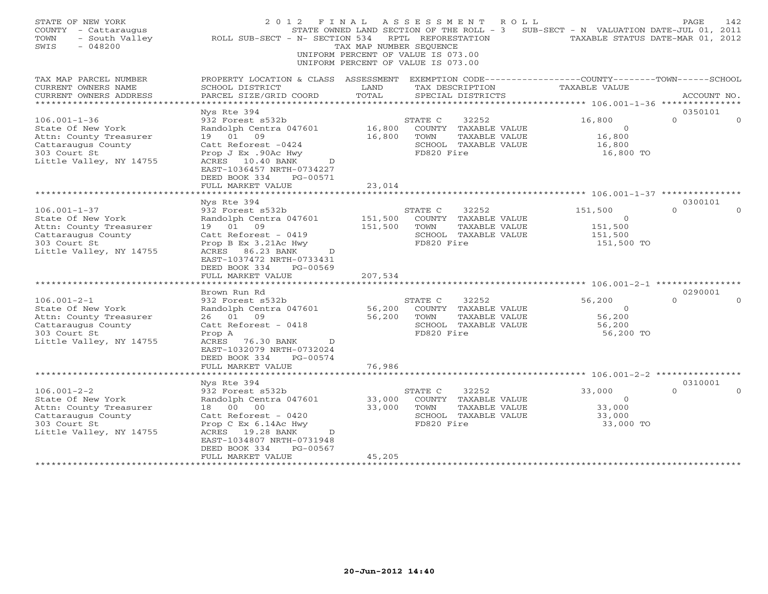| STATE OF NEW YORK<br>COUNTY - Cattaraugus<br>- South Valley<br>TOWN<br>$-048200$<br>SWIS | 2012 FINAL<br>ROLL SUB-SECT - N- SECTION 534                                                            | TAX MAP NUMBER SEQUENCE | ASSESSMENT<br>STATE OWNED LAND SECTION OF THE ROLL - 3<br>RPTL REFORESTATION<br>UNIFORM PERCENT OF VALUE IS 073.00<br>UNIFORM PERCENT OF VALUE IS 073.00 | ROLL                 | SUB-SECT - N VALUATION DATE-JUL 01, 2011<br>TAXABLE STATUS DATE-MAR 01, 2012 | PAGE        | 142 |
|------------------------------------------------------------------------------------------|---------------------------------------------------------------------------------------------------------|-------------------------|----------------------------------------------------------------------------------------------------------------------------------------------------------|----------------------|------------------------------------------------------------------------------|-------------|-----|
| TAX MAP PARCEL NUMBER                                                                    | PROPERTY LOCATION & CLASS ASSESSMENT EXEMPTION CODE----------------COUNTY-------TOWN------SCHOOL        |                         |                                                                                                                                                          |                      |                                                                              |             |     |
| CURRENT OWNERS NAME<br>CURRENT OWNERS ADDRESS                                            | SCHOOL DISTRICT<br>PARCEL SIZE/GRID COORD                                                               | LAND<br>TOTAL           | TAX DESCRIPTION<br>SPECIAL DISTRICTS                                                                                                                     |                      | TAXABLE VALUE                                                                | ACCOUNT NO. |     |
| * * * * * * * * * * * * *                                                                |                                                                                                         |                         |                                                                                                                                                          |                      |                                                                              |             |     |
|                                                                                          | Nys Rte 394                                                                                             |                         |                                                                                                                                                          |                      |                                                                              | 0350101     |     |
| $106.001 - 1 - 36$                                                                       | 932 Forest s532b                                                                                        |                         | STATE C                                                                                                                                                  | 32252                | 16,800                                                                       | $\Omega$    |     |
| State Of New York                                                                        | Randolph Centra 047601                                                                                  | 16,800                  |                                                                                                                                                          | COUNTY TAXABLE VALUE | $\circ$                                                                      |             |     |
| Attn: County Treasurer                                                                   | 19 01<br>09                                                                                             | 16,800                  | TOWN                                                                                                                                                     | TAXABLE VALUE        | 16,800                                                                       |             |     |
| Cattaraugus County<br>303 Court St                                                       | Catt Reforest -0424<br>Prop J Ex .90Ac Hwy                                                              |                         | FD820 Fire                                                                                                                                               | SCHOOL TAXABLE VALUE | 16,800<br>16,800 TO                                                          |             |     |
| Little Valley, NY 14755                                                                  | ACRES 10.40 BANK<br>$\Box$<br>EAST-1036457 NRTH-0734227<br>DEED BOOK 334<br>PG-00571                    |                         |                                                                                                                                                          |                      |                                                                              |             |     |
|                                                                                          | FULL MARKET VALUE                                                                                       | 23,014                  |                                                                                                                                                          |                      |                                                                              |             |     |
|                                                                                          | Nys Rte 394                                                                                             |                         |                                                                                                                                                          |                      |                                                                              | 0300101     |     |
| $106.001 - 1 - 37$                                                                       | 932 Forest s532b                                                                                        |                         | STATE C                                                                                                                                                  | 32252                | 151,500                                                                      | $\Omega$    |     |
| State Of New York                                                                        | Randolph Centra 047601                                                                                  | 151,500                 |                                                                                                                                                          | COUNTY TAXABLE VALUE | $\overline{0}$                                                               |             |     |
| Attn: County Treasurer                                                                   | 19 01<br>09                                                                                             | 151,500                 | TOWN                                                                                                                                                     | TAXABLE VALUE        | 151,500                                                                      |             |     |
| Cattaraugus County                                                                       | Catt Reforest - 0419                                                                                    |                         |                                                                                                                                                          | SCHOOL TAXABLE VALUE | 151,500                                                                      |             |     |
| 303 Court St<br>Little Valley, NY 14755                                                  | Prop B Ex 3.21Ac Hwy<br>ACRES 86.23 BANK<br>D<br>EAST-1037472 NRTH-0733431<br>DEED BOOK 334<br>PG-00569 |                         | FD820 Fire                                                                                                                                               |                      | 151,500 TO                                                                   |             |     |
|                                                                                          | FULL MARKET VALUE                                                                                       | 207,534                 |                                                                                                                                                          |                      |                                                                              |             |     |
|                                                                                          | Brown Run Rd                                                                                            |                         |                                                                                                                                                          |                      |                                                                              | 0290001     |     |
| $106.001 - 2 - 1$                                                                        | 932 Forest s532b                                                                                        |                         | STATE C                                                                                                                                                  | 32252                | 56,200                                                                       | $\Omega$    |     |
| State Of New York                                                                        | Randolph Centra 047601                                                                                  | 56,200                  |                                                                                                                                                          | COUNTY TAXABLE VALUE | $\overline{0}$                                                               |             |     |
| Attn: County Treasurer                                                                   | 26 01 09                                                                                                | 56,200                  | TOWN                                                                                                                                                     | TAXABLE VALUE        | 56,200                                                                       |             |     |
| Cattaraugus County                                                                       | Catt Reforest - 0418                                                                                    |                         |                                                                                                                                                          | SCHOOL TAXABLE VALUE | 56,200                                                                       |             |     |
| 303 Court St<br>Little Valley, NY 14755                                                  | Prop A<br>ACRES<br>76.30 BANK<br>$\mathbb{D}$<br>EAST-1032079 NRTH-0732024<br>DEED BOOK 334<br>PG-00574 |                         | FD820 Fire                                                                                                                                               |                      | 56,200 TO                                                                    |             |     |
|                                                                                          | FULL MARKET VALUE<br>* * * * * * * * * * * * * * * * * * * *                                            | 76,986                  |                                                                                                                                                          |                      |                                                                              |             |     |
|                                                                                          | Nys Rte 394                                                                                             |                         |                                                                                                                                                          |                      |                                                                              | 0310001     |     |
| $106.001 - 2 - 2$                                                                        | 932 Forest s532b                                                                                        |                         | STATE C                                                                                                                                                  | 32252                | 33,000                                                                       | $\Omega$    |     |
| State Of New York                                                                        | Randolph Centra 047601                                                                                  | 33,000                  |                                                                                                                                                          | COUNTY TAXABLE VALUE | $\overline{0}$                                                               |             |     |
| Attn: County Treasurer                                                                   | 00<br>18<br>00                                                                                          | 33,000                  | TOWN                                                                                                                                                     | TAXABLE VALUE        | 33,000                                                                       |             |     |
| Cattaraugus County                                                                       | Catt Reforest - 0420                                                                                    |                         |                                                                                                                                                          | SCHOOL TAXABLE VALUE | 33,000                                                                       |             |     |
| 303 Court St                                                                             | Prop C Ex 6.14Ac Hwy                                                                                    |                         | FD820 Fire                                                                                                                                               |                      | 33,000 TO                                                                    |             |     |
| Little Valley, NY 14755                                                                  | ACRES 19.28 BANK<br>D                                                                                   |                         |                                                                                                                                                          |                      |                                                                              |             |     |
|                                                                                          | EAST-1034807 NRTH-0731948<br>PG-00567<br>DEED BOOK 334                                                  |                         |                                                                                                                                                          |                      |                                                                              |             |     |
|                                                                                          | FULL MARKET VALUE                                                                                       | 45,205                  |                                                                                                                                                          |                      |                                                                              |             |     |
|                                                                                          |                                                                                                         |                         |                                                                                                                                                          |                      |                                                                              |             |     |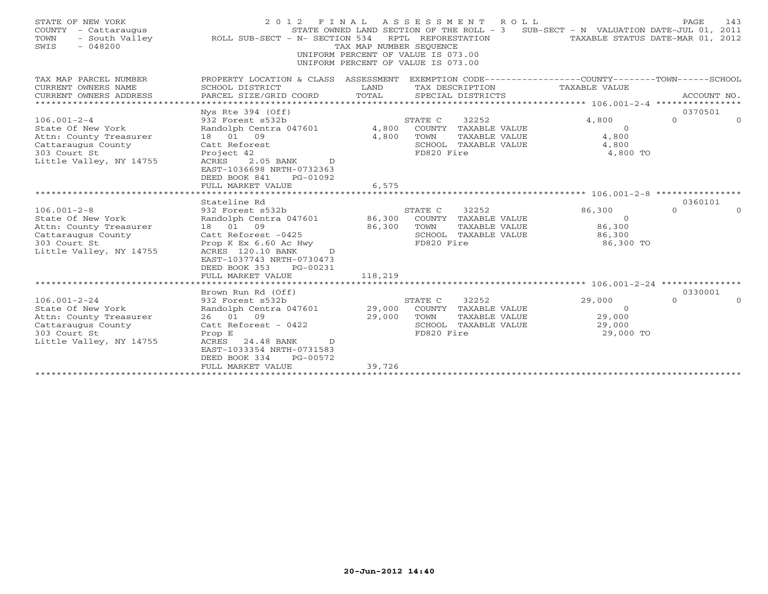| STATE OF NEW YORK<br>COUNTY - Cattaraugus<br>- South Valley<br>TOWN<br>$-048200$<br>SWIS                                           | 2 0 1 2<br>ROLL SUB-SECT - N- SECTION 534                                                                                                                                                                                       | TAX MAP NUMBER SEQUENCE     | FINAL ASSESSMENT ROLL<br>STATE OWNED LAND SECTION OF THE ROLL - 3<br>RPTL REFORESTATION<br>UNIFORM PERCENT OF VALUE IS 073.00<br>UNIFORM PERCENT OF VALUE IS 073.00 | SUB-SECT - N VALUATION DATE-JUL 01, 2011            | 143<br>PAGE<br>TAXABLE STATUS DATE-MAR 01, 2012 |
|------------------------------------------------------------------------------------------------------------------------------------|---------------------------------------------------------------------------------------------------------------------------------------------------------------------------------------------------------------------------------|-----------------------------|---------------------------------------------------------------------------------------------------------------------------------------------------------------------|-----------------------------------------------------|-------------------------------------------------|
| TAX MAP PARCEL NUMBER<br>CURRENT OWNERS NAME<br>CURRENT OWNERS ADDRESS<br>*********************                                    | PROPERTY LOCATION & CLASS ASSESSMENT<br>SCHOOL DISTRICT<br>PARCEL SIZE/GRID COORD                                                                                                                                               | LAND<br>TOTAL               | EXEMPTION CODE-----------------COUNTY-------TOWN------SCHOOL<br>TAX DESCRIPTION<br>SPECIAL DISTRICTS                                                                | TAXABLE VALUE                                       | ACCOUNT NO.                                     |
| $106.001 - 2 - 4$<br>State Of New York<br>Attn: County Treasurer<br>Cattaraugus County<br>303 Court St<br>Little Valley, NY 14755  | Nys Rte $394$ (Off)<br>932 Forest s532b<br>Randolph Centra 047601<br>18 01 09<br>Catt Reforest<br>Project 42<br>2.05 BANK<br>ACRES<br>D<br>EAST-1036698 NRTH-0732363<br>DEED BOOK 841<br>PG-01092<br>FULL MARKET VALUE          | 4,800<br>4,800<br>6,575     | STATE C<br>32252<br>COUNTY TAXABLE VALUE<br>TOWN<br>TAXABLE VALUE<br>SCHOOL TAXABLE VALUE<br>FD820 Fire                                                             | 4,800<br>$\Omega$<br>4,800<br>4,800<br>4,800 TO     | 0370501<br>$\circ$<br>$\Omega$                  |
| $106.001 - 2 - 8$<br>State Of New York<br>Attn: County Treasurer<br>Cattaraugus County<br>303 Court St<br>Little Valley, NY 14755  | Stateline Rd<br>932 Forest s532b<br>Randolph Centra 047601<br>18 01 09<br>Catt Reforest -0425<br>Prop K Ex 6.60 Ac Hwy<br>ACRES 120.10 BANK<br>D<br>EAST-1037743 NRTH-0730473<br>DEED BOOK 353<br>PG-00231<br>FULL MARKET VALUE | 86,300<br>86,300<br>118,219 | STATE C<br>32252<br>COUNTY TAXABLE VALUE<br>TOWN<br>TAXABLE VALUE<br>SCHOOL TAXABLE VALUE<br>FD820 Fire                                                             | 86,300<br>$\Omega$<br>86,300<br>86,300<br>86,300 TO | 0360101<br>$\Omega$<br>$\Omega$                 |
| $106.001 - 2 - 24$<br>State Of New York<br>Attn: County Treasurer<br>Cattaraugus County<br>303 Court St<br>Little Valley, NY 14755 | Brown Run Rd (Off)<br>932 Forest s532b<br>Randolph Centra 047601<br>26 01 09<br>Catt Reforest - 0422<br>Prop E<br>24.48 BANK<br>ACRES<br>D<br>EAST-1033354 NRTH-0731583<br>DEED BOOK 334<br>PG-00572<br>FULL MARKET VALUE       | 29,000<br>29,000<br>39,726  | STATE C<br>32252<br>COUNTY TAXABLE VALUE<br>TOWN<br>TAXABLE VALUE<br>SCHOOL TAXABLE VALUE<br>FD820 Fire                                                             | 29,000<br>$\Omega$<br>29,000<br>29,000<br>29,000 TO | 0330001<br>$\Omega$<br>$\Omega$                 |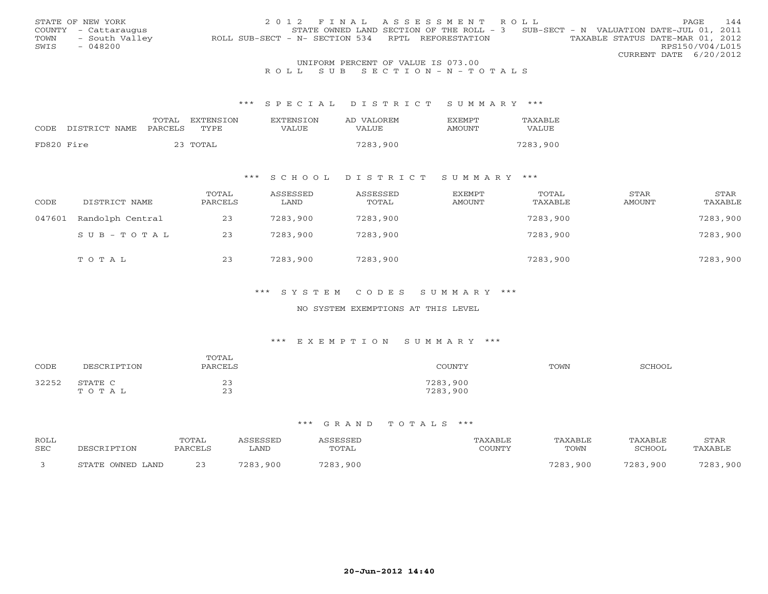|      | STATE OF NEW YORK    |                                                   | 2012 FINAL ASSESSMENT ROLL                                                          | <b>PAGE</b>                      | 144 |
|------|----------------------|---------------------------------------------------|-------------------------------------------------------------------------------------|----------------------------------|-----|
|      | COUNTY - Cattaraugus |                                                   | STATE OWNED LAND SECTION OF THE ROLL - $3$ SUB-SECT - N VALUATION DATE-JUL 01, 2011 |                                  |     |
| TOWN | - South Valley       | ROLL SUB-SECT - N- SECTION 534 RPTL REFORESTATION |                                                                                     | TAXABLE STATUS DATE-MAR 01, 2012 |     |
| SWIS | - 048200             |                                                   |                                                                                     | RPS150/V04/L015                  |     |
|      |                      |                                                   |                                                                                     | CURRENT DATE 6/20/2012           |     |
|      |                      |                                                   | INITEOPM DEPOEME OF WAITE TO 073 00                                                 |                                  |     |

# UNIFORM PERCENT OF VALUE IS 073.00<br>R O L L S U B S E C T I O N – N – T O T A L S

### \*\*\* S P E C I A L D I S T R I C T S U M M A R Y \*\*\*

|            |               | TOTAL   | EXTENSION | <b>EXTENSION</b> | AD VALOREM   | <b>EXEMPT</b> | TAXABLE  |
|------------|---------------|---------|-----------|------------------|--------------|---------------|----------|
| CODE       | DISTRICT NAME | PARCELS | TYPE      | VALUE            | <b>VALUE</b> | AMOUNT        | VALUE    |
|            |               |         |           |                  |              |               |          |
| FD820 Fire |               |         | 23 TOTAL  |                  | 7283,900     |               | 7283,900 |

### \*\*\* S C H O O L D I S T R I C T S U M M A R Y \*\*\*

| CODE   | DISTRICT NAME    | TOTAL<br>PARCELS | ASSESSED<br>LAND | ASSESSED<br>TOTAL | EXEMPT<br>AMOUNT | TOTAL<br>TAXABLE | <b>STAR</b><br>AMOUNT | STAR<br>TAXABLE |
|--------|------------------|------------------|------------------|-------------------|------------------|------------------|-----------------------|-----------------|
| 047601 | Randolph Central | 23               | 7283,900         | 7283,900          |                  | 7283,900         |                       | 7283,900        |
|        | SUB-TOTAL        | 23               | 7283,900         | 7283,900          |                  | 7283,900         |                       | 7283,900        |
|        | TOTAL            | 23               | 7283,900         | 7283,900          |                  | 7283,900         |                       | 7283,900        |

### \*\*\* S Y S T E M C O D E S S U M M A R Y \*\*\*

### NO SYSTEM EXEMPTIONS AT THIS LEVEL

### \*\*\* E X E M P T I O N S U M M A R Y \*\*\*

|       | DESCRIPTION      | TOTAL    | COUNTY               | TOWN |        |
|-------|------------------|----------|----------------------|------|--------|
| CODE  |                  | PARCELS  |                      |      | SCHOOL |
| 32252 | STATE C<br>TOTAL | 23<br>23 | 7283,900<br>7283,900 |      |        |

| ROLL<br><b>SEC</b> | DECAD.               | <b>TOTAL</b><br>PARCEL:   | SSESSED<br>LAND | SSESSEL<br><b>TOTAL</b> | CCTINTM17 | TAXABLE<br>TOWN | TAXABLE<br>SCHOOL | STAR<br>TAXABLE |
|--------------------|----------------------|---------------------------|-----------------|-------------------------|-----------|-----------------|-------------------|-----------------|
|                    | OWNED LAND<br>STATE. | $\sim$ $\sim$<br><u>.</u> | ,900<br>7002    | 7002<br>. 900           |           | 7702<br>.900    | 720.<br>900       | 700'<br>,900    |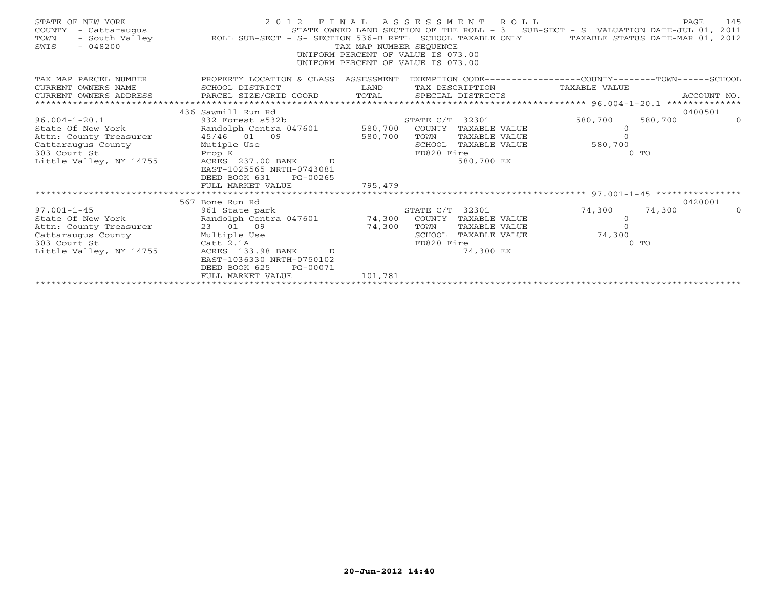| STATE OF NEW YORK<br>COUNTY<br>- Cattaraugus<br>TOWN<br>$-048200$<br>SWIS | 2012 FINAL ASSESSMENT ROLL<br>- South Valley <b>1.2008 ROLL SUB-SECT - S- SECTION 536-B RPTL</b> SCHOOL TAXABLE ONLY TAXABLE STATUS DATE-MAR 01, 2012 | TAX MAP NUMBER SEQUENCE<br>UNIFORM PERCENT OF VALUE IS 073.00<br>UNIFORM PERCENT OF VALUE IS 073.00 |                 |                      | STATE OWNED LAND SECTION OF THE ROLL - 3 SUB-SECT - S VALUATION DATE-JUL 01, 2011 |                | 145<br>PAGE |
|---------------------------------------------------------------------------|-------------------------------------------------------------------------------------------------------------------------------------------------------|-----------------------------------------------------------------------------------------------------|-----------------|----------------------|-----------------------------------------------------------------------------------|----------------|-------------|
| TAX MAP PARCEL NUMBER                                                     | PROPERTY LOCATION & CLASS ASSESSMENT EXEMPTION CODE---------------COUNTY-------TOWN------SCHOOL                                                       |                                                                                                     |                 |                      |                                                                                   |                |             |
| CURRENT OWNERS NAME                                                       | SCHOOL DISTRICT                                                                                                                                       | LAND                                                                                                |                 |                      | TAX DESCRIPTION TAXABLE VALUE                                                     |                |             |
| CURRENT OWNERS ADDRESS                                                    | PARCEL SIZE/GRID COORD TOTAL SPECIAL DISTRICTS                                                                                                        |                                                                                                     |                 |                      |                                                                                   |                | ACCOUNT NO. |
| *******************                                                       |                                                                                                                                                       |                                                                                                     |                 |                      |                                                                                   |                |             |
|                                                                           | 436 Sawmill Run Rd                                                                                                                                    |                                                                                                     |                 |                      |                                                                                   |                | 0400501     |
| $96.004 - 1 - 20.1$                                                       | 932 Forest s532b                                                                                                                                      |                                                                                                     | STATE C/T 32301 |                      | 580,700                                                                           | 580,700        | $\Omega$    |
| State Of New York                                                         | Randolph Centra 047601 580,700                                                                                                                        |                                                                                                     | COUNTY          | TAXABLE VALUE        | $\overline{0}$                                                                    |                |             |
| Attn: County Treasurer 45/46 01 09                                        |                                                                                                                                                       | 580,700                                                                                             | TOWN            | TAXABLE VALUE        | $\Omega$                                                                          |                |             |
| Cattaraugus County                                                        | Mutiple Use                                                                                                                                           |                                                                                                     |                 | SCHOOL TAXABLE VALUE | 580,700                                                                           |                |             |
| 303 Court St                                                              | Prop K                                                                                                                                                |                                                                                                     | FD820 Fire      |                      |                                                                                   | 0 <sub>0</sub> |             |
| Little Valley, NY 14755                                                   | ACRES 237.00 BANK D                                                                                                                                   |                                                                                                     |                 | 580,700 EX           |                                                                                   |                |             |
|                                                                           | EAST-1025565 NRTH-0743081                                                                                                                             |                                                                                                     |                 |                      |                                                                                   |                |             |
|                                                                           | DEED BOOK 631<br>PG-00265                                                                                                                             |                                                                                                     |                 |                      |                                                                                   |                |             |
|                                                                           | FULL MARKET VALUE                                                                                                                                     | 795,479                                                                                             |                 |                      |                                                                                   |                |             |
|                                                                           |                                                                                                                                                       |                                                                                                     |                 |                      |                                                                                   |                |             |
|                                                                           | 567 Bone Run Rd                                                                                                                                       |                                                                                                     |                 |                      |                                                                                   |                | 0420001     |
| $97.001 - 1 - 45$                                                         | 961 State park                                                                                                                                        |                                                                                                     | STATE C/T 32301 |                      | 74,300                                                                            | 74,300         | $\Omega$    |
| State Of New York                                                         | Randolph Centra 047601 74,300 COUNTY TAXABLE VALUE                                                                                                    |                                                                                                     |                 |                      | $\overline{O}$                                                                    |                |             |
| Attn: County Treasurer                                                    | 23 01 09                                                                                                                                              | 74,300                                                                                              | TOWN            | TAXABLE VALUE        | $\Omega$                                                                          |                |             |
| Cattaraugus County                                                        | Multiple Use<br>Catt 2.1A                                                                                                                             |                                                                                                     | SCHOOL          | TAXABLE VALUE        | 74,300                                                                            |                |             |
| 303 Court St                                                              |                                                                                                                                                       |                                                                                                     | FD820 Fire      |                      |                                                                                   | $0$ TO         |             |
| Little Valley, NY 14755                                                   | ACRES 133.98 BANK D                                                                                                                                   |                                                                                                     |                 | 74,300 EX            |                                                                                   |                |             |
|                                                                           | EAST-1036330 NRTH-0750102                                                                                                                             |                                                                                                     |                 |                      |                                                                                   |                |             |
|                                                                           | DEED BOOK 625<br>PG-00071                                                                                                                             |                                                                                                     |                 |                      |                                                                                   |                |             |
|                                                                           | FULL MARKET VALUE<br>**************************                                                                                                       | 101,781                                                                                             |                 |                      |                                                                                   |                |             |
|                                                                           |                                                                                                                                                       |                                                                                                     |                 |                      |                                                                                   |                |             |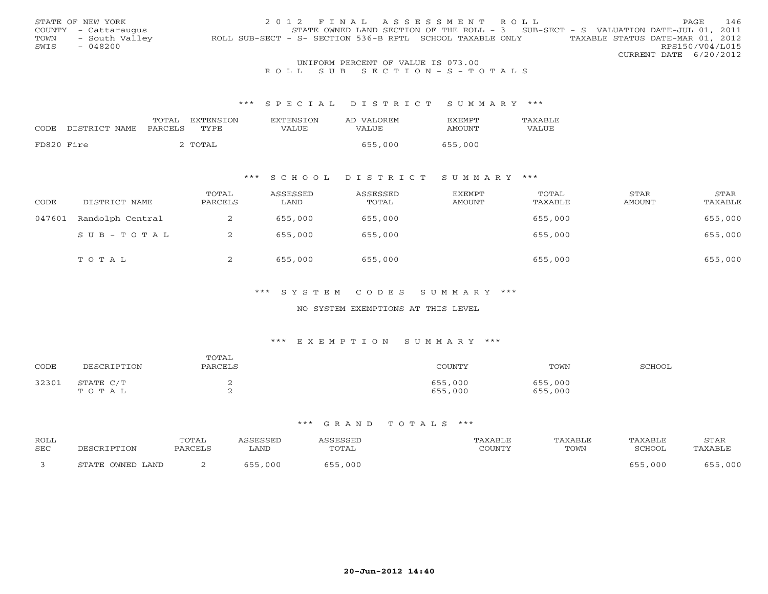|      | STATE OF NEW YORK                  |                                                           |  |  | 2012 FINAL ASSESSMENT ROLL |  |                                                                                   |                        | <b>PAGE</b> | - 146 |
|------|------------------------------------|-----------------------------------------------------------|--|--|----------------------------|--|-----------------------------------------------------------------------------------|------------------------|-------------|-------|
|      | COUNTY - Cattaraugus               |                                                           |  |  |                            |  | STATE OWNED LAND SECTION OF THE ROLL - 3 SUB-SECT - S VALUATION DATE-JUL 01, 2011 |                        |             |       |
| TOWN | - South Valley                     | ROLL SUB-SECT - S- SECTION 536-B RPTL SCHOOL TAXABLE ONLY |  |  |                            |  | TAXABLE STATUS DATE-MAR 01, 2012                                                  |                        |             |       |
| SWIS | $-048200$                          |                                                           |  |  |                            |  |                                                                                   | RPS150/V04/L015        |             |       |
|      |                                    |                                                           |  |  |                            |  |                                                                                   | CURRENT DATE 6/20/2012 |             |       |
|      | UNIFORM PERCENT OF VALUE IS 073.00 |                                                           |  |  |                            |  |                                                                                   |                        |             |       |

## R O L L S U B S E C T I O N - S - T O T A L S

#### \*\*\* S P E C I A L D I S T R I C T S U M M A R Y \*\*\*

|            |                                 | TOTAL | EXTENSION | <b>EXTENSION</b> | AD VALOREM | <b>FXFMPT</b> | <b>TAXABLE</b> |
|------------|---------------------------------|-------|-----------|------------------|------------|---------------|----------------|
|            | CODE DISTRICT NAME PARCELS TYPE |       |           | VALUE            | VALUE      | AMOUNT        | VALUE          |
|            |                                 |       |           |                  |            |               |                |
| FD820 Fire |                                 |       | ? TOTAL   |                  | 655,000    | 655,000       |                |

## \*\*\* S C H O O L D I S T R I C T S U M M A R Y \*\*\*

| CODE   | DISTRICT NAME    | TOTAL<br>PARCELS | ASSESSED<br>LAND | ASSESSED<br>TOTAL | EXEMPT<br>AMOUNT | TOTAL<br>TAXABLE | STAR<br>AMOUNT | STAR<br>TAXABLE |
|--------|------------------|------------------|------------------|-------------------|------------------|------------------|----------------|-----------------|
| 047601 | Randolph Central | ∠                | 655,000          | 655,000           |                  | 655,000          |                | 655,000         |
|        | SUB-TOTAL        | ∠                | 655,000          | 655,000           |                  | 655,000          |                | 655,000         |
|        | TOTAL            | ∠                | 655,000          | 655,000           |                  | 655,000          |                | 655,000         |

## \*\*\* S Y S T E M C O D E S S U M M A R Y \*\*\*

#### NO SYSTEM EXEMPTIONS AT THIS LEVEL

#### \*\*\* E X E M P T I O N S U M M A R Y \*\*\*

| CODE  | DESCRIPTION        | TOTAL<br>PARCELS | COUNTY             | TOWN               | SCHOOL |
|-------|--------------------|------------------|--------------------|--------------------|--------|
| 32301 | STATE C/T<br>TOTAL |                  | 655,000<br>655,000 | 655,000<br>655,000 |        |

| ROLL<br>SEC | DESCRIPTION      | TOTAL<br>PARCELS | <i><b>ISSESSED</b></i><br>LAND | <i><b>\SSESSEL</b></i><br>TOTAL | "AXABLE<br>COUNTY | TAXABLE<br>TOWN | TAXABLE<br>SCHOOL | STAR<br>TAXABLE |
|-------------|------------------|------------------|--------------------------------|---------------------------------|-------------------|-----------------|-------------------|-----------------|
|             | STATE OWNED LAND | <u>_</u>         | 000                            | 655<br>655,000                  |                   |                 | .000              | ,000            |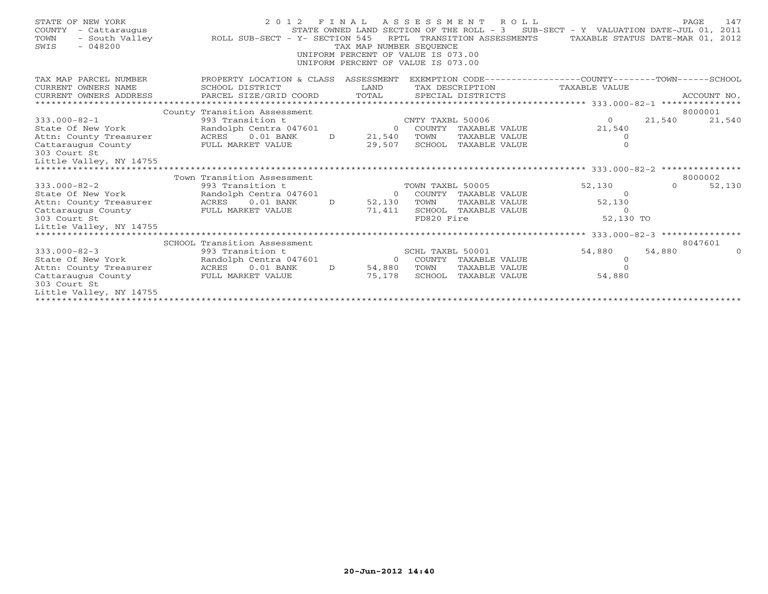| STATE OF NEW YORK<br>COUNTY<br>- Cattaraugus<br>- South Valley<br>TOWN<br>$-048200$<br>SWIS | 2 0 1 2<br>ROLL SUB-SECT - Y- SECTION 545 |               | RPTL<br>TAX MAP NUMBER SEOUENCE<br>UNIFORM PERCENT OF VALUE IS 073.00<br>UNIFORM PERCENT OF VALUE IS 073.00 |                  | FINAL ASSESSMENT ROLL<br>TRANSITION ASSESSMENTS | STATE OWNED LAND SECTION OF THE ROLL - $3$ SUB-SECT - Y VALUATION DATE-JUL 01,<br>TAXABLE STATUS DATE-MAR 01, 2012 |          | 147<br>PAGE<br>2011 |
|---------------------------------------------------------------------------------------------|-------------------------------------------|---------------|-------------------------------------------------------------------------------------------------------------|------------------|-------------------------------------------------|--------------------------------------------------------------------------------------------------------------------|----------|---------------------|
| TAX MAP PARCEL NUMBER                                                                       | PROPERTY LOCATION & CLASS ASSESSMENT      |               |                                                                                                             |                  |                                                 | EXEMPTION CODE-----------------COUNTY-------TOWN------SCHOOL                                                       |          |                     |
| CURRENT OWNERS NAME                                                                         | SCHOOL DISTRICT                           |               | LAND                                                                                                        |                  | TAX DESCRIPTION                                 | TAXABLE VALUE                                                                                                      |          |                     |
| CURRENT OWNERS ADDRESS                                                                      | PARCEL SIZE/GRID COORD                    |               | TOTAL                                                                                                       |                  | SPECIAL DISTRICTS                               |                                                                                                                    |          | ACCOUNT NO.         |
|                                                                                             | County Transition Assessment              |               |                                                                                                             |                  |                                                 |                                                                                                                    |          | 8000001             |
| $333.000 - 82 - 1$                                                                          | 993 Transition t                          |               |                                                                                                             | CNTY TAXBL 50006 |                                                 | $\Omega$                                                                                                           | 21,540   | 21,540              |
| State Of New York                                                                           | Randolph Centra 047601                    |               |                                                                                                             |                  | 0 COUNTY TAXABLE VALUE                          | 21,540                                                                                                             |          |                     |
| Attn: County Treasurer                                                                      | ACRES 0.01 BANK                           | $\Gamma$      | 21,540                                                                                                      | TOWN             | TAXABLE VALUE                                   | $\circ$                                                                                                            |          |                     |
| Cattaraugus County                                                                          | FULL MARKET VALUE                         |               | 29,507                                                                                                      |                  | SCHOOL TAXABLE VALUE                            | $\mathbf{0}$                                                                                                       |          |                     |
| 303 Court St                                                                                |                                           |               |                                                                                                             |                  |                                                 |                                                                                                                    |          |                     |
| Little Valley, NY 14755                                                                     |                                           |               |                                                                                                             |                  |                                                 |                                                                                                                    |          |                     |
|                                                                                             |                                           |               |                                                                                                             |                  |                                                 |                                                                                                                    |          |                     |
|                                                                                             | Town Transition Assessment                |               |                                                                                                             |                  |                                                 |                                                                                                                    |          | 8000002             |
| $333.000 - 82 - 2$                                                                          | 993 Transition t                          |               |                                                                                                             | TOWN TAXBL 50005 |                                                 | 52,130                                                                                                             | $\Omega$ | 52,130              |
| State Of New York                                                                           | Randolph Centra 047601                    |               | $\Omega$                                                                                                    |                  | COUNTY TAXABLE VALUE                            | $\Omega$                                                                                                           |          |                     |
| Attn: County Treasurer                                                                      | ACRES 0.01 BANK                           | $\mathcal{D}$ | 52,130                                                                                                      | TOWN             | TAXABLE VALUE                                   | 52,130                                                                                                             |          |                     |
| Cattaraugus County                                                                          | FULL MARKET VALUE                         |               | 71,411                                                                                                      |                  | SCHOOL TAXABLE VALUE                            | $\Omega$                                                                                                           |          |                     |
| 303 Court St<br>Little Valley, NY 14755                                                     |                                           |               |                                                                                                             | FD820 Fire       |                                                 | 52,130 TO                                                                                                          |          |                     |
|                                                                                             |                                           |               |                                                                                                             |                  |                                                 |                                                                                                                    |          |                     |
|                                                                                             | SCHOOL Transition Assessment              |               |                                                                                                             |                  |                                                 |                                                                                                                    |          | 8047601             |
| $333.000 - 82 - 3$                                                                          | 993 Transition t                          |               |                                                                                                             | SCHL TAXBL 50001 |                                                 | 54,880                                                                                                             | 54,880   | $\cap$              |
| State Of New York                                                                           | Randolph Centra 047601                    |               |                                                                                                             |                  | 0 COUNTY TAXABLE VALUE                          | $\circ$                                                                                                            |          |                     |
| Attn: County Treasurer                                                                      | $0.01$ BANK<br>ACRES                      | $\Gamma$      | 54,880                                                                                                      | TOWN             | TAXABLE VALUE                                   | $\Omega$                                                                                                           |          |                     |
| Cattaraugus County                                                                          | FULL MARKET VALUE                         |               | 75,178                                                                                                      |                  | SCHOOL TAXABLE VALUE                            | 54,880                                                                                                             |          |                     |
| 303 Court St                                                                                |                                           |               |                                                                                                             |                  |                                                 |                                                                                                                    |          |                     |
| Little Valley, NY 14755                                                                     |                                           |               |                                                                                                             |                  |                                                 |                                                                                                                    |          |                     |
|                                                                                             |                                           |               |                                                                                                             |                  |                                                 |                                                                                                                    |          |                     |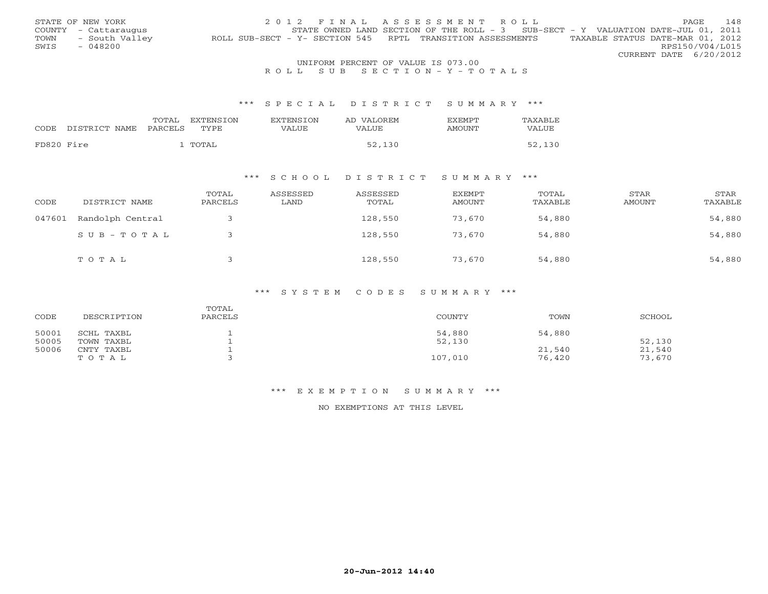|      | STATE OF NEW YORK                  | 2012 FINAL ASSESSMENT ROLL                                                                     | PAGE | 148             |  |  |  |
|------|------------------------------------|------------------------------------------------------------------------------------------------|------|-----------------|--|--|--|
|      | COUNTY - Cattaraugus               | STATE OWNED LAND SECTION OF THE ROLL - 3 SUB-SECT - Y VALUATION DATE-JUL 01, 2011              |      |                 |  |  |  |
| TOWN | - South Valley                     | TAXABLE STATUS DATE-MAR 01, 2012<br>ROLL SUB-SECT - Y- SECTION 545 RPTL TRANSITION ASSESSMENTS |      |                 |  |  |  |
| SWIS | $-048200$                          |                                                                                                |      | RPS150/V04/L015 |  |  |  |
|      |                                    | CURRENT DATE 6/20/2012                                                                         |      |                 |  |  |  |
|      | UNIFORM PERCENT OF VALUE IS 073.00 |                                                                                                |      |                 |  |  |  |

## R O L L S U B S E C T I O N - Y - T O T A L S

#### \*\*\* S P E C I A L D I S T R I C T S U M M A R Y \*\*\*

|                       | TOTAL<br><b>EXTENSION</b> | <b>EXTENSION</b> | AD VALOREM | 7.XFMPT | TAXABLE |
|-----------------------|---------------------------|------------------|------------|---------|---------|
| CODE<br>DISTRICT NAME | PARCELS<br>TVPE           | VALUE            | VALUE      | AMOUNT  | VALUE   |
| FD820 Fire            | ™∩™∆⊺                     |                  | 52,130     |         | 52,130  |

## \*\*\* S C H O O L D I S T R I C T S U M M A R Y \*\*\*

| CODE   | DISTRICT NAME    | TOTAL<br>PARCELS | ASSESSED<br>LAND | ASSESSED<br>TOTAL | EXEMPT<br>AMOUNT | TOTAL<br>TAXABLE | STAR<br>AMOUNT | STAR<br>TAXABLE |
|--------|------------------|------------------|------------------|-------------------|------------------|------------------|----------------|-----------------|
| 047601 | Randolph Central |                  |                  | 128,550           | 73,670           | 54,880           |                | 54,880          |
|        | SUB-TOTAL        |                  |                  | 128,550           | 73,670           | 54,880           |                | 54,880          |
|        | TOTAL            |                  |                  | 128,550           | 73,670           | 54,880           |                | 54,880          |

## \*\*\* S Y S T E M C O D E S S U M M A R Y \*\*\*

| CODE  | DESCRIPTION | TOTAL<br>PARCELS | <b>COUNTY</b> | TOWN   | SCHOOL |
|-------|-------------|------------------|---------------|--------|--------|
| 50001 | SCHL TAXBL  |                  | 54,880        | 54,880 |        |
| 50005 | TOWN TAXBL  |                  | 52,130        |        | 52,130 |
| 50006 | CNTY TAXBL  |                  |               | 21,540 | 21,540 |
|       | тотаь       |                  | 107,010       | 76,420 | 73,670 |

#### \*\*\* E X E M P T I O N S U M M A R Y \*\*\*

NO EXEMPTIONS AT THIS LEVEL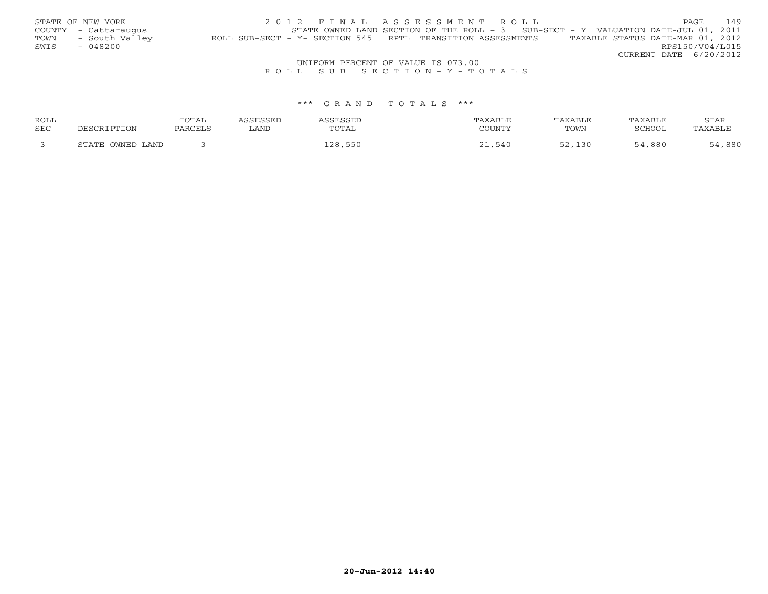|      | STATE OF NEW YORK                  | 2012 FINAL ASSESSMENT ROLL                                                                     | PAGE.           | 149 |  |  |  |
|------|------------------------------------|------------------------------------------------------------------------------------------------|-----------------|-----|--|--|--|
|      | COUNTY - Cattaraugus               | STATE OWNED LAND SECTION OF THE ROLL - $3$ SUB-SECT - Y VALUATION DATE-JUL 01, 2011            |                 |     |  |  |  |
| TOWN | - South Valley                     | TAXABLE STATUS DATE-MAR 01, 2012<br>ROLL SUB-SECT - Y- SECTION 545 RPTL TRANSITION ASSESSMENTS |                 |     |  |  |  |
| SWIS | - 048200                           |                                                                                                | RPS150/V04/L015 |     |  |  |  |
|      |                                    | CURRENT DATE 6/20/2012                                                                         |                 |     |  |  |  |
|      | UNIFORM PERCENT OF VALUE IS 073.00 |                                                                                                |                 |     |  |  |  |

R O L L S U B S E C T I O N - Y - T O T A L S

| ROLL |                  | TOTAL   | <i>L</i> CCFCCFD |             | TAXABLE | TAXABLE | TAXABLE | STAR    |
|------|------------------|---------|------------------|-------------|---------|---------|---------|---------|
| SEC  | DESCRIPTION      | PARCELS | LAND             | TOTAL       | COUNTY  | TOWN    | SCHOOL  | TAXABLE |
|      | STATE OWNED LAND |         |                  | . 550<br>ററ | -540    |         | ,880    | ,880    |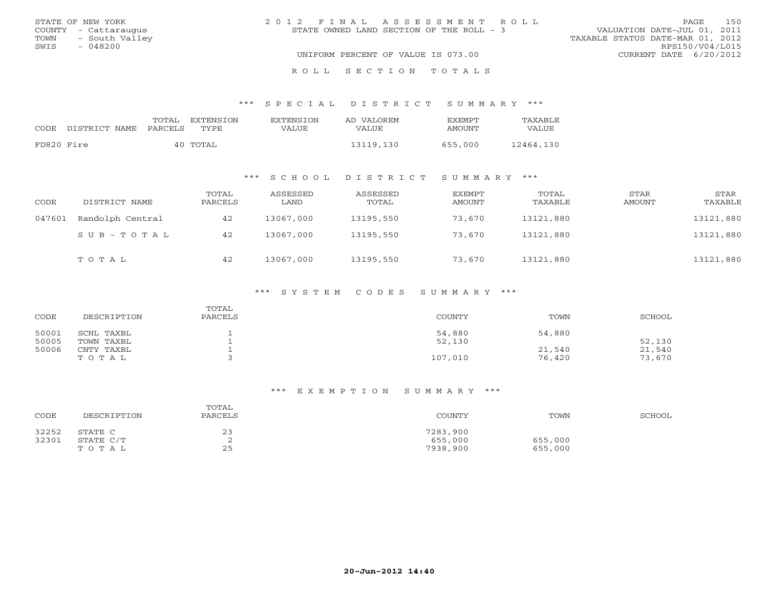|      | STATE OF NEW YORK    | 2012 FINAL ASSESSMENT ROLL               | 150<br>PAGE                      |
|------|----------------------|------------------------------------------|----------------------------------|
|      | COUNTY - Cattaraugus | STATE OWNED LAND SECTION OF THE ROLL - 3 | VALUATION DATE-JUL 01, 2011      |
|      | TOWN - South Valley  |                                          | TAXABLE STATUS DATE-MAR 01, 2012 |
| SWIS | - 048200             |                                          | RPS150/V04/L015                  |
|      |                      | UNIFORM PERCENT OF VALUE IS 073.00       | CURRENT DATE 6/20/2012           |
|      |                      |                                          |                                  |

#### \*\*\* S P E C I A L D I S T R I C T S U M M A R Y \*\*\*

|            | CODE DISTRICT NAME | TOTAL<br>PARCELS | EXTENSTON<br>TYPE | <b>EXTENSION</b><br>VALUE | AD VALOREM<br>VALUE | <b>FXFMPT</b><br>AMOUNT | <b>TAXABLE</b><br>VALUE |
|------------|--------------------|------------------|-------------------|---------------------------|---------------------|-------------------------|-------------------------|
| FD820 Fire |                    |                  | 40 TOTAL          |                           | 13119,130           | 655,000                 | 12464,130               |

R O L L S E C T I O N T O T A L S

## \*\*\* S C H O O L D I S T R I C T S U M M A R Y \*\*\*

| CODE   | DISTRICT NAME    | TOTAL<br>PARCELS | ASSESSED<br>LAND | ASSESSED<br>TOTAL | EXEMPT<br>AMOUNT | TOTAL<br>TAXABLE | STAR<br>AMOUNT | STAR<br>TAXABLE |
|--------|------------------|------------------|------------------|-------------------|------------------|------------------|----------------|-----------------|
| 047601 | Randolph Central | 42               | 13067,000        | 13195,550         | 73,670           | 13121,880        |                | 13121,880       |
|        | $SUB - TO T AL$  | 42               | 13067,000        | 13195,550         | 73,670           | 13121,880        |                | 13121,880       |
|        | TOTAL            | 42               | 13067,000        | 13195,550         | 73,670           | 13121,880        |                | 13121,880       |

## \*\*\* S Y S T E M C O D E S S U M M A R Y \*\*\*

| CODE           | DESCRIPTION              | TOTAL<br>PARCELS | COUNTY           | TOWN             | SCHOOL           |
|----------------|--------------------------|------------------|------------------|------------------|------------------|
| 50001<br>50005 | SCHL TAXBL<br>TOWN TAXBL |                  | 54,880<br>52,130 | 54,880           | 52,130           |
| 50006          | CNTY TAXBL<br>TOTAL      |                  | 107,010          | 21,540<br>76,420 | 21,540<br>73,670 |

| CODE  | DESCRIPTION | TOTAL<br>PARCELS | COUNTY   | TOWN    | SCHOOL |
|-------|-------------|------------------|----------|---------|--------|
| 32252 | STATE C     | 23               | 7283,900 |         |        |
| 32301 | STATE C/T   |                  | 655,000  | 655,000 |        |
|       | TOTAL       | 25               | 7938,900 | 655,000 |        |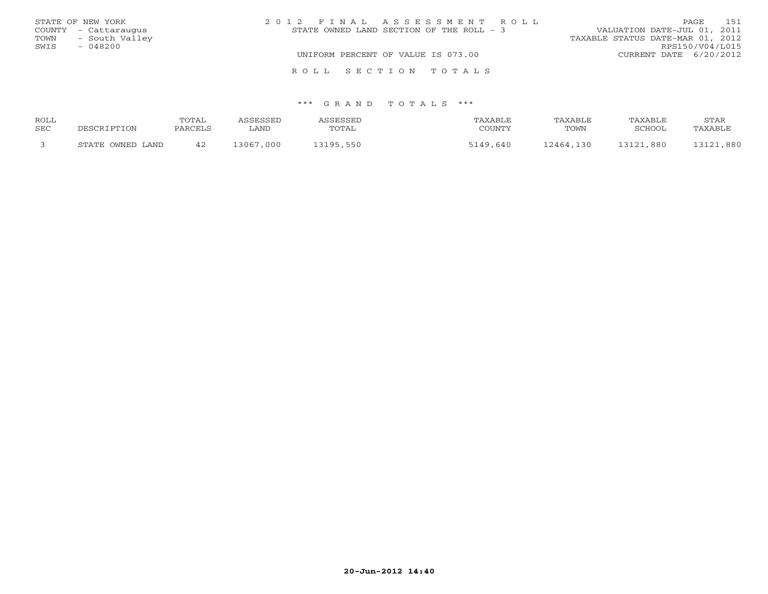|      | STATE OF NEW YORK    | 2012 FINAL ASSESSMENT ROLL                | 151<br>PAGE                      |
|------|----------------------|-------------------------------------------|----------------------------------|
|      | COUNTY - Cattaraugus | STATE OWNED LAND SECTION OF THE ROLL $-3$ | VALUATION DATE-JUL 01, 2011      |
| TOWN | - South Valley       |                                           | TAXABLE STATUS DATE-MAR 01, 2012 |
| SWIS | $-048200$            |                                           | RPS150/V04/L015                  |
|      |                      | UNIFORM PERCENT OF VALUE IS 073.00        | CURRENT DATE 6/20/2012           |
|      |                      | ROLL SECTION TOTALS                       |                                  |

| ROLL |                      | TOTAL   | SSESSED     | <i><b>\SSESSED</b></i> | TAXABLE       | TAXABLE   | TAXABLE   | STAR      |
|------|----------------------|---------|-------------|------------------------|---------------|-----------|-----------|-----------|
| SEC  | ם השפח               | PARCELS | <b>LAND</b> | TOTAL                  | COUNTY        | TOWN      | SCHOOL    | TAXABLE   |
|      | OWNED LAND<br>STATE. | 42      | 13067,000   | 3105<br>550            | , 640<br>5110 | 12464.130 | 13121,880 | 1.121,880 |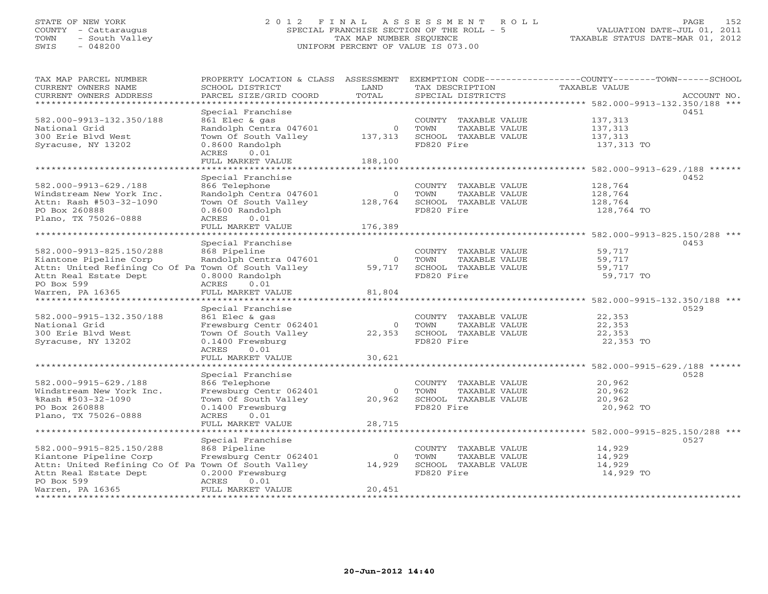## STATE OF NEW YORK 2 0 1 2 F I N A L A S S E S S M E N T R O L L PAGE 152 COUNTY - Cattaraugus SPECIAL FRANCHISE SECTION OF THE ROLL - 5 VALUATION DATE-JUL 01, 2011 TOWN - South Valley TAX MAP NUMBER SEQUENCE TAXABLE STATUS DATE-MAR 01, 2012 SWIS - 048200 UNIFORM PERCENT OF VALUE IS 073.00UNIFORM PERCENT OF VALUE IS 073.00

| TAX MAP PARCEL NUMBER<br>CURRENT OWNERS NAME        | SCHOOL DISTRICT                          | LAND           | TAX DESCRIPTION                               | PROPERTY LOCATION & CLASS ASSESSMENT EXEMPTION CODE---------------COUNTY-------TOWN------SCHOOL<br>TAXABLE VALUE |             |
|-----------------------------------------------------|------------------------------------------|----------------|-----------------------------------------------|------------------------------------------------------------------------------------------------------------------|-------------|
| CURRENT OWNERS ADDRESS                              | PARCEL SIZE/GRID COORD                   | TOTAL          | SPECIAL DISTRICTS                             |                                                                                                                  | ACCOUNT NO. |
| ********************                                |                                          |                |                                               |                                                                                                                  |             |
|                                                     | Special Franchise                        |                |                                               | 0451                                                                                                             |             |
| 582.000-9913-132.350/188                            | 861 Elec & gas                           |                | COUNTY TAXABLE VALUE                          | 137,313                                                                                                          |             |
| National Grid                                       | Randolph Centra 047601                   | $\circ$        | TOWN<br>TAXABLE VALUE                         | 137,313                                                                                                          |             |
| 300 Erie Blvd West                                  | Town Of South Valley                     | 137,313        | SCHOOL TAXABLE VALUE                          | 137,313                                                                                                          |             |
| Syracuse, NY 13202                                  | 0.8600 Randolph                          |                | FD820 Fire                                    | 137,313 TO                                                                                                       |             |
|                                                     | 0.01<br>ACRES                            |                |                                               |                                                                                                                  |             |
|                                                     | FULL MARKET VALUE                        | 188,100        |                                               |                                                                                                                  |             |
|                                                     | Special Franchise                        |                |                                               | 0452                                                                                                             |             |
| 582.000-9913-629./188                               | 866 Telephone                            |                | COUNTY TAXABLE VALUE                          | 128,764                                                                                                          |             |
| Windstream New York Inc.                            | Randolph Centra 047601                   | $\circ$        | TOWN<br>TAXABLE VALUE                         | 128,764                                                                                                          |             |
| Attn: Rash #503-32-1090                             | Town Of South Valley                     | 128,764        | SCHOOL TAXABLE VALUE                          | 128,764                                                                                                          |             |
| PO Box 260888                                       | 0.8600 Randolph                          |                | FD820 Fire                                    | 128,764 TO                                                                                                       |             |
| Plano, TX 75026-0888                                | 0.01<br>ACRES                            |                |                                               |                                                                                                                  |             |
|                                                     | FULL MARKET VALUE                        | 176,389        |                                               |                                                                                                                  |             |
|                                                     |                                          |                |                                               |                                                                                                                  |             |
|                                                     | Special Franchise                        |                |                                               | 0453                                                                                                             |             |
| 582.000-9913-825.150/288                            | 868 Pipeline                             |                | COUNTY TAXABLE VALUE                          | 59,717                                                                                                           |             |
| Kiantone Pipeline Corp                              | Randolph Centra 047601                   | $\circ$        | TOWN<br>TAXABLE VALUE                         | 59,717                                                                                                           |             |
| Attn: United Refining Co Of Pa Town Of South Valley |                                          | 59,717         | SCHOOL TAXABLE VALUE                          | 59,717                                                                                                           |             |
| Attn Real Estate Dept                               | 0.8000 Randolph                          |                | FD820 Fire                                    | 59,717 TO                                                                                                        |             |
| PO Box 599                                          | ACRES<br>0.01                            |                |                                               |                                                                                                                  |             |
| Warren, PA 16365                                    | FULL MARKET VALUE                        | 81,804         |                                               |                                                                                                                  |             |
|                                                     |                                          |                |                                               |                                                                                                                  |             |
| 582.000-9915-132.350/188                            | Special Franchise                        |                |                                               | 0529<br>22,353                                                                                                   |             |
| National Grid                                       | 861 Elec & gas<br>Frewsburg Centr 062401 | $\circ$        | COUNTY TAXABLE VALUE<br>TOWN<br>TAXABLE VALUE | 22,353                                                                                                           |             |
| 300 Erie Blvd West                                  | Town Of South Valley                     | 22,353         | SCHOOL TAXABLE VALUE                          | 22,353                                                                                                           |             |
| Syracuse, NY 13202                                  | $0.1400$ Frewsburg                       |                | FD820 Fire                                    | 22,353 TO                                                                                                        |             |
|                                                     | 0.01<br>ACRES                            |                |                                               |                                                                                                                  |             |
|                                                     | FULL MARKET VALUE                        | 30,621         |                                               |                                                                                                                  |             |
|                                                     |                                          |                |                                               |                                                                                                                  |             |
|                                                     | Special Franchise                        |                |                                               | 0528                                                                                                             |             |
| 582.000-9915-629./188                               | 866 Telephone                            |                | COUNTY TAXABLE VALUE                          | 20,962                                                                                                           |             |
| Windstream New York Inc.                            | Frewsburg Centr 062401                   | $\overline{0}$ | TOWN<br>TAXABLE VALUE                         | 20,962                                                                                                           |             |
| %Rash #503-32-1090                                  | Town Of South Valley                     | 20,962         | SCHOOL TAXABLE VALUE                          | 20,962                                                                                                           |             |
| PO Box 260888                                       | $0.1400$ Frewsburg                       |                | FD820 Fire                                    | 20,962 TO                                                                                                        |             |
| Plano, TX 75026-0888                                | ACRES<br>0.01                            |                |                                               |                                                                                                                  |             |
|                                                     | FULL MARKET VALUE                        | 28,715         |                                               |                                                                                                                  |             |
|                                                     |                                          |                |                                               |                                                                                                                  |             |
|                                                     | Special Franchise                        |                |                                               | 0527                                                                                                             |             |
| 582.000-9915-825.150/288<br>Kiantone Pipeline Corp  | 868 Pipeline<br>Frewsburg Centr 062401   | $\circ$        | COUNTY TAXABLE VALUE<br>TOWN<br>TAXABLE VALUE | 14,929<br>14,929                                                                                                 |             |
| Attn: United Refining Co Of Pa Town Of South Valley |                                          | 14,929         | SCHOOL TAXABLE VALUE                          | 14,929                                                                                                           |             |
| Attn Real Estate Dept                               |                                          |                | FD820 Fire                                    | 14,929 TO                                                                                                        |             |
| PO Box 599                                          | 0.2000 Frewsburg<br>ACRES<br>0.01        |                |                                               |                                                                                                                  |             |
| Warren, PA 16365                                    | FULL MARKET VALUE                        | 20,451         |                                               |                                                                                                                  |             |
|                                                     |                                          |                |                                               |                                                                                                                  |             |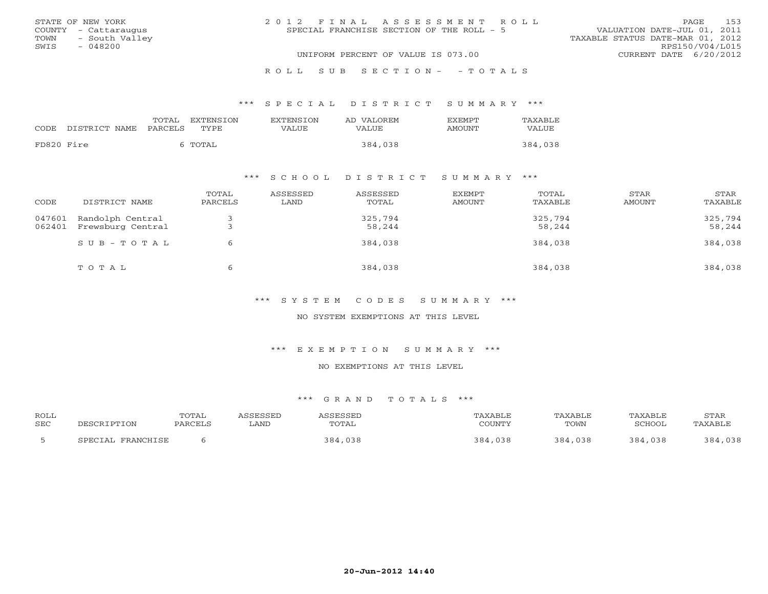|      | STATE OF NEW YORK    | 2012 FINAL ASSESSMENT ROLL                |                                  | PAGE            | 153 |
|------|----------------------|-------------------------------------------|----------------------------------|-----------------|-----|
|      | COUNTY - Cattaraugus | SPECIAL FRANCHISE SECTION OF THE ROLL - 5 | VALUATION DATE-JUL 01, 2011      |                 |     |
|      | TOWN - South Valley  |                                           | TAXABLE STATUS DATE-MAR 01, 2012 |                 |     |
| SWIS | $-048200$            |                                           |                                  | RPS150/V04/L015 |     |
|      |                      | UNIFORM PERCENT OF VALUE IS 073.00        | CURRENT DATE 6/20/2012           |                 |     |
|      |                      |                                           |                                  |                 |     |

#### R O L L S U B S E C T I O N - - T O T A L S

#### \*\*\* S P E C I A L D I S T R I C T S U M M A R Y \*\*\*

|            |                    | TOTAL   | <b>EXTENSION</b> | <b>EXTENSION</b> | AD VALOREM | <b>EXEMPT</b> | TAXABLE |
|------------|--------------------|---------|------------------|------------------|------------|---------------|---------|
|            | CODE DISTRICT NAME | PARCELS | TYPE.            | <b>VALUE</b>     | VALUE      | AMOUNT        | VALUE   |
| FD820 Fire |                    |         | TOTAL            |                  | 384,038    |               | 384,038 |

## \*\*\* S C H O O L D I S T R I C T S U M M A R Y \*\*\*

| CODE             | DISTRICT NAME                         | TOTAL<br>PARCELS | ASSESSED<br>LAND | ASSESSED<br>TOTAL | EXEMPT<br><b>AMOUNT</b> | TOTAL<br>TAXABLE  | STAR<br>AMOUNT | STAR<br>TAXABLE   |
|------------------|---------------------------------------|------------------|------------------|-------------------|-------------------------|-------------------|----------------|-------------------|
| 047601<br>062401 | Randolph Central<br>Frewsburg Central |                  |                  | 325,794<br>58,244 |                         | 325,794<br>58,244 |                | 325,794<br>58,244 |
|                  | $SUB - TO T AL$                       | 6                |                  | 384,038           |                         | 384,038           |                | 384,038           |
|                  | TOTAL                                 | b                |                  | 384,038           |                         | 384,038           |                | 384,038           |

\*\*\* S Y S T E M C O D E S S U M M A R Y \*\*\*

NO SYSTEM EXEMPTIONS AT THIS LEVEL

\*\*\* E X E M P T I O N S U M M A R Y \*\*\*

NO EXEMPTIONS AT THIS LEVEL

| ROLL       |                   | TOTAL   | ASSESSED | ASSESSED | TAXABLE | TAXABLE | TAXABLE | STAR    |
|------------|-------------------|---------|----------|----------|---------|---------|---------|---------|
| <b>SEC</b> | DESCRIPTION       | PARCELS | LAND     | TOTAL    | COUNTY  | TOWN    | SCHOOL  | TAXABLE |
|            | SPECIAL FRANCHISE |         |          | 384,038  | 384,038 | 384,038 | 384,038 | 384,038 |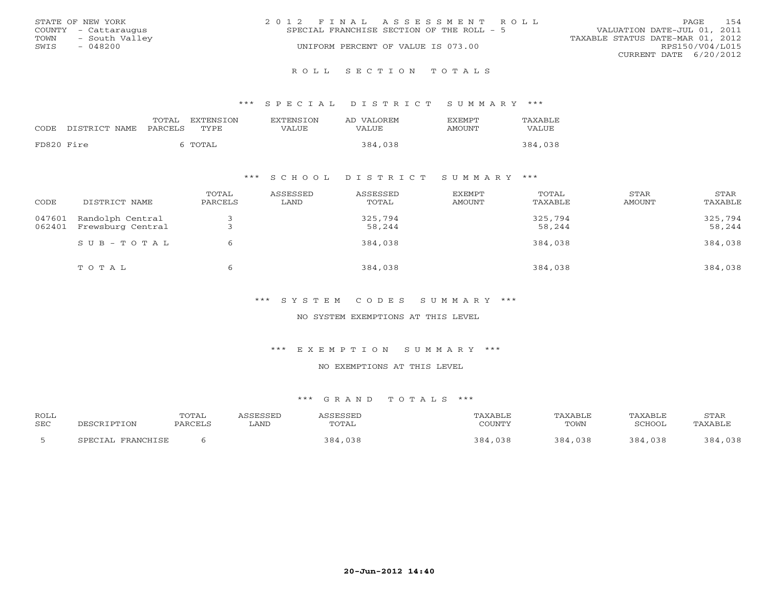|      | STATE OF NEW YORK    | 2012 FINAL ASSESSMENT ROLL                |                                  | PAGE            | 154 |
|------|----------------------|-------------------------------------------|----------------------------------|-----------------|-----|
|      | COUNTY - Cattaraugus | SPECIAL FRANCHISE SECTION OF THE ROLL - 5 | VALUATION DATE-JUL 01, 2011      |                 |     |
| TOWN | - South Valley       |                                           | TAXABLE STATUS DATE-MAR 01, 2012 |                 |     |
| SWIS | - 048200             | UNIFORM PERCENT OF VALUE IS 073.00        |                                  | RPS150/V04/L015 |     |
|      |                      |                                           | CURRENT DATE 6/20/2012           |                 |     |
|      |                      |                                           |                                  |                 |     |

#### R O L L S E C T I O N T O T A L S

#### \*\*\* S P E C I A L D I S T R I C T S U M M A R Y \*\*\*

|            |               | TOTAL   | <b>EXTENSION</b> | <b>EXTENSION</b> | AD VALOREM | F.XFMPT | TAXABLE |
|------------|---------------|---------|------------------|------------------|------------|---------|---------|
| CODE       | DISTRICT NAME | PARCELS | TYPE             | VALUE            | VALUE      | AMOUNT  | VALUE   |
| FD820 Fire |               |         | TOTAL            |                  | 384,038    |         | 384,038 |

### \*\*\* S C H O O L D I S T R I C T S U M M A R Y \*\*\*

| CODE             | DISTRICT NAME                         | TOTAL<br>PARCELS | ASSESSED<br>LAND | ASSESSED<br>TOTAL | EXEMPT<br>AMOUNT | TOTAL<br>TAXABLE  | STAR<br>AMOUNT | STAR<br>TAXABLE   |
|------------------|---------------------------------------|------------------|------------------|-------------------|------------------|-------------------|----------------|-------------------|
| 047601<br>062401 | Randolph Central<br>Frewsburg Central |                  |                  | 325,794<br>58,244 |                  | 325,794<br>58,244 |                | 325,794<br>58,244 |
|                  | $SUB - TO T AL$                       |                  |                  | 384,038           |                  | 384,038           |                | 384,038           |
|                  | TOTAL                                 |                  |                  | 384,038           |                  | 384,038           |                | 384,038           |

\*\*\* S Y S T E M C O D E S S U M M A R Y \*\*\*

NO SYSTEM EXEMPTIONS AT THIS LEVEL

\*\*\* E X E M P T I O N S U M M A R Y \*\*\*

NO EXEMPTIONS AT THIS LEVEL

| ROLL       |                                   | <b>TOTAL</b> | <b>CCFCCFD</b> | CFCCFI       |                     | TAXABLE    | TAXABLE       | STAR         |
|------------|-----------------------------------|--------------|----------------|--------------|---------------------|------------|---------------|--------------|
| <b>SEC</b> |                                   | PARCEL.      | ∟AND           | TOTAL        | $\bigcap$           | TOWN       | <b>TCHOOL</b> |              |
|            | <b>FRANCHICE</b><br><b>CDECTA</b> |              |                | `,03ხ<br>384 | $\cdot$ Q $\Lambda$ | 384<br>038 |               | 384<br>n p o |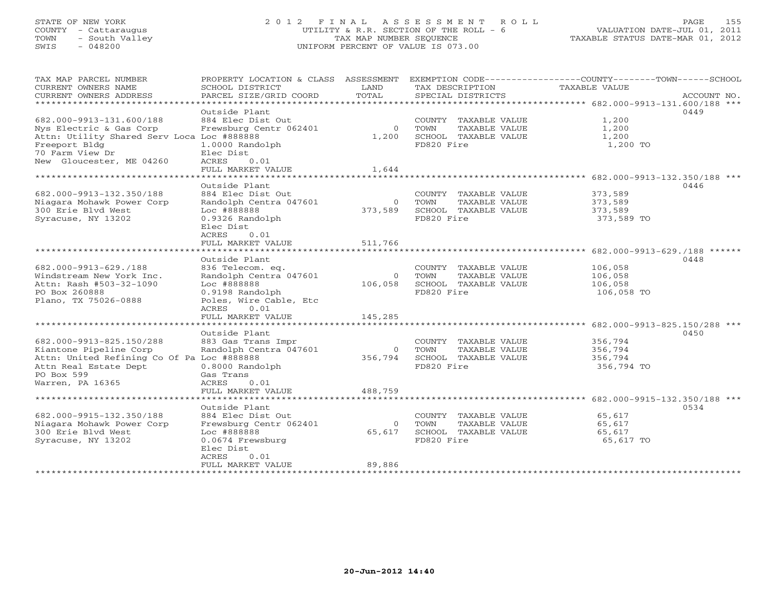# STATE OF NEW YORK 2 0 1 2 F I N A L A S S E S S M E N T R O L L PAGE 155 COUNTY - Cattaraugus UTILITY & R.R. SECTION OF THE ROLL - 6 VALUATION DATE-JUL 01, 2011 TOWN - South Valley TAX MAP NUMBER SEQUENCE TAXABLE STATUS DATE-MAR 01, 2012 SWIS - 048200 UNIFORM PERCENT OF VALUE IS 073.00

| TAX MAP PARCEL NUMBER<br>CURRENT OWNERS NAME<br>CURRENT OWNERS ADDRESS                                                                                               | PROPERTY LOCATION & CLASS ASSESSMENT<br>SCHOOL DISTRICT<br>PARCEL SIZE/GRID COORD                                                                         | T.AND<br>TOTAL               | TAX DESCRIPTION<br>SPECIAL DISTRICTS                                                | EXEMPTION CODE-----------------COUNTY-------TOWN------SCHOOL<br><b>TAXABLE VALUE</b><br>ACCOUNT NO. |
|----------------------------------------------------------------------------------------------------------------------------------------------------------------------|-----------------------------------------------------------------------------------------------------------------------------------------------------------|------------------------------|-------------------------------------------------------------------------------------|-----------------------------------------------------------------------------------------------------|
| ***********************                                                                                                                                              |                                                                                                                                                           |                              |                                                                                     |                                                                                                     |
| 682.000-9913-131.600/188<br>Nys Electric & Gas Corp<br>Attn: Utility Shared Serv Loca Loc #888888<br>Freeport Bldg<br>70 Farm View Dr<br>New Gloucester, ME 04260    | Outside Plant<br>884 Elec Dist Out<br>Frewsburg Centr 062401<br>1.0000 Randolph<br>Elec Dist<br>ACRES<br>0.01                                             | $\circ$<br>1,200             | COUNTY TAXABLE VALUE<br>TOWN<br>TAXABLE VALUE<br>SCHOOL TAXABLE VALUE<br>FD820 Fire | 0449<br>1,200<br>1,200<br>1,200<br>1,200 TO                                                         |
|                                                                                                                                                                      | FULL MARKET VALUE<br>*************************                                                                                                            | 1,644                        |                                                                                     |                                                                                                     |
| *********************<br>682.000-9913-132.350/188<br>Niagara Mohawk Power Corp<br>300 Erie Blyd West                                                                 | Outside Plant<br>884 Elec Dist Out<br>Randolph Centra 047601<br>Loc #888888                                                                               | $\Omega$<br>373,589          | COUNTY TAXABLE VALUE<br>TOWN<br>TAXABLE VALUE<br>SCHOOL TAXABLE VALUE               | 0446<br>373,589<br>373,589<br>373,589                                                               |
| Syracuse, NY 13202                                                                                                                                                   | 0.9326 Randolph<br>Elec Dist<br>ACRES<br>0.01<br>FULL MARKET VALUE                                                                                        | 511,766                      | FD820 Fire                                                                          | 373,589 TO                                                                                          |
|                                                                                                                                                                      | * * * * * * * * * * * * * * * * * *                                                                                                                       | *********                    |                                                                                     | ********************* 682.000-9913-629./188 ******                                                  |
| 682.000-9913-629./188<br>Windstream New York Inc.<br>Attn: Rash #503-32-1090<br>PO Box 260888<br>Plano, TX 75026-0888                                                | Outside Plant<br>836 Telecom. eq.<br>Randolph Centra 047601<br>Loc #888888<br>0.9198 Randolph<br>Poles, Wire Cable, Etc<br>0.01<br>ACRES                  | $\circ$<br>106,058           | COUNTY TAXABLE VALUE<br>TOWN<br>TAXABLE VALUE<br>SCHOOL TAXABLE VALUE<br>FD820 Fire | 0448<br>106,058<br>106,058<br>106,058<br>106,058 TO                                                 |
|                                                                                                                                                                      | FULL MARKET VALUE                                                                                                                                         | 145,285                      |                                                                                     |                                                                                                     |
| *************************<br>682.000-9913-825.150/288<br>Kiantone Pipeline Corp<br>Attn: United Refining Co Of Pa Loc #888888<br>Attn Real Estate Dept<br>PO Box 599 | **********************<br>Outside Plant<br>883 Gas Trans Impr<br>Randolph Centra 047601<br>$0.8000$ Randolph<br>Gas Trans                                 | $\Omega$<br>356,794          | COUNTY TAXABLE VALUE<br>TOWN<br>TAXABLE VALUE<br>SCHOOL TAXABLE VALUE<br>FD820 Fire | 0450<br>356,794<br>356,794<br>356,794<br>356,794 TO                                                 |
| Warren, PA 16365                                                                                                                                                     | 0.01<br>ACRES                                                                                                                                             |                              |                                                                                     |                                                                                                     |
|                                                                                                                                                                      | FULL MARKET VALUE                                                                                                                                         | 488,759                      |                                                                                     |                                                                                                     |
| 682.000-9915-132.350/188<br>Niagara Mohawk Power Corp<br>300 Erie Blvd West<br>Syracuse, NY 13202                                                                    | Outside Plant<br>884 Elec Dist Out<br>Frewsburg Centr 062401<br>Loc #888888<br>0.0674 Frewsburg<br>Elec Dist<br><b>ACRES</b><br>0.01<br>FULL MARKET VALUE | $\Omega$<br>65,617<br>89,886 | COUNTY TAXABLE VALUE<br>TOWN<br>TAXABLE VALUE<br>SCHOOL TAXABLE VALUE<br>FD820 Fire | 0534<br>65,617<br>65,617<br>65,617<br>65,617 TO                                                     |
|                                                                                                                                                                      | ************************************                                                                                                                      |                              |                                                                                     |                                                                                                     |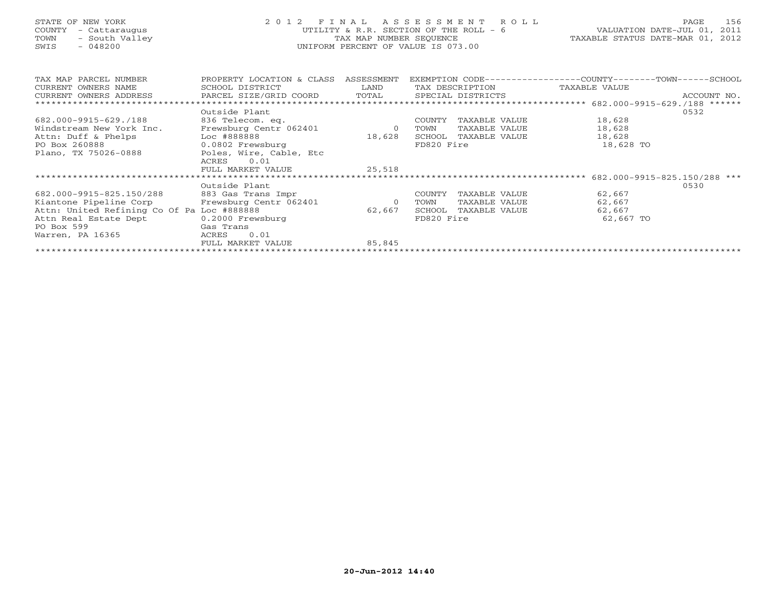## STATE OF NEW YORK 2 0 1 2 F I N A L A S S E S S M E N T R O L L PAGE 156 COUNTY - Cattaraugus UTILITY & R.R. SECTION OF THE ROLL - 6 VALUATION DATE-JUL 01, 2011 TOWN - South Valley TAX MAP NUMBER SEQUENCE TAXABLE STATUS DATE-MAR 01, 2012 SWIS - 048200 UNIFORM PERCENT OF VALUE IS 073.00UNIFORM PERCENT OF VALUE IS 073.00

| TAX MAP PARCEL NUMBER                      | PROPERTY LOCATION & CLASS | ASSESSMENT |            |                   | EXEMPTION CODE----------------COUNTY-------TOWN------SCHOOL |             |
|--------------------------------------------|---------------------------|------------|------------|-------------------|-------------------------------------------------------------|-------------|
| CURRENT OWNERS NAME                        | SCHOOL DISTRICT           | LAND       |            | TAX DESCRIPTION   | TAXABLE VALUE                                               |             |
| CURRENT OWNERS ADDRESS                     | PARCEL SIZE/GRID COORD    | TOTAL      |            | SPECIAL DISTRICTS |                                                             | ACCOUNT NO. |
|                                            |                           |            |            |                   |                                                             |             |
|                                            | Outside Plant             |            |            |                   |                                                             | 0532        |
| 682.000-9915-629./188                      | 836 Telecom. eq.          |            | COUNTY     | TAXABLE VALUE     | 18,628                                                      |             |
| Windstream New York Inc.                   | Frewsburg Centr 062401    | $\circ$    | TOWN       | TAXABLE VALUE     | 18,628                                                      |             |
| Attn: Duff & Phelps                        | Loc #888888               | 18,628     | SCHOOL     | TAXABLE VALUE     | 18,628                                                      |             |
| PO Box 260888                              | 0.0802 Frewsburg          |            | FD820 Fire |                   | 18,628 TO                                                   |             |
| Plano, TX 75026-0888                       | Poles, Wire, Cable, Etc   |            |            |                   |                                                             |             |
|                                            | 0.01<br>ACRES             |            |            |                   |                                                             |             |
|                                            | FULL MARKET VALUE         | 25,518     |            |                   |                                                             |             |
|                                            |                           |            |            |                   | 682.000-9915-825.150/288 ***                                |             |
|                                            | Outside Plant             |            |            |                   |                                                             | 0530        |
| 682.000-9915-825.150/288                   | 883 Gas Trans Impr        |            | COUNTY     | TAXABLE VALUE     | 62,667                                                      |             |
| Kiantone Pipeline Corp                     | Frewsburg Centr 062401    | $\circ$    | TOWN       | TAXABLE VALUE     | 62,667                                                      |             |
| Attn: United Refining Co Of Pa Loc #888888 |                           | 62,667     | SCHOOL     | TAXABLE VALUE     | 62,667                                                      |             |
| Attn Real Estate Dept                      | $0.2000$ Frewsburg        |            | FD820 Fire |                   | 62,667 TO                                                   |             |
| PO Box 599                                 | Gas Trans                 |            |            |                   |                                                             |             |
| Warren, PA 16365                           | 0.01<br>ACRES             |            |            |                   |                                                             |             |
|                                            | FULL MARKET VALUE         | 85,845     |            |                   |                                                             |             |
|                                            |                           |            |            |                   |                                                             |             |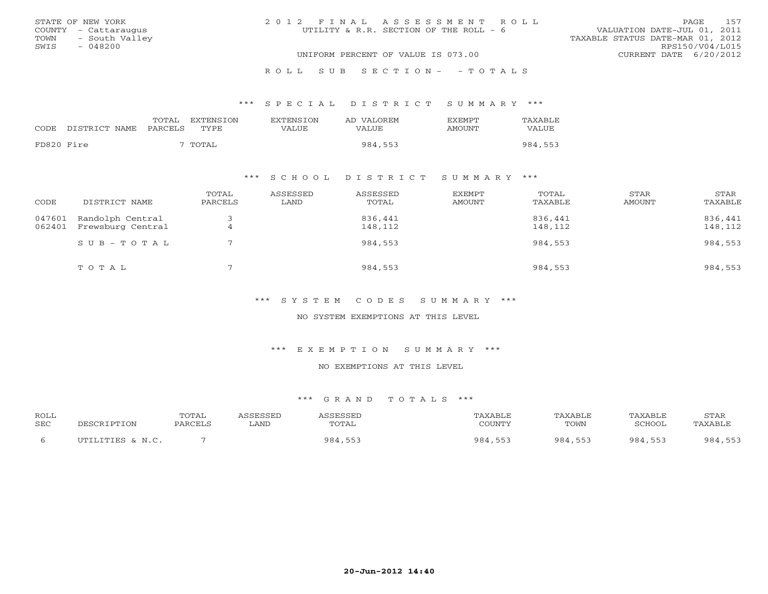| STATE OF NEW YORK      | 2012 FINAL ASSESSMENT ROLL             | 157<br>PAGE                      |
|------------------------|----------------------------------------|----------------------------------|
| COUNTY - Cattaraugus   | UTILITY & R.R. SECTION OF THE ROLL - 6 | VALUATION DATE-JUL 01, 2011      |
| - South Valley<br>TOWN |                                        | TAXABLE STATUS DATE-MAR 01, 2012 |
| SWIS<br>- 048200       |                                        | RPS150/V04/L015                  |
|                        | UNIFORM PERCENT OF VALUE IS 073.00     | CURRENT DATE 6/20/2012           |
|                        |                                        |                                  |

#### R O L L S U B S E C T I O N - - T O T A L S

#### \*\*\* S P E C I A L D I S T R I C T S U M M A R Y \*\*\*

| CODE       | DISTRICT NAME | TOTAL<br><b>PARCELS</b> | EXTENSION<br><b>TYPE</b> | <b>EXTENSION</b><br>VALUE | AD VALOREM<br>VALUE | <b>FXFMPT</b><br>AMOUNT | TAXABLE<br>VALUE |
|------------|---------------|-------------------------|--------------------------|---------------------------|---------------------|-------------------------|------------------|
| FD820 Fire |               |                         | TOTAL                    |                           | 984,553             |                         | 984,553          |

## \*\*\* S C H O O L D I S T R I C T S U M M A R Y \*\*\*

| CODE             | DISTRICT NAME                         | TOTAL<br>PARCELS | ASSESSED<br>LAND | ASSESSED<br>TOTAL  | EXEMPT<br><b>AMOUNT</b> | TOTAL<br>TAXABLE   | STAR<br>AMOUNT | STAR<br>TAXABLE    |
|------------------|---------------------------------------|------------------|------------------|--------------------|-------------------------|--------------------|----------------|--------------------|
| 047601<br>062401 | Randolph Central<br>Frewsburg Central |                  |                  | 836,441<br>148,112 |                         | 836,441<br>148,112 |                | 836,441<br>148,112 |
|                  | SUB-TOTAL                             |                  |                  | 984,553            |                         | 984,553            |                | 984,553            |
|                  | TOTAL                                 |                  |                  | 984,553            |                         | 984,553            |                | 984,553            |

\*\*\* S Y S T E M C O D E S S U M M A R Y \*\*\*

NO SYSTEM EXEMPTIONS AT THIS LEVEL

\*\*\* E X E M P T I O N S U M M A R Y \*\*\*

NO EXEMPTIONS AT THIS LEVEL

| ROLL       |                          | TOTAL   |      |       | $X \triangle K$ . | TAXABLE          | TAXABLE       | STAR                    |
|------------|--------------------------|---------|------|-------|-------------------|------------------|---------------|-------------------------|
| <b>SEC</b> | וסים הר                  | PARCELL | LAND | TOTAL | <b>COUNTY</b>     | TOWN             | <b>"CHOOL</b> |                         |
|            | LITTES & N C<br>" TM T T |         |      | 984   | 981               | 984<br><b>EE</b> | 984<br>.      | 984.<br>$  \sim$<br>553 |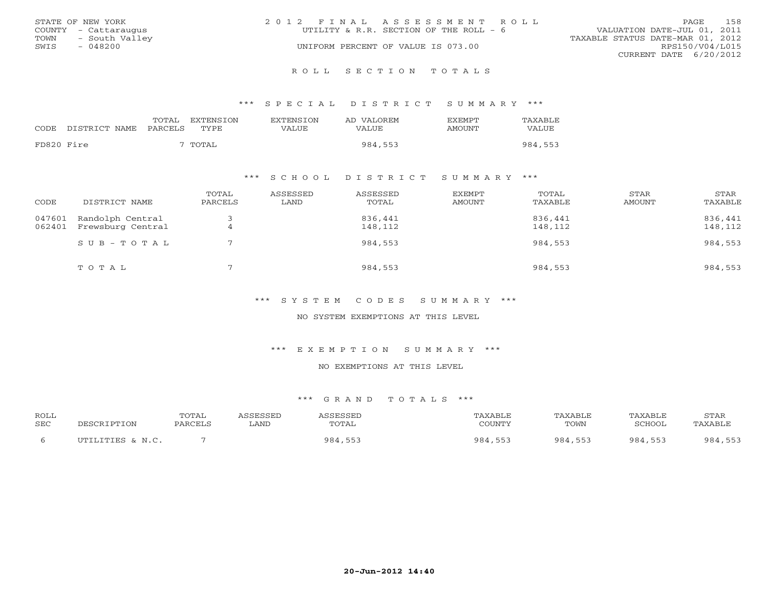|      | STATE OF NEW YORK    | 2012 FINAL ASSESSMENT ROLL |                                        |                                  | PAGE            | 158 |
|------|----------------------|----------------------------|----------------------------------------|----------------------------------|-----------------|-----|
|      | COUNTY - Cattaraugus |                            | UTILITY & R.R. SECTION OF THE ROLL - 6 | VALUATION DATE-JUL 01, 2011      |                 |     |
| TOWN | - South Valley       |                            |                                        | TAXABLE STATUS DATE-MAR 01, 2012 |                 |     |
| SWIS | $-048200$            |                            | UNIFORM PERCENT OF VALUE IS 073.00     |                                  | RPS150/V04/L015 |     |
|      |                      |                            |                                        | CURRENT DATE 6/20/2012           |                 |     |
|      |                      |                            |                                        |                                  |                 |     |

#### R O L L S E C T I O N T O T A L S

#### \*\*\* S P E C I A L D I S T R I C T S U M M A R Y \*\*\*

| TOTAL<br><b>EXTENSION</b><br><b>EXTENSION</b><br><b>FXFMPT</b><br>AD VALOREM | TAXABLE |
|------------------------------------------------------------------------------|---------|
| CODE<br>DISTRICT NAME<br>PARCELS<br>TYPE<br>VALUE<br>VALUE<br>AMOUNT         | VALUE   |
| FD820 Fire<br>TOTAL<br>984,553                                               | 984,553 |

### \*\*\* S C H O O L D I S T R I C T S U M M A R Y \*\*\*

| CODE             | DISTRICT NAME                         | TOTAL<br>PARCELS | ASSESSED<br>LAND | ASSESSED<br>TOTAL  | EXEMPT<br>AMOUNT | TOTAL<br>TAXABLE   | STAR<br>AMOUNT | STAR<br>TAXABLE    |
|------------------|---------------------------------------|------------------|------------------|--------------------|------------------|--------------------|----------------|--------------------|
| 047601<br>062401 | Randolph Central<br>Frewsburg Central | 4                |                  | 836,441<br>148,112 |                  | 836,441<br>148,112 |                | 836,441<br>148,112 |
|                  | $SUB - TO T AL$                       |                  |                  | 984,553            |                  | 984,553            |                | 984,553            |
|                  | TOTAL                                 |                  |                  | 984,553            |                  | 984,553            |                | 984,553            |

\*\*\* S Y S T E M C O D E S S U M M A R Y \*\*\*

NO SYSTEM EXEMPTIONS AT THIS LEVEL

\*\*\* E X E M P T I O N S U M M A R Y \*\*\*

NO EXEMPTIONS AT THIS LEVEL

| ROLL       |                        | TOTAL   |      | CCFCCFT | AXABLF     |         | TAXABLE | STAR    |
|------------|------------------------|---------|------|---------|------------|---------|---------|---------|
| <b>SEC</b> | <b>IPTION</b><br>リヒムしゃ | PARCELL | LAND | TOTAL   | COUNTY     | TOWN    | SCHOOL  | TAXABL. |
|            | UTILITIES & N.C.       |         |      | 984     | 984<br>551 | 984 553 | 984 553 | 984,    |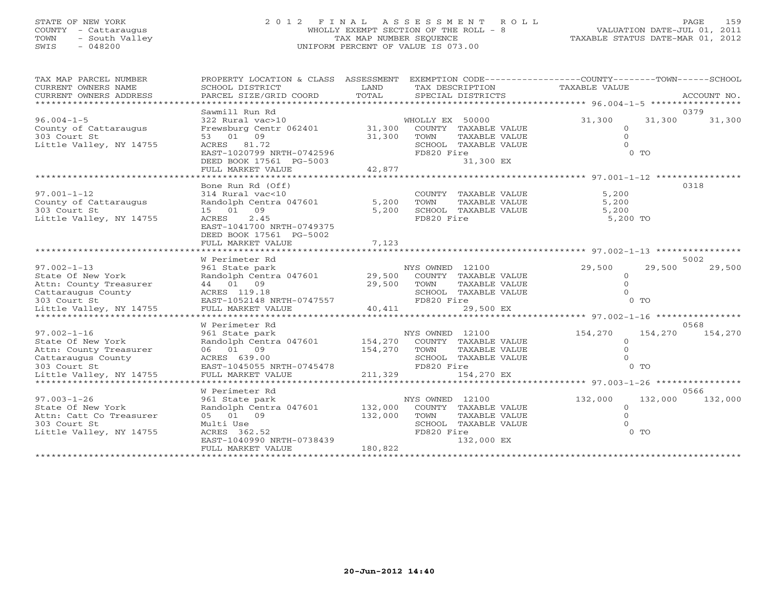# STATE OF NEW YORK 2 0 1 2 F I N A L A S S E S S M E N T R O L L PAGE 159 COUNTY - Cattaraugus WHOLLY EXEMPT SECTION OF THE ROLL - 8 VALUATION DATE-JUL 01, 2011 TOWN - South Valley TAX MAP NUMBER SEQUENCE TAXABLE STATUS DATE-MAR 01, 2012 SWIS - 048200 UNIFORM PERCENT OF VALUE IS 073.00

| TAX MAP PARCEL NUMBER<br>CURRENT OWNERS NAME<br>CURRENT OWNERS ADDRESS<br>************************ | PROPERTY LOCATION & CLASS ASSESSMENT<br>SCHOOL DISTRICT<br>PARCEL SIZE/GRID COORD | LAND<br>TOTAL               | EXEMPTION CODE-----------------COUNTY-------TOWN------SCHOOL<br>TAX DESCRIPTION<br>SPECIAL DISTRICTS | TAXABLE VALUE                                | ACCOUNT NO.        |        |
|----------------------------------------------------------------------------------------------------|-----------------------------------------------------------------------------------|-----------------------------|------------------------------------------------------------------------------------------------------|----------------------------------------------|--------------------|--------|
|                                                                                                    | Sawmill Run Rd                                                                    |                             |                                                                                                      |                                              | 0379               |        |
| $96.004 - 1 - 5$                                                                                   | 322 Rural vac>10                                                                  |                             | WHOLLY EX 50000                                                                                      | 31,300                                       | 31,300             | 31,300 |
| County of Cattaraugus                                                                              | Frewsburg Centr 062401                                                            | 31,300                      | COUNTY TAXABLE VALUE                                                                                 | $\circ$                                      |                    |        |
| 303 Court St                                                                                       | 53 01 09                                                                          | 31,300                      | TOWN<br>TAXABLE VALUE                                                                                | $\Omega$                                     |                    |        |
| Little Valley, NY 14755                                                                            | ACRES 81.72                                                                       |                             | SCHOOL TAXABLE VALUE                                                                                 | $\Omega$                                     |                    |        |
|                                                                                                    | EAST-1020799 NRTH-0742596                                                         |                             | FD820 Fire                                                                                           |                                              | $0$ TO             |        |
|                                                                                                    | DEED BOOK 17561 PG-5003                                                           |                             | 31,300 EX                                                                                            |                                              |                    |        |
|                                                                                                    | FULL MARKET VALUE                                                                 | 42,877                      |                                                                                                      |                                              |                    |        |
|                                                                                                    |                                                                                   |                             | ********************************* 97.001-1-12 ****                                                   |                                              |                    |        |
|                                                                                                    | Bone Run Rd (Off)                                                                 |                             |                                                                                                      |                                              | 0318               |        |
| $97.001 - 1 - 12$                                                                                  | 314 Rural vac<10                                                                  |                             | COUNTY TAXABLE VALUE                                                                                 | 5,200                                        |                    |        |
| County of Cattaraugus<br>303 Court St                                                              | Randolph Centra 047601<br>15 01 09                                                | 5,200<br>5,200              | TOWN<br>TAXABLE VALUE<br>SCHOOL TAXABLE VALUE                                                        | 5,200<br>5,200                               |                    |        |
| Little Valley, NY 14755                                                                            | 2.45<br>ACRES                                                                     |                             | FD820 Fire                                                                                           | 5,200 TO                                     |                    |        |
|                                                                                                    | EAST-1041700 NRTH-0749375                                                         |                             |                                                                                                      |                                              |                    |        |
|                                                                                                    | DEED BOOK 17561 PG-5002                                                           |                             |                                                                                                      |                                              |                    |        |
|                                                                                                    | FULL MARKET VALUE                                                                 | 7,123                       |                                                                                                      |                                              |                    |        |
|                                                                                                    |                                                                                   |                             |                                                                                                      | ********************* 97.002-1-13 ********** |                    |        |
|                                                                                                    | W Perimeter Rd                                                                    |                             |                                                                                                      |                                              | 5002               |        |
| $97.002 - 1 - 13$                                                                                  | 961 State park                                                                    |                             | NYS OWNED 12100                                                                                      | 29,500                                       | 29,500             | 29,500 |
| State Of New York                                                                                  | Randolph Centra 047601                                                            | 29,500                      | COUNTY TAXABLE VALUE                                                                                 | $\mathbf{O}$                                 |                    |        |
| Attn: County Treasurer                                                                             | 44 01 09                                                                          | 29,500                      | TOWN<br>TAXABLE VALUE                                                                                | $\circ$                                      |                    |        |
| Cattaraugus County                                                                                 | ACRES 119.18                                                                      |                             | SCHOOL TAXABLE VALUE                                                                                 | $\Omega$                                     |                    |        |
| 303 Court St                                                                                       | EAST-1052148 NRTH-0747557                                                         |                             | FD820 Fire                                                                                           |                                              | $0$ TO             |        |
| Little Valley, NY 14755<br>*****************************                                           | FULL MARKET VALUE                                                                 | 40,411                      | 29,500 EX                                                                                            |                                              |                    |        |
|                                                                                                    | W Perimeter Rd                                                                    |                             |                                                                                                      |                                              | 0568               |        |
| $97.002 - 1 - 16$                                                                                  | 961 State park                                                                    |                             | NYS OWNED 12100                                                                                      | 154,270                                      | 154,270<br>154,270 |        |
| State Of New York                                                                                  | Randolph Centra 047601                                                            | 154,270                     | COUNTY TAXABLE VALUE                                                                                 | $\Omega$                                     |                    |        |
| Attn: County Treasurer                                                                             | 06 01 09                                                                          | 154,270                     | TOWN<br>TAXABLE VALUE                                                                                | $\Omega$                                     |                    |        |
| Cattaraugus County                                                                                 | ACRES 639.00                                                                      |                             | SCHOOL TAXABLE VALUE                                                                                 |                                              |                    |        |
| 303 Court St                                                                                       | EAST-1045055 NRTH-0745478                                                         |                             | FD820 Fire                                                                                           |                                              | $0$ TO             |        |
| Little Valley, NY 14755                                                                            | FULL MARKET VALUE                                                                 | 211,329                     | 154,270 EX                                                                                           |                                              |                    |        |
|                                                                                                    |                                                                                   |                             |                                                                                                      | ********** 97.003-1-26 ************          |                    |        |
|                                                                                                    | W Perimeter Rd                                                                    |                             |                                                                                                      |                                              | 0566               |        |
| $97.003 - 1 - 26$                                                                                  | 961 State park                                                                    |                             | NYS OWNED 12100                                                                                      | 132,000                                      | 132,000<br>132,000 |        |
| State Of New York                                                                                  | Randolph Centra 047601                                                            | 132,000                     | COUNTY TAXABLE VALUE                                                                                 | $\mathbf{O}$                                 |                    |        |
| Attn: Catt Co Treasurer                                                                            | 05 01 09                                                                          | 132,000                     | TOWN<br>TAXABLE VALUE                                                                                | $\Omega$                                     |                    |        |
| 303 Court St                                                                                       | Multi Use                                                                         |                             | SCHOOL TAXABLE VALUE<br>FD820 Fire                                                                   |                                              | $0$ TO             |        |
| Little Valley, NY 14755                                                                            | ACRES 362.52<br>EAST-1040990 NRTH-0738439                                         |                             | 132,000 EX                                                                                           |                                              |                    |        |
|                                                                                                    | FULL MARKET VALUE                                                                 | 180,822                     |                                                                                                      |                                              |                    |        |
|                                                                                                    | *********************                                                             | * * * * * * * * * * * * * * |                                                                                                      |                                              |                    |        |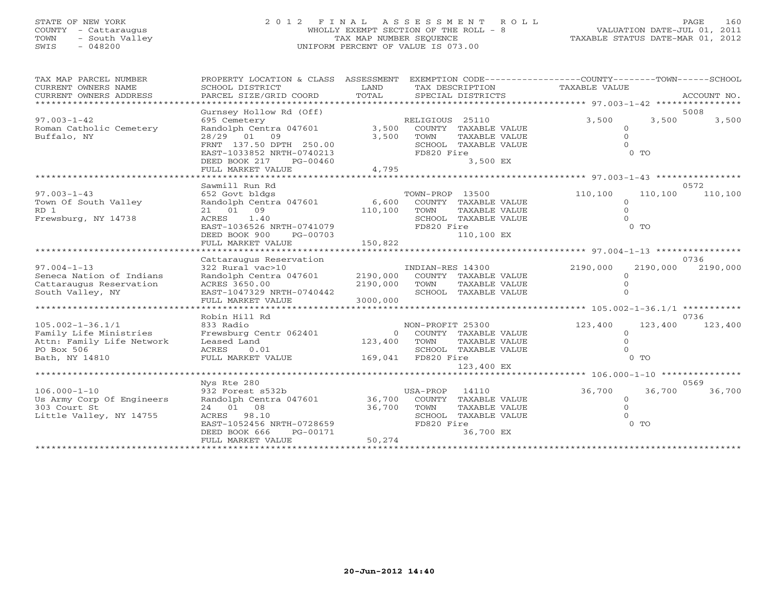# STATE OF NEW YORK 2 0 1 2 F I N A L A S S E S S M E N T R O L L PAGE 160 COUNTY - Cattaraugus WHOLLY EXEMPT SECTION OF THE ROLL - 8 VALUATION DATE-JUL 01, 2011 TOWN - South Valley TAX MAP NUMBER SEQUENCE TAXABLE STATUS DATE-MAR 01, 2012 SWIS - 048200 UNIFORM PERCENT OF VALUE IS 073.00

| TAX MAP PARCEL NUMBER<br>CURRENT OWNERS NAME<br>CURRENT OWNERS ADDRESS | PROPERTY LOCATION & CLASS ASSESSMENT<br>SCHOOL DISTRICT<br>PARCEL SIZE/GRID COORD | LAND<br>TOTAL | TAX DESCRIPTION<br>SPECIAL DISTRICTS  | EXEMPTION CODE-----------------COUNTY-------TOWN------SCHOOL<br>TAXABLE VALUE | ACCOUNT NO. |
|------------------------------------------------------------------------|-----------------------------------------------------------------------------------|---------------|---------------------------------------|-------------------------------------------------------------------------------|-------------|
|                                                                        |                                                                                   |               |                                       |                                                                               |             |
|                                                                        | Gurnsey Hollow Rd (Off)                                                           |               |                                       |                                                                               | 5008        |
| $97.003 - 1 - 42$                                                      | 695 Cemetery                                                                      |               | RELIGIOUS 25110                       | 3,500<br>3,500                                                                | 3,500       |
| Roman Catholic Cemetery                                                | Randolph Centra 047601                                                            | 3,500         | COUNTY TAXABLE VALUE                  | $\circ$                                                                       |             |
| Buffalo, NY                                                            | 28/29 01 09                                                                       | 3,500         | TOWN<br>TAXABLE VALUE                 | $\Omega$                                                                      |             |
|                                                                        | FRNT 137.50 DPTH 250.00                                                           |               | SCHOOL TAXABLE VALUE                  | $\Omega$                                                                      |             |
|                                                                        | EAST-1033852 NRTH-0740213                                                         |               | FD820 Fire                            | $0$ TO                                                                        |             |
|                                                                        | DEED BOOK 217<br>PG-00460                                                         |               | 3,500 EX                              |                                                                               |             |
|                                                                        | FULL MARKET VALUE                                                                 | 4,795         |                                       |                                                                               |             |
|                                                                        |                                                                                   |               |                                       |                                                                               |             |
|                                                                        | Sawmill Run Rd                                                                    |               |                                       |                                                                               | 0572        |
| $97.003 - 1 - 43$                                                      | 652 Govt bldgs                                                                    |               | TOWN-PROP 13500                       | 110,100<br>110,100                                                            | 110,100     |
| Town Of South Valley<br>RD 1                                           | Randolph Centra 047601<br>21 01 09                                                | 6,600         | COUNTY TAXABLE VALUE<br>TOWN          | $\Omega$<br>$\circ$                                                           |             |
| Frewsburg, NY 14738                                                    | ACRES 1.40                                                                        | 110,100       | TAXABLE VALUE<br>SCHOOL TAXABLE VALUE | $\Omega$                                                                      |             |
|                                                                        | EAST-1036526 NRTH-0741079                                                         |               | FD820 Fire                            | 0 <sub>T</sub>                                                                |             |
|                                                                        | DEED BOOK 900<br>PG-00703                                                         |               | 110,100 EX                            |                                                                               |             |
|                                                                        | FULL MARKET VALUE                                                                 | 150,822       |                                       |                                                                               |             |
|                                                                        |                                                                                   |               |                                       |                                                                               |             |
|                                                                        | Cattaraugus Reservation                                                           |               |                                       |                                                                               | 0736        |
| $97.004 - 1 - 13$                                                      | 322 Rural vac>10                                                                  |               | INDIAN-RES 14300                      | 2190,000<br>2190,000                                                          | 2190,000    |
|                                                                        |                                                                                   |               |                                       |                                                                               |             |
| Seneca Nation of Indians                                               |                                                                                   | 2190,000      | COUNTY TAXABLE VALUE                  | $\Omega$                                                                      |             |
| Cattaraugus Reservation                                                | Randolph Centra 047601<br>ACRES 3650.00                                           | 2190,000      | TOWN<br>TAXABLE VALUE                 | $\Omega$                                                                      |             |
| South Valley, NY                                                       | EAST-1047329 NRTH-0740442                                                         |               | SCHOOL TAXABLE VALUE                  |                                                                               |             |
|                                                                        | FULL MARKET VALUE                                                                 | 3000,000      |                                       |                                                                               |             |
|                                                                        |                                                                                   |               |                                       |                                                                               |             |
|                                                                        | Robin Hill Rd                                                                     |               |                                       |                                                                               | 0736        |
| $105.002 - 1 - 36.1/1$                                                 | 833 Radio                                                                         |               | NON-PROFIT 25300                      | 123,400<br>123,400                                                            | 123,400     |
| Family Life Ministries                                                 | Frewsburg Centr 062401                                                            | $\Omega$      | COUNTY TAXABLE VALUE                  | $\mathbf{0}$                                                                  |             |
| Attn: Family Life Network                                              | Leased Land                                                                       | 123,400       | TOWN<br>TAXABLE VALUE                 | $\circ$                                                                       |             |
| PO Box 506                                                             | ACRES<br>0.01                                                                     |               | SCHOOL TAXABLE VALUE                  | $\Omega$                                                                      |             |
| Bath, NY 14810                                                         | FULL MARKET VALUE                                                                 | 169,041       | FD820 Fire                            | $0$ TO                                                                        |             |
|                                                                        |                                                                                   |               | 123,400 EX                            |                                                                               |             |
|                                                                        |                                                                                   |               |                                       |                                                                               |             |
|                                                                        | Nys Rte 280                                                                       |               |                                       |                                                                               | 0569        |
| $106.000 - 1 - 10$                                                     | 932 Forest s532b                                                                  |               | USA-PROP<br>14110                     | 36,700<br>36,700                                                              | 36,700      |
| Us Army Corp Of Engineers                                              | Randolph Centra 047601                                                            | 36,700        | COUNTY TAXABLE VALUE                  | $\circ$                                                                       |             |
| 303 Court St                                                           | 24 01 08                                                                          | 36,700        | TOWN<br>TAXABLE VALUE                 | $\Omega$                                                                      |             |
| Little Valley, NY 14755                                                | ACRES 98.10                                                                       |               | SCHOOL TAXABLE VALUE                  |                                                                               |             |
|                                                                        | EAST-1052456 NRTH-0728659<br>DEED BOOK 666<br>PG-00171                            |               | FD820 Fire<br>36,700 EX               | $0$ TO                                                                        |             |
|                                                                        | FULL MARKET VALUE                                                                 | 50,274        |                                       |                                                                               |             |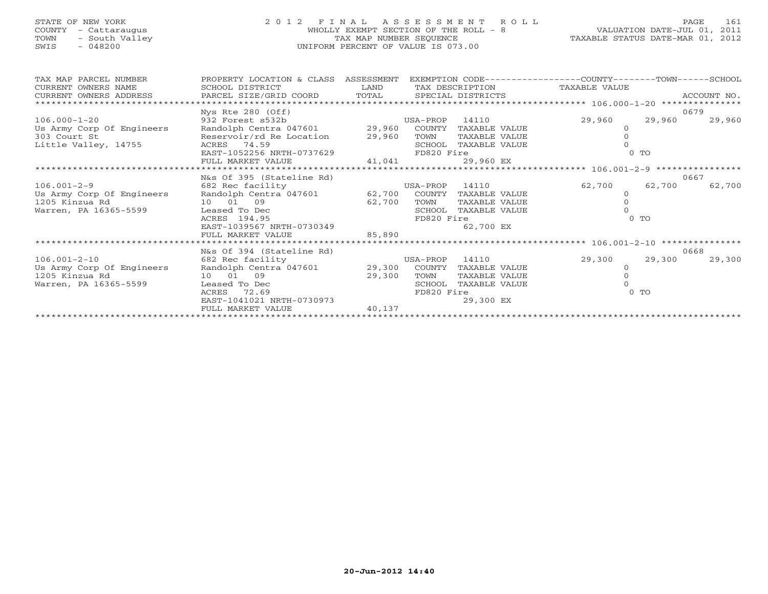## STATE OF NEW YORK 2 0 1 2 F I N A L A S S E S S M E N T R O L L PAGE 161 COUNTY - Cattaraugus WHOLLY EXEMPT SECTION OF THE ROLL - 8 VALUATION DATE-JUL 01, 2011 TOWN - South Valley TAX MAP NUMBER SEQUENCE TAXABLE STATUS DATE-MAR 01, 2012 SWIS - 048200 UNIFORM PERCENT OF VALUE IS 073.00UNIFORM PERCENT OF VALUE IS 073.00

| TAX MAP PARCEL NUMBER                                                                                                                            | PROPERTY LOCATION & CLASS ASSESSMENT     |                                             |                |               | EXEMPTION CODE-----------------COUNTY-------TOWN-----SCHOOL |                |        |
|--------------------------------------------------------------------------------------------------------------------------------------------------|------------------------------------------|---------------------------------------------|----------------|---------------|-------------------------------------------------------------|----------------|--------|
| CURRENT OWNERS NAME                                                                                                                              | SCHOOL DISTRICT                          | LAND                                        |                |               | TAX DESCRIPTION TAXABLE VALUE                               |                |        |
| CURRENT OWNERS ADDRESS                                                                                                                           |                                          |                                             |                |               |                                                             |                |        |
|                                                                                                                                                  |                                          |                                             |                |               |                                                             |                |        |
|                                                                                                                                                  | Nys Rte 280 (Off)                        |                                             |                |               |                                                             |                | 0679   |
| $106.000 - 1 - 20$                                                                                                                               | 932 Forest s532b                         |                                             | USA-PROP 14110 |               | 29,960                                                      | 29,960         | 29,960 |
| Us Army Corp Of Engineers and Olph Centra 047601 29,960 COUNTY TAXABLE VALUE 303 Court St and Reservoir/rd Re Location 29,960 TOWN TAXABLE VALUE |                                          |                                             |                |               |                                                             |                |        |
|                                                                                                                                                  |                                          |                                             |                |               |                                                             |                |        |
| Little Valley, 14755                                                                                                                             | ACRES 74.59<br>EAST-1052256 NRTH-0737629 |                                             | SCHOOL         | TAXABLE VALUE |                                                             |                |        |
|                                                                                                                                                  |                                          |                                             | FD820 Fire     |               |                                                             | 0 <sub>T</sub> |        |
|                                                                                                                                                  | FULL MARKET VALUE                        | 41,041                                      |                | 29,960 EX     |                                                             |                |        |
|                                                                                                                                                  |                                          |                                             |                |               |                                                             |                |        |
|                                                                                                                                                  | N&s Of 395 (Stateline Rd)                |                                             |                |               |                                                             |                | 0667   |
| $106.001 - 2 - 9$                                                                                                                                | 682 Rec facility                         | USA-PROP 14110                              |                |               | 62,700                                                      | 62,700         | 62,700 |
| Us Army Corp Of Engineers Randolph Centra 047601 62,700 COUNTY<br>1205 Kinzua Rd 10 01 09 62,700 TOWN                                            |                                          |                                             |                | TAXABLE VALUE |                                                             |                |        |
|                                                                                                                                                  |                                          | 62,700                                      |                | TAXABLE VALUE |                                                             |                |        |
| Warren, PA 16365-5599                                                                                                                            | Leased To Dec                            |                                             | SCHOOL         | TAXABLE VALUE |                                                             |                |        |
|                                                                                                                                                  | ACRES 194.95                             |                                             | FD820 Fire     |               |                                                             | $0$ TO         |        |
|                                                                                                                                                  | EAST-1039567 NRTH-0730349                |                                             |                | 62,700 EX     |                                                             |                |        |
|                                                                                                                                                  | FULL MARKET VALUE                        | 85,890                                      |                |               |                                                             |                |        |
|                                                                                                                                                  |                                          |                                             |                |               |                                                             |                |        |
|                                                                                                                                                  | N&s Of 394 (Stateline Rd)                |                                             |                |               |                                                             |                | 0668   |
| $106.001 - 2 - 10$                                                                                                                               | 682 Rec facility                         | ne Rd)<br>USA-PROP 14110<br>Cornwww mayarlı |                |               | 29,300                                                      | 29,300         | 29,300 |
| Us Army Corp Of Engineers                                                                                                                        | Randolph Centra 047601 29,300 COUNTY     |                                             |                | TAXABLE VALUE | $\circ$                                                     |                |        |
| 1205 Kinzua Rd                                                                                                                                   | 10 01 09                                 | 29,300                                      | TOWN           | TAXABLE VALUE |                                                             |                |        |
| Warren, PA 16365-5599                                                                                                                            | Leased To Dec                            |                                             | SCHOOL         | TAXABLE VALUE |                                                             |                |        |
|                                                                                                                                                  | ACRES<br>72.69                           |                                             | FD820 Fire     |               |                                                             | $0$ TO         |        |
|                                                                                                                                                  | EAST-1041021 NRTH-0730973                |                                             |                | 29,300 EX     |                                                             |                |        |
|                                                                                                                                                  | FULL MARKET VALUE                        | 40,137                                      |                |               |                                                             |                |        |
|                                                                                                                                                  |                                          |                                             |                |               |                                                             |                |        |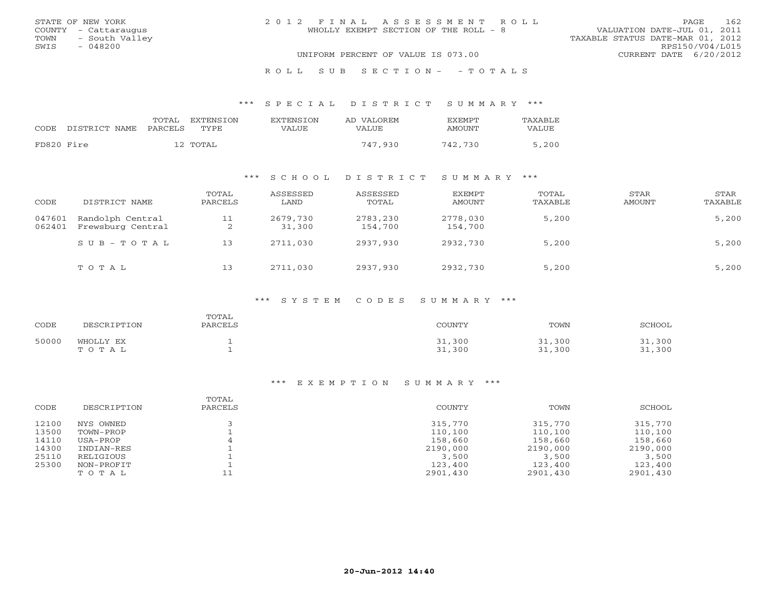|      | STATE OF NEW YORK    | 2012 FINAL ASSESSMENT ROLL            | 162<br>PAGE                      |
|------|----------------------|---------------------------------------|----------------------------------|
|      | COUNTY - Cattaraugus | WHOLLY EXEMPT SECTION OF THE ROLL - 8 | VALUATION DATE-JUL 01, 2011      |
|      | TOWN - South Valley  |                                       | TAXABLE STATUS DATE-MAR 01, 2012 |
| SWIS | - 048200             |                                       | RPS150/V04/L015                  |
|      |                      | UNIFORM PERCENT OF VALUE IS 073.00    | CURRENT DATE 6/20/2012           |
|      |                      |                                       |                                  |

#### R O L L S U B S E C T I O N - - T O T A L S

#### \*\*\* S P E C I A L D I S T R I C T S U M M A R Y \*\*\*

|            | CODE DISTRICT NAME | TOTAL<br>PARCELS | <b>FXTENSTON</b><br>TYPE | <b>EXTENSION</b><br>VALUE | AD VALOREM<br>VALUE. | <b>FXFMPT</b><br>AMOUNT | <b>TAXABLE</b><br>VALUE |
|------------|--------------------|------------------|--------------------------|---------------------------|----------------------|-------------------------|-------------------------|
| FD820 Fire |                    |                  | 12 TOTAL                 |                           | 747,930              | 742,730                 | 5,200                   |

## \*\*\* S C H O O L D I S T R I C T S U M M A R Y \*\*\*

| CODE             | DISTRICT NAME                         | TOTAL<br>PARCELS | ASSESSED<br>LAND   | ASSESSED<br>TOTAL   | <b>EXEMPT</b><br>AMOUNT | TOTAL<br>TAXABLE | STAR<br>AMOUNT | STAR<br>TAXABLE |
|------------------|---------------------------------------|------------------|--------------------|---------------------|-------------------------|------------------|----------------|-----------------|
| 047601<br>062401 | Randolph Central<br>Frewsburg Central | 11<br>2          | 2679,730<br>31,300 | 2783,230<br>154,700 | 2778,030<br>154,700     | 5,200            |                | 5,200           |
|                  | $S \cup B - T \cup T A L$             | 13               | 2711,030           | 2937,930            | 2932,730                | 5,200            |                | 5,200           |
|                  | TOTAL                                 | 13               | 2711,030           | 2937,930            | 2932,730                | 5,200            |                | 5,200           |

#### \*\*\* S Y S T E M C O D E S S U M M A R Y \*\*\*

| CODE  | DESCRIPTION        | TOTAL<br>PARCELS | COUNTY           | TOWN             | <b>SCHOOL</b>    |
|-------|--------------------|------------------|------------------|------------------|------------------|
| 50000 | WHOLLY EX<br>TOTAL |                  | 31,300<br>31,300 | 31,300<br>31,300 | 31,300<br>31,300 |

| CODE  | DESCRIPTION | TOTAL<br>PARCELS | COUNTY   | TOWN     | SCHOOL   |
|-------|-------------|------------------|----------|----------|----------|
| 12100 | NYS OWNED   |                  | 315,770  | 315,770  | 315,770  |
| 13500 | TOWN-PROP   |                  | 110,100  | 110,100  | 110,100  |
| 14110 | USA-PROP    |                  | 158,660  | 158,660  | 158,660  |
| 14300 | INDIAN-RES  |                  | 2190,000 | 2190,000 | 2190,000 |
| 25110 | RELIGIOUS   |                  | 3,500    | 3,500    | 3,500    |
| 25300 | NON-PROFIT  |                  | 123,400  | 123,400  | 123,400  |
|       | TOTAL       |                  | 2901,430 | 2901,430 | 2901,430 |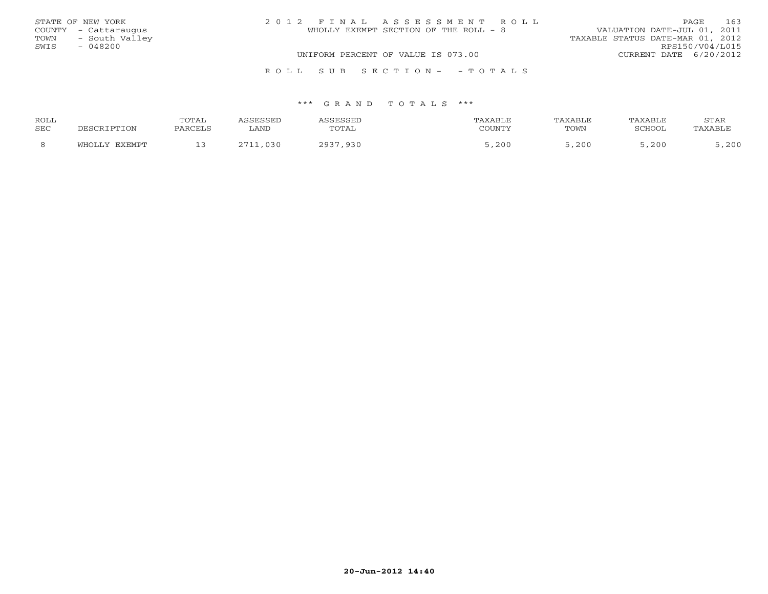|      | STATE OF NEW YORK    | 2012 FINAL ASSESSMENT ROLL            | 163<br>PAGE                      |
|------|----------------------|---------------------------------------|----------------------------------|
|      | COUNTY - Cattaraugus | WHOLLY EXEMPT SECTION OF THE ROLL - 8 | VALUATION DATE-JUL 01, 2011      |
| TOWN | - South Valley       |                                       | TAXABLE STATUS DATE-MAR 01, 2012 |
| SWIS | $-048200$            |                                       | RPS150/V04/L015                  |
|      |                      | UNIFORM PERCENT OF VALUE IS 073.00    | CURRENT DATE 6/20/2012           |
|      |                      | ROLL SUB SECTION- - TOTALS            |                                  |

| ROLL |                 | <b>TOTAL</b>  |      |       |                                   |      | <b>FAXABI</b> F | STAR   |
|------|-----------------|---------------|------|-------|-----------------------------------|------|-----------------|--------|
| SEC  |                 | <b>DADOTT</b> | LAND | TOTAL | $\gamma$ $\cap$ the true $\gamma$ | TOWN | SCHOOL          | AXABL' |
|      | FYFMDT<br>ுப∩ா… |               |      | 936   | 200                               | ,200 | 200<br>, د ب    | ,200   |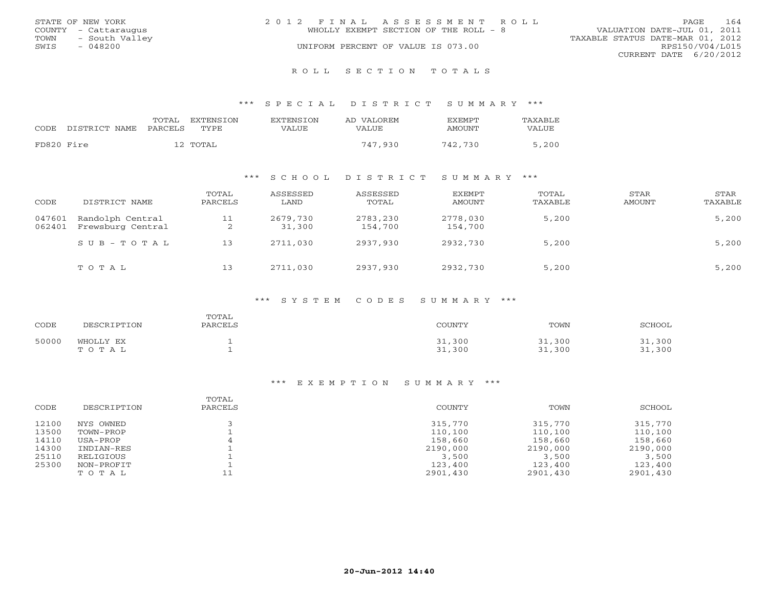|      | STATE OF NEW YORK    | 2012 FINAL ASSESSMENT ROLL |                                       |                                  | PAGE.           | 164 |
|------|----------------------|----------------------------|---------------------------------------|----------------------------------|-----------------|-----|
|      | COUNTY - Cattaraugus |                            | WHOLLY EXEMPT SECTION OF THE ROLL - 8 | VALUATION DATE-JUL 01, 2011      |                 |     |
| TOWN | - South Valley       |                            |                                       | TAXABLE STATUS DATE-MAR 01, 2012 |                 |     |
| SWIS | $-048200$            |                            | UNIFORM PERCENT OF VALUE IS 073.00    |                                  | RPS150/V04/L015 |     |
|      |                      |                            |                                       | CURRENT DATE 6/20/2012           |                 |     |
|      |                      |                            |                                       |                                  |                 |     |

#### R O L L S E C T I O N T O T A L S

#### \*\*\* S P E C I A L D I S T R I C T S U M M A R Y \*\*\*

| CODE       | DISTRICT NAME | TOTAL<br>PARCELS | EXTENSION<br>TYPE. | <b>EXTENSION</b><br>VALUE | AD VALOREM<br>VALUE | <b>FXFMPT</b><br>AMOUNT | <b>TAXABLE</b><br>VALUE |
|------------|---------------|------------------|--------------------|---------------------------|---------------------|-------------------------|-------------------------|
| FD820 Fire |               |                  | 12 TOTAL           |                           | 747,930             | 742,730                 | 5,200                   |

## \*\*\* S C H O O L D I S T R I C T S U M M A R Y \*\*\*

| CODE             | DISTRICT NAME                         | TOTAL<br>PARCELS | ASSESSED<br>LAND   | ASSESSED<br>TOTAL   | <b>EXEMPT</b><br>AMOUNT | TOTAL<br>TAXABLE | STAR<br>AMOUNT | STAR<br>TAXABLE |
|------------------|---------------------------------------|------------------|--------------------|---------------------|-------------------------|------------------|----------------|-----------------|
| 047601<br>062401 | Randolph Central<br>Frewsburg Central | 11<br>∠          | 2679,730<br>31,300 | 2783,230<br>154,700 | 2778,030<br>154,700     | 5,200            |                | 5,200           |
|                  | SUB-TOTAL                             | 13               | 2711,030           | 2937,930            | 2932,730                | 5,200            |                | 5,200           |
|                  | TOTAL                                 | 13               | 2711,030           | 2937,930            | 2932,730                | 5,200            |                | 5,200           |

#### \*\*\* S Y S T E M C O D E S S U M M A R Y \*\*\*

| CODE  | DESCRIPTION        | TOTAL<br>PARCELS | COUNTY           | TOWN             | <b>SCHOOL</b>    |
|-------|--------------------|------------------|------------------|------------------|------------------|
| 50000 | WHOLLY EX<br>TOTAL |                  | 31,300<br>31,300 | 31,300<br>31,300 | 31,300<br>31,300 |

| CODE  | DESCRIPTION | TOTAL<br>PARCELS | COUNTY   | TOWN     | SCHOOL   |
|-------|-------------|------------------|----------|----------|----------|
| 12100 | NYS OWNED   |                  | 315,770  | 315,770  | 315,770  |
| 13500 | TOWN-PROP   |                  | 110,100  | 110,100  | 110,100  |
| 14110 | USA-PROP    |                  | 158,660  | 158,660  | 158,660  |
| 14300 | INDIAN-RES  |                  | 2190,000 | 2190,000 | 2190,000 |
| 25110 | RELIGIOUS   |                  | 3,500    | 3,500    | 3,500    |
| 25300 | NON-PROFIT  |                  | 123,400  | 123,400  | 123,400  |
|       | TOTAL       |                  | 2901,430 | 2901,430 | 2901,430 |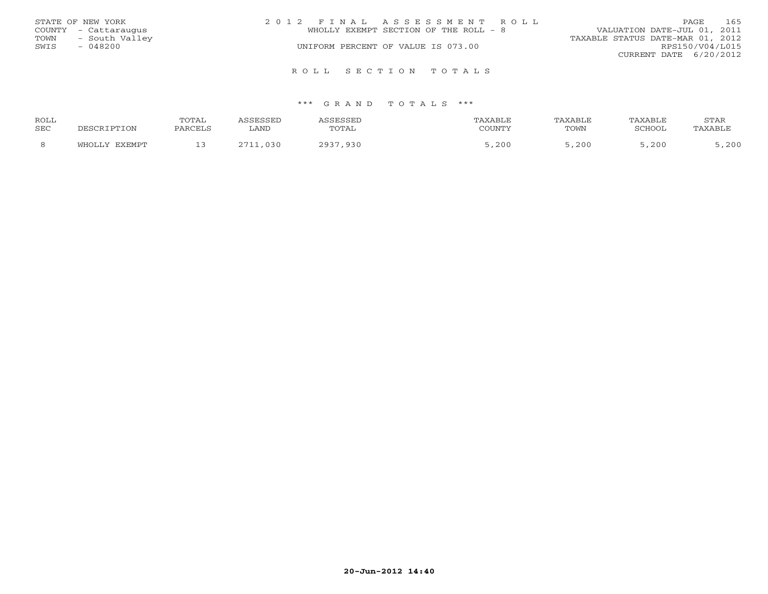|      | STATE OF NEW YORK    | 2012 FINAL ASSESSMENT ROLL            | 165<br>PAGE                      |
|------|----------------------|---------------------------------------|----------------------------------|
|      | COUNTY - Cattaraugus | WHOLLY EXEMPT SECTION OF THE ROLL - 8 | VALUATION DATE-JUL 01, 2011      |
| TOWN | - South Valley       |                                       | TAXABLE STATUS DATE-MAR 01, 2012 |
| SWIS | - 048200             | UNIFORM PERCENT OF VALUE IS 073.00    | RPS150/V04/L015                  |
|      |                      |                                       | CURRENT DATE 6/20/2012           |
|      |                      | ROLL SECTION TOTALS                   |                                  |

| ROLL |                          | <b>TOTAL</b> | SSESSED      | <i><b>\SSESSED</b></i> | TAXABLE | TAXABLE. | TAXABLE | <b>STAR</b> |
|------|--------------------------|--------------|--------------|------------------------|---------|----------|---------|-------------|
| SEC  | DESCRIPTION              | PARCELS      | LAND         | TOTAL                  | COUNTY  | TOWN     | SCHOOL  | PAXABLE     |
|      | <b>EXEMPT</b><br>`√H∩T.ì |              | ,030<br>7711 | 2937,930               | , 200   | ,200     | ,200    | , 200       |
|      |                          |              |              |                        |         |          |         |             |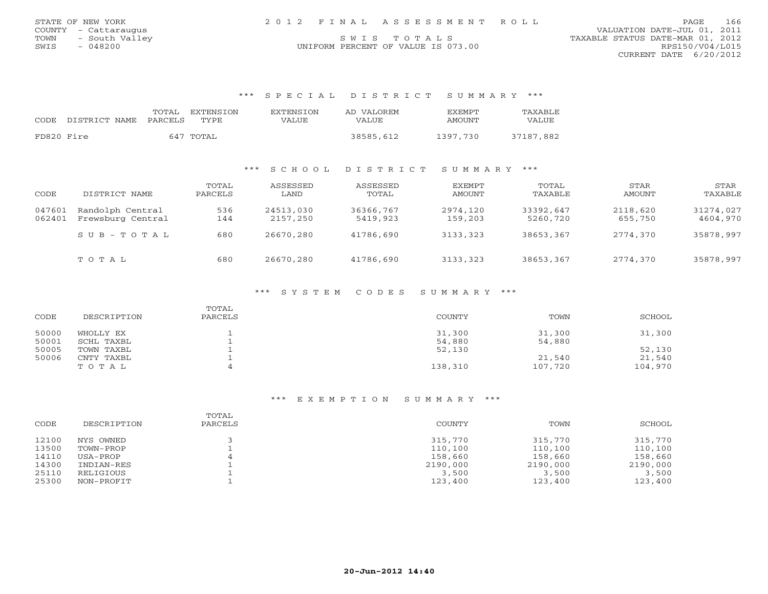| STATE OF NEW YORK      | 2012 FINAL ASSESSMENT ROLL         | 166<br>PAGE.                     |
|------------------------|------------------------------------|----------------------------------|
| COUNTY - Cattaraugus   |                                    | VALUATION DATE-JUL 01, 2011      |
| - South Valley<br>TOWN | SWTS TOTALS                        | TAXABLE STATUS DATE-MAR 01, 2012 |
| 048200<br>SWIS         | UNIFORM PERCENT OF VALUE IS 073.00 | RPS150/V04/L015                  |
|                        |                                    | CURRENT DATE 6/20/2012           |

\*\*\* S P E C I A L D I S T R I C T S U M M A R Y \*\*\*

|            | CODE DISTRICT NAME PARCELS | TOTAL EXTENSION<br>TYPE. | <b>EXTENSION</b><br>VALUE | AD VALOREM<br>VALUE | <b>EXEMPT</b><br>AMOUNT | TAXABLE<br>VALUE |
|------------|----------------------------|--------------------------|---------------------------|---------------------|-------------------------|------------------|
| FD820 Fire |                            | 647 TOTAL                |                           | 38585,612           | 1397.730                | 37187,882        |

## \*\*\* S C H O O L D I S T R I C T S U M M A R Y \*\*\*

| CODE             | DISTRICT NAME                         | TOTAL<br>PARCELS | ASSESSED<br>LAND      | ASSESSED<br>TOTAL     | EXEMPT<br>AMOUNT    | TOTAL<br>TAXABLE      | STAR<br>AMOUNT      | STAR<br>TAXABLE       |
|------------------|---------------------------------------|------------------|-----------------------|-----------------------|---------------------|-----------------------|---------------------|-----------------------|
| 047601<br>062401 | Randolph Central<br>Frewsburg Central | 536<br>144       | 24513,030<br>2157,250 | 36366,767<br>5419,923 | 2974,120<br>159,203 | 33392,647<br>5260,720 | 2118,620<br>655,750 | 31274,027<br>4604,970 |
|                  | $SUB - TO T AL$                       | 680              | 26670,280             | 41786,690             | 3133,323            | 38653,367             | 2774,370            | 35878,997             |
|                  | TOTAL                                 | 680              | 26670,280             | 41786,690             | 3133,323            | 38653,367             | 2774,370            | 35878,997             |

## \*\*\* S Y S T E M C O D E S S U M M A R Y \*\*\*

| CODE  | DESCRIPTION | TOTAL<br>PARCELS | COUNTY  | TOWN    | SCHOOL  |
|-------|-------------|------------------|---------|---------|---------|
| 50000 | WHOLLY EX   |                  | 31,300  | 31,300  | 31,300  |
| 50001 | SCHL TAXBL  |                  | 54,880  | 54,880  |         |
| 50005 | TOWN TAXBL  |                  | 52,130  |         | 52,130  |
| 50006 | CNTY TAXBL  |                  |         | 21,540  | 21,540  |
|       | TOTAL       |                  | 138,310 | 107,720 | 104,970 |

| CODE  | DESCRIPTION | TOTAL<br>PARCELS | COUNTY   | TOWN     | SCHOOL   |
|-------|-------------|------------------|----------|----------|----------|
| 12100 | NYS OWNED   |                  | 315,770  | 315,770  | 315,770  |
| 13500 | TOWN-PROP   |                  | 110,100  | 110,100  | 110,100  |
| 14110 | USA-PROP    |                  | 158,660  | 158,660  | 158,660  |
| 14300 | INDIAN-RES  |                  | 2190,000 | 2190,000 | 2190,000 |
| 25110 | RELIGIOUS   |                  | 3,500    | 3,500    | 3,500    |
| 25300 | NON-PROFIT  |                  | 123,400  | 123,400  | 123,400  |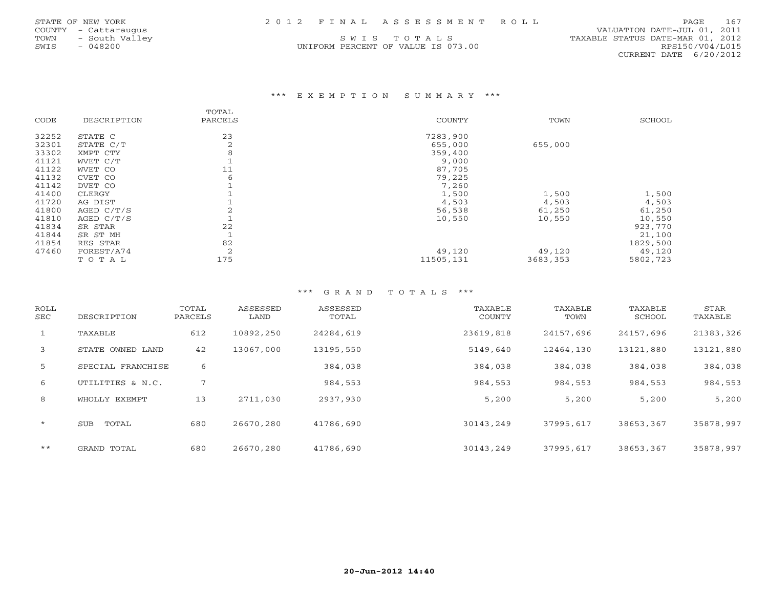| STATE OF NEW YORK |  | 2012 FINAL ASSESSMENT ROLL | PAGE 167 |  |
|-------------------|--|----------------------------|----------|--|
|                   |  |                            |          |  |

TOWN - South Valley (SWIST OT A L S) SUIS TO TAL S TO TAL S TOWN - SOUTH VALLEY AND DATE-MAR 01, 2012<br>SWIS - 048200 MIFORM PERCENT OF VALUE IS 073.00 (RPS150/V04/L015 UNIFORM PERCENT OF VALUE IS 073.00

 COUNTY - Cattaraugus VALUATION DATE-JUL 01, 2011 CURRENT DATE 6/20/2012

### \*\*\* E X E M P T I O N S U M M A R Y \*\*\*

|       |              | TOTAL   |           |          |          |
|-------|--------------|---------|-----------|----------|----------|
| CODE  | DESCRIPTION  | PARCELS | COUNTY    | TOWN     | SCHOOL   |
| 32252 | STATE C      | 23      | 7283,900  |          |          |
| 32301 | STATE C/T    | 2       | 655,000   | 655,000  |          |
| 33302 | XMPT CTY     | 8       | 359,400   |          |          |
| 41121 | WVET C/T     |         | 9,000     |          |          |
| 41122 | WVET CO      | 11      | 87,705    |          |          |
| 41132 | CVET CO      | 6       | 79,225    |          |          |
| 41142 | DVET CO      |         | 7,260     |          |          |
| 41400 | CLERGY       |         | 1,500     | 1,500    | 1,500    |
| 41720 | AG DIST      |         | 4,503     | 4,503    | 4,503    |
| 41800 | AGED C/T/S   |         | 56,538    | 61,250   | 61,250   |
| 41810 | AGED $C/T/S$ |         | 10,550    | 10,550   | 10,550   |
| 41834 | SR STAR      | 22      |           |          | 923,770  |
| 41844 | SR ST MH     |         |           |          | 21,100   |
| 41854 | RES STAR     | 82      |           |          | 1829,500 |
| 47460 | FOREST/A74   | 2       | 49,120    | 49,120   | 49,120   |
|       | TOTAL        | 175     | 11505,131 | 3683,353 | 5802,723 |

| ROLL<br><b>SEC</b> | DESCRIPTION       | TOTAL<br>PARCELS | ASSESSED<br>LAND | ASSESSED<br>TOTAL | TAXABLE<br>COUNTY | TAXABLE<br>TOWN | TAXABLE<br>SCHOOL | STAR<br>TAXABLE |
|--------------------|-------------------|------------------|------------------|-------------------|-------------------|-----------------|-------------------|-----------------|
| $\mathbf{1}$       | TAXABLE           | 612              | 10892,250        | 24284,619         | 23619,818         | 24157,696       | 24157,696         | 21383,326       |
| 3                  | STATE OWNED LAND  | 42               | 13067,000        | 13195,550         | 5149,640          | 12464,130       | 13121,880         | 13121,880       |
| 5                  | SPECIAL FRANCHISE | 6                |                  | 384,038           | 384,038           | 384,038         | 384,038           | 384,038         |
| 6                  | UTILITIES & N.C.  | 7                |                  | 984,553           | 984,553           | 984,553         | 984,553           | 984,553         |
| 8                  | WHOLLY EXEMPT     | 13               | 2711,030         | 2937,930          | 5,200             | 5,200           | 5,200             | 5,200           |
| $\star$            | TOTAL<br>SUB      | 680              | 26670,280        | 41786,690         | 30143,249         | 37995,617       | 38653,367         | 35878,997       |
| $***$              | GRAND TOTAL       | 680              | 26670,280        | 41786,690         | 30143.249         | 37995,617       | 38653,367         | 35878,997       |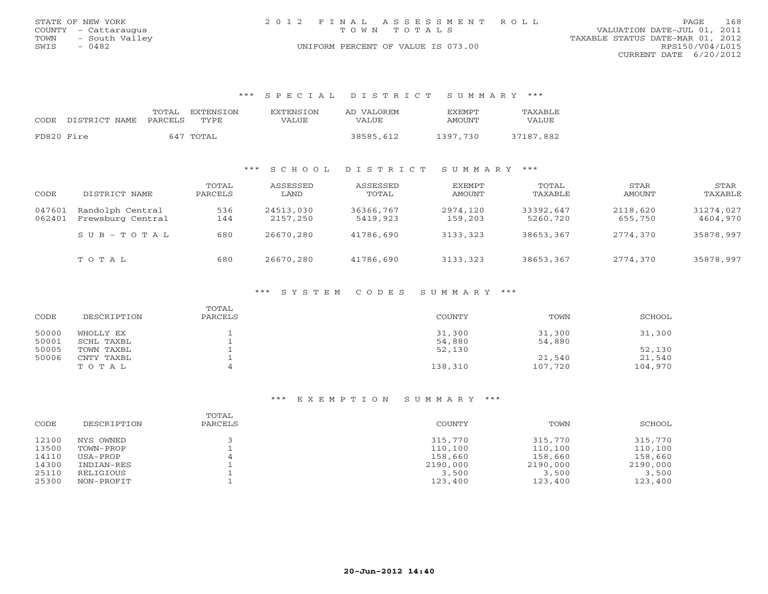| STATE OF NEW YORK      | 2012 FINAL ASSESSMENT ROLL         | 168<br>PAGE                      |
|------------------------|------------------------------------|----------------------------------|
| COUNTY - Cattaraugus   | TOWN TOTALS                        | VALUATION DATE-JUL 01, 2011      |
| - South Valley<br>TOWN |                                    | TAXABLE STATUS DATE-MAR 01, 2012 |
| 0482<br>SWIS           | UNIFORM PERCENT OF VALUE IS 073.00 | RPS150/V04/L015                  |
|                        |                                    | CURRENT DATE 6/20/2012           |

#### \*\*\* S P E C I A L D I S T R I C T S U M M A R Y \*\*\*

| CODE.      | DISTRICT NAME | TOTAL<br>PARCELS | EXTENSTON<br>TYPE. | <b>EXTENSION</b><br>VALUE | AD VALOREM<br>VALUE | <b>FXFMPT</b><br>AMOUNT | TAXABLE<br>VALUE |
|------------|---------------|------------------|--------------------|---------------------------|---------------------|-------------------------|------------------|
| FD820 Fire |               |                  | 647 TOTAL          |                           | 38585,612           | 1397.730                | 37187,882        |

#### \*\*\* S C H O O L D I S T R I C T S U M M A R Y \*\*\*

| CODE             | DISTRICT NAME                         | TOTAL<br>PARCELS | ASSESSED<br>LAND      | ASSESSED<br>TOTAL     | EXEMPT<br>AMOUNT    | TOTAL<br>TAXABLE      | STAR<br>AMOUNT      | STAR<br>TAXABLE       |
|------------------|---------------------------------------|------------------|-----------------------|-----------------------|---------------------|-----------------------|---------------------|-----------------------|
| 047601<br>062401 | Randolph Central<br>Frewsburg Central | 536<br>144       | 24513,030<br>2157,250 | 36366,767<br>5419,923 | 2974,120<br>159,203 | 33392,647<br>5260,720 | 2118,620<br>655,750 | 31274,027<br>4604,970 |
|                  | $SUB - TO T AL$                       | 680              | 26670,280             | 41786,690             | 3133,323            | 38653,367             | 2774,370            | 35878,997             |
|                  | TOTAL                                 | 680              | 26670,280             | 41786,690             | 3133,323            | 38653,367             | 2774,370            | 35878,997             |

## \*\*\* S Y S T E M C O D E S S U M M A R Y \*\*\*

| CODE  | DESCRIPTION | TOTAL<br>PARCELS | COUNTY  | TOWN    | SCHOOL  |
|-------|-------------|------------------|---------|---------|---------|
| 50000 | WHOLLY EX   |                  | 31,300  | 31,300  | 31,300  |
| 50001 | SCHL TAXBL  |                  | 54,880  | 54,880  |         |
| 50005 | TOWN TAXBL  |                  | 52,130  |         | 52,130  |
| 50006 | CNTY TAXBL  |                  |         | 21,540  | 21,540  |
|       | TOTAL       |                  | 138,310 | 107,720 | 104,970 |

| CODE  | DESCRIPTION | TOTAL<br>PARCELS | COUNTY   | TOWN     | SCHOOL   |
|-------|-------------|------------------|----------|----------|----------|
| 12100 | NYS OWNED   |                  | 315,770  | 315,770  | 315,770  |
| 13500 | TOWN-PROP   |                  | 110,100  | 110,100  | 110,100  |
| 14110 | USA-PROP    |                  | 158,660  | 158,660  | 158,660  |
| 14300 | INDIAN-RES  |                  | 2190,000 | 2190,000 | 2190,000 |
| 25110 | RELIGIOUS   |                  | 3,500    | 3,500    | 3,500    |
| 25300 | NON-PROFIT  |                  | 123,400  | 123,400  | 123,400  |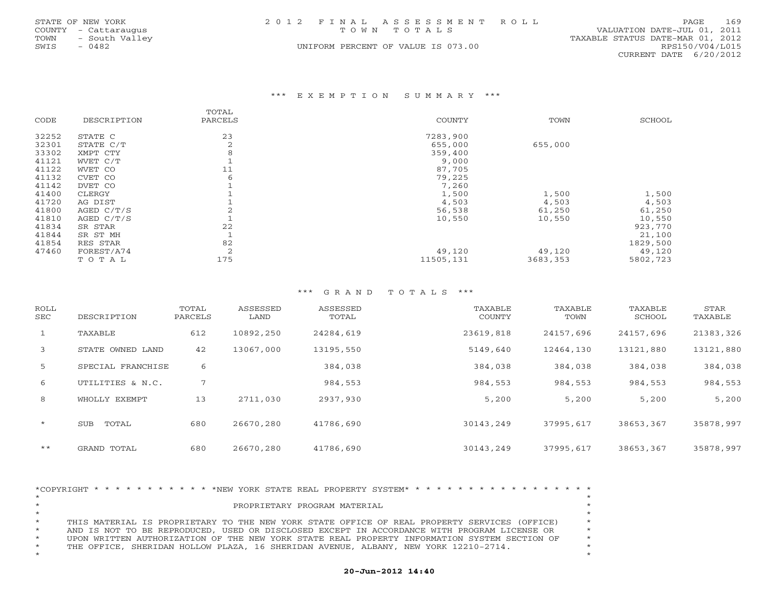|      | STATE OF NEW YORK    | 2012 FINAL ASSESSMENT ROLL                 | PAGE.           | 169 |
|------|----------------------|--------------------------------------------|-----------------|-----|
|      | COUNTY - Cattaraugus | VALUATION DATE-JUL 01, 2011<br>TOWN TOTALS |                 |     |
| TOWN | - South Valley       | TAXABLE STATUS DATE-MAR 01, 2012           |                 |     |
| SWIS | $-0482$              | UNIFORM PERCENT OF VALUE IS 073.00         | RPS150/V04/L015 |     |
|      |                      | CURRENT DATE 6/20/2012                     |                 |     |

#### \*\*\* E X E M P T I O N S U M M A R Y \*\*\*

|       |              | TOTAL   |           |          |          |
|-------|--------------|---------|-----------|----------|----------|
| CODE  | DESCRIPTION  | PARCELS | COUNTY    | TOWN     | SCHOOL   |
| 32252 | STATE C      | 23      | 7283,900  |          |          |
| 32301 | STATE C/T    | 2       | 655,000   | 655,000  |          |
| 33302 | XMPT CTY     | 8       | 359,400   |          |          |
| 41121 | WVET C/T     |         | 9,000     |          |          |
| 41122 | WVET CO      | 11      | 87,705    |          |          |
| 41132 | CVET CO      | 6       | 79,225    |          |          |
| 41142 | DVET CO      |         | 7,260     |          |          |
| 41400 | CLERGY       |         | 1,500     | 1,500    | 1,500    |
| 41720 | AG DIST      |         | 4,503     | 4,503    | 4,503    |
| 41800 | AGED C/T/S   |         | 56,538    | 61,250   | 61,250   |
| 41810 | AGED $C/T/S$ |         | 10,550    | 10,550   | 10,550   |
| 41834 | SR STAR      | 22      |           |          | 923,770  |
| 41844 | SR ST MH     |         |           |          | 21,100   |
| 41854 | RES STAR     | 82      |           |          | 1829,500 |
| 47460 | FOREST/A74   | 2       | 49,120    | 49,120   | 49,120   |
|       | TOTAL        | 175     | 11505,131 | 3683,353 | 5802,723 |

## \*\*\* G R A N D T O T A L S \*\*\*

| ROLL<br>SEC  | DESCRIPTION         | TOTAL<br>PARCELS | ASSESSED<br>LAND | ASSESSED<br>TOTAL | TAXABLE<br>COUNTY | TAXABLE<br>TOWN | TAXABLE<br>SCHOOL | STAR<br>TAXABLE |
|--------------|---------------------|------------------|------------------|-------------------|-------------------|-----------------|-------------------|-----------------|
| $\mathbf{1}$ | TAXABLE             | 612              | 10892,250        | 24284,619         | 23619,818         | 24157,696       | 24157,696         | 21383,326       |
| 3            | STATE OWNED LAND    | 42               | 13067,000        | 13195,550         | 5149,640          | 12464,130       | 13121,880         | 13121,880       |
| 5            | SPECIAL FRANCHISE   | 6                |                  | 384,038           | 384,038           | 384,038         | 384,038           | 384,038         |
| 6            | UTILITIES & N.C.    | 7                |                  | 984,553           | 984,553           | 984,553         | 984,553           | 984,553         |
| 8            | WHOLLY EXEMPT       | 13               | 2711,030         | 2937,930          | 5,200             | 5,200           | 5,200             | 5,200           |
| $\star$      | <b>SUB</b><br>TOTAL | 680              | 26670,280        | 41786,690         | 30143,249         | 37995,617       | 38653,367         | 35878,997       |
| $***$        | GRAND TOTAL         | 680              | 26670,280        | 41786,690         | 30143,249         | 37995,617       | 38653,367         | 35878,997       |

|         |  |  |  |  |  |  |  | *COPYRIGHT * * * * * * * * * * * * NEW YORK STATE REAL PROPERTY SYSTEM* * * * * * * * * * * * * * * * * * * |  |  |  |  |  |  |  |         |
|---------|--|--|--|--|--|--|--|-------------------------------------------------------------------------------------------------------------|--|--|--|--|--|--|--|---------|
| $\star$ |  |  |  |  |  |  |  |                                                                                                             |  |  |  |  |  |  |  |         |
| $\star$ |  |  |  |  |  |  |  | PROPRIETARY PROGRAM MATERIAL                                                                                |  |  |  |  |  |  |  | $\star$ |
| $\star$ |  |  |  |  |  |  |  |                                                                                                             |  |  |  |  |  |  |  | $\star$ |
| $\star$ |  |  |  |  |  |  |  | THIS MATERIAL IS PROPRIETARY TO THE NEW YORK STATE OFFICE OF REAL PROPERTY SERVICES (OFFICE)                |  |  |  |  |  |  |  | $\star$ |
| $\star$ |  |  |  |  |  |  |  | AND IS NOT TO BE REPRODUCED, USED OR DISCLOSED EXCEPT IN ACCORDANCE WITH PROGRAM LICENSE OR                 |  |  |  |  |  |  |  | $\star$ |
| $\star$ |  |  |  |  |  |  |  | UPON WRITTEN AUTHORIZATION OF THE NEW YORK STATE REAL PROPERTY INFORMATION SYSTEM SECTION OF                |  |  |  |  |  |  |  | $\star$ |
| $\star$ |  |  |  |  |  |  |  | THE OFFICE, SHERIDAN HOLLOW PLAZA, 16 SHERIDAN AVENUE, ALBANY, NEW YORK 12210-2714.                         |  |  |  |  |  |  |  |         |
| $\star$ |  |  |  |  |  |  |  |                                                                                                             |  |  |  |  |  |  |  | $\star$ |

## **20-Jun-2012 14:40**